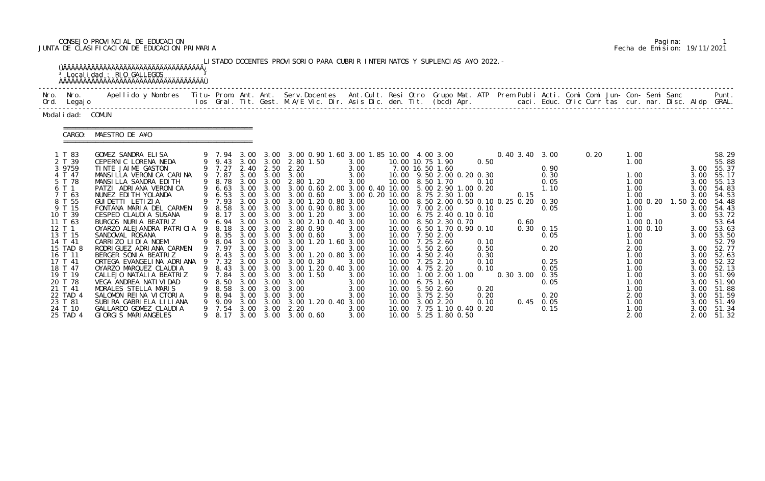# CONSEJO PROVINCIAL DE EDUCACION Pagina: 1 JUNTA DE CLASIFICACION DE EDUCACION PRIMARIA Fecha de Emision: 19/11/2021

|                                                                                                                                                                                                                                                  | <sup>3</sup> Localidad : RIO GALLEGOS                                                                                                                                                                                                                                                                                                                                                                                                                                                                                                                                                                                          |   |                                                                                                                                                                                     |                                              |                                                           | LISTADO DOCENTES PROVISORIO PARA CUBRIR INTERINATOS Y SUPLENCIAS A¥O 2022. -                                                                                                                                                                                                                                                                                                                                                                                                                                                                                                    |                                                                                                                                        |  |                                                                                                                                                                                                                                                                                                                                                                                                                                                               |                                                                                      |                               |                                                                                                                                                  |      |                                                                                                                                                      |                                           |                                                   |                                                                                                                                                                                                                                                                              |
|--------------------------------------------------------------------------------------------------------------------------------------------------------------------------------------------------------------------------------------------------|--------------------------------------------------------------------------------------------------------------------------------------------------------------------------------------------------------------------------------------------------------------------------------------------------------------------------------------------------------------------------------------------------------------------------------------------------------------------------------------------------------------------------------------------------------------------------------------------------------------------------------|---|-------------------------------------------------------------------------------------------------------------------------------------------------------------------------------------|----------------------------------------------|-----------------------------------------------------------|---------------------------------------------------------------------------------------------------------------------------------------------------------------------------------------------------------------------------------------------------------------------------------------------------------------------------------------------------------------------------------------------------------------------------------------------------------------------------------------------------------------------------------------------------------------------------------|----------------------------------------------------------------------------------------------------------------------------------------|--|---------------------------------------------------------------------------------------------------------------------------------------------------------------------------------------------------------------------------------------------------------------------------------------------------------------------------------------------------------------------------------------------------------------------------------------------------------------|--------------------------------------------------------------------------------------|-------------------------------|--------------------------------------------------------------------------------------------------------------------------------------------------|------|------------------------------------------------------------------------------------------------------------------------------------------------------|-------------------------------------------|---------------------------------------------------|------------------------------------------------------------------------------------------------------------------------------------------------------------------------------------------------------------------------------------------------------------------------------|
| Nro. Nro.<br>Ord. Legajo                                                                                                                                                                                                                         | Apellido y Nombres - Titu- Prom. Ant. Ant. Serv.Docentes - Ant.Cult. Resi Otro Grupo Mat. ATP - Prem Publi Acti. Comi Comi Jun- Con- Semi Sanc                                                                                                                                                                                                                                                                                                                                                                                                                                                                                 |   |                                                                                                                                                                                     |                                              |                                                           | los Gral. Tit. Gest. M.A/E Vic. Dir. Asis Dic. den. Tit. (bcd) Apr.        caci. Educ. Ofic Curr tas cur. nar. Disc. Aldp GRAL.                                                                                                                                                                                                                                                                                                                                                                                                                                                 |                                                                                                                                        |  |                                                                                                                                                                                                                                                                                                                                                                                                                                                               |                                                                                      |                               |                                                                                                                                                  |      |                                                                                                                                                      |                                           |                                                   | Punt.                                                                                                                                                                                                                                                                        |
| Modal i dad: COMUN                                                                                                                                                                                                                               |                                                                                                                                                                                                                                                                                                                                                                                                                                                                                                                                                                                                                                |   |                                                                                                                                                                                     |                                              |                                                           |                                                                                                                                                                                                                                                                                                                                                                                                                                                                                                                                                                                 |                                                                                                                                        |  |                                                                                                                                                                                                                                                                                                                                                                                                                                                               |                                                                                      |                               |                                                                                                                                                  |      |                                                                                                                                                      |                                           |                                                   |                                                                                                                                                                                                                                                                              |
| CARGO:                                                                                                                                                                                                                                           | MAESTRO DE A¥O                                                                                                                                                                                                                                                                                                                                                                                                                                                                                                                                                                                                                 |   |                                                                                                                                                                                     |                                              |                                                           |                                                                                                                                                                                                                                                                                                                                                                                                                                                                                                                                                                                 |                                                                                                                                        |  |                                                                                                                                                                                                                                                                                                                                                                                                                                                               |                                                                                      |                               |                                                                                                                                                  |      |                                                                                                                                                      |                                           |                                                   |                                                                                                                                                                                                                                                                              |
| 1 T 83<br>2 T 39<br>3 9759<br>4 T 47<br>5 T 78<br>6 T 1<br>7 T 63<br>8 T 55<br>9 T 15<br>10 T 39<br>11 T 63<br>12 T 1<br>13 T 15<br>14 T 41<br>15 TAD 8<br>16 T 11<br>17 T 41<br>18 T 47<br>19 T 19<br>20 T 78<br>21 T 41<br>22 TAD 4<br>23 T 81 | GOMEZ SANDRA ELISA<br>CEPERNIC LORENA NEDA<br>TINTE JAIME GASTON<br>MANSILLA VERONICA CARINA<br>MANSILLA SANDRA EDITH<br>PATZI ADRIANA VERONICA<br>NUNEZ EDI TH YOLANDA<br>GUI DETTI LETI ZI A<br>FONTANA MARIA DEL CARMEN<br>CESPED CLAUDIA SUSANA<br>BURGOS NURIA BEATRIZ<br>OYARZO ALEJANDRA PATRICIA<br>SANDOVAL ROSANA<br>CARRIZO LIDIA NOEMI<br>RODRI GUEZ ADRI ANA CARMEN<br>BERGER SONIA BEATRIZ<br>ORTEGA EVANGELINA ADRIANA 9 7.32 3.00 3.00 3.00 0.30<br>OYARZO MARQUEZ CLAUDIA<br>CALLEJO NATALI A BEATRIZ<br>VEGA ANDREA NATI VI DAD<br>MORALES STELLA MARIS<br>SALOMON REINA VICTORIA<br>SUBIRA GABRIELA LILIANA | 9 | 9 7.94 3.00<br>9 7.27<br>9 8.78 3.00<br>9 6.53<br>9 7.93 3.00<br>9 8.58<br>9 8.17<br>9 6.94 3.00<br>9 8.18<br>9 8.35<br>9 8.04<br>9 7.97<br>7.84<br>8. 50<br>8. 58<br>8. 94<br>9.09 | 3.00<br>3.00<br>3.00<br>3.00<br>3.00<br>3.00 | 3.00<br>3.00 3.00<br>3.00<br>3.00<br>3.00<br>3.00<br>3.00 | 3.00 3.00 0.90 1.60 3.00 1.85 10.00 4.00 3.00<br>9 9.43 3.00 3.00 2.80 1.50<br>2.40 2.50 2.20<br>9 7.87 3.00 3.00 3.00<br>3.00 2.80 1.20<br>9 6.63 3.00 3.00 3.00 0.60 2.00 3.00 0.40 10.00 5.00 2.90 1.00 0.20<br>3.00 0.60<br>3.00 3.00 1.20 0.80 3.00<br>3.00 3.00 3.00 0.90 0.80 3.00<br>3.00 1.20<br>3.00 3.00 2.10 0.40 3.00<br>3.00 3.00 2.80 0.90<br>3.00 3.00 3.00 0.60<br>3.00 3.00 3.00 1.20 1.60 3.00<br>3.00 3.00 3.00<br>9 8.43 3.00 3.00 3.00 1.20 0.80 3.00<br>9 8.43 3.00 3.00 3.00 1.20 0.40 3.00<br>3.00 1.50<br>3.00<br>3.00<br>3.00<br>3.00 1.20 0.40 3.00 | 3.00<br>3.00<br>3.00<br>3.00<br>3.00 0.20 10.00 8.75 2.30 1.00<br>3.00<br>3.00<br>3.00<br>3.00<br>3.00<br>3.00<br>3.00<br>3.00<br>3.00 |  | 10.00 10.75 1.90<br>7.00 16.50 1.60<br>10.00 9.50 2.00 0.20 0.30<br>10.00 8.50 1.70<br>10.00 8.50 2.00 0.50 0.10 0.25 0.20 0.30<br>10.00 7.00 2.00<br>10.00 6.75 2.40 0.10 0.10<br>10.00 8.50 2.30 0.70<br>10.00 6.50 1.70 0.90 0.10<br>10.00 7.50 2.00<br>10.00 7.25 2.60<br>10.00 5.50 2.60<br>10.00 4.50 2.40<br>10.00 7.25 2.10<br>10.00 4.75 2.20<br>10.00  1.00  2.00  1.00<br>10.00 6.75 1.60<br>10.00 5.50 2.60<br>10.00 3.75 2.50<br>10.00 3.00 2.20 | 0.50<br>0.10<br>0.10<br>0.10<br>0.50<br>0.30<br>0.10<br>0.10<br>0.20<br>0.20<br>0.10 | 0.15<br>0.60<br>0.303.0000.35 | 0.40 3.40 3.00<br>0.90<br>0.30<br>0.05<br>1.10<br>0.05<br>$0.30 \quad 0.15$<br>0.05<br>0.20<br>0.25<br>0.05<br>0.05<br>0.20<br>$0.45 \quad 0.05$ | 0.20 | 1.00<br>1.00<br>1.00<br>1.00<br>1.00<br>1.00<br>1.00<br>1.00<br>1.00<br>1.00<br>2.00<br>1.00<br>1.00<br>1.00<br>1.00<br>1.00<br>1.00<br>2.00<br>1.00 | $1.00$ $0.20$<br>$1.00$ 0.10<br>1.00 0.10 | 3.00<br>3.00<br>3.00<br>3.00<br>1.50 2.00<br>3.00 | 58.29<br>55.88<br>3.00 55.37<br>55.17<br>55.13<br>54.83<br>54.53<br>54.48<br>3.00 54.43<br>3.00 53.72<br>53.64<br>3.00 53.63<br>3.00 53.50<br>52.79<br>3.00 52.77<br>3.00 52.63<br>3.00 52.32<br>3.00 52.13<br>3.00 51.99<br>3.00 51.90<br>3.00 51.88<br>51.59<br>3.00 51.49 |

|  | Pagi na: |                              |
|--|----------|------------------------------|
|  |          | Fecha de Emision: 19/11/2021 |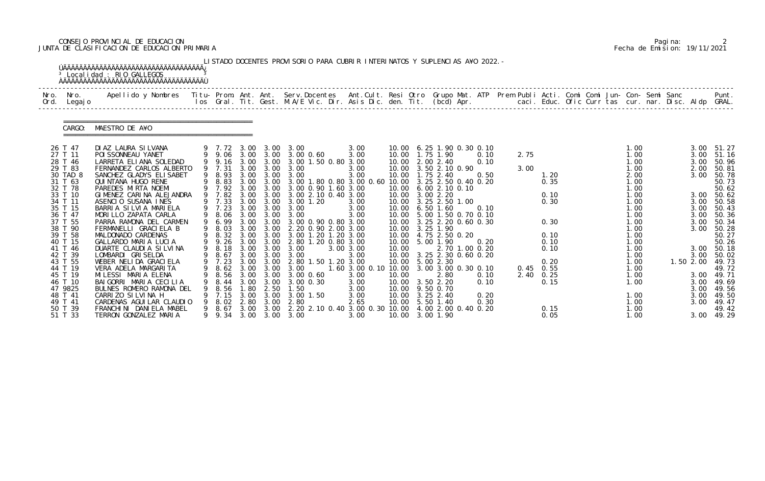# CONSEJO PROVINCIAL DE EDUCACION Pagina: 2 JUNTA DE CLASIFICACION DE EDUCACION PRIMARIA Fecha de Emision: 19/11/2021

|              |                    | <sup>3</sup> Localidad : RIO GALLEGOS                                                                                                                                                                                             |   |                  |      |              | LISTADO DOCENTES PROVISORIO PARA CUBRIR INTERINATOS Y SUPLENCIAS A¥O 2022. - |                                          |       |                                                        |                |             |      |  |              |  |              |                         |
|--------------|--------------------|-----------------------------------------------------------------------------------------------------------------------------------------------------------------------------------------------------------------------------------|---|------------------|------|--------------|------------------------------------------------------------------------------|------------------------------------------|-------|--------------------------------------------------------|----------------|-------------|------|--|--------------|--|--------------|-------------------------|
| Nro.<br>Ord. | Nro.<br>Legaj o    | Apellido y Nombres - Titu- Prom. Ant. Ant. Serv.Docentes - Ant.Cult. Resi Otro Grupo Mat. ATP Prem Publi Acti. Comi Comi Jun- Con- Semi Sanc - - - Punt.<br>Ios Gral. Tit. Gest. M.A/E Vic. Dir. Asis Dic. den. Tit. (bcd) Apr. - |   |                  |      |              |                                                                              |                                          |       |                                                        |                |             |      |  |              |  |              |                         |
|              | CARGO:             | MAESTRO DE A¥O                                                                                                                                                                                                                    |   |                  |      |              |                                                                              |                                          |       |                                                        |                |             |      |  |              |  |              |                         |
|              | 26 T 47<br>27 T 11 | DI AZ LAURA SI LVANA<br>POI SSONNEAU YANET                                                                                                                                                                                        |   |                  |      |              | 9 7.72 3.00 3.00 3.00<br>9 9.06 3.00 3.00 3.00 0.60                          | 3.00<br>3.00                             |       | 10.00 6.25 1.90 0.30 0.10<br>10.00  1.75  1.90         | 0.10           | 2.75        |      |  | 1.00<br>1.00 |  | 3.00         | $3.00$ $51.27$<br>51.16 |
|              | 28 T 46            | LARRETA ELIANA SOLEDAD                                                                                                                                                                                                            |   | 9 9.16           |      |              | 3.00 3.00 3.00 1.50 0.80 3.00                                                |                                          |       | 10.00 2.00 2.40                                        | 0.10           |             |      |  | 1.00         |  | 3.00         | 50.96                   |
|              | 29 T 83            | FERNANDEZ CARLOS ALBERTO                                                                                                                                                                                                          |   | 9 7.31           |      |              | 3.00 3.00 3.00                                                               | 3.00                                     |       | 10.00 3.50 2.10 0.90                                   |                | 3.00        |      |  | 1.00         |  | 2.00         | 50.81                   |
|              | 30 TAD 8           | SANCHEZ GLADYS ELISABET                                                                                                                                                                                                           |   | 9 8.93           | 3.00 |              | 3.00 3.00 3.00                                                               | 3.00                                     |       | 10.00  1.75  2.40                                      | 0.50           |             | 1.20 |  | 2.00         |  | 3.00         | 50.78                   |
|              | 31 T 63<br>32 T 78 | QUI NTANA HUGO RENE<br>PAREDES MIRTA NOEMI                                                                                                                                                                                        |   | 9 8.83<br>9 7.92 | 3.00 | 3.00<br>3.00 | 3.00 1.80 0.80 3.00 0.60 10.00 3.25 2.50 0.40 0.20<br>3.00 0.90 1.60 3.00    |                                          |       | 10.00 6.00 2.10 0.10                                   |                |             | 0.35 |  | 1.00<br>1.00 |  |              | 50.73<br>50.62          |
|              | 33 T 10            | GIMENEZ CARINA ALEJANDRA                                                                                                                                                                                                          |   | 9 7.82           |      |              | 3.00 3.00 3.00 2.10 0.40 3.00                                                |                                          |       | 10.00 3.00 2.20                                        |                |             | 0.10 |  | 1.00         |  |              | 3.00 50.62              |
|              | 34 T 11            | ASENCIO SUSANA INES                                                                                                                                                                                                               |   | 9 7.33           | 3.00 | 3.00         | $3.00$ 1.20                                                                  | 3.00                                     |       | 10.00 3.25 2.50 1.00                                   |                |             | 0.30 |  | 1.00         |  | 3.00         | 50.58                   |
|              | 35 T 15            | BARRIA SILVIA MARIELA                                                                                                                                                                                                             |   | 9 7.23           |      |              | 3.00 3.00 3.00                                                               | 3.00                                     |       | 10.00 6.50 1.60                                        | 0.10           |             |      |  | 1.00         |  | 3.00         | 50.43                   |
|              | 36 T 47<br>37 T 55 | MORILLO ZAPATA CARLA<br>PARRA RAMONA DEL CARMEN                                                                                                                                                                                   |   | 9 6.99           | 3.00 | 3.00         | 9 8.06 3.00 3.00 3.00<br>3.00 0.90 0.80 3.00                                 | 3.00                                     |       | 10.00 5.00 1.50 0.70 0.10<br>10.00 3.25 2.20 0.60 0.30 |                |             | 0.30 |  | 1.00<br>1.00 |  | 3.00<br>3.00 | 50.36<br>50.34          |
|              | 38 T 90            | FERMANELLI GRACIELA B                                                                                                                                                                                                             |   | 9 8.03           |      |              | 3.00 3.00 2.20 0.90 2.00 3.00                                                |                                          |       | 10.00 3.25 1.90                                        |                |             |      |  | 1.00         |  | 3.00         | 50.28                   |
|              | 39 T 58            | MALDONADO CARDENAS                                                                                                                                                                                                                |   | 9 8.32           |      |              | 3.00 3.00 3.00 1.20 1.20 3.00                                                |                                          |       | 10.00 4.75 2.50 0.20                                   |                |             | 0.10 |  | 1.00         |  |              | 50.27                   |
|              | 40 T 15            | GALLARDO MARIA LUCIA                                                                                                                                                                                                              |   | 9.26             | 3.00 | 3.00         | 2.80 1.20 0.80 3.00                                                          |                                          |       | 10.00 5.00 1.90                                        | 0.20           |             | 0.10 |  | 1.00         |  |              | 50.26                   |
|              | 41 T 46<br>42 T 39 | DUARTE CLAUDIA SILVINA<br>LOMBARDI GRISELDA                                                                                                                                                                                       | 9 | 9 8.18<br>8.67   |      |              | 3.00 3.00 3.00<br>3.00 3.00 3.00                                             | 3.00 3.00<br>3.00                        | 10.00 | 10.00 3.25 2.30 0.60 0.20                              | 2.70 1.00 0.20 |             | 0.10 |  | 1.00<br>1.00 |  | 3.00         | 3.00 50.18<br>50.02     |
|              | 43 T 55            | WEBER NELIDA GRACIELA                                                                                                                                                                                                             |   | 9 7.23           |      | 3.00 3.00    | 2.80 1.50 1.20 3.00                                                          |                                          |       | 10.00 5.00 2.30                                        |                |             | 0.20 |  | 1.00         |  | 1.50 2.00    | 49.73                   |
|              | 44 T 19            | VERA ADELA MARGARITA                                                                                                                                                                                                              |   |                  |      |              | 9 8.62 3.00 3.00 3.00                                                        | 1.60 3.00 0.10 10.00 3.00 3.00 0.30 0.10 |       |                                                        |                | $0.45$ 0.55 |      |  | 1.00         |  |              | 49.72                   |
|              | 45 T 19            | MILESSI MARIA ELENA                                                                                                                                                                                                               |   | 8.56             | 3.00 | 3.00         | 3.00 0.60                                                                    | 3.00                                     | 10.00 | 2.80                                                   | 0.10           | 2.40 0.25   |      |  | 1.00         |  |              | 3.00 49.71              |
|              | 46 T 10            | BAIGORRI MARIA CECILIA                                                                                                                                                                                                            |   | 8.44             | 3.00 | 3.00         | 3.00 0.30                                                                    | 3.00                                     |       | 10.00 3.50 2.20                                        | 0.10           |             | 0.15 |  | 1.00         |  | 3.00         | 49.69                   |
|              | 47 9825<br>48 T 41 | BULNES ROMERO RAMONA DEL<br>CARRIZO SILVINA H                                                                                                                                                                                     |   | 8.56<br>7.15     | 1.80 | 2.50         | 1.50<br>3.00 3.00 3.00 1.50                                                  | 3.00<br>3.00                             |       | 10.00 9.50 0.70<br>10.00 3.25 2.40                     | 0.20           |             |      |  | 1.00         |  | 3.00         | 3.00 49.56<br>49.50     |
|              | 49 T 41            | CARDENAS AGUI LAR CLAUDIO                                                                                                                                                                                                         |   | 8.02             | 2.80 | 3.00         | 2.80                                                                         | 2.65                                     |       | 10.00 5.50 1.40                                        | 0.30           |             |      |  | 1.00         |  | 3.00         | 49.47                   |
|              | 50 T 39            | FRANCHI NI DANI ELA MABEL                                                                                                                                                                                                         |   | 9 8.67           |      |              | 3.00 3.00 2.20 2.10 0.40 3.00 0.30 10.00 4.00 2.00 0.40 0.20                 |                                          |       |                                                        |                |             | 0.15 |  | 1.00         |  |              | 49.42                   |
|              | 51 T 33            | TERRON GONZALEZ MARIA                                                                                                                                                                                                             |   |                  |      |              | 9 9.34 3.00 3.00 3.00                                                        | 3.00                                     |       | 10.00 3.00 1.90                                        |                |             | 0.05 |  | 1.00         |  |              | 3.00 49.29              |

|  | Pagi na: |                              |
|--|----------|------------------------------|
|  |          | Fecha de Emision: 19/11/2021 |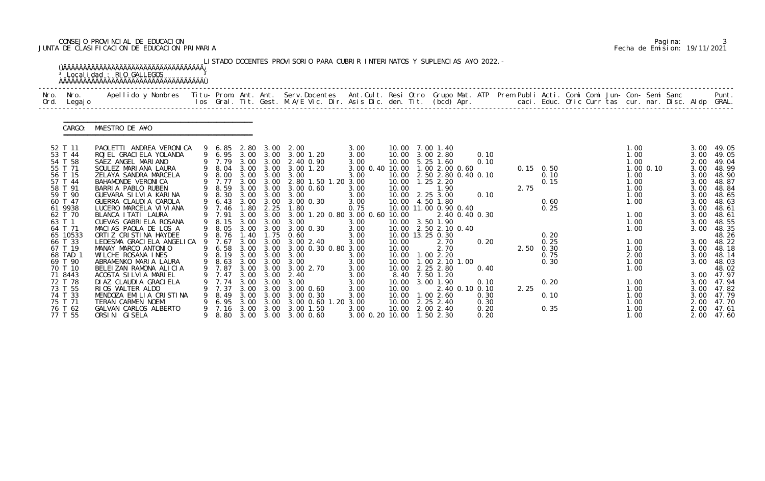# CONSEJO PROVINCIAL DE EDUCACION Pagina: 3 JUNTA DE CLASIFICACION DE EDUCACION PRIMARIA Fecha de Emision: 19/11/2021

|                                                                                                                                                                                                                                                            | <sup>3</sup> Localidad : RIO GALLEGOS                                                                                                                                                                                                                                                                                                                                                                                                                                                                                                                                                      |             |                                                                                                                                                                                          |                                                                                              |                                                                                                                             | LISTADO DOCENTES PROVISORIO PARA CUBRIR INTERINATOS Y SUPLENCIAS A¥O 2022. -                                                                                                                                                                                                                                                                                                                       |                                                                                                                                                                         |                                                                                       |                                                                                                                                                                                                                                                                                                                                                                                  |                                                                                          |              |                                                                                                          |  |                                                                                                                                                      |           |                                                                                                                                                                      |                                                                                                                                                                                                             |
|------------------------------------------------------------------------------------------------------------------------------------------------------------------------------------------------------------------------------------------------------------|--------------------------------------------------------------------------------------------------------------------------------------------------------------------------------------------------------------------------------------------------------------------------------------------------------------------------------------------------------------------------------------------------------------------------------------------------------------------------------------------------------------------------------------------------------------------------------------------|-------------|------------------------------------------------------------------------------------------------------------------------------------------------------------------------------------------|----------------------------------------------------------------------------------------------|-----------------------------------------------------------------------------------------------------------------------------|----------------------------------------------------------------------------------------------------------------------------------------------------------------------------------------------------------------------------------------------------------------------------------------------------------------------------------------------------------------------------------------------------|-------------------------------------------------------------------------------------------------------------------------------------------------------------------------|---------------------------------------------------------------------------------------|----------------------------------------------------------------------------------------------------------------------------------------------------------------------------------------------------------------------------------------------------------------------------------------------------------------------------------------------------------------------------------|------------------------------------------------------------------------------------------|--------------|----------------------------------------------------------------------------------------------------------|--|------------------------------------------------------------------------------------------------------------------------------------------------------|-----------|----------------------------------------------------------------------------------------------------------------------------------------------------------------------|-------------------------------------------------------------------------------------------------------------------------------------------------------------------------------------------------------------|
| Nro.<br>Nro.<br>Ord.<br>Legaj o                                                                                                                                                                                                                            | Apellido y Nombres - Titu- Prom. Ant. Ant. Serv.Docentes - Ant.Cult. Resi Otro Grupo Mat. ATP Prem Publi Acti. Comi Comi Jun- Con- Semi Sanc - - - - Punt.<br>Ios Gral. Tit. Gest. M.A/E Vic. Dir. Asis Dic. den. Tit. (bcd) Apr.                                                                                                                                                                                                                                                                                                                                                          |             |                                                                                                                                                                                          |                                                                                              |                                                                                                                             |                                                                                                                                                                                                                                                                                                                                                                                                    |                                                                                                                                                                         |                                                                                       |                                                                                                                                                                                                                                                                                                                                                                                  |                                                                                          |              |                                                                                                          |  |                                                                                                                                                      |           |                                                                                                                                                                      |                                                                                                                                                                                                             |
| CARGO:                                                                                                                                                                                                                                                     | MAESTRO DE A¥O                                                                                                                                                                                                                                                                                                                                                                                                                                                                                                                                                                             |             |                                                                                                                                                                                          |                                                                                              |                                                                                                                             |                                                                                                                                                                                                                                                                                                                                                                                                    |                                                                                                                                                                         |                                                                                       |                                                                                                                                                                                                                                                                                                                                                                                  |                                                                                          |              |                                                                                                          |  |                                                                                                                                                      |           |                                                                                                                                                                      |                                                                                                                                                                                                             |
| 52 T 11<br>53 T 44<br>54 T 58<br>55 T 71<br>56 T 15<br>57 T 44<br>58 T 91<br>59 T 90<br>60 T 47<br>61 9938<br>62 T 70<br>63 T 1<br>64 T 71<br>65 10533<br>66 T 33<br>67 T 19<br>68 TAD 1<br>69 T 90<br>70 T 10<br>71 8443<br>72 T 78<br>73 T 55<br>74 T 33 | PAOLETTI ANDREA VERONICA<br>ROJEL GRACI ELA YOLANDA<br>SAEZ ANGEL MARIANO<br>SOULEZ MARIANA LAURA<br>ZELAYA SANDRA MARCELA<br>BAHAMONDE VERONICA<br>BARRIA PABLO RUBEN<br>GUEVARA SILVIA KARINA<br>GUERRA CLAUDI A CAROLA<br>LUCERO MARCELA VI VI ANA<br>BLANCA I TATI LAURA<br>CUEVAS GABRIELA ROSANA<br>MACIAS PAOLA DE LOS A<br>ORTIZ CRISTINA HAYDEE<br>LEDESMA GRACI ELA ANGELI CA<br>MANAY MARCO ANTONIO<br>WILCHE ROSANA INES<br>ABRAMENKO MARIA LAURA<br>BELEIZAN RAMONA ALICIA<br>ACOSTA SILVIA MARIEL<br>DI AZ CLAUDI A GRACI ELA<br>RIOS WALTER ALDO<br>MENDOZA EMILIA CRISTINA | 9<br>9<br>9 | 9 6.85<br>9 7.79<br>9 8.04<br>9 8.00<br>9 7.77<br>9 8.59<br>9 8.30<br>6.43<br>9 7.46<br>9 7.91<br>9 8.15<br>9 8.76<br>7.67<br>9 6.58<br>9 8.19<br>9 7.87<br>7.47<br>7.74<br>7.37<br>8.49 | 2.80<br>3.00<br>3.00<br>3.00<br>1.80<br>3.00<br>1.40<br>3.00<br>3.00<br>3.00<br>3.00<br>3.00 | 3.00<br>3.00 3.00<br>3.00<br>3.00<br>2.25<br>3.00 3.00<br>3.00<br>1.75<br>3.00<br>3.00 3.00<br>3.00<br>3.00<br>3.00<br>3.00 | 3.00 2.00<br>9 6.95 3.00 3.00 3.00 1.20<br>2.40 0.90<br>3.00 1.20<br>3.00 3.00 3.00<br>2.80 1.50 1.20 3.00<br>3.00 3.00 3.00 0.60<br>3.00 3.00 3.00<br>3.00 0.30<br>1.80<br>3.00 1.20 0.80 3.00 0.60<br>3.00<br>9 8.05 3.00 3.00 3.00 0.30<br>0.60<br>3.00 2.40<br>3.00 3.00 3.00 0.30 0.80 3.00<br>3.00<br>9 8.63 3.00 3.00 3.00<br>3.00 3.00 3.00 2.70<br>2.40<br>3.00<br>3.00 0.60<br>3.00 0.30 | 3.00<br>3.00<br>3.00<br>3.00 0.40 10.00<br>3.00<br>3.00<br>3.00<br>3.00<br>0.75<br>3.00<br>3.00<br>3.00<br>3.00<br>3.00<br>3.00<br>3.00<br>3.00<br>3.00<br>3.00<br>3.00 | 10.00<br>10.00<br>10.00<br>10.00<br>10.00<br>10.00<br>8.40<br>10.00<br>10.00<br>10.00 | 10.00 7.00 1.40<br>10.00 3.00 2.80<br>$5.25$ 1.60<br>1.00 2.00 0.60<br>10.00 2.50 2.80 0.40 0.10<br>$1.25$ $2.20$<br>1.90<br>10.00 2.25 3.00<br>10.00 4.50 1.80<br>10.00 11.00 0.90 0.40<br>10.00 3.50 1.90<br>10.00 2.50 2.10 0.40<br>10.00 13.25 0.30<br>2.70<br>2.70<br>10.00  1.00  2.20<br>10.00  1.00  2.10  1.00<br>10.00 2.25 2.80<br>7.50 1.20<br>3.00 1.90<br>1.002.60 | 0.10<br>0.10<br>0.10<br>2.40 0.40 0.30<br>0.20<br>0.40<br>0.10<br>2.40 0.10 0.10<br>0.30 | 2.75<br>2.25 | $0.15$ 0.50<br>0.10<br>0.15<br>0.60<br>0.25<br>0.20<br>0.25<br>2.50 0.30<br>0.75<br>0.30<br>0.20<br>0.10 |  | 1.00<br>1.00<br>1.00<br>1.00<br>1.00<br>1.00<br>1.00<br>1.00<br>1.00<br>1.00<br>1.00<br>1.00<br>1.00<br>2.00<br>1.00<br>1.00<br>1.00<br>1.00<br>1.00 | 1.00 0.10 | 3.00<br>3.00<br>2.00<br>3.00<br>3.00<br>3.00<br>3.00<br>3.00<br>3.00<br>3.00<br>3.00<br>3.00<br>3.00<br>3.00<br>3.00<br>3.00<br>3.00<br>3.00<br>3.00<br>3.00<br>3.00 | 49.05<br>49.05<br>49.04<br>48.99<br>48.90<br>48.87<br>48.84<br>48.65<br>48.63<br>48.61<br>48.61<br>48.55<br>48.35<br>48.26<br>48.22<br>48.18<br>48.14<br>48.03<br>48.02<br>47.97<br>47.94<br>47.82<br>47.79 |

|  | Pagi na: |                              |
|--|----------|------------------------------|
|  |          | Fecha de Emision: 19/11/2021 |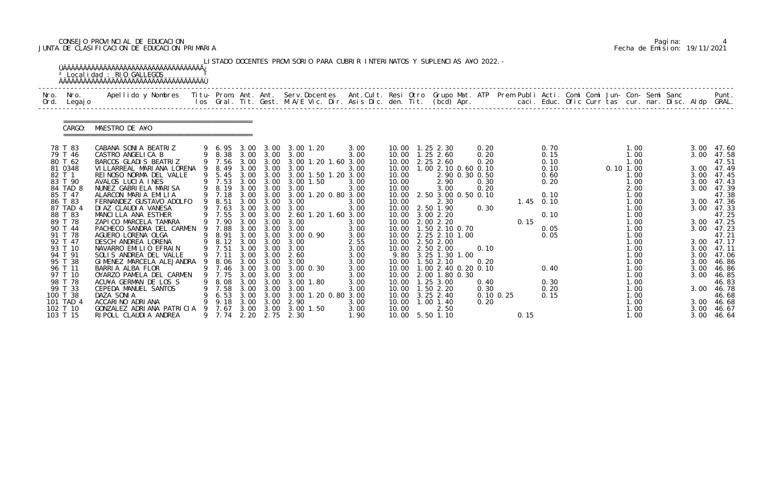# CONSEJO PROVINCIAL DE EDUCACION Pagina: 4 JUNTA DE CLASIFICACION DE EDUCACION PRIMARIA Fecha de Emision: 19/11/2021

|              |                                                                                                                                                                                                                                                 | <sup>3</sup> Localidad : RIO GALLEGOS                                                                                                                                                                                                                                                                                                                                                                                                                                                                                                                              |             |                                                                                                                                                                |                                                                              |                                                                                                                                         | LISTADO DOCENTES PROVISORIO PARA CUBRIR INTERINATOS Y SUPLENCIAS A¥O 2022. -                                                                                                                                                                                                                                                                                                         |                                                                                                                                              |                                                    |                                                                                                                                                                                                                                                                                                                                                                                                                                                |                                                                              |      |                                                                                                                     |  |                                                                                                                                                                                       |  |                      |                                                                                                                                                                                                                                                                          |
|--------------|-------------------------------------------------------------------------------------------------------------------------------------------------------------------------------------------------------------------------------------------------|--------------------------------------------------------------------------------------------------------------------------------------------------------------------------------------------------------------------------------------------------------------------------------------------------------------------------------------------------------------------------------------------------------------------------------------------------------------------------------------------------------------------------------------------------------------------|-------------|----------------------------------------------------------------------------------------------------------------------------------------------------------------|------------------------------------------------------------------------------|-----------------------------------------------------------------------------------------------------------------------------------------|--------------------------------------------------------------------------------------------------------------------------------------------------------------------------------------------------------------------------------------------------------------------------------------------------------------------------------------------------------------------------------------|----------------------------------------------------------------------------------------------------------------------------------------------|----------------------------------------------------|------------------------------------------------------------------------------------------------------------------------------------------------------------------------------------------------------------------------------------------------------------------------------------------------------------------------------------------------------------------------------------------------------------------------------------------------|------------------------------------------------------------------------------|------|---------------------------------------------------------------------------------------------------------------------|--|---------------------------------------------------------------------------------------------------------------------------------------------------------------------------------------|--|----------------------|--------------------------------------------------------------------------------------------------------------------------------------------------------------------------------------------------------------------------------------------------------------------------|
| Nro.<br>Ord. | Nro.<br>Legaj o                                                                                                                                                                                                                                 | Apellido y Nombres Titu- Prom. Ant. Ant. Serv.Docentes Ant.Cult. Resi Otro Grupo Mat. ATP Prem Publi Acti. Comi Comi Jun- Con- Semi Sanc                                                                                                                                                                                                                                                                                                                                                                                                                           |             |                                                                                                                                                                |                                                                              |                                                                                                                                         | los Gral. Tit. Gest. M.A/E Vic. Dir. Asis Dic. den. Tit. (bcd) Apr. caci. Educ. Ofic Curr tas cur. nar. Disc. Aldp GRAL.                                                                                                                                                                                                                                                             |                                                                                                                                              |                                                    |                                                                                                                                                                                                                                                                                                                                                                                                                                                |                                                                              |      |                                                                                                                     |  |                                                                                                                                                                                       |  |                      | Punt.                                                                                                                                                                                                                                                                    |
|              | CARGO:                                                                                                                                                                                                                                          | MAESTRO DE A¥O                                                                                                                                                                                                                                                                                                                                                                                                                                                                                                                                                     |             |                                                                                                                                                                |                                                                              |                                                                                                                                         |                                                                                                                                                                                                                                                                                                                                                                                      |                                                                                                                                              |                                                    |                                                                                                                                                                                                                                                                                                                                                                                                                                                |                                                                              |      |                                                                                                                     |  |                                                                                                                                                                                       |  |                      |                                                                                                                                                                                                                                                                          |
|              | 78 T 83<br>79 T 46<br>80 T 62<br>81 0348<br>82 T 1<br>83 T 90<br>84 TAD 8<br>85 T 47<br>86 T 83<br>87 TAD 4<br>88 T 83<br>89 T 78<br>90 T 44<br>91 T 78<br>92 T 47<br>93 T 10<br>94 T 91<br>95 T 38<br>96 T 11<br>97 T 10<br>98 T 78<br>99 T 33 | CABANA SONIA BEATRIZ<br>CASTRO ANGELICA B<br>BARCOS GLADIS BEATRIZ<br>VI LLARREAL MARI ANA LORENA<br>REINOSO NORMA DEL VALLE<br>AVALOS LUCIA INES<br>NUNEZ GABRIELA MARISA<br>ALARCON MARIA EMILIA<br>FERNANDEZ GUSTAVO ADOLFO<br>DI AZ CLAUDI A VANESA<br>MANCILLA ANA ESTHER<br>ZAPICO MARCELA TAMARA<br>PACHECO SANDRA DEL CARMEN<br>AGUERO LORENA OLGA<br>DESCH ANDREA LORENA<br>NAVARRO EMILIO EFRAIN<br>SOLIS ANDREA DEL VALLE<br>GIMENEZ MARCELA ALEJANDRA<br>BARRIA ALBA FLOR<br>OYARZO PAMELA DEL CARMEN<br>ACU¥A GERMAN DE LOS S<br>CEPEDA MANUEL SANTOS | 9<br>9<br>9 | 9 7.56<br>9 8.49<br>9 7.53<br>9 8.19<br>9 7.18<br>9 8.51<br>9 7.63<br>9 7.90<br>7.88<br>9 8.91<br>9 8.12<br>9 7.51<br>9 7.11<br>8.06<br>7.75<br>8.08<br>9 7.58 | 3.00<br>3.00<br>3.00<br>3.00<br>3.00<br>3.00<br>3.00<br>3.00<br>3.00<br>3.00 | 3.00 3.00<br>3.00 3.00<br>3.00<br>$3.00\quad 3.00$<br>3.00<br>3.00 3.00<br>3.00<br>3.00<br>3.00<br>3.00<br>3.00<br>3.00<br>3.00<br>3.00 | 9 6.95 3.00 3.00 3.00 1.20<br>9 8.38 3.00 3.00 3.00<br>3.00 1.20 1.60 3.00<br>3.00<br>9 5.45 3.00 3.00 3.00 1.50 1.20 3.00<br>3.00 1.50<br>3.00<br>3.00 3.00 3.00 1.20 0.80 3.00<br>3.00<br>3.00<br>9 7.55 3.00 3.00 2.60 1.20 1.60 3.00<br>3.00<br>3.00<br>3.00 3.00 3.00 0.90<br>3.00<br>3.00<br>3.00 3.00 2.60<br>3.00<br>9 7.46 3.00 3.00 3.00 0.30<br>3.00<br>3.00 1.80<br>3.00 | 3.00<br>3.00<br>3.00<br>3.00<br>3.00<br>3.00<br>3.00<br>3.00<br>3.00<br>3.00<br>2.55<br>3.00<br>3.00<br>3.00<br>3.00<br>3.00<br>3.00<br>3.00 | 10.00<br>10.00<br>10.00<br>10.00<br>10.00<br>10.00 | 10.00  1.25  2.30<br>10.00  1.25  2.60<br>10.00 2.25 2.60<br>10.00 1.00 2.10 0.60 0.10<br>2.90 0.30 0.50<br>2.90<br>3.00<br>2.50 3.00 0.50 0.10<br>2.30<br>10.00 2.50 1.90<br>10.00 3.00 2.20<br>10.00 2.00 2.20<br>10.00  1.50  2.10  0.70<br>10.00 2.25 2.10 1.00<br>2.50 2.00<br>10.00 2.50 2.00<br>9.80 3.25 1.30 1.00<br>10.00  1.50  2.10<br>10.00 1.00 2.40 0.20 0.10<br>10.00 2.00 1.80 0.30<br>10.00  1.25  3.00<br>10.00  1.50  2.20 | 0.20<br>0.20<br>0.20<br>0.30<br>0.20<br>0.30<br>0.10<br>0.20<br>0.40<br>0.30 | 0.15 | 0.70<br>0.15<br>0.10<br>0.10<br>0.60<br>0.20<br>0.10<br>$1.45$ 0.10<br>0.10<br>0.05<br>0.05<br>0.40<br>0.30<br>0.20 |  | 1.00<br>1.00<br>1.00<br>$0.10$ $1.00$<br>1.00<br>1.00<br>2.00<br>1.00<br>1.00<br>1.00<br>1.00<br>1.00<br>1.00<br>1.00<br>1.00<br>1.00<br>1.00<br>1.00<br>1.00<br>1.00<br>1.00<br>1.00 |  | 3.00<br>3.00<br>3.00 | 3.00 47.60<br>3.00 47.58<br>47.51<br>3.00 47.49<br>3.00 47.45<br>47.43<br>3.00 47.39<br>47.38<br>3.00 47.36<br>3.00 47.33<br>47.25<br>3.00 47.25<br>3.00 47.23<br>47.21<br>3.00 47.17<br>3.00 47.11<br>47.06<br>46.86<br>3.00 46.86<br>3.00 46.85<br>46.83<br>3.00 46.78 |
|              | 100 T 38<br>101 TAD 4<br>102 T 10<br>103 T 15                                                                                                                                                                                                   | DAZA SONIA<br>ACCARINO ADRIANA<br>GONZALEZ ADRIANA PATRICIA<br>RI POLL CLAUDI A ANDREA                                                                                                                                                                                                                                                                                                                                                                                                                                                                             | -9          | 6.53<br>9.18<br>7.67<br>9 7.74                                                                                                                                 | 3.00                                                                         | 3.00                                                                                                                                    | 3.00 3.00 3.00 1.20 0.80 3.00<br>2.90<br>3.00 3.00 3.00 1.50<br>2.20 2.75 2.30                                                                                                                                                                                                                                                                                                       | 3.00<br>3.00<br>1.90                                                                                                                         | 10.00<br>10.00                                     | 10.00 3.25 2.40<br>$1.00$ $1.40$<br>2.50<br>10.00 5.50 1.10                                                                                                                                                                                                                                                                                                                                                                                    | $0.10 \, 0.25$<br>0.20                                                       | 0.15 | 0.15                                                                                                                |  | 1.00<br>1.00<br>1.00<br>1.00                                                                                                                                                          |  | 3.00                 | 46.68<br>3.00 46.68<br>3.00 46.67<br>46.64                                                                                                                                                                                                                               |

|  | Pagi na: |                              |
|--|----------|------------------------------|
|  |          | Fecha de Emision: 19/11/2021 |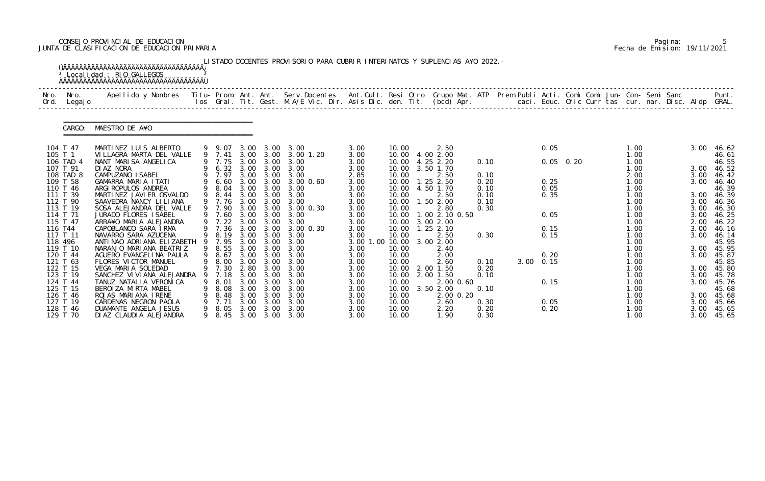# CONSEJO PROVINCIAL DE EDUCACION Pagina: 5 JUNTA DE CLASIFICACION DE EDUCACION PRIMARIA Fecha de Emision: 19/11/2021

|              |                      | <sup>3</sup> Localidad : RIO GALLEGOS                                                                                                                                                                                           |    |                  |              |                   | LISTADO DOCENTES PROVISORIO PARA CUBRIR INTERINATOS Y SUPLENCIAS A¥O 2022. - |              |                          |                        |                        |              |  |             |  |              |  |              |                     |
|--------------|----------------------|---------------------------------------------------------------------------------------------------------------------------------------------------------------------------------------------------------------------------------|----|------------------|--------------|-------------------|------------------------------------------------------------------------------|--------------|--------------------------|------------------------|------------------------|--------------|--|-------------|--|--------------|--|--------------|---------------------|
| Nro.<br>Ord. | Nro.<br>Legaj o      | Apellido y Nombres  Titu- Prom. Ant. Ant. Serv.Docentes  Ant.Cult. Resi Otro Grupo Mat. ATP Prem Publi Acti. Comi Comi Jun- Con- Semi Sanc         Punt.<br>Ios Gral. Tit. Gest. M.A/E Vic. Dir. Asis Dic. den. Tit. (bcd) Apr. |    |                  |              |                   |                                                                              |              |                          |                        |                        |              |  |             |  |              |  |              |                     |
|              | CARGO:               | MAESTRO DE A¥O                                                                                                                                                                                                                  |    |                  |              |                   |                                                                              |              |                          |                        |                        |              |  |             |  |              |  |              |                     |
|              | 104 T 47             | MARTINEZ LUIS ALBERTO                                                                                                                                                                                                           |    | 9 9.07           |              | 3.00 3.00         | 3.00                                                                         | 3.00         | 10.00                    |                        | 2.50                   |              |  | 0.05        |  | 1.00         |  | 3.00         | 46.62               |
|              | 105 T 1<br>106 TAD 4 | VILLAGRA MARTA DEL VALLE<br>NANT MARISA ANGELICA                                                                                                                                                                                |    | 9 7.41<br>9 7.75 | 3.00         | 3.00 3.00<br>3.00 | 3.00 1.20<br>3.00                                                            | 3.00<br>3.00 | 10.00<br>10.00           | 4.00 2.00<br>4.25 2.20 |                        | 0.10         |  | $0.05$ 0.20 |  | 1.00<br>1.00 |  |              | 46.61<br>46.55      |
|              | 107 T 91             | DI AZ NORA                                                                                                                                                                                                                      |    | 9 6.32 3.00      |              | 3.00              | 3.00                                                                         | 3.00         | 10.00                    | 3.50 1.70              |                        |              |  |             |  | 1.00         |  | 3.00         | 46.52               |
|              | 108 TAD 8            | CAMPUZANO I SABEL                                                                                                                                                                                                               |    | 9 7.97           | 3.00         | 3.00              | 3.00                                                                         | 2.85         | 10.00                    |                        | 2.50                   | 0.10         |  |             |  | 2.00         |  | 3.00         | 46.42               |
|              | 109 T 58             | GAMARRA MARIA ITATI                                                                                                                                                                                                             |    | 9 6.60           | 3.00         | 3.00              | 3.00 0.60                                                                    | 3.00         | 10.00                    | 1.25 2.50              |                        | 0.20         |  | 0.25        |  | 1.00         |  | 3.00         | 46.40               |
|              | 110 T 46             | ARGI ROPULOS ANDREA                                                                                                                                                                                                             |    | 9 8.04           | 3.00         | 3.00              | 3.00                                                                         | 3.00         | 10.00                    | 4.50 1.70              |                        | 0.10         |  | 0.05        |  | 1.00         |  |              | 46.39               |
|              | 111 T 39             | MARTINEZ JAVIER OSVALDO                                                                                                                                                                                                         |    | 9 8.44           | 3.00         | 3.00              | 3.00                                                                         | 3.00         | 10.00                    |                        | 2.50                   | 0.10         |  | 0.35        |  | 1.00         |  | 3.00         | 46.39               |
|              | 112 T 90<br>113 T 19 | SAAVEDRA NANCY LILIANA                                                                                                                                                                                                          |    | 9 7.76<br>9 7.90 | 3.00         | 3.00              | 3.00                                                                         | 3.00         | 10.00                    | 1.50 2.00              |                        | 0.10         |  |             |  | 1.00         |  | 3.00         | 46.36               |
|              | 114 T 71             | SOSA ALEJANDRA DEL VALLE<br>JURADO FLORES I SABEL                                                                                                                                                                               |    | 9 7.60           | 3.00<br>3.00 | 3.00<br>3.00      | 3.00 0.30<br>3.00                                                            | 3.00<br>3.00 | 10.00<br>10.00           |                        | 2.80<br>1.00 2.10 0.50 | 0.30         |  | 0.05        |  | 1.00<br>1.00 |  | 3.00<br>3.00 | 46.30<br>46.25      |
|              | 115 T 47             | ARRA¥O MARIA ALEJANDRA                                                                                                                                                                                                          |    | $9$ 7.22         | 3.00         | 3.00              | 3.00                                                                         | 3.00         | 10.00                    | 3.00 2.00              |                        |              |  |             |  | 1.00         |  | 2.00         | 46.22               |
|              | 116 T44              | CAPOBLANCO SARA IRMA                                                                                                                                                                                                            |    | 9 7.36           | 3.00         | 3.00              | $3.00 \, 0.30$                                                               | 3.00         | 10.00                    | $1.25$ 2.10            |                        |              |  | 0.15        |  | 1.00         |  | 3.00         | 46.16               |
|              | 117 T 11             | NAVARRO SARA AZUCENA                                                                                                                                                                                                            |    | 9 8.19           | 3.00         | 3.00              | 3.00                                                                         | 3.00         | 10.00                    |                        | 2.50                   | 0.30         |  | 0.15        |  | 1.00         |  | 3.00         | 46.14               |
|              | 118 496              | ANTI NAO ADRI ANA ELI ZABETH                                                                                                                                                                                                    | 9  | 7.95             | 3.00         | 3.00              | 3.00                                                                         | 3.00 1.00    | 10.00                    | 3.00 2.00              |                        |              |  |             |  | 1.00         |  |              | 45.95               |
|              | 119 T 10             | NARANJO MARIANA BEATRIZ                                                                                                                                                                                                         |    | 9 8.55           | 3.00         | 3.00              | 3.00                                                                         | 3.00         | 10.00                    |                        | 2.40                   |              |  |             |  | 1.00         |  | 3.00         | 45.95               |
|              | 120 T 44             | AGUERO EVANGELINA PAULA                                                                                                                                                                                                         |    | 9 8.67           |              |                   | 3.00 3.00 3.00                                                               | 3.00         | 10.00                    |                        | 2.00                   |              |  | 0.20        |  | 1.00         |  | 3.00         | 45.87               |
|              | 121 T 63<br>122 T 15 | FLORES VICTOR MANUEL                                                                                                                                                                                                            |    | 9 8.00<br>9 7.30 | 3.00         | 3.00              | 3.00<br>3.00                                                                 | 3.00         | 10.00<br>10.00 2.00 1.50 |                        | 2.60                   | 0.10         |  | 3.00 0.15   |  | 1.00<br>1.00 |  |              | 45.85               |
|              | 123 T 19             | VEGA MARIA SOLEDAD<br>SANCHEZ VI VI ANA ALEJANDRA                                                                                                                                                                               | 9  | 7.18             | 2.80<br>3.00 | 3.00<br>3.00      | 3.00                                                                         | 3.00<br>3.00 | 10.00                    | 2.00 1.50              |                        | 0.20<br>0.10 |  |             |  | 1.00         |  | 3.00         | 3.00 45.80<br>45.78 |
|              | 124 T 44             | TANUZ NATALIA VERONICA                                                                                                                                                                                                          |    | 8. 01            | 3.00         | 3.00              | 3.00                                                                         | 3.00         | 10.00                    |                        | 2.00 0.60              |              |  | 0.15        |  | 1.00         |  | 3.00         | 45.76               |
|              | 125 T 15             | BEROIZA MIRTA MABEL                                                                                                                                                                                                             | 9. | 8.08             | 3.00         | 3.00              | 3.00                                                                         | 3.00         | 10.00                    | 3.50 2.00              |                        | 0.10         |  |             |  | 1.00         |  |              | 45.68               |
|              | 126 T 46             | ROJAS MARIANA IRENE                                                                                                                                                                                                             |    | 8.48             | 3.00         | 3.00              | 3.00                                                                         | 3.00         | 10.00                    |                        | 2.00 0.20              |              |  |             |  | 1.00         |  | 3.00         | 45.68               |
|              | 127 T 19             | CARDENAS NEGRON PAOLA                                                                                                                                                                                                           |    |                  | 3.00         | 3.00              | 3.00                                                                         | 3.00         | 10.00                    |                        | 2.60                   | 0.30         |  | 0.05        |  | 1.00         |  | 3.00         | 45.66               |
|              | 128 T 46             | DUAMANTE ANGELA JESUS                                                                                                                                                                                                           | 9. | 8.05             | 3.00         | 3.00              | 3.00                                                                         | 3.00         | 10.00                    |                        | 2.20                   | 0.20         |  | 0.20        |  | 1.00         |  | 3.00         | 45.65               |
|              | 129 T 70             | DI AZ CLAUDI A ALEJANDRA                                                                                                                                                                                                        |    | 9 8.45           |              |                   | 3.00 3.00 3.00                                                               | 3.00         | 10.00                    |                        | 1.90                   | 0.30         |  |             |  | 1.00         |  | 3.00         | 45.65               |

|  | Pagi na: |                              |
|--|----------|------------------------------|
|  |          | Fecha de Emision: 19/11/2021 |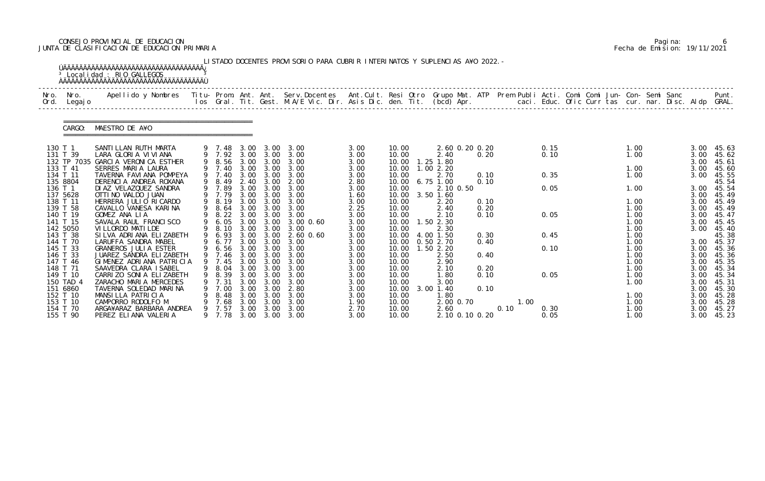# CONSEJO PROVINCIAL DE EDUCACION Pagina: 6 JUNTA DE CLASIFICACION DE EDUCACION PRIMARIA Fecha de Emision: 19/11/2021

|              |                                              | <sup>3</sup> Localidad : RIO GALLEGOS<br><u>ŇÄÄÄÄÄÄÄÄÄÄÄÄÄÄÄÄÄÄÄÄÄÄÄÄÄÄÄÄÄÄÄÄÄÄ</u>                                                            |   |                                |                              |                              | LISTADO DOCENTES PROVISORIO PARA CUBRIR INTERINATOS Y SUPLENCIAS A¥O 2022. -                                             |                              |                                  |                                             |              |              |              |  |                              |                              |                                  |
|--------------|----------------------------------------------|------------------------------------------------------------------------------------------------------------------------------------------------|---|--------------------------------|------------------------------|------------------------------|--------------------------------------------------------------------------------------------------------------------------|------------------------------|----------------------------------|---------------------------------------------|--------------|--------------|--------------|--|------------------------------|------------------------------|----------------------------------|
| Nro.<br>Ord. | Nro.<br>Legaj o                              | Apellido y Nombres - Titu- Prom. Ant. Ant. Serv.Docentes - Ant.Cult. Resi Otro Grupo Mat. ATP - Prem Publi Acti. Comi Comi Jun- Con- Semi Sanc |   |                                |                              |                              | los Gral. Tit. Gest. M.A/E Vic. Dir. Asis Dic. den. Tit. (bcd) Apr. caci. Educ. Ofic Curr tas cur. nar. Disc. Aldp GRAL. |                              |                                  |                                             |              |              |              |  |                              |                              | Punt.                            |
|              | CARGO:                                       | MAESTRO DE A¥O                                                                                                                                 |   |                                |                              |                              |                                                                                                                          |                              |                                  |                                             |              |              |              |  |                              |                              |                                  |
|              | 130 T 1<br>131 T 39<br>132 TP 7035           | SANTI LLAN RUTH MARTA<br>LARA GLORIA VIVIANA<br>GARCIA VERONICA ESTHER                                                                         |   | 9 7.48<br>9 7.92 3.00          |                              | 3.00                         | 3.00 3.00 3.00<br>3.00<br>9 8.56 3.00 3.00 3.00                                                                          | 3.00<br>3.00<br>3.00         | 10.00<br>10.00<br>10.00          | 2.60 0.20 0.20<br>2.40<br>1.25 1.80         | 0.20         |              | 0.15<br>0.10 |  | 1.00<br>1.00                 | 3.00<br>3.00<br>3.00         | 45.63<br>45.62<br>45.61          |
|              | 133 T 41<br>134 T 11<br>135 8804             | SERRES MARIA LAURA<br>TAVERNA FAVIANA POMPEYA<br>DERENCIA ANDREA ROXANA                                                                        |   | 9 7.40<br>9 7.40<br>9 8.49     | 3.00<br>2.40                 | 3.00                         | 3.00 3.00 3.00<br>3.00<br>3.00 2.00                                                                                      | 3.00<br>3.00<br>2.80         | 10.00<br>10.00<br>10.00          | 1.002.20<br>2.70<br>$6.75$ 1.00             | 0.10<br>0.10 |              | 0.35         |  | 1.00<br>1.00                 | 3.00<br>3.00                 | 45.60<br>45.55<br>45.54          |
|              | 136 T 1<br>137 5628<br>138 T 11              | DI AZ VELAZQUEZ SANDRA<br>OTTI NO WALDO JUAN<br>HERRERA JULIO RICARDO                                                                          |   | 9 7.89<br>9 7.79<br>9 8.19     | 3.00<br>3.00                 | 3.00<br>3.00                 | 3.00<br>3.00<br>3.00 3.00 3.00                                                                                           | 3.00<br>1.60<br>3.00         | 10.00<br>10.00<br>10.00          | 2.10 0.50<br>3.50 1.60<br>2.20              | 0.10         |              | 0.05         |  | 1.00<br>1.00                 | 3.00<br>3.00<br>3.00         | 45.54<br>45.49<br>45.49          |
|              | 139 T 58<br>140 T 19<br>141 T 15<br>142 5050 | CAVALLO VANESA KARINA<br>GOMEZ ANA LIA<br>SAVALA RAUL FRANCISCO<br>VI LLORDO MATI LDE                                                          |   | 9 8.64<br>9 8.22<br>9 8.10     | 3.00<br>3.00                 | 3.00 3.00<br>3.00<br>3.00    | 3.00<br>3.00<br>9 6.05 3.00 3.00 3.00 0.60<br>3.00                                                                       | 2.25<br>3.00<br>3.00<br>3.00 | 10.00<br>10.00<br>10.00<br>10.00 | 2.40<br>2.10<br>$1.50$ $2.30$<br>2.30       | 0.20<br>0.10 |              | 0.05         |  | 1.00<br>1.00<br>1.00<br>1.00 | 3.00<br>3.00<br>3.00<br>3.00 | 45.49<br>45.47<br>45.45<br>45.40 |
|              | 143 T 38<br>144 T 70                         | SILVA ADRIANA ELIZABETH<br>LARUFFA SANDRA MABEL                                                                                                |   | 9 6.93<br>9 6.77               | 3.00                         | 3.00                         | $2.60$ 0.60<br>3.00 3.00 3.00                                                                                            | 3.00<br>3.00                 | 10.00<br>10.00                   | 4.00 1.50<br>0.50 2.70                      | 0.30<br>0.40 |              | 0.45         |  | 1.00<br>1.00                 | 3.00                         | 45.38<br>45.37                   |
|              | 145 T 33<br>146 T 33<br>147 T 46<br>148 T 71 | <b>GRANEROS JULIA ESTER</b><br>JUAREZ SANDRA ELIZABETH<br>GIMENEZ ADRIANA PATRICIA<br>SAAVEDRA CLARA ISABEL                                    |   | 9 6.56 3.00<br>9 7.46          | 3.00                         | 3.00                         | 3.00 3.00<br>3.00<br>9 7.45 3.00 3.00 3.00<br>9 8.04 3.00 3.00 3.00                                                      | 3.00<br>3.00<br>3.00<br>3.00 | 10.00<br>10.00<br>10.00<br>10.00 | 1.50 2.20<br>2.50<br>2.90<br>2.10           | 0.40<br>0.20 |              | 0.10         |  | 1.00<br>1.00<br>1.00<br>1.00 | 3.00<br>3.00<br>3.00<br>3.00 | 45.36<br>45.36<br>45.35<br>45.34 |
|              | 149 T 10<br>150 TAD 4<br>151 6860            | CARRIZO SONIA ELIZABETH<br>ZARACHO MARIA MERCEDES<br>TAVERNA SOLEDAD MARINA                                                                    |   | 8.39<br>7.31<br>7.00           | 3.00<br>3.00<br>3.00         | 3.00<br>3.00<br>3.00         | 3.00<br>3.00<br>2.80                                                                                                     | 3.00<br>3.00<br>3.00         | 10.00<br>10.00<br>10.00          | 1. 80<br>3.00<br>$3.00$ 1.40                | 0.10<br>0.10 |              | 0.05         |  | 1.00<br>1.00                 | 3.00<br>3.00<br>3.00         | 45.34<br>45.31<br>45.30          |
|              | 152 T 10<br>153 T 10<br>154 T 70<br>155 T 90 | MANSILLA PATRICIA<br>CAMPORRO RODOLFO M<br>ARGA¥ARAZ BARBARA ANDREA<br>PEREZ ELIANA VALERIA                                                    | 9 | 8.48<br>7.68<br>7.57<br>9 7.78 | 3.00<br>3.00<br>3.00<br>3.00 | 3.00<br>3.00<br>3.00<br>3.00 | 3.00<br>3.00<br>3.00<br>3.00                                                                                             | 3.00<br>1.90<br>2.70<br>3.00 | 10.00<br>10.00<br>10.00<br>10.00 | 1.80<br>2.00 0.70<br>2.60<br>2.10 0.10 0.20 |              | 1.00<br>0.10 | 0.30<br>0.05 |  | 1.00<br>1.00<br>1.00<br>1.00 | 3.00<br>3.00<br>3.00<br>3.00 | 45.28<br>45.28<br>45.27<br>45.23 |

|  | Pagi na: |                              |
|--|----------|------------------------------|
|  |          | Fecha de Emision: 19/11/2021 |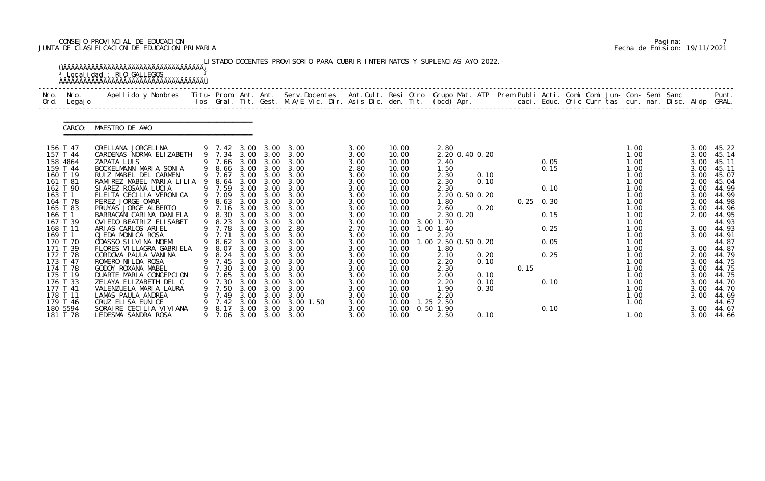# CONSEJO PROVINCIAL DE EDUCACION Pagina: 7 JUNTA DE CLASIFICACION DE EDUCACION PRIMARIA Fecha de Emision: 19/11/2021

| Nro.<br>Ord.         | Nro.<br>Legaj o | .Apellido y Nombres  Titu- Prom. Ant. Ant.  Serv.Docentes  Ant.Cult. Resi Otro  Grupo Mat. ATP  Prem Publi Acti. Comi Comi Jun- Con- Semi Sanc              Punt<br>Ios Gral. Tit. Gest. M.A/E Vic. Dir. Asis Dic. den. Tit. (bcd |   |                  |              |              |                               |              |                |                             |      |      |             |  |              |  |              |                |
|----------------------|-----------------|-----------------------------------------------------------------------------------------------------------------------------------------------------------------------------------------------------------------------------------|---|------------------|--------------|--------------|-------------------------------|--------------|----------------|-----------------------------|------|------|-------------|--|--------------|--|--------------|----------------|
|                      | CARGO:          | MAESTRO DE A¥O                                                                                                                                                                                                                    |   |                  |              |              |                               |              |                |                             |      |      |             |  |              |  |              |                |
| 156 T 47             |                 | ORELLANA JORGELINA                                                                                                                                                                                                                |   |                  |              |              | 9 7.42 3.00 3.00 3.00         | 3.00         | 10.00          | 2.80                        |      |      |             |  | 1.00         |  | 3.00         | 45.22          |
| 157 T 44<br>158 4864 |                 | CARDENAS NORMA ELIZABETH<br>ZAPATA LUIS                                                                                                                                                                                           |   | 9 7.34 3.00      |              | 3.00         | 3.00<br>9 7.66 3.00 3.00 3.00 | 3.00<br>3.00 | 10.00<br>10.00 | 2.20 0.40 0.20<br>2.40      |      |      | 0.05        |  | 1.00<br>1.00 |  | 3.00<br>3.00 | 45.14<br>45.11 |
| 159 T 44             |                 | BOCKELMANN MARIA SONIA                                                                                                                                                                                                            |   |                  |              |              | 9 8.66 3.00 3.00 3.00         | 2.80         | 10.00          | 1.50                        |      |      | 0.15        |  | 1.00         |  | 3.00         | 45.11          |
| 160 T 19             |                 | RUIZ MABEL DEL CARMEN                                                                                                                                                                                                             |   | 9 7.67           | 3.00         | 3.00         | 3.00                          | 3.00         | 10.00          | 2.30                        | 0.10 |      |             |  | 1.00         |  | 3.00         | 45.07          |
| 161 T 81             |                 | RAMIREZ MABEL MARIA LILIA 9 8.64 3.00                                                                                                                                                                                             |   |                  |              | 3.00         | 3.00                          | 3.00         | 10.00          | 2.30                        | 0.10 |      |             |  | 1.00         |  | 2.00         | 45.04          |
| 162 T 90             |                 | SIAREZ ROSANA LUCIA                                                                                                                                                                                                               |   | 9 7.59           | 3.00         | 3.00         | 3.00                          | 3.00         | 10.00          | 2.30                        |      |      | 0.10        |  | 1.00         |  | 3.00         | 44.99          |
| 163 T 1<br>164 T 78  |                 | FLEITA CECILIA VERONICA<br>PEREZ JORGE OMAR                                                                                                                                                                                       |   | 9 7.09           | 3.00         | 3.00         | 3.00<br>9 8.63 3.00 3.00 3.00 | 3.00<br>3.00 | 10.00<br>10.00 | 2.20 0.50 0.20<br>1.80      |      |      | $0.25$ 0.30 |  | 1.00<br>1.00 |  | 3.00<br>2.00 | 44.99<br>44.98 |
| 165 T 83             |                 | PRUYAS JORGE ALBERTO                                                                                                                                                                                                              |   | 9 7.16           | 3.00         | 3.00         | 3.00                          | 3.00         | 10.00          | 2.60                        | 0.20 |      |             |  | 1.00         |  | 3.00         | 44.96          |
| 166 T 1              |                 | BARRAGAN CARINA DANIELA                                                                                                                                                                                                           |   | 9 8.30           | 3.00         | 3.00         | 3.00                          | 3.00         | 10.00          | 2.30 0.20                   |      |      | 0.15        |  | 1.00         |  | 2.00         | 44.95          |
| 167 T 39             |                 | OVI EDO BEATRIZ ELI SABET                                                                                                                                                                                                         |   | 9 8.23           |              | 3.00 3.00    | 3.00                          | 3.00         | 10.00          | 3.00 1.70                   |      |      |             |  | 1.00         |  |              | 44.93          |
| 168 T 11             |                 | ARIAS CARLOS ARIEL                                                                                                                                                                                                                |   | 9 7.78           | 3.00         | 3.00         | 2.80                          | 2.70         | 10.00          | 1.00 1.40                   |      |      | 0.25        |  | 1.00         |  | 3.00         | 44.93          |
| 169 T 1              |                 | OJEDA MONICA ROSA                                                                                                                                                                                                                 |   | 9 7.71           | 3.00         | 3.00         | 3.00                          | 3.00         | 10.00          | 2.20                        |      |      | 0.05        |  | 1.00<br>1.00 |  | 3.00         | 44.91          |
| 170 T 70<br>171 T 39 |                 | ODASSO SILVINA NOEMI<br>FLORES VI LLAGRA GABRI ELA                                                                                                                                                                                |   | 9 8.62<br>9 8.07 |              | 3.00 3.00    | 3.00 3.00 3.00<br>3.00        | 3.00<br>3.00 | 10.00<br>10.00 | 1.00 2.50 0.50 0.20<br>1.80 |      |      |             |  | 1.00         |  | 3.00         | 44.87<br>44.87 |
| 172 T 78             |                 | CORDOVA PAULA VANINA                                                                                                                                                                                                              |   | 9 8.24           | 3.00         | 3.00         | 3.00                          | 3.00         | 10.00          | 2.10                        | 0.20 |      | 0.25        |  | 1.00         |  | 2.00         | 44.79          |
| 173 T 47             |                 | ROMERO NI LDA ROSA                                                                                                                                                                                                                |   |                  |              |              | 9 7.45 3.00 3.00 3.00         | 3.00         | 10.00          | 2.20                        | 0.10 |      |             |  | 1.00         |  | 3.00         | 44.75          |
| 174 T 78             |                 | GODOY ROXANA MABEL                                                                                                                                                                                                                |   |                  |              |              | 9 7.30 3.00 3.00 3.00         | 3.00         | 10.00          | 2.30                        |      | 0.15 |             |  | 1.00         |  |              | 3.00 44.75     |
| 175 T 19             |                 | DUARTE MARIA CONCEPCION                                                                                                                                                                                                           |   | 7.65             | 3.00         | 3.00         | 3.00                          | 3.00         | 10.00          | 2.00                        | 0.10 |      |             |  | 1.00         |  | 3.00         | 44.75          |
| 176 T 33             |                 | ZELAYA ELIZABETH DEL C                                                                                                                                                                                                            |   | 7.30             | 3.00         | 3.00         | 3.00                          | 3.00         | 10.00          | 2.20                        | 0.10 |      | 0.10        |  | 1.00         |  | 3.00         | 44.70          |
| 177 T 41<br>178 T 11 |                 | VALENZUELA MARIA LAURA<br>LAMAS PAULA ANDREA                                                                                                                                                                                      |   | 7.50<br>7.49     | 3.00<br>3.00 | 3.00<br>3.00 | 3.00<br>3.00                  | 3.00<br>3.00 | 10.00<br>10.00 | 1.90<br>2.20                | 0.30 |      |             |  | 1.00<br>1.00 |  | 3.00<br>3.00 | 44.70<br>44.69 |
| 179 T 46             |                 | CRUZ ELISA EUNICE                                                                                                                                                                                                                 |   | 7.42             | 3.00         | 3.00         | 3.00 1.50                     | 3.00         | 10.00          | $1.25$ 2.50                 |      |      |             |  | 1.00         |  |              | 44.67          |
| 180 5594             |                 | SORAIRE CECILIA VIVIANA                                                                                                                                                                                                           | 9 | 8.17             | 3.00         | 3.00         | 3.00                          | 3.00         | 10.00          | $0.50$ 1.90                 |      |      | 0.10        |  |              |  | 3.00         | 44.67          |
|                      | 181 T 78        | LEDESMA SANDRA ROSA                                                                                                                                                                                                               |   | 7. 06            | 3.00         | 3.00         | 3.00                          | 3.00         | 10.00          | 2.50                        | 0.10 |      |             |  | 1.00         |  | 3.00         | 44.66          |

|  | Pagi na: |                              |
|--|----------|------------------------------|
|  |          | Fecha de Emision: 19/11/2021 |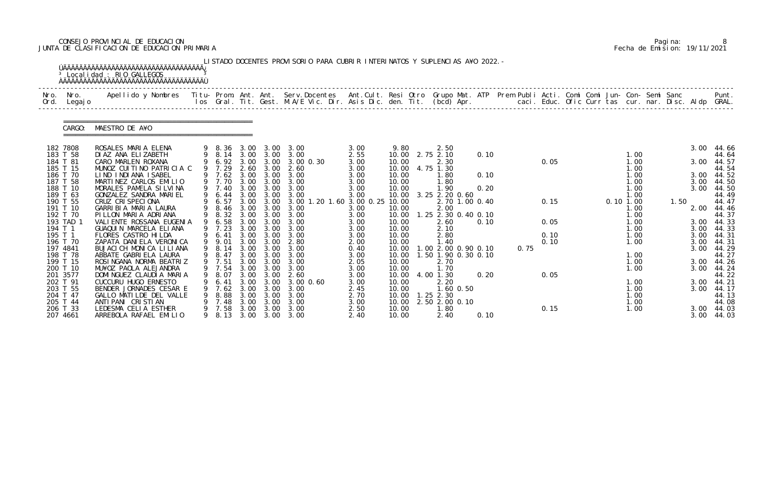# CONSEJO PROVINCIAL DE EDUCACION Pagina: 8 JUNTA DE CLASIFICACION DE EDUCACION PRIMARIA Fecha de Emision: 19/11/2021

|              |                      | <sup>3</sup> Localidad : RIO GALLEGOS                                                                                                                                                                                           |   |                  |              |              | LISTADO DOCENTES PROVISORIO PARA CUBRIR INTERINATOS Y SUPLENCIAS A¥O 2022. - |                |                |               |                             |      |      |              |  |          |              |      |              |                     |
|--------------|----------------------|---------------------------------------------------------------------------------------------------------------------------------------------------------------------------------------------------------------------------------|---|------------------|--------------|--------------|------------------------------------------------------------------------------|----------------|----------------|---------------|-----------------------------|------|------|--------------|--|----------|--------------|------|--------------|---------------------|
| Nro.<br>Ord. | Nro.<br>Legaj o      | Apellido y Nombres  Titu- Prom. Ant. Ant. Serv.Docentes  Ant.Cult. Resi Otro Grupo Mat. ATP Prem Publi Acti. Comi Comi Jun- Con- Semi Sanc         Punt.<br>Ios Gral. Tit. Gest. M.A/E Vic. Dir. Asis Dic. den. Tit. (bcd) Apr. |   |                  |              |              |                                                                              |                |                |               |                             |      |      |              |  |          |              |      |              |                     |
|              | CARGO:               | MAESTRO DE A¥O                                                                                                                                                                                                                  |   |                  |              |              |                                                                              |                |                |               |                             |      |      |              |  |          |              |      |              |                     |
|              | 182 7808             | ROSALES MARIA ELENA                                                                                                                                                                                                             |   |                  |              |              | 9 8.36 3.00 3.00 3.00                                                        | 3.00           | 9.80           |               | 2.50                        |      |      |              |  |          |              |      | 3.00         | 44.66               |
|              | 183 T 58<br>184 T 81 | DI AZ ANA ELIZABETH<br>CARO MARLEN ROXANA                                                                                                                                                                                       |   | 9 6.92 3.00      |              | 3.00         | 9 8.14 3.00 3.00 3.00<br>3.00 0.30                                           | 2.55<br>3.00   | 10.00<br>10.00 | 2.75 2.10     | 2.30                        | 0.10 |      | 0.05         |  |          | 1.00<br>1.00 |      | 3.00         | 44.64<br>44.57      |
|              | 185 T 15<br>186 T 70 | MUNOZ CUITINO PATRICIA C<br>LIND INDIANA ISABEL                                                                                                                                                                                 |   | 9 7.29<br>9 7.62 | 2.60<br>3.00 | 3.00<br>3.00 | 2.60<br>3.00                                                                 | 3.00<br>3.00   | 10.00<br>10.00 | 4.75 1.30     | 1.80                        | 0.10 |      |              |  |          | 1.00<br>1.00 |      | 3.00         | 44.54<br>44.52      |
|              | 187 T 58             | MARTINEZ CARLOS EMILIO                                                                                                                                                                                                          |   | 9 7.70           | 3.00         | 3.00         | 3.00                                                                         | 3.00           | 10.00          |               | 1.80                        |      |      |              |  |          | 1.00         |      | 3.00         | 44.50               |
|              | 188 T 10<br>189 T 63 | MORALES PAMELA SILVINA<br>GONZALEZ SANDRA MARIEL                                                                                                                                                                                |   | 9 7.40<br>9 6.44 | 3.00<br>3.00 | 3.00<br>3.00 | 3.00<br>3.00                                                                 | 3.00<br>3.00   | 10.00<br>10.00 |               | 1.90<br>3.25 2.20 0.60      | 0.20 |      |              |  |          | 1.00<br>1.00 |      | 3.00         | 44.50<br>44.49      |
|              | 190 T 55             | CRUZ CRISPECIONA                                                                                                                                                                                                                |   | 6.57             | 3.00         | 3.00         | 3.00 1.20                                                                    | 1.60 3.00 0.25 | 10.00          |               | 2.70 1.00 0.40              |      |      | 0.15         |  | 0.101.00 |              | 1.50 |              | 44.47               |
|              | 191 T 10<br>192 T 70 | GARRIBIA MARIA LAURA<br>PILLON MARIA ADRIANA                                                                                                                                                                                    | 9 | 8.46<br>9 8.32   | 3.00<br>3.00 | 3.00         | 3.00<br>3.00 3.00                                                            | 3.00<br>3.00   | 10.00<br>10.00 |               | 2.00<br>1.25 2.30 0.40 0.10 |      |      |              |  |          | 1.00<br>1.00 |      | 2.00         | 44.46<br>44.37      |
|              | 193 TAD 1            | VALI ENTE ROSSANA EUGENIA                                                                                                                                                                                                       |   | 6.58             | 3.00         | 3.00         | 3.00                                                                         | 3.00           | 10.00          |               | 2.60                        | 0.10 |      | 0.05         |  |          | 1.00         |      | 3.00         | 44.33               |
| 194 T 1      |                      | GUAQUIN MARCELA ELIANA                                                                                                                                                                                                          |   | 9 7.23           | 3.00         | 3.00         | 3.00                                                                         | 3.00           | 10.00          |               | 2.10                        |      |      |              |  |          | 1.00         |      | 3.00         | 44.33               |
| 195 T 1      | 196 T 70             | FLORES CASTRO HI LDA<br>ZAPATA DANI ELA VERONI CA                                                                                                                                                                               |   | 9 6.41<br>9 9.01 | 3.00<br>3.00 | 3.00<br>3.00 | 3.00<br>2.80                                                                 | 3.00<br>2.00   | 10.00<br>10.00 |               | 2.80<br>1.40                |      |      | 0.10<br>0.10 |  |          | 1.00<br>1.00 |      | 3.00<br>3.00 | 44.31<br>44.31      |
| 197 4841     |                      | BUJACI CH MONICA LILIANA                                                                                                                                                                                                        |   | 9 8.14           | 3.00         | 3.00         | 3.00                                                                         | 0.40           | 10.00          |               | 1.00 2.00 0.90 0.10         |      | 0.75 |              |  |          |              |      | 3.00         | 44.29               |
|              | 198 T 78             | ABBATE GABRIELA LAURA                                                                                                                                                                                                           |   | 9 8.47           |              | 3.00 3.00    | 3.00                                                                         | 3.00           | 10.00          |               | 1.50 1.90 0.30 0.10         |      |      |              |  |          | 1.00         |      |              | 44.27               |
|              | 199 T 15             | ROSINGANA NORMA BEATRIZ                                                                                                                                                                                                         |   | 9 7.51           | 3.00         | 3.00         | 3.00                                                                         | 2.05           | 10.00          |               | 2.70                        |      |      |              |  |          | 1.00         |      | 3.00         | 44.26               |
|              | 200 T 10<br>201 3577 | MU¥OZ PAOLA ALEJANDRA<br>DOMINGUEZ CLAUDIA MARIA                                                                                                                                                                                | 9 | 9 7.54<br>8.07   | 3.00<br>3.00 | 3.00<br>3.00 | 3.00<br>2.60                                                                 | 3.00<br>3.00   | 10.00<br>10.00 | 4.00 1.30     | 1.70                        | 0.20 |      | 0.05         |  |          | 1.00         |      |              | 3.00 44.24<br>44.22 |
|              | 202 T 91             | CUCCURU HUGO ERNESTO                                                                                                                                                                                                            |   |                  | 3.00         | 3.00         | 3.00 0.60                                                                    | 3.00           | 10.00          |               | 2.20                        |      |      |              |  |          | 1.00         |      | 3.00         | 44.21               |
|              | 203 T 55             | BENDER JORNADES CESAR E                                                                                                                                                                                                         |   | 7.62             | 3.00         | 3.00         | 3.00                                                                         | 2.45           | 10.00          |               | 1.60 0.50                   |      |      |              |  |          | 1.00         |      | 3.00         | 44.17               |
|              | 204 T 47             | GALLO MATILDE DEL VALLE                                                                                                                                                                                                         | 9 | 8.88             | 3.00         | 3.00         | 3.00                                                                         | 2.70           | 10.00          | $1.25$ $2.30$ |                             |      |      |              |  |          | 1.00         |      |              | 44.13               |
|              | 205 T 44<br>206 T 33 | ANTI PANI CRISTIAN<br>LEDESMA CELIA ESTHER                                                                                                                                                                                      |   | 7.48<br>7.58     | 3.00<br>3.00 | 3.00<br>3.00 | 3.00<br>3.00                                                                 | 3.00<br>2.50   | 10.00<br>10.00 |               | 2.50 2.00 0.10<br>1.80      |      |      | 0.15         |  |          | 1.00<br>1.00 |      | 3.00         | 44.08<br>44.03      |
|              | 207 4661             | ARREBOLA RAFAEL EMILIO                                                                                                                                                                                                          |   | 9 8.13           |              |              | 3.00 3.00 3.00                                                               | 2.40           | 10.00          |               | 2.40                        | 0.10 |      |              |  |          |              |      | 3.00         | 44.03               |

|  | Pagi na: |                              |
|--|----------|------------------------------|
|  |          | Fecha de Emision: 19/11/2021 |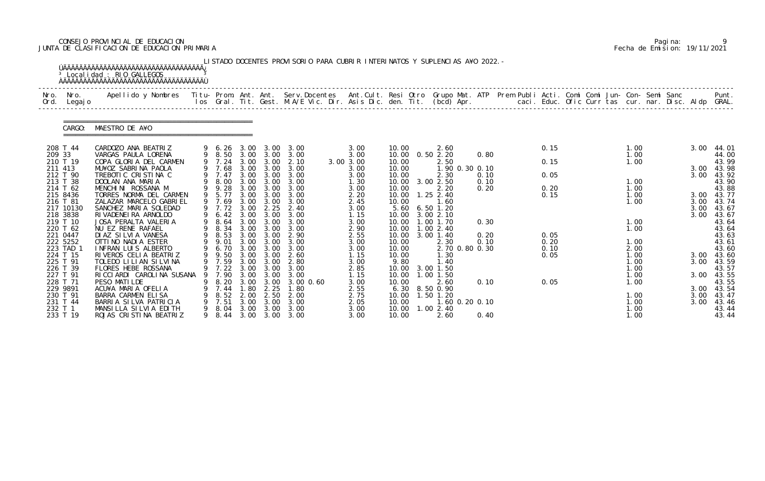# CONSEJO PROVINCIAL DE EDUCACION Pagina: 9 JUNTA DE CLASIFICACION DE EDUCACION PRIMARIA Fecha de Emision: 19/11/2021

| Nro.<br>Ord.          | Nro.<br>Legaj o | Apellido y Nombres Titu- Prom. Ant. Ant. Serv.Docentes Ant.Cult. Resi Otro Grupo Mat. ATP Prem Publi Acti. Comi Comi Jun- Con- Semi Sanc |   |                |              |                   | los Gral. Tit. Gest. M.A/E Vic. Dir. Asis Dic. den. Tit. (bcd) Apr.        caci. Educ. Ofic Curr tas cur. nar. Disc. Aldp GRAL. |                   |                |                             |      |              |  |              |  |              | Punt.               |
|-----------------------|-----------------|------------------------------------------------------------------------------------------------------------------------------------------|---|----------------|--------------|-------------------|---------------------------------------------------------------------------------------------------------------------------------|-------------------|----------------|-----------------------------|------|--------------|--|--------------|--|--------------|---------------------|
|                       | CARGO:          | MAESTRO DE A¥O                                                                                                                           |   |                |              |                   |                                                                                                                                 |                   |                |                             |      |              |  |              |  |              |                     |
| 208 T 44              |                 | CARDOZO ANA BEATRIZ                                                                                                                      |   | 9 6.26         | 3.00         | 3.00              | 3.00                                                                                                                            | 3.00              | 10.00          | 2.60                        |      | 0.15         |  | 1.00         |  | 3.00         | 44.01               |
| 209 33<br>210 T 19    |                 | VARGAS PAULA LORENA<br>COPA GLORIA DEL CARMEN                                                                                            |   | 9 8.50<br>7.24 | 3.00         | 3.00 3.00<br>3.00 | 3.00<br>2.10                                                                                                                    | 3.00              | 10.00          | 10.00  0.50  2.20<br>2.50   | 0.80 | 0.15         |  | 1.00<br>1.00 |  |              | 44.00<br>43.99      |
| 211 413               |                 | MU¥OZ SABRINA PAOLA                                                                                                                      |   | 7.68           | 3.00         | 3.00              | 3.00                                                                                                                            | 3.00 3.00<br>3.00 | 10.00          | 1.90 0.30 0.10              |      |              |  |              |  | 3.00         | 43.98               |
| 212 T 90              |                 | TREBOTIC CRISTINA C                                                                                                                      |   | 9 7.47         |              | 3.00 3.00         | 3.00                                                                                                                            | 3.00              | 10.00          | 2.30                        | 0.10 | 0.05         |  |              |  | 3.00         | 43.92               |
| 213 T 38              |                 | DOOLAN ANA MARIA                                                                                                                         |   | 8.00           | 3.00         | 3.00              | 3.00                                                                                                                            | 1.30              |                | 10.00 3.00 2.50             | 0.10 |              |  | 1.00         |  |              | 43.90               |
| 214 T 62              |                 | MENCHINI ROSSANA M                                                                                                                       |   | 9 9.28         | 3.00         | 3.00              | 3.00                                                                                                                            | 3.00              | 10.00          | 2.20                        | 0.20 | 0.20         |  | 1.00         |  |              | 43.88               |
| 215 8436              |                 | TORRES NORMA DEL CARMEN                                                                                                                  | 9 | 9 5.77         | 3.00         | 3.00              | 3.00                                                                                                                            | 2.20              | 10.00          | $1.25$ 2.40                 |      | 0.15         |  | 1.00         |  |              | 3.00 43.77          |
| 216 T 81<br>217 10130 |                 | ZALAZAR MARCELO GABRIEL<br>SANCHEZ MARIA SOLEDAD                                                                                         |   | 7.69<br>9 7.72 | 3.00<br>3.00 | 3.00<br>2.25      | 3.00<br>2.40                                                                                                                    | 2.45<br>3.00      | 10.00<br>5.60  | 1.60<br>$6.50$ 1.20         |      |              |  | 1.00         |  | 3.00<br>3.00 | 43.74<br>43.67      |
| 218 3838              |                 | RI VADENEI RA ARNOLDO                                                                                                                    |   | 6.42           |              | 3.00 3.00         | 3.00                                                                                                                            | 1.15              | 10.00          | 3.00 2.10                   |      |              |  |              |  | 3.00         | 43.67               |
| 219 T 10              |                 | JOSA PERALTA VALERIA                                                                                                                     |   | 8.64           | 3.00         | 3.00              | 3.00                                                                                                                            | 3.00              | 10.00          | .001.70                     | 0.30 |              |  | 1.00         |  |              | 43.64               |
| 220 T 62              |                 | NU EZ RENE RAFAEL                                                                                                                        |   | 8.34           | 3.00         | 3.00              | 3.00                                                                                                                            | 2.90              |                | 10.00  1.00  2.40           |      |              |  | 1.00         |  |              | 43.64               |
| 221 0447              |                 | DI AZ SI LVI A VANESA                                                                                                                    | 9 | 8.53           | 3.00<br>3.00 | 3.00              | 2.90                                                                                                                            | 2.55              | 10.00          | 3.00 1.40                   | 0.20 | 0.05         |  |              |  |              | 43.63               |
| 222 5252<br>223 TAD 1 |                 | OTTINO NADIA ESTER<br>INFRAN LUIS ALBERTO                                                                                                | 9 | 9.01<br>6.70   | 3.00         | 3.00<br>3.00      | 3.00<br>3.00                                                                                                                    | 3.00<br>3.00      | 10.00<br>10.00 | 2.30<br>2.70 0.80 0.30      | 0.10 | 0.20<br>0.10 |  | 1.00<br>2.00 |  |              | 43.61<br>43.60      |
| 224 T 15              |                 | RIVEROS CELIA BEATRIZ                                                                                                                    | 9 | 9.50           |              | 3.00 3.00         | 2.60                                                                                                                            | 1.15              | 10.00          | 1.30                        |      | 0.05         |  | 1.00         |  | 3.00         | 43.60               |
| 225 T 91              |                 | TOLEDO LILIAN SILVINA                                                                                                                    |   | 9 7.59         | 3.00         | 3.00              | 2.80                                                                                                                            | 3.00              | 9.80           | 1.40                        |      |              |  | 1.00         |  | 3.00         | 43.59               |
| 226 T 39              |                 | FLORES HEBE ROSSANA                                                                                                                      |   | 9 7.22         |              | $3.00 \quad 3.00$ | 3.00                                                                                                                            | 2.85              |                | 10.00 3.00 1.50             |      |              |  | 1.00         |  |              | 43.57               |
| 227 T 91              |                 | RICCIARDI CAROLINA SUSANA                                                                                                                |   | 7.90           | 3.00         | 3.00              | 3.00                                                                                                                            | 1.15              | 10.00          | 1.00 1.50                   |      |              |  | 1.00         |  |              | 3.00 43.55          |
| 228 T 71              |                 | PESO MATILDE                                                                                                                             |   | 8.20           | 3.00         | 3.00              | 3.00 0.60                                                                                                                       | 3.00              | 10.00          | 2.60                        | 0.10 | 0.05         |  | 1.00         |  |              | 43.55               |
| 229 9891<br>230 T 91  |                 | ACU¥A MARIA OFELIA<br>BARRA CARMEN ELISA                                                                                                 |   | 7.44<br>8.52   | . 80<br>2.00 | 2.25<br>2.50      | 1.80<br>2.00                                                                                                                    | 2.55<br>2.75      | 10.00          | 6.30 8.50 0.90<br>1.50 1.20 |      |              |  | 1.00         |  | 3.00         | 3.00 43.54<br>43.47 |
| 231 T 44              |                 | BARRIA SILVA PATRICIA                                                                                                                    |   | 7.51           | 3.00         | 3.00              | 3.00                                                                                                                            | 2.05              | 10.00          | 1.60 0.20 0.10              |      |              |  | 1.00         |  | 3.00         | 43.46               |
| 232 T 1               |                 | MANSILLA SILVIA EDITH                                                                                                                    | 9 | 8. 04          | 3.00         | 3.00              | 3.00                                                                                                                            | 3.00              | 10.00          | 1.002.40                    |      |              |  | 1.00         |  |              | 43.44               |
| 233 T 19              |                 | ROJAS CRISTINA BEATRIZ                                                                                                                   |   | 9 8.44         |              |                   | 3.00 3.00 3.00                                                                                                                  | 3.00              | 10.00          | 2.60                        | 0.40 |              |  | 1.00         |  |              | 43.44               |

|  | Pagi na: |                              |
|--|----------|------------------------------|
|  |          | Fecha de Emision: 19/11/2021 |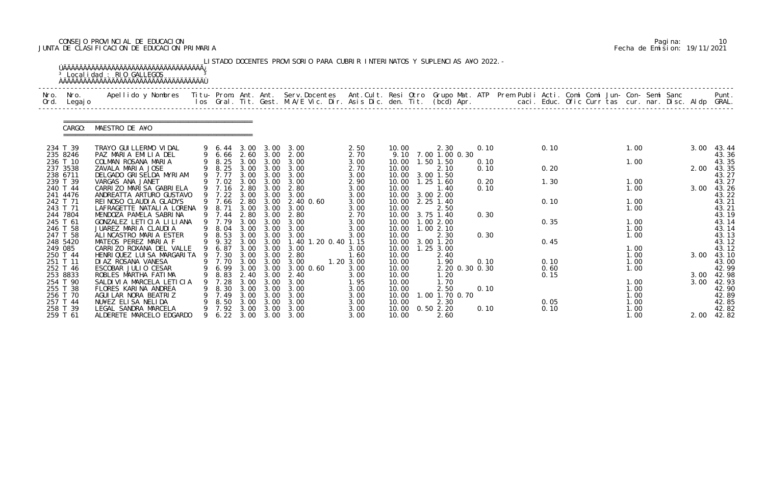# CONSEJO PROVINCIAL DE EDUCACION Pagina: 10 JUNTA DE CLASIFICACION DE EDUCACION PRIMARIA Fecha de Emision: 19/11/2021

| Nro.<br>Ord. | Nro.<br>Legaj o      | Apellido y Nombres - Titu- Prom. Ant. Ant. Serv.Docentes - Ant.Cult. Resi Otro Grupo Mat. ATP - Prem Publi Acti. Comi Comi Jun- Con- Semi Sanc |   |                       |              |              | los Gral. Tit. Gest. M.A/E Vic. Dir. Asis Dic. den. Tit. (bcd) Apr.        caci. Educ. Ofic Curr tas cur. nar. Disc. Aldp GRAL. |                |                |                               |      |              |  |              |      | Punt.          |
|--------------|----------------------|------------------------------------------------------------------------------------------------------------------------------------------------|---|-----------------------|--------------|--------------|---------------------------------------------------------------------------------------------------------------------------------|----------------|----------------|-------------------------------|------|--------------|--|--------------|------|----------------|
|              |                      |                                                                                                                                                |   |                       |              |              |                                                                                                                                 |                |                |                               |      |              |  |              |      |                |
|              | CARGO:               | MAESTRO DE A¥O                                                                                                                                 |   |                       |              |              |                                                                                                                                 |                |                |                               |      |              |  |              |      |                |
|              | 234 T 39             | TRAYO GUI LLERMO VI DAL<br>PAZ MARIA EMILIA DEL                                                                                                |   | 9 6.66                |              | 2.60 3.00    | 9 6.44 3.00 3.00 3.00<br>2.00                                                                                                   | 2.50           | 10.00          | 2.30<br>9.10 7.00 1.00 0.30   | 0.10 | 0.10         |  | 1.00         | 3.00 | 43.44          |
|              | 235 8246<br>236 T 10 | COLMAN ROSANA MARIA                                                                                                                            |   |                       |              |              | 9 8.25 3.00 3.00 3.00                                                                                                           | 2.70<br>3.00   | 10.00          | 1.50 1.50                     | 0.10 |              |  | 1.00         |      | 43.36<br>43.35 |
|              | 237 3538<br>238 6711 | ZAVALA MARIA JOSE<br>DELGADO GRISELDA MYRIAM                                                                                                   |   | 9 7.77                | 3.00         | 3.00         | 9 8.25 3.00 3.00 3.00<br>3.00                                                                                                   | 2.70<br>3.00   | 10.00<br>10.00 | 2.10<br>3.00 1.50             | 0.10 | 0.20         |  |              | 2.00 | 43.35<br>43.27 |
|              | 239 T 39             | VARGAS ANA JANET<br>CARRIZO MARISA GABRIELA                                                                                                    |   | 9 7.02<br>9 7.16 2.80 | 3.00         | 3.00<br>3.00 | 3.00<br>2.80                                                                                                                    | 2.90           | 10.00          | $1.25$ 1.60                   | 0.20 | 1.30         |  | 1.00         |      | 43.27          |
|              | 240 T 44<br>241 4476 | ANDREATTA ARTURO GUSTAVO                                                                                                                       |   | 9 7.22                | 3.00         | 3.00         | 3.00                                                                                                                            | 3.00<br>3.00   | 10.00<br>10.00 | 1.40<br>3.00 2.00             | 0.10 |              |  | 1.00         | 3.00 | 43.26<br>43.22 |
|              | 242 T 71<br>243 T 71 | REINOSO CLAUDIA GLADYS<br>LAFRAGETTE NATALIA LORENA 9 8.71                                                                                     |   | 9 7.66                |              | 3.00 3.00    | 2.80 3.00 2.40 0.60<br>3.00                                                                                                     | 3.00<br>3.00   | 10.00<br>10.00 | 2.25 1.40<br>2.50             |      | 0.10         |  | 1.00<br>1.00 |      | 43.21<br>43.21 |
|              | 244 7804             | MENDOZA PAMELA SABRINA                                                                                                                         |   | 9 7.44                | 2.80         | 3.00         | 2.80                                                                                                                            | 2.70           | 10.00          | 3.75 1.40                     | 0.30 |              |  |              |      | 43.19          |
|              | 245 T 61<br>246 T 58 | GONZALEZ LETICIA LILIANA<br>JUAREZ MARIA CLAUDIA                                                                                               |   | 9 7.79<br>9 8.04      | 3.00<br>3.00 | 3.00<br>3.00 | 3.00<br>3.00                                                                                                                    | 3.00<br>3.00   | 10.00          | 10.00  1.00  2.00<br>1.002.10 |      | 0.35         |  | 1.00<br>1.00 |      | 43.14<br>43.14 |
|              | 247 T 58             | ALINCASTRO MARIA ESTER                                                                                                                         |   | 9 8.53                | 3.00         | 3.00         | 3.00                                                                                                                            | 3.00           | 10.00          | 2.30                          | 0.30 |              |  | 1.00         |      | 43.13          |
| 249 085      | 248 5420             | MATEOS PEREZ MARIA F<br>CARRIZO ROXANA DEL VALLE                                                                                               |   | 9 9.32<br>9 6.87      |              | 3.00 3.00    | 3.00 3.00 1.40 1.20 0.40 1.15<br>3.00                                                                                           | 3.00           | 10.00<br>10.00 | 3.00 1.20<br>$1.25$ $3.00$    |      | 0.45         |  | 1.00         |      | 43.12<br>43.12 |
|              | 250 T 44             | HENRIQUEZ LUISA MARGARITA 9 7.30                                                                                                               |   |                       |              | 3.00 3.00    | 2.80                                                                                                                            | 1.60           | 10.00          | 2.40                          |      |              |  | 1.00         | 3.00 | 43.10          |
|              | 251 T 11             | DIAZ ROSANA VANESA                                                                                                                             |   |                       |              |              | 9 7.70 3.00 3.00 3.00                                                                                                           | $1.20 \, 3.00$ | 10.00          | 1.90                          | 0.10 | 0.10         |  | 1.00         |      | 43.00          |
|              | 252 T 46<br>253 8833 | ESCOBAR JULIO CESAR<br>ROBLES MARTHA FATIMA                                                                                                    |   | 8.83                  | 2.40         | 3.00         | 9 6.99 3.00 3.00 3.00 0.60<br>-2.40                                                                                             | 3.00<br>3.00   | 10.00<br>10.00 | 2.20 0.30 0.30<br>1. 20       |      | 0.60<br>0.15 |  | 1.00         | 3.00 | 42.99<br>42.98 |
|              | 254 T 90             | SALDIVIA MARCELA LETICIA                                                                                                                       |   | 7.28                  | 3.00         | 3.00         | 3.00                                                                                                                            | 1.95           | 10.00          | 1.70                          |      |              |  | 1.00         | 3.00 | 42.93          |
|              | 255 T 38             | FLORES KARINA ANDREA                                                                                                                           |   | 8.30                  | 3.00         | 3.00<br>3.00 | 3.00                                                                                                                            | 3.00           | 10.00          | 2.50                          | 0.10 |              |  | 1.00         |      | 42.90          |
|              | 256 T 70<br>257 T 44 | AGUI LAR NORA BEATRIZ<br>NU¥EZ ELISA NELIDA                                                                                                    |   | 7.49<br>8.50          | 3.00<br>3.00 | 3.00         | 3.00<br>3.00                                                                                                                    | 3.00<br>3.00   | 10.00<br>10.00 | $.00$ 1.70 0.70<br>2.30       |      | 0.05         |  | 1.00<br>1.00 |      | 42.89<br>42.85 |
|              | 258 T 39             | LEGAL SANDRA MARCELA                                                                                                                           |   | 7.92                  | 3.00         | 3.00         | 3.00                                                                                                                            | 3.00           | 10.00          | 0.502.20                      | 0.10 | 0.10         |  | 1.00         |      | 42.82          |
|              | 259 T 61             | ALDERETE MARCELO EDGARDO                                                                                                                       | 9 | 6.22                  | 3.00         | 3.00         | 3.00                                                                                                                            | 3.00           | 10.00          | 2.60                          |      |              |  | 1.00         |      | 2.00 42.82     |

|  | Pagi na: | 10                           |
|--|----------|------------------------------|
|  |          | Fecha de Emision: 19/11/2021 |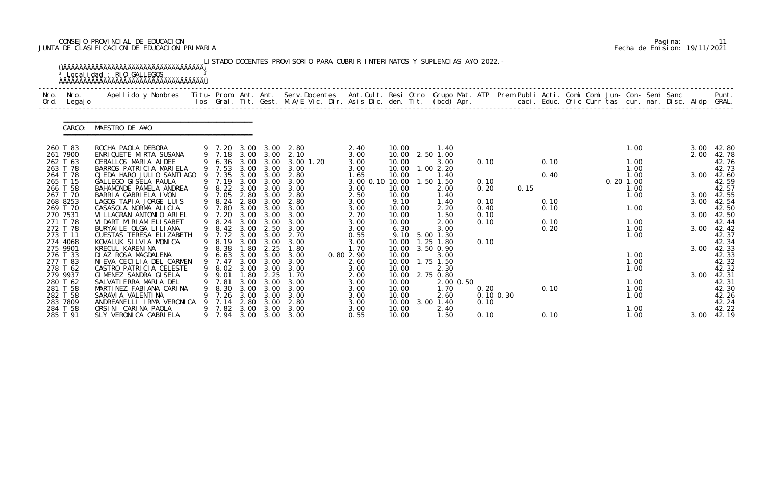# CONSEJO PROVINCIAL DE EDUCACION Pagina: 11 JUNTA DE CLASIFICACION DE EDUCACION PRIMARIA Fecha de Emision: 19/11/2021

|              |                      | <sup>3</sup> Localidad : RIO GALLEGOS                                                                                                    |             |                  |              |                   | LISTADO DOCENTES PROVISORIO PARA CUBRIR INTERINATOS Y SUPLENCIAS A¥O 2022. -                                             |                         |                |                   |      |               |      |             |              |  |      |                |
|--------------|----------------------|------------------------------------------------------------------------------------------------------------------------------------------|-------------|------------------|--------------|-------------------|--------------------------------------------------------------------------------------------------------------------------|-------------------------|----------------|-------------------|------|---------------|------|-------------|--------------|--|------|----------------|
| Nro.<br>Ord. | Nro.<br>Legaj o      | Apellido y Nombres Titu- Prom. Ant. Ant. Serv.Docentes Ant.Cult. Resi Otro Grupo Mat. ATP Prem Publi Acti. Comi Comi Jun- Con- Semi Sanc |             |                  |              |                   | los Gral. Tit. Gest. M.A/E Vic. Dir. Asis Dic. den. Tit. (bcd) Apr. caci. Educ. Ofic Curr tas cur. nar. Disc. Aldp GRAL. |                         |                |                   |      |               |      |             |              |  |      | Punt.          |
|              | CARGO:               | MAESTRO DE A¥O                                                                                                                           |             |                  |              |                   |                                                                                                                          |                         |                |                   |      |               |      |             |              |  |      |                |
|              | 260 T 83             | ROCHA PAOLA DEBORA                                                                                                                       |             | 9 7.20           | 3.00         | 3.00              | 2.80                                                                                                                     | 2.40                    | 10.00          | 1.40              |      |               |      |             | 1.00         |  | 3.00 | 42.80          |
|              | 261 7900             | ENRIQUETE MIRTA SUSANA                                                                                                                   |             | 9 7.18           |              | 3.00 3.00         | 2.10                                                                                                                     | 3.00                    | 10.00          | 2.50 1.00         |      |               |      |             |              |  | 2.00 | 42.78          |
|              | 262 T 63             | CEBALLOS MARIA AIDEE                                                                                                                     |             | 6.36             | 3.00         | 3.00              | $3.00$ 1.20                                                                                                              | 3.00                    | 10.00          | 3.00              | 0.10 |               | 0.10 |             | 1.00         |  |      | 42.76          |
|              | 263 T 78             | BARROS PATRICIA MARIELA                                                                                                                  |             | 9 7.53           | 3.00         | 3.00              | 3.00                                                                                                                     | 3.00                    | 10.00          | 1.002.20          |      |               |      |             | 1.00         |  |      | 42.73          |
|              | 264 T 78<br>265 T 15 | OJEDA HARO JULIO SANTIAGO<br>GALLEGO GI SELA PAULA                                                                                       |             | 9 7.35<br>9 7.19 | 3.00<br>3.00 | 3.00<br>3.00      | 2.80<br>3.00                                                                                                             | 1.65<br>3.00 0.10 10.00 | 10.00          | 1.40<br>1.50 1.50 | 0.10 |               | 0.40 | $0.20$ 1.00 | 1.00         |  | 3.00 | 42.60<br>42.59 |
|              | 266 T 58             | BAHAMONDE PAMELA ANDREA                                                                                                                  |             | 9 8.22           | 3.00         | 3.00              | 3.00                                                                                                                     | 3.00                    | 10.00          | 2.00              | 0.20 | 0.15          |      |             | 1.00         |  |      | 42.57          |
|              | 267 T 70             | BARRIA GABRIELA IVON                                                                                                                     |             | 9 7.05           | 2.80         | 3.00              | 2.80                                                                                                                     | 2.50                    | 10.00          | 1.40              |      |               |      |             | 1.00         |  | 3.00 | 42.55          |
|              | 268 8253             | LAGOS TAPIA JORGE LUIS                                                                                                                   |             | 8.24             | 2.80         | 3.00              | 2.80                                                                                                                     | 3.00                    | 9.10           | 1.40              | 0.10 |               | 0.10 |             |              |  | 3.00 | 42.54          |
|              | 269 T 70             | CASASOLA NORMA ALICIA                                                                                                                    |             | 7.80             | 3.00         | 3.00              | 3.00                                                                                                                     | 3.00                    | 10.00          | 2.20              | 0.40 |               | 0.10 |             | 1.00         |  |      | 42.50          |
|              | 270 7531             | VILLAGRAN ANTONIO ARIEL                                                                                                                  |             | 9 7.20           | 3.00         | 3.00              | 3.00                                                                                                                     | 2.70                    | 10.00          | 1.50              | 0.10 |               |      |             |              |  | 3.00 | 42.50          |
|              | 271 T 78             | VIDART MIRIAM ELISABET                                                                                                                   |             | 8.24             | 3.00         | 3.00              | 3.00                                                                                                                     | 3.00                    | 10.00          | 2.00              | 0.10 |               | 0.10 |             | 1.00         |  |      | 42.44          |
|              | 272 T 78             | BURYAILE OLGA LILIANA                                                                                                                    |             | 9 8.42           | 3.00         | 2.50              | 3.00                                                                                                                     | 3.00                    | 6.30           | 3.00              |      |               | 0.20 |             | 1.00         |  | 3.00 | 42.42          |
|              | 273 T 11             | CUESTAS TERESA ELIZABETH                                                                                                                 |             | 9 7.72           | 3.00         | 3.00              | 2.70                                                                                                                     | 0.55                    | 9.10           | 5.00 1.30         |      |               |      |             | 1.00         |  |      | 42.37          |
|              | 274 4068             | KOVALUK SILVIA MONICA                                                                                                                    |             | 8.19             | 3.00         | 3.00              | 3.00                                                                                                                     | 3.00                    | 10.00          | . 25<br>1.80      | 0.10 |               |      |             |              |  |      | 42.34          |
|              | 275 9901             | KRECUL KARENINA                                                                                                                          |             | 8.38             | . 80         | 2.25              | 1.80                                                                                                                     | 1.70                    | 10.00          | 3.50 0.90         |      |               |      |             |              |  | 3.00 | 42.33          |
|              | 276 T 33<br>277 T 83 | DI AZ ROSA MAGDALENA<br>NIEVA CECILIA DEL CARMEN                                                                                         | 9<br>9      | 6.63<br>7.47     | 3.00         | 3.00 3.00<br>3.00 | 3.00<br>3.00                                                                                                             | 0.80 2.90<br>2.60       | 10.00<br>10.00 | 3.00<br>1.75 1.50 |      |               |      |             | 1.00<br>1.00 |  |      | 42.33<br>42.32 |
|              | 278 T 62             | CASTRO PATRICIA CELESTE                                                                                                                  |             | 9 8.02           |              | 3.00 3.00         | 3.00                                                                                                                     | 3.00                    | 10.00          | 2.30              |      |               |      |             | 1.00         |  |      | 42.32          |
|              | 279 9937             | GIMENEZ SANDRA GISELA                                                                                                                    | $\mathsf Q$ | 9.01             | . 80         | 2.25              | 1.70                                                                                                                     | 2.00                    | 10.00          | 2.75 0.80         |      |               |      |             |              |  | 3.00 | 42.31          |
|              | 280 T 62             | SALVATI ERRA MARIA DEL                                                                                                                   |             | 7.81             | 3.00         | 3.00              | 3.00                                                                                                                     | 3.00                    | 10.00          | 2.00 0.50         |      |               |      |             | 1.00         |  |      | 42.31          |
|              | 281 T 58             | MARTINEZ FABIANA CARINA                                                                                                                  |             | 8.30             | 3.00         | 3.00              | 3.00                                                                                                                     | 3.00                    | 10.00          | 1.70              | 0.20 |               | 0.10 |             | 1.00         |  |      | 42.30          |
|              | 282 T 58             | SARAVI A VALENTI NA                                                                                                                      |             | 7.26             | 3.00         | 3.00              | 3.00                                                                                                                     | 3.00                    | 10.00          | 2.60              |      | $0.10$ $0.30$ |      |             | 1.00         |  |      | 42.26          |
|              | 283 7809             | ANDREANELLI IRMA VERONICA                                                                                                                |             | 7.14             | 2.80         | 3.00              | 2.80                                                                                                                     | 3.00                    | 10.00          | $3.00$ 1.40       | 0.10 |               |      |             |              |  |      | 42.24          |
|              | 284 T 58             | ORSINI CARINA PAOLA                                                                                                                      |             | 7.82             | 3.00         | 3.00              | 3.00                                                                                                                     | 3.00                    | 10.00          | 2.40              |      |               |      |             | 1.00         |  |      | 42.22          |
|              | 285 T 91             | SLY VERONICA GABRIELA                                                                                                                    |             | 9 7.94           |              |                   | 3.00 3.00 3.00                                                                                                           | 0.55                    | 10.00          | 1.50              | 0.10 |               | 0.10 |             | 1.00         |  | 3.00 | 42.19          |

|  | Pagi na: |                              |
|--|----------|------------------------------|
|  |          | Fecha de Emision: 19/11/2021 |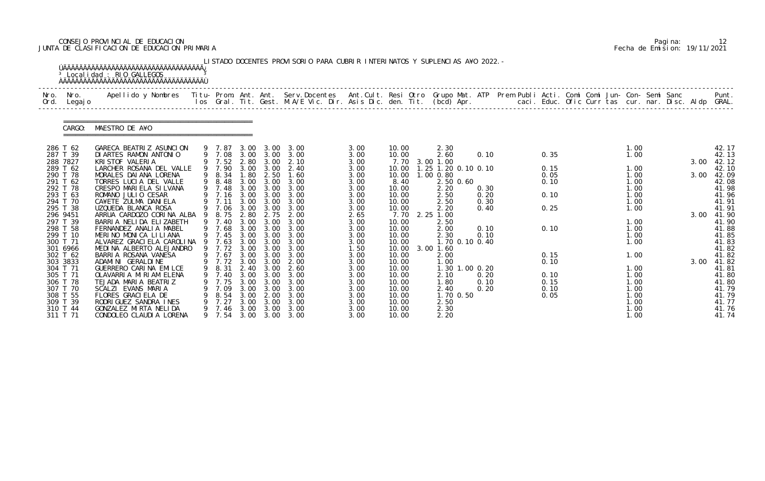# CONSEJO PROVINCIAL DE EDUCACION Pagina: 12 JUNTA DE CLASIFICACION DE EDUCACION PRIMARIA Fecha de Emision: 19/11/2021

| Nro.<br>Ord.         | Nro.<br>Legaj o | Apellido y Nombres  Titu- Prom. Ant. Ant. Serv.Docentes  Ant.Cult. Resi Otro Grupo Mat. ATP Prem Publi Acti. Comi Comi Jun- Con- Semi Sanc         Punt.<br>Ios Gral. Tit. Gest. M.A/E Vic. Dir. Asis Dic. den. Tit. (bcd) Apr. |   |                  |              |                   |                        |              |                |                     |              |  |              |  |              |      |      |                |
|----------------------|-----------------|---------------------------------------------------------------------------------------------------------------------------------------------------------------------------------------------------------------------------------|---|------------------|--------------|-------------------|------------------------|--------------|----------------|---------------------|--------------|--|--------------|--|--------------|------|------|----------------|
|                      | CARGO:          | MAESTRO DE A¥O                                                                                                                                                                                                                  |   |                  |              |                   |                        |              |                |                     |              |  |              |  |              |      |      |                |
| 286 T 62             |                 | GARECA BEATRIZ ASUNCION                                                                                                                                                                                                         |   | 9 7.87           | 3.00         | 3.00              | 3.00                   | 3.00         | 10.00          | 2.30                |              |  |              |  | 1.00         |      |      | 42.17          |
| 287 T 39<br>288 7827 |                 | DI ARTES RAMON ANTONIO<br>KRI STOF VALERIA                                                                                                                                                                                      |   | 9 7.08<br>9 7.52 | 2.80         | 3.00 3.00<br>3.00 | 3.00<br>2.10           | 3.00<br>3.00 | 10.00<br>7.70  | 2.60<br>3.00 1.00   | 0.10         |  | 0.35         |  | 1.00         |      | 3.00 | 42.13<br>42.12 |
| 289 T 62             |                 | LARCHER ROSANA DEL VALLE                                                                                                                                                                                                        |   | 9 7.90           | 3.00         | 3.00              | 2.40                   | 3.00         | 10.00          | 1.25 1.20 0.10 0.10 |              |  | 0.15         |  | 1.00         |      |      | 42.10          |
| 290 T 78             |                 | MORALES DAI ANA LORENA                                                                                                                                                                                                          | 9 | 8.34             | 1.80         | 2.50              | 1.60                   | 3.00         | 10.00          | 1.00 0.80           |              |  | 0.05         |  | 1.00         |      | 3.00 | 42.09          |
| 291 T 62<br>292 T 78 |                 | TORRES LUCIA DEL VALLE<br>CRESPO MARIELA SILVANA                                                                                                                                                                                |   | 9 8.48<br>9 7.48 | 3.00<br>3.00 | 3.00<br>3.00      | 3.00<br>3.00           | 3.00<br>3.00 | 8.40<br>10.00  | 2.50 0.60<br>2.20   | 0.30         |  | 0.10         |  | 1.00<br>1.00 |      |      | 42.08<br>41.98 |
| 293 T 63             |                 | ROMANO JULIO CESAR                                                                                                                                                                                                              |   | 9 7.16           |              | 3.00 3.00         | 3.00                   | 3.00         | 10.00          | 2.50                | 0.20         |  | 0.10         |  | 1.00         |      |      | 41.96          |
| 294 T 70             |                 | CA¥ETE ZULMA DANIELA                                                                                                                                                                                                            |   | 7.11             | 3.00         | 3.00              | 3.00                   | 3.00         | 10.00          | 2.50                | 0.30         |  |              |  | 1.00         |      |      | 41.91          |
| 295 T 38             |                 | UZQUEDA BLANCA ROSA                                                                                                                                                                                                             |   | 9 7.06           | 3.00         | 3.00              | 3.00                   | 3.00         | 10.00          | 2.20                | 0.40         |  | 0.25         |  | 1.00         |      |      | 41.91          |
| 296 9451<br>297 T 39 |                 | ARRUA CARDOZO CORINA ALBA<br>BARRIA NELIDA ELIZABETH                                                                                                                                                                            | 9 | 8.75<br>9 7.40   | 2.80<br>3.00 | 2.75<br>3.00      | 2.00<br>3.00           | 2.65<br>3.00 | 7.70<br>10.00  | 2.25 1.00<br>2.50   |              |  |              |  | 1.00         |      | 3.00 | 41.90<br>41.90 |
| 298 T 58             |                 | FERNANDEZ ANALIA MABEL                                                                                                                                                                                                          |   | 9 7.68           | 3.00         | 3.00              | 3.00                   | 3.00         | 10.00          | 2.00                | 0.10         |  | 0.10         |  | 1.00         |      |      | 41.88          |
| 299 T 10             |                 | MERINO MONICA LILIANA                                                                                                                                                                                                           |   | 9 7.45           | 3.00         | 3.00              | 3.00                   | 3.00         | 10.00          | 2.30                | 0.10         |  |              |  | 1.00         |      |      | 41.85          |
| 300 T 71             |                 | ALVAREZ GRACI ELA CAROLINA                                                                                                                                                                                                      |   | 7.63             | 3.00         | 3.00              | 3.00                   | 3.00         | 10.00          | 1.70 0.10 0.40      |              |  |              |  | 1.00         |      |      | 41.83          |
| 301 6966<br>302 T 62 |                 | MEDINA ALBERTO ALEJANDRO<br>BARRIA ROSANA VANESA                                                                                                                                                                                |   | 9 7.72<br>9 7.67 | 3.00         | 3.00<br>3.00 3.00 | 3.00<br>3.00           | 1.50<br>3.00 | 10.00<br>10.00 | $3.00$ 1.60<br>2.00 |              |  | 0.15         |  | 1.00         |      |      | 41.82<br>41.82 |
| 303 3833             |                 | ADAMI NI GERALDI NE                                                                                                                                                                                                             |   | 9 7.72           | 3.00         | 3.00              | 2.00                   | 3.00         | 10.00          | 1.00                |              |  | 0.10         |  |              |      | 3.00 | 41.82          |
| 304 T 71             |                 | GUERRERO CARINA EMILCE                                                                                                                                                                                                          |   | 9 8.31           |              | 2.40 3.00         | 2.60                   | 3.00         | 10.00          | 1.30 1.00 0.20      |              |  |              |  | 1.00         |      |      | 41.81          |
| 305 T 71             |                 | OLAVARRIA MIRIAM ELENA                                                                                                                                                                                                          |   | 7.40             | 3.00         | 3.00              | 3.00                   | 3.00         | 10.00          | 2.10                | 0.20         |  | 0.10         |  | 1.00         |      |      | 41.80          |
| 306 T 78<br>307 T 70 |                 | TEJADA MARIA BEATRIZ<br>SCALZI EVANS MARIA                                                                                                                                                                                      |   | 7.75<br>7.09     | 3.00<br>3.00 | 3.00<br>3.00      | 3.00<br>3.00           | 3.00<br>3.00 | 10.00<br>10.00 | 1.80<br>2.40        | 0.10<br>0.20 |  | 0.15<br>0.10 |  | 1.00<br>1.00 |      |      | 41.80<br>41.79 |
| 308 T 55             |                 | FLORES GRACIELA DE                                                                                                                                                                                                              |   | 8.54             | 3.00         | 2.00              | 3.00                   | 3.00         | 10.00          | 1.70 0.50           |              |  | 0.05         |  | 1.00         |      |      | 41.79          |
| 309 T 39             |                 | RODRIGUEZ SANDRA INES                                                                                                                                                                                                           |   | 7.27             | 3.00         | 3.00              | 3.00                   | 3.00         | 10.00          | 2.50                |              |  |              |  | 1.00         |      |      | 41.77          |
| 310 T 44             | 311 T 71        | GONZALEZ MIRTA NELIDA<br>CONDOLEO CLAUDIA LORENA                                                                                                                                                                                |   | 7.46<br>9 7.54   | 3.00         | 3.00              | 3.00<br>3.00 3.00 3.00 | 3.00<br>3.00 | 10.00<br>10.00 | 2.30<br>2.20        |              |  |              |  | 1.00         | 1.00 |      | 41.76<br>41.74 |

|  | Pagi na: |                              |
|--|----------|------------------------------|
|  |          | Fecha de Emision: 19/11/2021 |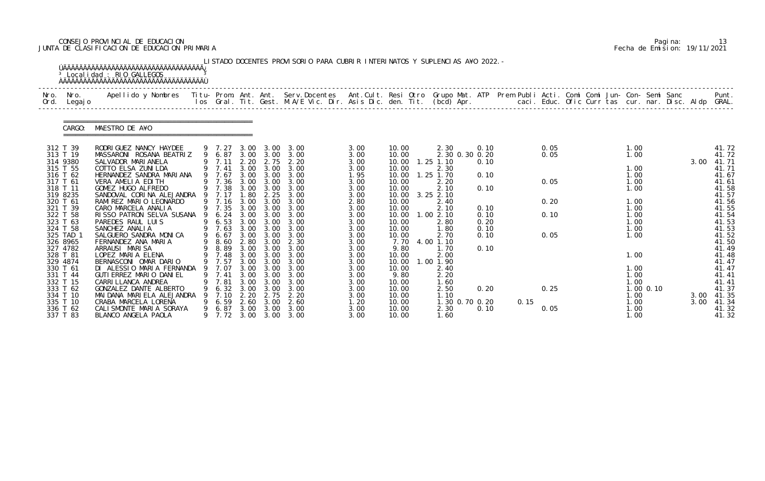# CONSEJO PROVINCIAL DE EDUCACION Pagina: 13 JUNTA DE CLASIFICACION DE EDUCACION PRIMARIA Fecha de Emision: 19/11/2021

|              |                      | <sup>3</sup> Localidad : RIO GALLEGOS                                                                                                    |   |                  |              |                   | LISTADO DOCENTES PROVISORIO PARA CUBRIR INTERINATOS Y SUPLENCIAS A¥O 2022. -                                             |              |                |                        |      |      |      |  |              |             |      |                |
|--------------|----------------------|------------------------------------------------------------------------------------------------------------------------------------------|---|------------------|--------------|-------------------|--------------------------------------------------------------------------------------------------------------------------|--------------|----------------|------------------------|------|------|------|--|--------------|-------------|------|----------------|
| Nro.<br>Ord. | Nro.<br>Legaj o      | Apellido y Nombres Titu- Prom. Ant. Ant. Serv.Docentes Ant.Cult. Resi Otro Grupo Mat. ATP Prem Publi Acti. Comi Comi Jun- Con- Semi Sanc |   |                  |              |                   | los Gral. Tit. Gest. M.A/E Vic. Dir. Asis Dic. den. Tit. (bcd) Apr. caci. Educ. Ofic Curr tas cur. nar. Disc. Aldp GRAL. |              |                |                        |      |      |      |  |              |             |      | Punt.          |
|              | CARGO:               | MAESTRO DE A¥O                                                                                                                           |   |                  |              |                   |                                                                                                                          |              |                |                        |      |      |      |  |              |             |      |                |
|              | 312 T 39             | RODRI GUEZ NANCY HAYDEE                                                                                                                  |   | 9 7.27           | 3.00         | 3.00              | 3.00                                                                                                                     | 3.00         | 10.00          | 2.30                   | 0.10 |      | 0.05 |  | 1.00         |             |      | 41.72          |
|              | 313 T 19             | MASSARONI ROSANA BEATRIZ                                                                                                                 |   | 9 6.87           |              | 3.00 3.00         | 3.00                                                                                                                     | 3.00         | 10.00          | 2.30 0.30 0.20         |      |      | 0.05 |  | 1.00         |             |      | 41.72          |
|              | 314 9380<br>315 T 55 | SALVADOR MARI ANELA<br>COTTO ELSA ZUNI LDA                                                                                               |   | 9 7.11<br>9 7.41 | 2.20<br>3.00 | 2.75<br>3.00      | 2.20<br>3.00                                                                                                             | 3.00<br>3.00 | 10.00<br>10.00 | $1.25$ $1.10$<br>2.30  | 0.10 |      |      |  | 1.00         |             | 3.00 | 41.71<br>41.71 |
|              | 316 T 62             | HERNANDEZ SANDRA MARIANA                                                                                                                 |   | 9 7.67           |              | $3.00 \quad 3.00$ | 3.00                                                                                                                     | 1.95         | 10.00          | $1.25$ $1.70$          | 0.10 |      |      |  | 1.00         |             |      | 41.67          |
|              | 317 T 61             | VERA AMELIA EDITH                                                                                                                        |   | 7.36             | 3.00         | 3.00              | 3.00                                                                                                                     | 3.00         | 10.00          | 2.20                   |      |      | 0.05 |  | 1.00         |             |      | 41.61          |
|              | 318 T 11             | GOMEZ HUGO ALFREDO                                                                                                                       |   | 9 7.38           | 3.00         | 3.00              | 3.00                                                                                                                     | 3.00         | 10.00          | 2.10                   | 0.10 |      |      |  | 1.00         |             |      | 41.58          |
|              | 319 8235             | SANDOVAL CORINA ALEJANDRA 9 7.17                                                                                                         |   |                  | 1.80         | 2.25              | 3.00                                                                                                                     | 3.00         | 10.00          | 3.25 2.10              |      |      |      |  |              |             |      | 41.57          |
|              | 320 T 61<br>321 T 39 | RAMIREZ MARIO LEONARDO<br>CARO MARCELA ANALIA                                                                                            |   | 7.16<br>9 7.35   | 3.00<br>3.00 | 3.00<br>3.00      | 3.00<br>3.00                                                                                                             | 2.80<br>3.00 | 10.00<br>10.00 | 2.40<br>2.10           | 0.10 |      | 0.20 |  | 1.00<br>1.00 |             |      | 41.56<br>41.55 |
|              | 322 T 58             | RISSO PATRON SELVA SUSANA                                                                                                                |   | 6.24             |              | 3.00 3.00         | 3.00                                                                                                                     | 3.00         | 10.00          | 1.002.10               | 0.10 |      | 0.10 |  | 1.00         |             |      | 41.54          |
|              | 323 T 63             | PAREDES RAUL LUIS                                                                                                                        |   | 6.53             | 3.00         | 3.00              | 3.00                                                                                                                     | 3.00         | 10.00          | 2.80                   | 0.20 |      |      |  | 1.00         |             |      | 41.53          |
|              | 324 T 58             | SANCHEZ ANALIA                                                                                                                           |   | 7.63             | 3.00         | 3.00              | 3.00                                                                                                                     | 3.00         | 10.00          | 1.80                   | 0.10 |      |      |  | 1.00         |             |      | 41.53          |
|              | 325 TAD 1            | SALGUERO SANDRA MONICA                                                                                                                   | 9 | 6.67             |              | $3.00\quad 3.00$  | 3.00                                                                                                                     | 3.00         | 10.00          | 2.70                   | 0.10 |      | 0.05 |  | 1.00         |             |      | 41.52          |
|              | 326 8965<br>327 4782 | FERNANDEZ ANA MARIA                                                                                                                      |   | 8.60             | 2.80         | 3.00              | 2.30                                                                                                                     | 3.00         | 7.70           | 4.00 1.10              |      |      |      |  |              |             |      | 41.50          |
|              | 328 T 81             | ARRAUSI MARISA<br>LOPEZ MARIA ELENA                                                                                                      |   | 8.89<br>9 7.48   | 3.00         | 3.00<br>3.00 3.00 | 3.00<br>3.00                                                                                                             | 3.00<br>3.00 | 9.80<br>10.00  | 1.70<br>2.00           | 0.10 |      |      |  | 1.00         |             |      | 41.49<br>41.48 |
|              | 329 4874             | BERNASCONI OMAR DARIO                                                                                                                    |   | 9 7.57           | 3.00         | 3.00              | 3.00                                                                                                                     | 3.00         | 10.00          | 1.00 1.90              |      |      |      |  |              |             |      | 41.47          |
|              | 330 T 61             | DI ALESSIO MARIA FERNANDA                                                                                                                |   | 9 7.07           |              | $3.00\quad 3.00$  | 3.00                                                                                                                     | 3.00         | 10.00          | 2.40                   |      |      |      |  | 1.00         |             |      | 41.47          |
|              | 331 T 44             | GUTI ERREZ MARIO DANI EL                                                                                                                 |   | 7.41             | 3.00         | 3.00              | 3.00                                                                                                                     | 3.00         | 9.80           | 2.20                   |      |      |      |  | 1.00         |             |      | 41.41          |
|              | 332 T 15             | CARRI LLANCA ANDREA                                                                                                                      |   | 7.81             | 3.00         | 3.00              | 3.00                                                                                                                     | 3.00         | 10.00          | 1.60                   |      |      |      |  | 1.00         |             |      | 41.41          |
|              | 333 T 62             | GONZALEZ DANTE ALBERTO                                                                                                                   |   | 6.32             | 3.00         | 3.00              | 3.00                                                                                                                     | 3.00         | 10.00          | 2.50                   | 0.20 |      | 0.25 |  |              | $1.00$ 0.10 |      | 41.37          |
|              | 334 T 10             | MAI DANA MARI ELA ALEJANDRA                                                                                                              |   | 7.10             | 2.20         | 2.75              | 2.20                                                                                                                     | 3.00         | 10.00          | 1.10                   |      |      |      |  | 1.00         |             | 3.00 | 41.35          |
|              | 335 T 10<br>336 T 62 | CRABA MARCELA LORENA<br>CALI SMONTE MARIA SORAYA                                                                                         | 9 | 6. 59<br>6.87    | 2.60<br>3.00 | 3.00<br>3.00      | 2.60<br>3.00                                                                                                             | 1.20<br>3.00 | 10.00<br>10.00 | 1.30 0.70 0.20<br>2.30 | 0.10 | 0.15 | 0.05 |  | 1.00<br>1.00 |             | 3.00 | 41.34<br>41.32 |
|              | 337 T 83             | BLANCO ANGELA PAOLA                                                                                                                      |   |                  |              |                   | 9 7.72 3.00 3.00 3.00                                                                                                    | 3.00         | 10.00          | 1.60                   |      |      |      |  | 1.00         |             |      | 41.32          |

|  | Pagi na: | 13                           |
|--|----------|------------------------------|
|  |          | Fecha de Emision: 19/11/2021 |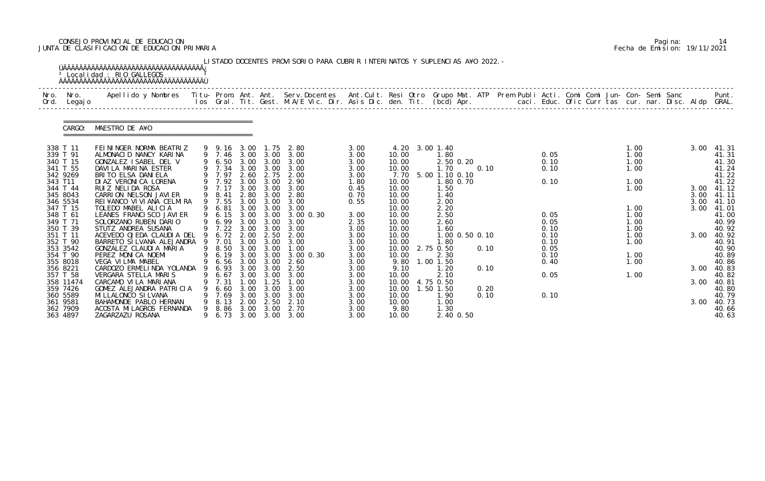# CONSEJO PROVINCIAL DE EDUCACION Pagina: 14 JUNTA DE CLASIFICACION DE EDUCACION PRIMARIA Fecha de Emision: 19/11/2021

| Nro.<br>Ord. | Nro.<br>Legaj o                               | Apellido y Nombres - Titu- Prom. Ant. Ant. Serv.Docentes - Ant.Cult. Resi Otro Grupo Mat. ATP Prem Publi Acti. Comi Comi Jun- Con- Semi Sanc - - - Punt.<br>Ios Gral. Tit. Gest. M.A/E Vic. Dir. Asis Dic. den. Tit. (bcd) Apr. - |             |                              |                              |                                        |                                   |                              |                                  |                                        |              |  |                      |  |                      |  |              |                                  |
|--------------|-----------------------------------------------|-----------------------------------------------------------------------------------------------------------------------------------------------------------------------------------------------------------------------------------|-------------|------------------------------|------------------------------|----------------------------------------|-----------------------------------|------------------------------|----------------------------------|----------------------------------------|--------------|--|----------------------|--|----------------------|--|--------------|----------------------------------|
|              | CARGO:                                        | MAESTRO DE A¥O                                                                                                                                                                                                                    |             |                              |                              |                                        |                                   |                              |                                  |                                        |              |  |                      |  |                      |  |              |                                  |
|              | 338 T 11<br>339 T 91                          | FEININGER NORMA BEATRIZ<br>ALMONACID NANCY KARINA                                                                                                                                                                                 |             | 9 9.16<br>9 7.46             | 3.00                         | 1.75<br>3.00 3.00                      | 2.80<br>3.00                      | 3.00<br>3.00                 | 10.00                            | 4.20 3.00 1.40<br>1.80                 |              |  | 0.05                 |  | 1.00<br>1.00         |  | 3.00         | 41.31<br>41.31                   |
|              | 340 T 15<br>341 T 55<br>342 9269              | GONZALEZ ISABEL DEL V<br>DAVILA MARINA ESTER<br>BRITO ELSA DANIELA                                                                                                                                                                |             | 6.50<br>9 7.34<br>9 7.97     | 3.00<br>3.00                 | 3.00<br>3.00<br>2.60 2.75              | 3.00<br>3.00<br>2.00              | 3.00<br>3.00<br>3.00         | 10.00<br>10.00<br>7.70           | $2.50$ 0.20<br>1.70<br>5.00 1.10 0.10  | 0.10         |  | 0.10<br>0.10         |  | 1.00<br>1.00         |  |              | 41.30<br>41.24<br>41.22          |
| 343 T11      | 344 T 44<br>345 8043                          | DI AZ VERONI CA LORENA<br>RUIZ NELIDA ROSA<br>CARRION NELSON JAVIER                                                                                                                                                               | 9           | 9 7.92<br>9 7.17<br>8.41     | 3.00<br>3.00<br>2.80         | 3.00<br>3.00<br>3.00                   | 2.90<br>3.00<br>2.80              | 1.80<br>0.45<br>0.70         | 10.00<br>10.00<br>10.00          | 1.80 0.70<br>1.50<br>1.40              |              |  | 0.10                 |  | 1.00<br>1.00         |  | 3.00<br>3.00 | 41.22<br>41.12<br>41.11          |
|              | 346 5534<br>347 T 15<br>348 T 61<br>349 T 71  | REI¥ANCO VI VI ANA CELMIRA<br>TOLEDO MABEL ALICIA<br>LEANES FRANCI SCO JAVI ER<br>SOLORZANO RUBEN DARIO                                                                                                                           | 9           | 7.55<br>6.81<br>6.15<br>6.99 | 3.00<br>3.00<br>3.00         | 3.00<br>3.00<br>3.00 3.00<br>3.00      | 3.00<br>3.00<br>3.00 0.30<br>3.00 | 0.55<br>3.00<br>2.35         | 10.00<br>10.00<br>10.00<br>10.00 | 2.00<br>2.20<br>2.50<br>2.60           |              |  | 0.05<br>0.05         |  | 1.00<br>1.00<br>1.00 |  | 3.00<br>3.00 | 41.10<br>41.01<br>41.00<br>40.99 |
|              | 350 T 39<br>351 T 11<br>352 T 90              | STUTZ ANDREA SUSANA<br>ACEVEDO OJEDA CLAUDIA DEL<br>BARRETO SI LVANA ALEJANDRA                                                                                                                                                    | 9           | 9 7.22<br>6.72<br>7.01       | 3.00<br>2.00<br>3.00         | 3.00<br>2.50<br>3.00                   | 3.00<br>2.00<br>3.00              | 3.00<br>3.00<br>3.00         | 10.00<br>10.00<br>10.00          | 1.60<br>1.00 0.50 0.10<br>1.80         |              |  | 0.10<br>0.10<br>0.10 |  | 1.00<br>1.00<br>1.00 |  | 3.00         | 40.92<br>40.92<br>40.91          |
|              | 353 3542<br>354 T 90<br>355 8018              | GONZALEZ CLAUDIA MARIA<br>PEREZ MONICA NOEMI<br>VEGA VILMA MABEL                                                                                                                                                                  | 9<br>9<br>9 | 8.50<br>6.19<br>6.56         | 3.00                         | 3.00<br>3.00 3.00<br>3.00 3.00         | 1.00<br>3.00 0.30<br>2.60         | 3.00<br>3.00<br>3.00         | 10.00<br>10.00<br>9.80           | 2.75 0.50<br>2.30<br>$1.00$ $1.50$     | 0.10         |  | 0.05<br>0.10<br>0.40 |  | 1.00<br>1.00         |  |              | 40.90<br>40.89<br>40.86          |
|              | 356 8221<br>357 T 58<br>358 11474<br>359 7426 | CARDOZO ERMELINDA YOLANDA 9<br>VERGARA STELLA MARIS<br>CARCAMO VI LA MARIANA<br>GOMEZ ALEJANDRA PATRICIA                                                                                                                          |             | 6.67<br>7.31<br>6.60         | 3.00<br>3.00                 | 6.93 3.00 3.00<br>3.00<br>. 25<br>3.00 | 2.50<br>3.00<br>1.00<br>3.00      | 3.00<br>3.00<br>3.00<br>3.00 | 9.10<br>10.00<br>10.00<br>10.00  | 1.20<br>2.10<br>4.75 0.50<br>1.50 1.50 | 0.10<br>0.20 |  | 0.05                 |  | 1.00                 |  | 3.00<br>3.00 | 40.83<br>40.82<br>40.81<br>40.80 |
|              | 360 5589<br>361 9581<br>362 7909<br>363 4897  | MI LLALONCO SI LVANA<br>BAHAMONDE PABLO HERNAN<br>ACOSTA MI LAGROS FERNANDA<br>ZAGARZAZU ROSANA                                                                                                                                   |             | 7.69<br>8.13<br>8.86<br>6.73 | 3.00<br>2.00<br>3.00<br>3.00 | 3.00<br>2.50<br>3.00<br>3.00           | 3.00<br>2.10<br>2.70<br>3.00      | 3.00<br>3.00<br>3.00<br>3.00 | 10.00<br>10.00<br>9.80<br>10.00  | 1.90<br>1.00<br>1.30<br>2.40 0.50      | 0.10         |  | 0.10                 |  |                      |  | 3.00         | 40.79<br>40.73<br>40.66<br>40.63 |

|  | Pagi na: |                              |
|--|----------|------------------------------|
|  |          | Fecha de Emision: 19/11/2021 |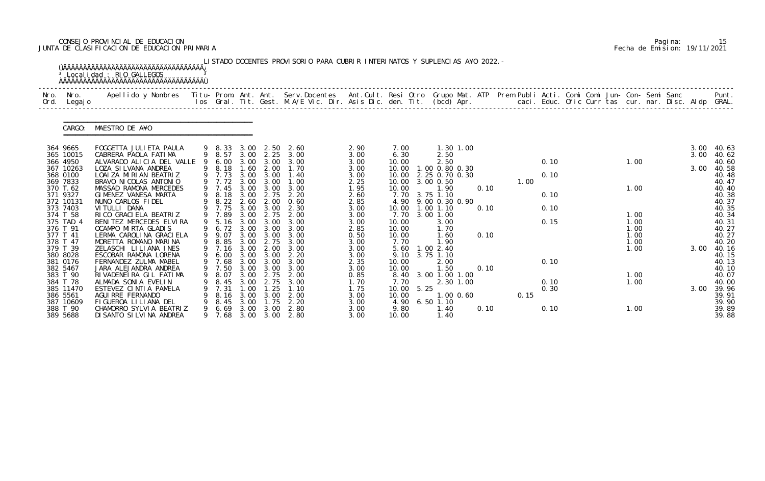# CONSEJO PROVINCIAL DE EDUCACION Pagina: 15 JUNTA DE CLASIFICACION DE EDUCACION PRIMARIA Fecha de Emision: 19/11/2021

| Nro.<br>Ord. | Nro.<br>Legaj o       | Apellido y Nombres  Titu- Prom. Ant. Ant. Serv.Docentes  Ant.Cult. Resi Otro Grupo Mat. ATP Prem Publi Acti. Comi Comi Jun- Con- Semi Sanc         Punt.<br>Ios Gral. Tit. Gest. M.A/E Vic. Dir. Asis Dic. den. Tit. (bcd) Apr. |   |                |              |                   |              |              |                        |                                 |      |      |      |  |              |      |                |
|--------------|-----------------------|---------------------------------------------------------------------------------------------------------------------------------------------------------------------------------------------------------------------------------|---|----------------|--------------|-------------------|--------------|--------------|------------------------|---------------------------------|------|------|------|--|--------------|------|----------------|
|              | CARGO:                | MAESTRO DE A¥O                                                                                                                                                                                                                  |   |                |              |                   |              |              |                        |                                 |      |      |      |  |              |      |                |
|              | 364 9665              | FOGGETTA JULI ETA PAULA                                                                                                                                                                                                         |   | 9 8.33         | 3.00         | 2.50              | 2.60         | 2.90         | 7.00                   | 1.30 1.00                       |      |      |      |  |              | 3.00 | 40.63          |
|              | 365 10015             | CABRERA PAOLA FATIMA                                                                                                                                                                                                            |   | 9 8.57         |              | $3.00$ $2.25$     | 3.00         | 3.00         | 6.30                   | 2.50                            |      |      |      |  |              | 3.00 | 40.62          |
|              | 366 4950<br>367 10263 | ALVARADO ALICIA DEL VALLE<br>LOZA SI LVANA ANDREA                                                                                                                                                                               |   | 6.00<br>9 8.18 | 3.00<br>1.60 | 3.00<br>2.00      | 3.00<br>1.70 | 3.00<br>3.00 | 10.00<br>10.00         | 2.50<br>1.00 0.80 0.30          |      |      | 0.10 |  | 1.00         | 3.00 | 40.60<br>40.58 |
|              | 368 0100              | LOAI ZA MIRIAN BEATRIZ                                                                                                                                                                                                          |   | 9 7.73         | 3.00         | 3.00              | 1.40         | 3.00         | 10.00                  | 2.25 0.70 0.30                  |      |      | 0.10 |  |              |      | 40.48          |
|              | 369 7833              | BRAVO NI COLAS ANTONIO                                                                                                                                                                                                          |   | 9 7.72         | 3.00         | 3.00              | 1.00         | 2.25         | 10.00                  | 3.00 0.50                       |      | 1.00 |      |  |              |      | 40.47          |
|              | 370 T.62              | MASSAD RAMONA MERCEDES                                                                                                                                                                                                          |   | 9 7.45         | 3.00         | 3.00              | 3.00         | 1.95         | 10.00                  | 1.90                            | 0.10 |      |      |  | 1.00         |      | 40.40          |
|              | 371 9327              | GIMENEZ VANESA MARTA                                                                                                                                                                                                            | 9 | 8.18           | 3.00         | 2.75              | 2.20         | 2.60         | 7.70                   | 3.75 1.10                       |      |      | 0.10 |  |              |      | 40.38          |
|              | 372 10131<br>373 7403 | NUNO CARLOS FIDEL<br>VI TULLI DANA                                                                                                                                                                                              |   | 8.22<br>9 7.75 | 2.60<br>3.00 | 2.00<br>3.00      | 0.60<br>2.30 | 2.85<br>3.00 | 4.90<br>10.00          | 9.00 0.30 0.90<br>$1.00$ $1.10$ | 0.10 |      | 0.10 |  |              |      | 40.37<br>40.35 |
|              | 374 T 58              | RI CO GRACI ELA BEATRIZ                                                                                                                                                                                                         |   | 9 7.89         | 3.00         | 2.75              | 2.00         | 3.00         | 7.70                   | 3.00 1.00                       |      |      |      |  | 1.00         |      | 40.34          |
|              | 375 TAD 4             | BENITEZ MERCEDES ELVIRA                                                                                                                                                                                                         |   | 5.16           | 3.00         | 3.00              | 3.00         | 3.00         | 10.00                  | 3.00                            |      |      | 0.15 |  | 1.00         |      | 40.31          |
|              | 376 T 91              | OCAMPO MIRTA GLADIS                                                                                                                                                                                                             |   | 6.72           | 3.00         | 3.00              | 3.00         | 2.85         | 10.00                  | 1.70                            |      |      |      |  | 1.00         |      | 40.27          |
|              | 377 T 41              | LERMA CAROLINA GRACIELA                                                                                                                                                                                                         | 9 | 9.07           | 3.00         | 3.00              | 3.00         | 0.50         | 10.00                  | 1.60                            | 0.10 |      |      |  | 1.00         |      | 40.27          |
|              | 378 T 47<br>379 T 39  | MORETTA ROMANO MARINA<br>ZELASCHI LILIANA INES                                                                                                                                                                                  | 9 | 8.85<br>7.16   | 3.00<br>3.00 | 2.75<br>2.00      | 3.00<br>3.00 | 3.00<br>3.00 | 7.70<br>5.60           | 1.90<br>1.002.40                |      |      |      |  | 1.00<br>1.00 | 3.00 | 40.20<br>40.16 |
|              | 380 8028              | ESCOBAR RAMONA LORENA                                                                                                                                                                                                           | 9 | 6.00           |              | $3.00 \quad 3.00$ | 2.20         | 3.00         | 9.10                   | 3.75 1.10                       |      |      |      |  |              |      | 40.15          |
|              | 381 0176              | FERNANDEZ ZULMA MABEL                                                                                                                                                                                                           |   | 9 7.68         | 3.00         | 3.00              | 3.00         | 2.35         | 10.00                  | 2.00                            |      |      | 0.10 |  |              |      | 40.13          |
|              | 382 5467              | JARA ALEJANDRA ANDREA                                                                                                                                                                                                           |   | 9 7.50         | 3.00         | 3.00              | 3.00         | 3.00         | 10.00                  | 1.50                            | 0.10 |      |      |  |              |      | 40.10          |
|              | 383 T 90              | RIVADENEIRA GIL FATIMA                                                                                                                                                                                                          | 9 | 8.07           | 3.00         | 2.75              | 2.00         | 0.85         | 8.40                   | 3.00 1.00 1.00                  |      |      |      |  | 1.00         |      | 40.07          |
|              | 384 T 78              | ALMADA SONIA EVELIN                                                                                                                                                                                                             |   | 8.45           | 3.00         |                   | 3.00         | 1.70         | 7.70                   | 2.30 1.00                       |      |      | 0.10 |  | 1.00         |      | 40.00          |
|              | 385 11470<br>386 5561 | ESTEVEZ CINTIA PAMELA<br>AGUI RRE FERNANDO                                                                                                                                                                                      |   | 7.31<br>8.16   | .00<br>3.00  | .25<br>3.00       | 1.10<br>2.00 | 1.75<br>3.00 | 5.25<br>10.00<br>10.00 | 1.00 0.60                       |      | 0.15 | 0.30 |  |              | 3.00 | 39.96<br>39.91 |
|              | 387 10609             | FIGUEROA LI LI ANA DEL                                                                                                                                                                                                          |   | 8.45           | 3.00         | 1.75              | 2.20         | 3.00         | 4.90                   | $6.50$ 1.10                     |      |      |      |  |              |      | 39.90          |
|              | 388 T 90              | CHAMORRO SYLVIA BEATRIZ                                                                                                                                                                                                         | 9 | 6.69           | 3.00         | 3.00              | 2.80         | 3.00         | 9.80                   | 1.40                            | 0.10 |      | 0.10 |  | 1.00         |      | 39.89          |
|              | 389 5688              | DI SANTO SI LVI NA ANDREA                                                                                                                                                                                                       |   | 7.68           | 3.00         |                   | 3.00 2.80    | 3.00         | 10.00                  | 1.40                            |      |      |      |  |              |      | 39.88          |

|  | Pagi na: | 15                           |
|--|----------|------------------------------|
|  |          | Fecha de Emision: 19/11/2021 |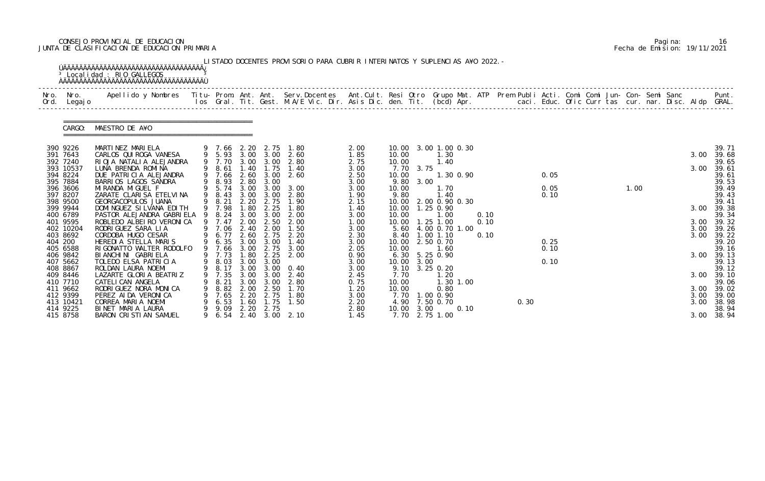# CONSEJO PROVINCIAL DE EDUCACION Pagina: 16 JUNTA DE CLASIFICACION DE EDUCACION PRIMARIA Fecha de Emision: 19/11/2021

| Nro.<br>Ord. | Nro.<br>Legaj o       | Apellido y Nombres - Titu- Prom. Ant. Ant. Serv.Docentes - Ant.Cult. Resi Otro Grupo Mat. ATP - Prem Publi Acti. Comi Comi Jun- Con- Semi Sanc |                |                  |              |                          | los Gral. Tit. Gest. M.A/E Vic. Dir. Asis Dic. den. Tit. (bcd) Apr.        caci. Educ. Ofic Curr tas cur. nar. Disc. Aldp GRAL. |              |                |           |                              |           |      |      |              |  |      |  |              | Punt.          |
|--------------|-----------------------|------------------------------------------------------------------------------------------------------------------------------------------------|----------------|------------------|--------------|--------------------------|---------------------------------------------------------------------------------------------------------------------------------|--------------|----------------|-----------|------------------------------|-----------|------|------|--------------|--|------|--|--------------|----------------|
|              | CARGO:                | MAESTRO DE A¥O                                                                                                                                 |                |                  |              |                          |                                                                                                                                 |              |                |           |                              |           |      |      |              |  |      |  |              |                |
|              | 390 9226<br>391 7643  | MARTINEZ MARIELA<br>CARLOS QUI ROGA VANESA                                                                                                     |                | 9 7.66 2.20      |              | 2.75<br>9 5.93 3.00 3.00 | 1. 80<br>2.60                                                                                                                   | 2.00<br>1.85 | 10.00          |           | 10.00 3.00 1.00 0.30<br>1.30 |           |      |      |              |  |      |  | 3.00         | 39.71<br>39.68 |
|              | 392 7240              | RIOJA NATALIA ALEJANDRA                                                                                                                        |                | 9 7.70           | 3.00         | 3.00                     | 2.80                                                                                                                            | 2.75         | 10.00          |           | 1.40                         |           |      |      |              |  |      |  |              | 39.65          |
|              | 393 10537             | LUNA BRENDA ROMINA                                                                                                                             |                | 8.61 1.40        |              | 1.75                     | 1.40                                                                                                                            | 3.00         |                | 7.70 3.75 |                              |           |      |      |              |  |      |  | 3.00         | 39.61          |
|              | 394 8224              | DUE PATRICIA ALEJANDRA                                                                                                                         |                | 9 7.66           |              | 2.60 3.00                | 2.60                                                                                                                            | 2.50         | 10.00          |           |                              | 1.30 0.90 |      |      | 0.05         |  |      |  |              | 39.61          |
|              | 395 7884              | BARRIOS LAGOS SANDRA                                                                                                                           |                | 9 8.93           | 2.80         | 3.00                     |                                                                                                                                 | 3.00         |                | 9.80 3.00 |                              |           |      |      |              |  |      |  |              | 39.53          |
|              | 396 3606<br>397 8207  | MI RANDA MI GUEL F<br>ZARATE CLARISA ETELVINA                                                                                                  |                | 9 5.74<br>9 8.43 | 3.00<br>3.00 | 3.00<br>3.00             | 3.00<br>2.80                                                                                                                    | 3.00         | 10.00<br>9.80  |           | 1.70<br>1.40                 |           |      |      | 0.05<br>0.10 |  | 1.00 |  |              | 39.49<br>39.43 |
|              | 398 9500              | GEORGACOPULOS JUANA                                                                                                                            |                | 9 8.21           | 2.20         | 2.75                     | 1.90                                                                                                                            | 1.90<br>2.15 | 10.00          |           | 2.00 0.90 0.30               |           |      |      |              |  |      |  |              | 39.41          |
|              | 399 9944              | DOMI NGUEZ SI LVANA EDI TH                                                                                                                     |                | 9 7.98           | 1.80         | 2.25                     | 1.80                                                                                                                            | 1.40         |                |           | 10.00  1.25  0.90            |           |      |      |              |  |      |  | 3.00         | 39.38          |
|              | 400 6789              | PASTOR ALEJANDRA GABRI ELA                                                                                                                     | $\overline{9}$ | 8.24             | 3.00         | 3.00                     | 2.00                                                                                                                            | 3.00         | 10.00          |           | 1.00                         |           | 0.10 |      |              |  |      |  |              | 39.34          |
|              | 401 9595              | ROBLEDO ALBEIRO VERONICA                                                                                                                       |                | 9 7.47           | 2.00         | 2.50                     | 2.00                                                                                                                            | 1.00         |                |           | 10.00  1.25  1.00            |           | 0.10 |      |              |  |      |  |              | 3.00 39.32     |
|              | 402 10204             | RODRIGUEZ SARA LIA                                                                                                                             |                | 9 7.06 2.40      |              | 2.00                     | 1.50                                                                                                                            | 3.00         |                |           | 5.60 4.00 0.70 1.00          |           |      |      |              |  |      |  | 3.00         | 39.26          |
| 404 200      | 403 8692              | CORDOBA HUGO CESAR<br>HEREDIA STELLA MARIS                                                                                                     | 9              | 6.77             | 2.60<br>3.00 | 2.75                     | 2.20<br>1.40                                                                                                                    | 2.30         |                |           | 8.40 1.00 1.10<br>2.50 0.70  |           | 0.10 |      | 0.25         |  |      |  | 3.00         | 39.22<br>39.20 |
|              | 405 6588              | RIGONATTO WALTER RODOLFO                                                                                                                       |                | 6.35<br>9 7.66   |              | 3.00<br>3.00 2.75        | 3.00                                                                                                                            | 3.00<br>2.05 | 10.00<br>10.00 |           | 1.60                         |           |      |      | 0.10         |  |      |  |              | 39.16          |
|              | 406 9842              | BI ANCHI NI GABRI ELA                                                                                                                          |                | 9 7.73           | 1.80         | 2.25                     | 2.00                                                                                                                            | 0.90         |                |           | 6.30 5.25 0.90               |           |      |      |              |  |      |  | 3.00         | 39.13          |
|              | 407 5662              | TOLEDO ELSA PATRICIA                                                                                                                           |                | 9 8.03 3.00      |              | 3.00                     |                                                                                                                                 | 3.00         | 10.00 3.00     |           |                              |           |      |      | 0.10         |  |      |  |              | 39.13          |
|              | 408 8867              | ROLDAN LAURA NOEMI                                                                                                                             |                |                  |              |                          | 9 8.17 3.00 3.00 0.40                                                                                                           | 3.00         |                |           | 9.10 3.25 0.20               |           |      |      |              |  |      |  |              | 39.12          |
|              | 409 8446              | LAZARTE GLORIA BEATRIZ                                                                                                                         |                | 7.35             | 3.00         | 3.00                     | 2.40                                                                                                                            | 2.45         | 7.70           |           | 1. 20                        |           |      |      |              |  |      |  |              | 3.00 39.10     |
|              | 410 7710              | CATELI CAN ANGELA                                                                                                                              |                | 8. 21            | 3.00         | 3.00                     | 2.80                                                                                                                            | 0.75         | 10.00          |           |                              | 1.30 1.00 |      |      |              |  |      |  |              | 39.06          |
|              | 411 9662              | RODRIGUEZ NORA MONICA                                                                                                                          |                | 8.82             | 2.00         | 2.50                     | 1.70                                                                                                                            | 1.20         | 10.00          |           | 0.80                         |           |      |      |              |  |      |  |              | 3.00 39.02     |
|              | 412 9399<br>413 10421 | PEREZ AI DA VERONI CA<br>CORREA MARIA NOEMI                                                                                                    |                | 7.65<br>6.53     | 2.20<br>1.60 | 2.75<br>1.75             | 1.80<br>1.50                                                                                                                    | 3.00<br>2.20 | 4.90           |           | 7.70 1.00 0.90<br>7.50 0.70  |           |      | 0.30 |              |  |      |  | 3.00<br>3.00 | 39.00<br>38.98 |
|              | 414 9225              | BINET MARIA LAURA                                                                                                                              |                | 9.09             | 2.20         | 2.75                     |                                                                                                                                 | 2.80         | 10.00          | 3.00      |                              | 0.10      |      |      |              |  |      |  |              | 38.94          |
|              | 415 8758              | BARON CRISTIAN SAMUEL                                                                                                                          |                | 6. 54            |              |                          | 2.40 3.00 2.10                                                                                                                  | 1.45         |                |           | 7.70 2.75 1.00               |           |      |      |              |  |      |  |              | 3.00 38.94     |

|  | Pagi na: | 16                           |
|--|----------|------------------------------|
|  |          | Fecha de Emision: 19/11/2021 |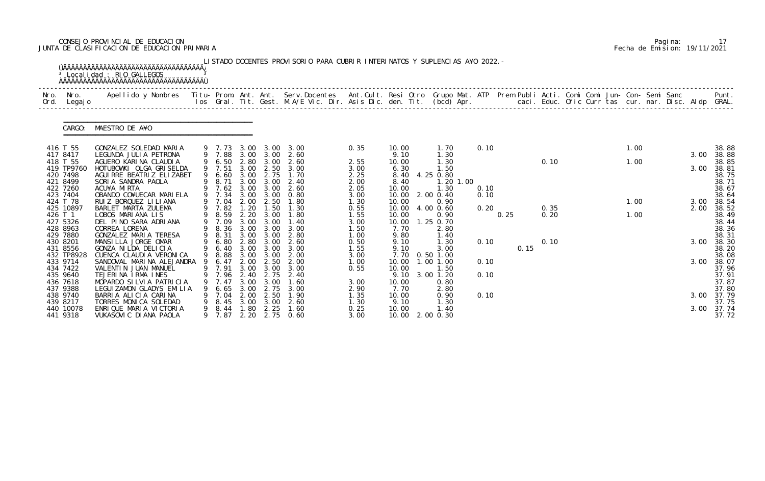# CONSEJO PROVINCIAL DE EDUCACION Pagina: 17 JUNTA DE CLASIFICACION DE EDUCACION PRIMARIA Fecha de Emision: 19/11/2021

| Nro.<br>Ord. | Nro.<br>Legaj o      | Apellido y Nombres - Titu- Prom. Ant. Ant. Serv.Docentes - Ant.Cult. Resi Otro Grupo Mat. ATP - Prem Publi Acti. Comi Comi Jun- Con- Semi Sanc |   |                  |              |              | los Gral. Tit. Gest. M.A/E Vic. Dir. Asis Dic. den. Tit. (bcd) Apr.        caci. Educ. Ofic Curr tas cur. nar. Disc. Aldp GRAL. |              |                 |                   |      |      |      |  |      |  |      | Punt.          |
|--------------|----------------------|------------------------------------------------------------------------------------------------------------------------------------------------|---|------------------|--------------|--------------|---------------------------------------------------------------------------------------------------------------------------------|--------------|-----------------|-------------------|------|------|------|--|------|--|------|----------------|
|              | CARGO:               | MAESTRO DE A¥O                                                                                                                                 |   |                  |              |              |                                                                                                                                 |              |                 |                   |      |      |      |  |      |  |      |                |
| 416 T 55     |                      | GONZALEZ SOLEDAD MARIA                                                                                                                         |   | 9 7.73           | 3.00         | 3.00         | 3.00                                                                                                                            | 0.35         | 10.00           | 1.70              | 0.10 |      |      |  | 1.00 |  |      | 38.88          |
|              | 417 8417<br>418 T 55 | LEGUNDA JULIA PETRONA<br>AGUERO KARINA CLAUDIA                                                                                                 |   | 9 7.88<br>9 6.50 | 3.00<br>2.80 | 3.00<br>3.00 | 2.60<br>2.60                                                                                                                    | 2.55         | 9.10<br>10.00   | 1.30<br>1.30      |      |      | 0.10 |  | 1.00 |  | 3.00 | 38.88<br>38.85 |
|              | 419 TP9760           | HOTUBOWKI OLGA GRISELDA                                                                                                                        |   | 9 7.51           | 3.00         | 2.50         | 3.00                                                                                                                            | 3.00         | 6.30            | 1.50              |      |      |      |  |      |  | 3.00 | 38.81          |
|              | 420 7498             | AGUI RRE BEATRIZ ELIZABET                                                                                                                      |   | 6.60             | 3.00         | 2.75         | 1.70                                                                                                                            | 2.25         | 8.40            | 4.25 0.80         |      |      |      |  |      |  |      | 38.75          |
|              | 421 8499             | SORIA SANDRA PAOLA                                                                                                                             |   | 8.71             | 3.00         | 3.00         | 2.40                                                                                                                            | 2.00         | 8.40            | 1.20 1.00         |      |      |      |  |      |  |      | 38.71          |
|              | 422 7260             | ACU¥A MIRTA                                                                                                                                    |   | 7.62             | 3.00         | 3.00         | 2.60                                                                                                                            | 2.05         | 10.00           | 1.30              | 0.10 |      |      |  |      |  |      | 38.67          |
| 423 7404     | 424 T 78             | OBANDO CO¥UECAR MARIELA<br>RUIZ BORQUEZ LI LI ANA                                                                                              |   | 9 7.34<br>7.04   | 3.00<br>2.00 | 3.00<br>2.50 | 0.80<br>1.80                                                                                                                    | 3.00<br>1.30 | 10.00<br>10.00  | 2.00 0.40<br>0.90 | 0.10 |      |      |  | 1.00 |  | 3.00 | 38.64<br>38.54 |
|              | 425 10897            | BARLET MARTA ZULEMA                                                                                                                            |   | 9 7.82           | 1.20         | 1.50         | 1.30                                                                                                                            | 0.55         | 10.00           | 4.00 0.60         | 0.20 |      | 0.35 |  |      |  | 2.00 | 38.52          |
| 426 T 1      |                      | LOBOS MARIANA LIS                                                                                                                              |   | 8.59             | 2.20         | 3.00         | 1.80                                                                                                                            | 1.55         | 10.00           | 0.90              |      | 0.25 | 0.20 |  | 1.00 |  |      | 38.49          |
|              | 427 5326             | DEL PINO SARA ADRIANA                                                                                                                          |   | 7.09             | 3.00         | 3.00         | 1.40                                                                                                                            | 3.00         | 10.00           | 1.25 0.70         |      |      |      |  |      |  |      | 38.44          |
|              | 428 8963             | CORREA LORENA                                                                                                                                  |   | 9 8.36           | 3.00         | 3.00         | 3.00                                                                                                                            | 1.50         | 7.70            | 2.80              |      |      |      |  |      |  |      | 38.36          |
| 429 7880     |                      | GONZALEZ MARIA TERESA                                                                                                                          | 9 | 8.31             | 3.00<br>2.80 | 3.00         | 2.80                                                                                                                            | 1.00         | 9.80            | 1.40              |      |      |      |  |      |  |      | 38.31          |
| 430 8201     | 431 8556             | MANSILLA JORGE OMAR<br>GONZA NI LDA DELICIA                                                                                                    |   | 6.80<br>6.40     | 3.00         | 3.00<br>3.00 | 2.60<br>3.00                                                                                                                    | 0.50<br>1.55 | 9.10<br>9.10    | 1.30<br>3.00      | 0.10 | 0.15 | 0.10 |  |      |  | 3.00 | 38.30<br>38.20 |
|              | 432 TP8928           | CUENCA CLAUDI A VERONI CA                                                                                                                      | 9 | 8.88             | 3.00         | 3.00         | 2.00                                                                                                                            | 3.00         | 7.70            | $0.50$ 1.00       |      |      |      |  |      |  |      | 38.08          |
| 433 9714     |                      | SANDOVAL MARINA ALEJANDRA                                                                                                                      |   | 6.47             | 2.00         | 2.50         | 2.00                                                                                                                            | 1.00         | 10.00           | 1.00 1.00         | 0.10 |      |      |  |      |  | 3.00 | 38.07          |
|              | 434 7422             | VALENTIN JUAN MANUEL                                                                                                                           |   | 9 7.91           | 3.00         | 3.00         | 3.00                                                                                                                            | 0.55         | 10.00           | 1.50              |      |      |      |  |      |  |      | 37.96          |
|              | 435 9640             | TEJERINA IRMA INES                                                                                                                             |   | 7.96 2.40        |              | 2.75         | -2.40                                                                                                                           |              | 9.10            | 3.00 1.20         | 0.10 |      |      |  |      |  |      | 37.91          |
|              | 436 7618             | MOPARDO SILVIA PATRICIA                                                                                                                        |   | 9 7.47           | 3.00         | 3.00         | 1.60                                                                                                                            | 3.00         | 10.00           | 0.80              |      |      |      |  |      |  |      | 37.87          |
|              | 437 9388             | LEGUIZAMON GLADYS EMILIA                                                                                                                       |   | 6. 65            | 3.00         | 2.75         | 3.00                                                                                                                            | 2.90         | 7.70            | 2.80              |      |      |      |  |      |  |      | 37.80          |
|              | 438 9740<br>439 8217 | BARRIA ALICIA CARINA<br>TORRES MONICA SOLEDAD                                                                                                  |   | 7. 04<br>8.45    | 2.00<br>3.00 | 2.50<br>3.00 | 1.90<br>2.60                                                                                                                    | 1.35<br>1.30 | 10.00<br>9.10   | 0.90<br>1.30      | 0.10 |      |      |  |      |  | 3.00 | 37.79<br>37.75 |
|              | 440 10078            | ENRIQUE MARIA VICTORIA                                                                                                                         | 9 | 8.44             | 1.80         | 2.25         | 1.60                                                                                                                            | 0.25         | 10.00           | 1.40              |      |      |      |  |      |  | 3.00 | 37.74          |
|              | 441 9318             | VUKASOVI C DI ANA PAOLA                                                                                                                        |   | 9 7.87           |              |              | 2.20 2.75 0.60                                                                                                                  | 3.00         | 10.00 2.00 0.30 |                   |      |      |      |  |      |  |      | 37.72          |

|  | Pagi na: |                              |
|--|----------|------------------------------|
|  |          | Fecha de Emision: 19/11/2021 |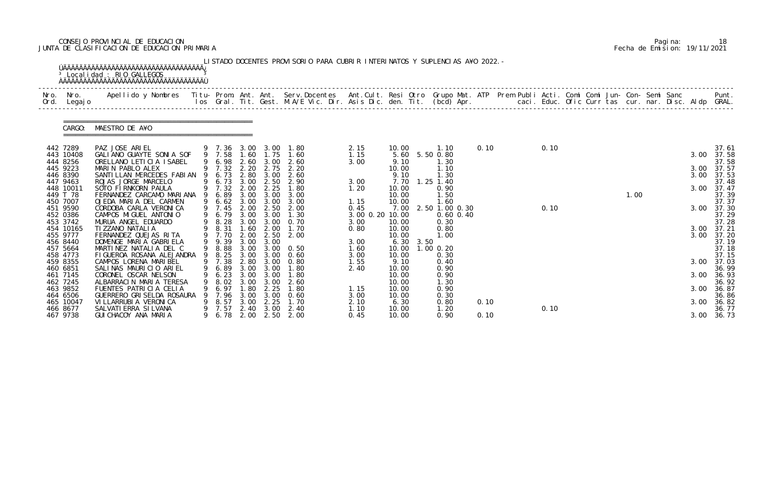# CONSEJO PROVINCIAL DE EDUCACION Pagina: 18 JUNTA DE CLASIFICACION DE EDUCACION PRIMARIA Fecha de Emision: 19/11/2021

|              |                      | <sup>3</sup> Localidad : RIO GALLEGOS                                                                                                                                                                                           |   |                  |              |              | LISTADO DOCENTES PROVISORIO PARA CUBRIR INTERINATOS Y SUPLENCIAS A¥O 2022. - |                 |                |      |                       |      |      |  |      |  |              |                |
|--------------|----------------------|---------------------------------------------------------------------------------------------------------------------------------------------------------------------------------------------------------------------------------|---|------------------|--------------|--------------|------------------------------------------------------------------------------|-----------------|----------------|------|-----------------------|------|------|--|------|--|--------------|----------------|
| Nro.<br>Ord. | Nro.<br>Legaj o      | Apellido y Nombres  Titu- Prom. Ant. Ant. Serv.Docentes  Ant.Cult. Resi Otro Grupo Mat. ATP Prem Publi Acti. Comi Comi Jun- Con- Semi Sanc         Punt.<br>Ios Gral. Tit. Gest. M.A/E Vic. Dir. Asis Dic. den. Tit. (bcd) Apr. |   |                  |              |              |                                                                              |                 |                |      |                       |      |      |  |      |  |              |                |
|              | CARGO:               | MAESTRO DE A¥O                                                                                                                                                                                                                  |   |                  |              |              |                                                                              |                 |                |      |                       |      |      |  |      |  |              |                |
|              | 442 7289             | PAZ JOSE ARIEL                                                                                                                                                                                                                  |   |                  |              |              | 9 7.36 3.00 3.00 1.80                                                        | 2.15            | 10.00          |      | 1.10                  | 0.10 | 0.10 |  |      |  |              | 37.61          |
|              | 443 10408            | GALIANO GUAYTE SONIA SOF                                                                                                                                                                                                        |   | 9 7.58 1.60 1.75 |              |              | 1.60                                                                         | 1.15            | 5.60           |      | 5.50 0.80             |      |      |  |      |  | 3.00         | 37.58          |
|              | 444 8256             | ORELLANO LETICIA ISABEL                                                                                                                                                                                                         |   | 9 6.98           | 2.60         | 3.00         | 2.60                                                                         | 3.00            | 9.10           |      | 1.30                  |      |      |  |      |  |              | 37.58          |
|              | 445 9223<br>446 8390 | MARIN PABLO ALEX<br>SANTI LLAN MERCEDES FABI AN                                                                                                                                                                                 |   | 9 7.32<br>9 6.73 | 2.20<br>2.80 | 2.75<br>3.00 | 2.20<br>2.60                                                                 |                 | 10.00<br>9.10  |      | 1.10<br>1.30          |      |      |  |      |  | 3.00<br>3.00 | 37.57<br>37.53 |
|              | 447 9463             | ROJAS JORGE MARCELO                                                                                                                                                                                                             |   | 9 6.73           | 3.00         | 2.50         | 2.90                                                                         | 3.00            | 7.70           |      | $1.25$ 1.40           |      |      |  |      |  |              | 37.48          |
|              | 448 10011            | SOTO FIRNKORN PAULA                                                                                                                                                                                                             |   | 9 7.32           | 2.00         | 2.25         | 1.80                                                                         | 1.20            | 10.00          |      | 0.90                  |      |      |  |      |  | 3.00         | 37.47          |
|              | 449 T 78             | FERNANDEZ CARCAMO MARIANA                                                                                                                                                                                                       |   | 9 6.89           | 3.00         | 3.00         | 3.00                                                                         |                 | 10.00          |      | 1.50                  |      |      |  | 1.00 |  |              | 37.39          |
|              | 450 7007             | OJEDA MARIA DEL CARMEN                                                                                                                                                                                                          |   | $9\quad 6.62$    | 3.00         | 3.00         | 3.00                                                                         | 1.15            | 10.00          |      | .60                   |      |      |  |      |  |              | 37.37          |
|              | 451 9590             | CORDOBA CARLA VERONICA                                                                                                                                                                                                          |   | 9 7.45           | 2.00         | 2.50         | 2.00                                                                         | 0.45            | 7.00           |      | 2.50 1.00 0.30        |      | 0.10 |  |      |  | 3.00         | 37.30          |
|              | 452 0386             | CAMPOS MIGUEL ANTONIO                                                                                                                                                                                                           |   | 9 6.79           | 3.00         | 3.00         | 1.30                                                                         | 3.00 0.20 10.00 |                |      | $0.60$ $0.40$         |      |      |  |      |  |              | 37.29          |
|              | 453 3742             | MURUA ANGEL EDUARDO                                                                                                                                                                                                             |   | 9 8.28           | 3.00         | 3.00         | 0. 70                                                                        | 3.00            | 10.00          |      | 0.30                  |      |      |  |      |  |              | 37.28          |
|              | 454 10165            | TI ZZANO NATALI A                                                                                                                                                                                                               |   | 9 8.31           | 1.60         | 2.00         | 1.70                                                                         | 0.80            | 10.00          |      | 0.80                  |      |      |  |      |  |              | 3.00 37.21     |
|              | 455 9777             | FERNANDEZ QUEJAS RITA                                                                                                                                                                                                           |   | 9 7.70           | 2.00         | 2.50         | 2.00                                                                         |                 | 10.00          |      | 1.00                  |      |      |  |      |  | 3.00         | 37.20          |
|              | 456 8440             | DOMENGE MARIA GABRIELA                                                                                                                                                                                                          |   | 9 9.39<br>9 8.88 | 3.00         | 3.00         |                                                                              | 3.00            | 6.30           | 3.50 |                       |      |      |  |      |  |              | 37.19          |
|              | 457 5664<br>458 4773 | MARTINEZ NATALIA DEL C<br>FIGUEROA ROSANA ALEJANDRA                                                                                                                                                                             |   | 9 8.25           | 3.00<br>3.00 | 3.00<br>3.00 | 0.50<br>0.60                                                                 | 1.60<br>3.00    | 10.00<br>10.00 |      | $1.00$ $0.20$<br>0.30 |      |      |  |      |  |              | 37.18<br>37.15 |
|              | 459 8355             | CAMPOS LORENA MARIBEL                                                                                                                                                                                                           |   | 9 7.38           | 2.80         | 3.00         | 0.80                                                                         | 1.55            | 9.10           |      | 0.40                  |      |      |  |      |  | 3.00         | 37.03          |
|              | 460 6851             | SALINAS MAURICIO ARIEL                                                                                                                                                                                                          |   | 9 6.89           | 3.00         | 3.00         | 1.80                                                                         | 2.40            | 10.00          |      | 0.90                  |      |      |  |      |  |              | 36.99          |
|              | 461 7145             | CORONEL OSCAR NELSON                                                                                                                                                                                                            | 9 | 6.23             | 3.00         | 3.00         | 1.80                                                                         |                 | 10.00          |      | 0.90                  |      |      |  |      |  | 3.00         | 36.93          |
|              | 462 7245             | ALBARRACIN MARIA TERESA                                                                                                                                                                                                         |   | 8.02             | 3.00         | 3.00         | 2.60                                                                         |                 | 10.00          |      | 1.30                  |      |      |  |      |  |              | 36.92          |
|              | 463 9852             | FUENTES PATRICIA CELIA                                                                                                                                                                                                          |   | 6.97             | 1.80         | 2.25         | 1.80                                                                         | 1.15            | 10.00          |      | 0.90                  |      |      |  |      |  | 3.00         | 36.87          |
|              | 464 6506             | GUERRERO GRI SELDA ROSAURA                                                                                                                                                                                                      |   | 7.96             | 3.00         | 3.00         | 0.60                                                                         | 3.00            | 10.00          |      | 0.30                  |      |      |  |      |  |              | 36.86          |
|              | 465 10047            | VI LLARRUBI A VERONI CA                                                                                                                                                                                                         |   | 8.57             | 3.00         | 2.25         | 1.70                                                                         | 2.10            | 6.30           |      | 0.80                  | 0.10 |      |  |      |  | 3.00         | 36.82          |
|              | 466 8677             | SALVATI ERRA SI LVANA                                                                                                                                                                                                           |   | 7.57             | 2.40         | 3.00         | 2.40                                                                         | 1.10            | 10.00          |      | 1.20                  |      | 0.10 |  |      |  |              | 36.77          |
|              | 467 9738             | GUI CHACOY ANA MARIA                                                                                                                                                                                                            |   | 9 6.78           | 2.00         |              | 2.50 2.00                                                                    | 0.45            | 10.00          |      | 0.90                  | 0.10 |      |  |      |  | 3.00         | 36.73          |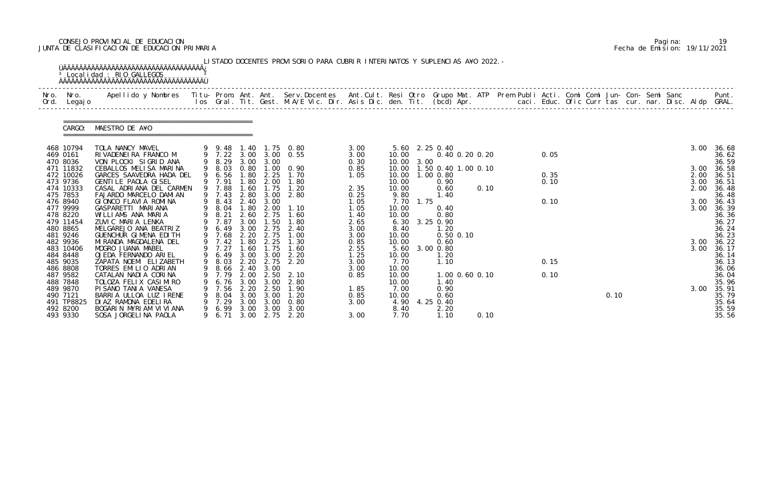# CONSEJO PROVINCIAL DE EDUCACION Pagina: 19 JUNTA DE CLASIFICACION DE EDUCACION PRIMARIA Fecha de Emision: 19/11/2021

|          | Nro. Nro.<br>Ord. Legajo | Apellido y Nombres  Titu- Prom. Ant. Ant.  Serv.Docentes  Ant.Cult. Resi Otro  Grupo Mat. ATP  Prem Publi Acti. Comi Comi Jun- Con- Semi Sanc              Punt.<br>Ios Gral. Tit. Gest. M.A/E Vic. Dir. Asis Dic. den. Tit. (bcd |   |                  |              |                  |                                                                |              |                |           |                               |                |  |      |  |      |  |      |                |
|----------|--------------------------|-----------------------------------------------------------------------------------------------------------------------------------------------------------------------------------------------------------------------------------|---|------------------|--------------|------------------|----------------------------------------------------------------|--------------|----------------|-----------|-------------------------------|----------------|--|------|--|------|--|------|----------------|
|          | CARGO:                   | MAESTRO DE A¥O                                                                                                                                                                                                                    |   |                  |              |                  |                                                                |              |                |           |                               |                |  |      |  |      |  |      |                |
| 469 0161 | 468 10794                | TOLA NANCY MAVEL<br>RIVADENEIRA FRANCO M                                                                                                                                                                                          |   |                  |              |                  | 9  9  48  1  40  1  75  0  80<br>9  7  22  3  00  3  00  0  55 | 3.00<br>3.00 | 10.00          |           | 5.60 2.25 0.40                | 0.40 0.20 0.20 |  | 0.05 |  |      |  | 3.00 | 36.68<br>36.62 |
|          | 470 8036                 | VON PLOCKI SIGRID ANA                                                                                                                                                                                                             |   |                  |              | 9 8.29 3.00 3.00 |                                                                | 0.30         | 10.00 3.00     |           |                               |                |  |      |  |      |  |      | 36.59          |
|          | 471 11832                | CEBALLOS MELISA MARINA                                                                                                                                                                                                            |   | 9 8.03           |              |                  | 0.80 1.00 0.90                                                 | 0.85         |                |           | 10.00  1.50  0.40  1.00  0.10 |                |  |      |  |      |  | 3.00 | 36.58          |
|          | 472 10026                | GARCES SAAVEDRA HADA DEL                                                                                                                                                                                                          |   | 6.56             | 1.80         | 2.25             | 1.70                                                           | 1.05         | 10.00          |           | 1.00 0.80                     |                |  | 0.35 |  |      |  | 2.00 | 36.51          |
|          | 473 9736                 | GENTILE PAOLA GISEL                                                                                                                                                                                                               |   | 9 7.91           | 1.80         | 2.00             | 1.80                                                           |              | 10.00          |           | 0.90                          |                |  | 0.10 |  |      |  | 3.00 | 36.51          |
|          | 474 10333                | CASAL ADRIANA DEL CARMEN                                                                                                                                                                                                          |   | 9 7.88           | 1.60         | 1.75             | 1.20                                                           | 2.35         | 10.00          |           | 0.60                          | 0.10           |  |      |  |      |  | 2.00 | 36.48          |
|          | 475 7853                 | FAJARDO MARCELO DAMIAN                                                                                                                                                                                                            |   | 9 7.43           | 2.80         | 3.00             | 2.80                                                           | 0.25         | 9.80           |           | 1.40                          |                |  |      |  |      |  |      | 36.48          |
|          | 476 8940                 | GIONCO FLAVIA ROMINA                                                                                                                                                                                                              |   |                  |              | 9 8.43 2.40 3.00 |                                                                | 1.05         |                | 7.70 1.75 |                               |                |  | 0.10 |  |      |  | 3.00 | 36.43          |
|          | 477 9999<br>478 8220     | GASPARETTI MARIANA<br>WILLIAMS ANA MARIA                                                                                                                                                                                          |   | 9 8.04<br>9 8.21 | 1.80<br>2.60 | 2.00<br>2.75     | 1.10<br>1.60                                                   | 1.05<br>1.40 | 10.00<br>10.00 |           | 0.40<br>0.80                  |                |  |      |  |      |  | 3.00 | 36.39<br>36.36 |
|          | 479 11454                | ZUVIC MARIA LENKA                                                                                                                                                                                                                 |   | 9 7.87           | 3.00         | 1.50             | 1.80                                                           | 2.65         |                |           | 6.30 3.25 0.90                |                |  |      |  |      |  |      | 36.27          |
| 480 8865 |                          | MELGAREJO ANA BEATRIZ                                                                                                                                                                                                             |   | 9 6.49           | 3.00         | 2.75             | 2.40                                                           | 3.00         | 8.40           |           | 1.20                          |                |  |      |  |      |  |      | 36.24          |
|          | 481 9246                 | GUENCHUR GIMENA EDITH                                                                                                                                                                                                             |   | 9 7.68           | 2.20         | 2.75             | 1.00                                                           | 3.00         | 10.00          |           | $0.50$ $0.10$                 |                |  |      |  |      |  |      | 36.23          |
|          | 482 9936                 | MI RANDA MAGDALENA DEL                                                                                                                                                                                                            |   | 9 7.42           | 1.80         | 2.25             | 1.30                                                           | 0.85         | 10.00          |           | 0.60                          |                |  |      |  |      |  | 3.00 | 36.22          |
|          | 483 10406                | MOGRO JUANA MABEL                                                                                                                                                                                                                 |   | 9 7.27           | 1.60         | 1.75             | 1.60                                                           | 2.55         |                |           | 5.60 3.00 0.80                |                |  |      |  |      |  | 3.00 | 36.17          |
|          | 484 8448                 | OJEDA FERNANDO ARIEL                                                                                                                                                                                                              |   | 9 6.49           |              | 3.00 3.00        | 2.20                                                           | 1.25         | 10.00          |           | 1.20                          |                |  |      |  |      |  |      | 36.14          |
| 485 9035 |                          | ZAPATA NOEMI ELIZABETH                                                                                                                                                                                                            |   |                  |              |                  | 9 8.03 2.20 2.75 2.20                                          | 3.00         | 7.70           |           | 1.10                          |                |  | 0.15 |  |      |  |      | 36.13          |
|          | 486 8808                 | TORRES EMILIO ADRIAN                                                                                                                                                                                                              |   |                  |              | 9 8.66 2.40 3.00 |                                                                | 3.00         | 10.00          |           |                               |                |  |      |  |      |  |      | 36.06          |
| 487 9582 |                          | CATALAN NADIA CORINA                                                                                                                                                                                                              |   | 7.79             | 2.00         | 2.50             | 2.10                                                           | 0.85         | 10.00          |           |                               | 1.00 0.60 0.10 |  | 0.10 |  |      |  |      | 36.04          |
| 488 7848 |                          | TOLOZA FELIX CASIMIRO                                                                                                                                                                                                             |   | 6.76             | 3.00         | 3.00             | 2.80                                                           |              | 10.00          |           | 1.40                          |                |  |      |  |      |  |      | 35.96          |
| 489 9870 |                          | PISANO TANIA VANESA                                                                                                                                                                                                               |   | 7.56             | 2.20         | 2.50             | 1.90                                                           | 1.85         | 7.00           |           | 0.90                          |                |  |      |  |      |  | 3.00 | 35.91          |
| 490 7121 |                          | BARRIA ULLOA LUZ IRENE                                                                                                                                                                                                            |   | 8.04             | 3.00         | 3.00             | 1.20                                                           | 0.85         | 10.00          |           | 0.60                          |                |  |      |  | 0.10 |  |      | 35.79          |
|          | 491 TP8825               | DI AZ RAMONA EDELIRA                                                                                                                                                                                                              |   | 7.29             | 3.00         | 3.00             | 0.80                                                           | 3.00         | 4.90           |           | 4.25 0.40                     |                |  |      |  |      |  |      | 35.64          |
| 492 8200 | 493 9330                 | BOGARIN MYRIAM VIVIANA<br>SOSA JORGELINA PAOLA                                                                                                                                                                                    | 9 | 6.99<br>6. 71    | 3.00<br>3.00 | 3.00<br>2.75     | 3.00<br>2.20                                                   | 3.00         | 8.40<br>7.70   |           | 2.20<br>1.10                  | 0.10           |  |      |  |      |  |      | 35.59<br>35.56 |

|  | Pagi na: | 19                           |
|--|----------|------------------------------|
|  |          | Fecha de Emision: 19/11/2021 |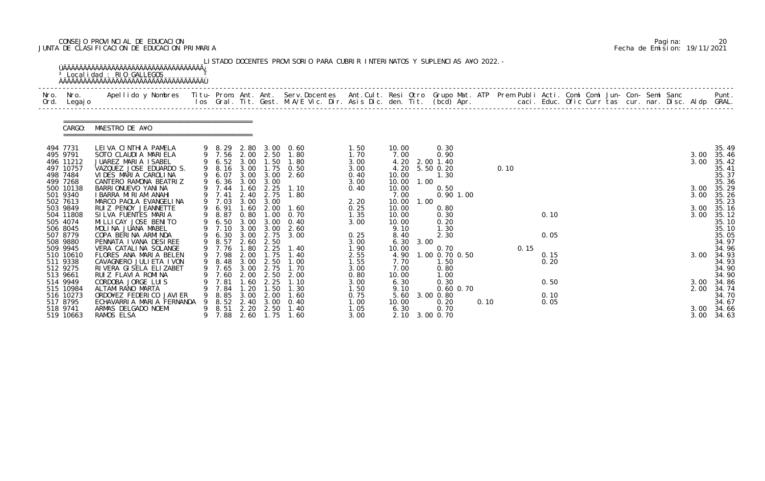# CONSEJO PROVINCIAL DE EDUCACION Pagina: 20 JUNTA DE CLASIFICACION DE EDUCACION PRIMARIA Fecha de Emision: 19/11/2021

| Nro.<br>Ord. | Nro. In the Nro.<br>Legaj o | Apellido y Nombres  Titu- Prom. Ant. Ant.  Serv.Docentes  Ant.Cult. Resi Otro  Grupo Mat. ATP  Prem Publi Acti. Comi Comi Jun- Con- Semi Sanc              Punt.<br>Ios Gral. Tit. Gest. M.A/E Vic. Dir. Asis Dic. den. Tit. (bcd |   |                            |              |                  |                       |              |               |      |                        |      |      |      |      |  |  |  |              |                |
|--------------|-----------------------------|-----------------------------------------------------------------------------------------------------------------------------------------------------------------------------------------------------------------------------------|---|----------------------------|--------------|------------------|-----------------------|--------------|---------------|------|------------------------|------|------|------|------|--|--|--|--------------|----------------|
|              | CARGO:                      | MAESTRO DE A¥O                                                                                                                                                                                                                    |   |                            |              |                  |                       |              |               |      |                        |      |      |      |      |  |  |  |              |                |
|              | 494 7731                    | LEIVA CINTHIA PAMELA                                                                                                                                                                                                              |   |                            |              |                  | 9 8.29 2.80 3.00 0.60 | 1.50         | 10.00         |      | 0.30                   |      |      |      |      |  |  |  |              | 35.49          |
|              | 495 9791<br>496 11212       | SOTO CLAUDIA MARIELA<br>JUAREZ MARIA ISABEL                                                                                                                                                                                       |   | 9 7.56 2.00<br>9 6.52 3.00 |              | 2.50             | 1.80<br>1.50 1.80     | 1.70<br>3.00 | 7.00<br>4.20  |      | 0.90<br>2.00 1.40      |      |      |      |      |  |  |  | 3.00<br>3.00 | 35.46<br>35.42 |
|              | 497 10757                   | VAZQUEZ JOSE EDUARDO S.                                                                                                                                                                                                           |   |                            |              |                  | 9 8.16 3.00 1.75 0.50 | 3.00         | 4.20          |      | 5.50 0.20              |      | 0.10 |      |      |  |  |  |              | 35.41          |
|              | 498 7484                    | VIDES MARIA CAROLINA                                                                                                                                                                                                              |   | 6.07                       | 3.00         | 3.00             | 2.60                  | 0.40         | 10.00         |      | 1.30                   |      |      |      |      |  |  |  |              | 35.37          |
|              | 499 7268                    | CANTERO RAMONA BEATRIZ                                                                                                                                                                                                            |   | 9 6.36 3.00                |              | 3.00             |                       | 3.00         | 10.00         | 1.00 |                        |      |      |      |      |  |  |  |              | 35.36          |
|              | 500 10138                   | BARRI ONUEVO YANI NA                                                                                                                                                                                                              |   | 9 7.44                     | 1.60         | 2.25             | 1.10                  | 0.40         | 10.00         |      | 0.50                   |      |      |      |      |  |  |  |              | 3.00 35.29     |
|              | 501 9340<br>502 7613        | I BARRA MIRIAM ANAHI<br>MARCO PAOLA EVANGELINA                                                                                                                                                                                    |   | 9 7.41<br>9 7.03           | 2.40<br>3.00 | 2.75<br>3.00     | 1.80                  | 2.20         | 7.00<br>10.00 | 1.00 | $0.90$ 1.00            |      |      |      |      |  |  |  | 3.00         | 35.26<br>35.23 |
|              | 503 9849                    | RUIZ PENOY JEANNETTE                                                                                                                                                                                                              |   | 9 6.91                     | 1.60         | 2.00             | 1.60                  | 0.25         | 10.00         |      | 0.80                   |      |      |      |      |  |  |  | 3.00         | 35.16          |
|              | 504 11808                   | SILVA FUENTES MARIA                                                                                                                                                                                                               |   | 9 8.87                     | 0.80         | 1.00             | 0. 70                 | 1.35         | 10.00         |      | 0.30                   |      |      |      | 0.10 |  |  |  | 3.00         | 35.12          |
|              | 505 4074                    | MI LLI CAY JOSE BENI TO                                                                                                                                                                                                           |   | 9 6.50                     | 3.00         |                  | $3.00 \quad 0.40$     | 3.00         | 10.00         |      | 0.20                   |      |      |      |      |  |  |  |              | 35.10          |
|              | 506 8045                    | MOLINA JUANA MABEL                                                                                                                                                                                                                |   | 9 7.10                     | 3.00         | 3.00             | 2.60                  |              | 9.10          |      | 1.30                   |      |      |      |      |  |  |  |              | 35.10          |
|              | 507 8779                    | COPA BERINA ARMINDA                                                                                                                                                                                                               |   | 6.30                       | 3.00         | 2.75             | 3.00                  | 0.25         | 8.40          |      | 2.30                   |      |      |      | 0.05 |  |  |  |              | 35.05          |
|              | 508 9880                    | PENNATA I VANA DESIREE<br>VERA CATALINA SOLANGE                                                                                                                                                                                   |   | 9 8.57<br>9 7.76           | 2.60         | 2.50             | 1.40                  | 3.00         | 6.30          | 3.00 |                        |      |      |      |      |  |  |  |              | 34.97          |
|              | 509 9945<br>510 10610       | FLORES ANA MARIA BELEN                                                                                                                                                                                                            |   | 9 7.98                     | 1.80<br>2.00 | 2.25<br>1.75     | 1.40                  | 1.90<br>2.55 | 10.00<br>4.90 |      | 0.70<br>1.00 0.70 0.50 |      |      | 0.15 | 0.15 |  |  |  | 3.00         | 34.96<br>34.93 |
|              | 511 9338                    | CAVAGNERO JULI ETA I VON                                                                                                                                                                                                          |   |                            |              | 9 8.48 3.00 2.50 | 1.00                  | 1.55         | 7.70          |      | 1.50                   |      |      |      | 0.20 |  |  |  |              | 34.93          |
|              | 512 9275                    | RIVERA GISELA ELIZABET                                                                                                                                                                                                            |   | 9 7.65 3.00                |              | 2.75             | 1.70                  | 3.00         | 7.00          |      | 0.80                   |      |      |      |      |  |  |  |              | 34.90          |
|              | 513 9661                    | RUIZ FLAVIA ROMINA                                                                                                                                                                                                                |   | 7.60                       | 2.00         | 2.50             | 2.00                  | 0.80         | 10.00         |      | 1. 00                  |      |      |      |      |  |  |  |              | 34.90          |
|              | 514 9949                    | CORDOBA JORGE LUIS                                                                                                                                                                                                                |   | 7.81                       | . 60         | 2.25             | 1. 10                 | 3.00         | 6.30          |      | 0.30                   |      |      |      | 0.50 |  |  |  | 3.00         | 34.86          |
|              | 515 10984                   | ALTAMI RANO MARTA                                                                                                                                                                                                                 |   | 7.84                       | . 20         | . 50             | 1. 30                 | 1.50         | 9.10          |      | 0.60 0.70              |      |      |      |      |  |  |  | 2.00         | 34.74          |
|              | 516 10273                   | ORDO¥EZ FEDERICO JAVIER                                                                                                                                                                                                           |   | 8.85                       | 3.00         | 2.00             | 1. 60                 | 0.75         | 5.60          |      | $3.00 \, 0.80$         |      |      |      | 0.10 |  |  |  |              | 34.70          |
|              | 517 8795<br>518 9741        | ECHAVARRIA MARIA FERNANDA<br>ARMAS DELGADO NOEMI                                                                                                                                                                                  | 9 | 8.52<br>8.51               | 2.40<br>2.20 | 3.00<br>2.50     | 0.40<br>1.40          | 1.00<br>1.05 | 10.00<br>6.30 |      | 0.20<br>0.70           | 0.10 |      |      | 0.05 |  |  |  | 3.00         | 34.67          |
|              | 519 10663                   | RAMOS ELSA                                                                                                                                                                                                                        |   | 7.88                       | 2.60         | 1.75             | 1.60                  | 3.00         |               |      | 2.10 3.00 0.70         |      |      |      |      |  |  |  | 3.00         | 34.66<br>34.63 |

|  | Pagi na: | 20                           |
|--|----------|------------------------------|
|  |          | Fecha de Emision: 19/11/2021 |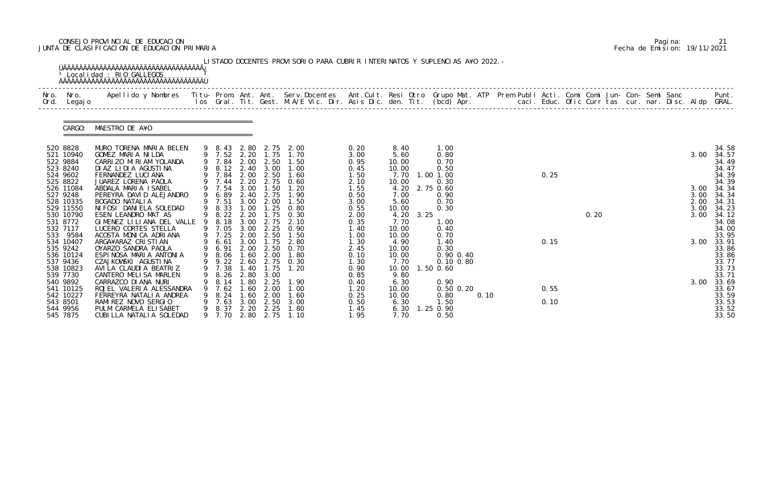# CONSEJO PROVINCIAL DE EDUCACION Pagina: 21 JUNTA DE CLASIFICACION DE EDUCACION PRIMARIA Fecha de Emision: 19/11/2021

| Nro. Nro.<br>Ord. Legajo                                               | <sup>3</sup> Localidad : RIO GALLEGOS<br>Apellido y Nombres  Titu- Prom. Ant. Ant. Serv.Docentes  Ant.Cult. Resi Otro Grupo Mat. ATP Prem Publi Acti. Comi Comi Jun- Con- Semi Sanc         Punt.<br>Ios Gral. Tit. Gest. M.A/E Vic. Dir. Asis Dic. den. Tit. (bcd) Apr. |   |                                                          |                                            |                                                                   |                                                                        |                                              |                                                |      |                                                             |      |  |              |      |  |  |                              |                                                    |
|------------------------------------------------------------------------|--------------------------------------------------------------------------------------------------------------------------------------------------------------------------------------------------------------------------------------------------------------------------|---|----------------------------------------------------------|--------------------------------------------|-------------------------------------------------------------------|------------------------------------------------------------------------|----------------------------------------------|------------------------------------------------|------|-------------------------------------------------------------|------|--|--------------|------|--|--|------------------------------|----------------------------------------------------|
| CARGO:                                                                 | MAESTRO DE A¥O                                                                                                                                                                                                                                                           |   |                                                          |                                            |                                                                   |                                                                        |                                              |                                                |      |                                                             |      |  |              |      |  |  |                              |                                                    |
| 520 8828<br>521 10940<br>522 9884<br>523 8240<br>524 9602              | MURO TORENA MARIA BELEN<br>GOMEZ MARIA NILDA<br>CARRIZO MIRIAM YOLANDA<br>DI AZ LI DI A AGUSTI NA<br>FERNANDEZ LUCIANA                                                                                                                                                   |   | 9 7.84                                                   | 2.00                                       | 2.50<br>9 8.12 2.40 3.00<br>2.00 2.50                             | 9 8.43 2.80 2.75 2.00<br>9 7.52 2.20 1.75 1.70<br>1.50<br>1.00<br>1.60 | 0.20<br>3.00<br>0.95<br>0.45                 | 8.40<br>5.60<br>10.00<br>10.00                 |      | 1.00<br>0.80<br>0.70<br>0.50                                |      |  | 0.25         |      |  |  | 3.00                         | 34.58<br>34.57<br>34.49<br>34.47<br>34.39          |
| 525 8822<br>526 11084<br>527 9248<br>528 10335<br>529 11550            | JUAREZ LORENA PAOLA<br>ABDALA MARIA ISABEL<br>PEREYRA DAVID ALEJANDRO<br>BOGADO NATALIA<br>NI FOSI DANI ELA SOLEDAD                                                                                                                                                      |   | 9 7.84<br>9 7.44<br>9 7.54<br>9 6.89<br>9 7.51<br>9 8.33 | 2.20<br>3.00<br>3.00<br>1.00               | 2.75<br>1.50<br>2.40 2.75<br>2.00                                 | 0.60<br>1.20<br>1.90<br>1.50<br>$1.25$ 0.80                            | 1.50<br>2.10<br>1.55<br>0.50<br>3.00<br>0.55 | 7.70<br>10.00<br>7.00<br>5.60<br>10.00         |      | 1.00 1.00<br>0.30<br>4.20 2.75 0.60<br>0.90<br>0.70<br>0.30 |      |  |              |      |  |  | 3.00<br>3.00<br>2.00<br>3.00 | 34.39<br>34.34<br>34.34<br>34.31<br>34.23          |
| 530 10790<br>531 8772<br>532 7117<br>533 9584<br>534 10407             | ESEN LEANDRO MAT AS<br>GIMENEZ LILIANA DEL VALLE<br>LUCERO CORTES STELLA<br>ACOSTA MONICA ADRIANA<br>ARGA¥ARAZ CRISTIAN                                                                                                                                                  |   | 9 8.22<br>8.18<br>9 7.05<br>9 7.25<br>6.61               | 3.00<br>3.00<br>3.00                       | 2.75<br>2.25<br>2.00 2.50<br>1.75                                 | 2.20 1.75 0.30<br>2.10<br>0.90<br>1.50<br>2.80                         | 2.00<br>0.35<br>1.40<br>1.00<br>1.30         | 4.20<br>7.70<br>10.00<br>10.00<br>4.90         | 3.25 | 1.00<br>0.40<br>0.70<br>1.40                                |      |  | 0.15         | 0.20 |  |  | 3.00<br>3.00                 | 34.12<br>34.08<br>34.00<br>33.95<br>33.91          |
| 535 9242<br>536 10124<br>537 9436<br>538 10823<br>539 7730             | OYARZO SANDRA PAOLA<br>ESPINOSA MARIA ANTONIA<br>CZAJKOWSKI AGUSTINA<br>AVI LA CLAUDI A BEATRIZ<br>CANTERO MELISA MARLEN                                                                                                                                                 | 9 | 9 6.91<br>9 7.38 1.40<br>8.26                            | 2.80                                       | 2.00 2.50<br>9 8.06 1.60 2.00<br>9 9.22 2.60 2.75<br>1.75<br>3.00 | 0.70<br>1.80<br>0.30<br>1.20                                           | 2.45<br>0.10<br>1.30<br>0.90<br>0.85         | 10.00<br>10.00<br>7.70<br>9.80                 |      | 0.30<br>0.90 0.40<br>0.10 0.80<br>10.00  1.50  0.60         |      |  |              |      |  |  |                              | 33.86<br>33.86<br>33.77<br>33.73<br>33.71          |
| 540 9892<br>541 10125<br>542 10227<br>543 8501<br>544 9956<br>545 7875 | CARRAZCO DI ANA NURI<br>ROJEL VALERIA ALESSANDRA<br>FERREYRA NATALI A ANDREA<br>RAMIREZ NOVO SERGIO<br>PULM CARMELA ELISABET<br>CUBILLA NATALIA SOLEDAD                                                                                                                  |   | 8.14<br>7.62<br>8.24<br>7.63<br>8.37<br>9 7.70           | .80<br>-60<br>1.60<br>3.00<br>2.20<br>2.80 | 2.25<br>2.00<br>2.00<br>2.50<br>2.25<br>2.75                      | 1.90<br>1.00<br>1.60<br>3.00<br>1.80<br>1.10                           | 0.40<br>1.20<br>0.25<br>0.50<br>1.45<br>1.95 | 6.30<br>10.00<br>10.00<br>6.30<br>6.30<br>7.70 |      | 0.90<br>$0.50$ $0.20$<br>0.80<br>1.50<br>1.25 0.90<br>0.50  | 0.10 |  | 0.55<br>0.10 |      |  |  | 3.00                         | 33.69<br>33.67<br>33.59<br>33.53<br>33.52<br>33.50 |

|  | Pagi na: | 21                           |
|--|----------|------------------------------|
|  |          | Fecha de Emision: 19/11/2021 |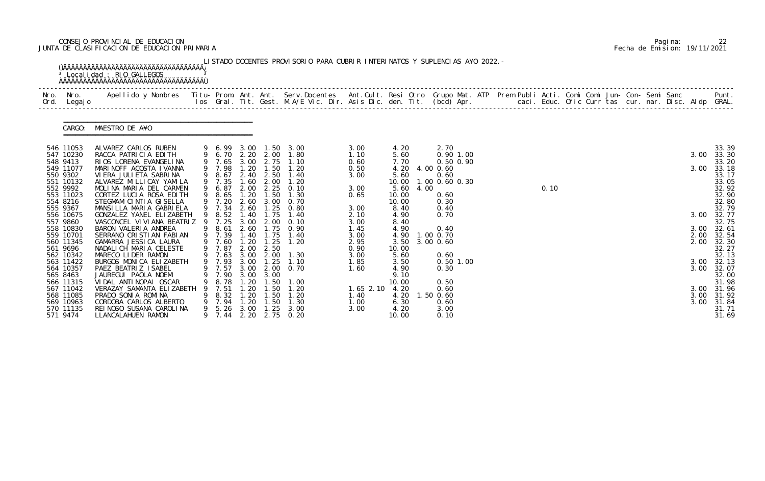# CONSEJO PROVINCIAL DE EDUCACION Pagina: 22 JUNTA DE CLASIFICACION DE EDUCACION PRIMARIA Fecha de Emision: 19/11/2021

| Ord.     | Nro. Nro.<br>Legaj o   | Apellido y Nombres  Titu- Prom. Ant. Ant.  Serv.Docentes  Ant.Cult. Resi Otro  Grupo Mat. ATP  Prem Publi Acti. Comi Comi Jun- Con- Semi Sanc              Punt.<br>Ios Gral. Tit. Gest. M.A/E Vic. Dir. Asis Dic. den. Tit. (bcd |    |                  |              |                          |                                  |              |               |      |                              |  |      |  |  |  |      |                |
|----------|------------------------|-----------------------------------------------------------------------------------------------------------------------------------------------------------------------------------------------------------------------------------|----|------------------|--------------|--------------------------|----------------------------------|--------------|---------------|------|------------------------------|--|------|--|--|--|------|----------------|
|          | CARGO:                 | MAESTRO DE A¥O                                                                                                                                                                                                                    |    |                  |              |                          |                                  |              |               |      |                              |  |      |  |  |  |      |                |
|          | 546 11053              | ALVAREZ CARLOS RUBEN                                                                                                                                                                                                              |    |                  |              |                          | 9 6.99 3.00 1.50 3.00            | 3.00         | 4.20          |      | 2.70                         |  |      |  |  |  |      | 33.39          |
|          | 547 10230<br>548 9413  | RACCA PATRICIA EDITH<br>RIOS LORENA EVANGELINA                                                                                                                                                                                    |    |                  |              | 9 6.70 2.20 2.00         | 1.80<br>9 7.65 3.00 2.75 1.10    | 1.10<br>0.60 | 5.60<br>7.70  |      | $0.90$ 1.00<br>$0.50$ $0.90$ |  |      |  |  |  | 3.00 | 33.30<br>33.20 |
|          | 549 11077              | MARINOFF ACOSTA IVANNA                                                                                                                                                                                                            |    | 9 7.98           | 1.20         | 1.50                     | 1.20                             | 0.50         | 4.20          |      | 4.00 0.60                    |  |      |  |  |  | 3.00 | 33.18          |
|          | 550 9302               | VI ERA JULI ETA SABRI NA                                                                                                                                                                                                          |    | 8.67             |              | 2.40 2.50                | 1.40                             | 3.00         | 5.60          |      | 0.60                         |  |      |  |  |  |      | 33.17          |
|          | 551 10132              | ALVAREZ MI LLI CAY YAMI LA                                                                                                                                                                                                        |    | 9 7.35           | 1.60         | 2.00                     | 1.20                             |              | 10.00         |      | 1.00 0.60 0.30               |  |      |  |  |  |      | 33.05          |
|          | 552 9992               | MOLINA MARIA DEL CARMEN                                                                                                                                                                                                           |    | 9 6.87           | 2.00         | 2.25                     | 0.10                             | 3.00         | 5.60          | 4.00 |                              |  | 0.10 |  |  |  |      | 32.92          |
|          | 553 11023              | CORTEZ LUCIA ROSA EDITH                                                                                                                                                                                                           |    | 8.65             | 1.20         | 1.50                     | 1.30                             | 0.65         | 10.00         |      | 0.60                         |  |      |  |  |  |      | 32.90          |
| 555 9367 | 554 8216               | STEGMAM CINTIA GISELLA<br>MANSILLA MARIA GABRIELA                                                                                                                                                                                 |    | 9 7.20<br>9 7.34 |              |                          | 2.60 3.00 0.70<br>2.60 1.25 0.80 | 3.00         | 10.00<br>8.40 |      | 0.30<br>0.40                 |  |      |  |  |  |      | 32.80<br>32.79 |
|          | 556 10675              | GONZALEZ YANEL ELIZABETH                                                                                                                                                                                                          | 9  | 8.52             | 1.40         | 1.75                     | 1.40                             | 2.10         | 4.90          |      | 0.70                         |  |      |  |  |  | 3.00 | 32.77          |
|          | 557 9860               | VASCONCEL VI VI ANA BEATRIZ 9                                                                                                                                                                                                     |    | 7.25             | 3.00         | 2.00                     | 0.10                             | 3.00         | 8.40          |      |                              |  |      |  |  |  |      | 32.75          |
|          | 558 10830              | BARON VALERIA ANDREA                                                                                                                                                                                                              |    | 9 8.61           |              | 2.60 1.75                | 0.90                             | 1.45         | 4.90          |      | 0.40                         |  |      |  |  |  | 3.00 | 32.61          |
|          | 559 10701              | SERRANO CRISTIAN FABIAN                                                                                                                                                                                                           |    | 9 7.39           | 1.40         | 1.75                     | 1.40                             | 3.00         | 4.90          |      | 1.00 0.70                    |  |      |  |  |  | 2.00 | 32.54          |
|          | 560 11345              | GAMARRA JESSICA LAURA                                                                                                                                                                                                             |    | 9 7.60           | 1.20         | 1.25                     | 1.20                             | 2.95         | 3.50          |      | 3.00 0.60                    |  |      |  |  |  | 2.00 | 32.30          |
|          | 561 9696               | NADALICH MARIA CELESTE                                                                                                                                                                                                            |    | 9 7.87           | 2.00         | 2.50                     |                                  | 0.90         | 10.00         |      |                              |  |      |  |  |  |      | 32.27          |
|          | 562 10342<br>563 11422 | MARECO LIDER RAMON<br>BURGOS MONICA ELIZABETH                                                                                                                                                                                     |    | 9 7.93 3.00      |              | 9 7.63 3.00 2.00<br>1.25 | 1.30<br>1.10                     | 3.00<br>1.85 | 5.60<br>3.50  |      | 0.60<br>$0.50$ 1.00          |  |      |  |  |  | 3.00 | 32.13<br>32.13 |
|          | 564 10357              | PAEZ BEATRIZ ISABEL                                                                                                                                                                                                               |    |                  |              | 9 7.57 3.00 2.00         | 0.70                             | 1.60         | 4.90          |      | 0.30                         |  |      |  |  |  | 3.00 | 32.07          |
|          | 565 8463               | JAUREGUI PAOLA NOEMI                                                                                                                                                                                                              |    | 7.90             | 3.00         | 3.00                     |                                  |              | 9.10          |      |                              |  |      |  |  |  |      | 32.00          |
|          | 566 11315              | VIDAL ANTINOPAI OSCAR                                                                                                                                                                                                             |    | 8. 78            | . 20         | . 50                     | 1.00                             |              | 10.00         |      | 0.50                         |  |      |  |  |  |      | 31.98          |
|          | 567 11042              | VERAZAY SAMANTA ELIZABETH                                                                                                                                                                                                         |    | 7.51             | -20          | . 50                     | 1.20                             | $1.65$ 2.10  | 4.20          |      | 0.60                         |  |      |  |  |  | 3.00 | 31.96          |
|          | 568 11085              | PRADO SONIA ROMINA                                                                                                                                                                                                                |    | 8.32             | .20          | $\overline{.50}$         | 1. 20                            | 1.40         | 4.20          |      | 1.50 0.60                    |  |      |  |  |  | 3.00 | 31.92          |
|          | 569 10963              | CORDOBA CARLOS ALBERTO                                                                                                                                                                                                            |    | 7.94             | .20          | 1.50                     | 1.30                             | 1.00         | 6.30          |      | 0.60                         |  |      |  |  |  | 3.00 | 31.84          |
|          | 570 11135<br>571 9474  | REI NOSO SUSANA CAROLINA<br>LLANCALAHUEN RAMON                                                                                                                                                                                    | 9. | 5.26<br>9 7.44   | 3.00<br>2.20 | 1.25<br>2.75             | 3.00<br>0.20                     | 3.00         | 4.20<br>10.00 |      | 3.00<br>0.10                 |  |      |  |  |  |      | 31.71<br>31.69 |

|  | Pagi na: | 22                           |
|--|----------|------------------------------|
|  |          | Fecha de Emision: 19/11/2021 |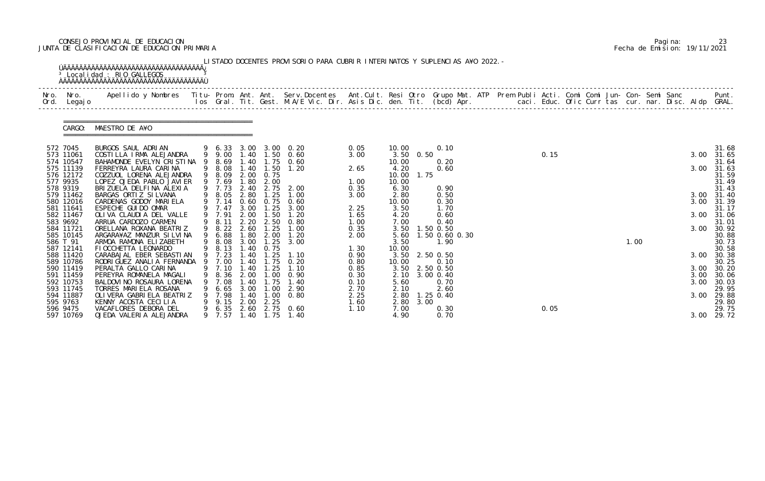# CONSEJO PROVINCIAL DE EDUCACION Pagina: 23 JUNTA DE CLASIFICACION DE EDUCACION PRIMARIA Fecha de Emision: 19/11/2021

| Nro.<br>Ord. | Nro.<br>Legaj o        | Apellido y Nombres Titu- Prom. Ant. Ant. Serv.Docentes Ant.Cult. Resi Otro Grupo Mat. ATP Prem Publi Acti. Comi Comi Jun- Con- Semi Sanc Punt.<br>Ios Gral. Tit. Gest. M.A/E Vic. Dir. Asis Dic. den. Tit. (bcd) Apr. |   |                  |                  |              |                       |              |                |      |                     |  |      |  |      |  |      |                |
|--------------|------------------------|-----------------------------------------------------------------------------------------------------------------------------------------------------------------------------------------------------------------------|---|------------------|------------------|--------------|-----------------------|--------------|----------------|------|---------------------|--|------|--|------|--|------|----------------|
|              | CARGO:                 | MAESTRO DE A¥O                                                                                                                                                                                                        |   |                  |                  |              |                       |              |                |      |                     |  |      |  |      |  |      |                |
| 572 7045     |                        | BURGOS SAUL ADRIAN                                                                                                                                                                                                    |   |                  |                  |              | 9 6.33 3.00 3.00 0.20 | 0.05         | 10.00          |      | 0.10                |  |      |  |      |  |      | 31.68          |
|              | 573 11061<br>574 10547 | COSTILLA IRMA ALEJANDRA<br>BAHAMONDE EVELYN CRISTINA                                                                                                                                                                  |   | 9 9.00<br>8.69   | 1.40             | 1.40 1.50    | 0.60<br>$1.75$ 0.60   | 3.00         | 3.50<br>10.00  | 0.50 | 0.20                |  | 0.15 |  |      |  | 3.00 | 31.65<br>31.64 |
|              | 575 11139              | FERREYRA LAURA CARINA                                                                                                                                                                                                 |   | 8.08             | 1.40             | 1.50         | 1.20                  | 2.65         | 4.20           |      | 0.60                |  |      |  |      |  | 3.00 | 31.63          |
|              | 576 12172              | COZZUOL LORENA ALEJANDRA                                                                                                                                                                                              | 9 | 8.09             | 2.00             | 0.75         |                       |              | 10.00          | 1.75 |                     |  |      |  |      |  |      | 31.59          |
| 577 9935     |                        | LOPEZ OJEDA PABLO JAVI ER                                                                                                                                                                                             |   | 7.69             | .80 <sub>1</sub> | 2.00         |                       | 1.00         | 10.00          |      |                     |  |      |  |      |  |      | 31.49          |
| 578 9319     |                        | BRIZUELA DELFINA ALEXIA                                                                                                                                                                                               |   | 9 7.73           | 2.40             | 2.75         | 2.00                  | 0.35         | 6.30           |      | 0.90                |  |      |  |      |  |      | 31.43          |
|              | 579 11462              | BARGAS ORTIZ SILVANA<br>CARDENAS GODOY MARIELA                                                                                                                                                                        |   | 8.05             | 2.80<br>0.60     | 1.25         | 1.00<br>0.60          | 3.00         | 2.80           |      | 0.50                |  |      |  |      |  | 3.00 | 31.40          |
|              | 580 12016<br>581 11641 | ESPECHE GUI DO OMAR                                                                                                                                                                                                   |   | 9 7.14<br>9 7.47 | 3.00             | 0.75<br>1.25 | 3.00                  | 2.25         | 10.00<br>3.50  |      | 0.30<br>1.70        |  |      |  |      |  | 3.00 | 31.39<br>31.17 |
|              | 582 11467              | OLIVA CLAUDIA DEL VALLE                                                                                                                                                                                               |   | 9 7.91           | 2.00             | 1.50         | 1.20                  | 1.65         | 4.20           |      | 0.60                |  |      |  |      |  | 3.00 | 31.06          |
| 583 9692     |                        | ARRUA CARDOZO CARMEN                                                                                                                                                                                                  |   | 8.11             | 2.20             | 2.50         | 0.80                  | 1.00         | 7.00           |      | 0.40                |  |      |  |      |  |      | 31.01          |
|              | 584 11721              | ORELLANA ROXANA BEATRIZ                                                                                                                                                                                               |   | 9 8.22           | 2.60             | 1.25         | 1.00                  | 0.35         | 3.50           |      | 1.50 0.50           |  |      |  |      |  | 3.00 | 30.92          |
|              | 585 10145              | ARGARA¥AZ MANZUR SILVINA                                                                                                                                                                                              | 9 | 6.88             | 1.80             | 2.00         | 1.20                  | 2.00         | 5.60           |      | 1.50 0.60 0.30      |  |      |  |      |  |      | 30.88          |
| 586 T 91     | 587 12141              | ARMOA RAMONA ELIZABETH<br>FI OCCHETTA LEONARDO                                                                                                                                                                        |   | 8.08<br>8.13     | 3.00<br>1.40     | 1.25<br>0.75 | 3.00                  | 1.30         | 3.50<br>10.00  |      | 1.90                |  |      |  | 1.00 |  |      | 30.73<br>30.58 |
|              | 588 11420              | CARABAJAL EBER SEBASTIAN                                                                                                                                                                                              |   | 9 7.23           | 1.40             | 1.25         | 1.10                  | 0.90         | 3.50           |      | 2.50 0.50           |  |      |  |      |  | 3.00 | 30.38          |
|              | 589 10786              | RODRI GUEZ ANALI A FERNANDA                                                                                                                                                                                           | 9 | 7.00             | .40              | .75          | 0.20                  | 0.80         | 10.00          |      | 0.10                |  |      |  |      |  |      | 30.25          |
|              | 590 11419              | PERALTA GALLO CARINA                                                                                                                                                                                                  |   | 9 7.10           | 1.40             | 1.25         | 1.10                  | 0.85         | 3.50 2.50 0.50 |      |                     |  |      |  |      |  | 3.00 | 30.20          |
|              | 591 11459              | PEREYRA ROMANELA MAGALI                                                                                                                                                                                               |   | 8.36             | 2.00             | $.00 \,$     | 0.90                  | 0.30         | 2.10           |      | 3.00 0.40           |  |      |  |      |  | 3.00 | 30.06          |
|              | 592 10753              | BALDOVI NO ROSAURA LORENA                                                                                                                                                                                             |   | 7.08             |                  | . 75         | 1. 40                 | 0.10         | 5.60           |      | 0.70                |  |      |  |      |  | 3.00 | 30.03          |
|              | 593 11745<br>594 11887 | TORRES MARIELA ROSANA<br>OLI VERA GABRI ELA BEATRIZ                                                                                                                                                                   |   | 6.65<br>7.98     | 3.00<br>1.40     | 1.00<br>1.00 | 2.90<br>0.80          | 2.70<br>2.25 | 2.10<br>2.80   |      | 2.60<br>$1.25$ 0.40 |  |      |  |      |  | 3.00 | 29.95<br>29.88 |
| 595 9763     |                        | KENNY ACOSTA CECILIA                                                                                                                                                                                                  |   | 9.15             | 2.00             | 2.25         |                       | 1.60         | 2.80           | 3.00 |                     |  |      |  |      |  |      | 29.80          |
| 596 9475     |                        | VACAFLORES DEBORA DEL                                                                                                                                                                                                 |   | 6.35             | 2.60             |              | 2.75 0.60             | 1.10         | 7.00           |      | 0.30                |  | 0.05 |  |      |  |      | 29.75          |
|              | 597 10769              | OJEDA VALERIA ALEJANDRA                                                                                                                                                                                               |   | 9 7.57           | 1.40             | 1.75         | 1.40                  |              | 4.90           |      | 0.70                |  |      |  |      |  | 3.00 | 29.72          |

|  | Pagi na: | 23                           |
|--|----------|------------------------------|
|  |          | Fecha de Emision: 19/11/2021 |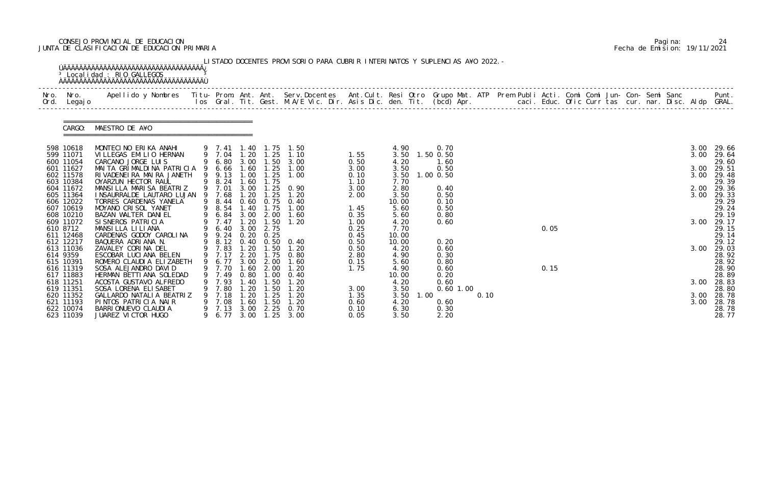# CONSEJO PROVINCIAL DE EDUCACION Pagina: 24 JUNTA DE CLASIFICACION DE EDUCACION PRIMARIA Fecha de Emision: 19/11/2021

| Nro. Nro.<br>Ord. Legajo | Apellido y Nombres  Titu- Prom. Ant. Ant.  Serv.Docentes  Ant.Cult. Resi Otro  Grupo Mat. ATP  Prem Publi Acti. Comi Comi Jun- Con- Semi Sanc              Punt.<br>Ios Gral. Tit. Gest. M.A/E Vic. Dir. Asis Dic. den. Tit. (bcd |                       |              |                                       |                               |              |                        |              |      |  |      |  |  |  |              |                     |
|--------------------------|-----------------------------------------------------------------------------------------------------------------------------------------------------------------------------------------------------------------------------------|-----------------------|--------------|---------------------------------------|-------------------------------|--------------|------------------------|--------------|------|--|------|--|--|--|--------------|---------------------|
| CARGO:                   | MAESTRO DE A¥O                                                                                                                                                                                                                    |                       |              |                                       |                               |              |                        |              |      |  |      |  |  |  |              |                     |
| 598 10618<br>599 11071   | MONTECINO ERIKA ANAHI<br>VILLEGAS EMILIO HERNAN                                                                                                                                                                                   | 9 7.04 1.20           |              | 1.25                                  | 9 7.41 1.40 1.75 1.50<br>1.10 | 1.55         | 4.90<br>3.50 1.50 0.50 | 0.70         |      |  |      |  |  |  | 3.00<br>3.00 | 29.66<br>29.64      |
| 600 11054                | CARCANO JORGE LUIS                                                                                                                                                                                                                |                       |              |                                       | 9 6.80 3.00 1.50 3.00         | 0.50         | 4.20                   | 1.60         |      |  |      |  |  |  |              | 29.60               |
| 601 11627                | MAITA GRIMALDINA PATRICIA 9 6.66 1.60 1.25 1.00                                                                                                                                                                                   |                       |              |                                       |                               | 3.00         | 3.50                   | 0.50         |      |  |      |  |  |  | 3.00         | 29.51               |
| 602 11578                | RIVADENEIRA MAIRA JANETH                                                                                                                                                                                                          | 9 9.13                | 1.00         | 1.25                                  | 1.00                          | 0.10         | 3.50                   | 1.00 0.50    |      |  |      |  |  |  | 3.00         | 29.48               |
| 603 10384<br>604 11672   | OYARZUN HECTOR RAUL<br>MANSILLA MARISA BEATRIZ                                                                                                                                                                                    | 9 8.24 1.60<br>9 7.01 | 3.00         | 1.75                                  | $1.25 \quad 0.90$             | 1.10<br>3.00 | 7.70<br>2.80           | 0.40         |      |  |      |  |  |  |              | 29.39<br>2.00 29.36 |
| 605 11364                | INSAURRALDE LAUTARO LUJAN 9 7.68                                                                                                                                                                                                  |                       | 1.20         | 1.25                                  | 1.20                          | 2.00         | 3.50                   | 0.50         |      |  |      |  |  |  | 3.00         | 29.33               |
| 606 12022                | TORRES CARDENAS YANELA                                                                                                                                                                                                            |                       |              |                                       | 9 8.44 0.60 0.75 0.40         |              | 10.00                  | 0.10         |      |  |      |  |  |  |              | 29.29               |
| 607 10619<br>608 10210   | MOYANO CRISOL YANET<br>BAZAN WALTER DANIEL                                                                                                                                                                                        |                       |              | 9 6.84 3.00 2.00                      | 9 8.54 1.40 1.75 1.00<br>1.60 | 1.45         | 5.60<br>5.60           | 0.50<br>0.80 |      |  |      |  |  |  |              | 29.24<br>29.19      |
| 609 11072                | SI SNEROS PATRICIA                                                                                                                                                                                                                | 9 7.47 1.20           |              |                                       | $1.50$ $1.20$                 | 0.35<br>1.00 | 4.20                   | 0.60         |      |  |      |  |  |  | 3.00         | 29.17               |
| 610 8712                 | MANSILLA LILIANA                                                                                                                                                                                                                  | 9 6.40                | 3.00         | 2.75                                  |                               | 0.25         | 7.70                   |              |      |  | 0.05 |  |  |  |              | 29.15               |
| 611 12468                | CARDENAS GODOY CAROLINA                                                                                                                                                                                                           | 9 9.24                |              | $0.20 \quad 0.25$                     |                               | 0.45         | 10.00                  |              |      |  |      |  |  |  |              | 29.14               |
| 612 12217<br>613 11036   | BAQUERA ADRIANA N.<br>ZAVALEY CORINA DEL                                                                                                                                                                                          | 9 7.83                |              | 1.20 1.50                             | 9 8.12 0.40 0.50 0.40<br>1.20 | 0.50<br>0.50 | 10.00<br>4.20          | 0.20<br>0.60 |      |  |      |  |  |  | 3.00         | 29.12<br>29.03      |
| 614 9359                 | ESCOBAR LUCIANA BELEN                                                                                                                                                                                                             |                       |              |                                       | 9 7.17 2.20 1.75 0.80         | 2.80         | 4.90                   | 0.30         |      |  |      |  |  |  |              | 28.92               |
| 615 10391                | ROMERO CLAUDIA ELIZABETH                                                                                                                                                                                                          |                       |              | 9 6.77 3.00 2.00                      | 1.60                          | 0.15         | 5.60                   | 0.80         |      |  |      |  |  |  |              | 28.92               |
| 616 11319                | SOSA ALEJANDRO DAVID                                                                                                                                                                                                              |                       |              | 9 7.70 1.60 2.00                      | 1.20                          | 1.75         | 4.90                   | 0.60         |      |  | 0.15 |  |  |  |              | 28.90               |
| 617 11883<br>618 11251   | HERMAN BETTI ANA SOLEDAD                                                                                                                                                                                                          | 7.49<br>7.93          | 0.80<br>40   | 00<br>. 50                            | 0.40<br>l . 20                |              | 10.00<br>4.20          | 0.20<br>0.60 |      |  |      |  |  |  |              | 28.89<br>28.83      |
| 619 11351                | ACOSTA GUSTAVO ALFREDO<br>SOSA LORENA ELI SABET                                                                                                                                                                                   | 7.80                  | . 20         | . 50                                  | 1. 20                         | 3.00         | 3.50                   | $0.60$ 1.00  |      |  |      |  |  |  | 3.00         | 28.80               |
| 620 11352                | GALLARDO NATALI A BEATRIZ                                                                                                                                                                                                         | 7.18                  | 20           | . 25                                  | 1. 20                         | 1. 35        | 3.50<br>1.00           |              | 0.10 |  |      |  |  |  | 3.00         | 28.78               |
| 621 11193                | PINTOS PATRICIA NAIR                                                                                                                                                                                                              | 7.08                  | 60           | .50                                   | 1. 20                         | 0.60         | 4.20                   | 0.60         |      |  |      |  |  |  | 3.00         | 28.78               |
| 622 10074<br>623 11039   | BARRI ONUEVO CLAUDI A<br>JUAREZ VICTOR HUGO                                                                                                                                                                                       | 7.13<br>6.77          | 3.00<br>3.00 | 2.25<br>$\overline{\phantom{0}}$ . 25 | 0.70<br>3.00                  | 0.10<br>0.05 | 6.30<br>3.50           | 0.30<br>2.20 |      |  |      |  |  |  |              | 28.78<br>28.77      |

|  | Pagi na: | 24                           |
|--|----------|------------------------------|
|  |          | Fecha de Emision: 19/11/2021 |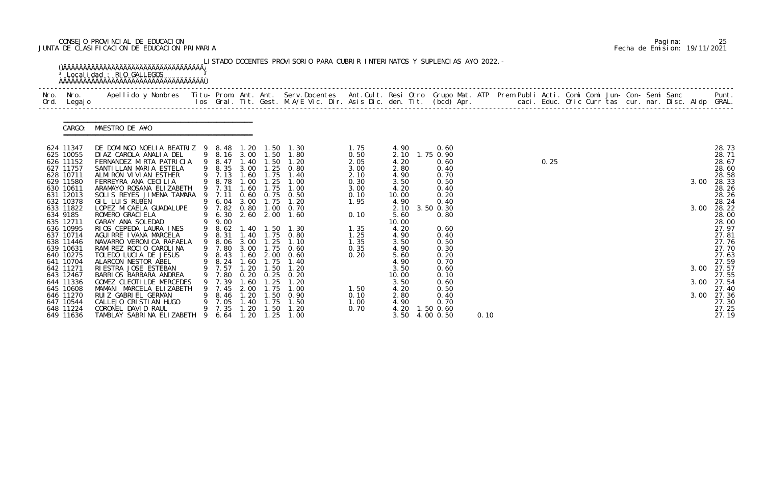# CONSEJO PROVINCIAL DE EDUCACION Pagina: 25 JUNTA DE CLASIFICACION DE EDUCACION PRIMARIA Fecha de Emision: 19/11/2021

| Nro.<br>Ord. | Nro.<br>Legaj o        | Apellido y Nombres  Titu- Prom. Ant. Ant. Serv.Docentes  Ant.Cult. Resi Otro Grupo Mat. ATP Prem Publi Acti. Comi Comi Jun- Con- Semi Sanc           Punt.<br>Ios Gral. Tit. Gest. M.A/E Vic. Dir. Asis Dic. den. Tit. (bcd) Apr. |    |                  |              |                   |                                         |              |                |                   |      |  |      |  |  |      |                |
|--------------|------------------------|-----------------------------------------------------------------------------------------------------------------------------------------------------------------------------------------------------------------------------------|----|------------------|--------------|-------------------|-----------------------------------------|--------------|----------------|-------------------|------|--|------|--|--|------|----------------|
|              | CARGO:                 | MAESTRO DE A¥O                                                                                                                                                                                                                    |    |                  |              |                   |                                         |              |                |                   |      |  |      |  |  |      |                |
|              | 624 11347<br>625 10055 | DE DOMINGO NOELIA BEATRIZ 9 8.48<br>DIAZ CAROLA ANALIA DEL                                                                                                                                                                        |    |                  |              |                   | 1.20 1.50 1.30<br>9 8.16 3.00 1.50 1.80 | 1.75<br>0.50 | 4.90<br>2.10   | 0.60<br>1.75 0.90 |      |  |      |  |  |      | 28.73<br>28.71 |
|              | 626 11152              | FERNANDEZ MIRTA PATRICIA                                                                                                                                                                                                          |    | 9 8.47           | 1.40         | 1.50              | 1.20                                    | 2.05         | 4.20           | 0.60              |      |  | 0.25 |  |  |      | 28.67          |
|              | 627 11757<br>628 10711 | SANTI LLAN MARI A ESTELA<br>ALMIRON VIVIAN ESTHER                                                                                                                                                                                 |    | 9 8.35<br>9 7.13 | 3.00         | 1.25<br>1.60 1.75 | 0.80<br>1.40                            | 3.00<br>2.10 | 2.80<br>4.90   | 0.40<br>0.70      |      |  |      |  |  |      | 28.60<br>28.58 |
|              | 629 11580              | FERREYRA ANA CECILIA                                                                                                                                                                                                              |    | 9 8.78           | 1.00         | 1.25              | 1.00                                    | 0.30         | 3.50           | 0.50              |      |  |      |  |  | 3.00 | 28.33          |
|              | 630 10611              | ARAMAYO ROSANA ELIZABETH                                                                                                                                                                                                          |    | 9 7.31           | 1.60         | 1.75              | 1.00                                    | 3.00         | 4.20           | 0.40              |      |  |      |  |  |      | 28.26          |
|              | 631 12013<br>632 10378 | SOLIS REYES JIMENA TAMARA<br>GIL LUIS RUBEN                                                                                                                                                                                       |    | 9 7.11<br>9 6.04 | 3.00         | 1.75              | $0.60$ $0.75$ $0.50$<br>1.20            | 0.10<br>1.95 | 10.00<br>4.90  | 0.20<br>0.40      |      |  |      |  |  |      | 28.26<br>28.24 |
|              | 633 11822              | LOPEZ MI CAELA GUADALUPE                                                                                                                                                                                                          |    | 9 7.82           | 0.80         | 1.00              | 0. 70                                   |              | 2.10           | 3.50 0.30         |      |  |      |  |  | 3.00 | 28.22          |
| 634 9185     |                        | ROMERO GRACI ELA                                                                                                                                                                                                                  |    | 6.30             |              |                   | 2.60 2.00 1.60                          | 0.10         | 5.60           | 0.80              |      |  |      |  |  |      | 28.00          |
|              | 635 12711<br>636 10995 | GARAY ANA SOLEDAD<br>RIOS CEPEDA LAURA INES                                                                                                                                                                                       |    | 9.00<br>9 8.62   |              |                   | 1.40 1.50 1.30                          | 1.35         | 10.00<br>4.20  | 0.60              |      |  |      |  |  |      | 28.00<br>27.97 |
|              | 637 10714              | AGUI RRE I VANA MARCELA                                                                                                                                                                                                           | 9  | 8.31             |              |                   | 1.40 1.75 0.80                          | 1.25         | 4.90           | 0.40              |      |  |      |  |  |      | 27.81          |
|              | 638 11446              | NAVARRO VERONICA RAFAELA                                                                                                                                                                                                          | 9  | 8.06             | 3.00         | 1.25              | 1.10                                    | 1.35         | 3.50           | 0.50              |      |  |      |  |  |      | 27.76          |
|              | 639 10631              | RAMI REZ ROCIO CAROLINA                                                                                                                                                                                                           |    | 9 7.80           | 3.00         |                   | 1.75 0.60                               | 0.35         | 4.90           | 0.30              |      |  |      |  |  |      | 27.70          |
|              | 640 10275<br>641 10704 | TOLEDO LUCIA DE JESUS<br>ALARCON NESTOR ABEL                                                                                                                                                                                      |    | 9 8.43<br>9 8.24 | 1.60         | 1.75              | 1.60 2.00 0.60<br>1.40                  | 0.20         | 5.60<br>4.90   | 0.20<br>0.70      |      |  |      |  |  |      | 27.63<br>27.59 |
|              | 642 11271              | RI ESTRA JOSE ESTEBAN                                                                                                                                                                                                             |    | 9 7.57           | 1.20         | 1.50              | 1.20                                    |              | 3.50           | 0.60              |      |  |      |  |  | 3.00 | 27.57          |
|              | 643 12467              | BARRIOS BARBARA ANDREA                                                                                                                                                                                                            |    | 7.80             | 0. 20        | 0.25              | 0.20                                    |              | 10.00          | 0.10              |      |  |      |  |  |      | 27.55          |
|              | 644 11336              | GOMEZ CLEOTILDE MERCEDES                                                                                                                                                                                                          |    | 7.39             | . 60         | . 25              | 1.20                                    |              | 3.50           | 0.60              |      |  |      |  |  | 3.00 | 27.54          |
|              | 645 10608<br>646 11270 | MAMANI MARCELA ELIZABETH<br>RUIZ GABRIEL GERMAN                                                                                                                                                                                   |    | 7.45<br>8.46     | 2.00<br>1.20 | 1.75<br>1.50      | 1.00<br>0. 90                           | 1.50<br>0.10 | 4.20<br>2.80   | 0.50<br>0.40      |      |  |      |  |  | 3.00 | 27.40<br>27.36 |
|              | 647 10544              | CALLEJO CRISTIAN HUGO                                                                                                                                                                                                             |    | 7.05             | . 40         | 1.75              | 1.50                                    | 1.00         | 4.90           | 0.70              |      |  |      |  |  |      | 27.30          |
|              | 648 11224              | CORONEL DAVID RAUL                                                                                                                                                                                                                |    | 9 7.35           | 1.20         | 1.50              | 1.20                                    | 0.70         | 4.20           | 1.50 0.60         |      |  |      |  |  |      | 27.25          |
|              | 649 11636              | TAMBLAY SABRINA ELIZABETH                                                                                                                                                                                                         | -9 | 6. 64            | 1.20         | 1.25              | 1.00                                    |              | 3.50 4.00 0.50 |                   | 0.10 |  |      |  |  |      | 27.19          |

|  | Pagi na: | 25                           |
|--|----------|------------------------------|
|  |          | Fecha de Emision: 19/11/2021 |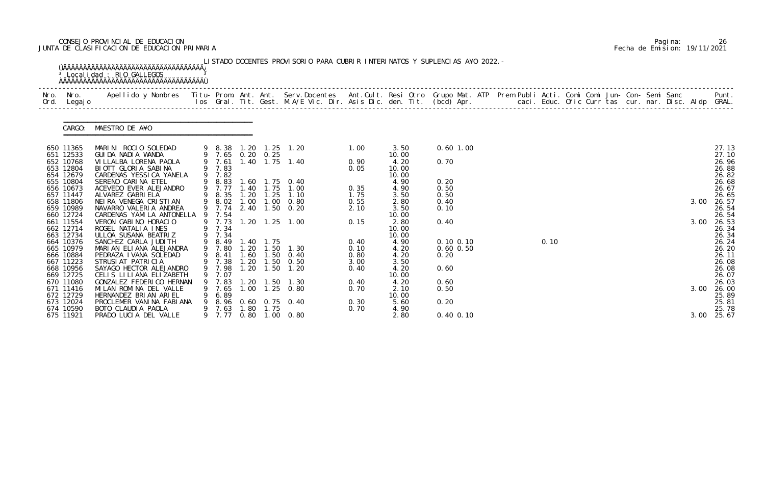# CONSEJO PROVINCIAL DE EDUCACION Pagina: 26 JUNTA DE CLASIFICACION DE EDUCACION PRIMARIA Fecha de Emision: 19/11/2021

| Nro. | Nro.<br>Ord. Legajo                 | Apellido y Nombres - Titu- Prom. Ant. Ant. Serv.Docentes - Ant.Cult. Resi Otro Grupo Mat. ATP Prem Publi Acti. Comi Comi Jun- Con- Semi Sanc - - - Punt.<br>Ios Gral. Tit. Gest. M.A/E Vic. Dir. Asis Dic. den. Tit. (bcd) Apr. - |   |                            |      |                        |                                     |              |                        |               |  |      |  |  |  |      |                         |
|------|-------------------------------------|-----------------------------------------------------------------------------------------------------------------------------------------------------------------------------------------------------------------------------------|---|----------------------------|------|------------------------|-------------------------------------|--------------|------------------------|---------------|--|------|--|--|--|------|-------------------------|
|      |                                     | CARGO: MAESTRO DE A¥O<br>:============================                                                                                                                                                                            |   |                            |      |                        |                                     |              |                        |               |  |      |  |  |  |      |                         |
|      | 650 11365<br>651 12533              | MARINI ROCIO SOLEDAD<br>GUIDA NADIA WANDA                                                                                                                                                                                         |   |                            |      | 9 7.65 0.20 0.25       | 9 8.38 1.20 1.25 1.20               | 1.00         | 3.50<br>10.00          | $0.60$ 1.00   |  |      |  |  |  |      | 27.13<br>27.10          |
|      | 652 10768<br>653 12804<br>654 12679 | VI LLALBA LORENA PAOLA<br>BIOTT GLORIA SABINA<br>CARDENAS YESSICA YANELA                                                                                                                                                          |   | 9 7.61<br>9 7.83<br>9 7.82 |      |                        | 1.40 1.75 1.40                      | 0.90<br>0.05 | 4.20<br>10.00<br>10.00 | 0.70          |  |      |  |  |  |      | 26.96<br>26.88<br>26.82 |
|      | 655 10804<br>656 10673              | SERENO CARINA ETEL<br>ACEVEDO EVER ALEJANDRO                                                                                                                                                                                      |   | 8.83<br>9 7.77             |      |                        | 1.60 1.75 0.40<br>1.40 1.75 1.00    | 0.35         | 4.90<br>4.90           | 0.20<br>0.50  |  |      |  |  |  |      | 26.68<br>26.67          |
|      | 657 11447                           | ALVAREZ GABRI ELA                                                                                                                                                                                                                 |   | 9 8.35                     |      | $1.20$ $1.25$          | 1.10                                | 1.75         | 3.50                   | 0.50          |  |      |  |  |  |      | 26.65                   |
|      | 658 11806<br>659 10989<br>660 12724 | NEIRA VENEGA CRISTIAN<br>NAVARRO VALERIA ANDREA<br>CARDENAS YAMILA ANTONELLA                                                                                                                                                      |   | 9 8.02<br>9 7.74<br>9 7.54 | 1.00 |                        | $1.00 \quad 0.80$<br>2.40 1.50 0.20 | 0.55<br>2.10 | 2.80<br>3.50<br>10.00  | 0.40<br>0.10  |  |      |  |  |  | 3.00 | 26.57<br>26.54<br>26.54 |
|      | 661 11554<br>662 12714<br>663 12734 | VERON GABINO HORACIO<br>ROGEL NATALIA INES<br>ULLOA SUSANA BEATRIZ                                                                                                                                                                |   | 9 7.73<br>9 7.34<br>9 7.34 |      |                        | 1.20 1.25 1.00                      | 0.15         | 2.80<br>10.00<br>10.00 | 0.40          |  |      |  |  |  | 3.00 | 26.53<br>26.34<br>26.34 |
|      | 664 10376                           | SANCHEZ CARLA JUDI TH                                                                                                                                                                                                             | 9 | 8.49                       |      | 1.40 1.75              |                                     | 0.40         | 4.90                   | $0.10$ $0.10$ |  | 0.10 |  |  |  |      | 26.24                   |
|      | 665 10979                           | MARIAN ELIANA ALEJANDRA                                                                                                                                                                                                           |   | 9 7.80                     |      |                        | 1.20 1.50 1.30                      | 0.10         | 4.20                   | $0.60$ $0.50$ |  |      |  |  |  |      | 26.20                   |
|      | 666 10884<br>667 11223              | PEDRAZA I VANA SOLEDAD<br>STRUSI AT PATRICIA                                                                                                                                                                                      |   | 9 8.41<br>9 7.38           |      | 1.60 1.50<br>1.20 1.50 | 0.40<br>0. 50                       | 0.80<br>3.00 | 4.20<br>3.50           | 0.20          |  |      |  |  |  |      | 26.11<br>26.08          |
|      | 668 10956                           | SAYAGO HECTOR ALEJANDRO                                                                                                                                                                                                           |   | 9 7.98                     |      | $1.20$ $1.50$          | 1.20                                | 0.40         | 4.20                   | 0.60          |  |      |  |  |  |      | 26.08                   |
|      | 669 12725                           | CELIS LILIANA ELIZABETH                                                                                                                                                                                                           |   | 7.07                       |      |                        |                                     |              | 10.00                  |               |  |      |  |  |  |      | 26.07                   |
|      | 670 11080                           | GONZALEZ FEDERICO HERNAN                                                                                                                                                                                                          |   | 9 7.83                     |      |                        | 1.20 1.50 1.30                      | 0.40         | 4.20                   | 0.60          |  |      |  |  |  |      | 26.03                   |
|      | 671 11416<br>672 12729              | MILAN ROMINA DEL VALLE<br>HERNANDEZ BRIAN ARIEL                                                                                                                                                                                   |   | 9 7.65<br>6.89             |      |                        | 1.00 1.25 0.80                      | 0.70         | 2.10<br>10.00          | 0.50          |  |      |  |  |  | 3.00 | 26.00<br>25.89          |
|      | 673 12024                           | PROCLEMER VANINA FABIANA                                                                                                                                                                                                          | 9 | 8.96                       |      |                        | 0.60 0.75 0.40                      | 0.30         | 5.60                   | 0.20          |  |      |  |  |  |      | 25.81                   |
|      | 674 10590                           | BOTO CLAUDIA PAOLA                                                                                                                                                                                                                |   | 9 7.63                     | 1.80 | 1.75                   |                                     | 0.70         | 4.90                   |               |  |      |  |  |  |      | 25.78                   |
|      | 675 11921                           | PRADO LUCIA DEL VALLE                                                                                                                                                                                                             |   | 9 7.77                     |      |                        | $0.80$ 1.00 0.80                    |              | 2.80                   | $0.40$ $0.10$ |  |      |  |  |  | 3.00 | 25.67                   |

|  | Pagi na: | 26                           |
|--|----------|------------------------------|
|  |          | Fecha de Emision: 19/11/2021 |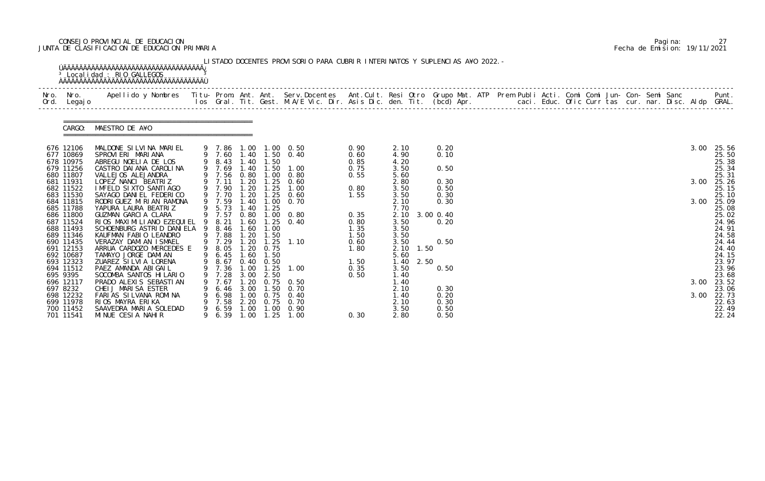# CONSEJO PROVINCIAL DE EDUCACION Pagina: 27 JUNTA DE CLASIFICACION DE EDUCACION PRIMARIA Fecha de Emision: 19/11/2021

| Ord. Legajo                         |                                                                                    |                            |                                              |                          |                                                    |                      |                           |      |                        |  |  |  |  |  |      |                         |
|-------------------------------------|------------------------------------------------------------------------------------|----------------------------|----------------------------------------------|--------------------------|----------------------------------------------------|----------------------|---------------------------|------|------------------------|--|--|--|--|--|------|-------------------------|
|                                     | CARGO: MAESTRO DE A¥O                                                              |                            |                                              |                          |                                                    |                      |                           |      |                        |  |  |  |  |  |      |                         |
| 676 12106<br>677 10869              | MALDONE SILVINA MARIEL<br>SPROVIERI MARIANA                                        |                            |                                              |                          | 9 7.86 1.00 1.00 0.50<br>9 7.60 1.40 1.50 0.40     | 0.90<br>0.60         | 2.10<br>4.90              |      | 0.20<br>0.10           |  |  |  |  |  | 3.00 | 25.56<br>25.50          |
| 678 10975<br>679 11256              | ABREGU NOELIA DE LOS<br>CASTRO DAI ANA CAROLINA                                    | 9 8.43 1.40<br>9 7.69      |                                              | 1.50                     | 1.40 1.50 1.00                                     | 0.85<br>0.75         | 4.20<br>3.50              |      | 0.50                   |  |  |  |  |  |      | 25.38<br>25.34          |
| 680 11807<br>681 11931<br>682 11522 | VALLEJOS ALEJANDRA<br>LOPEZ NANCI BEATRIZ<br>IMFELD SIXTO SANTIAGO                 | 9 7.11<br>9 7.90           | 1.20<br>1.20                                 | 1.25                     | 9 7.56 0.80 1.00 0.80<br>$1.25 \quad 0.60$<br>1.00 | 0.55<br>0.80         | 5.60<br>2.80<br>3.50      |      | 0.30<br>0.50           |  |  |  |  |  | 3.00 | 25.31<br>25.26<br>25.15 |
| 683 11530<br>684 11815<br>685 11788 | SAYAGO DANIEL FEDERICO<br>RODRI GUEZ MI RI AN RAMONA<br>YAPURA LAURA BEATRIZ       | 9 7.70<br>9 7.59<br>9 5.73 | 1.20<br>1.40<br>1.40                         | 1.25<br>1.25             | 0.60<br>$1.00 \quad 0.70$                          | 1.55                 | 3.50<br>2.10<br>7.70      |      | 0.30<br>0.30           |  |  |  |  |  | 3.00 | 25.10<br>25.09<br>25.08 |
| 686 11800<br>687 11524              | GUZMAN GARCIA CLARA<br>RIOS MAXIMILIANO EZEQUIEL 9 8.21                            | 9 7.57                     | 0.80<br>1.60                                 |                          | $1.00 \quad 0.80$<br>$1.25 \quad 0.40$             | 0.35<br>0.80         | 3.50                      |      | 2.10 3.00 0.40<br>0.20 |  |  |  |  |  |      | 25.02<br>24.96          |
| 688 11493<br>689 11346<br>690 11435 | SCHOENBURG ASTRID DANIELA 9 8.46<br>KAUFMAN FABIO LEANDRO<br>VERAZAY DAMIAN ISMAEL | 9 7.88<br>9 7.29           | 1.60<br>1.20<br>1.20                         | 1.00<br>1.50             | $1.25$ 1.10                                        | 1.35<br>1.50<br>0.60 | 3.50<br>3.50<br>3.50      |      | 0.50                   |  |  |  |  |  |      | 24.91<br>24.58<br>24.44 |
| 691 12153<br>692 10687              | ARRUA CARDOZO MERCEDES E<br>TAMAYO JORGE DAMIAN                                    | 9 8.05<br>9 6.45           | 1.20<br>1.60                                 | 0.75<br>1.50             |                                                    | 1.80                 | $2.10 \quad 1.50$<br>5.60 |      |                        |  |  |  |  |  |      | 24.40<br>24.15          |
| 693 12323<br>694 11512<br>695 9395  | ZUAREZ SILVIA LORENA<br>PAEZ AMANDA ABIGAIL<br>SOCOMBA SANTOS HILARIO              | 9 7.36<br>7. 28            | 3.00                                         | 9 8.67 0.40 0.50<br>2.50 | 1.00  1.25  1.00                                   | 1.50<br>0.35<br>0.50 | 1.40<br>3.50<br>1.40      | 2.50 | 0.50                   |  |  |  |  |  |      | 23.97<br>23.96<br>23.68 |
| 696 12117<br>697 8232               | PRADO ALEXIS SEBASTIAN<br>CHEIJ MARISA ESTER                                       | 7.67<br>6.46               | <b>20</b><br>3.00                            | 0.75<br>. 50             | 0. 50<br>0.70                                      |                      | 1.40<br>2.10              |      | 0.30                   |  |  |  |  |  | 3.00 | 23.52<br>23.06          |
| 698 12232<br>699 11978<br>700 11452 | FARIAS SILVANA ROMINA<br>RIOS MAYRA ERIKA<br>SAAVEDRA MARIA SOLEDAD                | 6.98<br>7.58<br>6.59       | .00 <sub>1</sub><br>2.20<br>.00 <sub>1</sub> | 0.75<br>0.75<br>.00      | 0.40<br>0.70<br>0.90                               |                      | 1.40<br>2.10<br>3.50      |      | 0.20<br>0.30<br>0.50   |  |  |  |  |  | 3.00 | 22.73<br>22.63<br>22.49 |

|  | Pagi na: |                              |
|--|----------|------------------------------|
|  |          | Fecha de Emision: 19/11/2021 |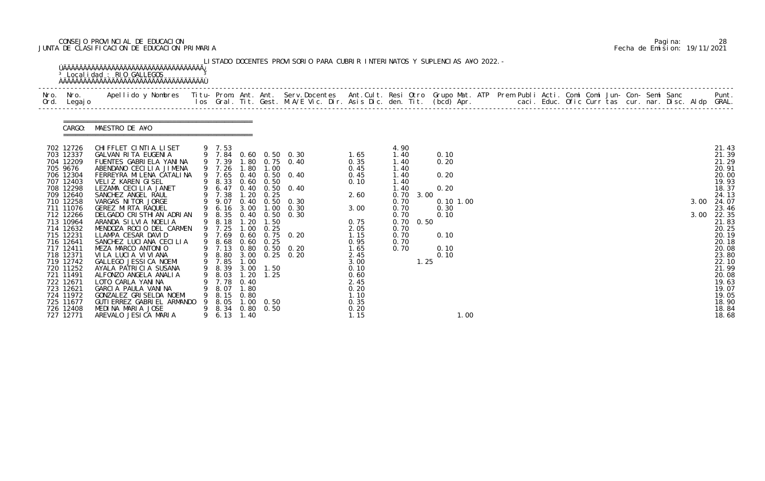# CONSEJO PROVINCIAL DE EDUCACION Pagina: 28 JUNTA DE CLASIFICACION DE EDUCACION PRIMARIA Fecha de Emision: 19/11/2021

| Nro. Nro.<br>Ord. Legajo                                                                                                                                                                                                                                                                                                                      | Apellido y Nombres  Titu- Prom. Ant. Ant. Serv.Docentes  Ant.Cult. Resi Otro Grupo Mat. ATP Prem Publi Acti. Comi Comi Jun- Con- Semi Sanc           Punt.<br>Ios Gral. Tit. Gest. M.A/E Vic. Dir. Asis Dic. den. Tit. (bcd) Apr.                                                                                                                                                                                                                                                                                                                                                                                                                           |        |                                                                                                                                                                                                                  |                                                                                                       |                                                                                                                    |                                                                                                                                                                                         |                                                                                                                                                                              |                                                                                                                      |                                   |                                                                                  |      |  |  |  |  |              |                                                                                                                                                                                                                                        |
|-----------------------------------------------------------------------------------------------------------------------------------------------------------------------------------------------------------------------------------------------------------------------------------------------------------------------------------------------|-------------------------------------------------------------------------------------------------------------------------------------------------------------------------------------------------------------------------------------------------------------------------------------------------------------------------------------------------------------------------------------------------------------------------------------------------------------------------------------------------------------------------------------------------------------------------------------------------------------------------------------------------------------|--------|------------------------------------------------------------------------------------------------------------------------------------------------------------------------------------------------------------------|-------------------------------------------------------------------------------------------------------|--------------------------------------------------------------------------------------------------------------------|-----------------------------------------------------------------------------------------------------------------------------------------------------------------------------------------|------------------------------------------------------------------------------------------------------------------------------------------------------------------------------|----------------------------------------------------------------------------------------------------------------------|-----------------------------------|----------------------------------------------------------------------------------|------|--|--|--|--|--------------|----------------------------------------------------------------------------------------------------------------------------------------------------------------------------------------------------------------------------------------|
|                                                                                                                                                                                                                                                                                                                                               | CARGO: MAESTRO DE A¥O                                                                                                                                                                                                                                                                                                                                                                                                                                                                                                                                                                                                                                       |        |                                                                                                                                                                                                                  |                                                                                                       |                                                                                                                    |                                                                                                                                                                                         |                                                                                                                                                                              |                                                                                                                      |                                   |                                                                                  |      |  |  |  |  |              |                                                                                                                                                                                                                                        |
| 702 12726<br>703 12337<br>704 12209<br>705 9676<br>706 12304<br>707 12403<br>708 12298<br>709 12640<br>710 12258<br>711 11076<br>712 12266<br>713 10964<br>714 12632<br>715 12231<br>716 12641<br>717 12411<br>718 12371<br>719 12742<br>720 11252<br>721 11491<br>722 12671<br>723 12621<br>724 11972<br>725 11677<br>726 12408<br>727 12771 | CHI FFLET CINTIA LISET<br>GALVAN RITA EUGENIA<br>FUENTES GABRIELA YANINA<br>ABENDANO CECILIA JIMENA<br>FERREYRA MI LENA CATALI NA<br>VELIZ KAREN GISEL<br>LEZAMA CECILIA JANET<br>SANCHEZ ANGEL RAUL<br>VARGAS NITOR JORGE<br>GEREZ MIRTA RAQUEL<br>DELGADO CRISTHIAN ADRIAN<br>ARANDA SILVIA NOELIA<br>MENDOZA ROCIO DEL CARMEN<br>LLAMPA CESAR DAVID<br>SANCHEZ LUCIANA CECILIA<br>MEZA MARCO ANTONIO<br>VILA LUCIA VIVIANA<br>GALLEGO JESSICA NOEMI<br>AYALA PATRICIA SUSANA<br>ALFONZO ANGELA ANALIA<br>LOTO CARLA YANINA<br>GARCIA PAULA VANINA<br>GONZALEZ GRISELDA NOEMI<br>GUTI ERREZ GABRI EL ARMANDO<br>MEDINA MARIA JOSE<br>AREVALO JESICA MARIA | 9<br>9 | 9 7.53<br>9 7.26<br>9 7.65<br>9 8.33<br>9 6.47<br>9 7.38<br>9.07<br>9 6.16<br>8.35<br>9 8.18<br>9 7.25<br>9 7.69<br>9 8.68<br>9 7.13<br>9 8.80<br>9 7.85<br>8.03<br>7.78<br>8.07<br>8.15<br>8.05<br>8.34<br>6.13 | 1.80<br>1.20<br>0.40<br>3.00<br>1.00<br>1.00<br>1.20<br>0.40<br>l. 80<br>0.80<br>1.00<br>0.80<br>1.40 | 1.00<br>$0.60$ $0.50$<br>0.25<br>1.00<br>1.50<br>0.25<br>$0.60$ $0.25$<br>9 8.39 3.00 1.50<br>1.25<br>0.50<br>0.50 | 9 7.84 0.60 0.50 0.30<br>9 7.39 1.80 0.75 0.40<br>0.40 0.50 0.40<br>0.40 0.50 0.40<br>$0.50 \quad 0.30$<br>0.30<br>0.40 0.50 0.30<br>0.60 0.75 0.20<br>0.80 0.50 0.20<br>3.00 0.25 0.20 | 1.65<br>0.35<br>0.45<br>0.45<br>0.10<br>2.60<br>3.00<br>0.75<br>2.05<br>1.15<br>0.95<br>1.65<br>2.45<br>3.00<br>0.10<br>0.60<br>2.45<br>0.20<br>1.10<br>0.35<br>0.20<br>1.15 | 4.90<br>1.40<br>1.40<br>1.40<br>1.40<br>1.40<br>1.40<br>0.70<br>0.70<br>0.70<br>0.70<br>0.70<br>0.70<br>0.70<br>0.70 | 3.00<br>$0.70 \quad 0.50$<br>1.25 | 0.10<br>0.20<br>0.20<br>0.20<br>0.101.00<br>0.30<br>0.10<br>0.10<br>0.10<br>0.10 | 1.00 |  |  |  |  | 3.00<br>3.00 | 21.43<br>21.39<br>21.29<br>20.91<br>20.00<br>19.93<br>18.37<br>24.13<br>24.07<br>23.46<br>22.35<br>21.83<br>20.25<br>20.19<br>20.18<br>20.08<br>23.80<br>22.10<br>21.99<br>20.08<br>19.63<br>19.07<br>19.05<br>18.90<br>18.84<br>18.68 |

|  | Pagi na: | 28                           |
|--|----------|------------------------------|
|  |          | Fecha de Emision: 19/11/2021 |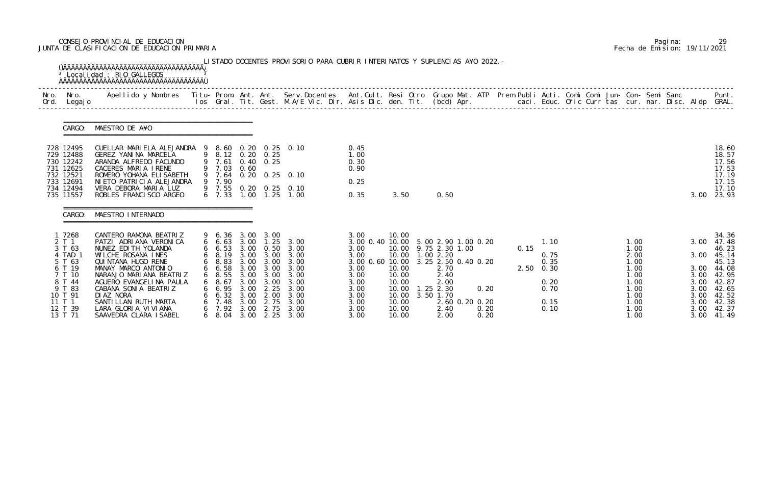# CONSEJO PROVINCIAL DE EDUCACION Pagina: 29 JUNTA DE CLASIFICACION DE EDUCACION PRIMARIA Fecha de Emision: 19/11/2021

|              |                                                                                                                               | <sup>3</sup> Localidad : RIO GALLEGOS                                                                                                                                                                                                                                                                             |        |                                                                                                                             |                                              |                                                                                                                                                  | LISTADO DOCENTES PROVISORIO PARA CUBRIR INTERINATOS Y SUPLENCIAS A¥O 2022. -                           |                                                                                                                            |                                                                                        |                                                                                                                                                                           |                      |      |                                                                        |  |                                                                                               |                                                                      |                                                                                                                        |
|--------------|-------------------------------------------------------------------------------------------------------------------------------|-------------------------------------------------------------------------------------------------------------------------------------------------------------------------------------------------------------------------------------------------------------------------------------------------------------------|--------|-----------------------------------------------------------------------------------------------------------------------------|----------------------------------------------|--------------------------------------------------------------------------------------------------------------------------------------------------|--------------------------------------------------------------------------------------------------------|----------------------------------------------------------------------------------------------------------------------------|----------------------------------------------------------------------------------------|---------------------------------------------------------------------------------------------------------------------------------------------------------------------------|----------------------|------|------------------------------------------------------------------------|--|-----------------------------------------------------------------------------------------------|----------------------------------------------------------------------|------------------------------------------------------------------------------------------------------------------------|
| Nro.<br>Ord. | Nro.<br>Legaj o                                                                                                               | Apellido y Nombres - Titu- Prom. Ant. Ant. Serv.Docentes - Ant.Cult. Resi Otro Grupo Mat. ATP Prem Publi Acti. Comi Comi Jun- Con- Semi Sanc - - Punt.<br>Ios Gral. Tit. Gest. M.A/E Vic. Dir. Asis Dic. den. Tit. (bcd) Apr. - -                                                                                 |        |                                                                                                                             |                                              |                                                                                                                                                  |                                                                                                        |                                                                                                                            |                                                                                        |                                                                                                                                                                           |                      |      |                                                                        |  |                                                                                               |                                                                      |                                                                                                                        |
|              | CARGO:                                                                                                                        | MAESTRO DE A¥O                                                                                                                                                                                                                                                                                                    |        |                                                                                                                             |                                              |                                                                                                                                                  |                                                                                                        |                                                                                                                            |                                                                                        |                                                                                                                                                                           |                      |      |                                                                        |  |                                                                                               |                                                                      |                                                                                                                        |
|              | 728 12495<br>729 12488<br>730 12242<br>731 12625<br>732 12521<br>733 12691<br>734 12494<br>735 11557                          | CUELLAR MARIELA ALEJANDRA 9 8.60 0.20 0.25 0.10<br>GEREZ YANINA MARCELA<br>ARANDA ALFREDO FACUNDO<br>CACERES MARIA IRENE<br>ROMERO YOHANA ELI SABETH<br>NI ETO PATRI CI A ALEJANDRA<br>VERA DEBORA MARIA LUZ<br>ROBLES FRANCISCO ARGEO                                                                            |        | 9 7.61<br>9 7.03 0.60<br>9 7.64<br>9 7.90<br>6, 7, 33                                                                       |                                              | 9 8.12 0.20 0.25<br>$0.40 \quad 0.25$                                                                                                            | $0.20 \quad 0.25 \quad 0.10$<br>9 7.55 0.20 0.25 0.10<br>1.00 1.25 1.00                                | 0.45<br>1.00<br>0.30<br>0.90<br>0.25<br>0.35                                                                               | 3.50                                                                                   | 0.50                                                                                                                                                                      |                      |      |                                                                        |  |                                                                                               | 3.00                                                                 | 18.60<br>18.57<br>17.56<br>17.53<br>17.19<br>17.15<br>17.10<br>23.93                                                   |
|              | CARGO:                                                                                                                        | MAESTRO INTERNADO                                                                                                                                                                                                                                                                                                 |        |                                                                                                                             |                                              |                                                                                                                                                  |                                                                                                        |                                                                                                                            |                                                                                        |                                                                                                                                                                           |                      |      |                                                                        |  |                                                                                               |                                                                      |                                                                                                                        |
|              | 1 7268<br>2 T 1<br>3 T 63<br>4 TAD<br>5 T 63<br>6 T 19<br>T 10<br>8 T 44<br>9 T 83<br>10 T 91<br>11 T 1<br>12 T 39<br>13 T 71 | CANTERO RAMONA BEATRIZ<br>PATZI ADRIANA VERONICA<br>NUNEZ EDI TH YOLANDA<br>WILCHE ROSANA INES<br>QUI NTANA HUGO RENE<br>MANAY MARCO ANTONIO<br>NARANJO MARIANA BEATRIZ<br>AGUERO EVANGELINA PAULA<br>CABANA SONIA BEATRIZ<br>DI AZ NORA<br>SANTI LLAN RUTH MARTA<br>LARA GLORIA VIVIANA<br>SAAVEDRA CLARA ISABEL | 6<br>6 | $6\quad 6.53$<br>$6\quad 8.19$<br>$6\quad 8.83$<br>6 6.58<br>8. 55<br>8.67<br>6.95<br>6.32<br>7.48<br>7.92<br>$6\quad 8.04$ | 3.00<br>3.00<br>3.00<br>3.00<br>3.00<br>3.00 | 9 6.36 3.00 3.00<br>6 6.63 3.00 1.25<br>3.00 3.00<br>3.00 3.00<br>3.00 3.00<br>3.00<br>3.00<br>2.25<br>2.00<br>2.75<br>2.75<br>$3.00 \quad 2.25$ | 3.00<br>3.00 0.50 3.00<br>3.00<br>3.00<br>3.00<br>3.00<br>3.00<br>3.00<br>3.00<br>3.00<br>3.00<br>3.00 | 3.00<br>3.00 0.40 10.00<br>3.00<br>3.00<br>3.00 0.60 10.00<br>3.00<br>3.00<br>3.00<br>3.00<br>3.00<br>3.00<br>3.00<br>3.00 | 10.00<br>10.00<br>10.00<br>10.00<br>10.00<br>10.00<br>10.00<br>10.00<br>10.00<br>10.00 | 5.00 2.90 1.00 0.20<br>9.75 2.30 1.00<br>10.00  1.00  2.20<br>3.25 2.50 0.40 0.20<br>2.70<br>2.40<br>2.00<br>$1.25$ $2.30$<br>3.50 1.70<br>2.60 0.20 0.20<br>2.40<br>2.00 | 0.20<br>0.20<br>0.20 | 0.15 | 1.10<br>0.75<br>0.35<br>$2.50 \t 0.30$<br>0.20<br>0.70<br>0.15<br>0.10 |  | 1.00<br>1.00<br>2.00<br>1.00<br>1.00<br>1. 00<br>1.00<br>1.00<br>1.00<br>1.00<br>1.00<br>1.00 | 3.00<br>3.00<br>3.00<br>3.00<br>3.00<br>3.00<br>3.00<br>3.00<br>3.00 | 34.36<br>47.48<br>46.23<br>45.14<br>45.13<br>3.00 44.08<br>42.95<br>42.87<br>42.65<br>42.52<br>42.38<br>42.37<br>41.49 |

|  | Pagi na: |                              |
|--|----------|------------------------------|
|  |          | Fecha de Emision: 19/11/2021 |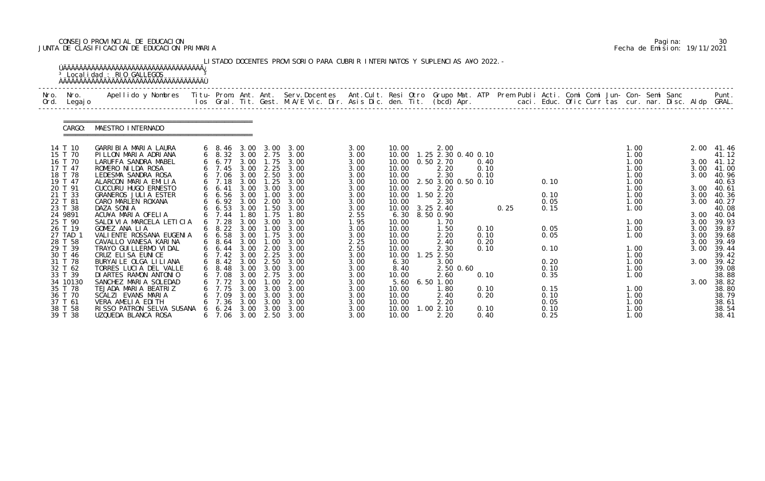# CONSEJO PROVINCIAL DE EDUCACION Pagina: 30 JUNTA DE CLASIFICACION DE EDUCACION PRIMARIA Fecha de Emision: 19/11/2021

|              |                    | <sup>3</sup> Localidad : RIO GALLEGOS                                                                                                    |          |                         |              |                               | LISTADO DOCENTES PROVISORIO PARA CUBRIR INTERINATOS Y SUPLENCIAS A¥O 2022. - |              |                |                  |           |                     |      |              |  |              |                                                      |              |                          |
|--------------|--------------------|------------------------------------------------------------------------------------------------------------------------------------------|----------|-------------------------|--------------|-------------------------------|------------------------------------------------------------------------------|--------------|----------------|------------------|-----------|---------------------|------|--------------|--|--------------|------------------------------------------------------|--------------|--------------------------|
| Nro.<br>Ord. | Nro.<br>Legaj o    | Apellido y Nombres Titu- Prom. Ant. Ant. Serv.Docentes Ant.Cult. Resi Otro Grupo Mat. ATP Prem Publi Acti. Comi Comi Jun- Con- Semi Sanc |          |                         |              |                               | los Gral. Tit. Gest. M.A/E Vic. Dir. Asis Dic. den. Tit. (bcd) Apr.          |              |                |                  |           |                     |      |              |  |              | caci. Educ. Ofic Curr tas cur. nar. Disc. Aldp GRAL. |              | Punt.                    |
|              | CARGO:             | MAESTRO INTERNADO                                                                                                                        |          |                         |              |                               |                                                                              |              |                |                  |           |                     |      |              |  |              |                                                      |              |                          |
|              | 14 T 10            | GARRIBIA MARIA LAURA                                                                                                                     |          | $6\quad 8.46$           |              | 3.00 3.00                     | 3.00                                                                         | 3.00         | 10.00          | 2.00             |           |                     |      |              |  | 1.00         |                                                      | 2.00         | 41.46                    |
|              | 15 T 70            | PILLON MARIA ADRIANA                                                                                                                     |          |                         |              | 6 8.32 3.00 2.75              | 3.00                                                                         | 3.00         | 10.00          |                  |           | 1.25 2.30 0.40 0.10 |      |              |  | 1.00         |                                                      |              | 41.12                    |
|              | 16 T 70<br>17 T 47 | LARUFFA SANDRA MABEL                                                                                                                     |          | 6 6.77                  | 3.00         | 1.75                          | 3.00                                                                         | 3.00         | 10.00          | 0.50 2.70        |           | 0.40                |      |              |  | 1.00         |                                                      |              | 3.00 41.12<br>3.00 41.00 |
|              | 18 T 78            | ROMERO NI LDA ROSA<br>LEDESMA SANDRA ROSA                                                                                                |          | $6$ 7.45<br>6 7.06      | 3.00<br>3.00 | 2.25<br>2.50                  | 3.00<br>3.00                                                                 | 3.00<br>3.00 | 10.00<br>10.00 | 2.20<br>2.30     |           | 0.10<br>0.10        |      |              |  | 1.00<br>1.00 |                                                      | 3.00         | 40.96                    |
|              | 19 T 47            | ALARCON MARIA EMILIA                                                                                                                     |          | $6$ 7.18                | 3.00         | 1.25                          | 3.00                                                                         | 3.00         | 10.00          |                  |           | 2.50 3.00 0.50 0.10 |      | 0.10         |  | 1.00         |                                                      |              | 40.63                    |
|              | 20 T 91            | CUCCURU HUGO ERNESTO                                                                                                                     |          | $6\quad 6.41$           | 3.00         | 3.00                          | 3.00                                                                         | 3.00         | 10.00          | 2.20             |           |                     |      |              |  | 1.00         |                                                      | 3.00         | 40.61                    |
|              | 21 T 33            | GRANEROS JULIA ESTER                                                                                                                     |          | 66.56                   | 3.00         | 1.00                          | 3.00                                                                         | 3.00         | 10.00          | 1.50 2.20        |           |                     |      | 0.10         |  | 1.00         |                                                      | 3.00         | 40.36                    |
|              | 22 T 81            | CARO MARLEN ROXANA                                                                                                                       |          | 6 6.92 3.00             |              | 2.00                          | 3.00                                                                         | 3.00         | 10.00          | 2.30             |           |                     |      | 0.05         |  | 1.00         |                                                      | 3.00         | 40.27                    |
|              | 23 T 38            | DAZA SONIA                                                                                                                               |          | $6\quad 6.53$           | 3.00         | 1.50                          | 3.00                                                                         | 3.00         |                | 10.00 3.25 2.40  |           |                     | 0.25 | 0.15         |  | 1.00         |                                                      |              | 40.08                    |
|              | 24 9891            | ACU¥A MARIA OFELIA                                                                                                                       |          | 6, 7.44                 | 1.80         | 1.75                          | 1.80                                                                         | 2.55         |                | 6.30 8.50 0.90   |           |                     |      |              |  |              |                                                      |              | 3.00 40.04               |
|              | 25 T 90<br>26 T 19 | SALDIVIA MARCELA LETICIA                                                                                                                 |          | 7.28                    | 3.00         | 3.00                          | 3.00<br>3.00                                                                 | 1.95         | 10.00          | 1.70             |           | 0.10                |      |              |  | 1.00         |                                                      | 3.00         | 39.93                    |
|              | 27 TAD 1           | GOMEZ ANA LIA<br>VALI ENTE ROSSANA EUGENIA                                                                                               |          | $6\quad 8.22$<br>66.58  | 3.00<br>3.00 | 1.00<br>1.75                  | 3.00                                                                         | 3.00<br>3.00 | 10.00<br>10.00 | 1.50<br>2.20     |           | 0.10                |      | 0.05<br>0.05 |  | 1.00<br>1.00 |                                                      | 3.00<br>3.00 | 39.87<br>39.68           |
|              | 28 T 58            | CAVALLO VANESA KARINA                                                                                                                    |          | $6\quad 8.64$           | 3.00         | 1.00                          | 3.00                                                                         | 2.25         | 10.00          | 2.40             |           | 0.20                |      |              |  |              |                                                      | 3.00         | 39.49                    |
|              | 29 T 39            | TRAYO GUI LLERMO VI DAL                                                                                                                  |          | 6 6.44                  | 3.00         | 2.00                          | 3.00                                                                         | 2.50         | 10.00          | 2.30             |           | 0.10                |      | 0.10         |  | 1.00         |                                                      | 3.00         | 39.44                    |
|              | 30 T 46            | CRUZ ELISA EUNICE                                                                                                                        |          | 6, 7.42                 | 3.00         | 2.25                          | 3.00                                                                         | 3.00         | 10.00          | $1.25$ $2.50$    |           |                     |      |              |  | 1.00         |                                                      |              | 39.42                    |
|              | 31 T 78            | BURYAI LE OLGA LI LI ANA                                                                                                                 |          | $6\quad 8.42\quad 3.00$ |              | 2.50                          | 3.00                                                                         | 3.00         | 6.30           | 3.00             |           |                     |      | 0.20         |  | 1.00         |                                                      | 3.00         | 39.42                    |
|              | 32 T 62            | TORRES LUCIA DEL VALLE                                                                                                                   |          | $6\quad 8.48$           |              | $3.00\quad 3.00$              | 3.00                                                                         | 3.00         | 8.40           |                  | 2.50 0.60 |                     |      | 0.10         |  | 1.00         |                                                      |              | 39.08                    |
|              | 33 T 39            | DI ARTES RAMON ANTONIO                                                                                                                   |          | 7. 08                   | 3.00         | 2.75                          | 3.00                                                                         | 3.00         | 10.00          | 2.60             |           | 0.10                |      | 0.35         |  | 1.00         |                                                      |              | 38.88                    |
|              | 34 10130           | SANCHEZ MARIA SOLEDAD                                                                                                                    |          | $6$ 7.72                | 3.00         | $\overline{\phantom{0}}$ . 00 | 2.00                                                                         | 3.00         | 5.60           | 6.50 1.00        |           |                     |      |              |  |              |                                                      | 3.00         | 38.82                    |
|              | 35 T 78            | TEJADA MARIA BEATRIZ                                                                                                                     |          | 7.75                    | 3.00         | 3.00                          | 3.00                                                                         | 3.00         | 10.00          | 1.80             |           | 0.10                |      | 0.15         |  | 1.00         |                                                      |              | 38.80                    |
|              | 36 T 70            | SCALZI EVANS MARIA<br>VERA AMELIA EDITH                                                                                                  |          | 7.09<br>7.36            | 3.00<br>3.00 | 3.00<br>3.00                  | 3.00<br>3.00                                                                 | 3.00         | 10.00<br>10.00 | 2.40             |           | 0.20                |      | 0.10<br>0.05 |  | 1.00         |                                                      |              | 38.79                    |
|              | 37 T 61<br>38 T 58 | RISSO PATRON SELVA SUSANA                                                                                                                | $\sigma$ | 6. 24                   | 3.00         | 3.00                          | 3.00                                                                         | 3.00<br>3.00 | 10.00          | 2.20<br>1.002.10 |           | 0.10                |      | 0.10         |  | 1.00<br>1.00 |                                                      |              | 38.61<br>38.54           |
|              | 39 T 38            | UZQUEDA BLANCA ROSA                                                                                                                      |          | 6 7.06                  |              |                               | 3.00 2.50 3.00                                                               | 3.00         | 10.00          | 2.20             |           | 0.40                |      | 0.25         |  | 1.00         |                                                      |              | 38.41                    |

|  | Pagi na: | 30                           |
|--|----------|------------------------------|
|  |          | Fecha de Emision: 19/11/2021 |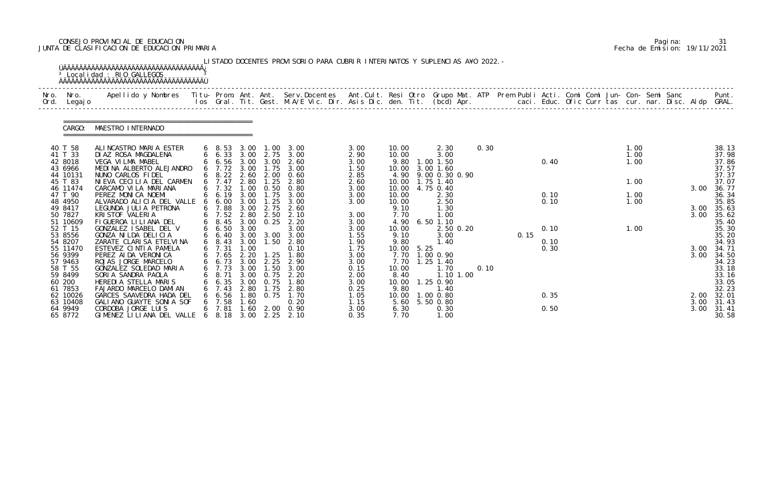# CONSEJO PROVINCIAL DE EDUCACION Pagina: 31 JUNTA DE CLASIFICACION DE EDUCACION PRIMARIA Fecha de Emision: 19/11/2021

| Nro. | Nro.<br>Ord. Legajo | Apellido y Nombres  Titu- Prom. Ant. Ant. Serv.Docentes  Ant.Cult. Resi Otro Grupo Mat. ATP Prem Publi Acti. Comi Comi Jun- Con- Semi Sanc         Punt.<br>Ios Gral. Tit. Gest. M.A/E Vic. Dir. Asis Dic. den. Tit. (bcd) Apr. |   |                              |              |                               |                                                |              |               |            |                             |      |      |      |  |      |  |      |                |
|------|---------------------|---------------------------------------------------------------------------------------------------------------------------------------------------------------------------------------------------------------------------------|---|------------------------------|--------------|-------------------------------|------------------------------------------------|--------------|---------------|------------|-----------------------------|------|------|------|--|------|--|------|----------------|
|      | CARGO:              | MAESTRO INTERNADO                                                                                                                                                                                                               |   |                              |              |                               |                                                |              |               |            |                             |      |      |      |  |      |  |      |                |
|      | 40 T 58             | ALINCASTRO MARIA ESTER                                                                                                                                                                                                          |   | $6\quad 8.53$                | 3.00         |                               | $1.00 \quad 3.00$                              | 3.00         | 10.00         |            | 2.30                        | 0.30 |      |      |  | 1.00 |  |      | 38.13          |
|      | 41 T 33             | DIAZ ROSA MAGDALENA                                                                                                                                                                                                             |   |                              |              |                               | 6 6.33 3.00 2.75 3.00                          | 2.90         | 10.00         |            | 3.00                        |      |      |      |  | 1.00 |  |      | 37.98          |
|      | 42 8018             | VEGA VILMA MABEL                                                                                                                                                                                                                |   | 6 6.56 3.00                  |              | 3.00                          | 2.60                                           | 3.00         | 9.80          |            | 1.00 1.50                   |      |      | 0.40 |  | 1.00 |  |      | 37.86          |
|      | 43 6966<br>44 10131 | MEDINA ALBERTO ALEJANDRO<br>NUNO CARLOS FIDEL                                                                                                                                                                                   |   | $6$ 7.72<br>6 8.22 2.60 2.00 | 3.00         | 1.75                          | 3.00<br>0.60                                   | 1.50<br>2.85 | 10.00<br>4.90 |            | 3.00 1.60<br>9.00 0.30 0.90 |      |      |      |  |      |  |      | 37.57<br>37.37 |
|      | 45 T 83             | NIEVA CECILIA DEL CARMEN                                                                                                                                                                                                        |   | 7.47                         | 2.80         | 1.25                          | 2.80                                           | 2.60         | 10.00         |            | 1.75 1.40                   |      |      |      |  | 1.00 |  |      | 37.07          |
|      | 46 11474            | CARCAMO VILA MARIANA                                                                                                                                                                                                            |   | $6$ 7.32                     | 1.00         | 0.50                          | 0.80                                           | 3.00         |               |            | 10.00 4.75 0.40             |      |      |      |  |      |  | 3.00 | 36.77          |
|      | 47 T 90             | PEREZ MONICA NOEMI                                                                                                                                                                                                              |   | 66.19                        | 3.00         | 1.75                          | 3.00                                           | 3.00         | 10.00         |            | 2.30                        |      |      | 0.10 |  | 1.00 |  |      | 36.34          |
|      | 48 4950             | ALVARADO ALICIA DEL VALLE                                                                                                                                                                                                       |   | 6.00                         | 3.00         | $\overline{\phantom{0}}$ . 25 | 3.00                                           | 3.00         | 10.00         |            | 2.50                        |      |      | 0.10 |  | 1.00 |  |      | 35.85          |
|      | 49 8417             | LEGUNDA JULIA PETRONA                                                                                                                                                                                                           |   | 6 7.88                       | 3.00         | 2.75                          | 2.60                                           |              | 9.10          |            | 1.30                        |      |      |      |  |      |  | 3.00 | 35.63          |
|      | 50 7827             | KRI STOF VALERIA                                                                                                                                                                                                                |   | $6$ 7.52                     | 2.80         | 2.50                          | 2.10                                           | 3.00         | 7.70          |            | 1.00                        |      |      |      |  |      |  | 3.00 | 35.62          |
|      | 51 10609<br>52 T 15 | FIGUEROA LILIANA DEL<br>GONZALEZ ISABEL DEL V                                                                                                                                                                                   |   | 6 8.45<br>66.50              | 3.00<br>3.00 | 0.25                          | 2.20<br>3.00                                   | 3.00<br>3.00 | 10.00         |            | 4.90 6.50 1.10<br>2.50 0.20 |      |      | 0.10 |  | 1.00 |  |      | 35.40<br>35.30 |
|      | 53 8556             | GONZA NI LDA DELICIA                                                                                                                                                                                                            |   | $6\quad 6.40$                |              |                               | 3.00 3.00 3.00                                 | 1.55         | 9.10          |            | 3.00                        |      | 0.15 |      |  |      |  |      | 35.20          |
|      | 54 8207             | ZARATE CLARISA ETELVINA                                                                                                                                                                                                         |   | $6\quad 8.43$                | 3.00         | 1.50                          | 2.80                                           | 1.90         | 9.80          |            | 1.40                        |      |      | 0.10 |  |      |  |      | 34.93          |
|      | 55 11470            | ESTEVEZ CINTIA PAMELA                                                                                                                                                                                                           |   | $6$ 7.31                     | 1.00         |                               | 0.10                                           | 1.75         |               | 10.00 5.25 |                             |      |      | 0.30 |  |      |  | 3.00 | 34. 71         |
|      | 56 9399             | PEREZ AI DA VERONICA                                                                                                                                                                                                            |   |                              |              |                               | 6 7.65 2.20 1.25 1.80<br>6 6.73 3.00 2.25 2.90 | 3.00         |               |            | 7.70 1.00 0.90              |      |      |      |  |      |  | 3.00 | 34.50          |
|      | 57 9463             | ROJAS JORGE MARCELO                                                                                                                                                                                                             |   |                              |              |                               |                                                | 3.00         | 7.70          |            | $1.25$ 1.40                 |      |      |      |  |      |  |      | 34.23          |
|      | 58 T 55             | GONZALEZ SOLEDAD MARIA                                                                                                                                                                                                          |   | 6 7.73 3.00                  |              | 1.50                          | 3.00                                           | 0.15         | 10.00         |            | 1.70                        | 0.10 |      |      |  |      |  |      | 33.18          |
|      | 59 8499             | SORIA SANDRA PAOLA                                                                                                                                                                                                              |   | 8. 71                        | 3.00         | 0. 75                         | 2.20                                           | 2.00         | 8.40          |            | 1.10 1.00                   |      |      |      |  |      |  |      | 33.16          |
|      | 60 200<br>61 7853   | HEREDIA STELLA MARIS<br>FAJARDO MARCELO DAMIAN                                                                                                                                                                                  |   | 6.35<br>7.43                 | 3.00<br>2.80 | 0.75<br>1.75                  | 1.80<br>2.80                                   | 3.00         | 10.00         |            | 1.25 0.90                   |      |      |      |  |      |  |      | 33.05<br>32.23 |
|      | 62 10026            | GARCES SAAVEDRA HADA DEL                                                                                                                                                                                                        |   | 6.56                         | 1.80         | 0.75                          | 1.70                                           | 0.25<br>1.05 | 9.80<br>10.00 |            | 1.40<br>1.00 0.80           |      |      | 0.35 |  |      |  | 2.00 | 32.01          |
|      | 63 10408            | GALIANO GUAYTE SONIA SOF                                                                                                                                                                                                        |   | 7.58                         | . 60         |                               | 0.20                                           | 1.15         | 5.60          |            | 5.50 0.80                   |      |      |      |  |      |  | 3.00 | 31.43          |
|      | 64 9949             | CORDOBA JORGE LUIS                                                                                                                                                                                                              |   | 7.81                         | 1.60         | 2.00                          | 0.90                                           | 3.00         | 6.30          |            | 0.30                        |      |      | 0.50 |  |      |  | 3.00 | 31.41          |
|      | 65 8772             | GIMENEZ LILIANA DEL VALLE                                                                                                                                                                                                       | 6 | 8.18                         | 3.00         |                               | $2.25$ $2.10$                                  | 0.35         | 7.70          |            | 1.00                        |      |      |      |  |      |  |      | 30.58          |

|  | Pagi na: |                              |
|--|----------|------------------------------|
|  |          | Fecha de Emision: 19/11/2021 |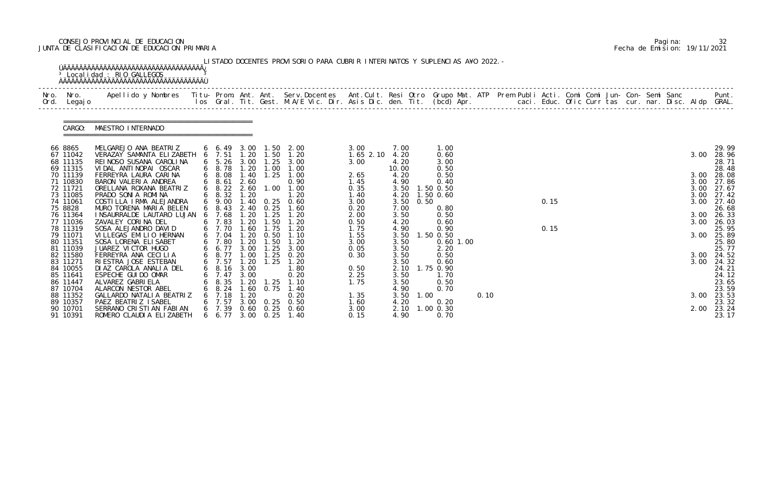# CONSEJO PROVINCIAL DE EDUCACION Pagina: 32 JUNTA DE CLASIFICACION DE EDUCACION PRIMARIA Fecha de Emision: 19/11/2021

| Nro.<br>Nro.<br>Ord.<br>Legaj o                                                                                                                                                                                                                                                | Apellido y Nombres - Titu- Prom. Ant. Ant. Serv.Docentes - Ant.Cult. Resi Otro Grupo Mat. ATP - Prem Publi Acti. Comi Comi Jun- Con- Semi Sanc                                                                                                                                                                                                                                                                                                                                                                                                                                                         |                                                                                                                                                                                                                                                                        |                                                                                                                                                    |                                                                                                                                                         | los Gral. Tit. Gest. M.A/E Vic. Dir. Asis Dic. den. Tit. (bcd) Apr.        caci. Educ. Ofic Curr tas cur. nar. Disc. Aldp GRAL.                                                       |                                                                                                                                                               |                                                                                                                                                                               |      |                                                                                                                                                                                                      |  |              |  |  |  |                                                              | Punt.                                                                                                                                                                                                                      |
|--------------------------------------------------------------------------------------------------------------------------------------------------------------------------------------------------------------------------------------------------------------------------------|--------------------------------------------------------------------------------------------------------------------------------------------------------------------------------------------------------------------------------------------------------------------------------------------------------------------------------------------------------------------------------------------------------------------------------------------------------------------------------------------------------------------------------------------------------------------------------------------------------|------------------------------------------------------------------------------------------------------------------------------------------------------------------------------------------------------------------------------------------------------------------------|----------------------------------------------------------------------------------------------------------------------------------------------------|---------------------------------------------------------------------------------------------------------------------------------------------------------|---------------------------------------------------------------------------------------------------------------------------------------------------------------------------------------|---------------------------------------------------------------------------------------------------------------------------------------------------------------|-------------------------------------------------------------------------------------------------------------------------------------------------------------------------------|------|------------------------------------------------------------------------------------------------------------------------------------------------------------------------------------------------------|--|--------------|--|--|--|--------------------------------------------------------------|----------------------------------------------------------------------------------------------------------------------------------------------------------------------------------------------------------------------------|
| CARGO:                                                                                                                                                                                                                                                                         | MAESTRO INTERNADO                                                                                                                                                                                                                                                                                                                                                                                                                                                                                                                                                                                      |                                                                                                                                                                                                                                                                        |                                                                                                                                                    |                                                                                                                                                         |                                                                                                                                                                                       |                                                                                                                                                               |                                                                                                                                                                               |      |                                                                                                                                                                                                      |  |              |  |  |  |                                                              |                                                                                                                                                                                                                            |
| 66 8865<br>67 11042<br>68 11135<br>69 11315<br>70 11139<br>71 10830<br>72 11721<br>73 11085<br>74 11061<br>75 8828<br>76 11364<br>77 11036<br>78 11319<br>79 11071<br>80 11351<br>81 11039<br>82 11580<br>83 11271<br>84 10055<br>85 11641<br>86 11447<br>87 10704<br>88 11352 | MELGAREJO ANA BEATRIZ<br>VERAZAY SAMANTA ELIZABETH 6 7.51<br>REI NOSO SUSANA CAROLINA<br>VIDAL ANTINOPAI OSCAR<br>FERREYRA LAURA CARINA<br>BARON VALERIA ANDREA<br>ORELLANA ROXANA BEATRIZ<br>PRADO SONIA ROMINA<br>COSTILLA IRMA ALEJANDRA<br>MURO TORENA MARIA BELEN<br>I NSAURRALDE LAUTARO LUJAN<br>ZAVALEY CORINA DEL<br>SOSA ALEJANDRO DAVID<br>VILLEGAS EMILIO HERNAN<br>SOSA LORENA ELI SABET<br>JUAREZ VICTOR HUGO<br>FERREYRA ANA CECILIA<br>RIESTRA JOSE ESTEBAN<br>DI AZ CAROLA ANALIA DEL<br>ESPECHE GUI DO OMAR<br>ALVAREZ GABRI ELA<br>ALARCON NESTOR ABEL<br>GALLARDO NATALI A BEATRIZ | 6 6.49<br>$6\quad 5.26$<br>$6\quad 8.78$<br>$6\quad 8.08$<br>68.61<br>$6\quad 8.22$<br>6 8.32<br>6 9.00<br>$6\quad 8.43$<br>7.68<br>$6$ 7.83<br>6 7.70<br>6 7.04<br>6 7.80<br>6 6.77<br>6 8.77<br>$6$ 7.57<br>$6\quad 8.16\quad 3.00$<br>7.47<br>8.35<br>$6\quad 8.24$ | 1.20<br>3.00<br>1.20<br>1.40<br>2.60<br>2.60<br>1.20<br>.40<br>1.20<br>.20<br>1.60<br>1.20<br>1.20<br>3.00<br>1.00<br>1.20<br>3.00<br>1.20<br>1.60 | 3.00 1.50<br>1.50<br>1.00<br>1.25<br>1.00<br>0. 25<br>2.40 0.25<br>1.25<br>1.50<br>1.75<br>0.50<br>1.50<br>1.25<br>1.25<br>1.25<br>1.25<br>0.75<br>1.20 | 2.00<br>1.20<br>$1.25$ $3.00$<br>1.00<br>1.00<br>0.90<br>1.00<br>1.20<br>0.60<br>1.60<br>1.20<br>1.20<br>1.20<br>1.10<br>1.20<br>3.00<br>0.20<br>1.20<br>1.80<br>0.20<br>1.10<br>1.40 | 3.00<br>$1.65$ $2.10$<br>3.00<br>2.65<br>1.45<br>0.35<br>1.40<br>3.00<br>0.20<br>2.00<br>0.50<br>1.75<br>1.55<br>3.00<br>0.05<br>0.30<br>0.50<br>2.25<br>1.75 | 7.00<br>4.20<br>4.20<br>10.00<br>4.20<br>4.90<br>3.50<br>4.20<br>3.50<br>7.00<br>3.50<br>4.20<br>4.90<br>3.50<br>3.50<br>3.50<br>3.50<br>3.50<br>3.50<br>3.50<br>4.90<br>3.50 | 0.50 | 1.00<br>0.60<br>3.00<br>0.50<br>0.50<br>0.40<br>1.50 0.50<br>1.50 0.60<br>0.80<br>0.50<br>0.60<br>0.90<br>1.50 0.50<br>$0.60$ 1.00<br>2.20<br>0.50<br>0.60<br>2.10 1.75 0.90<br>1.70<br>0.50<br>0.70 |  | 0.15<br>0.15 |  |  |  | 3.00<br>3.00<br>3.00<br>3.00<br>3.00<br>3.00<br>3.00<br>3.00 | 29.99<br>28.96<br>28.71<br>28.48<br>3.00 28.08<br>27.86<br>3.00 27.67<br>27.42<br>27.40<br>26.68<br>26.33<br>26.03<br>25.95<br>25.89<br>25.80<br>25.77<br>3.00 24.52<br>24.32<br>24.21<br>24.12<br>23.65<br>23.59<br>23.53 |

|  | Pagi na: |                              |
|--|----------|------------------------------|
|  |          | Fecha de Emision: 19/11/2021 |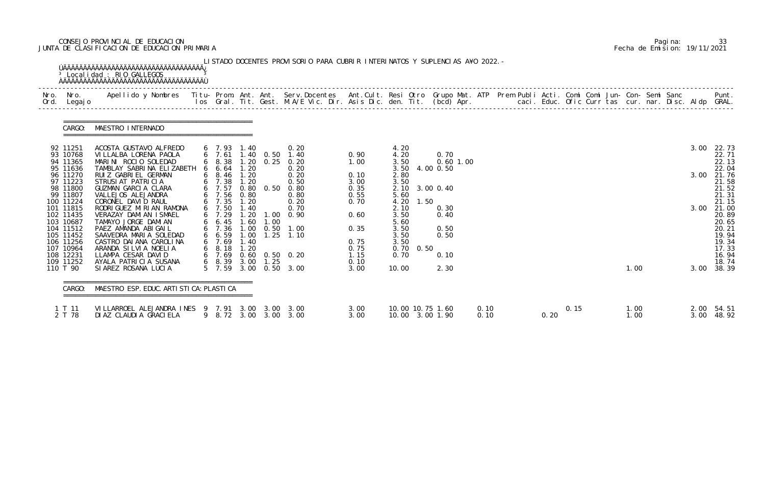# CONSEJO PROVINCIAL DE EDUCACION Pagina: 33 JUNTA DE CLASIFICACION DE EDUCACION PRIMARIA Fecha de Emision: 19/11/2021

| Ord. | Nro. Nro.<br>Legaj o                                     | Apellido y Nombres  Titu- Prom. Ant. Ant. Serv.Docentes  Ant.Cult. Resi Otro Grupo Mat. ATP Prem Publi Acti. Comi Comi Jun- Con- Semi Sanc           Punt.<br>Ios Gral. Tit. Gest. M.A/E Vic. Dir. Asis Dic. den. Tit. (bcd) Apr. |                                                             |                               |              |                                                      |                              |                                                |                     |              |  |      |      |  |              |  |              |                                           |
|------|----------------------------------------------------------|-----------------------------------------------------------------------------------------------------------------------------------------------------------------------------------------------------------------------------------|-------------------------------------------------------------|-------------------------------|--------------|------------------------------------------------------|------------------------------|------------------------------------------------|---------------------|--------------|--|------|------|--|--------------|--|--------------|-------------------------------------------|
|      | CARGO:                                                   | MAESTRO INTERNADO                                                                                                                                                                                                                 |                                                             |                               |              |                                                      |                              |                                                |                     |              |  |      |      |  |              |  |              |                                           |
|      | 92 11251<br>93 10768<br>94 11365                         | ACOSTA GUSTAVO ALFREDO<br>VI LLALBA LORENA PAOLA<br>MARINI ROCIO SOLEDAD                                                                                                                                                          | 6 7.93<br>6, 7.61<br>$6\quad 8.38$                          | 1.40                          | 1.40 0.50    | 0.20<br>1.40<br>1.20 0.25 0.20                       | 0.90<br>1.00                 | 4.20<br>4.20<br>3.50                           | 0.70<br>$0.60$ 1.00 |              |  |      |      |  |              |  | 3.00         | 22.73<br>22.71<br>22.13                   |
|      | 95 11636<br>96 11270<br>97 11223<br>98 11800<br>99 11807 | TAMBLAY SABRINA ELIZABETH<br>RUIZ GABRIEL GERMAN<br>STRUSIAT PATRICIA<br>GUZMAN GARCIA CLARA<br>VALLEJOS ALEJANDRA                                                                                                                | 66.64<br>$6\quad 8.46$<br>$6\quad 7.38$<br>6 7.57<br>6 7.56 | 1.20<br>1.20<br>1.20<br>0.80  |              | 0.20<br>0.20<br>0.50<br>$0.80$ $0.50$ $0.80$<br>0.80 | 0.10<br>3.00<br>0.35<br>0.55 | 3.50<br>2.80<br>3.50<br>2.10 3.00 0.40<br>5.60 | 4.00 0.50           |              |  |      |      |  |              |  | 3.00         | 22.04<br>21.76<br>21.58<br>21.52<br>21.31 |
|      | 100 11224<br>101 11815<br>102 11435<br>103 10687         | CORONEL DAVID RAUL<br>RODRI GUEZ MI RI AN RAMONA<br>VERAZAY DAMIAN ISMAEL<br>TAMAYO JORGE DAMIAN                                                                                                                                  | $6$ 7.35<br>6 7.50<br>6, 7.29<br>$6\quad 6.45$              | 1. 20<br>1.40<br>1.20<br>1.60 | 1.00<br>1.00 | 0.20<br>0.70<br>0.90                                 | 0.70<br>0.60                 | 4.20<br>1.50<br>2.10<br>3.50<br>5.60           | 0.30<br>0.40        |              |  |      |      |  |              |  | 3.00         | 21.15<br>21.00<br>20.89<br>20.65          |
|      | 104 11512<br>105 11452<br>106 11256<br>107 10964         | PAEZ AMANDA ABIGAIL<br>SAAVEDRA MARIA SOLEDAD<br>CASTRO DAI ANA CAROLINA<br>ARANDA SILVIA NOELIA                                                                                                                                  | $6$ 7.36<br>66.59<br>6, 7.69<br>$6\quad 8.18$               | 1.00<br>1.00<br>1.40<br>1.20  | 0.50<br>1.25 | 1.00<br>1.10                                         | 0.35<br>0.75<br>0.75         | 3.50<br>3.50<br>3.50<br>0.70<br>0.50           | 0.50<br>0.50        |              |  |      |      |  |              |  |              | 20.21<br>19.94<br>19.34<br>17.33          |
|      | 108 12231<br>109 11252<br>110 T 90                       | LLAMPA CESAR DAVID<br>AYALA PATRICIA SUSANA<br>SIAREZ ROSANA LUCIA                                                                                                                                                                | $6$ 7.69 0.60<br>6 8.39 3.00<br>5 7.59                      |                               | 1.25         | 0.60 0.50 0.20<br>3.00 0.50 3.00                     | 1.15<br>0.10<br>3.00         | 0.70<br>10.00                                  | 0.10<br>2.30        |              |  |      |      |  | 1.00         |  |              | 16.94<br>18.74<br>3.00 38.39              |
|      | CARGO:                                                   | MAESTRO ESP. EDUC. ARTI STI CA: PLASTI CA                                                                                                                                                                                         |                                                             |                               |              |                                                      |                              |                                                |                     |              |  |      |      |  |              |  |              |                                           |
|      | 1 T 11<br>2 T 78                                         | VILLARROEL ALEJANDRA INES 9 7.91 3.00<br>DI AZ CLAUDI A GRACI ELA                                                                                                                                                                 |                                                             |                               | 3.00         | -3.00<br>9 8.72 3.00 3.00 3.00                       | 3.00<br>3.00                 | 10.00 10.75 1.60<br>10.00 3.00 1.90            |                     | 0.10<br>0.10 |  | 0.20 | 0.15 |  | 1.00<br>1.00 |  | 2.00<br>3.00 | 54.51<br>48.92                            |

|  | Pagi na: | 33                           |
|--|----------|------------------------------|
|  |          | Fecha de Emision: 19/11/2021 |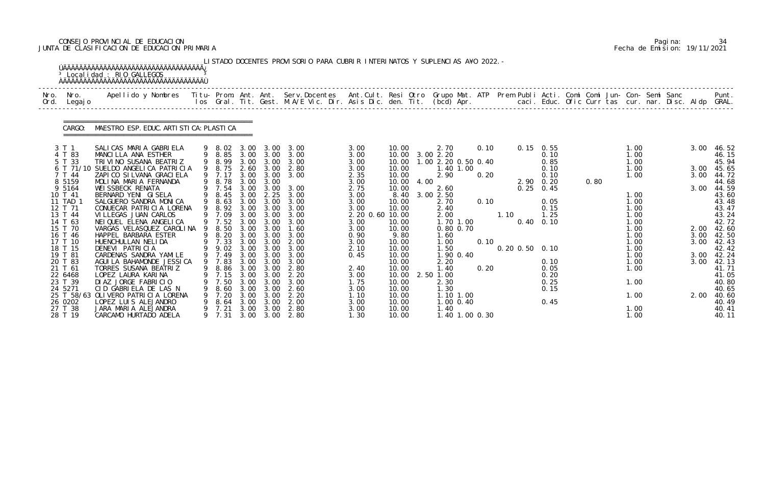# CONSEJO PROVINCIAL DE EDUCACION Pagina: 34 JUNTA DE CLASIFICACION DE EDUCACION PRIMARIA Fecha de Emision: 19/11/2021

| Nro.<br>Ord. | Nro.<br>Legaj o    | Apellido y Nombres Titu- Prom. Ant. Ant. Serv.Docentes Ant.Cult. Resi Otro Grupo Mat. ATP Prem Publi Acti. Comi Comi Jun- Con- Semi Sanc |   |                  |              |              | los Gral. Tit. Gest. M.A/E Vic. Dir. Asis Dic. den. Tit. (bcd) Apr.       caci. Educ. Ofic Curr tas cur. nar. Disc. Aldp GRAL. |                 |                |      |                     |                |      |      |                      |              |      |              |  |              | Punt.          |
|--------------|--------------------|------------------------------------------------------------------------------------------------------------------------------------------|---|------------------|--------------|--------------|--------------------------------------------------------------------------------------------------------------------------------|-----------------|----------------|------|---------------------|----------------|------|------|----------------------|--------------|------|--------------|--|--------------|----------------|
|              | CARGO:             | MAESTRO ESP. EDUC. ARTI STI CA: PLASTI CA                                                                                                |   |                  |              |              |                                                                                                                                |                 |                |      |                     |                |      |      |                      |              |      |              |  |              |                |
|              | 3 T 1              | SALICAS MARIA GABRIELA                                                                                                                   |   | 9 8.02           | 3.00         | 3.00         | 3.00                                                                                                                           | 3.00            | 10.00          |      | 2.70                |                | 0.10 |      | $0.15 \quad 0.55$    |              |      | 1.00         |  | 3.00         | 46.52          |
|              | 4 T 83             | MANCILLA ANA ESTHER                                                                                                                      |   | 9 8.85           |              | 3.00 3.00    | 3.00                                                                                                                           | 3.00            |                |      | 10.00 3.00 2.20     |                |      |      |                      | 0.10         |      | 1.00         |  |              | 46.15          |
|              | 5 T 33             | TRIVINO SUSANA BEATRIZ<br>6 T 71/10 SUELDO ANGELICA PATRICIA                                                                             |   | 9 8.99<br>9 8.75 | 3.00<br>2.60 | 3.00<br>3.00 | 3.00<br>2.80                                                                                                                   | 3.00<br>3.00    | 10.00<br>10.00 |      | 1.00 2.20 0.50 0.40 | 1.40 1.00      |      |      |                      | 0.85<br>0.10 |      | 1.00<br>1.00 |  | 3.00         | 45.94<br>45.65 |
|              | 7 T 44             | ZAPICO SILVANA GRACI ELA                                                                                                                 |   | 9 7.17           | 3.00         | 3.00         | 3.00                                                                                                                           | 2.35            | 10.00          |      | 2.90                |                | 0.20 |      |                      | 0.10         |      | 1.00         |  | 3.00         | 44.72          |
|              | 8 5 1 5 9          | MOLINA MARIA FERNANDA                                                                                                                    |   | 9 8.78           | 3.00         | 3.00         |                                                                                                                                | 3.00            | 10.00          | 4.00 |                     |                |      |      | 2.90 0.20            |              | 0.80 |              |  |              | 44.68          |
|              | 9 5164             | WEI SSBECK RENATA                                                                                                                        |   | 9 7.54           | 3.00         | 3.00         | 3.00                                                                                                                           | 2.75            | 10.00          |      | 2.60                |                |      |      | $0.25$ 0.45          |              |      |              |  | 3.00         | 44.59          |
|              | 10 T 41            | BERNARD YENI GISELA                                                                                                                      | 9 | 8.45             | 3.00         | 2.25         | 3.00                                                                                                                           | 3.00            | 8.40           |      | 3.00 2.50           |                |      |      |                      |              |      | 1.00         |  |              | 43.60          |
|              | 11 TAD 1           | SALGUERO SANDRA MONICA                                                                                                                   |   | 9 8.63           | 3.00         | 3.00         | 3.00                                                                                                                           | 3.00            | 10.00          |      | 2.70                |                | 0.10 |      |                      | 0.05         |      | 1.00         |  |              | 43.48          |
|              | 12 T 71            | CONUECAR PATRICIA LORENA                                                                                                                 |   | 9 8.92           | 3.00         | 3.00         | 3.00                                                                                                                           | 3.00            | 10.00          |      | 2.40                |                |      |      |                      | 0.15         |      | 1.00         |  |              | 43.47          |
|              | 13 T 44            | VI LLEGAS JUAN CARLOS                                                                                                                    |   | 9 7.09           | 3.00         | 3.00         | 3.00                                                                                                                           | 2.20 0.60 10.00 |                |      | 2.00                |                |      | 1.10 |                      | 1.25         |      | 1.00         |  |              | 43.24          |
|              | 14 T 63            | NEI QUEL ELENA ANGELICA                                                                                                                  |   | 9 7.52           | 3.00         | 3.00         | 3.00                                                                                                                           | 3.00            | 10.00          |      |                     | 1.70 1.00      |      |      | $0.40 \quad 0.10$    |              |      | 1.00         |  |              | 42.72          |
|              | 15 T 70            | VARGAS VELASQUEZ CAROLINA                                                                                                                | 9 | 8.50             | 3.00         | 3.00         | 1.60                                                                                                                           | 3.00            | 10.00          |      | 0.80 0.70           |                |      |      |                      |              |      | 1.00         |  | 2.00 42.60   |                |
|              | 16 T 46            | HAPPEL BARBARA ESTER                                                                                                                     |   | 9 8.20           | 3.00         | 3.00         | 3.00                                                                                                                           | 0.90            | 9.80           |      | 1.60                |                |      |      |                      |              |      | 1.00         |  | 3.00         | 42.50          |
|              | 17 T 10            | HUENCHULLAN NELIDA                                                                                                                       |   | 9 7.33           | 3.00         | 3.00         | 2.00                                                                                                                           | 3.00            | 10.00          |      | 1.00                |                | 0.10 |      |                      |              |      | 1.00         |  | 3.00         | 42.43          |
|              | 18 T 15            | DENEVI PATRICIA                                                                                                                          |   | 9 9.02           | 3.00<br>3.00 | 3.00<br>3.00 | 3.00<br>3.00                                                                                                                   | 2.10            | 10.00          |      | 1.50                |                |      |      | $0.20$ $0.50$ $0.10$ |              |      | 1.00         |  |              | 42.42          |
|              | 19 T 81<br>20 T 83 | CARDENAS SANDRA YAMILE<br>AGUI LA BAHAMONDE JESSI CA                                                                                     |   | 9 7.49<br>9 7.83 | 3.00         | 3.00         | 3.00                                                                                                                           | 0.45            | 10.00<br>10.00 |      |                     | 1.90 0.40      |      |      |                      | 0.10         |      | 1.00<br>1.00 |  | 3.00<br>3.00 | 42.24<br>42.13 |
|              | 21 T 61            | TORRES SUSANA BEATRIZ                                                                                                                    |   | 9 8.86 3.00 3.00 |              |              | 2.80                                                                                                                           | 2.40            | 10.00          |      | 2.20<br>1.40        |                | 0.20 |      |                      | 0.05         |      | 1.00         |  |              | 41.71          |
|              | 22 6468            | LOPEZ LAURA KARINA                                                                                                                       |   | 7.15             | 3.00         | 3.00         | 2. 20                                                                                                                          | 3.00            | 10.00          |      | 2.50 1.00           |                |      |      |                      | 0.20         |      |              |  |              | 41.05          |
|              | 23 T 39            | DIAZ JORGE FABRICIO                                                                                                                      |   | 7.50             | 3.00         | 3.00         | 3.00                                                                                                                           | 1.75            | 10.00          |      | 2.30                |                |      |      |                      | 0.25         |      | 1.00         |  |              | 40.80          |
|              | 24 5271            | CID GABRIELA DE LAS N                                                                                                                    |   | 8.60             | 3.00         | 3.00         | 2.60                                                                                                                           | 3.00            | 10.00          |      | 1.30                |                |      |      |                      | 0.15         |      |              |  |              | 40.65          |
|              |                    | 25 T 58/63 OLIVERO PATRICIA LORENA                                                                                                       |   | 7.20             | 3.00         | 3.00         | 2.20                                                                                                                           | 1.10            | 10.00          |      | 1.10 1.00           |                |      |      |                      |              |      | 1.00         |  | 2.00         | 40.60          |
|              | 26 0202            | LOPEZ LUIS ALEJANDRO                                                                                                                     |   | 8. 64            | 3.00         | 3.00         | 2.00                                                                                                                           | 3.00            | 10.00          |      |                     | 1.00 0.40      |      |      |                      | 0.45         |      |              |  |              | 40.49          |
|              | 27 T 38            | JARA MARIA ALEJANDRA                                                                                                                     |   | 7.21             | 3.00         | 3.00         | 2.80                                                                                                                           | 3.00            | 10.00          |      | 1.40                |                |      |      |                      |              |      | 1.00         |  |              | 40.41          |
|              | 28 T 19            | CARCAMO HURTADO ADELA                                                                                                                    |   | 9 7.31           | 3.00         |              | 3.00 2.80                                                                                                                      | 1.30            | 10.00          |      |                     | 1.40 1.00 0.30 |      |      |                      |              |      | 1.00         |  |              | 40.11          |

|  | Pagi na: | 34                           |
|--|----------|------------------------------|
|  |          | Fecha de Emision: 19/11/2021 |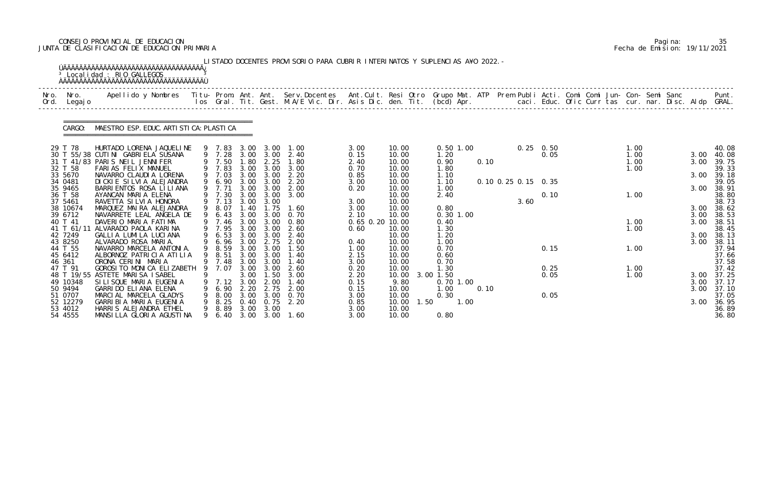# CONSEJO PROVINCIAL DE EDUCACION Pagina: 35 JUNTA DE CLASIFICACION DE EDUCACION PRIMARIA Fecha de Emision: 19/11/2021

|              |                    | <sup>3</sup> Localidad : RIO GALLEGOS<br><u>ŇÄÄÄÄÄÄÄÄÄÄÄÄÄÄÄÄÄÄÄÄÄÄÄÄÄÄÄÄÄÄÄÄÄÄ</u>                                                                                                                                               |   |                  |              |              | LISTADO DOCENTES PROVISORIO PARA CUBRIR INTERINATOS Y SUPLENCIAS A¥O 2022. - |                 |                |                   |      |                     |      |                   |  |              |  |      |                |
|--------------|--------------------|-----------------------------------------------------------------------------------------------------------------------------------------------------------------------------------------------------------------------------------|---|------------------|--------------|--------------|------------------------------------------------------------------------------|-----------------|----------------|-------------------|------|---------------------|------|-------------------|--|--------------|--|------|----------------|
| Nro.<br>Ord. | Nro.<br>Legaj o    | Apellido y Nombres - Titu- Prom. Ant. Ant. Serv.Docentes - Ant.Cult. Resi Otro Grupo Mat. ATP - Prem Publi Acti. Comi Comi Jun- Con- Semi Sanc - - - - Punt.<br>Ios Gral. Tit. Gest. M.A/E Vic. Dir. Asis Dic. den. Tit. (bcd) Ap |   |                  |              |              |                                                                              |                 |                |                   |      |                     |      |                   |  |              |  |      |                |
|              | CARGO:             | MAESTRO ESP. EDUC. ARTI STI CA: PLASTI CA                                                                                                                                                                                         |   |                  |              |              |                                                                              |                 |                |                   |      |                     |      |                   |  |              |  |      |                |
|              | 29 T 78            | HURTADO LORENA JAQUELINE                                                                                                                                                                                                          |   | 9 7.83           | 3.00         | 3.00         | 1.00                                                                         | 3.00            | 10.00          | $0.50$ 1.00       |      |                     |      | $0.25 \quad 0.50$ |  | 1.00         |  |      | 40.08          |
|              |                    | 30 T 55/38 CUTINI GABRIELA SUSANA                                                                                                                                                                                                 |   | 9 7.28           | 3.00         | 3.00         | 2.40                                                                         | 0.15            | 10.00          | 1.20              |      |                     |      | 0.05              |  | 1.00         |  | 3.00 | 40.08          |
|              |                    | 31 T 41/83 PARIS NEIL JENNIFER                                                                                                                                                                                                    |   | 9 7.50           | 1.80         | 2.25         | 1.80                                                                         | 2.40            | 10.00          | 0.90              | 0.10 |                     |      |                   |  | 1.00         |  | 3.00 | 39.75          |
|              | 32 T 58            | FARIAS FELIX MANUEL                                                                                                                                                                                                               |   | 9 7.83           | 3.00         | 3.00         | 3.00                                                                         | 0.70            | 10.00          | 1.80              |      |                     |      |                   |  | 1.00         |  |      | 39.33          |
|              | 33 5670            | NAVARRO CLAUDIA LORENA                                                                                                                                                                                                            |   | 7.03             | 3.00         | 3.00         | 2.20                                                                         | 0.85            | 10.00          | 1.10              |      |                     |      |                   |  |              |  | 3.00 | 39.18          |
|              | 34 0481            | DI CKI E SI LVI A ALEJANDRA                                                                                                                                                                                                       |   | 9 6.90<br>9 7.71 | 3.00         | 3.00         | 2.20                                                                         | 3.00            | 10.00          | 1.10              |      | 0.10 0.25 0.15 0.35 |      |                   |  |              |  |      | 39.05          |
|              | 35 9465<br>36 T 58 | BARRI ENTOS ROSA LI LI ANA<br>AYANCAN MARIA ELENA                                                                                                                                                                                 |   | 9 7.30           | 3.00<br>3.00 | 3.00<br>3.00 | 2.00<br>3.00                                                                 | 0.20            | 10.00<br>10.00 | 1.00<br>2.40      |      |                     |      | 0.10              |  | 1.00         |  | 3.00 | 38.91<br>38.80 |
|              | 37 5461            | RAVETTA SI LVI A HONORA                                                                                                                                                                                                           |   | 9 7.13           | 3.00         | 3.00         |                                                                              | 3.00            | 10.00          |                   |      |                     | 3.60 |                   |  |              |  |      | 38.73          |
|              | 38 10674           | MARQUEZ MAIRA ALEJANDRA                                                                                                                                                                                                           |   | 9 8.07           | 1.40         | 1.75         | 1.60                                                                         | 3.00            | 10.00          | 0.80              |      |                     |      |                   |  |              |  | 3.00 | 38.62          |
|              | 39 6712            | NAVARRETE LEAL ANGELA DE                                                                                                                                                                                                          |   | 6.43             | 3.00         | 3.00         | 0.70                                                                         | 2.10            | 10.00          | $0.30$ 1.00       |      |                     |      |                   |  |              |  | 3.00 | 38.53          |
|              | 40 T 41            | DAVERIO MARIA FATIMA                                                                                                                                                                                                              |   | 9 7.46           | 3.00         | 3.00         | 0.80                                                                         | 0.65 0.20 10.00 |                | 0.40              |      |                     |      |                   |  | 1.00         |  | 3.00 | 38.51          |
|              | 41 T 61/11         | ALVARADO PAOLA KARINA                                                                                                                                                                                                             |   | 9 7.95           | 3.00         | 3.00         | 2.60                                                                         | 0.60            | 10.00          | 1.30              |      |                     |      |                   |  | 1.00         |  |      | 38.45          |
|              | 42 7249            | GALLIA LUMILA LUCIANA                                                                                                                                                                                                             |   | 6.53             | 3.00         | 3.00         | 2.40                                                                         |                 | 10.00          | 1.20              |      |                     |      |                   |  |              |  | 3.00 | 38.13          |
|              | 43 8250            | ALVARADO ROSA MARIA.                                                                                                                                                                                                              |   | 9 6.96           | 3.00         | 2.75         | 2.00                                                                         | 0.40            | 10.00          | 1.00              |      |                     |      |                   |  |              |  | 3.00 | 38.11          |
|              | 44 T 55            | NAVARRO MARCELA ANTONIA.                                                                                                                                                                                                          |   | 9 8.59           | 3.00         | 3.00         | 1.50                                                                         | 1.00            | 10.00          | 0.70              |      |                     |      | 0.15              |  | 1.00         |  |      | 37.94          |
|              | 45 6412            | ALBORNOZ PATRICIA ATILIA                                                                                                                                                                                                          |   | 8.51             | 3.00         | 3.00         | 1.40                                                                         | 2.15            | 10.00          | 0.60              |      |                     |      |                   |  |              |  |      | 37.66          |
|              | 46 361<br>47 T 91  | ORONA CERINI MARIA                                                                                                                                                                                                                |   | 9 7.48           | 3.00         | 3.00         | 1.40                                                                         | 3.00            | 10.00          | 0.70              |      |                     |      |                   |  |              |  |      | 37.58          |
|              |                    | GOROSI TO MONICA ELIZABETH 9 7.07<br>48 T 19/55 ASTETE MARISA ISABEL                                                                                                                                                              |   |                  | 3.00<br>3.00 | 3.00<br>. 50 | 2.60<br>3.00                                                                 | 0.20<br>2.20    | 10.00<br>10.00 | 1.30<br>3.00 1.50 |      |                     |      | 0.25<br>0.05      |  | 1.00<br>1.00 |  | 3.00 | 37.42<br>37.25 |
|              | 49 10348           | SILISQUE MARIA EUGENIA                                                                                                                                                                                                            |   | 7.12             | 3.00         | 2.00         | 1.40                                                                         | 0.15            | 9.80           | $0.70$ 1.00       |      |                     |      |                   |  |              |  | 3.00 | 37.17          |
|              | 50 9494            | GARRIDO ELIANA ELENA                                                                                                                                                                                                              | 9 | 6. 90            | 2.20         | 2.75         | 2.00                                                                         | 0.15            | 10.00          | 1.00              | 0.10 |                     |      |                   |  |              |  | 3.00 | 37.10          |
|              | 51 0707            | MARCIAL MARCELA GLADYS                                                                                                                                                                                                            |   | 8.00             | 3.00         | 3.00         | 0.70                                                                         | 3.00            | 10.00          | 0.30              |      |                     |      | 0.05              |  |              |  |      | 37.05          |
|              | 52 12279           | GARRI BI A MARI A EUGENI A                                                                                                                                                                                                        | 9 | 8. 25            | 0.40         | 0.75         | 2.20                                                                         | 0.85            | 10.00<br>1.50  | 1.00              |      |                     |      |                   |  |              |  | 3.00 | 36.95          |
|              | 53 4012            | HARRIS ALEJANDRA ETHEL                                                                                                                                                                                                            | 9 | 8. 89            | 3.00         | 3.00         |                                                                              | 3.00            | 10.00          |                   |      |                     |      |                   |  |              |  |      | 36.89          |
|              | 54 4555            | MANSILLA GLORIA AGUSTINA                                                                                                                                                                                                          |   | 9 6.40           | 3.00         |              | 3.00 1.60                                                                    | 3.00            | 10.00          | 0.80              |      |                     |      |                   |  |              |  |      | 36.80          |

|  | Pagi na: | 35                           |
|--|----------|------------------------------|
|  |          | Fecha de Emision: 19/11/2021 |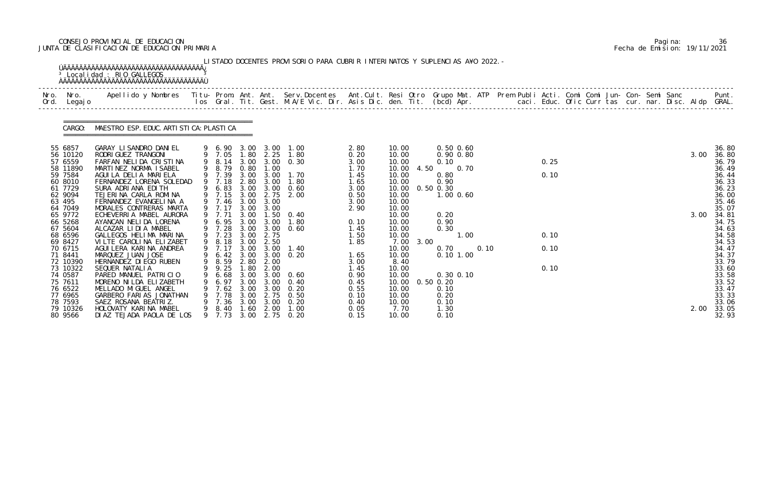# CONSEJO PROVINCIAL DE EDUCACION Pagina: 36 JUNTA DE CLASIFICACION DE EDUCACION PRIMARIA Fecha de Emision: 19/11/2021

|      |                                                                                                                                                                                            | <sup>3</sup> Localidad : RIO GALLEGOS                                                                                                                                                                                                                                                                                                                                                                                                     |                                                                                                                                                          |                                                                                                      |                                                                                                   | LISTADO DOCENTES PROVISORIO PARA CUBRIR INTERINATOS Y SUPLENCIAS A¥O 2022. -                                                              |                                                                                                                      |                                                                                                                                                            |                                                                                                                            |  |                      |  |  |              |                                                                                                                                                       |
|------|--------------------------------------------------------------------------------------------------------------------------------------------------------------------------------------------|-------------------------------------------------------------------------------------------------------------------------------------------------------------------------------------------------------------------------------------------------------------------------------------------------------------------------------------------------------------------------------------------------------------------------------------------|----------------------------------------------------------------------------------------------------------------------------------------------------------|------------------------------------------------------------------------------------------------------|---------------------------------------------------------------------------------------------------|-------------------------------------------------------------------------------------------------------------------------------------------|----------------------------------------------------------------------------------------------------------------------|------------------------------------------------------------------------------------------------------------------------------------------------------------|----------------------------------------------------------------------------------------------------------------------------|--|----------------------|--|--|--------------|-------------------------------------------------------------------------------------------------------------------------------------------------------|
| Nro. | Nro.<br>Ord. Legajo                                                                                                                                                                        | Apellido y Nombres  Titu- Prom. Ant. Ant. Serv.Docentes  Ant.Cult. Resi Otro Grupo Mat. ATP Prem Publi Acti. Comi Comi Jun- Con- Semi Sanc           Punt.<br>Ios Gral. Tit. Gest. M.A/E Vic. Dir. Asis Dic. den. Tit. (bcd) Apr.                                                                                                                                                                                                         |                                                                                                                                                          |                                                                                                      |                                                                                                   |                                                                                                                                           |                                                                                                                      |                                                                                                                                                            |                                                                                                                            |  |                      |  |  |              |                                                                                                                                                       |
|      | CARGO:                                                                                                                                                                                     | MAESTRO ESP. EDUC. ARTI STI CA: PLASTI CA                                                                                                                                                                                                                                                                                                                                                                                                 |                                                                                                                                                          |                                                                                                      |                                                                                                   |                                                                                                                                           |                                                                                                                      |                                                                                                                                                            |                                                                                                                            |  |                      |  |  |              |                                                                                                                                                       |
|      | 55 6857<br>56 10120<br>57 6559<br>58 11890<br>59 7584<br>60 8010<br>61 7729<br>62 9094<br>63 495                                                                                           | GARAY LI SANDRO DANI EL<br>RODRI GUEZ TRANGONI<br>FARFAN NELIDA CRISTINA<br>MARTINEZ NORMA ISABEL<br>AGUILA DELIA MARIELA<br>FERNANDEZ LORENA SOLEDAD<br>SURA ADRIANA EDITH<br>TEJERINA CARLA ROMINA<br>FERNANDEZ EVANGELINA A                                                                                                                                                                                                            | 9 8.79<br>9 7.39<br>9 7.18<br>9 6.83 3.00 3.00<br>9 7.46                                                                                                 | 0.80<br>2.80<br>3.00                                                                                 | 1.00<br>$3.00 \quad 3.00$<br>3.00<br>3.00                                                         | 9 6.90 3.00 3.00 1.00<br>9 7.05 1.80 2.25 1.80<br>9 8.14 3.00 3.00 0.30<br>1.70<br>1.80<br>0.60<br>9 7.15 3.00 2.75 2.00                  | 2.80<br>0.20<br>3.00<br>1.70<br>1.45<br>1.65<br>3.00<br>0.50<br>3.00                                                 | 10.00<br>10.00<br>10.00<br>10.00<br>4.50<br>10.00<br>10.00<br>10.00<br>10.00<br>10.00                                                                      | $0.50$ $0.60$<br>0.90 0.80<br>0.10<br>0.70<br>0.80<br>0.90<br>$0.50$ $0.30$<br>1.00 0.60                                   |  | 0.25<br>0.10         |  |  | 3.00         | 36.80<br>36.80<br>36.79<br>36.49<br>36.44<br>36.33<br>36.23<br>36.00<br>35.46                                                                         |
|      | 64 7049<br>65 9772<br>66 5268<br>67 5604<br>68 6596<br>69 8427<br>70 6715<br>71 8441<br>72 10390<br>73 10322<br>74 0587<br>75 7611<br>76 6522<br>77 6965<br>78 7593<br>79 10326<br>80 9566 | MORALES CONTRERAS MARTA<br>ECHEVERRIA MABEL AURORA<br>AYANCAN NELIDA LORENA<br>ALCAZAR LIDIA MABEL<br>GALLEGOS HELIMA MARINA<br>VILTE CAROLINA ELIZABET<br>AGUI LERA KARI NA ANDREA<br>MARQUEZ JUAN JOSE<br>HERNANDEZ DI EGO RUBEN<br>SEQUER NATALIA<br>PARED MANUEL PATRICIO<br>MORENO NI LDA ELI ZABETH<br>MELLADO MIGUEL ANGEL<br>GARBERO FARIAS JONATHAN<br>SAEZ ROSANA BEATRIZ.<br>HOLOVATY KARINA MABEL<br>DIAZ TEJADA PAOLA DE LOS | 9 7.17<br>9 7.71<br>6.95<br>9 7.28<br>9 7.23<br>9 8.18<br>9 7.17<br>9 8.59<br>9 9.25 1.80 2.00<br>6.68<br>6.97<br>7.62<br>7.78<br>7.36<br>8.40<br>9 7.73 | 3.00<br>3.00<br>3.00<br>3.00<br>3.00<br>2.80<br>3.00<br>3.00<br>3.00<br>3.00<br>3.00<br>1.60<br>3.00 | 3.00<br>3.00<br>3.00 2.75<br>2.50<br>3.00<br>2.00<br>3.00<br>3.00<br>3.00<br>2.75<br>3.00<br>2.00 | 3.00 1.50 0.40<br>1.80<br>$3.00 \quad 0.60$<br>1.40<br>9 6.42 3.00 3.00 0.20<br>0.60<br>0.40<br>0.20<br>0.50<br>0.20<br>1.00<br>2.75 0.20 | 2.90<br>0.10<br>1.45<br>1.50<br>1.85<br>1.65<br>3.00<br>1.45<br>0.90<br>0.45<br>0.55<br>0.10<br>0.40<br>0.05<br>0.15 | 10.00<br>10.00<br>10.00<br>10.00<br>10.00<br>7.00<br>3.00<br>10.00<br>10.00<br>8.40<br>10.00<br>10.00<br>10.00<br>10.00<br>10.00<br>10.00<br>7.70<br>10.00 | 0.20<br>0.90<br>0.30<br>1.00<br>0.10<br>0.70<br>0.101.00<br>0.30 0.10<br>0.50 0.20<br>0.10<br>0.20<br>0.10<br>1.30<br>0.10 |  | 0.10<br>0.10<br>0.10 |  |  | 3.00<br>2.00 | 35.07<br>34.81<br>34.75<br>34.63<br>34.58<br>34.53<br>34.47<br>34.37<br>33.79<br>33.60<br>33.58<br>33.52<br>33.47<br>33.33<br>33.06<br>33.05<br>32.93 |

|  | Pagi na: | 36                           |
|--|----------|------------------------------|
|  |          | Fecha de Emision: 19/11/2021 |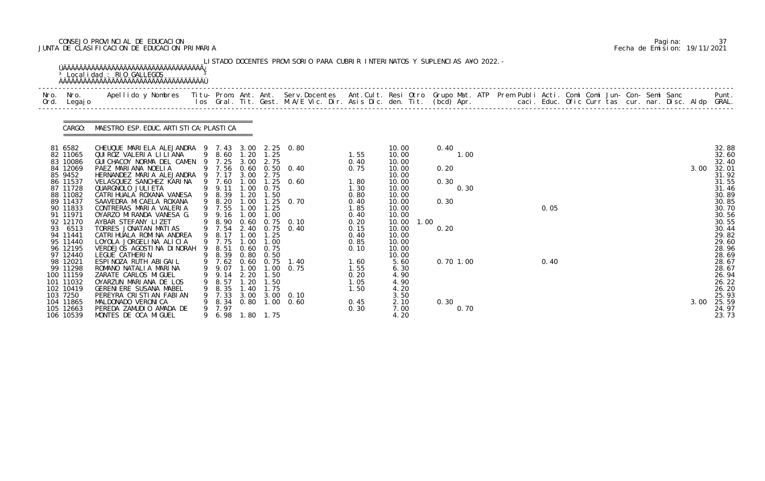# CONSEJO PROVINCIAL DE EDUCACION Pagina: 37 JUNTA DE CLASIFICACION DE EDUCACION PRIMARIA Fecha de Emision: 19/11/2021

| Nro. Nro.<br>Ord. Legajo | Apellido y Nombres  Titu- Prom. Ant. Ant. Serv.Docentes  Ant.Cult. Resi Otro Grupo Mat. ATP Prem Publi Acti. Comi Comi Jun- Con- Semi Sanc         Punt.<br>Ios Gral. Tit. Gest. M.A/E Vic. Dir. Asis Dic. den. Tit. (bcd) Apr. |   |                  |              |                   |                               |              |                |              |  |      |  |  |  |      |                |
|--------------------------|---------------------------------------------------------------------------------------------------------------------------------------------------------------------------------------------------------------------------------|---|------------------|--------------|-------------------|-------------------------------|--------------|----------------|--------------|--|------|--|--|--|------|----------------|
| CARGO:                   | MAESTRO ESP. EDUC. ARTI STI CA: PLASTI CA                                                                                                                                                                                       |   |                  |              |                   |                               |              |                |              |  |      |  |  |  |      |                |
| 81 6582<br>82 11065      | CHEUQUE MARIELA ALEJANDRA 9 7.43 3.00 2.25 0.80<br>QUI ROZ VALERIA LI LI ANA                                                                                                                                                    |   | 9 8.60           | 1.20         | 1.25              |                               | 1.55         | 10.00<br>10.00 | 0.40<br>1.00 |  |      |  |  |  |      | 32.88<br>32.60 |
| 83 10086                 | GUI CHACOY NORMA DEL CAMEN 9 7.25 3.00                                                                                                                                                                                          |   |                  |              | 2.75              |                               | 0.40         | 10.00          |              |  |      |  |  |  |      | 32.40          |
| 84 12069                 | PAEZ MARIANA NOELIA                                                                                                                                                                                                             |   |                  |              |                   | 9 7.56 0.60 0.50 0.40         | 0.75         | 10.00          | 0.20         |  |      |  |  |  | 3.00 | 32.01          |
| 85 9452<br>86 11537      | HERNANDEZ MARIA ALEJANDRA 9 7.17<br>VELASQUEZ SANCHEZ KARINA                                                                                                                                                                    |   | 9 7.60           | 3.00<br>1.00 | 2.75              | $1.25 \t 0.60$                | 1.80         | 10.00<br>10.00 | 0.30         |  |      |  |  |  |      | 31.92<br>31.55 |
| 87 11728                 | QUARGNOLO JULI ETA                                                                                                                                                                                                              |   | 9 9.11           | 1.00         | 0.75              |                               | 1.30         | 10.00          | 0.30         |  |      |  |  |  |      | 31.46          |
| 88 11082                 | CATRI HUALA ROXANA VANESA                                                                                                                                                                                                       |   | 9 8.39           | 1.20         | 1.50              |                               | 0.80         | 10.00          |              |  |      |  |  |  |      | 30.89          |
| 89 11437<br>90 11833     | SAAVEDRA MICAELA ROXANA<br>CONTRERAS MARIA VALERIA                                                                                                                                                                              |   | 9 8.20<br>9 7.55 | 1.00<br>1.00 | 1.25              | $1.25 \quad 0.70$             | 0.40<br>1.85 | 10.00<br>10.00 | 0.30         |  | 0.05 |  |  |  |      | 30.85<br>30.70 |
| 91 11971                 | OYARZO MIRANDA VANESA G.                                                                                                                                                                                                        |   | 9 9.16           | 1.00         | 1.00              |                               | 0.40         | 10.00          |              |  |      |  |  |  |      | 30.56          |
| 92 12170                 | AYBAR STEFANY LIZET                                                                                                                                                                                                             |   | 9 8.90           | 0.60         |                   | $0.75$ 0.10                   | 0.20         | 10.00<br>1.00  |              |  |      |  |  |  |      | 30.55          |
| 93 6513                  | TORRES JONATAN MATIAS                                                                                                                                                                                                           |   | 9 7.54           |              |                   | 2.40 0.75 0.40                | 0.15         | 10.00          | 0.20         |  |      |  |  |  |      | 30.44          |
| 94 11441<br>95 11440     | CATRI HUALA ROMI NA ANDREA<br>LOYOLA JORGELINA ALICIA                                                                                                                                                                           |   | 9 8.17<br>9 7.75 | 1.00<br>1.00 | 1.25<br>1.00      |                               | 0.40<br>0.85 | 10.00<br>10.00 |              |  |      |  |  |  |      | 29.82<br>29.60 |
| 96 12195                 | VERDEJOS AGOSTINA DINORAH                                                                                                                                                                                                       |   | 9 8.51           |              | $0.60 \quad 0.75$ |                               | 0.10         | 10.00          |              |  |      |  |  |  |      | 28.96          |
| 97 12440                 | LEGUE CATHERIN                                                                                                                                                                                                                  |   | 9 8.39           |              | $0.80 \quad 0.50$ |                               |              | 10.00          |              |  |      |  |  |  |      | 28.69          |
| 98 12021<br>99 11298     | ESPINOZA RUTH ABIGAIL<br>ROMANO NATALIA MARINA                                                                                                                                                                                  |   | 9 9.07 1.00 1.00 |              |                   | 9 7.62 0.60 0.75 1.40<br>0.75 | 1.60<br>1.55 | 5.60<br>6.30   | $0.70$ 1.00  |  | 0.40 |  |  |  |      | 28.67<br>28.67 |
| 100 11159                | ZARATE CARLOS MI GUEL                                                                                                                                                                                                           |   | 9.14             | 2.20         | 1.50              |                               | 0.20         | 4.90           |              |  |      |  |  |  |      | 26.94          |
| 101 11032                | OYARZUN MARIANA DE LOS                                                                                                                                                                                                          |   | 8.57             | -20          | . 50              |                               | 1.05         | 4.90           |              |  |      |  |  |  |      | 26.22          |
| 102 10419                | <b>GERENI ERE SUSANA MABEL</b>                                                                                                                                                                                                  |   | 8.35             | . 40         | 1.75              |                               | 1.50         | 4.20           |              |  |      |  |  |  |      | 26.20          |
| 103 7250<br>104 11865    | PEREYRA CRISTIAN FABIAN<br>MALDONADO VERONICA                                                                                                                                                                                   |   | 7.33<br>8.34     | 3.00         |                   | 3.00 0.10<br>$0.80$ 1.00 0.60 | 0.45         | 3.50<br>2.10   | 0.30         |  |      |  |  |  | 3.00 | 25.93<br>25.59 |
| 105 12663                | PEREDA ZAMUDIO AMADA DE                                                                                                                                                                                                         | 9 | 7.97             |              |                   |                               | 0.30         | 7.00           | 0.70         |  |      |  |  |  |      | 24.97          |
| 106 10539                | MONTES DE OCA MIGUEL                                                                                                                                                                                                            | 9 | 6.98             |              | 1.80 1.75         |                               |              | 4.20           |              |  |      |  |  |  |      | 23.73          |

|  | Pagi na: |                              |
|--|----------|------------------------------|
|  |          | Fecha de Emision: 19/11/2021 |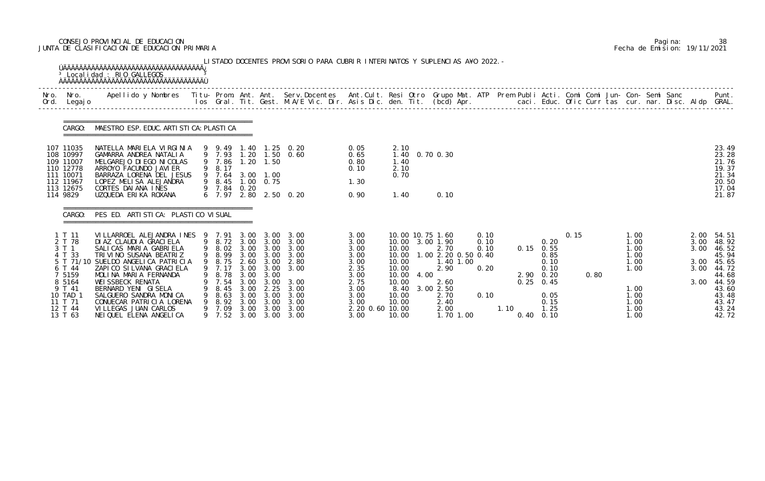# CONSEJO PROVINCIAL DE EDUCACION Pagina: 38 JUNTA DE CLASIFICACION DE EDUCACION PRIMARIA Fecha de Emision: 19/11/2021

| Nro. | Nro.<br>Ord. Legajo                                                                                                    | Apellido y Nombres - Titu- Prom. Ant. Ant. Serv.Docentes - Ant.Cult. Resi Otro Grupo Mat. ATP Prem Publi Acti. Comi Comi Jun- Con- Semi Sanc - - - Punt.<br>Ios Gral. Tit. Gest. M.A/E Vic. Dir. Asis Dic. den. Tit. (bcd) Apr. -                                                                                                                                            |   |                                                                                                                                |                                                      |                                                                   |                                                                                                               |                                                                                                                 |                                                                                       |      |                                                                                                                                                   |                                      |      |                                                                                                                      |      |      |                                                                                      |  |                              |                                                                                                                             |
|------|------------------------------------------------------------------------------------------------------------------------|------------------------------------------------------------------------------------------------------------------------------------------------------------------------------------------------------------------------------------------------------------------------------------------------------------------------------------------------------------------------------|---|--------------------------------------------------------------------------------------------------------------------------------|------------------------------------------------------|-------------------------------------------------------------------|---------------------------------------------------------------------------------------------------------------|-----------------------------------------------------------------------------------------------------------------|---------------------------------------------------------------------------------------|------|---------------------------------------------------------------------------------------------------------------------------------------------------|--------------------------------------|------|----------------------------------------------------------------------------------------------------------------------|------|------|--------------------------------------------------------------------------------------|--|------------------------------|-----------------------------------------------------------------------------------------------------------------------------|
|      | CARGO:                                                                                                                 | MAESTRO ESP. EDUC. ARTI STI CA: PLASTI CA                                                                                                                                                                                                                                                                                                                                    |   |                                                                                                                                |                                                      |                                                                   |                                                                                                               |                                                                                                                 |                                                                                       |      |                                                                                                                                                   |                                      |      |                                                                                                                      |      |      |                                                                                      |  |                              |                                                                                                                             |
|      | 107 11035<br>108 10997<br>109 11007<br>110 12778<br>111 10071<br>112 11967<br>113 12675<br>114 9829                    | NATELLA MARIELA VIRGINIA<br>GAMARRA ANDREA NATALIA<br>MELGAREJO DI EGO NI COLAS<br>ARROYO FACUNDO JAVI ER<br>BARRAZA LORENA DEL JESUS<br>LOPEZ MELISA ALEJANDRA<br>CORTES DAI ANA INES<br>UZQUEDA ERIKA ROXANA                                                                                                                                                               |   | 9 7.86<br>9 8.17<br>9 7.64<br>9 8.45<br>9 7.84                                                                                 | 0.20                                                 | $1.20$ $1.50$<br>3.00 1.00<br>$1.00 \quad 0.75$                   | 9 9.49 1.40 1.25 0.20<br>9 7.93 1.20 1.50 0.60<br>6 7.97 2.80 2.50 0.20                                       | 0.05<br>0.65<br>0.80<br>0.10<br>1.30<br>0.90                                                                    | 2.10<br>1.40<br>2.10<br>0.70<br>1.40                                                  |      | 1.40 0.70 0.30<br>0.10                                                                                                                            |                                      |      |                                                                                                                      |      |      |                                                                                      |  |                              | 23.49<br>23.28<br>21.76<br>19.37<br>21.34<br>20.50<br>17.04<br>21.87                                                        |
|      | CARGO:                                                                                                                 | PES ED. ARTISTICA: PLASTICO VISUAL                                                                                                                                                                                                                                                                                                                                           |   |                                                                                                                                |                                                      |                                                                   |                                                                                                               |                                                                                                                 |                                                                                       |      |                                                                                                                                                   |                                      |      |                                                                                                                      |      |      |                                                                                      |  |                              |                                                                                                                             |
|      | 1 T 11<br>2 T 78<br>3 T 1<br>4 T 33<br>6 T 44<br>5159<br>8 5164<br>9 T 41<br>10 TAD 1<br>11 T 71<br>12 T 44<br>13 T 63 | VILLARROEL ALEJANDRA INES 9 7.91 3.00 3.00<br>DI AZ CLAUDI A GRACI ELA<br>SALICAS MARIA GABRIELA<br>TRIVINO SUSANA BEATRIZ<br>5 T 71/10 SUELDO ANGELICA PATRICIA<br>ZAPI CO SI LVANA GRACI ELA<br>MOLINA MARIA FERNANDA<br>WEI SSBECK RENATA<br>BERNARD YENI GISELA<br>SALGUERO SANDRA MONICA<br>CONUECAR PATRICIA LORENA<br>VILLEGAS JUAN CARLOS<br>NEI QUEL ELENA ANGELICA | 9 | 9 8.72 3.00 3.00<br>9 8.99<br>9 8.75 2.60 3.00<br>9 7.17 3.00 3.00<br>8.78<br>7.54<br>8.45<br>8.63<br>8.92<br>9 7.09<br>9 7.52 | 3.00<br>3.00<br>3.00<br>3.00<br>3.00<br>3.00<br>3.00 | 3.00 3.00<br>3.00<br>3.00<br>2.25<br>3.00<br>3.00<br>3.00<br>3.00 | 3.00<br>3.00<br>9 8.02 3.00 3.00 3.00<br>3.00<br>2.80<br>3.00<br>3.00<br>3.00<br>3.00<br>3.00<br>3.00<br>3.00 | 3.00<br>3.00<br>3.00<br>3.00<br>3.00<br>2.35<br>3.00<br>2.75<br>3.00<br>3.00<br>3.00<br>2.20 0.60 10.00<br>3.00 | 10.00<br>10.00<br>10.00<br>10.00<br>10.00<br>10.00<br>8.40<br>10.00<br>10.00<br>10.00 | 4.00 | 10.00 10.75 1.60<br>10.00 3.00 1.90<br>2.70<br>1.00 2.20 0.50 0.40<br>1.40 1.00<br>2.90<br>2.60<br>3.00 2.50<br>2.70<br>2.40<br>2.00<br>1.70 1.00 | 0.10<br>0.10<br>0.10<br>0.20<br>0.10 | 1.10 | 0.20<br>$0.15$ 0.55<br>0.85<br>0.10<br>0.10<br>2.90 0.20<br>$0.25$ 0.45<br>0.05<br>0.15<br>1.25<br>$0.40 \quad 0.10$ | 0.15 | 0.80 | 1.00<br>1.00<br>1.00<br>1.00<br>1.00<br>1.00<br>1.00<br>1.00<br>1.00<br>1.00<br>1.00 |  | 2.00<br>3.00<br>3.00<br>3.00 | 54.51<br>48.92<br>46.52<br>45.94<br>3.00 45.65<br>3.00 44.72<br>44.68<br>44.59<br>43.60<br>43.48<br>43.47<br>43.24<br>42.72 |

|  | Pagi na: | 38                           |
|--|----------|------------------------------|
|  |          | Fecha de Emision: 19/11/2021 |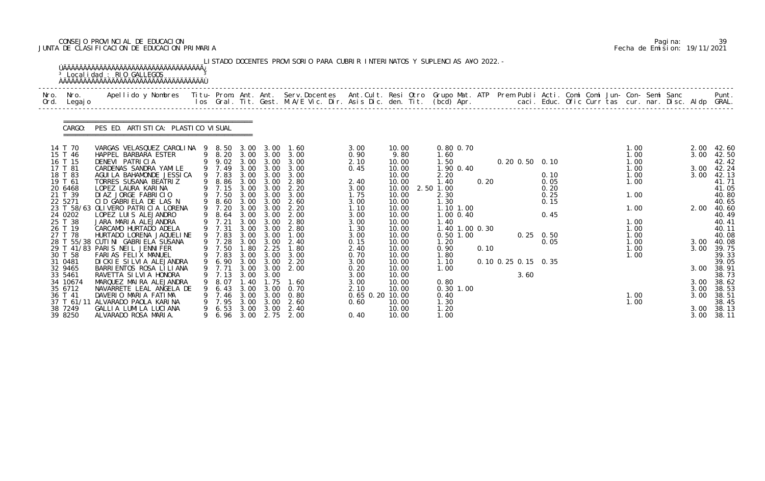# CONSEJO PROVINCIAL DE EDUCACION Pagina: 39 JUNTA DE CLASIFICACION DE EDUCACION PRIMARIA Fecha de Emision: 19/11/2021

|              |                       | <sup>3</sup> Localidad : RIO GALLEGOS                                                                                                                                                                                             |   |                       |              |                   | LISTADO DOCENTES PROVISORIO PARA CUBRIR INTERINATOS Y SUPLENCIAS A¥O 2022. - |                         |                |                        |      |                     |      |                   |  |              |  |      |                |
|--------------|-----------------------|-----------------------------------------------------------------------------------------------------------------------------------------------------------------------------------------------------------------------------------|---|-----------------------|--------------|-------------------|------------------------------------------------------------------------------|-------------------------|----------------|------------------------|------|---------------------|------|-------------------|--|--------------|--|------|----------------|
| Nro.<br>Ord. | Nro.<br>Legaj o       | Apellido y Nombres - Titu- Prom. Ant. Ant. Serv.Docentes - Ant.Cult. Resi Otro Grupo Mat. ATP Prem Publi Acti. Comi Comi Jun- Con- Semi Sanc - - - Punt.<br>Ios Gral. Tit. Gest. M.A/E Vic. Dir. Asis Dic. den. Tit. (bcd) Apr. - |   |                       |              |                   |                                                                              |                         |                |                        |      |                     |      |                   |  |              |  |      |                |
|              | CARGO:                | PES ED. ARTISTICA: PLASTICO VISUAL                                                                                                                                                                                                |   |                       |              |                   |                                                                              |                         |                |                        |      |                     |      |                   |  |              |  |      |                |
|              | 14 T 70               | VARGAS VELASQUEZ CAROLINA 9 8.50                                                                                                                                                                                                  |   |                       | 3.00         | 3.00              | 1.60                                                                         | 3.00                    | 10.00          | $0.80$ $0.70$          |      |                     |      |                   |  | 1.00         |  | 2.00 | 42.60          |
|              | 15 T 46<br>16 T 15    | HAPPEL BARBARA ESTER                                                                                                                                                                                                              | 9 | 8.20                  |              | 3.00 3.00         | 3.00<br>3.00                                                                 | 0.90                    | 9.80           | 1.60<br>1.50           |      |                     |      |                   |  | 1.00<br>1.00 |  | 3.00 | 42.50          |
|              | 17 T 81               | DENEVI PATRICIA<br>CARDENAS SANDRA YAMILE                                                                                                                                                                                         |   | 9 9.02 3.00<br>9 7.49 | 3.00         | 3.00<br>3.00      | 3.00                                                                         | 2.10<br>0.45            | 10.00<br>10.00 | 1.90 0.40              |      |                     |      | 0.20 0.50 0.10    |  | 1.00         |  | 3.00 | 42.42<br>42.24 |
|              | 18 T 83               | AGUI LA BAHAMONDE JESSI CA                                                                                                                                                                                                        |   | 9 7.83                | 3.00         | 3.00              | 3.00                                                                         |                         | 10.00          | 2.20                   |      |                     |      | 0.10              |  | 1.00         |  | 3.00 | 42.13          |
|              | 19 T 61               | TORRES SUSANA BEATRIZ                                                                                                                                                                                                             |   | 8.86                  | 3.00         | 3.00              | 2.80                                                                         | 2.40                    | 10.00          | 1.40                   | 0.20 |                     |      | 0.05              |  | 1.00         |  |      | 41.71          |
|              | 20 6468               | LOPEZ LAURA KARINA                                                                                                                                                                                                                |   | 9 7.15                | 3.00         | 3.00              | 2.20                                                                         | 3.00                    | 10.00          | 2.50 1.00              |      |                     |      | 0.20              |  |              |  |      | 41.05          |
|              | 21 T 39               | DIAZ JORGE FABRICIO                                                                                                                                                                                                               |   | 9 7.50                | 3.00         | 3.00              | 3.00                                                                         | 1.75                    | 10.00          | 2.30                   |      |                     |      | 0.25              |  | 1.00         |  |      | 40.80          |
|              | 22 5271               | CID GABRIELA DE LAS N                                                                                                                                                                                                             |   | 8.60                  | 3.00         | 3.00              | 2.60                                                                         | 3.00                    | 10.00          | 1.30                   |      |                     |      | 0.15              |  |              |  |      | 40.65          |
|              |                       | 23 T 58/63 OLIVERO PATRICIA LORENA                                                                                                                                                                                                |   | 7.20                  | 3.00         | 3.00              | 2.20                                                                         | 1.10                    | 10.00          | 1.10 1.00              |      |                     |      |                   |  | 1.00         |  | 2.00 | 40.60          |
|              | 24 0202               | LOPEZ LUIS ALEJANDRO                                                                                                                                                                                                              |   | 8.64                  |              | $3.00 \quad 3.00$ | 2.00                                                                         | 3.00                    | 10.00          | $1.00$ 0.40            |      |                     |      | 0.45              |  |              |  |      | 40.49          |
|              | 25 T 38<br>26 T 19    | JARA MARIA ALEJANDRA<br>CARCAMO HURTADO ADELA                                                                                                                                                                                     |   | 9 7.21<br>9 7.31      | 3.00<br>3.00 | 3.00<br>3.00      | 2.80<br>2.80                                                                 | 3.00                    | 10.00<br>10.00 | 1.40<br>1.40 1.00 0.30 |      |                     |      |                   |  | 1.00<br>1.00 |  |      | 40.41<br>40.11 |
|              | 27 T 78               | HURTADO LORENA JAQUELINE                                                                                                                                                                                                          |   | 9 7.83                | 3.00         | 3.00              | 1.00                                                                         | 1.30<br>3.00            | 10.00          | $0.50$ 1.00            |      |                     |      | $0.25 \quad 0.50$ |  | 1.00         |  |      | 40.08          |
|              |                       | 28 T 55/38 CUTINI GABRIELA SUSANA                                                                                                                                                                                                 |   | 7.28                  | 3.00         | 3.00              | 2.40                                                                         | 0.15                    | 10.00          | 1.20                   |      |                     |      | 0.05              |  | 1.00         |  | 3.00 | 40.08          |
|              |                       | 29 T 41/83 PARIS NEIL JENNIFER                                                                                                                                                                                                    |   | 7.50                  | 1.80         | 2.25              | 1.80                                                                         | 2.40                    | 10.00          | 0.90                   | 0.10 |                     |      |                   |  | 1.00         |  | 3.00 | 39.75          |
|              | 30 T 58               | FARIAS FELIX MANUEL                                                                                                                                                                                                               |   | 9 7.83                |              | 3.00 3.00         | 3.00                                                                         | 0.70                    | 10.00          | 1.80                   |      |                     |      |                   |  | 1.00         |  |      | 39.33          |
|              | 31 0481               | DICKIE SILVIA ALEJANDRA                                                                                                                                                                                                           |   | 9 6.90                | 3.00         | 3.00              | 2.20                                                                         | 3.00                    | 10.00          | 1.10                   |      | 0.10 0.25 0.15 0.35 |      |                   |  |              |  |      | 39.05          |
|              | 32 9465               | BARRI ENTOS ROSA LI LI ANA                                                                                                                                                                                                        |   | 9 7.71                | 3.00         | 3.00              | 2.00                                                                         | 0.20                    | 10.00          | 1.00                   |      |                     |      |                   |  |              |  | 3.00 | 38.91          |
|              | 33 5461               | RAVETTA SI LVI A HONORA                                                                                                                                                                                                           |   | 7.13                  | 3.00         | 3.00              |                                                                              | 3.00                    | 10.00          |                        |      |                     | 3.60 |                   |  |              |  |      | 38.73          |
|              | 34 10674              | MARQUEZ MAIRA ALEJANDRA                                                                                                                                                                                                           |   | 8.07                  |              | . 75              | 1.60                                                                         | 3.00                    | 10.00          | 0.80                   |      |                     |      |                   |  |              |  | 3.00 | 38.62          |
|              | 35 6712               | NAVARRETE LEAL ANGELA DE                                                                                                                                                                                                          |   | 6.43                  | 3.00         | 3.00              | 0.70                                                                         | 2.10                    | 10.00          | $0.30$ 1.00            |      |                     |      |                   |  |              |  | 3.00 | 38.53          |
|              | 36 T 41<br>37 T 61/11 | DAVERIO MARIA FATIMA<br>ALVARADO PAOLA KARINA                                                                                                                                                                                     |   | 7.46<br>7.95          | 3.00<br>3.00 | 3.00<br>3.00      | 0.80<br>2.60                                                                 | 0.65 0.20 10.00<br>0.60 | 10.00          | 0.40<br>1. 30          |      |                     |      |                   |  | 1.00<br>1.00 |  | 3.00 | 38.51<br>38.45 |
|              | 38 7249               | GALLIA LUMILA LUCIANA                                                                                                                                                                                                             |   | 6.53                  | 3.00         | 3.00              | 2.40                                                                         |                         | 10.00          | 1.20                   |      |                     |      |                   |  |              |  | 3.00 | 38.13          |
|              | 39 8250               | ALVARADO ROSA MARIA.                                                                                                                                                                                                              |   | 6.96                  |              |                   | 3.00 2.75 2.00                                                               | 0.40                    | 10.00          | 1.00                   |      |                     |      |                   |  |              |  | 3.00 | 38.11          |

|  | Pagi na: |                              |
|--|----------|------------------------------|
|  |          | Fecha de Emision: 19/11/2021 |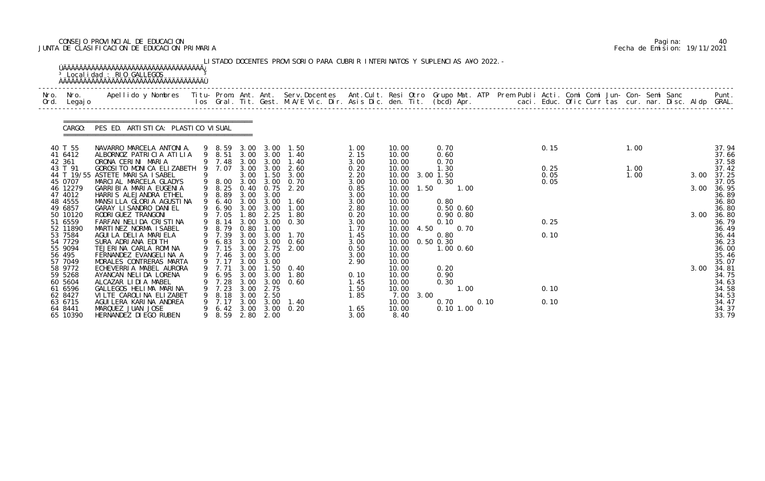# CONSEJO PROVINCIAL DE EDUCACION Pagina: 40 JUNTA DE CLASIFICACION DE EDUCACION PRIMARIA Fecha de Emision: 19/11/2021

|              |                     | <sup>3</sup> Localidad : RIO GALLEGOS                                                                                                                                                                                             |   |                  |                   |                   | LISTADO DOCENTES PROVISORIO PARA CUBRIR INTERINATOS Y SUPLENCIAS A¥O 2022. - |              |                       |                   |      |      |  |      |  |      |                |
|--------------|---------------------|-----------------------------------------------------------------------------------------------------------------------------------------------------------------------------------------------------------------------------------|---|------------------|-------------------|-------------------|------------------------------------------------------------------------------|--------------|-----------------------|-------------------|------|------|--|------|--|------|----------------|
| Nro.<br>Ord. | Nro.<br>Legaj o     | Apellido y Nombres  Titu- Prom. Ant. Ant. Serv.Docentes  Ant.Cult. Resi Otro Grupo Mat. ATP Prem Publi Acti. Comi Comi Jun- Con- Semi Sanc           Punt.<br>Ios Gral. Tit. Gest. M.A/E Vic. Dir. Asis Dic. den. Tit. (bcd) Apr. |   |                  |                   |                   |                                                                              |              |                       |                   |      |      |  |      |  |      |                |
|              | CARGO:              | PES ED. ARTISTICA: PLASTICO VISUAL                                                                                                                                                                                                |   |                  |                   |                   |                                                                              |              |                       |                   |      |      |  |      |  |      |                |
|              | 40 T 55<br>41 6412  | NAVARRO MARCELA ANTONIA.<br>ALBORNOZ PATRICIA ATILIA                                                                                                                                                                              |   | 9 8.59<br>9 8.51 |                   | 3.00 3.00         | 3.00 3.00 1.50<br>1.40                                                       | 1.00<br>2.15 | 10.00<br>10.00        | 0.70<br>0.60      |      | 0.15 |  | 1.00 |  |      | 37.94<br>37.66 |
|              | 42 361              | ORONA CERINI MARIA                                                                                                                                                                                                                |   | 9 7.48           | 3.00              | 3.00              | 1.40                                                                         | 3.00         | 10.00                 | 0.70              |      |      |  |      |  |      | 37.58          |
|              | 43 T 91             | GOROSI TO MONICA ELIZABETH                                                                                                                                                                                                        |   | 9 7.07           | 3.00              | 3.00              | 2.60                                                                         | 0.20         | 10.00                 | 1.30              |      | 0.25 |  | 1.00 |  |      | 37.42          |
|              |                     | 44 T 19/55 ASTETE MARISA ISABEL                                                                                                                                                                                                   | 9 |                  |                   |                   | 3.00 1.50 3.00                                                               | 2.20         | 10.00                 | 3.00 1.50         |      | 0.05 |  | 1.00 |  | 3.00 | 37.25          |
|              | 45 0707             | MARCIAL MARCELA GLADYS                                                                                                                                                                                                            |   | 9 8.00           | 3.00              | 3.00              | 0.70                                                                         | 3.00         | 10.00                 | 0.30              |      | 0.05 |  |      |  |      | 37.05          |
|              | 46 12279            | GARRI BI A MARI A EUGENI A                                                                                                                                                                                                        |   | 9 8.25           | 0.40              | 0.75              | 2.20                                                                         | 0.85         | 10.00<br>1.50         | 1.00              |      |      |  |      |  | 3.00 | 36.95          |
|              | 47 4012             | HARRIS ALEJANDRA ETHEL                                                                                                                                                                                                            |   | 9 8.89           |                   | 3.00 3.00         |                                                                              | 3.00         | 10.00                 |                   |      |      |  |      |  |      | 36.89          |
|              | 48 4555             | MANSILLA GLORIA AGUSTINA                                                                                                                                                                                                          |   | 6.40             | 3.00              | 3.00              | 1.60                                                                         | 3.00         | 10.00                 | 0.80              |      |      |  |      |  |      | 36.80          |
|              | 49 6857             | GARAY LI SANDRO DANI EL                                                                                                                                                                                                           |   | 6.90             | 3.00              | 3.00              | 1.00<br>1.80                                                                 | 2.80         | 10.00                 | $0.50$ $0.60$     |      |      |  |      |  | 3.00 | 36.80          |
|              | 50 10120<br>51 6559 | RODRI GUEZ TRANGONI<br>FARFAN NELIDA CRISTINA                                                                                                                                                                                     |   | 9 7.05<br>9 8.14 | 1.80<br>3.00      | 2.25<br>3.00      | 0.30                                                                         | 0.20<br>3.00 | 10.00<br>10.00        | 0.90 0.80<br>0.10 |      | 0.25 |  |      |  |      | 36.80<br>36.79 |
|              | 52 11890            | MARTINEZ NORMA ISABEL                                                                                                                                                                                                             |   | 9 8.79           | 0.80              | 1.00              |                                                                              | 1.70         | 4.50<br>10.00         | 0.70              |      |      |  |      |  |      | 36.49          |
|              | 53 7584             | AGUILA DELIA MARIELA                                                                                                                                                                                                              |   | 9 7.39           | 3.00              | 3.00              | 1.70                                                                         | 1.45         | 10.00                 | 0.80              |      | 0.10 |  |      |  |      | 36.44          |
|              | 54 7729             | SURA ADRIANA EDITH                                                                                                                                                                                                                |   | 6.83             | 3.00              | 3.00              | 0.60                                                                         | 3.00         | 10.00                 | $0.50$ $0.30$     |      |      |  |      |  |      | 36.23          |
|              | 55 9094             | TEJERINA CARLA ROMINA                                                                                                                                                                                                             |   | 9 7.15           | 3.00              | 2.75              | 2.00                                                                         | 0.50         | 10.00                 | $1.00 \, 0.60$    |      |      |  |      |  |      | 36.00          |
|              | 56 495              | FERNANDEZ EVANGELINA A                                                                                                                                                                                                            |   | 9 7.46 3.00 3.00 |                   |                   |                                                                              | 3.00         | 10.00                 |                   |      |      |  |      |  |      | 35.46          |
|              | 57 7049             | MORALES CONTRERAS MARTA                                                                                                                                                                                                           |   | 9 7.17           | 3.00              | 3.00              |                                                                              | 2.90         | 10.00                 |                   |      |      |  |      |  |      | 35.07          |
|              | 58 9772             | ECHEVERRIA MABEL AURORA                                                                                                                                                                                                           |   | 9 7.71           |                   |                   | 3.00 1.50 0.40                                                               |              | 10.00                 | 0.20              |      |      |  |      |  | 3.00 | 34.81          |
|              | 59 5268             | AYANCAN NELIDA LORENA                                                                                                                                                                                                             |   | 6.95             | 3.00              | 3.00              | 1.80                                                                         | 0.10         | 10.00                 | 0.90              |      |      |  |      |  |      | 34.75          |
|              | 60 5604             | ALCAZAR LIDIA MABEL                                                                                                                                                                                                               |   | 7.28             | 3.00              | 3.00              | 0.60                                                                         | 1.45         | 10.00                 | 0.30              |      |      |  |      |  |      | 34.63          |
|              | 61 6596             | GALLEGOS HELIMA MARINA                                                                                                                                                                                                            |   | 7.23             | 3.00              | 2.75              |                                                                              | 1.50         | 10.00                 | 1.00              |      | 0.10 |  |      |  |      | 34.58          |
|              | 62 8427<br>63 6715  | VILTE CAROLINA ELIZABET<br>AGUI LERA KARI NA ANDREA                                                                                                                                                                               |   | 8.18<br>7.17     | 3.00              | 3.00 2.50<br>3.00 | 1.40                                                                         | 1.85         | 7.00<br>3.00<br>10.00 | 0.70              | 0.10 | 0.10 |  |      |  |      | 34.53<br>34.47 |
|              | 64 8441             | MARQUEZ JUAN JOSE                                                                                                                                                                                                                 |   |                  | $6.42 \quad 3.00$ |                   | $3.00 \quad 0.20$                                                            | 1.65         | 10.00                 | 0.101.00          |      |      |  |      |  |      | 34.37          |
|              | 65 10390            | HERNANDEZ DI EGO RUBEN                                                                                                                                                                                                            | 9 | 8.59             |                   | 2.80 2.00         |                                                                              | 3.00         | 8.40                  |                   |      |      |  |      |  |      | 33.79          |

|  | Pagi na: | 40                           |
|--|----------|------------------------------|
|  |          | Fecha de Emision: 19/11/2021 |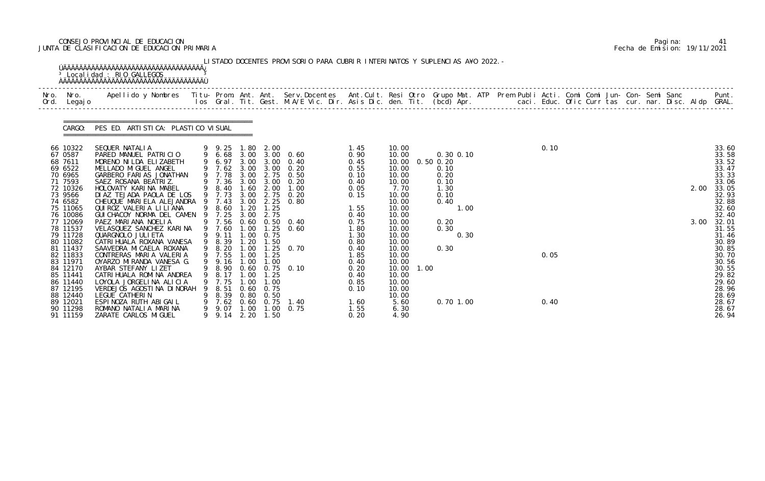# CONSEJO PROVINCIAL DE EDUCACION Pagina: 41 JUNTA DE CLASIFICACION DE EDUCACION PRIMARIA Fecha de Emision: 19/11/2021

|      |                                                                                                                                                               | <sup>3</sup> Localidad : RIO GALLEGOS                                                                                                                                                                                                                                                                                                                                        |         |                                                                                                                                               |                                                                              |                                                                                                     | LISTADO DOCENTES PROVISORIO PARA CUBRIR INTERINATOS Y SUPLENCIAS A¥O 2022. -                                                       |                                                                                                      |                                                                                                                           |      |                                                                                                                |  |              |  |  |  |              |                                                                                                                            |
|------|---------------------------------------------------------------------------------------------------------------------------------------------------------------|------------------------------------------------------------------------------------------------------------------------------------------------------------------------------------------------------------------------------------------------------------------------------------------------------------------------------------------------------------------------------|---------|-----------------------------------------------------------------------------------------------------------------------------------------------|------------------------------------------------------------------------------|-----------------------------------------------------------------------------------------------------|------------------------------------------------------------------------------------------------------------------------------------|------------------------------------------------------------------------------------------------------|---------------------------------------------------------------------------------------------------------------------------|------|----------------------------------------------------------------------------------------------------------------|--|--------------|--|--|--|--------------|----------------------------------------------------------------------------------------------------------------------------|
| Nro. | Nro. In the Nro.<br>Ord. Legajo                                                                                                                               | Apellido y Nombres - Titu- Prom. Ant. Ant. Serv.Docentes - Ant.Cult. Resi Otro Grupo Mat. ATP Prem Publi Acti. Comi Comi Jun- Con- Semi Sanc - - - Punt.<br>Ios Gral. Tit. Gest. M.A/E Vic. Dir. Asis Dic. den. Tit. (bcd) Apr. -                                                                                                                                            |         |                                                                                                                                               |                                                                              |                                                                                                     |                                                                                                                                    |                                                                                                      |                                                                                                                           |      |                                                                                                                |  |              |  |  |  |              |                                                                                                                            |
|      | CARGO:                                                                                                                                                        | PES ED. ARTI STI CA: PLASTI CO VI SUAL                                                                                                                                                                                                                                                                                                                                       |         |                                                                                                                                               |                                                                              |                                                                                                     |                                                                                                                                    |                                                                                                      |                                                                                                                           |      |                                                                                                                |  |              |  |  |  |              |                                                                                                                            |
|      | 66 10322<br>67 0587<br>68 7611<br>69 6522<br>70 6965<br>71 7593<br>72 10326<br>73 9566<br>74 6582<br>75 11065<br>76 10086<br>77 12069<br>78 11537<br>79 11728 | SEQUER NATALIA<br>PARED MANUEL PATRICIO<br>MORENO NI LDA ELI ZABETH<br>MELLADO MI GUEL ANGEL<br>GARBERO FARIAS JONATHAN<br>SAEZ ROSANA BEATRIZ.<br>HOLOVATY KARINA MABEL<br>DIAZ TEJADA PAOLA DE LOS<br>CHEUQUE MARIELA ALEJANDRA<br>QUI ROZ VALERIA LI LI ANA<br>GUI CHACOY NORMA DEL CAMEN 9 7.25<br>PAEZ MARIANA NOELIA<br>VELASQUEZ SANCHEZ KARINA<br>QUARGNOLO JULI ETA |         | 9 9.25 1.80<br>9 6.68 3.00<br>9 6.97<br>9 7.62 3.00<br>9 7.78<br>9 7.36<br>9 8.40<br>9 7.73<br>9 7.43<br>9 8.60<br>9 7.56<br>9 7.60<br>9 9.11 | 3.00<br>3.00<br>1.60<br>3.00<br>3.00<br>1.20<br>3.00<br>0.60<br>1.00<br>1.00 | 2.00<br>3.00 2.75<br>3.00<br>2.00<br>2.75<br>2.25<br>1.25<br>2.75<br>0.75                           | 3.00 3.00 0.60<br>3.00 0.40<br>$3.00 \quad 0.20$<br>0.50<br>0.20<br>1.00<br>0.20<br>0.80<br>$0.50 \quad 0.40$<br>$1.25 \quad 0.60$ | 1.45<br>0.90<br>0.45<br>0.55<br>0.10<br>0.40<br>0.05<br>0.15<br>1.55<br>0.40<br>0.75<br>1.80<br>1.30 | 10.00<br>10.00<br>10.00<br>10.00<br>10.00<br>10.00<br>7.70<br>10.00<br>10.00<br>10.00<br>10.00<br>10.00<br>10.00<br>10.00 |      | $0.30$ $0.10$<br>$0.50$ $0.20$<br>0.10<br>0.20<br>0.10<br>1.30<br>0.10<br>0.40<br>1.00<br>0.20<br>0.30<br>0.30 |  | 0.10         |  |  |  | 2.00<br>3.00 | 33.60<br>33.58<br>33.52<br>33.47<br>33.33<br>33.06<br>33.05<br>32.93<br>32.88<br>32.60<br>32.40<br>32.01<br>31.55<br>31.46 |
|      | 80 11082<br>81 11437<br>82 11833<br>83 11971<br>84 12170<br>85 11441<br>86 11440<br>87 12195<br>88 12440<br>89 12021<br>90 11298<br>91 11159                  | CATRI HUALA ROXANA VANESA<br>SAAVEDRA MICAELA ROXANA<br>CONTRERAS MARIA VALERIA<br>OYARZO MIRANDA VANESA G.<br>AYBAR STEFANY LIZET<br>CATRI HUALA ROMI NA ANDREA<br>LOYOLA JORGELINA ALICIA<br>VERDEJOS AGOSTINA DINORAH<br>LEGUE CATHERIN<br>ESPINOZA RUTH ABIGAIL<br>ROMANO NATALIA MARINA<br>ZARATE CARLOS MI GUEL                                                        | 9<br>9. | 9 8.39<br>9 7.55<br>9 9.16 1.00<br>8.17<br>9 7.75<br>8.51<br>8.39<br>7.62<br>9.07<br>9 9.14                                                   | 1.20<br>1.00<br>1.00<br>1.00<br>0. 60<br>1.00                                | 1.50<br>1.25<br>1.00<br>1.00<br>0.75<br>$0.80 \quad 0.50$<br>$0.60 \quad 0.75$<br>1.00<br>2.20 1.50 | 9 8.20 1.00 1.25 0.70<br>9 8.90 0.60 0.75 0.10<br>1.40<br>0.75                                                                     | 0.80<br>0.40<br>1.85<br>0.40<br>0.20<br>0.40<br>0.85<br>0.10<br>1.60<br>1.55<br>0.20                 | 10.00<br>10.00<br>10.00<br>10.00<br>10.00<br>10.00<br>10.00<br>10.00<br>10.00<br>5.60<br>6.30<br>4.90                     | 1.00 | 0.30<br>$0.70$ 1.00                                                                                            |  | 0.05<br>0.40 |  |  |  |              | 30.89<br>30.85<br>30.70<br>30.56<br>30.55<br>29.82<br>29.60<br>28.96<br>28.69<br>28.67<br>28.67<br>26.94                   |

|  | Pagi na: | 41                           |
|--|----------|------------------------------|
|  |          | Fecha de Emision: 19/11/2021 |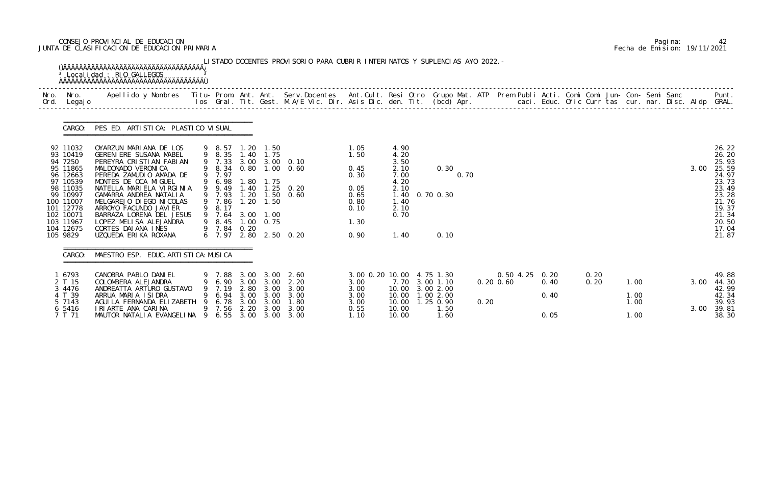# CONSEJO PROVINCIAL DE EDUCACION Pagina: 42 JUNTA DE CLASIFICACION DE EDUCACION PRIMARIA Fecha de Emision: 19/11/2021

|              |                                                                                                                                                                          | <sup>3</sup> Localidad : RIO GALLEGOS                                                                                                                                                                                                                                                                                                                                          |     |                                                                                                                  |                                              |                                                                     | LISTADO DOCENTES PROVISORIO PARA CUBRIR INTERINATOS Y SUPLENCIAS A¥O 2022. -                  |                                                                              |                                                                                              |                                        |      |                |                        |              |                      |  |      |                                                                                                                            |
|--------------|--------------------------------------------------------------------------------------------------------------------------------------------------------------------------|--------------------------------------------------------------------------------------------------------------------------------------------------------------------------------------------------------------------------------------------------------------------------------------------------------------------------------------------------------------------------------|-----|------------------------------------------------------------------------------------------------------------------|----------------------------------------------|---------------------------------------------------------------------|-----------------------------------------------------------------------------------------------|------------------------------------------------------------------------------|----------------------------------------------------------------------------------------------|----------------------------------------|------|----------------|------------------------|--------------|----------------------|--|------|----------------------------------------------------------------------------------------------------------------------------|
| Nro.<br>Ord. | Nro.<br>Legaj o                                                                                                                                                          | Apellido y Nombres - Titu- Prom. Ant. Ant. Serv.Docentes - Ant.Cult. Resi Otro Grupo Mat. ATP Prem Publi Acti. Comi Comi Jun- Con- Semi Sanc - - - - Punt.<br>Ios Gral. Tit. Gest. M.A/E Vic. Dir. Asis Dic. den. Tit. (bcd) Apr.                                                                                                                                              |     |                                                                                                                  |                                              |                                                                     |                                                                                               |                                                                              |                                                                                              |                                        |      |                |                        |              |                      |  |      |                                                                                                                            |
|              | CARGO:                                                                                                                                                                   | PES ED. ARTI STI CA: PLASTI CO VI SUAL                                                                                                                                                                                                                                                                                                                                         |     |                                                                                                                  |                                              |                                                                     |                                                                                               |                                                                              |                                                                                              |                                        |      |                |                        |              |                      |  |      |                                                                                                                            |
|              | 92 11032<br>93 10419<br>94 7250<br>95 11865<br>96 12663<br>97 10539<br>98 11035<br>99 10997<br>100 11007<br>101 12778<br>102 10071<br>103 11967<br>104 12675<br>105 9829 | OYARZUN MARIANA DE LOS<br><b>GERENI ERE SUSANA MABEL</b><br>PEREYRA CRISTIAN FABIAN<br>MALDONADO VERONICA<br>PEREDA ZAMUDIO AMADA DE<br>MONTES DE OCA MIGUEL<br>NATELLA MARIELA VIRGINIA<br>GAMARRA ANDREA NATALIA<br>MELGAREJO DI EGO NI COLAS<br>ARROYO FACUNDO JAVI ER<br>BARRAZA LORENA DEL JESUS<br>LOPEZ MELISA ALEJANDRA<br>CORTES DAI ANA INES<br>UZQUEDA ERIKA ROXANA |     | 9 8.57<br>9 8.35<br>9 7.33<br>9 7.97<br>6.98<br>9 9.49<br>9 7.93<br>9 7.86<br>8.17<br>9 7.64<br>9 8.45<br>9 7.84 | 1. 20<br>1.40<br>. 80<br>.40<br>1.20<br>0.20 | 1.50<br>1.75<br>1.75<br>1.50<br>1.20 1.50<br>3.00 1.00<br>1.00 0.75 | 3.00 3.00 0.10<br>9 8.34 0.80 1.00 0.60<br>$1.25 \quad 0.20$<br>0.60<br>6 7.97 2.80 2.50 0.20 | 1.05<br>1.50<br>0.45<br>0.30<br>0.05<br>0.65<br>0.80<br>0.10<br>1.30<br>0.90 | 4.90<br>4.20<br>3.50<br>2.10<br>7.00<br>4.20<br>2.10<br>1.40<br>1.40<br>2.10<br>0.70<br>1.40 | 0.30<br>0.70 0.30<br>0.10              | 0.70 |                |                        |              |                      |  | 3.00 | 26.22<br>26.20<br>25.93<br>25.59<br>24.97<br>23.73<br>23.49<br>23.28<br>21.76<br>19.37<br>21.34<br>20.50<br>17.04<br>21.87 |
|              | CARGO:                                                                                                                                                                   | MAESTRO ESP. EDUC. ARTI STI CA: MUSI CA                                                                                                                                                                                                                                                                                                                                        |     |                                                                                                                  |                                              |                                                                     |                                                                                               |                                                                              |                                                                                              |                                        |      |                |                        |              |                      |  |      |                                                                                                                            |
|              | 6793<br>2 T 15<br>3 4476                                                                                                                                                 | CANOBRA PABLO DANIEL<br>COLOMBERA ALEJANDRA<br>ANDREATTA ARTURO GUSTAVO                                                                                                                                                                                                                                                                                                        |     | 6.90<br>7.19                                                                                                     | 3.00<br>2.80                                 | 3.00<br>3.00                                                        | 7.88 3.00 3.00 2.60<br>2.20<br>3.00                                                           | 3.00 0.20 10.00 4.75 1.30<br>3.00<br>3.00                                    | 10.00                                                                                        | 7.70 3.00 1.10<br>3.00 2.00            |      | $0.20 \, 0.60$ | 0.50 4.25 0.20<br>0.40 | 0.20<br>0.20 | 1.00                 |  | 3.00 | 49.88<br>44.30<br>42.99                                                                                                    |
|              | 4 T 39<br>5 7143<br>6 5416<br>7 T 71                                                                                                                                     | ARRUA MARIA ISIDRA<br>AGUI LA FERNANDA ELIZABETH<br>I RI ARTE ANA CARINA<br>MAUTOR NATALIA EVANGELINA                                                                                                                                                                                                                                                                          | - 9 | 6.94<br>6.78<br>9 7.56                                                                                           | 3.00<br>3.00                                 | 3.00<br>3.00                                                        | 3.00<br>1.80<br>2.20 3.00 3.00<br>6.55 3.00 3.00 3.00                                         | 3.00<br>3.00<br>0.55<br>1.10                                                 | 10.00<br>10.00<br>10.00<br>10.00                                                             | 1.00 2.00<br>1.25 0.90<br>1.50<br>1.60 |      | 0.20           | 0.40<br>0.05           |              | 1.00<br>1.00<br>1.00 |  | 3.00 | 42.34<br>39.93<br>39.81<br>38.30                                                                                           |

|  | Pagi na: | 42                           |
|--|----------|------------------------------|
|  |          | Fecha de Emision: 19/11/2021 |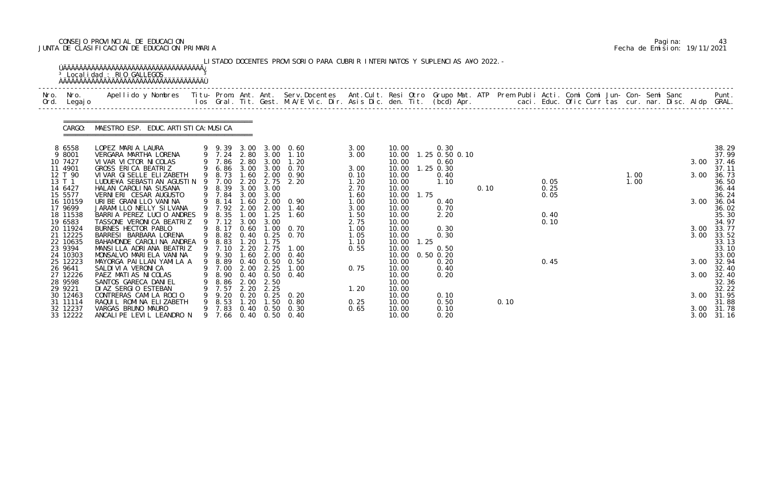# CONSEJO PROVINCIAL DE EDUCACION Pagina: 43 JUNTA DE CLASIFICACION DE EDUCACION PRIMARIA Fecha de Emision: 19/11/2021

|              |                      | <sup>3</sup> Localidad : RIO GALLEGOS                                                                                                                                                                                           |        |                  |              |                           | LISTADO DOCENTES PROVISORIO PARA CUBRIR INTERINATOS Y SUPLENCIAS A¥O 2022. - |              |                |      |                        |      |      |      |  |              |  |      |                     |
|--------------|----------------------|---------------------------------------------------------------------------------------------------------------------------------------------------------------------------------------------------------------------------------|--------|------------------|--------------|---------------------------|------------------------------------------------------------------------------|--------------|----------------|------|------------------------|------|------|------|--|--------------|--|------|---------------------|
| Nro.<br>Ord. | Nro.<br>Legaj o      | Apellido y Nombres  Titu- Prom. Ant. Ant. Serv.Docentes  Ant.Cult. Resi Otro Grupo Mat. ATP Prem Publi Acti. Comi Comi Jun- Con- Semi Sanc         Punt.<br>Ios Gral. Tit. Gest. M.A/E Vic. Dir. Asis Dic. den. Tit. (bcd) Apr. |        |                  |              |                           |                                                                              |              |                |      |                        |      |      |      |  |              |  |      |                     |
|              | CARGO:               | MAESTRO ESP. EDUC. ARTI STI CA: MUSI CA                                                                                                                                                                                         |        |                  |              |                           |                                                                              |              |                |      |                        |      |      |      |  |              |  |      |                     |
|              | 8 6558<br>9 8001     | LOPEZ MARIA LAURA<br>VERGARA MARTHA LORENA                                                                                                                                                                                      |        | 9 7.24 2.80 3.00 |              |                           | 9 9.39 3.00 3.00 0.60<br>1. 10                                               | 3.00<br>3.00 | 10.00<br>10.00 |      | 0.30<br>1.25 0.50 0.10 |      |      |      |  |              |  |      | 38.29<br>37.99      |
|              | 10 7427              | VI VAR VI CTOR NI COLAS                                                                                                                                                                                                         |        | 7.86             | 2.80         | 3.00                      | 1.20                                                                         |              | 10.00          |      | 0.60                   |      |      |      |  |              |  | 3.00 | 37.46               |
|              | 11 4901              | GROSS ERICA BEATRIZ                                                                                                                                                                                                             |        | 6.86             | 3.00         | 3.00                      | 0.70                                                                         | 3.00         | 10.00          |      | $1.25$ 0.30            |      |      |      |  |              |  |      | 37.11               |
|              | 12 T 90<br>13 T 1    | VI VAR GI SELLE ELI ZABETH<br>LUDUE¥A SEBASTIAN AGUSTIN                                                                                                                                                                         | 9<br>9 | 8.73<br>7.00     | 1.60<br>2.20 | 2.00<br>2.75              | 0.90<br>2.20                                                                 | 0.10<br>1.20 | 10.00<br>10.00 |      | 0.40<br>1.10           |      |      | 0.05 |  | 1.00<br>1.00 |  | 3.00 | 36.73<br>36.50      |
|              | 14 6427              | HALAN CAROLINA SUSANA                                                                                                                                                                                                           |        | 9 8.39           | 3.00         | 3.00                      |                                                                              | 2.70         | 10.00          |      |                        | 0.10 |      | 0.25 |  |              |  |      | 36.44               |
|              | 15 5577              | VERNIERI CESAR AUGUSTO                                                                                                                                                                                                          |        | 9 7.84           |              | 3.00 3.00                 |                                                                              | 1.60         | 10.00          | 1.75 |                        |      |      | 0.05 |  |              |  |      | 36.24               |
|              | 16 10159<br>17 9699  | URIBE GRANILLO VANINA<br>JARAMI LLO NELLY SI LVANA                                                                                                                                                                              |        | 8.14<br>9 7.92   | 1.60<br>2.00 | 2.00                      | 2.00 0.90<br>1.40                                                            | 1.00<br>3.00 | 10.00<br>10.00 |      | 0.40<br>0.70           |      |      |      |  |              |  | 3.00 | 36.04<br>36.02      |
|              | 18 11538             | BARRIA PEREZ LUCIO ANDRES                                                                                                                                                                                                       |        | 8.35             | 1.00         | 1.25                      | 1.60                                                                         | 1.50         | 10.00          |      | 2.20                   |      |      | 0.40 |  |              |  |      | 35.30               |
|              | 19 6583              | TASSONE VERONICA BEATRIZ                                                                                                                                                                                                        |        | 9 7.12           | 3.00         | 3.00                      |                                                                              | 2.75         | 10.00          |      |                        |      |      | 0.10 |  |              |  |      | 34.97               |
|              | 20 11924             | BURNES HECTOR PABLO                                                                                                                                                                                                             |        | 8.17             | 0.60         | 1.00                      | 0. 70                                                                        | 1.00         | 10.00          |      | 0.30                   |      |      |      |  |              |  | 3.00 | 33.77               |
|              | 21 12225<br>22 10635 | BARRESI BARBARA LORENA<br>BAHAMONDE CAROLINA ANDREA                                                                                                                                                                             |        | 8.82<br>8.83     | .20          | $0.40 \quad 0.25$<br>1.75 | 0.70                                                                         | 1.05<br>1.10 | 10.00<br>10.00 | 1.25 | 0.30                   |      |      |      |  |              |  | 3.00 | 33.52<br>33.13      |
|              | 23 9394              | MANSILLA ADRIANA BEATRIZ                                                                                                                                                                                                        |        | 9 7.10           | 2.20         | 2.75                      | 1.00                                                                         | 0.55         | 10.00          |      | 0.50                   |      |      |      |  |              |  |      | 33.10               |
|              | 24 10303             | MONSALVO MARI ELA VANINA                                                                                                                                                                                                        |        | 9 9.30           |              | $1.60$ $2.00$             | 0.40                                                                         |              | 10.00          |      | $0.50$ $0.20$          |      |      |      |  |              |  |      | 33.00               |
|              | 25 12223             | MAYORGA PAILLAN YAMILA A                                                                                                                                                                                                        |        | 9 8.89           |              | $0.40 \quad 0.50$         | 0.50                                                                         |              | 10.00          |      | 0.20                   |      |      | 0.45 |  |              |  | 3.00 | 32.94               |
|              | 26 9641<br>27 12226  | SALDI VI A VERONI CA<br>PAEZ MATIAS NICOLAS                                                                                                                                                                                     |        | 9 7.00<br>8.90   | 2.00         | 2.25                      | 1.00<br>0.40 0.50 0.40                                                       | 0.75         | 10.00<br>10.00 |      | 0.40<br>0.20           |      |      |      |  |              |  |      | 32.40<br>3.00 32.40 |
|              | 28 9598              | SANTOS GARECA DANIEL                                                                                                                                                                                                            |        | 8.86             | 2.00         | 2.50                      |                                                                              |              | 10.00          |      |                        |      |      |      |  |              |  |      | 32.36               |
|              | 29 9221              | DI AZ SERGIO ESTEBAN                                                                                                                                                                                                            |        | 7.57             | 2.20         | 2.25                      |                                                                              | 1.20         | 10.00          |      |                        |      |      |      |  |              |  |      | 32.22               |
|              | 30 12463             | CONTRERAS CAMILA ROCIO                                                                                                                                                                                                          |        | 9.20             |              |                           | $0.20$ $0.25$ $0.20$                                                         |              | 10.00          |      | 0.10                   |      |      |      |  |              |  |      | 3.00 31.95          |
|              | 31 11114<br>32 12237 | RAQUIL ROMINA ELIZABETH<br>VARGAS BRUNO MAURO                                                                                                                                                                                   |        | 8.53<br>7.83     | . 20         | 1.50                      | 0.80<br>$0.40$ $0.50$ $0.30$                                                 | 0.25<br>0.65 | 10.00<br>10.00 |      | 0.50<br>0.10           |      | 0.10 |      |  |              |  |      | 31.88<br>3.00 31.78 |
|              | 33 12222             | ANCALIPE LEVIL LEANDRO N                                                                                                                                                                                                        |        | 9 7.66           |              |                           | 0.40 0.50 0.40                                                               |              | 10.00          |      | 0.20                   |      |      |      |  |              |  |      | 3.00 31.16          |

|  | Pagi na: | 43                           |
|--|----------|------------------------------|
|  |          | Fecha de Emision: 19/11/2021 |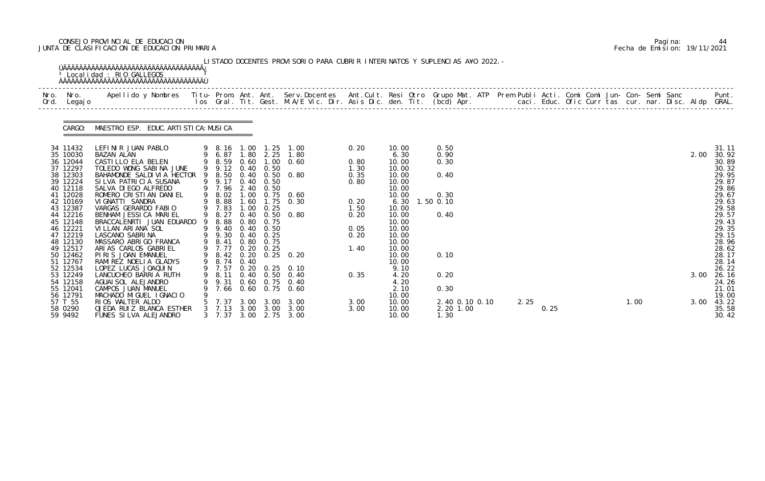# CONSEJO PROVINCIAL DE EDUCACION Pagina: 44 JUNTA DE CLASIFICACION DE EDUCACION PRIMARIA Fecha de Emision: 19/11/2021

|                      | CARGO: MAESTRO ESP. EDUC. ARTI STI CA: MUSI CA                                                |                  |      |                   |                               |              |                |                |  |      |      |  |      |  |      |                |
|----------------------|-----------------------------------------------------------------------------------------------|------------------|------|-------------------|-------------------------------|--------------|----------------|----------------|--|------|------|--|------|--|------|----------------|
| 34 11432<br>35 10030 | LEFINIR JUAN PABLO<br>1 PABLO<br>9 8.16 1.00 1.25 1.00<br>9 6.87 1.80 2.25 1.80<br>BAZAN ALAN |                  |      |                   |                               | 0.20         | 10.00<br>6.30  | 0.50<br>0.90   |  |      |      |  |      |  | 2.00 | 31.11<br>30.92 |
| 36 12044             | CASTILLO ELA BELEN                                                                            |                  |      |                   | 9 8.59 0.60 1.00 0.60         | 0.80         | 10.00          | 0.30           |  |      |      |  |      |  |      | 30.89          |
| 37 12297             | TOLEDO WONG SABINA JUNE                                                                       | 9 9.12 0.40 0.50 |      |                   |                               | 1.30         | 10.00          |                |  |      |      |  |      |  |      | 30.32          |
| 38 12303             | BAHAMONDE SALDIVIA HECTOR 9 8.50 0.40 0.50 0.80                                               |                  |      |                   |                               | 0.35         | 10.00          | 0.40           |  |      |      |  |      |  |      | 29.95          |
| 39 12224<br>40 12118 | SILVA PATRICIA SUSANA                                                                         | 9 9.17 0.40 0.50 |      |                   |                               | 0.80         | 10.00          |                |  |      |      |  |      |  |      | 29.87          |
| 41 12028             | SALVA DI EGO ALFREDO<br>ROMERO CRISTIAN DANIEL                                                | 9 7.96 2.40 0.50 |      |                   | 9 8.02 1.00 0.75 0.60         |              | 10.00<br>10.00 | 0.30           |  |      |      |  |      |  |      | 29.86<br>29.67 |
| 42 10169             | VI GNATTI SANDRA                                                                              |                  |      |                   | 9 8.88 1.60 1.75 0.30         | 0.20         | 6.30           | 1.50 0.10      |  |      |      |  |      |  |      | 29.63          |
| 43 12387             | VARGAS GERARDO FABIO                                                                          | 9 7.83           |      | $1.00 \quad 0.25$ |                               | 1.50         | 10.00          |                |  |      |      |  |      |  |      | 29.58          |
| 44 12216             | BENHAM JESSICA MARIEL                                                                         |                  |      |                   | 9 8.27 0.40 0.50 0.80         | 0.20         | 10.00          | 0.40           |  |      |      |  |      |  |      | 29.57          |
| 45 12148<br>46 12221 | BRACCALENRTI JUAN EDUARDO 9 8.88 0.80 0.75<br>VILLAN ARIANA SOL                               | 9 9.40 0.40 0.50 |      |                   |                               |              | 10.00          |                |  |      |      |  |      |  |      | 29.43<br>29.35 |
| 47 12219             | LASCANO SABRINA                                                                               | 9 9.30 0.40 0.25 |      |                   |                               | 0.05<br>0.20 | 10.00<br>10.00 |                |  |      |      |  |      |  |      | 29.15          |
| 48 12130             | MASSARO ABRIGO FRANCA                                                                         | 9 8.41 0.80 0.75 |      |                   |                               |              | 10.00          |                |  |      |      |  |      |  |      | 28.96          |
| 49 12517             | ARIAS CARLOS GABRIEL                                                                          | 9 7.77 0.20 0.25 |      |                   |                               | 1.40         | 10.00          |                |  |      |      |  |      |  |      | 28.62          |
| 50 12462             | PIRIS JOAN EMANUEL                                                                            |                  |      |                   | 9 8.42 0.20 0.25 0.20         |              | 10.00          | 0.10           |  |      |      |  |      |  |      | 28.17          |
| 51 12767             | RAMIREZ NOELIA GLADYS                                                                         | 9 8.74 0.40      |      |                   |                               |              | 10.00          |                |  |      |      |  |      |  |      | 28.14          |
| 52 12534             | LOPEZ LUCAS JOAQUIN                                                                           |                  |      |                   | 9 7.57 0.20 0.25 0.10         |              | 9.10           |                |  |      |      |  |      |  |      | 26.22          |
| 53 12249<br>54 12158 | LANCUCHEO BARRIA RUTH<br>AGUAI SOL ALEJANDRO                                                  | 8.11<br>9.31     |      | $0.40 \quad 0.50$ | 0. 40<br>$0.60$ $0.75$ $0.40$ | 0.35         | 4.20<br>4.20   | 0.20           |  |      |      |  |      |  | 3.00 | 26.16<br>24.26 |
| 55 12041             | CAMPOS JUAN MANUEL                                                                            | 7.66             |      |                   | 0.60 0.75 0.60                |              | 2.10           | 0.30           |  |      |      |  |      |  |      | 21.01          |
| 56 12791             | MACHADO MIGUEL IGNACIO                                                                        |                  |      |                   |                               |              | 10.00          |                |  |      |      |  |      |  |      | 19.00          |
| 57 T 55              | RIOS WALTER ALDO                                                                              | 7.37             | 3.00 | 3.00              | 3.00                          | 3.00         | 10.00          | 2.40 0.10 0.10 |  | 2.25 |      |  | 1.00 |  | 3.00 | 43.22          |
| 58 0290              | OJEDA RUIZ BLANCA ESTHER                                                                      | 7.13             | 3.00 | 3.00              | 3.00                          | 3.00         | 10.00          | 2.20 1.00      |  |      | 0.25 |  |      |  |      | 35.58          |
| 59 9492              | FUNES SILVA ALEJANDRO                                                                         | 7.37             | 3.00 |                   | 2.75 3.00                     |              | 10.00          | 1.30           |  |      |      |  |      |  |      | 30.42          |

|  | Pagi na: | 44                           |
|--|----------|------------------------------|
|  |          | Fecha de Emision: 19/11/2021 |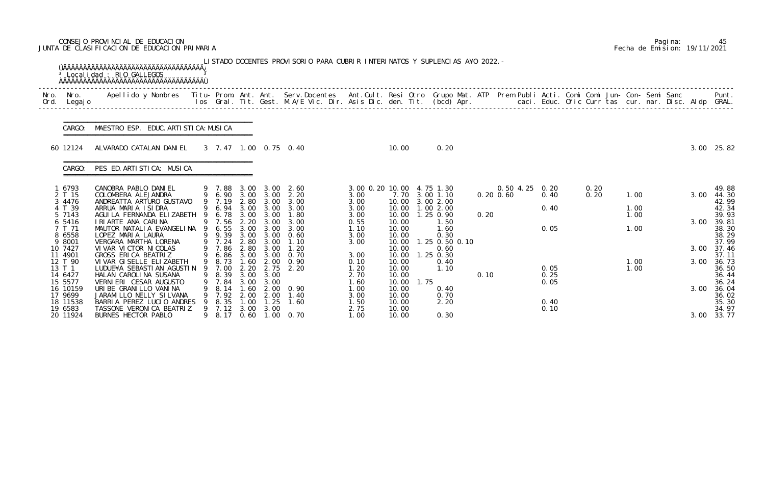# CONSEJO PROVINCIAL DE EDUCACION Pagina: 45 JUNTA DE CLASIFICACION DE EDUCACION PRIMARIA Fecha de Emision: 19/11/2021

|              |                                         | <sup>3</sup> Localidad : RIO GALLEGOS<br><b>OAAAAAAAAAAAAAAAAAAAAAAAAAAAAAAAAAA</b>                                                      |   |                                  |                          |                                           | LISTADO DOCENTES PROVISORIO PARA CUBRIR INTERINATOS Y SUPLENCIAS A¥O 2022. -                                                   |                                           |                                  |      |                                            |      |                                  |              |              |                      |  |      |                                  |
|--------------|-----------------------------------------|------------------------------------------------------------------------------------------------------------------------------------------|---|----------------------------------|--------------------------|-------------------------------------------|--------------------------------------------------------------------------------------------------------------------------------|-------------------------------------------|----------------------------------|------|--------------------------------------------|------|----------------------------------|--------------|--------------|----------------------|--|------|----------------------------------|
| Nro.<br>Ord. | Nro.<br>Legaj o                         | Apellido y Nombres Titu- Prom. Ant. Ant. Serv.Docentes Ant.Cult. Resi Otro Grupo Mat. ATP Prem Publi Acti. Comi Comi Jun- Con- Semi Sanc |   |                                  |                          |                                           | los Gral. Tit. Gest. M.A/E Vic. Dir. Asis Dic. den. Tit. (bcd) Apr.       caci. Educ. Ofic Curr tas cur. nar. Disc. Aldp GRAL. |                                           |                                  |      |                                            |      |                                  |              |              |                      |  |      | Punt.                            |
|              | CARGO:                                  | MAESTRO ESP. EDUC. ARTI STI CA: MUSI CA                                                                                                  |   |                                  |                          |                                           |                                                                                                                                |                                           |                                  |      |                                            |      |                                  |              |              |                      |  |      |                                  |
|              | 60 12124                                | ALVARADO CATALAN DANIEL                                                                                                                  |   |                                  |                          |                                           | 3 7.47 1.00 0.75 0.40                                                                                                          |                                           | 10.00                            |      | 0.20                                       |      |                                  |              |              |                      |  |      | 3.00 25.82                       |
|              | CARGO:                                  | PES ED. ARTISTICA: MUSICA                                                                                                                |   |                                  |                          |                                           |                                                                                                                                |                                           |                                  |      |                                            |      |                                  |              |              |                      |  |      |                                  |
|              | 1 6793<br>2 T 15<br>3 4476              | CANOBRA PABLO DANIEL<br>COLOMBERA ALEJANDRA<br>ANDREATTA ARTURO GUSTAVO                                                                  |   | 9 7.19                           |                          |                                           | 9 7.88 3.00 3.00 2.60<br>9 6.90 3.00 3.00 2.20<br>2.80 3.00 3.00                                                               | 3.00 0.20 10.00 4.75 1.30<br>3.00<br>3.00 | 10.00                            |      | 7.70 3.00 1.10<br>3.00 2.00                |      | 0.50 4.25 0.20<br>$0.20 \, 0.60$ | 0.40         | 0.20<br>0.20 | 1.00                 |  | 3.00 | 49.88<br>44.30<br>42.99          |
|              | 4 T 39<br>5 7143<br>6 5416<br>7 T 71    | ARRUA MARIA ISIDRA<br>AGUI LA FERNANDA ELIZABETH 9<br>I RI ARTE ANA CARINA<br>MAUTOR NATALIA EVANGELINA                                  | 9 | 9 6.94<br>6.78<br>9 7.56<br>6.55 | 3.00<br>2.20<br>3.00     | $3.00 \quad 3.00$<br>3.00<br>3.00<br>3.00 | 3.00<br>1.80<br>3.00<br>3.00                                                                                                   | 3.00<br>3.00<br>0.55<br>1.10              | 10.00<br>10.00<br>10.00<br>10.00 |      | 1.002.00<br>$1.25 \, 0.90$<br>1.50<br>1.60 | 0.20 |                                  | 0.40<br>0.05 |              | 1.00<br>1.00<br>1.00 |  | 3.00 | 42.34<br>39.93<br>39.81<br>38.30 |
|              | 8 6558<br>9 8001<br>10 7427             | LOPEZ MARIA LAURA<br>VERGARA MARTHA LORENA<br>VI VAR VI CTOR NI COLAS                                                                    |   | 9 9.39<br>9 7.24<br>9 7.86       | 3.00<br>2.80<br>2.80     | 3.00<br>3.00<br>3.00                      | 0.60<br>1.10<br>1.20                                                                                                           | 3.00<br>3.00                              | 10.00<br>10.00<br>10.00          |      | 0.30<br>1.25 0.50 0.10<br>0.60             |      |                                  |              |              |                      |  | 3.00 | 38.29<br>37.99<br>37.46          |
|              | 11 4901<br>12 T 90<br>13 T 1<br>14 6427 | GROSS ERICA BEATRIZ<br>VI VAR GI SELLE ELI ZABETH<br>LUDUE¥A SEBASTIAN AGUSTIN 9 7.00<br>HALAN CAROLINA SUSANA                           |   | 9 6.86<br>9 8.73 1.60<br>8.39    | 2.20<br>3.00             | 3.00 3.00<br>2.00<br>2.75<br>3.00         | 0.70<br>0.90<br>2.20                                                                                                           | 3.00<br>0.10<br>1.20<br>2.70              | 10.00<br>10.00<br>10.00<br>10.00 |      | $1.25$ 0.30<br>0.40<br>1.10                | 0.10 |                                  | 0.05<br>0.25 |              | 1.00<br>1.00         |  | 3.00 | 37.11<br>36.73<br>36.50<br>36.44 |
|              | 15 5577<br>16 10159<br>17 9699          | VERNIERI CESAR AUGUSTO<br>URIBE GRANILLO VANINA<br>JARAMI LLO NELLY SI LVANA                                                             |   | 7.84<br>8.14<br>7.92             | 3.00<br>. 60<br>2.00     | 3.00<br>2.00<br>2.00                      | 0. 90<br>1.40                                                                                                                  | 1. 60<br>1.00<br>3.00                     | 10.00<br>10.00<br>10.00          | 1.75 | 0.40<br>0.70                               |      |                                  | 0.05         |              |                      |  | 3.00 | 36.24<br>36.04<br>36.02          |
|              | 18 11538<br>19 6583<br>20 11924         | BARRIA PEREZ LUCIO ANDRES<br>TASSONE VERONICA BEATRIZ<br>BURNES HECTOR PABLO                                                             |   | 8.35<br>9 7.12<br>9 8.17         | $.00 \,$<br>3.00<br>0.60 | 1.25<br>3.00                              | 1.60<br>$1.00 \quad 0.70$                                                                                                      | 1. 50<br>2.75<br>1.00                     | 10.00<br>10.00<br>10.00          |      | 2.20<br>0.30                               |      |                                  | 0.40<br>0.10 |              |                      |  | 3.00 | 35.30<br>34.97<br>33.77          |

|  | Pagi na: | 45                           |
|--|----------|------------------------------|
|  |          | Fecha de Emision: 19/11/2021 |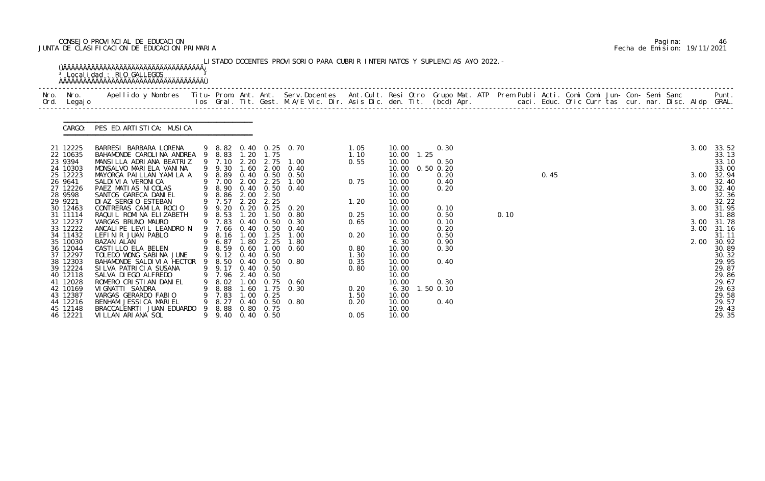# CONSEJO PROVINCIAL DE EDUCACION Pagina: 46 JUNTA DE CLASIFICACION DE EDUCACION PRIMARIA Fecha de Emision: 19/11/2021

|              |                                              | <sup>3</sup> Localidad : RIO GALLEGOS                                                                                                                                                                                             |   |                                    |              |                                        | LISTADO DOCENTES PROVISORIO PARA CUBRIR INTERINATOS Y SUPLENCIAS A¥O 2022. - |                      |                                 |      |                               |      |      |  |  |  |      |                                   |
|--------------|----------------------------------------------|-----------------------------------------------------------------------------------------------------------------------------------------------------------------------------------------------------------------------------------|---|------------------------------------|--------------|----------------------------------------|------------------------------------------------------------------------------|----------------------|---------------------------------|------|-------------------------------|------|------|--|--|--|------|-----------------------------------|
| Nro.<br>Ord. | Nro. In the Nro.<br>Legaj o                  | Apellido y Nombres  Titu- Prom. Ant. Ant. Serv.Docentes  Ant.Cult. Resi Otro Grupo Mat. ATP Prem Publi Acti. Comi Comi Jun- Con- Semi Sanc           Punt.<br>Ios Gral. Tit. Gest. M.A/E Vic. Dir. Asis Dic. den. Tit. (bcd) Apr. |   |                                    |              |                                        |                                                                              |                      |                                 |      |                               |      |      |  |  |  |      |                                   |
|              | CARGO:                                       | PES ED. ARTISTICA: MUSICA                                                                                                                                                                                                         |   |                                    |              |                                        |                                                                              |                      |                                 |      |                               |      |      |  |  |  |      |                                   |
|              | 21 12225<br>22 10635                         | BARRESI BARBARA LORENA<br>BAHAMONDE CAROLINA ANDREA 9 8.83                                                                                                                                                                        |   |                                    |              | 1.20 1.75                              | 9 8.82 0.40 0.25 0.70                                                        | 1.05<br>1.10         | 10.00<br>10.00                  | 1.25 | 0.30                          |      |      |  |  |  | 3.00 | 33.52<br>33.13                    |
|              | 23 9394<br>24 10303<br>25 12223              | MANSILLA ADRIANA BEATRIZ<br>MONSALVO MARIELA VANINA<br>MAYORGA PAILLAN YAMILA A                                                                                                                                                   |   | 9 7.10<br>9 9.30<br>9 8.89         | 2.20<br>1.60 | 2.75<br>2.00                           | 1.00<br>0.40<br>$0.40$ $0.50$ $0.50$                                         | 0.55                 | 10.00<br>10.00<br>10.00         |      | 0.50<br>$0.50$ $0.20$<br>0.20 |      | 0.45 |  |  |  | 3.00 | 33.10<br>33.00<br>32.94           |
|              | 26 9641<br>27 12226<br>28 9598               | SALDI VI A VERONI CA<br>PAEZ MATIAS NICOLAS<br>SANTOS GARECA DANIEL                                                                                                                                                               | 9 | 9 7.00<br>9 8.90<br>8.86           | 2.00         | 2.25<br>$0.40 \quad 0.50$<br>2.00 2.50 | 1.00<br>0.40                                                                 | 0.75                 | 10.00<br>10.00<br>10.00         |      | 0.40<br>0.20                  |      |      |  |  |  | 3.00 | 32.40<br>32.40<br>32.36           |
|              | 29 9221<br>30 12463<br>31 11114              | DI AZ SERGIO ESTEBAN<br>CONTRERAS CAMILA ROCIO<br>RAQUIL ROMINA ELIZABETH                                                                                                                                                         |   | 9 7.57<br>9 9.20<br>9 8.53         | 2.20<br>1.20 | 2.25                                   | $0.20$ $0.25$ $0.20$<br>1.50 0.80                                            | 1.20<br>0.25         | 10.00<br>10.00<br>10.00         |      | 0.10<br>0.50                  | 0.10 |      |  |  |  | 3.00 | 32.22<br>31.95<br>31.88           |
|              | 32 12237<br>33 12222<br>34 11432             | VARGAS BRUNO MAURO<br>ANCALIPE LEVIL LEANDRO N<br>LEFINIR JUAN PABLO                                                                                                                                                              | 9 | 9 7.83<br>9 7.66<br>8.16           | 0.40         | 0.50<br>0.40 0.50<br>$1.00$ $1.25$     | 0.30<br>0.40<br>1.00                                                         | 0.65<br>0.20         | 10.00<br>10.00<br>10.00         |      | 0.10<br>0.20<br>0.50          |      |      |  |  |  |      | 3.00 31.78<br>3.00 31.16<br>31.11 |
|              | 35 10030<br>36 12044<br>37 12297<br>38 12303 | BAZAN ALAN<br>CASTILLO ELA BELEN<br>TOLEDO WONG SABINA JUNE<br>BAHAMONDE SALDIVIA HECTOR 9 8.50                                                                                                                                   |   | 6.87<br>9 8.59<br>9 9.12 0.40 0.50 | 1.80<br>0.60 | 2.25                                   | 1.80<br>$1.00 \quad 0.60$<br>0.40 0.50 0.80                                  | 0.80<br>1.30<br>0.35 | 6.30<br>10.00<br>10.00<br>10.00 |      | 0.90<br>0.30<br>0.40          |      |      |  |  |  | 2.00 | 30.92<br>30.89<br>30.32<br>29.95  |
|              | 39 12224<br>40 12118<br>41 12028             | SILVA PATRICIA SUSANA<br>SALVA DI EGO ALFREDO<br>ROMERO CRISTIAN DANIEL                                                                                                                                                           |   | 9 9.17 0.40 0.50<br>8.02           | 1.00         | 7.96 2.40 0.50                         | $0.75$ 0.60                                                                  | 0.80                 | 10.00<br>10.00<br>10.00         |      | 0.30                          |      |      |  |  |  |      | 29.87<br>29.86<br>29.67           |
|              | 42 10169<br>43 12387<br>44 12216             | VI GNATTI SANDRA<br>VARGAS GERARDO FABIO<br>BENHAM JESSICA MARIEL                                                                                                                                                                 |   | 8.88<br>7.83<br>8.27               | 1.60         | 1.75<br>$1.00 \quad 0.25$              | 0.30<br>$0.40 \quad 0.50 \quad 0.80$                                         | 0.20<br>1.50<br>0.20 | 6.30<br>10.00<br>10.00          |      | 1.50 0.10<br>0.40             |      |      |  |  |  |      | 29.63<br>29.58<br>29.57           |
|              | 45 12148<br>46 12221                         | BRACCALENRTI JUAN EDUARDO<br>VILLAN ARIANA SOL                                                                                                                                                                                    | 9 | 8.88<br>9 9.40 0.40 0.50           |              | 0.80 0.75                              |                                                                              | 0.05                 | 10.00<br>10.00                  |      |                               |      |      |  |  |  |      | 29.43<br>29.35                    |

|  | Pagi na: | 46                           |
|--|----------|------------------------------|
|  |          | Fecha de Emision: 19/11/2021 |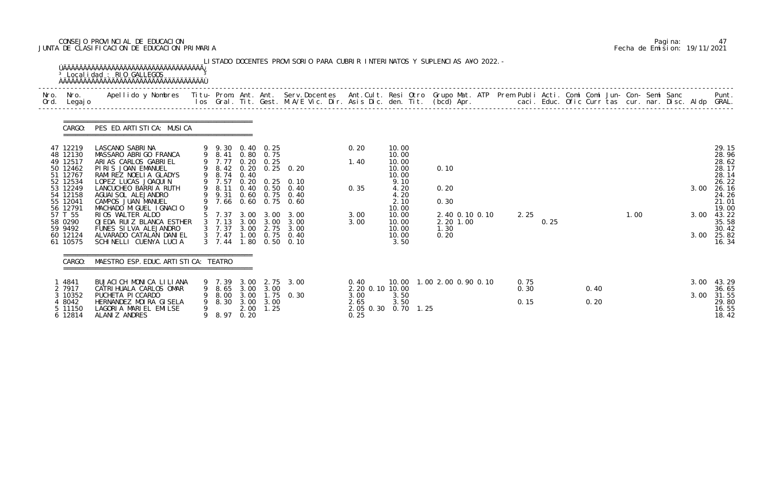# CONSEJO PROVINCIAL DE EDUCACION Pagina: 47 JUNTA DE CLASIFICACION DE EDUCACION PRIMARIA Fecha de Emision: 19/11/2021

| Nro. | Nro.<br>Ord. Legajo  | Apellido y Nombres - Titu- Prom. Ant. Ant. Serv.Docentes - Ant.Cult. Resi Otro Grupo Mat. ATP Prem Publi Acti. Comi Comi Jun- Con- Semi Sanc - - - - Punt.<br>Ios Gral. Tit. Gest. M.A/E Vic. Dir. Asis Dic. den. Tit. (bcd) Apr. |        |                  |              |                                |                                  |                    |                |                               |      |      |      |      |  |      |                |
|------|----------------------|-----------------------------------------------------------------------------------------------------------------------------------------------------------------------------------------------------------------------------------|--------|------------------|--------------|--------------------------------|----------------------------------|--------------------|----------------|-------------------------------|------|------|------|------|--|------|----------------|
|      |                      | CARGO: PES ED. ARTISTICA: MUSICA                                                                                                                                                                                                  |        |                  |              |                                |                                  |                    |                |                               |      |      |      |      |  |      |                |
|      | 47 12219             | LASCANO SABRINA                                                                                                                                                                                                                   |        | 9 9.30 0.40 0.25 |              |                                |                                  | 0.20               | 10.00          |                               |      |      |      |      |  |      | 29.15          |
|      | 48 12130<br>49 12517 | MASSARO ABRIGO FRANCA<br>ARIAS CARLOS GABRIEL                                                                                                                                                                                     |        | 9 8.41<br>9 7.77 |              | 0.80 0.75<br>$0.20 \quad 0.25$ |                                  | 1.40               | 10.00<br>10.00 |                               |      |      |      |      |  |      | 28.96<br>28.62 |
|      | 50 12462             | PIRIS JOAN EMANUEL                                                                                                                                                                                                                |        |                  |              |                                | 9 8.42 0.20 0.25 0.20            |                    | 10.00          | 0.10                          |      |      |      |      |  |      | 28.17          |
|      | 51 12767             | RAMI REZ NOELI A GLADYS                                                                                                                                                                                                           |        | 9 8.74           | 0.40         |                                |                                  |                    | 10.00          |                               |      |      |      |      |  |      | 28.14          |
|      | 52 12534             | LOPEZ LUCAS JOAQUIN                                                                                                                                                                                                               |        | 9 7.57           |              |                                | $0.20$ $0.25$ $0.10$             |                    | 9.10           |                               |      |      |      |      |  |      | 26.22          |
|      | 53 12249<br>54 12158 | LANCUCHEO BARRIA RUTH<br>AGUAI SOL ALEJANDRO                                                                                                                                                                                      |        | 9 8.11<br>9 9.31 |              |                                | 0.40 0.50 0.40<br>0.60 0.75 0.40 | 0.35               | 4.20<br>4.20   | 0.20                          |      |      |      |      |  | 3.00 | 26.16<br>24.26 |
|      | 55 12041             | CAMPOS JUAN MANUEL                                                                                                                                                                                                                |        |                  |              |                                | 7.66 0.60 0.75 0.60              |                    | 2.10           | 0.30                          |      |      |      |      |  |      | 21.01          |
|      | 56 12791             | MACHADO MIGUEL IGNACIO                                                                                                                                                                                                            |        |                  |              |                                |                                  |                    | 10.00          |                               |      |      |      |      |  |      | 19.00          |
|      | 57 T 55              | RIOS WALTER ALDO                                                                                                                                                                                                                  |        |                  |              |                                | 5 7.37 3.00 3.00 3.00            | 3.00               | 10.00          | 2.40 0.10 0.10                | 2.25 | 0.25 |      | 1.00 |  | 3.00 | 43.22          |
|      | 58 0290<br>59 9492   | OJEDA RUIZ BLANCA ESTHER<br>FUNES SILVA ALEJANDRO                                                                                                                                                                                 |        | 3 7.37 3.00 2.75 |              |                                | 3 7.13 3.00 3.00 3.00<br>3.00    | 3.00               | 10.00<br>10.00 | 2.20 1.00<br>1.30             |      |      |      |      |  |      | 35.58<br>30.42 |
|      | 60 12124             | ALVARADO CATALAN DANIEL                                                                                                                                                                                                           |        |                  |              |                                | 3 7.47 1.00 0.75 0.40            |                    | 10.00          | 0.20                          |      |      |      |      |  | 3.00 | 25.82          |
|      | 61 10575             | SCHINELLI CUENYA LUCIA                                                                                                                                                                                                            |        | $3 \quad 7.44$   | 1.80         | 0.50                           | 0.10                             |                    | 3.50           |                               |      |      |      |      |  |      | 16.34          |
|      | CARGO:               | MAESTRO ESP. EDUC. ARTI STI CA: TEATRO                                                                                                                                                                                            |        |                  |              |                                |                                  |                    |                |                               |      |      |      |      |  |      |                |
|      | 4841                 | BUJACI CH MONICA LILIANA                                                                                                                                                                                                          |        | 9 7.39           | 3.00         | 2.75                           | 3.00                             | 0.40               |                | 10.00  1.00  2.00  0.90  0.10 | 0.75 |      |      |      |  |      | $3.00$ 43.29   |
|      | 2 7917               | CATRI HUALA CARLOS OMAR                                                                                                                                                                                                           |        | 9 8.65           | 3.00         | 3.00                           |                                  | 2. 20 0. 10 10. 00 |                |                               | 0.30 |      | 0.40 |      |  |      | 36.65          |
|      | 3 10352<br>4 8042    | PUCHETA PICCARDO<br>HERNANDEZ MOIRA GISELA                                                                                                                                                                                        | 9<br>9 | 8.00<br>8.30     | 3.00<br>3.00 | 3.00                           | $1.75$ 0.30                      | 3.00<br>2.65       | 3.50<br>3.50   |                               | 0.15 |      | 0.20 |      |  | 3.00 | 31.55<br>29.80 |
|      | 5 11150              | LAGORIA MARIEL EMILSE                                                                                                                                                                                                             |        |                  | 2.00         | 1.25                           |                                  | 2.05 0.30          | $0.70$ 1.25    |                               |      |      |      |      |  |      | 16.55          |
|      | 6 12814              | ALANIZ ANDRES                                                                                                                                                                                                                     | 9      | 8.97             | 0.20         |                                |                                  | 0.25               |                |                               |      |      |      |      |  |      | 18.42          |

|  | Pagi na: | 47                           |
|--|----------|------------------------------|
|  |          | Fecha de Emision: 19/11/2021 |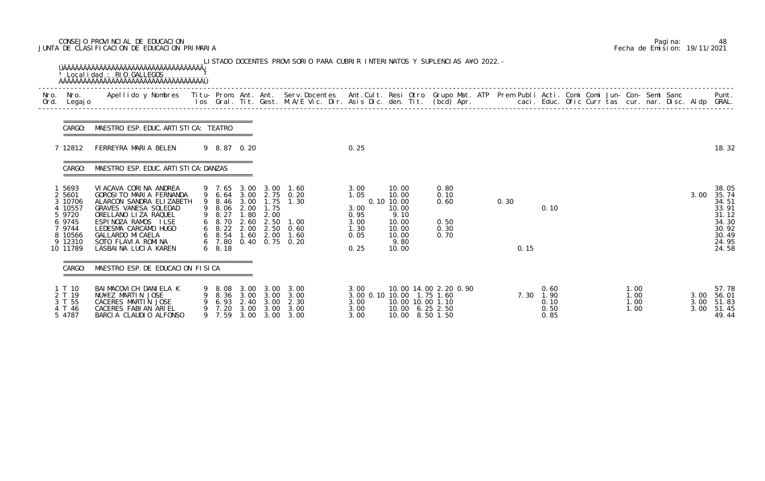# CONSEJO PROVINCIAL DE EDUCACION Pagina: 48 JUNTA DE CLASIFICACION DE EDUCACION PRIMARIA Fecha de Emision: 19/11/2021

| Nro.<br>Ord. | Legaj o                                            |                                                                                                                                |                                          |                                      |                                      |                                                                                           |                                                 |                                               |                                                 |      |                                      |  |                               |                      |                                           |
|--------------|----------------------------------------------------|--------------------------------------------------------------------------------------------------------------------------------|------------------------------------------|--------------------------------------|--------------------------------------|-------------------------------------------------------------------------------------------|-------------------------------------------------|-----------------------------------------------|-------------------------------------------------|------|--------------------------------------|--|-------------------------------|----------------------|-------------------------------------------|
|              | CARGO:                                             | MAESTRO ESP. EDUC. ARTI STI CA: TEATRO                                                                                         |                                          |                                      |                                      |                                                                                           |                                                 |                                               |                                                 |      |                                      |  |                               |                      |                                           |
|              | 7 12812                                            | FERREYRA MARIA BELEN                                                                                                           | 9 8.87 0.20                              |                                      |                                      |                                                                                           | 0.25                                            |                                               |                                                 |      |                                      |  |                               |                      | 18.32                                     |
|              | CARGO:                                             | MAESTRO ESP. EDUC. ARTI STI CA: DANZAS                                                                                         |                                          |                                      |                                      |                                                                                           |                                                 |                                               |                                                 |      |                                      |  |                               |                      |                                           |
|              | 5693<br>2 5601<br>3 10706<br>4 10557<br>5 9720     | VIACAVA CORINA ANDREA<br>GOROSI TO MARIA FERNANDA<br>ALARCON SANDRA ELIZABETH<br>GRAVES VANESA SOLEDAD<br>ORELLANO LIZA RAQUEL | 9 8.27                                   | 1.80                                 | 9 8.06 2.00 1.75<br>2.00             | 9 7.65 3.00 3.00 1.60<br>9 6.64 3.00 2.75 0.20<br>9 8.46 3.00 1.75 1.30                   | 3.00<br>1.05<br>3.00<br>0.95                    | 10.00<br>10.00<br>0.10 10.00<br>10.00<br>9.10 | 0.80<br>0.10<br>0.60                            | 0.30 | 0.10                                 |  |                               | 3.00                 | 38.05<br>35.74<br>34.51<br>33.91<br>31.12 |
|              | 6 9745<br>7 9744<br>8 10566<br>9 12310<br>10 11789 | ESPINOZA RAMOS ILSE<br>LEDESMA CARCAMO HUGO<br>GALLARDO MI CAELA<br>SOTO FLAVIA ROMINA<br>LASBAINA LUCIA KAREN                 | 6 8.70<br>$6\quad 8.18$                  |                                      |                                      | 2.60 2.50 1.00<br>6 8.22 2.00 2.50 0.60<br>6 8.54 1.60 2.00 1.60<br>6 7.80 0.40 0.75 0.20 | 3.00<br>1.30<br>0.05<br>0.25                    | 10.00<br>10.00<br>10.00<br>9.80<br>10.00      | 0.50<br>0.30<br>0.70                            | 0.15 |                                      |  |                               |                      | 34.30<br>30.92<br>30.49<br>24.95<br>24.58 |
|              | CARGO:                                             | MAESTRO ESP. DE EDUCACION FISICA                                                                                               |                                          |                                      |                                      |                                                                                           |                                                 |                                               |                                                 |      |                                      |  |                               |                      |                                           |
|              | 1 T 10<br>2 T 19<br>3 T 55<br>4 T 46<br>5 4787     | BAI MACOVI CH DANI ELA K<br>NU¥EZ MARTIN JOSE<br>CACERES MARTIN JOSE<br>CACERES FABI AN ARIEL<br>BARCIA CLAUDIO ALFONSO        | 9 8.08<br>8.36<br>6.93<br>7.20<br>9 7.59 | 3.00<br>3.00<br>2.40<br>3.00<br>3.00 | 3.00<br>3.00<br>3.00<br>3.00<br>3.00 | 3.00<br>3.00<br>2.30<br>3.00<br>3.00                                                      | 3.00<br>3.00 0.10 10.00<br>3.00<br>3.00<br>3.00 | 10.00 10.00 1.10<br>10.00 6.25 2.50<br>10.00  | 10.00 14.00 2.20 0.90<br>1.75 1.60<br>8.50 1.50 | 7.30 | 0.60<br>1.90<br>0.10<br>0.50<br>0.85 |  | 1. 00<br>1.00<br>1.00<br>1.00 | 3.00<br>3.00<br>3.00 | 57.78<br>56.01<br>51.83<br>51.45<br>49.44 |

|  | Pagi na: | 48                           |
|--|----------|------------------------------|
|  |          | Fecha de Emision: 19/11/2021 |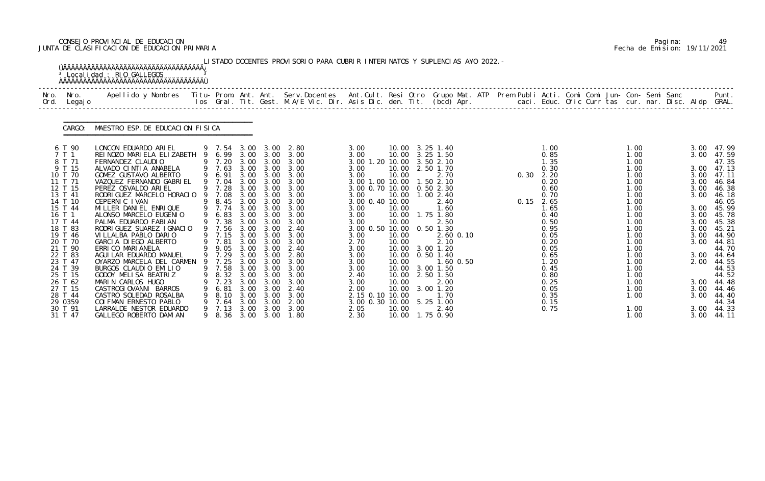# CONSEJO PROVINCIAL DE EDUCACION Pagina: 49 JUNTA DE CLASIFICACION DE EDUCACION PRIMARIA Fecha de Emision: 19/11/2021

|      |                                                                                                                                                                                                                                                                                      | <sup>3</sup> Localidad : RIO GALLEGOS                                                                                                                                                                                                                                                                                                                                                                                                                                                                                                                                                                                                                                                               |        |                                                                                                                                                                                                                        |                                                                                                                                      |                                                                                                                                                                                                               | LISTADO DOCENTES PROVISORIO PARA CUBRIR INTERINATOS Y SUPLENCIAS A¥O 2022. -                                                                                                                                                                      |                                                                                                                                                                                                                                                                                                                         |                                                                                                          |                                                                                                                                                                                                                                                                                                                 |      |                                                                                                                                                                                                             |  |                                                                                                                                                                                                      |  |                                                                                                      |                                                                                                                                                                                                                                                                           |
|------|--------------------------------------------------------------------------------------------------------------------------------------------------------------------------------------------------------------------------------------------------------------------------------------|-----------------------------------------------------------------------------------------------------------------------------------------------------------------------------------------------------------------------------------------------------------------------------------------------------------------------------------------------------------------------------------------------------------------------------------------------------------------------------------------------------------------------------------------------------------------------------------------------------------------------------------------------------------------------------------------------------|--------|------------------------------------------------------------------------------------------------------------------------------------------------------------------------------------------------------------------------|--------------------------------------------------------------------------------------------------------------------------------------|---------------------------------------------------------------------------------------------------------------------------------------------------------------------------------------------------------------|---------------------------------------------------------------------------------------------------------------------------------------------------------------------------------------------------------------------------------------------------|-------------------------------------------------------------------------------------------------------------------------------------------------------------------------------------------------------------------------------------------------------------------------------------------------------------------------|----------------------------------------------------------------------------------------------------------|-----------------------------------------------------------------------------------------------------------------------------------------------------------------------------------------------------------------------------------------------------------------------------------------------------------------|------|-------------------------------------------------------------------------------------------------------------------------------------------------------------------------------------------------------------|--|------------------------------------------------------------------------------------------------------------------------------------------------------------------------------------------------------|--|------------------------------------------------------------------------------------------------------|---------------------------------------------------------------------------------------------------------------------------------------------------------------------------------------------------------------------------------------------------------------------------|
| Nro. | Nro.<br>Ord. Legajo                                                                                                                                                                                                                                                                  | Apellido y Nombres  Titu- Prom. Ant. Ant. Serv.Docentes  Ant.Cult. Resi Otro Grupo Mat. ATP Prem Publi Acti. Comi Comi Jun- Con- Semi Sanc           Punt.<br>Ios Gral. Tit. Gest. M.A/E Vic. Dir. Asis Dic. den. Tit. (bcd) Apr.                                                                                                                                                                                                                                                                                                                                                                                                                                                                   |        |                                                                                                                                                                                                                        |                                                                                                                                      |                                                                                                                                                                                                               |                                                                                                                                                                                                                                                   |                                                                                                                                                                                                                                                                                                                         |                                                                                                          |                                                                                                                                                                                                                                                                                                                 |      |                                                                                                                                                                                                             |  |                                                                                                                                                                                                      |  |                                                                                                      |                                                                                                                                                                                                                                                                           |
|      | CARGO:                                                                                                                                                                                                                                                                               | MAESTRO ESP. DE EDUCACION FISICA                                                                                                                                                                                                                                                                                                                                                                                                                                                                                                                                                                                                                                                                    |        |                                                                                                                                                                                                                        |                                                                                                                                      |                                                                                                                                                                                                               |                                                                                                                                                                                                                                                   |                                                                                                                                                                                                                                                                                                                         |                                                                                                          |                                                                                                                                                                                                                                                                                                                 |      |                                                                                                                                                                                                             |  |                                                                                                                                                                                                      |  |                                                                                                      |                                                                                                                                                                                                                                                                           |
|      | 6 T 90<br>7 T 1<br>8 T 71<br>9 T 15<br>10 T 70<br>11 T 71<br>12 T 15<br>13 T 41<br>14 T 10<br>15 T 44<br>16 T 1<br>17 T 44<br>18 T 83<br>19 T 46<br>20 T 70<br>21 T 90<br>22 T 83<br>23 T 47<br>24 T 39<br>25 T 15<br>26 T 62<br>27 T 15<br>28 T 44<br>29 0359<br>30 T 91<br>31 T 47 | LONCON EDUARDO ARIEL<br>REI NOZO MARI ELA ELIZABETH 9 6.99 3.00 3.00<br>FERNANDEZ CLAUDIO<br>ALVADO CINTIA ANABELA<br>GOMEZ GUSTAVO ALBERTO<br>VAZQUEZ FERNANDO GABRIEL<br>PEREZ OSVALDO ARIEL<br>RODRI GUEZ MARCELO HORACIO<br>CEPERNIC IVAN<br>MILLER DANIEL ENRIQUE<br>ALONSO MARCELO EUGENIO<br>PALMA EDUARDO FABIAN<br>RODRI GUEZ SUAREZ I GNACIO<br>VILLALBA PABLO DARIO<br>GARCIA DIEGO ALBERTO<br>ERRI CO MARI ANELA<br>AGUI LAR EDUARDO MANUEL<br>OYARZO MARCELA DEL CARMEN 9 7.25<br>BURGOS CLAUDIO EMILIO<br>GODOY MELISA BEATRIZ<br>MARIN CARLOS HUGO<br>CASTROGIOVANNI BARROS<br>CASTRO SOLEDAD ROSALBA<br>COI FMAN ERNESTO PABLO<br>LARRALDE NESTOR EDUARDO<br>GALLEGO ROBERTO DAMIAN | 9<br>9 | 9 7.54<br>9 7.20<br>9 7.63<br>9 6.91<br>9 7.04<br>9 7.28<br>7.08<br>9 8.45<br>9 7.74<br>9 6.83<br>9 7.38<br>9 7.56<br>9 7.15<br>9 7.81<br>9 9.05<br>9 7.29<br>9 7.58<br>8.32<br>7.23<br>6.81<br>8.10<br>7.64<br>9 7.13 | 3.00<br>3.00<br>3.00<br>3.00<br>3.00<br>3.00<br>3.00<br>3.00<br>3.00<br>3.00<br>3.00<br>3.00<br>3.00<br>3.00<br>3.00<br>3.00<br>3.00 | 3.00<br>3.00<br>3.00 3.00<br>3.00<br>3.00<br>3.00 3.00<br>3.00<br>3.00<br>$3.00 \quad 3.00$<br>3.00<br>3.00<br>3.00<br>3.00<br>3.00 3.00<br>3.00 3.00<br>3.00<br>3.00<br>3.00<br>3.00<br>3.00<br>3.00<br>3.00 | 3.00 3.00 2.80<br>3.00<br>3.00<br>3.00<br>3.00<br>3.00<br>3.00<br>3.00<br>3.00<br>3.00<br>3.00<br>3.00<br>2.40<br>3.00<br>3.00<br>2.40<br>2.80<br>3.00<br>3.00 3.00 3.00<br>3.00<br>3.00<br>2.40<br>3.00<br>2.00<br>3.00<br>9 8.36 3.00 3.00 1.80 | 3.00<br>3.00<br>3.00 1.20 10.00<br>3.00<br>3.00<br>3.00 1.00 10.00<br>3.00 0.70 10.00 0.50 2.30<br>3.00<br>3.00 0.40 10.00<br>3.00<br>3.00<br>3.00<br>3.00 0.50 10.00 0.50 1.30<br>3.00<br>2.70<br>3.00<br>3.00<br>3.00<br>3.00<br>2.40<br>3.00<br>2.00<br>2.15 0.10 10.00<br>3.00 0.30 10.00 5.25 1.00<br>2.05<br>2.30 | 10.00<br>10.00<br>10.00<br>10.00<br>10.00<br>10.00<br>10.00<br>10.00<br>10.00<br>10.00<br>10.00<br>10.00 | 10.00 3.25 1.40<br>10.00 3.25 1.50<br>3.502.10<br>2.50 1.70<br>2.70<br>1.502.10<br>10.00  1.00  2.40<br>2.40<br>1.60<br>1.75 1.80<br>2.50<br>$2.60$ $0.10$<br>2.10<br>10.00 3.00 1.20<br>10.00  0.50  1.40<br>1.60 0.50<br>10.00 3.00 1.50<br>2.50 1.50<br>2.00<br>10.00 3.00 1.20<br>1.70<br>2.40<br>1.75 0.90 | 0.30 | 1.00<br>0.85<br>1.35<br>0.30<br>2.20<br>0.20<br>0.60<br>0.70<br>$0.15$ 2.65<br>1.65<br>0.40<br>0.50<br>0.95<br>0.05<br>0.20<br>0.05<br>0.65<br>1.20<br>0.45<br>0.80<br>0.25<br>0.05<br>0.35<br>0.15<br>0.75 |  | 1.00<br>1.00<br>1.00<br>1.00<br>1.00<br>1.00<br>1.00<br>1.00<br>1.00<br>1.00<br>1.00<br>1.00<br>1.00<br>1.00<br>1.00<br>1.00<br>1.00<br>1.00<br>1.00<br>1.00<br>1.00<br>1.00<br>1.00<br>1.00<br>1.00 |  | 3.00<br>3.00<br>3.00<br>3.00<br>3.00<br>3.00<br>3.00<br>3.00<br>3.00<br>3.00<br>3.00<br>2.00<br>3.00 | 3.00 47.99<br>47.59<br>47.35<br>3.00 47.13<br>47.11<br>46.84<br>46.38<br>46.18<br>46.05<br>3.00 45.99<br>45.78<br>45.38<br>45.21<br>44.90<br>44.81<br>44.70<br>44.64<br>44.55<br>44.53<br>44.52<br>3.00 44.48<br>3.00 44.46<br>44.40<br>44.34<br>3.00 44.33<br>3.00 44.11 |

|  | Pagi na: | 49                           |
|--|----------|------------------------------|
|  |          | Fecha de Emision: 19/11/2021 |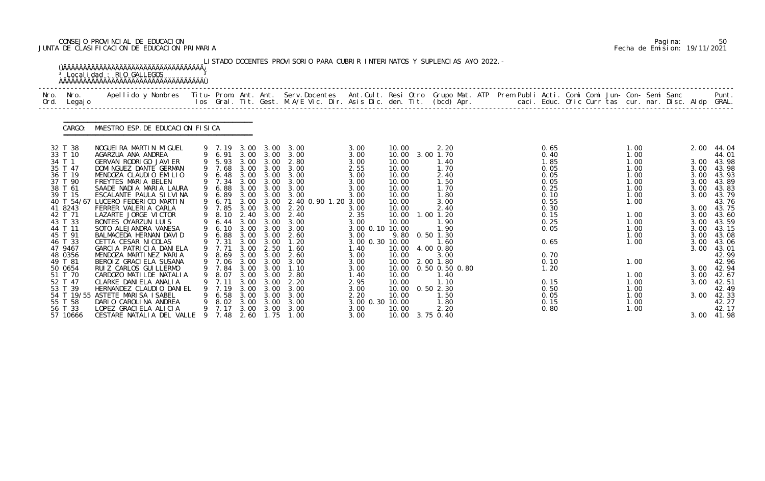# CONSEJO PROVINCIAL DE EDUCACION Pagina: 50 JUNTA DE CLASIFICACION DE EDUCACION PRIMARIA Fecha de Emision: 19/11/2021

|      |                                                                                                                                                                                                                                                                           | <sup>3</sup> Localidad : RIO GALLEGOS                                                                                                                                                                                                                                                                                                                                                                                                                                                                                                                                                                                            |         |                                                                                                                         |                                                      |                                                                        | LISTADO DOCENTES PROVISORIO PARA CUBRIR INTERINATOS Y SUPLENCIAS A¥O 2022. -                                                                                                                                                                                                                                                                                                                                                                         |                                                                                                                                                                                                                  |                                                                                                                                                                                                    |                                                                                                                                                                                                                                       |  |                                                                                                                                                                      |  |                                                                                                                                                              |  |                                                                                                                              |                                                                                                                                                                                                                                |
|------|---------------------------------------------------------------------------------------------------------------------------------------------------------------------------------------------------------------------------------------------------------------------------|----------------------------------------------------------------------------------------------------------------------------------------------------------------------------------------------------------------------------------------------------------------------------------------------------------------------------------------------------------------------------------------------------------------------------------------------------------------------------------------------------------------------------------------------------------------------------------------------------------------------------------|---------|-------------------------------------------------------------------------------------------------------------------------|------------------------------------------------------|------------------------------------------------------------------------|------------------------------------------------------------------------------------------------------------------------------------------------------------------------------------------------------------------------------------------------------------------------------------------------------------------------------------------------------------------------------------------------------------------------------------------------------|------------------------------------------------------------------------------------------------------------------------------------------------------------------------------------------------------------------|----------------------------------------------------------------------------------------------------------------------------------------------------------------------------------------------------|---------------------------------------------------------------------------------------------------------------------------------------------------------------------------------------------------------------------------------------|--|----------------------------------------------------------------------------------------------------------------------------------------------------------------------|--|--------------------------------------------------------------------------------------------------------------------------------------------------------------|--|------------------------------------------------------------------------------------------------------------------------------|--------------------------------------------------------------------------------------------------------------------------------------------------------------------------------------------------------------------------------|
| Ord. | Nro. Nro.<br>Legaj o                                                                                                                                                                                                                                                      | Apellido y Nombres  Titu- Prom. Ant. Ant.  Serv.Docentes  Ant.Cult. Resi Otro  Grupo Mat. ATP  Prem Publi Acti. Comi Comi Jun- Con- Semi Sanc              Punt.<br>Ios Gral. Tit. Gest. M.A/E Vic. Dir. Asis Dic. den. Tit. (bcd                                                                                                                                                                                                                                                                                                                                                                                                |         |                                                                                                                         |                                                      |                                                                        |                                                                                                                                                                                                                                                                                                                                                                                                                                                      |                                                                                                                                                                                                                  |                                                                                                                                                                                                    |                                                                                                                                                                                                                                       |  |                                                                                                                                                                      |  |                                                                                                                                                              |  |                                                                                                                              |                                                                                                                                                                                                                                |
|      | CARGO:                                                                                                                                                                                                                                                                    | MAESTRO ESP. DE EDUCACION FISICA                                                                                                                                                                                                                                                                                                                                                                                                                                                                                                                                                                                                 |         |                                                                                                                         |                                                      |                                                                        |                                                                                                                                                                                                                                                                                                                                                                                                                                                      |                                                                                                                                                                                                                  |                                                                                                                                                                                                    |                                                                                                                                                                                                                                       |  |                                                                                                                                                                      |  |                                                                                                                                                              |  |                                                                                                                              |                                                                                                                                                                                                                                |
|      | 32 T 38<br>33 T 10<br>34 T 1<br>35 T 47<br>36 T 19<br>37 T 90<br>38 T 61<br>39 T 15<br>40 T 54/67<br>41 8243<br>42 T 71<br>43 T 33<br>44 T 11<br>45 T 91<br>46 T 33<br>47 9467<br>48 0356<br>49 T 81<br>50 0654<br>51 T 70<br>52 T 47<br>53 T 39<br>54 T 19/55<br>55 T 58 | NOGUEI RA MARTIN MIGUEL<br>AGARZUA ANA ANDREA<br>GERVAN RODRIGO JAVIER<br>DOMI NGUEZ DANTE GERMAN<br>MENDOZA CLAUDIO EMILIO<br>FREYTES MARIA BELEN<br>SAADE NADIA MARIA LAURA<br>ESCALANTE PAULA SILVINA<br>LUCERO FEDERICO MARTIN<br>FERRER VALERIA CARLA<br>LAZARTE JORGE VICTOR<br>BONTES OYARZUN LUIS<br>SOTO ALEJANDRA VANESA<br>BALMACEDA HERNAN DAVID<br>CETTA CESAR NI COLAS<br>GARCIA PATRICIA DANIELA<br>MENDOZA MARTINEZ MARIA<br>BEROI Z GRACI ELA SUSANA<br>RUIZ CARLOS GUI LLERMO<br>CARDOZO MATILDE NATALIA<br>CLARKE DANIELA ANALIA<br>HERNANDEZ CLAUDIO DANIEL<br>ASTETE MARISA ISABEL<br>DARIO CAROLINA ANDREA |         | 9 7.68<br>9 6.88<br>9 6.89<br>9 6.71<br>9 6.10<br>9 6.88<br>9 7.31<br>9 7.71<br>9 8.69<br>8. 07<br>7.19<br>6.58<br>8.02 | 3.00<br>3.00<br>3.00<br>3.00<br>3.00<br>3.00<br>3.00 | 3.00 3.00<br>3.00 3.00<br>2.50<br>3.00<br>3.00<br>3.00<br>3.00<br>3.00 | 9 7.19 3.00 3.00 3.00<br>9 6.91 3.00 3.00 3.00<br>9 5.93 3.00 3.00 2.80<br>3.00 3.00 3.00<br>9 6.48 3.00 3.00 3.00<br>9 7.34 3.00 3.00 3.00<br>3.00<br>3.00 3.00 3.00<br>3.00 3.00 2.40 0.90 1.20 3.00<br>9 7.85 3.00 3.00 2.20<br>9 8.10 2.40 3.00 2.40<br>9 6.44 3.00 3.00 3.00<br>3.00<br>$3.00 \quad 2.60$<br>3.00 3.00 1.20<br>1.60<br>3.00 3.00 2.60<br>9 7.06 3.00 3.00 3.00<br>9 7.84 3.00 3.00 1.10<br>2.80<br>2.20<br>3.00<br>3.00<br>3.00 | 3.00<br>3.00<br>3.00<br>2.55<br>3.00<br>3.00<br>3.00<br>3.00<br>3.00<br>2.35<br>3.00<br>3.00 0.10 10.00<br>3.00<br>3.00 0.30 10.00<br>1.40<br>3.00<br>3.00<br>3.00<br>1. 40<br>2.95<br>3.00<br>2.20<br>3.00 0.30 | 10.00<br>10.00<br>10.00<br>10.00<br>10.00<br>10.00<br>10.00<br>10.00<br>10.00<br>10.00<br>10.00<br>10.00<br>9.80<br>10.00<br>10.00<br>10.00 2.00 1.80<br>10.00<br>10.00<br>10.00<br>10.00<br>10.00 | 2.20<br>3.00 1.70<br>1.40<br>1.70<br>2.40<br>1.50<br>1.70<br>1.80<br>3.00<br>2.40<br>$1.00$ $1.20$<br>1.90<br>1.90<br>$0.50$ 1.30<br>1.60<br>4.00 0.80<br>3.00<br>10.00  0.50  0.50  0.80<br>1.40<br>1.10<br>0.502.30<br>1.50<br>1.80 |  | 0.65<br>0.40<br>1.85<br>0.05<br>0.05<br>0.05<br>0.25<br>0.10<br>0.55<br>0.30<br>0.15<br>0.25<br>0.05<br>0.65<br>0.70<br>0.10<br>1.20<br>0.15<br>0.50<br>0.05<br>0.15 |  | 1.00<br>1.00<br>1.00<br>1.00<br>1.00<br>1.00<br>1.00<br>1.00<br>1.00<br>1.00<br>1.00<br>1.00<br>1.00<br>1.00<br>1.00<br>1.00<br>1.00<br>1.00<br>1.00<br>1.00 |  | 2.00<br>3.00<br>3.00<br>3.00<br>3.00<br>3.00<br>3.00<br>3.00<br>3.00<br>3.00<br>3.00<br>3.00<br>3.00<br>3.00<br>3.00<br>3.00 | 44.04<br>44.01<br>3.00 43.98<br>43.98<br>43.93<br>43.89<br>43.83<br>43.79<br>43.76<br>43.75<br>43.60<br>43.59<br>43.15<br>43.08<br>43.06<br>43.01<br>42.99<br>42.96<br>3.00 42.94<br>42.67<br>42.51<br>42.49<br>42.33<br>42.27 |
|      | 56 T 33<br>57 10666                                                                                                                                                                                                                                                       | LOPEZ GRACIELA ALICIA<br>CESTARE NATALIA DEL VALLE                                                                                                                                                                                                                                                                                                                                                                                                                                                                                                                                                                               | 9.<br>9 | 7.17<br>7.48                                                                                                            | 3.00<br>2.60                                         | 3.00<br>1.75                                                           | 3.00<br>1.00                                                                                                                                                                                                                                                                                                                                                                                                                                         | 3.00<br>3.00                                                                                                                                                                                                     | 10.00<br>10.00                                                                                                                                                                                     | 2.20<br>3.75 0.40                                                                                                                                                                                                                     |  | 0.80                                                                                                                                                                 |  | 1.00                                                                                                                                                         |  |                                                                                                                              | 42.17<br>3.00 41.98                                                                                                                                                                                                            |

|  | Pagi na: | 50                           |
|--|----------|------------------------------|
|  |          | Fecha de Emision: 19/11/2021 |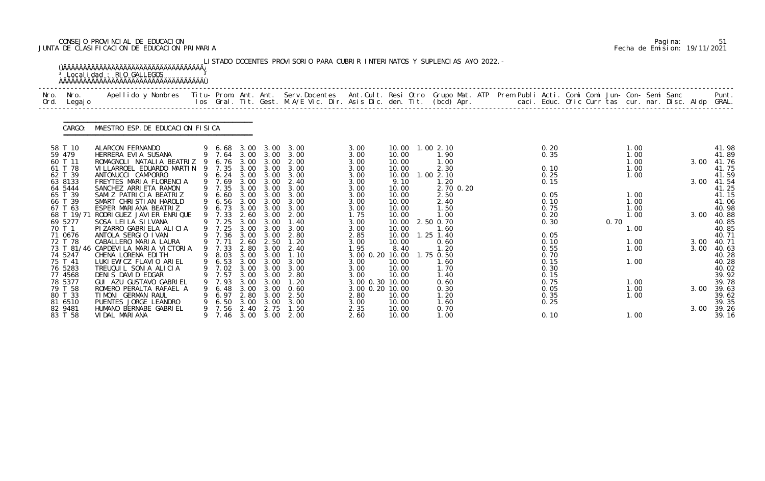# CONSEJO PROVINCIAL DE EDUCACION Pagina: 51 JUNTA DE CLASIFICACION DE EDUCACION PRIMARIA Fecha de Emision: 19/11/2021

| Nro.<br>Ord. | Nro.<br>Legaj o       | Apellido y Nombres Titu- Prom. Ant. Ant. Serv.Docentes Ant.Cult. Resi Otro Grupo Mat. ATP Prem Publi Acti. Comi Comi Jun- Con- Semi Sanc |    |                  |              |                   | los Gral. Tit. Gest. M.A/E Vic. Dir. Asis Dic. den. Tit. (bcd) Apr.        caci. Educ. Ofic Curr tas cur. nar. Disc. Aldp GRAL. |                         |                |                   |  |              |      |              |  |              | Punt.           |
|--------------|-----------------------|------------------------------------------------------------------------------------------------------------------------------------------|----|------------------|--------------|-------------------|---------------------------------------------------------------------------------------------------------------------------------|-------------------------|----------------|-------------------|--|--------------|------|--------------|--|--------------|-----------------|
|              | CARGO:                | MAESTRO ESP. DE EDUCACION FISICA                                                                                                         |    |                  |              |                   |                                                                                                                                 |                         |                |                   |  |              |      |              |  |              |                 |
|              | 58 T 10               | ALARCON FERNANDO                                                                                                                         |    | 6.68             | 3.00         | 3.00              | 3.00                                                                                                                            | 3.00                    |                | 10.00 1.00 2.10   |  | 0.20         |      | 1.00         |  |              | 41.98           |
|              | 59 479<br>60 T 11     | HERRERA EVIA SUSANA<br>ROMAGNOLI NATALIA BEATRIZ 9                                                                                       |    | 9 7.64<br>6. 76  | 3.00<br>3.00 | 3.00<br>3.00      | 3.00<br>2.00                                                                                                                    | 3.00<br>3.00            | 10.00<br>10.00 | 1.90<br>1.00      |  | 0.35         |      | 1.00<br>1.00 |  | 3.00         | 41.89<br>41.76  |
|              | 61 T 78               | VI LLARROEL EDUARDO MARTIN                                                                                                               | -9 | 7.35             | 3.00         | 3.00              | 3.00                                                                                                                            | 3.00                    | 10.00          | 2.30              |  | 0.10         |      | 1.00         |  |              | 41.75           |
|              | 62 T 39               | ANTONUCCI CAMPORRO                                                                                                                       |    | 9 6.24 3.00      |              | 3.00              | 3.00                                                                                                                            | 3.00                    | 10.00          | 1.002.10          |  | 0.25         |      | 1.00         |  |              | 41.59           |
|              | 63 8133<br>64 5444    | FREYTES MARIA FLORENCIA<br>SANCHEZ ARRIETA RAMON                                                                                         |    | 9 7.69<br>9 7.35 | 3.00<br>3.00 | 3.00<br>3.00      | 2.40<br>3.00                                                                                                                    | 3.00<br>3.00            | 9.10<br>10.00  | 1.20<br>2.70 0.20 |  | 0.15         |      |              |  | 3.00         | 41.54<br>41.25  |
|              | 65 T 39               | SAMIZ PATRICIA BEATRIZ                                                                                                                   | 9  | 6.60             | 3.00         | 3.00              | 3.00                                                                                                                            | 3.00                    | 10.00          | 2.50              |  | 0.05         |      | 1.00         |  |              | 41.15           |
|              | 66 T 39               | SMART CHRISTIAN HAROLD                                                                                                                   |    | 6.56             | 3.00         | 3.00              | 3.00                                                                                                                            | 3.00                    | 10.00          | 2.40              |  | 0.10         |      | 1.00         |  |              | 41.06           |
|              | 67 T 63<br>68 T 19/71 | ESPER MARIANA BEATRIZ<br>RODRI GUEZ JAVI ER ENRI QUE                                                                                     |    | 6.73<br>9 7.33   | 2.60         | 3.00 3.00<br>3.00 | 3.00<br>2.00                                                                                                                    | 3.00                    | 10.00          | 1.50<br>1.00      |  | 0.75<br>0.20 |      | 1.00<br>1.00 |  | 3.00         | 40.98<br>40.88  |
|              | 69 5277               | SOSA LEI LA SI LVANA                                                                                                                     |    | 9 7.25           | 3.00         | 3.00              | 1.40                                                                                                                            | 1.75<br>3.00            | 10.00<br>10.00 | 2.50 0.70         |  | 0.30         | 0.70 |              |  |              | 40.85           |
|              | 70 T 1                | PIZARRO GABRIELA ALICIA                                                                                                                  |    | 9 7.25           | 3.00         | 3.00              | 3.00                                                                                                                            | 3.00                    | 10.00          | 1.60              |  |              |      | 1.00         |  |              | 40.85           |
|              | 71 0676               | ANTOLA SERGIO IVAN                                                                                                                       |    | 9 7.36           | 3.00         | 3.00              | 2.80                                                                                                                            | 2.85                    | 10.00          | $1.25$ 1.40       |  | 0.05         |      |              |  |              | 40.71           |
|              | 72 T 78               | CABALLERO MARIA LAURA<br>73 T 81/46 CAPDEVILA MARIA VICTORIA                                                                             |    | 9 7.71<br>9 7.33 | 2.60<br>2.80 | 2.50<br>3.00      | 1.20<br>2.40                                                                                                                    | 3.00<br>1.95            | 10.00<br>8.40  | 0.60<br>1.20      |  | 0.10<br>0.55 |      | 1.00<br>1.00 |  | 3.00<br>3.00 | 40. 71<br>40.63 |
|              | 74 5247               | CHENA LORENA EDITH                                                                                                                       |    | 9 8.03           |              | 3.00 3.00         | 1.10                                                                                                                            | 3.00 0.20 10.00         |                | 1.75 0.50         |  | 0.70         |      |              |  |              | 40.28           |
|              | 75 T 41               | LUKI EWICZ FLAVIO ARIEL                                                                                                                  |    | 9 6.53           |              | $3.00 \quad 3.00$ | 3.00                                                                                                                            | 3.00                    | 10.00          | 1.60              |  | 0.15         |      | 1.00         |  |              | 40.28           |
|              | 76 5283               | TREUQUIL SONIA ALICIA                                                                                                                    |    | 9 7.02           |              | 3.00 3.00         | 3.00                                                                                                                            | 3.00                    | 10.00          | 1.70              |  | 0.30         |      |              |  |              | 40.02           |
|              | 77 4568<br>78 5377    | DENIS DAVID EDGAR<br>GUI AZU GUSTAVO GABRIEL                                                                                             |    | 7.57<br>9 7.93   | 3.00<br>3.00 | 3.00<br>3.00      | 2.80<br>1.20                                                                                                                    | 3.00<br>3.00 0.30 10.00 | 10.00          | 1.40<br>0.60      |  | 0.15<br>0.75 |      |              |  |              | 39.92<br>39.78  |
|              | 79 T 58               | ROMERO PERALTA RAFAEL A                                                                                                                  |    | 6.48             | 3.00         | 3.00              | 0.60                                                                                                                            | 3.00 0.20 10.00         |                | 0.30              |  | 0.05         |      | 1.00<br>1.00 |  | 3.00         | 39.63           |
|              | 80 T 33               | TIMONI GERMAN RAUL                                                                                                                       |    | 6.97             | 2.80         | 3.00              | 2.50                                                                                                                            | 2.80                    | 10.00          | 1.20              |  | 0.35         |      | 1.00         |  |              | 39.62           |
|              | 81 6510               | PUENTES JORGE LEANDRO                                                                                                                    |    | 6.50             | 3.00         | 3.00              | 3.00                                                                                                                            | 3.00                    | 10.00          | 1.60              |  | 0.25         |      |              |  |              | 39.35           |
|              | 82 9481<br>83 T 58    | HUMANO BERNABE GABRIEL<br>VIDAL MARIANA                                                                                                  |    | 9 7.56           | 2.40         | 2.75              | 1.50                                                                                                                            | 2.35                    | 10.00          | 0.70              |  |              |      |              |  | 3.00         | 39.26           |

|  | Pagi na: | 51                           |
|--|----------|------------------------------|
|  |          | Fecha de Emision: 19/11/2021 |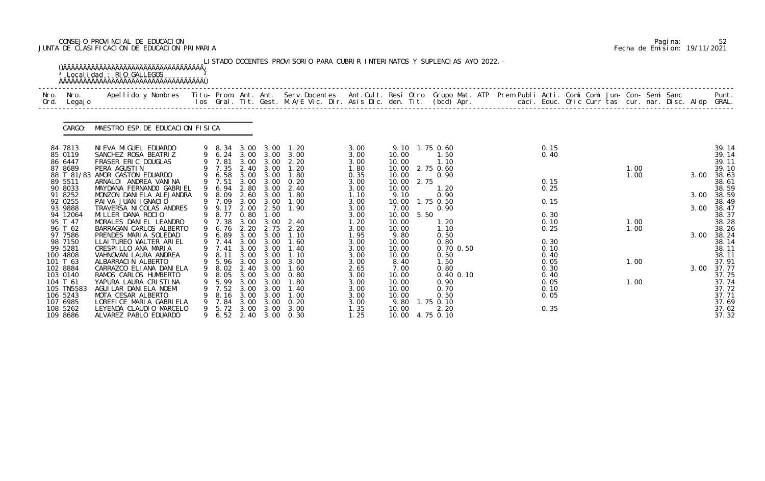# CONSEJO PROVINCIAL DE EDUCACION Pagina: 52 JUNTA DE CLASIFICACION DE EDUCACION PRIMARIA Fecha de Emision: 19/11/2021

|              |                                                                                                                                                            | <sup>3</sup> Localidad : RIO GALLEGOS                                                                                                                                                                                                                                                                                                              |               |                                                                                                                        |                                                                      |                                                                                                                                                  | LISTADO DOCENTES PROVISORIO PARA CUBRIR INTERINATOS Y SUPLENCIAS A¥O 2022. -                                   |                                                                                                              |                                                                                                                                  |              |                                                                                                         |  |                                                                              |  |                              |  |                              |                                                                                                                            |
|--------------|------------------------------------------------------------------------------------------------------------------------------------------------------------|----------------------------------------------------------------------------------------------------------------------------------------------------------------------------------------------------------------------------------------------------------------------------------------------------------------------------------------------------|---------------|------------------------------------------------------------------------------------------------------------------------|----------------------------------------------------------------------|--------------------------------------------------------------------------------------------------------------------------------------------------|----------------------------------------------------------------------------------------------------------------|--------------------------------------------------------------------------------------------------------------|----------------------------------------------------------------------------------------------------------------------------------|--------------|---------------------------------------------------------------------------------------------------------|--|------------------------------------------------------------------------------|--|------------------------------|--|------------------------------|----------------------------------------------------------------------------------------------------------------------------|
| Nro.<br>Ord. | Nro.<br>Legaj o                                                                                                                                            | Apellido y Nombres  Titu- Prom. Ant. Ant. Serv.Docentes  Ant.Cult. Resi Otro Grupo Mat. ATP Prem Publi Acti. Comi Comi Jun- Con- Semi Sanc         Punt.<br>Ios Gral. Tit. Gest. M.A/E Vic. Dir. Asis Dic. den. Tit. (bcd) Apr.                                                                                                                    |               |                                                                                                                        |                                                                      |                                                                                                                                                  |                                                                                                                |                                                                                                              |                                                                                                                                  |              |                                                                                                         |  |                                                                              |  |                              |  |                              |                                                                                                                            |
|              | CARGO:                                                                                                                                                     | MAESTRO ESP. DE EDUCACION FISICA                                                                                                                                                                                                                                                                                                                   |               |                                                                                                                        |                                                                      |                                                                                                                                                  |                                                                                                                |                                                                                                              |                                                                                                                                  |              |                                                                                                         |  |                                                                              |  |                              |  |                              |                                                                                                                            |
|              | 84 7813<br>85 0119<br>86 6447<br>87 8689<br>88 T 81/83<br>89 5511<br>90 8033<br>91 8252<br>92 0255<br>93 9888<br>94 12064<br>95 T 47<br>96 T 62<br>97 7586 | NI EVA MI GUEL EDUARDO<br>SANCHEZ ROSA BEATRIZ<br>FRASER ERIC DOUGLAS<br>PERA AGUSTIN<br>AMOR GASTON EDUARDO<br>ARNALDI ANDREA VANINA<br>MAYDANA FERNANDO GABRIEL<br>MONZON DANIELA ALEJANDRA<br>PAIVA JUAN IGNACIO<br>TRAVERSA NI COLAS ANDRES<br>MILLER DANA ROCIO<br>MORALES DANIEL LEANDRO<br>BARRAGAN CARLOS ALBERTO<br>PRENDES MARIA SOLEDAD | 9<br>9        | 9 8.34<br>9 7.81<br>9 7.35<br>6.58<br>9 7.51<br>9 6.94<br>8.09<br>9 7.09<br>9 9.17<br>9 8.77<br>9 7.38<br>6.76<br>6.89 | 3.00<br>2.40<br>3.00<br>2.80<br>3.00<br>2.00<br>0.80<br>3.00<br>2.20 | 3.00 3.00<br>9 6.24 3.00 3.00<br>3.00<br>3.00<br>3.00 3.00<br>3.00<br>3.00<br>$2.60$ $3.00$<br>3.00<br>2.50<br>1.00<br>3.00<br>2.75<br>3.00 3.00 | 1. 20<br>3.00<br>2.20<br>1.20<br>1.80<br>0.20<br>2.40<br>1.80<br>1.00<br>1.90<br>2.40<br>2.20<br>1.10          | 3.00<br>3.00<br>3.00<br>1.80<br>0.35<br>3.00<br>3.00<br>1.10<br>3.00<br>3.00<br>3.00<br>1.20<br>3.00<br>1.95 | 9.10 1.75 0.60<br>10.00<br>10.00<br>10.00<br>10.00<br>10.00<br>10.00<br>9.10<br>10.00<br>7.00<br>10.00<br>10.00<br>10.00<br>9.80 | 2.75<br>5.50 | 1.50<br>1.10<br>2.75 0.60<br>0.90<br>1.20<br>0.90<br>1.75 0.50<br>0.90<br>1. 20<br>1.10<br>0.50         |  | 0.15<br>0.40<br>0.15<br>0.25<br>0.15<br>0.30<br>0.10<br>0.25                 |  | 1.00<br>1.00<br>1.00<br>1.00 |  | 3.00<br>3.00<br>3.00<br>3.00 | 39.14<br>39.14<br>39.11<br>39.10<br>38.63<br>38.61<br>38.59<br>38.59<br>38.49<br>38.47<br>38.37<br>38.28<br>38.26<br>38.24 |
|              | 98 7150<br>99 5281<br>100 4808<br>101 T 63<br>102 8884<br>103 0140<br>104 T 61<br>105 TN5583<br>106 5243<br>107 6985<br>108 5262<br>109 8686               | LLAI TUREO WALTER ARIEL<br>CRESPILLO ANA MARIA<br>VAHNOVAN LAURA ANDREA<br>ALBARRACIN ALBERTO<br>CARRAZCO ELIANA DANI ELA<br>RAMOS CARLOS HUMBERTO<br>YAPURA LAURA CRISTINA<br>AGUI LAR DANI ELA NOEMI<br>MOTA CESAR ALBERTO<br>LOREFICE MARIA GABRIELA<br>LEYENDA CLAUDIO MARCELO<br>ALVAREZ PABLO EDUARDO                                        | <b>9</b><br>9 | 7.44<br>7.41<br>9 8.11<br>9 5.96<br>9 8.02<br>8.05<br>5.99<br>7.52<br>8.16<br>7.84<br>5.72                             | 3.00<br>3.00<br>3.00<br>3.00<br>3.00<br>3.00<br>3.00<br>3.00<br>3.00 | 3.00<br>3.00<br>3.00 3.00<br>3.00<br>2.40 3.00<br>3.00<br>3.00<br>3.00<br>3.00<br>3.00<br>3.00                                                   | 1.60<br>1.40<br>1.10<br>3.00<br>1.60<br>0.80<br>1. 80<br>1.40<br>1.00<br>0.20<br>3.00<br>9 6.52 2.40 3.00 0.30 | 3.00<br>3.00<br>3.00<br>3.00<br>2.65<br>3.00<br>3.00<br>3.00<br>3.00<br>3.00<br>1.35<br>1.25                 | 10.00<br>10.00<br>10.00<br>8.40<br>7.00<br>10.00<br>10.00<br>10.00<br>10.00<br>9.80<br>10.00<br>10.00 4.75 0.10                  |              | 0.80<br>$0.70$ $0.50$<br>0.50<br>1.50<br>0.80<br>0.40 0.10<br>0.90<br>0.70<br>0.50<br>1.75 0.10<br>2.20 |  | 0.30<br>0.10<br>0.40<br>0.05<br>0.30<br>0.40<br>0.05<br>0.10<br>0.05<br>0.35 |  | 1.00<br>1.00                 |  |                              | 38.14<br>38.11<br>38.11<br>37.91<br>3.00 37.77<br>37.75<br>37.74<br>37.72<br>37.71<br>37.69<br>37.62<br>37.32              |

|  | Pagi na: |                              |
|--|----------|------------------------------|
|  |          | Fecha de Emision: 19/11/2021 |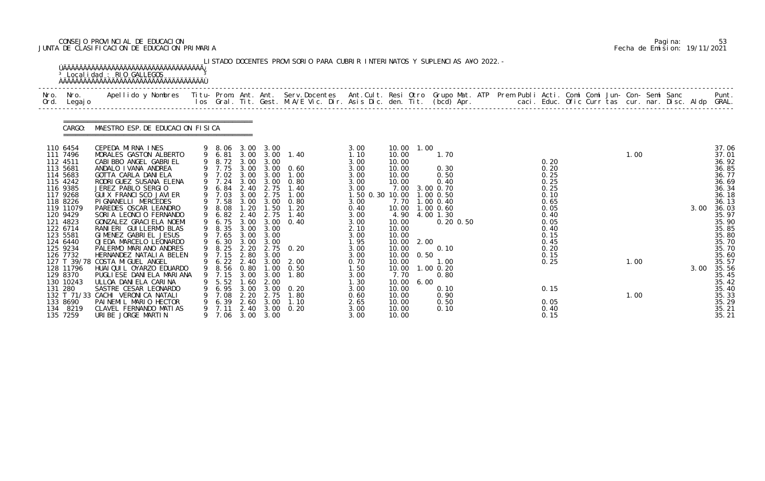# CONSEJO PROVINCIAL DE EDUCACION Pagina: 53 JUNTA DE CLASIFICACION DE EDUCACION PRIMARIA Fecha de Emision: 19/11/2021

|                     |                                                                                                                                                                                                                                                                         | <sup>3</sup> Localidad : RIO GALLEGOS<br><b>OAAAAAAAAAAAAAAAAAAAAAAAAAAAAAAAAAA</b>                                                                                                                                                                                                                                                                                                                                                                                                                                                                                                                                                                                                                      |   |                                                                                                                                                                                                                               |                                                             |                                                                                                             | LISTADO DOCENTES PROVISORIO PARA CUBRIR INTERINATOS Y SUPLENCIAS A¥O 2022. -                                                                                                                                                                                                                              |                                                                                                                                                                                                                          |                                                                                                                                                                                                                        |                      |                                                                                                                                                                                                |  |                                                                                                                                                              |  |                      |  |      |                                                                                                                                                                                                                                             |
|---------------------|-------------------------------------------------------------------------------------------------------------------------------------------------------------------------------------------------------------------------------------------------------------------------|----------------------------------------------------------------------------------------------------------------------------------------------------------------------------------------------------------------------------------------------------------------------------------------------------------------------------------------------------------------------------------------------------------------------------------------------------------------------------------------------------------------------------------------------------------------------------------------------------------------------------------------------------------------------------------------------------------|---|-------------------------------------------------------------------------------------------------------------------------------------------------------------------------------------------------------------------------------|-------------------------------------------------------------|-------------------------------------------------------------------------------------------------------------|-----------------------------------------------------------------------------------------------------------------------------------------------------------------------------------------------------------------------------------------------------------------------------------------------------------|--------------------------------------------------------------------------------------------------------------------------------------------------------------------------------------------------------------------------|------------------------------------------------------------------------------------------------------------------------------------------------------------------------------------------------------------------------|----------------------|------------------------------------------------------------------------------------------------------------------------------------------------------------------------------------------------|--|--------------------------------------------------------------------------------------------------------------------------------------------------------------|--|----------------------|--|------|---------------------------------------------------------------------------------------------------------------------------------------------------------------------------------------------------------------------------------------------|
|                     | Nro. Nro.<br>Ord. Legajo                                                                                                                                                                                                                                                | Apellido y Nombres  Titu- Prom. Ant. Ant. Serv.Docentes  Ant.Cult. Resi Otro Grupo Mat. ATP Prem Publi Acti. Comi Comi Jun- Con- Semi Sanc         Punt.<br>Ios Gral. Tit. Gest. M.A/E Vic. Dir. Asis Dic. den. Tit. (bcd) Apr.                                                                                                                                                                                                                                                                                                                                                                                                                                                                          |   |                                                                                                                                                                                                                               |                                                             |                                                                                                             |                                                                                                                                                                                                                                                                                                           |                                                                                                                                                                                                                          |                                                                                                                                                                                                                        |                      |                                                                                                                                                                                                |  |                                                                                                                                                              |  |                      |  |      |                                                                                                                                                                                                                                             |
|                     | CARGO:                                                                                                                                                                                                                                                                  | MAESTRO ESP. DE EDUCACION FISICA                                                                                                                                                                                                                                                                                                                                                                                                                                                                                                                                                                                                                                                                         |   |                                                                                                                                                                                                                               |                                                             |                                                                                                             |                                                                                                                                                                                                                                                                                                           |                                                                                                                                                                                                                          |                                                                                                                                                                                                                        |                      |                                                                                                                                                                                                |  |                                                                                                                                                              |  |                      |  |      |                                                                                                                                                                                                                                             |
| 113 5681<br>131 280 | 110 6454<br>111 7496<br>112 4511<br>114 5683<br>115 4242<br>116 9385<br>117 9268<br>118 8226<br>119 11079<br>120 9429<br>121 4823<br>122 6714<br>123 5581<br>124 6440<br>125 9234<br>126 7732<br>128 11796<br>129 8370<br>130 10243<br>133 8690<br>134 8219<br>135 7259 | CEPEDA MIRNA INES<br>MORALES GASTON ALBERTO<br>CABI BBO ANGEL GABRI EL<br>ANDALO I VANA ANDREA<br>GOTTA CARLA DANIELA<br>RODRI GUEZ SUSANA ELENA<br>JEREZ PABLO SERGIO<br>GUI X FRANCI SCO JAVI ER<br>PI GNANELLI MERCEDES<br>PAREDES OSCAR LEANDRO<br>SORIA LEONCIO FERNANDO<br>GONZALEZ GRACI ELA NOEMI<br>RANIERI GUILLERMO BLAS<br>GIMENEZ GABRIEL JESUS<br>OJEDA MARCELO LEONARDO<br>PALERMO MARIANO ANDRES<br>HERNANDEZ NATALIA BELEN<br>127 T 39/78 COSTA MIGUEL ANGEL<br>HUAI QUI L OYARZO EDUARDO<br>PUGLI ESE DANI ELA MARI ANA<br>ULLOA DANIELA CARINA<br>SASTRE CESAR LEONARDO<br>132 T 71/33 CACHI VERONICA NATALI<br>PAINEMIL MARIO HECTOR<br>CLAVEL FERNANDO MATIAS<br>URIBE JORGE MARTIN | 9 | 9 8.72 3.00 3.00<br>9 7.02 3.00<br>9 7.24<br>9 6.84<br>9 7.03<br>9 7.58<br>9 8.08<br>9 6.82<br>9 8.35 3.00<br>9 7.65<br>9 6.30 3.00 3.00<br>9 8.25 2.20<br>9 7.15<br>7. 15<br>5.52<br>6. 95<br>7.08<br>6.39<br>7.11<br>9 7.06 | 3.00<br>3.00<br>3.00<br>.60<br>3.00<br>2.20<br>2.60<br>2.40 | 2.40 2.75<br>2.75<br>3.00<br>3.00<br>2.80 3.00<br>3.00<br>2.00<br>3.00<br>2.75<br>3.00<br>3.00<br>3.00 3.00 | 9 8.06 3.00 3.00<br>9 6.81 3.00 3.00 1.40<br>9 7.75 3.00 3.00 0.60<br>3.00 1.00<br>3.00 3.00 0.80<br>1.40<br>1.00<br>3.00 3.00 0.80<br>1.20 1.50 1.20<br>2.40 2.75 1.40<br>9 6.75 3.00 3.00 0.40<br>2.75 0.20<br>9 6.22 2.40 3.00 2.00<br>9 8.56 0.80 1.00 0.50<br>1.80<br>0. 20<br>1.80<br>1.10<br>0. 20 | 3.00<br>1.10<br>3.00<br>3.00<br>3.00<br>3.00<br>3.00<br>1.50 0.30 10.00<br>3.00<br>0.40<br>3.00<br>3.00<br>2.10<br>3.00<br>1.95<br>3.00<br>3.00<br>0.70<br>1.50<br>3.00<br>1. 30<br>3.00<br>0.60<br>2.65<br>3.00<br>3.00 | 10.00 1.00<br>10.00<br>10.00<br>10.00<br>10.00<br>10.00<br>7.00<br>10.00<br>4.90<br>10.00<br>10.00<br>10.00<br>10.00<br>10.00<br>10.00<br>10.00<br>10.00<br>7.70<br>10.00<br>10.00<br>10.00<br>10.00<br>10.00<br>10.00 | 2.00<br>0.50<br>6.00 | 1.70<br>0.30<br>0.50<br>0.40<br>3.00 0.70<br>1.00 0.50<br>7.70 1.00 0.40<br>1.00 0.60<br>4.00 1.30<br>$0.20 \, 0.50$<br>0.10<br>1.00<br>$1.00 \, 0.20$<br>0.80<br>0.10<br>0.90<br>0.50<br>0.10 |  | 0.20<br>0.20<br>0.25<br>0.25<br>0.25<br>0.10<br>0.65<br>0.05<br>0.40<br>0.05<br>0.40<br>0.15<br>0.45<br>0.20<br>0.15<br>0.25<br>0.15<br>0.05<br>0.40<br>0.15 |  | 1.00<br>1.00<br>1.00 |  | 3.00 | 37.06<br>37.01<br>36.92<br>36.85<br>36.77<br>36.69<br>36.34<br>36.18<br>36.13<br>36.03<br>35.97<br>35.90<br>35.85<br>35.80<br>35.70<br>35.70<br>35.60<br>35.57<br>3.00 35.56<br>35.45<br>35.42<br>35.40<br>35.33<br>35.29<br>35.21<br>35.21 |

|  | Pagi na: | 53                           |
|--|----------|------------------------------|
|  |          | Fecha de Emision: 19/11/2021 |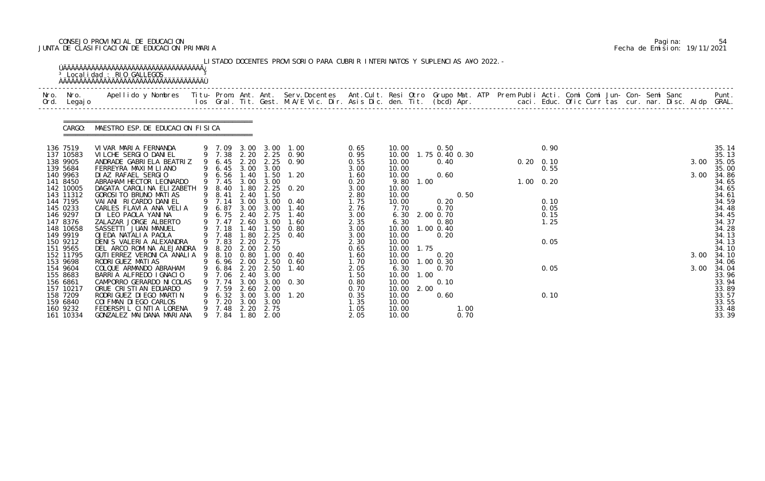# CONSEJO PROVINCIAL DE EDUCACION Pagina: 54 JUNTA DE CLASIFICACION DE EDUCACION PRIMARIA Fecha de Emision: 19/11/2021

| Nro.<br>Ord. | Nro.<br>Legaj o       | Apellido y Nombres  Titu- Prom. Ant. Ant. Serv.Docentes  Ant.Cult. Resi Otro Grupo Mat. ATP Prem Publi Acti. Comi Comi Jun- Con- Semi Sanc           Punt.<br>Ios Gral. Tit. Gest. M.A/E Vic. Dir. Asis Dic. den. Tit. (bcd) Apr. |   |                            |              |                           |                                            |              |                |      |                        |      |  |                   |  |  |  |      |                |
|--------------|-----------------------|-----------------------------------------------------------------------------------------------------------------------------------------------------------------------------------------------------------------------------------|---|----------------------------|--------------|---------------------------|--------------------------------------------|--------------|----------------|------|------------------------|------|--|-------------------|--|--|--|------|----------------|
|              | CARGO:                | MAESTRO ESP. DE EDUCACION FISICA                                                                                                                                                                                                  |   |                            |              |                           |                                            |              |                |      |                        |      |  |                   |  |  |  |      |                |
|              | 136 7519              | VIVAR MARIA FERNANDA                                                                                                                                                                                                              |   | 9 7.09                     |              |                           | 3.00 3.00 1.00                             | 0.65         | 10.00          |      | 0.50                   |      |  | 0.90              |  |  |  |      | 35.14          |
|              | 137 10583<br>138 9905 | VILCHE SERGIO DANIEL<br>ANDRADE GABRIELA BEATRIZ                                                                                                                                                                                  |   | 9 6.45                     | 2.20         |                           | 9 7.38 2.20 2.25 0.90<br>$2.25 \quad 0.90$ | 0.95<br>0.55 | 10.00<br>10.00 |      | 1.75 0.40 0.30<br>0.40 |      |  | $0.20 \quad 0.10$ |  |  |  | 3.00 | 35.13<br>35.05 |
|              | 139 5684              | FERREYRA MAXI MI LI ANO                                                                                                                                                                                                           |   | 6.45                       |              | 3.00 3.00                 |                                            | 3.00         | 10.00          |      |                        |      |  | 0.55              |  |  |  |      | 35.00          |
|              | 140 9963              | DI AZ RAFAEL SERGIO                                                                                                                                                                                                               |   | 9 6.56                     | 1.40         | 1.50                      | 1.20                                       | 1.60         | 10.00          |      | 0.60                   |      |  |                   |  |  |  | 3.00 | 34.86          |
|              | 141 8450<br>142 10005 | ABRAHAM HECTOR LEONARDO<br>DAGATA CAROLINA ELIZABETH                                                                                                                                                                              | 9 | 9 7.45<br>8.40             | 3.00<br>1.80 | 3.00                      | $2.25 \t 0.20$                             | 0.20<br>3.00 | 9.80<br>10.00  | 1.00 |                        |      |  | $1.00 \quad 0.20$ |  |  |  |      | 34.65<br>34.65 |
|              | 143 11312             | GOROSI TO BRUNO MATI AS                                                                                                                                                                                                           | 9 | 8.41                       | 2.40         | 1.50                      |                                            | 2.80         | 10.00          |      |                        | 0.50 |  |                   |  |  |  |      | 34.61          |
|              | 144 7195              | VAI ANI RI CARDO DANI EL                                                                                                                                                                                                          |   | 9 7.14                     | 3.00         |                           | $3.00 \quad 0.40$                          | 1.75         | 10.00          |      | 0.20                   |      |  | 0.10              |  |  |  |      | 34.59          |
|              | 145 0233              | CARLES FLAVIA ANA VELIA                                                                                                                                                                                                           |   | 9 6.87                     | 3.00         | 3.00                      | 1.40                                       | 2.76         | 7.70           |      | 0.70                   |      |  | 0.05              |  |  |  |      | 34.48          |
|              | 146 9297<br>147 8376  | DI LEO PAOLA YANINA<br>ZALAZAR JORGE ALBERTO                                                                                                                                                                                      |   | 9 6.75 2.40 2.75<br>9 7.47 | 2.60         | 3.00                      | 1.40<br>1.60                               | 3.00<br>2.35 | 6.30<br>6.30   |      | 2.00 0.70<br>0.80      |      |  | 0.15<br>1.25      |  |  |  |      | 34.45<br>34.37 |
|              | 148 10658             | SASSETTI JUAN MANUEL                                                                                                                                                                                                              |   | 9 7.18                     | 1.40         | 1.50                      | 0.80                                       | 3.00         | 10.00          |      | 1.00 0.40              |      |  |                   |  |  |  |      | 34.28          |
|              | 149 9919              | OJEDA NATALIA PAOLA                                                                                                                                                                                                               |   | 9 7.48                     | 1.80         | 2.25                      | 0.40                                       | 3.00         | 10.00          |      | 0.20                   |      |  |                   |  |  |  |      | 34.13          |
|              | 150 9212              | DENIS VALERIA ALEXANDRA                                                                                                                                                                                                           |   | 9 7.83                     | 2.20         | 2.75                      |                                            | 2.30         | 10.00          |      |                        |      |  | 0.05              |  |  |  |      | 34.13          |
|              | 151 9565<br>152 11795 | DEL ARCO ROMINA ALEJANDRA<br>GUTI ERREZ VERONICA ANALIA 9 8.10 0.80 1.00 0.40                                                                                                                                                     | 9 | 8.20                       | 2.00         | 2.50                      |                                            | 0.65<br>1.60 | 10.00<br>10.00 | 1.75 | 0.20                   |      |  |                   |  |  |  | 3.00 | 34.10<br>34.10 |
|              | 153 9698              | RODRI GUEZ MATI AS                                                                                                                                                                                                                |   | 9 6.96 2.00                |              | 2.50                      | 0.60                                       | 1.70         | 10.00          |      | $1.00$ 0.30            |      |  |                   |  |  |  |      | 34.06          |
|              | 154 9604              | COLQUE ARMANDO ABRAHAM                                                                                                                                                                                                            |   | 9 6.84 2.20 2.50           |              |                           | 1.40                                       | 2.05         | 6.30           |      | 0.70                   |      |  | 0.05              |  |  |  |      | 3.00 34.04     |
|              | 155 8683              | BARRIA ALFREDO IGNACIO                                                                                                                                                                                                            |   | 7.06                       | 2.40         | 3.00                      |                                            | 1.50         | 10.00          | 1.00 |                        |      |  |                   |  |  |  |      | 33.96          |
|              | 156 6861              | CAMPORRO GERARDO NI COLAS                                                                                                                                                                                                         |   | 7.74                       | 3.00         |                           | $3.00 \quad 0.30$                          | 0.80         | 10.00          |      | 0.10                   |      |  |                   |  |  |  |      | 33.94          |
|              | 157 10217<br>158 7209 | ORUE CRISTIAN EDUARDO<br>RODRI GUEZ DI EGO MARTI N                                                                                                                                                                                |   | 9 7.59<br>6.32             | 2.60         | 2.00<br>$3.00 \quad 3.00$ | 1.20                                       | 0.70<br>0.35 | 10.00<br>10.00 | 2.00 | 0.60                   |      |  | 0.10              |  |  |  |      | 33.89<br>33.57 |
|              | 159 6840              | COI FMAN DI EGO CARLOS                                                                                                                                                                                                            |   | 7.20                       | 3.00         | 3.00                      |                                            | 1.35         | 10.00          |      |                        |      |  |                   |  |  |  |      | 33.55          |
|              | 160 9232              | FEDERSPIL CINTIA LORENA                                                                                                                                                                                                           |   | 9 7.48                     | 2.20         | 2.75                      |                                            | 1.05         | 10.00          |      |                        | 1.00 |  |                   |  |  |  |      | 33.48          |
|              | 161 10334             | GONZALEZ MAI DANA MARI ANA                                                                                                                                                                                                        |   | 9 7.84                     |              | 1.80 2.00                 |                                            | 2.05         | 10.00          |      |                        | 0.70 |  |                   |  |  |  |      | 33.39          |

|  | Pagi na: | 54                           |
|--|----------|------------------------------|
|  |          | Fecha de Emision: 19/11/2021 |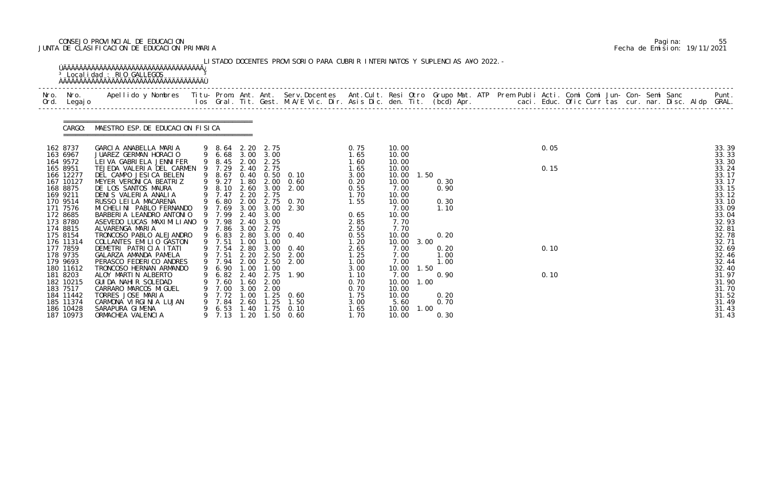# CONSEJO PROVINCIAL DE EDUCACION Pagina: 55 JUNTA DE CLASIFICACION DE EDUCACION PRIMARIA Fecha de Emision: 19/11/2021

|              |                                                                                                                                                                                                 | <sup>3</sup> Localidad : RIO GALLEGOS                                                                                                                                                                                                                                                                                                                                                                                              |                               |                                                                                                                                                  |                                                                                                                      |                                                                                                      | LISTADO DOCENTES PROVISORIO PARA CUBRIR INTERINATOS Y SUPLENCIAS A¥O 2022. -                             |                                                                                                                      |                                                                                                                                       |                      |                                                              |  |              |  |  |  |                                                                                                                                              |
|--------------|-------------------------------------------------------------------------------------------------------------------------------------------------------------------------------------------------|------------------------------------------------------------------------------------------------------------------------------------------------------------------------------------------------------------------------------------------------------------------------------------------------------------------------------------------------------------------------------------------------------------------------------------|-------------------------------|--------------------------------------------------------------------------------------------------------------------------------------------------|----------------------------------------------------------------------------------------------------------------------|------------------------------------------------------------------------------------------------------|----------------------------------------------------------------------------------------------------------|----------------------------------------------------------------------------------------------------------------------|---------------------------------------------------------------------------------------------------------------------------------------|----------------------|--------------------------------------------------------------|--|--------------|--|--|--|----------------------------------------------------------------------------------------------------------------------------------------------|
| Nro.<br>Ord. | Nro.<br>Legaj o                                                                                                                                                                                 | Apellido y Nombres - Titu- Prom. Ant. Ant. Serv.Docentes - Ant.Cult. Resi Otro Grupo Mat. ATP Prem Publi Acti. Comi Comi Jun- Con- Semi Sanc - - - Punt.<br>Ios Gral. Tit. Gest. M.A/E Vic. Dir. Asis Dic. den. Tit. (bcd) Apr. -                                                                                                                                                                                                  |                               |                                                                                                                                                  |                                                                                                                      |                                                                                                      |                                                                                                          |                                                                                                                      |                                                                                                                                       |                      |                                                              |  |              |  |  |  |                                                                                                                                              |
|              | CARGO:                                                                                                                                                                                          | MAESTRO ESP. DE EDUCACION FISICA                                                                                                                                                                                                                                                                                                                                                                                                   |                               |                                                                                                                                                  |                                                                                                                      |                                                                                                      |                                                                                                          |                                                                                                                      |                                                                                                                                       |                      |                                                              |  |              |  |  |  |                                                                                                                                              |
|              | 162 8737<br>163 6967                                                                                                                                                                            | GARCIA ANABELLA MARIA<br>JUAREZ GERMAN HORACIO                                                                                                                                                                                                                                                                                                                                                                                     |                               | 9 8.64<br>9 6.68                                                                                                                                 | 2. 20                                                                                                                | 2.75<br>3.00 3.00                                                                                    |                                                                                                          | 0.75<br>1.65                                                                                                         | 10.00<br>10.00                                                                                                                        |                      |                                                              |  | 0.05         |  |  |  | 33.39<br>33.33                                                                                                                               |
|              | 164 9572<br>165 8951<br>166 12277<br>167 10127<br>168 8875<br>169 9211<br>170 9514<br>171 7576<br>172 8685<br>173 8780<br>174 8815<br>175 8154<br>176 11314<br>177 7859<br>178 9735<br>179 9693 | LEI VA GABRI ELA JENNI FER<br>TEJEDA VALERIA DEL CARMEN<br>DEL CAMPO JESICA BELEN<br>MEYER VERONICA BEATRIZ<br>DE LOS SANTOS MAURA<br>DENIS VALERIA ANALIA<br>RUSSO LEI LA MACARENA<br>MI CHELI NI PABLO FERNANDO<br>BARBERIA LEANDRO ANTONIO<br>ASEVEDO LUCAS MAXIMILIANO<br>ALVARENGA MARIA<br>TRONCOSO PABLO ALEJANDRO<br>COLLANTES EMILIO GASTON<br>DEMETRI PATRICIA ITATI<br>GALARZA AMANDA PAMELA<br>PERASCO FEDERICO ANDRES | 9<br>9<br>$\overline{9}$<br>9 | 8.45<br>7.29<br>8.67<br>9 9.27<br>8.10<br>$9$ 7.47<br>9 6.80<br>7.69<br>9 7.99<br>7.98<br>9 7.86<br>6.83<br>9 7.51<br>9 7.54<br>9 7.51<br>9 7.94 | 2.00<br>2.40<br>1.80<br>2.60<br>2.20<br>2.00<br>3.00<br>2.40<br>2.40<br>3.00<br>2.80<br>1.00<br>2.80<br>2.20<br>2.00 | 2.25<br>2.75<br>2.00<br>3.00<br>2.75<br>2.75<br>3.00<br>3.00<br>3.00<br>2.75<br>1.00<br>2.50<br>2.50 | 0.40 0.50 0.10<br>0.60<br>2.00<br>0.70<br>2.30<br>$3.00 \quad 0.40$<br>$3.00 \quad 0.40$<br>2.00<br>2.00 | 1.60<br>1.65<br>3.00<br>0.20<br>0.55<br>1.70<br>1.55<br>0.65<br>2.85<br>2.50<br>0.55<br>1.20<br>2.65<br>1.25<br>1.00 | 10.00<br>10.00<br>10.00<br>10.00<br>7.00<br>10.00<br>10.00<br>7.00<br>10.00<br>7.70<br>7.70<br>10.00<br>10.00<br>7.00<br>7.00<br>7.00 | 1.50<br>3.00         | 0.30<br>0.90<br>0.30<br>1.10<br>0.20<br>0.20<br>1.00<br>1.00 |  | 0.15<br>0.10 |  |  |  | 33.30<br>33.24<br>33.17<br>33.17<br>33.15<br>33.12<br>33.10<br>33.09<br>33.04<br>32.93<br>32.81<br>32.78<br>32.71<br>32.69<br>32.46<br>32.44 |
|              | 180 11612<br>181 8203<br>182 10215<br>183 7517<br>184 11442<br>185 11374<br>186 10428<br>187 10973                                                                                              | TRONCOSO HERNAN ARMANDO<br>ALOY MARTIN ALBERTO<br>GUI DA NAHI R SOLEDAD<br>CARRARO MARCOS MIGUEL<br>TORRES JOSE MARIA<br>CARMONA VIRGINIA LUJAN<br>SARAPURA GIMENA<br>ORMACHEA VALENCIA                                                                                                                                                                                                                                            | 9                             | 9 6.90<br>7.60<br>7.00<br>7.72<br>7.84<br>6.53<br>9 7.13                                                                                         | 1.00<br>1.60<br>3.00<br>1.00<br>2.60<br>1.40<br>1.20                                                                 | 1.00<br>$6.82$ $2.40$ $2.75$<br>2.00<br>2.00<br>1. 25<br>1.25<br>1.75<br>1.50                        | 1.90<br>0.60<br>1.50<br>0.10<br>0.60                                                                     | 3.00<br>1.10<br>0.70<br>0.70<br>1.75<br>3.00<br>1.65<br>1.70                                                         | 10.00<br>7.00<br>10.00<br>10.00<br>10.00<br>5.60<br>10.00<br>10.00                                                                    | 1.50<br>1.00<br>1.00 | 0.90<br>0.20<br>0.70<br>0.30                                 |  | 0.10         |  |  |  | 32.40<br>31.97<br>31.90<br>31.70<br>31.52<br>31.49<br>31.43<br>31.43                                                                         |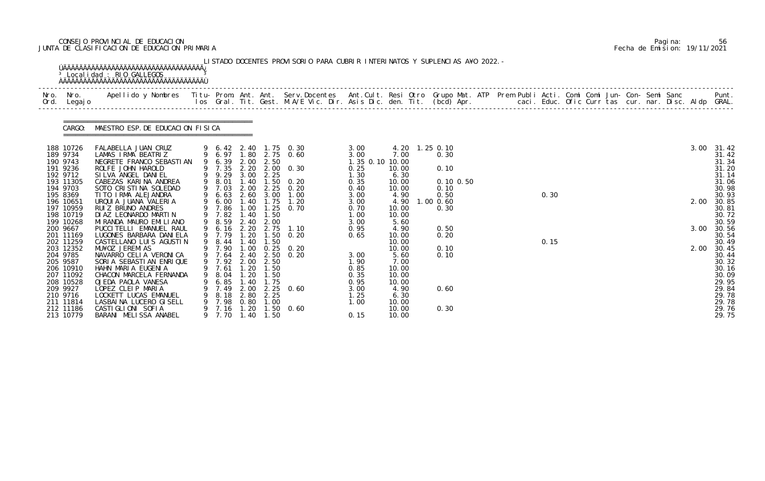# CONSEJO PROVINCIAL DE EDUCACION Pagina: 56 JUNTA DE CLASIFICACION DE EDUCACION PRIMARIA Fecha de Emision: 19/11/2021

| Nro.<br>Ord.                                                                                                                                        | Nro.<br>Legaj o | Apellido y Nombres  Titu- Prom. Ant. Ant. Serv.Docentes  Ant.Cult. Resi Otro Grupo Mat. ATP Prem Publi Acti. Comi Comi Jun- Con- Semi Sanc           Punt.<br>Ios Gral. Tit. Gest. M.A/E Vic. Dir. Asis Dic. den. Tit. (bcd) Apr.                                                                        |   |                                                                                                                    |                                                                      |                                                                |                                                                                                                    |                                                                                                 |                                                                                                    |                                                                                      |  |      |  |  |  |              |                                                                                                          |
|-----------------------------------------------------------------------------------------------------------------------------------------------------|-----------------|----------------------------------------------------------------------------------------------------------------------------------------------------------------------------------------------------------------------------------------------------------------------------------------------------------|---|--------------------------------------------------------------------------------------------------------------------|----------------------------------------------------------------------|----------------------------------------------------------------|--------------------------------------------------------------------------------------------------------------------|-------------------------------------------------------------------------------------------------|----------------------------------------------------------------------------------------------------|--------------------------------------------------------------------------------------|--|------|--|--|--|--------------|----------------------------------------------------------------------------------------------------------|
|                                                                                                                                                     | CARGO:          | MAESTRO ESP. DE EDUCACION FISICA                                                                                                                                                                                                                                                                         |   |                                                                                                                    |                                                                      |                                                                |                                                                                                                    |                                                                                                 |                                                                                                    |                                                                                      |  |      |  |  |  |              |                                                                                                          |
| 188 10726<br>189 9734<br>190 9743<br>191 9236<br>192 9712<br>193 11305<br>194 9703<br>195 8369<br>196 10651<br>197 10959<br>198 10719               |                 | FALABELLA JUAN CRUZ<br>LAMAS IRMA BEATRIZ<br>NEGRETE FRANCO SEBASTIAN<br>ROLFE JOHN HAROLD<br>SILVA ANGEL DANIEL<br>CABEZAS KARINA ANDREA<br>SOTO CRISTINA SOLEDAD<br>TITO IRMA ALEJANDRA<br>URQUIA JUANA VALERIA<br>RUIZ BRUNO ANDRES<br>DI AZ LEONARDO MARTIN                                          |   | 9 6.39<br>9 7.35<br>9 9.29<br>8.01<br>9 7.03<br>6.63<br>6.00<br>7.86<br>9 7.82                                     | 2.00<br>.40<br>2.00<br>1.40<br>1.00<br>1.40                          | 2.50<br>3.00 2.25<br>2.25<br>2.60 3.00<br>1.75<br>1.25<br>1.50 | 9 6.42 2.40 1.75 0.30<br>9 6.97 1.80 2.75 0.60<br>2.20 2.00 0.30<br>$.50 \t 0.20$<br>0. 20<br>1.00<br>1.20<br>0.70 | 3.00<br>3.00<br>1.35 0.10 10.00<br>0.25<br>1.30<br>0.35<br>0.40<br>3.00<br>3.00<br>0.70<br>1.00 | 7.00<br>10.00<br>6.30<br>10.00<br>10.00<br>4.90<br>4.90<br>10.00<br>10.00                          | 4.20 1.25 0.10<br>0.30<br>0.10<br>$0.10$ $0.50$<br>0.10<br>0.50<br>1.00 0.60<br>0.30 |  | 0.30 |  |  |  | 3.00<br>2.00 | 31.42<br>31.42<br>31.34<br>31.20<br>31.14<br>31.06<br>30.98<br>30.93<br>30.85<br>30.81<br>30.72          |
| 199 10268<br>200 9667<br>201 11169<br>202 11259<br>203 12352<br>204 9785<br>205 9587<br>206 10910<br>207 11092<br>208 10528<br>209 9927<br>210 9716 |                 | MI RANDA MAURO EMI LI ANO<br>PUCCI TELLI EMANUEL RAUL<br>LUGONES BARBARA DANI ELA<br>CASTELLANO LUIS AGUSTIN<br>MU¥OZ JEREMIAS<br>NAVARRO CELIA VERONICA<br>SORIA SEBASTIAN ENRIQUE<br>HAHN MARIA EUGENIA<br>CHACON MARCELA FERNANDA<br>OJEDA PAOLA VANESA<br>LOPEZ CLEIP MARIA<br>LOCKETT LUCAS EMANUEL | 9 | 8.59<br>9 6.16<br>9 7.79<br>8.44<br>9 7.90<br>9 7.64<br>9 7.92 2.00<br>9 7.61 1.20<br>8.04<br>6.85<br>7.49<br>8.18 | 2.40<br>2.20<br>1.20<br>. 40<br>1.00<br>1.20<br>. 40<br>2.00<br>2.80 | 2.00<br>2.75<br>1.50<br>1.50<br>2.50<br>1.50<br>1.75<br>2.25   | 1.10<br>0.20<br>$0.25 \quad 0.20$<br>2.40 2.50 0.20<br>$2.25$ 0.60                                                 | 3.00<br>0.95<br>0.65<br>3.00<br>1.90<br>0.85<br>0.35<br>0.95<br>3.00<br>1.25                    | 5.60<br>4.90<br>10.00<br>10.00<br>10.00<br>5.60<br>7.00<br>10.00<br>10.00<br>10.00<br>4.90<br>6.30 | 0.50<br>0.20<br>0.10<br>0.10<br>0.60                                                 |  | 0.15 |  |  |  | 3.00<br>2.00 | 30.59<br>30.56<br>30.54<br>30.49<br>30.45<br>30.44<br>30.32<br>30.16<br>30.09<br>29.95<br>29.84<br>29.78 |

|  | Pagi na: | 56                           |
|--|----------|------------------------------|
|  |          | Fecha de Emision: 19/11/2021 |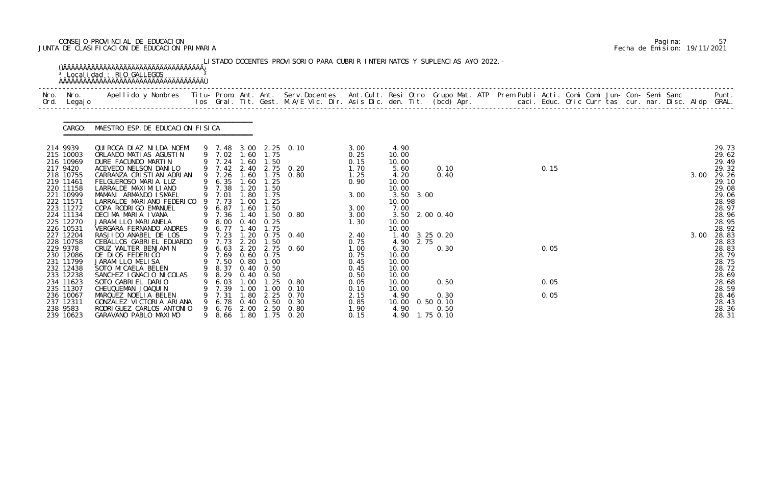# CONSEJO PROVINCIAL DE EDUCACION Pagina: 57 JUNTA DE CLASIFICACION DE EDUCACION PRIMARIA Fecha de Emision: 19/11/2021

|                                                                                                                                                                                                                                                                                                                                                                                                                                                                                                                                                                                          |   |                                                                                                                                                                                              |                          |                                                                                                                                                                    | 3.00<br>0.25                                                                                                                                                                                | 4.90<br>10.00                           |                                 |              |                                                               |      |      |  |      | 29.73<br>29.62                                                                                                                                                                                                                            |
|------------------------------------------------------------------------------------------------------------------------------------------------------------------------------------------------------------------------------------------------------------------------------------------------------------------------------------------------------------------------------------------------------------------------------------------------------------------------------------------------------------------------------------------------------------------------------------------|---|----------------------------------------------------------------------------------------------------------------------------------------------------------------------------------------------|--------------------------|--------------------------------------------------------------------------------------------------------------------------------------------------------------------|---------------------------------------------------------------------------------------------------------------------------------------------------------------------------------------------|-----------------------------------------|---------------------------------|--------------|---------------------------------------------------------------|------|------|--|------|-------------------------------------------------------------------------------------------------------------------------------------------------------------------------------------------------------------------------------------------|
|                                                                                                                                                                                                                                                                                                                                                                                                                                                                                                                                                                                          |   |                                                                                                                                                                                              | 1.25                     |                                                                                                                                                                    | 1.70<br>1.25<br>0.90                                                                                                                                                                        | 5.60<br>4.20<br>10.00                   |                                 | 0.10<br>0.40 |                                                               | 0.15 |      |  | 3.00 | 29.49<br>29.32<br>29.26<br>29.10<br>29.08                                                                                                                                                                                                 |
| 9                                                                                                                                                                                                                                                                                                                                                                                                                                                                                                                                                                                        |   |                                                                                                                                                                                              | 1.75<br>l. 25<br>1.50    |                                                                                                                                                                    | 3.00<br>3.00                                                                                                                                                                                | 10.00<br>7.00                           |                                 |              |                                                               |      |      |  |      | 29.06<br>28.98<br>28.97                                                                                                                                                                                                                   |
|                                                                                                                                                                                                                                                                                                                                                                                                                                                                                                                                                                                          |   |                                                                                                                                                                                              | 1.75                     |                                                                                                                                                                    | 1.30                                                                                                                                                                                        | 10.00<br>10.00                          |                                 |              |                                                               |      |      |  |      | 28.96<br>28.95<br>28.92<br>28.83                                                                                                                                                                                                          |
|                                                                                                                                                                                                                                                                                                                                                                                                                                                                                                                                                                                          |   |                                                                                                                                                                                              | 1.50                     |                                                                                                                                                                    | 0.75<br>1.00<br>0.75<br>0.45<br>0.45                                                                                                                                                        | 4.90<br>6.30<br>10.00<br>10.00<br>10.00 |                                 | 0.30         |                                                               | 0.05 |      |  |      | 28.83<br>28.83<br>28.79<br>28.75<br>28.72                                                                                                                                                                                                 |
|                                                                                                                                                                                                                                                                                                                                                                                                                                                                                                                                                                                          |   |                                                                                                                                                                                              | . 25<br>.00 <sub>1</sub> | 0. 80<br>0.10                                                                                                                                                      | 0.05<br>0.10                                                                                                                                                                                | 10.00<br>10.00                          |                                 | 0.50         |                                                               | 0.05 |      |  |      | 28.69<br>28.68<br>28.59<br>28.46                                                                                                                                                                                                          |
| QUIROGA DIAZ NILDA NOEMI<br>ORLANDO MATIAS AGUSTIN<br>DURE FACUNDO MARTIN<br>ACEVEDO NELSON DANILO<br>CARRANZA CRISTIAN ADRIAN<br>FELGUEROSO MARIA LUZ<br>LARRALDE MAXI MI LI ANO<br>MAMANI ARMANDO ISMAEL<br>LARRALDE MARIANO FEDERICO<br>COPA RODRIGO EMANUEL<br>DECIMA MARIA IVANA<br>JARAMI LLO MARI ANELA<br>VERGARA FERNANDO ANDRES<br>RASJIDO ANABEL DE LOS<br>CEBALLOS GABRIEL EDUARDO<br>CRUZ WALTER BENJAMIN<br>DE DIOS FEDERICO<br>JARAMI LLO MELI SA<br>SOTO MI CAELA BELEN<br>SANCHEZ I GNACIO NI COLAS<br>SOTO GABRIEL DARIO<br>CHEUQUEMAN JOAQUIN<br>MARQUEZ NOELIA BELEN | 9 | MAESTRO ESP. DE EDUCACION FISICA<br>9 7.24<br>9 7.26<br>6.35<br>9 7.38<br>9 7.01<br>7.73<br>6.87<br>9 7.36<br>9 8.00<br>9 6.77<br>9 7.23<br>9 7.73<br>9 7.69<br>8.29<br>6.03<br>7.39<br>7.31 | .00 <sub>1</sub><br>. 00 | 9 7.02 1.60 1.75<br>1.60<br>1.60<br>1.20<br>1.50<br>.80<br>1.60<br>1.40<br>1.40<br>1.20<br>2.20<br>$0.60$ 0.75<br>9 7.50 0.80 1.00<br>0.40<br>0.50<br>1.00<br>. 80 | 9 7.48 3.00 2.25 0.10<br>1.50<br>9 7.42 2.40 2.75 0.20<br>1.60 1.75 0.80<br>$1.50 \t 0.80$<br>$0.40 \quad 0.25$<br>$0.75$ 0.40<br>9 6.63 2.20 2.75 0.60<br>9 8.37 0.40 0.50<br>2.25<br>0.70 | 0.15<br>3.00<br>2.40<br>0.50<br>2.15    | 10.00<br>10.00<br>10.00<br>4.90 |              | 3.50 3.00<br>3.50 2.00 0.40<br>1.40 3.25 0.20<br>2.75<br>0.30 |      | 0.05 |  |      | Apellido y Nombres - Titu- Prom. Ant. Ant. Serv.Docentes - Ant.Cult. Resi Otro Grupo Mat. ATP Prem Publi Acti. Comi Comi Jun- Con- Semi Sanc - - - Punt.<br>Ios Gral. Tit. Gest. M.A/E Vic. Dir. Asis Dic. den. Tit. (bcd) Apr. -<br>3.00 |

|  | Pagi na: | 57                           |
|--|----------|------------------------------|
|  |          | Fecha de Emision: 19/11/2021 |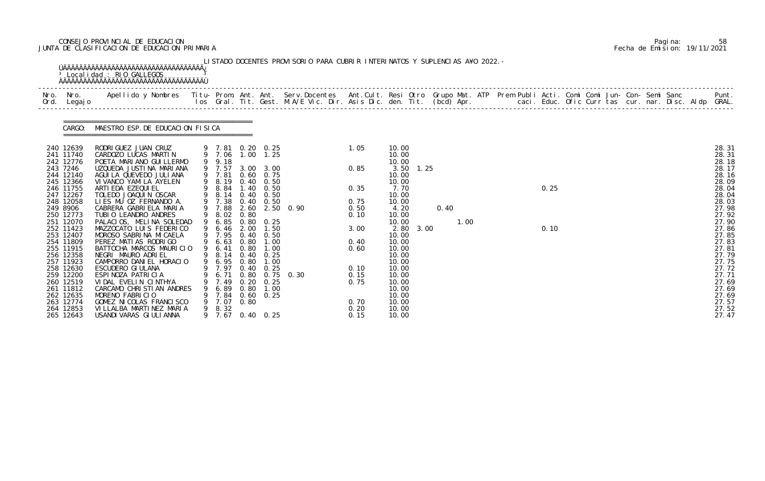# CONSEJO PROVINCIAL DE EDUCACION Pagina: 58 JUNTA DE CLASIFICACION DE EDUCACION PRIMARIA Fecha de Emision: 19/11/2021

| Apellido y Nombres  Titu- Prom. Ant. Ant. Serv.Docentes  Ant.Cult. Resi Otro Grupo Mat. ATP Prem Publi Acti. Comi Comi Jun- Con- Semi Sanc           Punt.<br>Ios Gral. Tit. Gest. M.A/E Vic. Dir. Asis Dic. den. Tit. (bcd) Apr.<br>Nro.<br>Nro.<br>Legaj o<br>Ord.                                          |                                  |
|---------------------------------------------------------------------------------------------------------------------------------------------------------------------------------------------------------------------------------------------------------------------------------------------------------------|----------------------------------|
|                                                                                                                                                                                                                                                                                                               |                                  |
| MAESTRO ESP. DE EDUCACION FISICA<br>CARGO:                                                                                                                                                                                                                                                                    |                                  |
| 240 12639<br>RODRI GUEZ JUAN CRUZ<br>10.00<br>9 7.81 0.20 0.25<br>1.05<br>9 7.06 1.00 1.25<br>241 11740<br>CARDOZO LUCAS MARTIN<br>10.00<br>9 9.18<br>10.00<br>242 12776<br>POETA MARIANO GUI LLERMO                                                                                                          | 28.31<br>28.31<br>28.18          |
| UZQUEDA JUSTINA MARIANA<br>9 7.57<br>3.50 1.25<br>243 7246<br>0.85<br>3.00 3.00<br>244 12140<br>AGUI LA QUEVEDO JULI ANA<br>9 7.81<br>$0.60$ $0.75$<br>10.00<br>9 8.19<br>$0.40 \quad 0.50$<br>10.00<br>245 12366<br>VI VANCO YAMI LA AYELEN                                                                  | 28.17<br>28.16<br>28.09          |
| 9 8.84<br>246 11755<br>ARTI EDA EZEQUI EL<br>1.40<br>0.35<br>0.25<br>0.50<br>7.70<br>9 8.14<br>247 12267<br>TOLEDO JOAQUIN OSCAR<br>$0.40 \quad 0.50$<br>10.00<br>248 12058<br>9 7.38<br>LIES MU OZ FERNANDO A.<br>0.40<br>0.50<br>10.00<br>0.75                                                              | 28.04<br>28.04<br>28.03          |
| CABRERA GABRIELA MARIA<br>9 7.88<br>2.60 2.50 0.90<br>249 8906<br>0.40<br>0.50<br>4.20<br>250 12773<br>TUBIO LEANDRO ANDRES<br>9 8.02<br>0.80<br>10.00<br>0.10<br>9 6.85<br>251 12070<br>PALACIOS, MELINA SOLEDAD<br>0.80<br>10.00<br>1.00<br>0.25                                                            | 27.98<br>27.92<br>27.90          |
| 9 6.46<br>MAZZOCATO LUIS FEDERICO<br>2.00<br>3.00<br>2.80 3.00<br>0.10<br>252 11423<br>1.50<br>9 7.95<br>253 12407<br>MOROSO SABRINA MICAELA<br>$0.40 \quad 0.50$<br>10.00<br>254 11809<br>PEREZ MATIAS RODRIGO<br>9 6.63<br>0.80<br>1.00<br>10.00<br>0.40                                                    | 27.86<br>27.85<br>27.83          |
| 255 11915<br>BATTOCHA MARCOS MAURICIO<br>6.41<br>0.80<br>1.00<br>10.00<br>0.60<br>9 8.14<br>256 12358<br>NEGRI MAURO ADRIEL<br>$0.40 \quad 0.25$<br>10.00<br>CAMPORRO DANIEL HORACIO<br>9 6.95<br>0.80<br>257 11923<br>1.00<br>10.00                                                                          | 27.81<br>27.79<br>27.75          |
| 9 7.97 0.40 0.25<br>258 12630<br>ESCUDERO GI ULANA<br>0.10<br>10.00<br>ESPINOZA PATRICIA<br>0.80 0.75 0.30<br>259 12200<br>0.15<br>10.00<br>6. 71<br>260 12519<br>0.20<br>VIDAL EVELIN CINTHYA<br>0.75<br>10.00<br>0.25<br>7.49<br>261 11812<br>CARCAMO CHRISTIAN ANDRES<br>0.80<br>10.00<br>6. 89<br>1.00    | 27.72<br>27.71<br>27.69<br>27.69 |
| 262 12635<br>10.00<br>MORENO FABRICIO<br>7.84<br>$0.60 \quad 0.25$<br>263 12774<br>GOMEZ NI COLAS FRANCI SCO<br>7.07<br>0.80<br>10.00<br>0.70<br>8.32<br>264 12853<br>VI LLALBA MARTINEZ MARIA<br>0.20<br>9<br>10.00<br>265 12643<br>USANDI VARAS GI ULI ANNA<br>9 7.67<br>$0.40 \quad 0.25$<br>10.00<br>0.15 | 27.69<br>27.57<br>27.52<br>27.47 |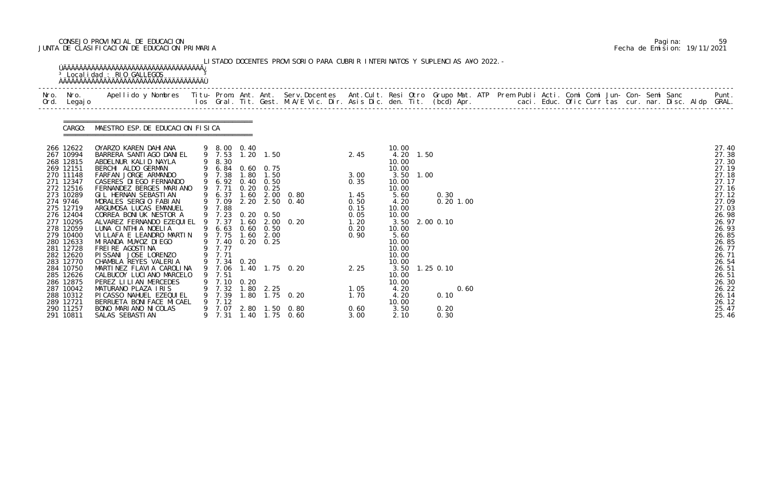# CONSEJO PROVINCIAL DE EDUCACION Pagina: 59 JUNTA DE CLASIFICACION DE EDUCACION PRIMARIA Fecha de Emision: 19/11/2021

|          | Nro. Nro.<br>Ord. Legajo                                                                                                                                                                                                                                         | Apellido y Nombres  Titu- Prom. Ant. Ant. Serv.Docentes  Ant.Cult. Resi Otro Grupo Mat. ATP Prem Publi Acti. Comi Comi Jun- Con- Semi Sanc           Punt.<br>Ios Gral. Tit. Gest. M.A/E Vic. Dir. Asis Dic. den. Tit. (bcd) Apr.                                                                                                                                                                                                                                                                                                                        |   |                                                                                                                                                                                                                                                 |              |                                                                 |                                                                             |                                                                                      |                                                                                                                                                                                                                  |              |             |  |  |  |  |  |                                                                                                                                                                                           |
|----------|------------------------------------------------------------------------------------------------------------------------------------------------------------------------------------------------------------------------------------------------------------------|----------------------------------------------------------------------------------------------------------------------------------------------------------------------------------------------------------------------------------------------------------------------------------------------------------------------------------------------------------------------------------------------------------------------------------------------------------------------------------------------------------------------------------------------------------|---|-------------------------------------------------------------------------------------------------------------------------------------------------------------------------------------------------------------------------------------------------|--------------|-----------------------------------------------------------------|-----------------------------------------------------------------------------|--------------------------------------------------------------------------------------|------------------------------------------------------------------------------------------------------------------------------------------------------------------------------------------------------------------|--------------|-------------|--|--|--|--|--|-------------------------------------------------------------------------------------------------------------------------------------------------------------------------------------------|
|          |                                                                                                                                                                                                                                                                  | CARGO: MAESTRO ESP. DE EDUCACION FISICA                                                                                                                                                                                                                                                                                                                                                                                                                                                                                                                  |   |                                                                                                                                                                                                                                                 |              |                                                                 |                                                                             |                                                                                      |                                                                                                                                                                                                                  |              |             |  |  |  |  |  |                                                                                                                                                                                           |
| 274 9746 | 266 12622<br>267 10994<br>268 12815<br>269 12151<br>270 11148<br>271 12347<br>272 12516<br>273 10289<br>275 12719<br>276 12404<br>277 10295<br>278 12059<br>279 10400<br>280 12633<br>281 12728<br>282 12620<br>283 12770<br>284 10750<br>285 12626<br>286 12875 | OYARZO KAREN DAHIANA<br>BARRERA SANTI AGO DANI EL<br>ABDELNUR KALID NAYLA<br>BERCHI ALDO GERMAN<br>FARFAN JORGE ARMANDO<br>CASERES DI EGO FERNANDO<br>FERNANDEZ BERGES MARIANO<br>GIL HERNAN SEBASTIAN<br>MORALES SERGIO FABIAN<br>ARGUMOSA LUCAS EMANUEL<br>CORREA BONIUK NESTOR A<br>ALVAREZ FERNANDO EZEQUIEL 9 7.37<br>LUNA CINTHIA NOELIA<br>VILLAFA E LEANDRO MARTIN<br>MI RANDA MU¥OZ DI EGO<br>FREIRE AGOSTINA<br>PISSANI JOSE LORENZO<br>CHAMBLA REYES VALERIA<br>MARTINEZ FLAVIA CAROLINA<br>CALBUCOY LUCIANO MARCELO<br>PEREZ LILIAN MERCEDES | 9 | 9 8.00 0.40<br>9 7.53<br>9 8.30<br>9 6.84 0.60 0.75<br>9 7.38<br>9 6.92<br>9 7.71<br>9 6.37<br>9 7.09<br>9 7.88<br>9 7.23 0.20 0.50<br>9 6.63 0.60 0.50<br>9 7.75 1.60 2.00<br>9 7.40<br>9 7.77<br>9 7.71<br>9 7.34 0.20<br>7.51<br>9 7.10 0.20 | 0.40<br>0.20 | $1.20$ $1.50$<br>1.80 1.50<br>0.50<br>0.25<br>$0.20 \quad 0.25$ | 1.60 2.00 0.80<br>2.20 2.50 0.40<br>1.60 2.00 0.20<br>9 7.06 1.40 1.75 0.20 | 2.45<br>3.00<br>0.35<br>1.45<br>0.50<br>0.15<br>0.05<br>1.20<br>0.20<br>0.90<br>2.25 | 10.00<br>4.20 1.50<br>10.00<br>10.00<br>3.50 1.00<br>10.00<br>10.00<br>5.60<br>4.20<br>10.00<br>10.00<br>3.50 2.00 0.10<br>10.00<br>5.60<br>10.00<br>10.00<br>10.00<br>10.00<br>3.50 1.25 0.10<br>10.00<br>10.00 | 0.30         | $0.20$ 1.00 |  |  |  |  |  | 27.40<br>27.38<br>27.30<br>27.19<br>27.18<br>27.17<br>27.16<br>27.12<br>27.09<br>27.03<br>26.98<br>26.97<br>26.93<br>26.85<br>26.85<br>26.77<br>26.71<br>26.54<br>26.51<br>26.51<br>26.30 |
|          | 287 10042<br>288 10312<br>289 12721                                                                                                                                                                                                                              | MATURANO PLAZA IRIS<br>PI CASSO NAHUEL EZEQUI EL<br>BERRUETA BONI FACE MI CAEL                                                                                                                                                                                                                                                                                                                                                                                                                                                                           |   | 9 7.32<br>9 7.39<br>$9$ 7.12                                                                                                                                                                                                                    |              | $1.80$ $2.25$                                                   | 1.80 1.75 0.20                                                              | 1.05<br>1.70                                                                         | 4.20<br>4.20<br>10.00                                                                                                                                                                                            | 0.10         | 0.60        |  |  |  |  |  | 26.22<br>26.14<br>26.12                                                                                                                                                                   |
|          | 290 11257<br>291 10811                                                                                                                                                                                                                                           | BONO MARIANO NI COLAS<br>SALAS SEBASTI AN                                                                                                                                                                                                                                                                                                                                                                                                                                                                                                                |   | 9 7.07<br>9 7.31                                                                                                                                                                                                                                |              |                                                                 | 2.80 1.50 0.80<br>1.40 1.75 0.60                                            | 0.60<br>3.00                                                                         | 3.50<br>2.10                                                                                                                                                                                                     | 0.20<br>0.30 |             |  |  |  |  |  | 25.47<br>25.46                                                                                                                                                                            |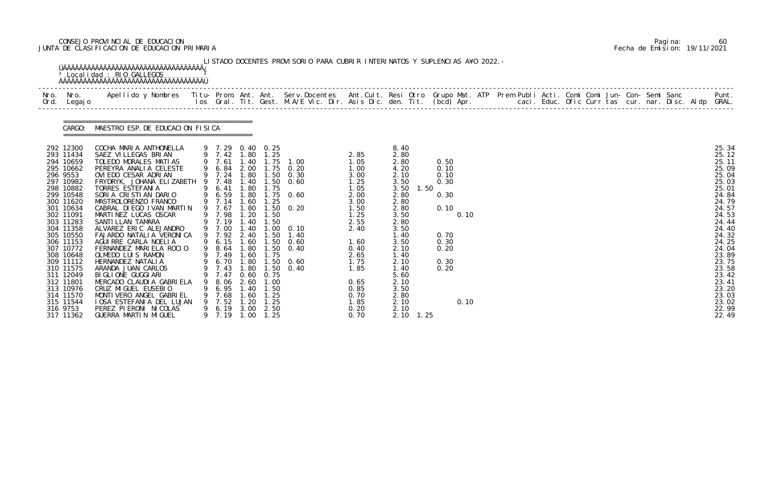# CONSEJO PROVINCIAL DE EDUCACION Pagina: 60 JUNTA DE CLASIFICACION DE EDUCACION PRIMARIA Fecha de Emision: 19/11/2021

|              |                                                                                                                                                                                                                                                                                                                                              | <sup>3</sup> Localidad : RIO GALLEGOS                                                                                                                                                                                                                                                                                                                                                                                                                                                                                                                                                                                                                                    |   |                                                                                                                                                                                                                                                  |                                                                                                                                                                         |                                                                                                                          | LISTADO DOCENTES PROVISORIO PARA CUBRIR INTERINATOS Y SUPLENCIAS A¥O 2022. -                                                                                                                               |                                                                                                                                                                                      |                                                                                                                                                                                                                                   |                                                                                                      |  |  |  |  |  |                                                                                                                                                                                                                                        |
|--------------|----------------------------------------------------------------------------------------------------------------------------------------------------------------------------------------------------------------------------------------------------------------------------------------------------------------------------------------------|--------------------------------------------------------------------------------------------------------------------------------------------------------------------------------------------------------------------------------------------------------------------------------------------------------------------------------------------------------------------------------------------------------------------------------------------------------------------------------------------------------------------------------------------------------------------------------------------------------------------------------------------------------------------------|---|--------------------------------------------------------------------------------------------------------------------------------------------------------------------------------------------------------------------------------------------------|-------------------------------------------------------------------------------------------------------------------------------------------------------------------------|--------------------------------------------------------------------------------------------------------------------------|------------------------------------------------------------------------------------------------------------------------------------------------------------------------------------------------------------|--------------------------------------------------------------------------------------------------------------------------------------------------------------------------------------|-----------------------------------------------------------------------------------------------------------------------------------------------------------------------------------------------------------------------------------|------------------------------------------------------------------------------------------------------|--|--|--|--|--|----------------------------------------------------------------------------------------------------------------------------------------------------------------------------------------------------------------------------------------|
| Nro.<br>Ord. | Nro.<br>Legaj o                                                                                                                                                                                                                                                                                                                              | Apellido y Nombres - Titu- Prom. Ant. Ant. Serv.Docentes - Ant.Cult. Resi Otro Grupo Mat. ATP Prem Publi Acti. Comi Comi Jun- Con- Semi Sanc - - - Punt.<br>Ios Gral. Tit. Gest. M.A/E Vic. Dir. Asis Dic. den. Tit. (bcd) Apr. -                                                                                                                                                                                                                                                                                                                                                                                                                                        |   |                                                                                                                                                                                                                                                  |                                                                                                                                                                         |                                                                                                                          |                                                                                                                                                                                                            |                                                                                                                                                                                      |                                                                                                                                                                                                                                   |                                                                                                      |  |  |  |  |  |                                                                                                                                                                                                                                        |
|              | CARGO:                                                                                                                                                                                                                                                                                                                                       | MAESTRO ESP. DE EDUCACION FISICA                                                                                                                                                                                                                                                                                                                                                                                                                                                                                                                                                                                                                                         |   |                                                                                                                                                                                                                                                  |                                                                                                                                                                         |                                                                                                                          |                                                                                                                                                                                                            |                                                                                                                                                                                      |                                                                                                                                                                                                                                   |                                                                                                      |  |  |  |  |  |                                                                                                                                                                                                                                        |
|              | 292 12300<br>293 11434<br>294 10659<br>295 10662<br>296 9553<br>297 10982<br>298 10882<br>299 10548<br>300 11620<br>301 10634<br>302 11091<br>303 11283<br>304 11358<br>305 10550<br>306 11153<br>307 10772<br>308 10648<br>309 11112<br>310 11575<br>311 12049<br>312 11801<br>313 10976<br>314 11570<br>315 11544<br>316 9753<br>317 11362 | COCHA MARIA ANTHONELLA<br>SAEZ VILLEGAS BRIAN<br>TOLEDO MORALES MATIAS<br>PEREYRA ANALIA CELESTE<br>OVIEDO CESAR ADRIAN<br>FRYDRYK, JOHANA ELIZABETH<br>TORRES ESTEFANIA<br>SORIA CRISTIAN DARIO<br>MASTROLORENZO FRANCO<br>CABRAL DIEGO IVAN MARTIN<br>MARTINEZ LUCAS OSCAR<br>SANTI LLAN TAMARA<br>ALVAREZ ERIC ALEJANDRO<br>FAJARDO NATALI A VERONI CA<br>AGUIRRE CARLA NOELIA<br>FERNANDEZ MARIELA ROCIO<br>OLMEDO LUIS RAMON<br>HERNANDEZ NATALIA<br>ARANDA JUAN CARLOS<br>BI GLI ONE GUGGI ARI<br>MERCADO CLAUDIA GABRIELA<br>CRUZ MIGUEL EUSEBIO<br>MONTI VERO ANGEL GABRI EL<br><b>IOSA ESTEFANIA DEL LUJAN</b><br>PEREZ PIERONI NICOLAS<br>GUERRA MARTIN MIGUEL | 9 | 9 7.29 0.40 0.25<br>9 7.42<br>9 7.61<br>9 7.48<br>9 6.41<br>9 6.59<br>9 7.14<br>9 7.67<br>9 7.98<br>9 7.19<br>9 7.00<br>9 7.92<br>9 6.15<br>9 8.64<br>9 7.49<br>9 6.70 1.80<br>9 7.43<br>7.47<br>8. 06<br>6.95<br>7.68<br>7.52<br>6.19<br>9 7.19 | 1.80<br>1.40<br>1.40<br>1.80<br>1.80<br>1.60<br>1.80<br>1.20<br>.40<br>1.40<br>2.40<br>1.60<br>1.80<br>1.60<br>1.80<br>0.60<br>2.60<br>40<br>. 60<br>20<br>3.00<br>1.00 | 1.25<br>1.75<br>1.25<br>1.50<br>1.50<br>1.50<br>1.50<br>1.75<br>0. 75<br>. 00<br>1. 50<br>1. 25<br>1. 25<br>2.50<br>1.25 | $1.75$ $1.00$<br>9 6.84 2.00 1.75 0.20<br>9 7.24 1.80 1.50 0.30<br>$1.50 \t 0.60$<br>$1.75$ 0.60<br>$1.50 \t 0.20$<br>$1.00 \t 0.10$<br>1.40<br>$1.50 \t 0.60$<br>0.40<br>$1.50 \t 0.60$<br>$1.50 \t 0.40$ | 2.85<br>1.05<br>1.00<br>3.00<br>1.25<br>1.05<br>2.00<br>3.00<br>1.50<br>1.25<br>2.55<br>2.40<br>1.60<br>0.40<br>2.65<br>1.75<br>1.85<br>0.65<br>0.85<br>0.70<br>1.85<br>0.20<br>0.70 | 8.40<br>2.80<br>2.80<br>4.20<br>2.10<br>3.50<br>3.50<br>1.50<br>2.80<br>2.80<br>2.80<br>3.50<br>2.80<br>3.50<br>1.40<br>3.50<br>2.10<br>1.40<br>2.10<br>1.40<br>5.60<br>2.10<br>3.50<br>2.80<br>2.10<br>2.10<br>$2.10 \quad 1.25$ | 0.50<br>0.10<br>0.10<br>0.30<br>0.30<br>0.10<br>0.10<br>0.70<br>0.30<br>0.20<br>0.30<br>0.20<br>0.10 |  |  |  |  |  | 25.34<br>25.12<br>25.11<br>25.09<br>25.04<br>25.03<br>25.01<br>24.84<br>24.79<br>24.57<br>24.53<br>24.44<br>24.40<br>24.32<br>24.25<br>24.04<br>23.89<br>23.75<br>23.58<br>23.42<br>23.41<br>23.20<br>23.03<br>23.02<br>22.99<br>22.49 |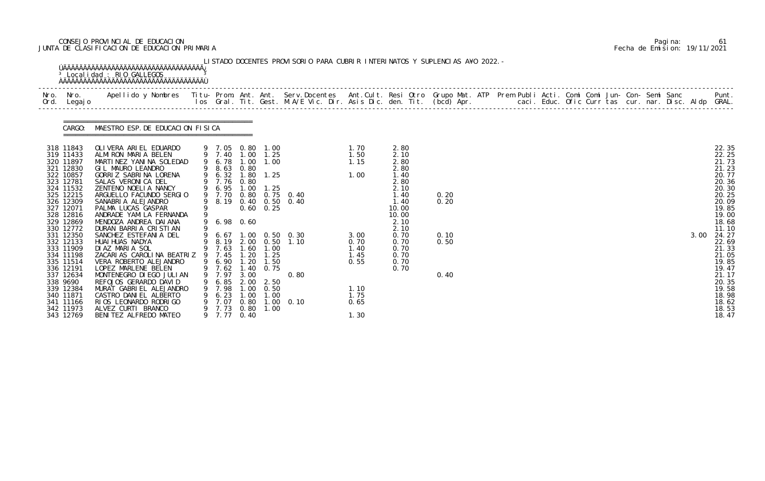# CONSEJO PROVINCIAL DE EDUCACION Pagina: 61 JUNTA DE CLASIFICACION DE EDUCACION PRIMARIA Fecha de Emision: 19/11/2021

|                                                                                                                                                                                                                                                                                                                                  | Nro. Nro.<br>Ord. Legajo | Apellido y Nombres  Titu- Prom. Ant. Ant. Serv.Docentes  Ant.Cult. Resi Otro Grupo Mat. ATP Prem Publi Acti. Comi Comi Jun- Con- Semi Sanc         Punt.<br>Ios Gral. Tit. Gest. M.A/E Vic. Dir. Asis Dic. den. Tit. (bcd) Apr.                                                                                                                                                                                                                                                                                                                                                                                                                                         |   |                                                                                                                                             |                                      |                                                                                                                                                                                                            |                                                                                                              |                                                                                                       |                                                                                                                                                        |                                      |  |  |  |  |  |      |                                                                                                                                                                                                                                        |
|----------------------------------------------------------------------------------------------------------------------------------------------------------------------------------------------------------------------------------------------------------------------------------------------------------------------------------|--------------------------|-------------------------------------------------------------------------------------------------------------------------------------------------------------------------------------------------------------------------------------------------------------------------------------------------------------------------------------------------------------------------------------------------------------------------------------------------------------------------------------------------------------------------------------------------------------------------------------------------------------------------------------------------------------------------|---|---------------------------------------------------------------------------------------------------------------------------------------------|--------------------------------------|------------------------------------------------------------------------------------------------------------------------------------------------------------------------------------------------------------|--------------------------------------------------------------------------------------------------------------|-------------------------------------------------------------------------------------------------------|--------------------------------------------------------------------------------------------------------------------------------------------------------|--------------------------------------|--|--|--|--|--|------|----------------------------------------------------------------------------------------------------------------------------------------------------------------------------------------------------------------------------------------|
|                                                                                                                                                                                                                                                                                                                                  |                          | CARGO: MAESTRO ESP. DE EDUCACION FISICA                                                                                                                                                                                                                                                                                                                                                                                                                                                                                                                                                                                                                                 |   |                                                                                                                                             |                                      |                                                                                                                                                                                                            |                                                                                                              |                                                                                                       |                                                                                                                                                        |                                      |  |  |  |  |  |      |                                                                                                                                                                                                                                        |
| 318 11843<br>319 11433<br>320 11897<br>321 12830<br>322 10857<br>323 12781<br>324 11532<br>325 12215<br>326 12309<br>327 12071<br>328 12816<br>329 12869<br>330 12772<br>331 12350<br>332 12133<br>333 11909<br>334 11198<br>335 11514<br>336 12191<br>337 12634<br>338 9690<br>339 12384<br>340 11871<br>341 11166<br>342 11973 | 343 12769                | OLIVERA ARIEL EDUARDO<br>ALMIRON MARIA BELEN<br>MARTINEZ YANINA SOLEDAD<br>GIL MAURO LEANDRO<br>GORRIZ SABRINA LORENA<br>SALAS VERONICA DEL<br>ZENTENO NOELIA NANCY<br>ARGUELLO FACUNDO SERGIO<br>SANABRIA ALEJANDRO<br>PALMA LUCAS GASPAR<br>ANDRADE YAMILA FERNANDA<br>MENDOZA ANDREA DAI ANA<br>DURAN BARRIA CRISTIAN<br>SANCHEZ ESTEFANIA DEL<br>HUAI HUAS NADYA<br>DIAZ MARIA SOL<br>ZACARIAS CAROLINA BEATRIZ 9 7.45 1.20 1.25<br>VERA ROBERTO ALEJANDRO<br>LOPEZ MARLENE BELEN<br>MONTENEGRO DI EGO JULI AN<br>REFOJOS GERARDO DAVID<br>MURAT GABRIEL ALEJANDRO<br>CASTRO DANIEL ALBERTO<br>RIOS LEONARDO RODRIGO<br>ALVEZ CURTI BRANCO<br>BENITEZ ALFREDO MATEO | 9 | 9 8.63 0.80<br>9 7.76 0.80<br>9 6.95 1.00<br>9 7.70<br>8.19<br>9 6.98 0.60<br>7.97<br>6.85<br>7.98<br>6.23<br>7.07<br>9 7.73 0.80<br>9 7.77 | 3.00<br>1.00<br>1.00<br>0.80<br>0.40 | 9 7.05 0.80 1.00<br>9 7.40 1.00 1.25<br>9 6.78 1.00 1.00<br>9 6.32 1.80 1.25<br>1.25<br>$0.60 \quad 0.25$<br>9 7.63 1.60 1.00<br>9 6.90 1.20 1.50<br>9 7.62 1.40 0.75<br>2.00 2.50<br>0.50<br>1.00<br>1.00 | 0.80 0.75 0.40<br>0.40 0.50 0.40<br>9 6.67 1.00 0.50 0.30<br>9 8.19 2.00 0.50 1.10<br>0.80<br>$1.00 \t 0.10$ | 1. 70<br>1.50<br>1.15<br>1.00<br>3.00<br>0.70<br>1.40<br>1.45<br>0.55<br>1.10<br>1.75<br>0.65<br>1.30 | 2.80<br>2.10<br>2.80<br>2.80<br>1.40<br>2.80<br>2.10<br>1.40<br>1.40<br>10.00<br>10.00<br>2.10<br>2.10<br>0.70<br>0.70<br>0.70<br>0.70<br>0.70<br>0.70 | 0.20<br>0.20<br>0.10<br>0.50<br>0.40 |  |  |  |  |  | 3.00 | 22.35<br>22.25<br>21.73<br>21.23<br>20.77<br>20.36<br>20.30<br>20.25<br>20.09<br>19.85<br>19.00<br>18.68<br>11.10<br>24.27<br>22.69<br>21.33<br>21.05<br>19.85<br>19.47<br>21.17<br>20.35<br>19.58<br>18.98<br>18.62<br>18.53<br>18.47 |

|  | Pagi na: | 61                           |
|--|----------|------------------------------|
|  |          | Fecha de Emision: 19/11/2021 |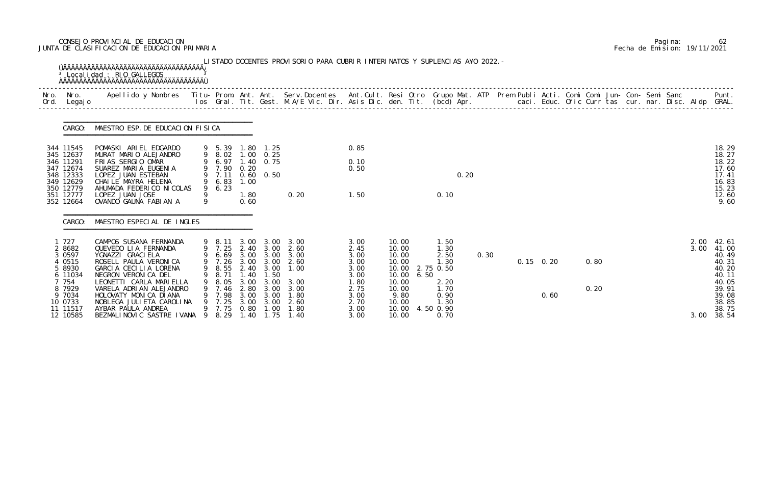# CONSEJO PROVINCIAL DE EDUCACION Pagina: 62 JUNTA DE CLASIFICACION DE EDUCACION PRIMARIA Fecha de Emision: 19/11/2021

|              |                                                                                                                             | <sup>3</sup> Localidad : RIO GALLEGOS<br><b>OAAAAAAAAAAAAAAAAAAAAAAAAAAAAAAAAAA</b>                                                                                                                                                                                                                          |          |                                                                                 |                                                              |                                                                                                                                                        | LISTADO DOCENTES PROVISORIO PARA CUBRIR INTERINATOS Y SUPLENCIAS A¥O 2022. -                          |                                                                                              |                                                                                                |      |                                                                                                      |      |      |  |                           |              |  |  |                      |                                                                                                          |
|--------------|-----------------------------------------------------------------------------------------------------------------------------|--------------------------------------------------------------------------------------------------------------------------------------------------------------------------------------------------------------------------------------------------------------------------------------------------------------|----------|---------------------------------------------------------------------------------|--------------------------------------------------------------|--------------------------------------------------------------------------------------------------------------------------------------------------------|-------------------------------------------------------------------------------------------------------|----------------------------------------------------------------------------------------------|------------------------------------------------------------------------------------------------|------|------------------------------------------------------------------------------------------------------|------|------|--|---------------------------|--------------|--|--|----------------------|----------------------------------------------------------------------------------------------------------|
| Nro.<br>Ord. | Nro.<br>Legaj o                                                                                                             | Apellido y Nombres - Titu- Prom. Ant. Ant. Serv.Docentes - Ant.Cult. Resi Otro Grupo Mat. ATP Prem Publi Acti. Comi Comi Jun- Con- Semi Sanc - - - Punt.<br>Ios Gral. Tit. Gest. M.A/E Vic. Dir. Asis Dic. den. Tit. (bcd) Apr. -                                                                            |          |                                                                                 |                                                              |                                                                                                                                                        |                                                                                                       |                                                                                              |                                                                                                |      |                                                                                                      |      |      |  |                           |              |  |  |                      |                                                                                                          |
|              | CARGO:                                                                                                                      | MAESTRO ESP. DE EDUCACION FISICA                                                                                                                                                                                                                                                                             |          |                                                                                 |                                                              |                                                                                                                                                        |                                                                                                       |                                                                                              |                                                                                                |      |                                                                                                      |      |      |  |                           |              |  |  |                      |                                                                                                          |
|              | 344 11545<br>345 12637<br>346 11291<br>347 12674<br>348 12333<br>349 12629<br>350 12779<br>351 12777<br>352 12664           | POMASKI ARIEL EDGARDO<br>MURAT MARIO ALEJANDRO<br>FRIAS SERGIO OMAR<br>SUAREZ MARIA EUGENIA<br>LOPEZ JUAN ESTEBAN<br>CHAILE MAYRA HELENA<br>AHUMADA FEDERICO NICOLAS<br>LOPEZ JUAN JOSE<br>OVANDO GAUNA FABIAN A                                                                                             | 9<br>9   | 9 5.39<br>9 8.02<br>6.97<br>9 7.90 0.20<br>9 7.11<br>9 6.83<br>9 6.23           | 1. 80<br>1.40<br>1.00<br>1.80<br>0.60                        | 1. 25<br>$1.00 \quad 0.25$<br>0.75<br>$0.60 \quad 0.50$                                                                                                | 0.20                                                                                                  | 0.85<br>0.10<br>0.50<br>1.50                                                                 |                                                                                                |      | 0.10                                                                                                 | 0.20 |      |  |                           |              |  |  |                      | 18.29<br>18.27<br>18.22<br>17.60<br>17.41<br>16.83<br>15.23<br>12.60<br>9.60                             |
|              | CARGO:                                                                                                                      | MAESTRO ESPECIAL DE INGLES                                                                                                                                                                                                                                                                                   |          |                                                                                 |                                                              |                                                                                                                                                        |                                                                                                       |                                                                                              |                                                                                                |      |                                                                                                      |      |      |  |                           |              |  |  |                      |                                                                                                          |
|              | 1 727<br>2 8682<br>3 0 5 9 7<br>4 0515<br>5 8930<br>6 11034<br>7 754<br>8 7929<br>9 7034<br>10 0733<br>11 11517<br>12 10585 | CAMPOS SUSANA FERNANDA<br>QUEVEDO LIA FERNANDA<br>YGNAZZI GRACI ELA<br>ROSELL PAULA VERONICA<br>GARCIA CECILIA LORENA<br>NEGRON VERONICA DEL<br>LEONETTI CARLA MARIELLA<br>VARELA ADRIAN ALEJANDRO<br>HOLOVATY MONICA DIANA<br>NOBLEGA JULI ETA CAROLI NA<br>AYBAR PAULA ANDREA<br>BEZMALINOVIC SASTRE IVANA | 9<br>- 9 | 9 8.11<br>9 7.26<br>8.71<br>8. 05<br>9 7.46<br>9 7.98<br>7.25<br>9 7.75<br>8.29 | 3.00<br>1.40<br>3.00<br>2.80<br>3.00<br>3.00<br>0.80<br>1.40 | 3.00<br>9 6.69 3.00 3.00<br>3.00 3.00<br>9 8.55 2.40 3.00<br>$\overline{.50}$<br>3.00<br>3.00<br>3.00<br>3.00<br>$\overline{\phantom{0}}$ . 00<br>1.75 | 3.00<br>9 7.25 2.40 3.00 2.60<br>3.00<br>2.60<br>1.00<br>3.00<br>3.00<br>1.80<br>2.60<br>1.80<br>1.40 | 3.00<br>2.45<br>3.00<br>3.00<br>3.00<br>3.00<br>1.80<br>2.75<br>3.00<br>2.70<br>3.00<br>3.00 | 10.00<br>10.00<br>10.00<br>10.00<br>10.00<br>10.00<br>10.00<br>9.80<br>10.00<br>10.00<br>10.00 | 6.50 | 1.50<br>1.30<br>2.50<br>1.30<br>10.00 2.75 0.50<br>2.20<br>1.70<br>0.90<br>1.30<br>4.50 0.90<br>0.70 |      | 0.30 |  | $0.15 \quad 0.20$<br>0.60 | 0.80<br>0.20 |  |  | 2.00<br>3.00<br>3.00 | 42.61<br>41.00<br>40.49<br>40.31<br>40.20<br>40.11<br>40.05<br>39.91<br>39.08<br>38.85<br>38.75<br>38.54 |

|  | Pagi na: | 62                           |
|--|----------|------------------------------|
|  |          | Fecha de Emision: 19/11/2021 |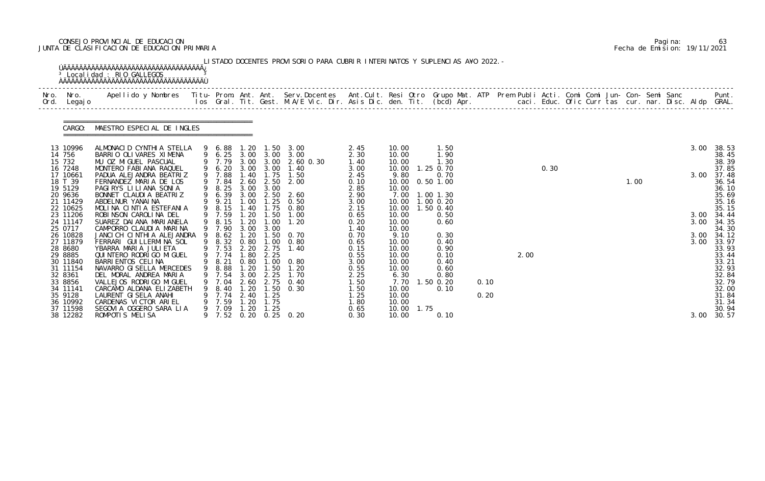# CONSEJO PROVINCIAL DE EDUCACION Pagina: 63 JUNTA DE CLASIFICACION DE EDUCACION PRIMARIA Fecha de Emision: 19/11/2021

|              |                                                                                          | <sup>3</sup> Localidad : RIO GALLEGOS                                                                                                                                                                                             |   |                                                                                          |                                      |                                                   | LISTADO DOCENTES PROVISORIO PARA CUBRIR INTERINATOS Y SUPLENCIAS A¥O 2022. -                                                                         |                                                              |                                                                   |      |                                                                   |      |      |      |  |      |  |              |                                                                      |
|--------------|------------------------------------------------------------------------------------------|-----------------------------------------------------------------------------------------------------------------------------------------------------------------------------------------------------------------------------------|---|------------------------------------------------------------------------------------------|--------------------------------------|---------------------------------------------------|------------------------------------------------------------------------------------------------------------------------------------------------------|--------------------------------------------------------------|-------------------------------------------------------------------|------|-------------------------------------------------------------------|------|------|------|--|------|--|--------------|----------------------------------------------------------------------|
| Nro.<br>Ord. | Nro.<br>Legaj o                                                                          | Apellido y Nombres  Titu- Prom. Ant. Ant. Serv.Docentes  Ant.Cult. Resi Otro Grupo Mat. ATP Prem Publi Acti. Comi Comi Jun- Con- Semi Sanc           Punt.<br>Ios Gral. Tit. Gest. M.A/E Vic. Dir. Asis Dic. den. Tit. (bcd) Apr. |   |                                                                                          |                                      |                                                   |                                                                                                                                                      |                                                              |                                                                   |      |                                                                   |      |      |      |  |      |  |              |                                                                      |
|              | CARGO:                                                                                   | MAESTRO ESPECIAL DE INGLES                                                                                                                                                                                                        |   |                                                                                          |                                      |                                                   |                                                                                                                                                      |                                                              |                                                                   |      |                                                                   |      |      |      |  |      |  |              |                                                                      |
|              | 13 10996<br>14 756                                                                       | ALMONACID CYNTHIA STELLA<br>BARRIO OLIVARES XIMENA                                                                                                                                                                                |   | 9 6.88                                                                                   |                                      |                                                   | 1.20 1.50 3.00                                                                                                                                       | 2.45<br>2.30                                                 | 10.00<br>10.00                                                    |      | 1.50<br>1.90                                                      |      |      |      |  |      |  | 3.00         | 38.53<br>38.45                                                       |
|              | 15 732<br>16 7248<br>17 10661<br>18 T 39<br>19 5129<br>20 9636                           | MU OZ MIGUEL PASCUAL<br>MONTERO FABIANA RAQUEL<br>PADUA ALEJANDRA BEATRIZ<br>FERNANDEZ MARIA DE LOS<br>PAGIRYS LILIANA SONIA<br>BONNET CLAUDIA BEATRIZ                                                                            |   | 9 6.20<br>9 7.88<br>7.84<br>9 8.25<br>9 6.39                                             | 2.60<br>3.00                         | 2.50<br>3.00<br>3.00 2.50                         | $9\quad 6.25\quad 3.00\quad 3.00\quad 3.00\ 9\quad 7.79\quad 3.00\quad 3.00\quad 2.60\quad 0.30$<br>3.00 3.00 1.40<br>1.40 1.75 1.50<br>2.00<br>2.60 | 1.40<br>3.00<br>2.45<br>0.10<br>2.85<br>2.90                 | 10.00<br>10.00<br>9.80<br>10.00<br>10.00<br>7.00                  |      | 1.30<br>1.25 0.70<br>0.70<br>$0.50$ 1.00<br>$1.00$ $1.30$         |      |      | 0.30 |  | 1.00 |  | 3.00         | 38.39<br>37.85<br>37.48<br>36.54<br>36.10<br>35.69                   |
|              | 21 11429<br>22 10625<br>23 11206<br>24 11147<br>25 0717                                  | ABDELNUR YANAI NA<br>MOLINA CINTIA ESTEFANIA<br>ROBINSON CAROLINA DEL<br>SUAREZ DAI ANA MARI ANELA<br>CAMPORRO CLAUDIA MARINA                                                                                                     |   | 9 9.21<br>9 8.15<br>9 7.59<br>9 8.15<br>9 7.90                                           | 1.00<br>1.40<br>.20<br>3.00          | 1.25<br>1.75<br>$1.20$ $1.50$<br>1.00<br>3.00     | 0.50<br>0.80<br>1.00<br>1.20                                                                                                                         | 3.00<br>2.15<br>0.65<br>0.20<br>1.40                         | 10.00<br>10.00<br>10.00<br>10.00<br>10.00                         |      | $1.00$ 0.20<br>$1.50$ 0.40<br>0.50<br>0.60                        |      |      |      |  |      |  | 3.00<br>3.00 | 35.16<br>35.15<br>34.44<br>34.35<br>34.30                            |
|              | 26 10828<br>27 11879<br>28 8680<br>29 8885<br>30 11840<br>31 11154<br>32 8361<br>33 8856 | JANCI CH CINTHIA ALEJANDRA<br>FERRARI GUILLERMINA SOL<br>YBARRA MARIA JULIETA<br>QUI NTERO RODRI GO MI GUEL<br>BARRI ENTOS CELINA<br>NAVARRO GI SELLA MERCEDES<br>DEL MORAL ANDREA MARIA<br>VALLEJOS RODRI GO MI GUEL             | 9 | 8.62<br>8.32<br>9 7.53<br>9 7.74 1.80 2.25<br>9 8.21 0.80 1.00<br>9 8.88<br>7.54<br>7.04 | 1.20<br>0.80<br>1.20<br>3.00<br>2.60 | 1.00<br>2.20 2.75<br>1.00<br>1.50<br>2.25<br>2.75 | 1.50 0.70<br>0.80<br>1.40<br>0.80<br>1.20<br>1.70<br>0.40                                                                                            | 0.70<br>0.65<br>0.15<br>0.55<br>3.00<br>0.55<br>2.25<br>1.50 | 9.10<br>10.00<br>10.00<br>10.00<br>10.00<br>10.00<br>6.30<br>7.70 |      | 0.30<br>0.40<br>0.90<br>0.10<br>0.40<br>0.60<br>0.80<br>1.50 0.20 | 0.10 | 2.00 |      |  |      |  | 3.00<br>3.00 | 34.12<br>33.97<br>33.93<br>33.44<br>33.21<br>32.93<br>32.84<br>32.79 |
|              | 34 11141<br>35 9128<br>36 10992<br>37 11598<br>38 12282                                  | CARCAMO ALDANA ELIZABETH<br>LAURENT GISELA ANAHI<br>CARDENAS VICTOR ARIEL<br>SEGOVIA OGGERO SARA LIA<br>ROMPOTIS MELISA                                                                                                           |   | 8.40<br>9 7.74<br>7.59<br>9 7.09<br>9 7.52                                               | 1.20<br>2.40<br>.20<br>1.20          | 1.50<br>1.25<br>1.75<br>1.25                      | 0.30<br>0.20 0.25 0.20                                                                                                                               | 1.50<br>1.25<br>1.80<br>0.65<br>0.30                         | 10.00<br>10.00<br>10.00<br>10.00<br>10.00                         | 1.75 | 0.10<br>0.10                                                      | 0.20 |      |      |  |      |  | 3.00         | 32.00<br>31.84<br>31.34<br>30.94<br>30.57                            |

|  | Pagi na: | 63                           |
|--|----------|------------------------------|
|  |          | Fecha de Emision: 19/11/2021 |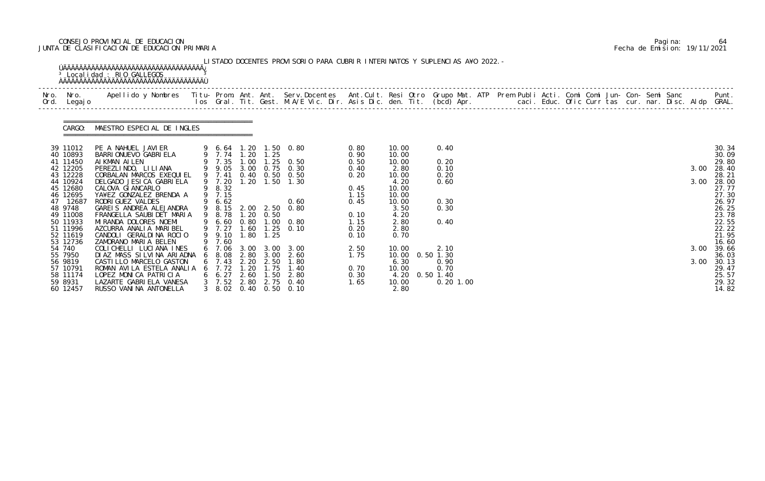# CONSEJO PROVINCIAL DE EDUCACION Pagina: 64 JUNTA DE CLASIFICACION DE EDUCACION PRIMARIA Fecha de Emision: 19/11/2021

| Nro.<br>Ord. | Nro.<br>Legaj o      |                                                      |   |                       |      |           |                                                |              |                           |              |  |  |  |  |  |      |                |
|--------------|----------------------|------------------------------------------------------|---|-----------------------|------|-----------|------------------------------------------------|--------------|---------------------------|--------------|--|--|--|--|--|------|----------------|
|              | CARGO:               | MAESTRO ESPECIAL DE INGLES                           |   |                       |      |           |                                                |              |                           |              |  |  |  |  |  |      |                |
|              | 39 11012<br>40 10893 | PE A NAHUEL JAVIER<br>BARRI ONUEVO GABRI ELA         |   |                       |      |           | 9 6.64 1.20 1.50 0.80<br>9 7.74 1.20 1.25      | 0.80<br>0.90 | 10.00<br>10.00            | 0.40         |  |  |  |  |  |      | 30.34<br>30.09 |
|              | 41 11450             | AI KMAN AI LEN                                       |   | 9 7.35                | 1.00 |           | $1.25$ 0.50                                    | 0.50         | 10.00                     | 0.20         |  |  |  |  |  |      | 29.80          |
|              | 42 12205<br>43 12228 | PEREZLINDO, LILIANA<br>CORBALAN MARCOS EXEQUIEL      |   | 9 7.41                |      |           | 9 9.05 3.00 0.75 0.30<br>0.40 0.50 0.50        | 0.40<br>0.20 | 2.80<br>10.00             | 0.10<br>0.20 |  |  |  |  |  | 3.00 | 28.40<br>28.21 |
|              | 44 10924             | DELGADO JESICA GABRIELA                              |   | 9 7.20                | 1.20 |           | $1.50$ $1.30$                                  |              | 4.20                      | 0.60         |  |  |  |  |  | 3.00 | 28.00          |
|              | 45 12680<br>46 12695 | CALOVA GI ANCARLO<br>YA¥EZ GONZALEZ BRENDA A         |   | 9 8.32<br>9 7.15      |      |           |                                                | 0.45<br>1.15 | 10.00<br>10.00            |              |  |  |  |  |  |      | 27.77<br>27.30 |
|              | 47 12687             | RODRI GUEZ VALDES                                    | 9 | 6.62                  |      |           | 0.60                                           | 0.45         | 10.00                     | 0.30         |  |  |  |  |  |      | 26.97          |
|              | 48 9748<br>49 11008  | GAREIS ANDREA ALEJANDRA<br>FRANGELLA SAUBI DET MARIA |   | 9 8.78                |      | 1.20 0.50 | 9 8.15 2.00 2.50 0.80                          | 0.10         | 3.50<br>4.20              | 0.30         |  |  |  |  |  |      | 26.25<br>23.78 |
|              | 50 11933             | MI RANDA DOLORES NOEMI                               |   |                       |      |           | 9 6.60 0.80 1.00 0.80                          | 1.15         | 2.80                      | 0.40         |  |  |  |  |  |      | 22.55          |
|              | 51 11996             | AZCURRA ANALIA MARIBEL                               |   | 9 7.27                |      |           | 1.60 1.25 0.10                                 | 0.20         | 2.80                      |              |  |  |  |  |  |      | 22.22          |
|              | 52 11619<br>53 12736 | CANDOLI GERALDINA ROCIO<br>ZAMORANO MARIA BELEN      |   | 9 9.10<br>9 7.60      |      | 1.80 1.25 |                                                | 0.10         | 0.70                      |              |  |  |  |  |  |      | 21.95<br>16.60 |
|              | 54 740               | COLICHELLI LUCIANA INES                              |   | 6 7.06                |      |           | 3.00 3.00 3.00                                 | 2.50         | 10.00                     | 2.10         |  |  |  |  |  | 3.00 | 39.66          |
|              | 55 7950<br>56 9819   | DIAZ MASS SILVINA ARIADNA<br>CASTILLO MARCELO GASTON | 6 | 8.08<br>$6\quad 7.43$ | 2.80 | 2.20 2.50 | $3.00 \quad 2.60$<br>1.80                      | 1.75         | 10.00  0.50  1.30<br>6.30 | 0.90         |  |  |  |  |  | 3.00 | 36.03<br>30.13 |
|              | 57 10791             | ROMAN AVILA ESTELA ANALIA                            |   | $6$ 7.72              | 1.20 | 1.75      | 1.40                                           | 0.70         | 10.00                     | 0.70         |  |  |  |  |  |      | 29.47          |
|              | 58 11174             | LOPEZ MONICA PATRICIA                                |   |                       |      |           | 6 6.27 2.60 1.50 2.80                          | 0.30         | 4.20 0.50 1.40            |              |  |  |  |  |  |      | 25.57          |
|              | 59 8931<br>60 12457  | LAZARTE GABRI ELA VANESA<br>RUSSO VANINA ANTONELLA   |   |                       |      |           | 3 7.52 2.80 2.75 0.40<br>3 8.02 0.40 0.50 0.10 | 1.65         | 10.00<br>2.80             | $0.20$ 1.00  |  |  |  |  |  |      | 29.32<br>14.82 |

|  | Pagi na: | 64                           |
|--|----------|------------------------------|
|  |          | Fecha de Emision: 19/11/2021 |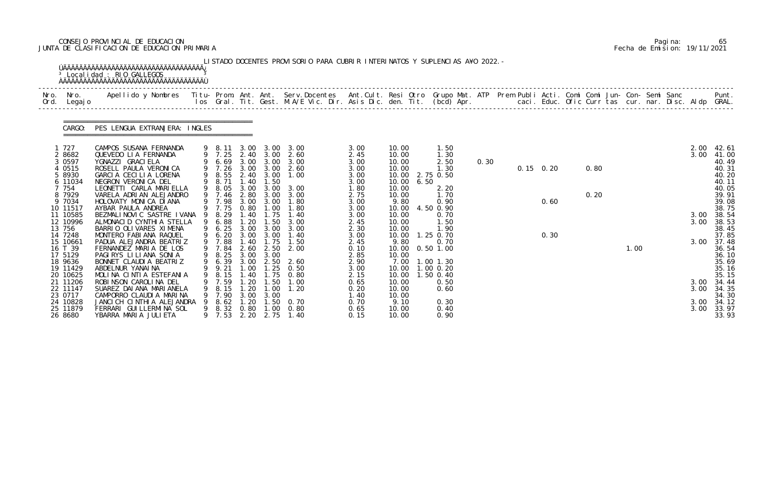# CONSEJO PROVINCIAL DE EDUCACION Pagina: 65 JUNTA DE CLASIFICACION DE EDUCACION PRIMARIA Fecha de Emision: 19/11/2021

| Nro.<br>Ord. | Nro.<br>Legaj o                             | Apellido y Nombres  Titu- Prom. Ant. Ant. Serv.Docentes  Ant.Cult. Resi Otro Grupo Mat. ATP Prem Publi Acti. Comi Comi Jun- Con- Semi Sanc         Punt.<br>Ios Gral. Tit. Gest. M.A/E Vic. Dir. Asis Dic. den. Tit. (bcd) Apr. |        |                                              |                              |                                            |                               |                              |                                  |      |                                                            |      |  |                   |      |      |  |              |                                           |
|--------------|---------------------------------------------|---------------------------------------------------------------------------------------------------------------------------------------------------------------------------------------------------------------------------------|--------|----------------------------------------------|------------------------------|--------------------------------------------|-------------------------------|------------------------------|----------------------------------|------|------------------------------------------------------------|------|--|-------------------|------|------|--|--------------|-------------------------------------------|
|              | CARGO:                                      | PES LENGUA EXTRANJERA: INGLES                                                                                                                                                                                                   |        |                                              |                              |                                            |                               |                              |                                  |      |                                                            |      |  |                   |      |      |  |              |                                           |
|              | 1 727<br>2 8682<br>3 0 5 9 7                | CAMPOS SUSANA FERNANDA<br>QUEVEDO LIA FERNANDA<br>YGNAZZI GRACI ELA                                                                                                                                                             |        | 9 8.11<br>6.69                               | 3.00                         | 3.00 3.00 3.00<br>3.00                     | 9 7.25 2.40 3.00 2.60<br>3.00 | 3.00<br>2.45<br>3.00         | 10.00<br>10.00<br>10.00          |      | 1.50<br>1.30<br>2.50                                       | 0.30 |  |                   |      |      |  | 2.00<br>3.00 | 42.61<br>41.00<br>40.49                   |
|              | 4 0515<br>5 8930<br>6 11034<br>7 754        | ROSELL PAULA VERONICA<br>GARCIA CECILIA LORENA<br>NEGRON VERONICA DEL<br>LEONETTI CARLA MARIELLA                                                                                                                                | 9      | 9 7.26<br>8.55<br>9 8.71<br>9 8.05           | 3.00<br>1.40<br>3.00         | 3.00<br>2.40 3.00<br>1.50<br>3.00          | 2.60<br>1.00<br>3.00          | 3.00<br>3.00<br>3.00<br>1.80 | 10.00<br>10.00<br>10.00<br>10.00 | 6.50 | 1.30<br>2.75 0.50<br>2.20                                  |      |  | $0.15 \quad 0.20$ | 0.80 |      |  |              | 40.31<br>40.20<br>40.11<br>40.05          |
|              | 8 7929<br>9 7034<br>10 11517<br>11 10585    | VARELA ADRIAN ALEJANDRO<br>HOLOVATY MONICA DIANA<br>AYBAR PAULA ANDREA<br>BEZMALINOVIC SASTRE IVANA                                                                                                                             | - 9    | 9 7.46<br>7.98<br>9 7.75<br>8.29             | 2.80<br>3.00<br>0.80         | 3.00<br>3.00<br>1.00<br>1.40 1.75          | 3.00<br>1.80<br>1.80<br>1.40  | 2.75<br>3.00<br>3.00<br>3.00 | 10.00<br>9.80<br>10.00<br>10.00  |      | 1.70<br>0.90<br>4.50 0.90<br>0.70                          |      |  | 0.60              | 0.20 |      |  | 3.00         | 39.91<br>39.08<br>38.75<br>38.54          |
|              | 12 10996<br>13 756<br>14 7248<br>15 10661   | ALMONACID CYNTHIA STELLA<br>BARRIO OLIVARES XIMENA<br>MONTERO FABIANA RAQUEL<br>PADUA ALEJANDRA BEATRIZ                                                                                                                         | 9<br>9 | 6.88<br>6.25<br>6.20<br>7.88                 | 1.20<br>3.00<br>3.00<br>1.40 | 1.50<br>3.00<br>3.00<br>1.75               | 3.00<br>3.00<br>1.40<br>1.50  | 2.45<br>2.30<br>3.00<br>2.45 | 10.00<br>10.00<br>10.00<br>9.80  |      | 1.50<br>1.90<br>1.25 0.70<br>0.70                          |      |  | 0.30              |      |      |  | 3.00<br>3.00 | 38.53<br>38.45<br>37.85<br>37.48          |
|              | 16 T 39<br>17 5129<br>18 9636<br>19 11429   | FERNANDEZ MARIA DE LOS<br>PAGIRYS LILIANA SONIA<br>BONNET CLAUDIA BEATRIZ<br>ABDELNUR YANAI NA<br>MOLINA CINTIA ESTEFANIA                                                                                                       | 9      | 9 7.84<br>9 8.25<br>9 6.39<br>9 9.21<br>8.15 | 2.60<br>3.00                 | 2.50<br>3.00 3.00<br>2.50<br>$1.00$ $1.25$ | 2.00<br>2.60<br>0.50          | 0.10<br>2.85<br>2.90<br>3.00 | 10.00<br>10.00<br>7.00<br>10.00  |      | $0.50$ 1.00<br>$1.00$ $1.30$<br>$1.00 \t0.20$<br>1.50 0.40 |      |  |                   |      | 1.00 |  |              | 36.54<br>36.10<br>35.69<br>35.16<br>35.15 |
|              | 20 10625<br>21 11206<br>22 11147<br>23 0717 | ROBINSON CAROLINA DEL<br>SUAREZ DAI ANA MARI ANELA<br>CAMPORRO CLAUDIA MARINA                                                                                                                                                   |        | 7.59<br>8.15<br>9 7.90                       | 1. 40<br>.20<br>1.20         | 1.75<br>1.50<br>1.00<br>3.00 3.00          | 0.80<br>1.00<br>1.20          | 2.15<br>0.65<br>0.20<br>1.40 | 10.00<br>10.00<br>10.00<br>10.00 |      | 0.50<br>0.60                                               |      |  |                   |      |      |  | 3.00<br>3.00 | 34.44<br>34.35<br>34.30                   |
|              | 24 10828<br>25 11879<br>26 8680             | JANCI CH CINTHIA ALEJANDRA<br>FERRARI GUI LLERMINA SOL<br>YBARRA MARIA JULIETA                                                                                                                                                  |        | 8.62<br>9 8.32<br>9 7.53                     | 1.20<br>0.80<br>2.20         | 1.50<br>1.00                               | 0. 70<br>0.80<br>2.75 1.40    | 0.70<br>0.65<br>0.15         | 9.10<br>10.00<br>10.00           |      | 0.30<br>0.40<br>0.90                                       |      |  |                   |      |      |  | 3.00<br>3.00 | 34.12<br>33.97<br>33.93                   |

|  | Pagi na: | 65                           |
|--|----------|------------------------------|
|  |          | Fecha de Emision: 19/11/2021 |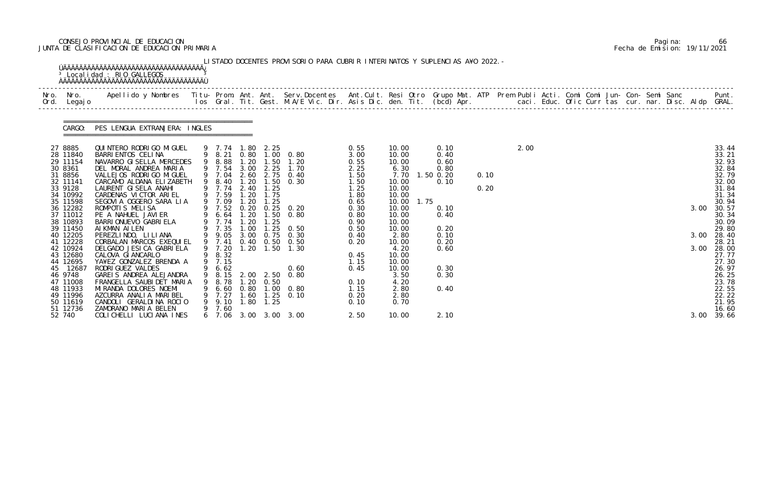# CONSEJO PROVINCIAL DE EDUCACION Pagina: 66 JUNTA DE CLASIFICACION DE EDUCACION PRIMARIA Fecha de Emision: 19/11/2021

| Nro. Nro.<br>Ord. Legajo                                                                                                                                                                                                                                                                            | Apellido y Nombres  Titu- Prom. Ant. Ant. Serv.Docentes  Ant.Cult. Resi Otro Grupo Mat. ATP Prem Publi Acti. Comi Comi Jun- Con- Semi Sanc         Punt.<br>Ios Gral. Tit. Gest. M.A/E Vic. Dir. Asis Dic. den. Tit. (bcd) Apr.                                                                                                                                                                                                                                                                                                                                                                                                                   |        |                                                                                                                                                                                       |                                              |                                                                                            |                                                                                                                                                                                                                                                                                          |                                                                                                                                                                              |                                                                                                                                                                                                                     |                                                                                                                             |              |      |  |  |  |                      |                                                                                                                                                                                                                               |
|-----------------------------------------------------------------------------------------------------------------------------------------------------------------------------------------------------------------------------------------------------------------------------------------------------|---------------------------------------------------------------------------------------------------------------------------------------------------------------------------------------------------------------------------------------------------------------------------------------------------------------------------------------------------------------------------------------------------------------------------------------------------------------------------------------------------------------------------------------------------------------------------------------------------------------------------------------------------|--------|---------------------------------------------------------------------------------------------------------------------------------------------------------------------------------------|----------------------------------------------|--------------------------------------------------------------------------------------------|------------------------------------------------------------------------------------------------------------------------------------------------------------------------------------------------------------------------------------------------------------------------------------------|------------------------------------------------------------------------------------------------------------------------------------------------------------------------------|---------------------------------------------------------------------------------------------------------------------------------------------------------------------------------------------------------------------|-----------------------------------------------------------------------------------------------------------------------------|--------------|------|--|--|--|----------------------|-------------------------------------------------------------------------------------------------------------------------------------------------------------------------------------------------------------------------------|
| CARGO:                                                                                                                                                                                                                                                                                              | PES LENGUA EXTRANJERA: INGLES                                                                                                                                                                                                                                                                                                                                                                                                                                                                                                                                                                                                                     |        |                                                                                                                                                                                       |                                              |                                                                                            |                                                                                                                                                                                                                                                                                          |                                                                                                                                                                              |                                                                                                                                                                                                                     |                                                                                                                             |              |      |  |  |  |                      |                                                                                                                                                                                                                               |
| 27 8885<br>28 11840<br>29 11154<br>30 8361<br>31 8856<br>32 11141<br>33 9128<br>34 10992<br>35 11598<br>36 12282<br>37 11012<br>38 10893<br>39 11450<br>40 12205<br>41 12228<br>42 10924<br>43 12680<br>44 12695<br>45 12687<br>46 9748<br>47 11008<br>48 11933<br>49 11996<br>50 11619<br>51 12736 | QUINTERO RODRIGO MIGUEL<br>BARRI ENTOS CELINA<br>NAVARRO GI SELLA MERCEDES<br>DEL MORAL ANDREA MARIA<br>VALLEJOS RODRI GO MI GUEL<br>CARCAMO ALDANA ELIZABETH<br>LAURENT GISELA ANAHI<br>CARDENAS VICTOR ARIEL<br>SEGOVIA OGGERO SARA LIA<br>ROMPOTIS MELISA<br>PE A NAHUEL JAVIER<br>BARRI ONUEVO GABRI ELA<br>AI KMAN AI LEN<br>PEREZLINDO, LI LI ANA<br>CORBALAN MARCOS EXEQUIEL<br>DELGADO JESICA GABRIELA<br>CALOVA GI ANCARLO<br>YA¥EZ GONZALEZ BRENDA A<br>RODRI GUEZ VALDES<br>GAREIS ANDREA ALEJANDRA<br>FRANGELLA SAUBIDET MARIA<br>MI RANDA DOLORES NOEMI<br>AZCURRA ANALIA MARIBEL<br>CANDOLI GERALDINA ROCIO<br>ZAMORANO MARIA BELEN | 9<br>9 | 9 8.88<br>9 7.54<br>9 8.40<br>9 7.74 2.40<br>9 7.59<br>9 7.09<br>9 7.74<br>9 7.35<br>9 7.41<br>9 7.20<br>9 8.32<br>9 7.15<br>9 6.62<br>8.15 2.00<br>8. 78<br>9 7.27<br>9.10<br>9 7.60 | 1.20<br>3.00<br>1.20<br>1.20<br>1.00<br>1.20 | 9 7.74 1.80 2.25<br>2.25<br>1.25<br>1.20 1.75<br>1.25<br>1.25<br>2.50<br>0.50<br>1.80 1.25 | 9 8.21 0.80 1.00 0.80<br>$1.50$ $1.20$<br>1.70<br>9 7.04 2.60 2.75 0.40<br>$1.50 \t 0.30$<br>9 7.52 0.20 0.25 0.20<br>9 6.64 1.20 1.50 0.80<br>$1.25 \quad 0.50$<br>9 9.05 3.00 0.75 0.30<br>0.40 0.50 0.50<br>1.20 1.50 1.30<br>0.60<br>0.80<br>9 6.60 0.80 1.00 0.80<br>1.60 1.25 0.10 | 0.55<br>3.00<br>0.55<br>2.25<br>1.50<br>1.50<br>1.25<br>1.80<br>0.65<br>0.30<br>0.80<br>0.90<br>0.50<br>0.40<br>0.20<br>0.45<br>1.15<br>0.45<br>0.10<br>1.15<br>0.20<br>0.10 | 10.00<br>10.00<br>10.00<br>6.30<br>7.70<br>10.00<br>10.00<br>10.00<br>1.75<br>10.00<br>10.00<br>10.00<br>10.00<br>10.00<br>2.80<br>10.00<br>4.20<br>10.00<br>10.00<br>10.00<br>3.50<br>4.20<br>2.80<br>2.80<br>0.70 | 0.10<br>0.40<br>0.60<br>0.80<br>$1.50$ 0.20<br>0.10<br>0.10<br>0.40<br>0.20<br>0.10<br>0.20<br>0.60<br>0.30<br>0.30<br>0.40 | 0.10<br>0.20 | 2.00 |  |  |  | 3.00<br>3.00<br>3.00 | 33.44<br>33.21<br>32.93<br>32.84<br>32.79<br>32.00<br>31.84<br>31.34<br>30.94<br>30.57<br>30.34<br>30.09<br>29.80<br>28.40<br>28.21<br>28.00<br>27.77<br>27.30<br>26.97<br>26.25<br>23.78<br>22.55<br>22.22<br>21.95<br>16.60 |
| 52 740                                                                                                                                                                                                                                                                                              | COLICHELLI LUCIANA INES                                                                                                                                                                                                                                                                                                                                                                                                                                                                                                                                                                                                                           |        |                                                                                                                                                                                       |                                              |                                                                                            | 6 7.06 3.00 3.00 3.00                                                                                                                                                                                                                                                                    | 2.50                                                                                                                                                                         | 10.00                                                                                                                                                                                                               | 2.10                                                                                                                        |              |      |  |  |  | 3.00                 | 39.66                                                                                                                                                                                                                         |

|  | Pagi na: | 66                           |
|--|----------|------------------------------|
|  |          | Fecha de Emision: 19/11/2021 |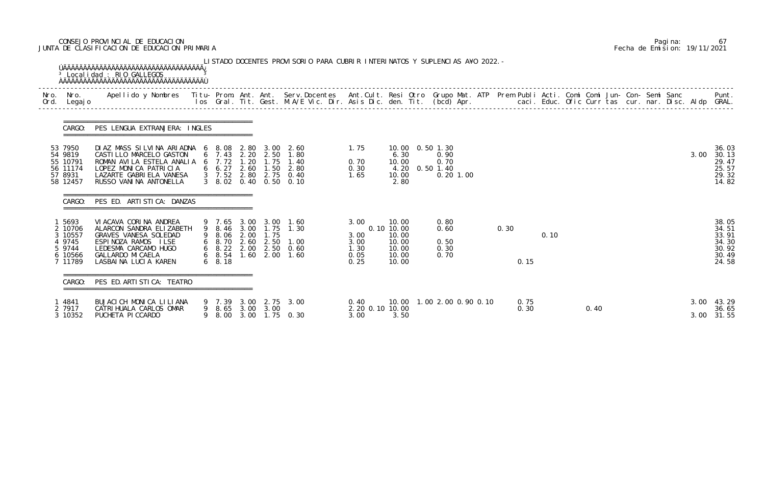# CONSEJO PROVINCIAL DE EDUCACION Pagina: 67 JUNTA DE CLASIFICACION DE EDUCACION PRIMARIA Fecha de Emision: 19/11/2021

| Nro. Nro.                                                              |                                                                                                                                                                                                                                   |                              |      |                                                                                                                           |                                              |                                                                       |                                      |              |      |      |  |  |              |                                                             |
|------------------------------------------------------------------------|-----------------------------------------------------------------------------------------------------------------------------------------------------------------------------------------------------------------------------------|------------------------------|------|---------------------------------------------------------------------------------------------------------------------------|----------------------------------------------|-----------------------------------------------------------------------|--------------------------------------|--------------|------|------|--|--|--------------|-------------------------------------------------------------|
| Ord. Legajo                                                            | Apellido y Nombres  Titu- Prom. Ant. Ant.  Serv.Docentes  Ant.Cult. Resi Otro  Grupo Mat. ATP  Prem Publi Acti. Comi Comi Jun- Con- Semi Sanc              Punt.<br>Ios Gral. Tit. Gest. M.A/E Vic. Dir. Asis Dic. den. Tit. (bcd |                              |      |                                                                                                                           |                                              |                                                                       |                                      |              |      |      |  |  |              |                                                             |
| CARGO:                                                                 | PES LENGUA EXTRANJERA: INGLES                                                                                                                                                                                                     |                              |      |                                                                                                                           |                                              |                                                                       |                                      |              |      |      |  |  |              |                                                             |
| 53 7950<br>54 9819<br>55 10791<br>56 11174<br>57 8931<br>58 12457      | DIAZ MASS SILVINA ARIADNA 6 8.08 2.80 3.00 2.60<br>CASTILLO MARCELO GASTON<br>ROMAN AVILA ESTELA ANALIA 6 7.72 1.20 1.75 1.40<br>LOPEZ MONICA PATRICIA<br>LAZARTE GABRIELA VANESA<br>RUSSO VANINA ANTONELLA                       | 6 7.43 2.20 2.50             |      | 1.80<br>6 6.27 2.60 1.50 2.80<br>3 7.52 2.80 2.75 0.40<br>3 8.02 0.40 0.50 0.10                                           | 1.75<br>0.70<br>0.30<br>1.65                 | 10.00  0.50  1.30<br>6.30<br>10.00<br>4.20 0.50 1.40<br>10.00<br>2.80 | 0.90<br>0.70<br>$0.20$ 1.00          |              |      |      |  |  | 3.00         | 36.03<br>30.13<br>29.47<br>25.57<br>29.32<br>14.82          |
| CARGO:                                                                 | PES ED. ARTISTICA: DANZAS                                                                                                                                                                                                         |                              |      |                                                                                                                           |                                              |                                                                       |                                      |              |      |      |  |  |              |                                                             |
| 1 5693<br>2 10706<br>3 10557<br>4 9745<br>5 9744<br>6 10566<br>7 11789 | VI ACAVA CORINA ANDREA<br>ALARCON SANDRA ELIZABETH<br>GRAVES VANESA SOLEDAD<br>ESPINOZA RAMOS ILSE<br>LEDESMA CARCAMO HUGO<br>GALLARDO MI CAELA<br>LASBAINA LUCIA KAREN                                                           | 9 8.06 2.00<br>$6\quad 8.18$ | 1.75 | 9 7.65 3.00 3.00 1.60<br>9 8.46 3.00 1.75 1.30<br>6 8.70 2.60 2.50 1.00<br>6 8.22 2.00 2.50 0.60<br>6 8.54 1.60 2.00 1.60 | 3.00<br>3.00<br>3.00<br>1.30<br>0.05<br>0.25 | 10.00<br>0.10 10.00<br>10.00<br>10.00<br>10.00<br>10.00<br>10.00      | 0.80<br>0.60<br>0.50<br>0.30<br>0.70 | 0.30<br>0.15 | 0.10 |      |  |  |              | 38.05<br>34.51<br>33.91<br>34.30<br>30.92<br>30.49<br>24.58 |
| CARGO:                                                                 | PES ED. ARTI STI CA: TEATRO                                                                                                                                                                                                       |                              |      |                                                                                                                           |                                              |                                                                       |                                      |              |      |      |  |  |              |                                                             |
| l 4841<br>2 7917<br>3 10352                                            | BUJACI CH MONICA LILIANA<br>CATRI HUALA CARLOS OMAR<br>PUCHETA PICCARDO                                                                                                                                                           | 9 8.65 3.00 3.00             |      | 9 7.39 3.00 2.75 3.00<br>9 8.00 3.00 1.75 0.30                                                                            | 0.40<br>2.20 0.10 10.00<br>3.00              | 3.50                                                                  | 10.00  1.00  2.00  0.90  0.10        | 0.75<br>0.30 |      | 0.40 |  |  | 3.00<br>3.00 | 43.29<br>36.65<br>31.55                                     |

|  | Pagi na: | 67                           |
|--|----------|------------------------------|
|  |          | Fecha de Emision: 19/11/2021 |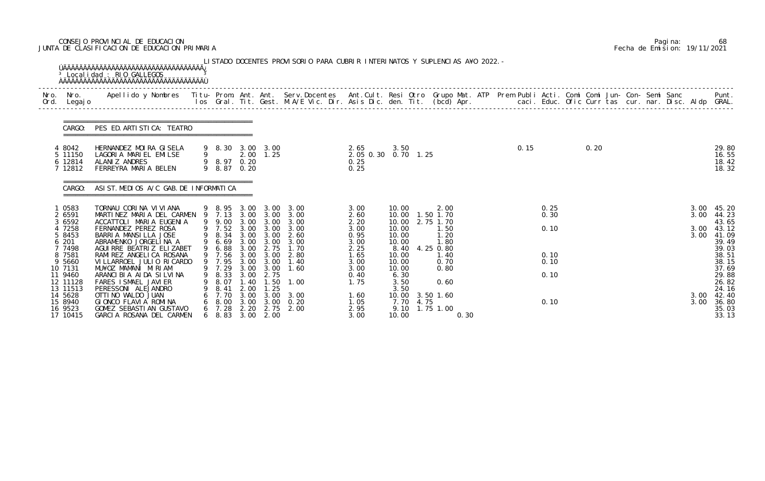# CONSEJO PROVINCIAL DE EDUCACION Pagina: 68 JUNTA DE CLASIFICACION DE EDUCACION PRIMARIA Fecha de Emision: 19/11/2021

| CARGO:                                    | PES ED. ARTI STI CA: TEATRO                                                                         |                                        |                              |                                               |                                                            |                                             |                                |      |                                              |  |      |              |      |  |              |                                  |
|-------------------------------------------|-----------------------------------------------------------------------------------------------------|----------------------------------------|------------------------------|-----------------------------------------------|------------------------------------------------------------|---------------------------------------------|--------------------------------|------|----------------------------------------------|--|------|--------------|------|--|--------------|----------------------------------|
| 4 8042<br>5 11150<br>6 12814<br>7 12812   | HERNANDEZ MOIRA GISELA<br>LAGORIA MARIEL EMILSE<br>ALANI Z ANDRES<br>FERREYRA MARIA BELEN           | 9<br>9 8.97 0.20<br>9 8.87 0.20        |                              | 9 8.30 3.00 3.00<br>$2.00$ 1.25               |                                                            | 2.65<br>2.05 0.30 0.70 1.25<br>0.25<br>0.25 | 3.50                           |      |                                              |  | 0.15 |              | 0.20 |  |              | 29.80<br>16.55<br>18.42<br>18.32 |
| CARGO:                                    | ASIST. MEDIOS A/C GAB. DE INFORMATICA                                                               |                                        |                              |                                               |                                                            |                                             |                                |      |                                              |  |      |              |      |  |              |                                  |
| 0583<br>2 6591<br>3 6592                  | TORNAU CORINA VIVIANA<br>MARTINEZ MARIA DEL CARMEN 9 7.13 3.00 3.00 3.00<br>ACCATTOLI MARIA EUGENIA |                                        |                              |                                               | 9 8.95 3.00 3.00 3.00<br>9 9.00 3.00 3.00 3.00             | 3.00<br>2.60<br>2.20                        | 10.00                          |      | 2.00<br>10.00  1.50  1.70<br>10.00 2.75 1.70 |  |      | 0.25<br>0.30 |      |  | 3.00         | 3.00 45.20<br>44.23<br>43.65     |
| 4 7258<br>5 8453<br>6 201<br>7 7498       | FERNANDEZ PEREZ ROSA<br>BARRIA MANSILLA JOSE<br>ABRAMENKO JORGELINA A<br>AGUI RRE BEATRIZ ELIZABET  | 9 8.34<br>9 6.69<br>9 6.88             |                              | 9 7.52 3.00 3.00                              | 3.00<br>3.00 3.00 2.60<br>3.00 3.00 3.00<br>3.00 2.75 1.70 | 3.00<br>0.95<br>3.00<br>2.25                | 10.00<br>10.00<br>10.00        |      | 1.50<br>1.20<br>1.80<br>8.40 4.25 0.80       |  |      | 0.10         |      |  | 3.00<br>3.00 | 43.12<br>41.09<br>39.49<br>39.03 |
| 8 7581<br>9 5660<br>10 7131               | RAMI REZ ANGELI CA ROSANA<br>VI LLARROEL JULIO RI CARDO<br>MU¥OZ MAMANI MIRIAM                      |                                        |                              | 9 7.29 3.00 3.00                              | 9 7.56 3.00 3.00 2.80<br>9 7.95 3.00 3.00 1.40<br>1.60     | 1.65<br>3.00<br>3.00                        | 10.00<br>10.00<br>10.00        |      | 1.40<br>0.70<br>0.80                         |  |      | 0.10<br>0.10 |      |  |              | 38.51<br>38.15<br>37.69          |
| 11 9460<br>12 11128<br>13 11513           | ARANCIBIA AIDA SILVINA<br>FARES I SMAEL JAVI ER<br>PERESSONI ALEJANDRO                              | 8.33<br>8.07<br>8.41                   | 3.00<br>.40<br>2.00          | 2.75<br>$\overline{\phantom{0}}$ . 50<br>1.25 | 1.00                                                       | 0.40<br>1.75                                | 6.30<br>3.50<br>3.50           |      | 0.60                                         |  |      | 0.10         |      |  |              | 29.88<br>26.82<br>24.16          |
| 14 5628<br>15 8940<br>16 9523<br>17 10415 | OTTI NO WALDO JUAN<br>GIONCO FLAVIA ROMINA<br>GOMEZ SEBASTIAN GUSTAVO<br>GARCIA ROSANA DEL CARMEN   | 7.70<br>8.00<br>7. 28<br>$6\quad 8.83$ | 3.00<br>3.00<br>2.20<br>3.00 | 3.00<br>3.00<br>2.75<br>2.00                  | 3.00<br>0.20<br>2.00                                       | 1.60<br>1.05<br>2.95<br>3.00                | 10.00<br>7.70<br>9.10<br>10.00 | 4.75 | 3.50 1.60<br>1.75 1.00<br>0.30               |  |      | 0.10         |      |  | 3.00<br>3.00 | 42.40<br>36.80<br>35.03<br>33.13 |

|  | Pagi na: | 68                           |
|--|----------|------------------------------|
|  |          | Fecha de Emision: 19/11/2021 |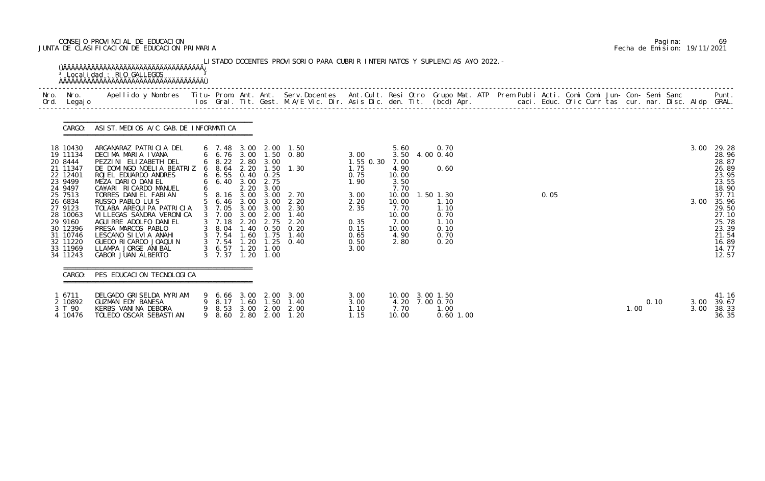# CONSEJO PROVINCIAL DE EDUCACION Pagina: 69 JUNTA DE CLASIFICACION DE EDUCACION PRIMARIA Fecha de Emision: 19/11/2021

|                                                                                                                                                                                                   | CARGO: ASIST. MEDIOS A/C GAB. DE INFORMATICA                                                                                                                                                                                                                                                                                                                                                                                                           |                                                                                                                                          |                       |                              |                                                                                                                                                                                                                      |                                                                                                           |                                                                                                                   |                                                                                                     |  |      |  |      |      |              |                                                                                                                                                       |
|---------------------------------------------------------------------------------------------------------------------------------------------------------------------------------------------------|--------------------------------------------------------------------------------------------------------------------------------------------------------------------------------------------------------------------------------------------------------------------------------------------------------------------------------------------------------------------------------------------------------------------------------------------------------|------------------------------------------------------------------------------------------------------------------------------------------|-----------------------|------------------------------|----------------------------------------------------------------------------------------------------------------------------------------------------------------------------------------------------------------------|-----------------------------------------------------------------------------------------------------------|-------------------------------------------------------------------------------------------------------------------|-----------------------------------------------------------------------------------------------------|--|------|--|------|------|--------------|-------------------------------------------------------------------------------------------------------------------------------------------------------|
| 18 10430<br>19 11134<br>20 8444<br>21 11347<br>22 12401<br>23 9499<br>24 9497<br>25 7513<br>26 6834<br>27 9123<br>28 10063<br>29 9160<br>30 12396<br>31 10746<br>32 11220<br>33 11969<br>34 11243 | ARGANARAZ PATRICIA DEL<br>DECIMA MARIA IVANA<br>PEZZINI ELIZABETH DEL<br>DE DOMINGO NOELIA BEATRIZ 6 8.64 2.20 1.50 1.30<br>ROJEL EDUARDO ANDRES<br>MEZA DARIO DANIEL<br>CA¥ARI RICARDO MANUEL<br>TORRES DANIEL FABIAN<br>RUSSO PABLO LUIS<br>TOLABA AREQUIPA PATRICIA<br>VI LLEGAS SANDRA VERONICA<br>AGUI RRE ADOLFO DANI EL<br>PRESA MARCOS PABLO<br>LESCANO SI LVI A ANAHI<br>GUEDO RI CARDO JOAQUI N<br>LLAMPA JORGE ANIBAL<br>GABOR JUAN ALBERTO | 6 8.22 2.80 3.00<br>$6\quad 6.55\quad 0.40\quad 0.25$<br>6 6.40 3.00 2.75<br>3 7.00<br>3 7.54 1.60 1.75<br>3 6.57 1.20<br>$3 \quad 7.37$ | 2.20<br>3.00<br>1. 20 | 3.00<br>2.00<br>1.00<br>1.00 | 6 7.48 3.00 2.00 1.50<br>6 6.76 3.00 1.50 0.80<br>5 8.16 3.00 3.00 2.70<br>5 6.46 3.00 3.00 2.20<br>3 7.05 3.00 3.00 2.30<br>1.40<br>3 7.18 2.20 2.75 2.20<br>3 8.04 1.40 0.50 0.20<br>1.40<br>3 7.54 1.20 1.25 0.40 | 3.00<br>1.55 0.30<br>1.75<br>0.75<br>1.90<br>3.00<br>2.20<br>2.35<br>0.35<br>0.15<br>0.65<br>0.50<br>3.00 | 5.60<br>7.00<br>4.90<br>10.00<br>3.50<br>7.70<br>10.00<br>10.00<br>7.70<br>10.00<br>7.00<br>10.00<br>4.90<br>2.80 | 0.70<br>3.50 4.00 0.40<br>0.60<br>1.50 1.30<br>1.10<br>1.10<br>0.70<br>1.10<br>0.10<br>0.70<br>0.20 |  | 0.05 |  |      |      | 3.00<br>3.00 | 29.28<br>28.96<br>28.87<br>26.89<br>23.95<br>23.55<br>18.90<br>37.71<br>35.96<br>29.50<br>27.10<br>25.78<br>23.39<br>21.54<br>16.89<br>14.77<br>12.57 |
| CARGO:                                                                                                                                                                                            | PES EDUCACION TECNOLOGICA                                                                                                                                                                                                                                                                                                                                                                                                                              |                                                                                                                                          |                       |                              |                                                                                                                                                                                                                      |                                                                                                           |                                                                                                                   |                                                                                                     |  |      |  |      |      |              |                                                                                                                                                       |
| 1 6711<br>2 10892<br>3 T 90<br>4 10476                                                                                                                                                            | DELGADO GRISELDA MYRIAM<br>GUZMAN EDY BANESA<br>KERBS VANINA DEBORA<br>TOLEDO OSCAR SEBASTIAN                                                                                                                                                                                                                                                                                                                                                          | 8.17<br>9 8.53<br>9 8.60                                                                                                                 | 1.60<br>3.00<br>2.80  | 1.50<br>2.00<br>2.00         | 9 6.66 3.00 2.00 3.00<br>1.40<br>2.00<br>1.20                                                                                                                                                                        | 3.00<br>3.00<br>1.10<br>1.15                                                                              | 7.70<br>10.00                                                                                                     | 10.00 3.00 1.50<br>4.20 7.00 0.70<br>1.00<br>$0.60$ 1.00                                            |  |      |  | 1.00 | 0.10 | 3.00<br>3.00 | 41.16<br>39.67<br>38.33<br>36.35                                                                                                                      |

|  | Pagi na: | 69                           |
|--|----------|------------------------------|
|  |          | Fecha de Emision: 19/11/2021 |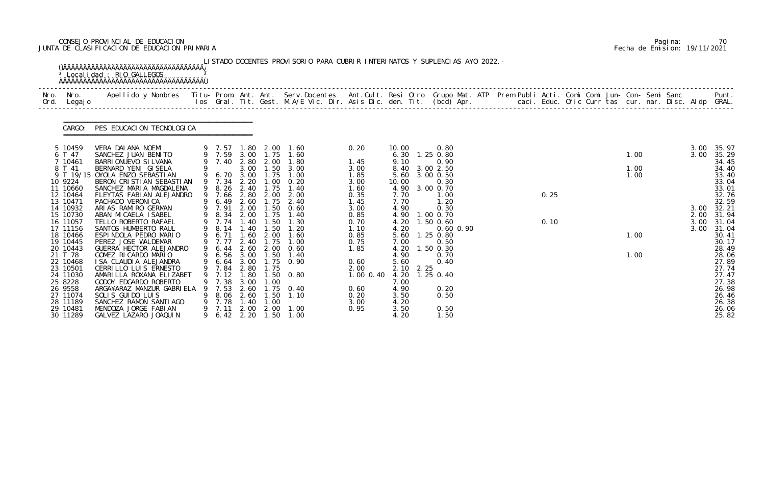# CONSEJO PROVINCIAL DE EDUCACION Pagina: 70 JUNTA DE CLASIFICACION DE EDUCACION PRIMARIA Fecha de Emision: 19/11/2021

| Nro.<br>Ord. | Nro. In the Nro.<br>Legaj o | Apellido y Nombres  Titu- Prom. Ant. Ant.  Serv.Docentes  Ant.Cult. Resi Otro  Grupo Mat. ATP  Prem Publi Acti. Comi Comi Jun- Con- Semi Sanc              Punt.<br>Ios Gral. Tit. Gest. M.A/E Vic. Dir. Asis Dic. den. Tit. (bcd |   |                                 |              |                          |                               |                                  |              |           |                                 |  |      |  |      |  |              |                |
|--------------|-----------------------------|-----------------------------------------------------------------------------------------------------------------------------------------------------------------------------------------------------------------------------------|---|---------------------------------|--------------|--------------------------|-------------------------------|----------------------------------|--------------|-----------|---------------------------------|--|------|--|------|--|--------------|----------------|
|              | CARGO:                      | PES EDUCACION TECNOLOGICA                                                                                                                                                                                                         |   |                                 |              |                          |                               |                                  |              |           |                                 |  |      |  |      |  |              |                |
|              | 5 10459<br>6 T 47           | VERA DAIANA NOEMI<br>SANCHEZ JUAN BENITO                                                                                                                                                                                          |   | 9 7.59                          |              | 3.00 1.75                | 9 7.57 1.80 2.00 1.60<br>1.60 | 0.20                             | 10.00        |           | 0.80<br>6.30 1.25 0.80          |  |      |  | 1.00 |  | 3.00<br>3.00 | 35.97<br>35.29 |
|              | 7 10461                     | BARRI ONUEVO SI LVANA                                                                                                                                                                                                             |   |                                 |              |                          | 9 7.40 2.80 2.00 1.80         | 1.45                             | 9.10         |           | 0.90                            |  |      |  |      |  |              | 34.45          |
|              | 8 T 41                      | BERNARD YENI GISELA                                                                                                                                                                                                               |   |                                 |              |                          | 3.00 1.50 3.00                | 3.00                             | 8.40         |           | 3.00 2.50                       |  |      |  | 1.00 |  |              | 34.40          |
|              |                             | 9 T 19/15 OYOLA ENZO SEBASTIAN                                                                                                                                                                                                    |   | 9 6.70 3.00                     |              | 1.75                     | 1.00                          | 1.85                             | 5.60         |           | 3.00 0.50                       |  |      |  | 1.00 |  |              | 33.40          |
|              | 10 9224<br>11 10660         | BERON CRISTIAN SEBASTIAN<br>SANCHEZ MARIA MAGDALENA                                                                                                                                                                               |   | 9 7.34<br>9 8.26 2.40           | 2.20         | 1.00<br>1.75             | 0. 20<br>1.40                 | 3.00<br>1.60                     | 10.00        |           | 0.30<br>4.90 3.00 0.70          |  |      |  |      |  |              | 33.04<br>33.01 |
|              | 12 10464                    | FLEYTAS FABIAN ALEJANDRO                                                                                                                                                                                                          |   | 9 7.66                          | 2.80         | 2.00                     | 2.00                          | 0.35                             | 7.70         |           | 1.00                            |  | 0.25 |  |      |  |              | 32.76          |
|              | 13 10471                    | PACHADO VERONICA                                                                                                                                                                                                                  |   | 9 6.49                          | 2.60         |                          | 1.75 2.40                     | 1.45                             | 7.70         |           | 1.20                            |  |      |  |      |  |              | 32.59          |
|              | 14 10932                    | ARIAS RAMIRO GERMAN                                                                                                                                                                                                               |   | 9 7.91                          |              | 2.00 1.50                | 0.60                          | 3.00                             | 4.90         |           | 0.30                            |  |      |  |      |  | 3.00         | 32.21          |
|              | 15 10730                    | ABAN MICAELA ISABEL                                                                                                                                                                                                               |   | 9 8.34                          | 2.00         | 1.75                     | 1.40                          | 0.85                             |              |           | 4.90 1.00 0.70                  |  |      |  |      |  | 2.00         | 31.94          |
|              | 16 11057<br>17 11156        | TELLO ROBERTO RAFAEL<br>SANTOS HUMBERTO RAUL                                                                                                                                                                                      |   | 9 7.74<br>9 8.14                | 1.40<br>1.40 | 1.50<br>1.50             | 1.30<br>1.20                  | 0.70                             | 4.20         |           | 4.20 1.50 0.60<br>$0.60$ $0.90$ |  | 0.10 |  |      |  | 3.00<br>3.00 | 31.04<br>31.04 |
|              | 18 10466                    | ESPINDOLA PEDRO MARIO                                                                                                                                                                                                             | 9 | 6.71                            | 1.60         | 2.00                     | 1.60                          | 1.10<br>0.85                     | 5.60         |           | $1.25 \, 0.80$                  |  |      |  | 1.00 |  |              | 30.41          |
|              | 19 10445                    | PEREZ JOSE WALDEMAR                                                                                                                                                                                                               |   | 9 7.77                          | 2.40         | 1.75                     | 1.00                          | 0.75                             | 7.00         |           | 0.50                            |  |      |  |      |  |              | 30.17          |
|              | 20 10443                    | GUERRA HECTOR ALEJANDRO                                                                                                                                                                                                           |   | 6.44                            |              | 2.60 2.00                | 0.60                          | 1.85                             | 4.20         |           | 1.50 0.30                       |  |      |  |      |  |              | 28.49          |
|              | 21 T 78                     | GOMEZ RICARDO MARIO                                                                                                                                                                                                               |   | 9 6.56                          |              | 3.00 1.50                | 1.40                          |                                  | 4.90         |           | 0.70                            |  |      |  | 1.00 |  |              | 28.06          |
|              | 22 10468                    | I SA CLAUDI A ALEJANDRA                                                                                                                                                                                                           |   |                                 |              |                          | 9 6.64 3.00 1.75 0.90         | 0.60                             | 5.60         |           | 0.40                            |  |      |  |      |  |              | 27.89          |
|              | 23 10501<br>24 11030        | CERRILLO LUIS ERNESTO<br>AMARILLA ROXANA ELIZABET                                                                                                                                                                                 |   | 9 7.12 1.80                     |              | 9 7.84 2.80 1.75<br>1.50 | 0. 80                         | 2.00<br>1.00 0.40 4.20 1.25 0.40 |              | 2.10 2.25 |                                 |  |      |  |      |  |              | 27.74<br>27.47 |
|              | 25 8228                     | GODOY EDGARDO ROBERTO                                                                                                                                                                                                             |   | 9 7.38                          | 3.00         | 1.00                     |                               |                                  | 7.00         |           |                                 |  |      |  |      |  |              | 27.38          |
|              | 26 9558                     | ARGA¥ARAZ MANZUR GABRIELA                                                                                                                                                                                                         |   | 7.53                            | 2.60         |                          | 1.75 0.40                     | 0.60                             | 4.90         |           | 0.20                            |  |      |  |      |  |              | 26.98          |
|              | 27 11074                    | SOLIS GUIDO LUIS                                                                                                                                                                                                                  |   | 8.06                            | 2.60         | 1.50                     | 1.10                          | 0.20                             | 3.50         |           | 0.50                            |  |      |  |      |  |              | 26.46          |
|              | 28 11189                    | SANCHEZ RAMON SANTIAGO                                                                                                                                                                                                            |   | 9 7.78                          | 1. 40        | 1.00                     |                               | 3.00                             | 4.20         |           |                                 |  |      |  |      |  |              | 26.38          |
|              | 29 10481<br>30 11289        | MENDOZA JORGE FABIAN<br>GALVEZ LAZARO JOAQUIN                                                                                                                                                                                     |   | 9 7.11<br>9 6.42 2.20 1.50 1.00 | 2.00         | 2.00                     | 1.00                          | 0.95                             | 3.50<br>4.20 |           | 0.50<br>1.50                    |  |      |  |      |  |              | 26.06<br>25.82 |

|  | Pagi na: |                              |
|--|----------|------------------------------|
|  |          | Fecha de Emision: 19/11/2021 |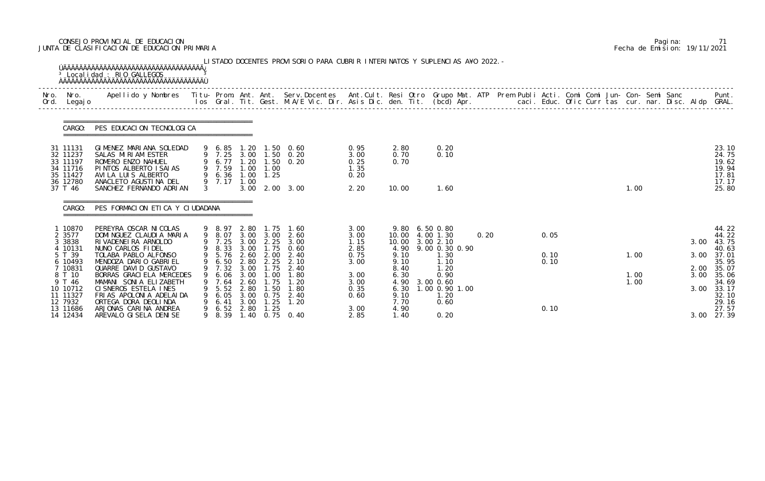# CONSEJO PROVINCIAL DE EDUCACION Pagina: 71 JUNTA DE CLASIFICACION DE EDUCACION PRIMARIA Fecha de Emision: 19/11/2021

| Nro.<br>Ord. | Nro.<br>Legaj o                                                                 | Apellido y Nombres - Titu- Prom. Ant. Ant. Serv.Docentes - Ant.Cult. Resi Otro Grupo Mat. ATP Prem Publi Acti. Comi Comi Jun- Con- Semi Sanc                            |               |                                           |                              |                                                 | los Gral. Tit. Gest. M.A/E Vic. Dir. Asis Dic. den. Tit. (bcd) Apr.       caci. Educ. Ofic Curr tas cur. nar. Disc. Aldp GRAL. |                                              |                                      |                                                                             |      |  |              |  |                      |  |              | Punt.                                                       |
|--------------|---------------------------------------------------------------------------------|-------------------------------------------------------------------------------------------------------------------------------------------------------------------------|---------------|-------------------------------------------|------------------------------|-------------------------------------------------|--------------------------------------------------------------------------------------------------------------------------------|----------------------------------------------|--------------------------------------|-----------------------------------------------------------------------------|------|--|--------------|--|----------------------|--|--------------|-------------------------------------------------------------|
|              | CARGO:                                                                          | PES EDUCACION TECNOLOGICA                                                                                                                                               |               |                                           |                              |                                                 |                                                                                                                                |                                              |                                      |                                                                             |      |  |              |  |                      |  |              |                                                             |
|              | 31 11131<br>32 11237<br>33 11197<br>34 11716<br>35 11427<br>36 12780<br>37 T 46 | GIMENEZ MARIANA SOLEDAD<br>SALAS MIRIAM ESTER<br>ROMERO ENZO NAHUEL<br>PINTOS ALBERTO ISAIAS<br>AVI LA LUIS ALBERTO<br>ANACLETO AGUSTINA DEL<br>SANCHEZ FERNANDO ADRIAN | $\mathcal{S}$ | 9 6.85<br>9 6.77 1.20<br>9 7.59<br>9 7.17 | 1.00<br>1.00                 | 1.00<br>9 6.36 1.00 1.25                        | 1.20 1.50 0.60<br>9 7.25 3.00 1.50 0.20<br>$1.50 \t 0.20$<br>3.00 2.00 3.00                                                    | 0.95<br>3.00<br>0.25<br>1.35<br>0.20<br>2.20 | 2.80<br>0.70<br>0.70<br>10.00        | 0.20<br>0.10<br>1.60                                                        |      |  |              |  | 1.00                 |  |              | 23.10<br>24.75<br>19.62<br>19.94<br>17.81<br>17.17<br>25.80 |
|              | CARGO:                                                                          | PES FORMACION ETICA Y CIUDADANA                                                                                                                                         |               |                                           |                              |                                                 |                                                                                                                                |                                              |                                      |                                                                             |      |  |              |  |                      |  |              |                                                             |
|              | 1 10870<br>2 3577<br>3 3838<br>4 10131                                          | PEREYRA OSCAR NI COLAS<br>DOMINGUEZ CLAUDIA MARIA<br>RI VADENEI RA ARNOLDO<br>NUNO CARLOS FIDEL                                                                         |               | 9 8.97<br>9 8.07<br>9 7.25                | 2.80<br>3.00                 | 1. 75<br>3.00 3.00<br>2.25                      | 1.60<br>2.60<br>3.00<br>9 8.33 3.00 1.75 0.60                                                                                  | 3.00<br>3.00<br>1.15<br>2.85                 |                                      | 9.80 6.50 0.80<br>10.00 4.00 1.30<br>10.00 3.00 2.10<br>4.90 9.00 0.30 0.90 | 0.20 |  | 0.05         |  |                      |  | 3.00         | 44.22<br>44.22<br>43.75<br>40.63                            |
|              | 5 T 39<br>6 10493<br>7 10831<br>8 T 10<br>9 T 46                                | TOLABA PABLO ALFONSO<br>MENDOZA DARIO GABRIEL<br>QUARRE DAVID GUSTAVO<br>BORRAS GRACI ELA MERCEDES<br>MAMANI SONIA ELIZABETH                                            | 9             | 9 6.50<br>9 7.32 3.00<br>6.06<br>7.64     | 2.80<br>3.00<br>2.60         | 9 5.76 2.60 2.00<br>2.25<br>1.75<br>.00<br>. 75 | 2.40<br>2.10<br>2.40<br>. 80                                                                                                   | 0.75<br>3.00<br>3.00<br>3.00                 | 9.10<br>9.10<br>8.40<br>6.30<br>4.90 | 1.30<br>1.10<br>1.20<br>0.90<br>3.00 0.60                                   |      |  | 0.10<br>0.10 |  | 1.00<br>1.00<br>1.00 |  | 3.00<br>3.00 | 37.01<br>35.95<br>2.00 35.07<br>35.06<br>34.69              |
|              | 10 10712<br>11 11327<br>12 7932<br>13 11686<br>14 12434                         | CI SNEROS ESTELA INES<br>FRIAS APOLONIA ADELAIDA<br>ORTEGA DORA DEOLINDA<br>ARJONAS CARINA ANDREA<br>AREVALO GI SELA DENI SE                                            | 9<br>9        | 5.52<br>6.05<br>6.41<br>6.52<br>8.39      | 2.80<br>3.00<br>3.00<br>2.80 | $\overline{.50}$<br>0.75<br>1. 25<br>1.25       | 1. 80<br>2.40<br>1.20<br>1.40 0.75 0.40                                                                                        | 0.35<br>0.60<br>3.00<br>2.85                 | 6.30<br>9.10<br>7.70<br>4.90<br>1.40 | 1.00 0.90 1.00<br>1.20<br>0.60<br>0.20                                      |      |  | 0.10         |  |                      |  | 3.00<br>3.00 | 33.17<br>32.10<br>29.16<br>27.57<br>27.39                   |

|  | Pagi na: | 71                           |
|--|----------|------------------------------|
|  |          | Fecha de Emision: 19/11/2021 |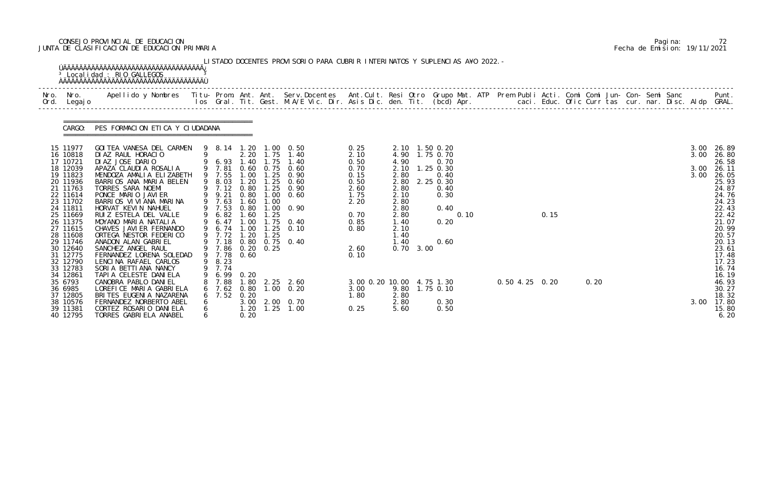# CONSEJO PROVINCIAL DE EDUCACION Pagina: 72 JUNTA DE CLASIFICACION DE EDUCACION PRIMARIA Fecha de Emision: 19/11/2021

| CARGO:                                                                                                                                                                                                                                       | PES FORMACION ETICA Y CIUDADANA                                                                                                                                                                                                                                                                                                                                                                                                                                                                                                   |   |                                                                                                                                                            |                                               |                      |                                                                                                                                                                                                                                         |                                                                                                              |                                                                                      |                   |                                                                                                                                      |  |                |      |  |  |                              |                                                                                                                                                                                  |
|----------------------------------------------------------------------------------------------------------------------------------------------------------------------------------------------------------------------------------------------|-----------------------------------------------------------------------------------------------------------------------------------------------------------------------------------------------------------------------------------------------------------------------------------------------------------------------------------------------------------------------------------------------------------------------------------------------------------------------------------------------------------------------------------|---|------------------------------------------------------------------------------------------------------------------------------------------------------------|-----------------------------------------------|----------------------|-----------------------------------------------------------------------------------------------------------------------------------------------------------------------------------------------------------------------------------------|--------------------------------------------------------------------------------------------------------------|--------------------------------------------------------------------------------------|-------------------|--------------------------------------------------------------------------------------------------------------------------------------|--|----------------|------|--|--|------------------------------|----------------------------------------------------------------------------------------------------------------------------------------------------------------------------------|
| 15 11977<br>16 10818<br>17 10721<br>18 12039<br>19 11823<br>20 11936<br>21 11763<br>22 11614<br>23 11702<br>24 11811<br>25 11669<br>26 11375<br>27 11615<br>28 11608<br>29 11746<br>30 12640<br>31 12775<br>32 12790<br>33 12783<br>34 12861 | GOI TEA VANESA DEL CARMEN<br>DIAZ RAUL HORACIO<br>9 6.93 1.40 1.75 1.40<br>DIAZ JOSE DARIO<br>APAZA CLAUDIA ROSALIA<br>MENDOZA AMALIA ELIZABETH<br>BARRIOS ANA MARIA BELEN<br>TORRES SARA NOEMI<br>PONCE MARIO JAVIER<br>BARRIOS VIVIANA MARINA<br>HORVAT KEVIN NAHUEL<br>RUIZ ESTELA DEL VALLE<br>MOYANO MARIA NATALIA<br>CHAVES JAVI ER FERNANDO<br>ORTEGA NESTOR FEDERICO<br>ANADON ALAN GABRIEL<br>SANCHEZ ANGEL RAUL<br>FERNANDEZ LORENA SOLEDAD<br>LENCINA RAFAEL CARLOS<br>SORIA BETTIANA NANCY<br>TAPI A CELESTE DANI ELA |   | 9 7.55<br>9 8.03 1.20<br>9 9.21<br>9 7.63<br>9 7.53<br>9 6.82<br>9 6.47<br>9 6.74 1.00<br>9 7.72<br>9 7.86 0.20 0.25<br>9 7.78<br>9 8.23<br>9 7.74<br>6.99 | 0.80<br>1.60<br>1.60<br>1.20<br>0.60<br>0. 20 | 1.00<br>1.25<br>1.25 | 9 8.14 1.20 1.00 0.50<br>2.20 1.75 1.40<br>9 7.81 0.60 0.75 0.60<br>1.00 1.25 0.90<br>$1.25 \quad 0.60$<br>9 7.12 0.80 1.25 0.90<br>$1.00 \quad 0.60$<br>0.80 1.00 0.90<br>1.00 1.75 0.40<br>$1.25 \quad 0.10$<br>9 7.18 0.80 0.75 0.40 | 0.25<br>2.10<br>0.50<br>0.70<br>0.15<br>0.50<br>2.60<br>1.75<br>2.20<br>0.70<br>0.85<br>0.80<br>2.60<br>0.10 | 4.90<br>2.80<br>2.80<br>2.10<br>2.80<br>2.80<br>2.80<br>1.40<br>2.10<br>1.40<br>1.40 | $0.70 \quad 3.00$ | 2.10 1.50 0.20<br>4.90 1.75 0.70<br>0.70<br>2.10 1.25 0.30<br>0.40<br>2.80 2.25 0.30<br>0.40<br>0.30<br>0.40<br>0.10<br>0.20<br>0.60 |  | 0.15           |      |  |  | 3.00<br>3.00<br>3.00<br>3.00 | 26.89<br>26.80<br>26.58<br>26.11<br>26.05<br>25.93<br>24.87<br>24.76<br>24.23<br>22.43<br>22.42<br>21.07<br>20.99<br>20.57<br>20.13<br>23.61<br>17.48<br>17.23<br>16.74<br>16.19 |
| 35 6793<br>36 6985<br>37 12805<br>38 10576<br>39 11381<br>40 12795                                                                                                                                                                           | CANOBRA PABLO DANI EL<br>LOREFICE MARIA GABRIELA<br>BRITES EUGENIA NAZARENA<br>FERNANDEZ NORBERTO ABEL<br>CORTEZ ROSARIO DANIELA<br>TORRES GABRIELA ANABEL                                                                                                                                                                                                                                                                                                                                                                        | 6 | 7.88<br>7.62<br>7.52                                                                                                                                       | 0.80<br>0.20<br>1.20<br>0.20                  |                      | 1.80 2.25 2.60<br>$1.00 \quad 0.20$<br>3.00 2.00 0.70<br>$1.25$ $1.00$                                                                                                                                                                  | 3.00 0.20 10.00 4.75 1.30<br>3.00<br>1.80<br>0.25                                                            | 2.80<br>2.80<br>5.60                                                                 |                   | 9.80 1.75 0.10<br>0.30<br>0.50                                                                                                       |  | 0.50 4.25 0.20 | 0.20 |  |  | 3.00                         | 46.93<br>30.27<br>18.32<br>17.80<br>15.80<br>6.20                                                                                                                                |

|  | Pagi na: |                              |
|--|----------|------------------------------|
|  |          | Fecha de Emision: 19/11/2021 |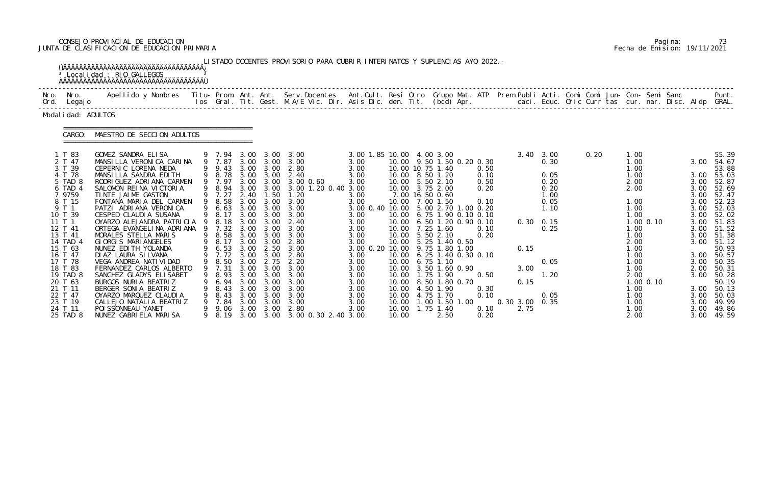# CONSEJO PROVINCIAL DE EDUCACION Pagina: 73 JUNTA DE CLASIFICACION DE EDUCACION PRIMARIA Fecha de Emision: 19/11/2021

|                                                                                                                                                                                                                                                                         | <sup>3</sup> Localidad : RIO GALLEGOS<br><b>AAAAAAAAAAAAAAAAAAAAAAAAAAAAAAAAAAAA</b>                                                                                                                                                                                                                                                                                                                                                                                                                                                                                                                                                                                 |                                                                                                                                                                            |                                                                                              |                                                                                              | LISTADO DOCENTES PROVISORIO PARA CUBRIR INTERINATOS Y SUPLENCIAS A¥O 2022. -                                                                                                                                                                                                                                                                                                                                           |                                                                                                                                                                                                                                                                    |                         |                                                                                                                                                                                                                                                                                                                                                                                                                                                                            |                                                      |                                      |                                                |                                                                                                                                |      |                                                                                                                                                                              |                          |                                                                                      |                                                                                                                                                                                                                                                                                 |
|-------------------------------------------------------------------------------------------------------------------------------------------------------------------------------------------------------------------------------------------------------------------------|----------------------------------------------------------------------------------------------------------------------------------------------------------------------------------------------------------------------------------------------------------------------------------------------------------------------------------------------------------------------------------------------------------------------------------------------------------------------------------------------------------------------------------------------------------------------------------------------------------------------------------------------------------------------|----------------------------------------------------------------------------------------------------------------------------------------------------------------------------|----------------------------------------------------------------------------------------------|----------------------------------------------------------------------------------------------|------------------------------------------------------------------------------------------------------------------------------------------------------------------------------------------------------------------------------------------------------------------------------------------------------------------------------------------------------------------------------------------------------------------------|--------------------------------------------------------------------------------------------------------------------------------------------------------------------------------------------------------------------------------------------------------------------|-------------------------|----------------------------------------------------------------------------------------------------------------------------------------------------------------------------------------------------------------------------------------------------------------------------------------------------------------------------------------------------------------------------------------------------------------------------------------------------------------------------|------------------------------------------------------|--------------------------------------|------------------------------------------------|--------------------------------------------------------------------------------------------------------------------------------|------|------------------------------------------------------------------------------------------------------------------------------------------------------------------------------|--------------------------|--------------------------------------------------------------------------------------|---------------------------------------------------------------------------------------------------------------------------------------------------------------------------------------------------------------------------------------------------------------------------------|
| Nro. Nro.<br>Ord. Legajo                                                                                                                                                                                                                                                | Apellido y Nombres  Titu- Prom. Ant. Ant.  Serv.Docentes  Ant.Cult. Resi Otro  Grupo Mat. ATP  Prem Publi Acti. Comi Comi Jun- Con- Semi Sanc              Punt.<br>Ios Gral. Tit. Gest. M.A/E Vic. Dir. Asis Dic. den. Tit. (bcd                                                                                                                                                                                                                                                                                                                                                                                                                                    |                                                                                                                                                                            |                                                                                              |                                                                                              |                                                                                                                                                                                                                                                                                                                                                                                                                        |                                                                                                                                                                                                                                                                    |                         |                                                                                                                                                                                                                                                                                                                                                                                                                                                                            |                                                      |                                      |                                                |                                                                                                                                |      |                                                                                                                                                                              |                          |                                                                                      |                                                                                                                                                                                                                                                                                 |
| Modal i dad: ADULTOS                                                                                                                                                                                                                                                    |                                                                                                                                                                                                                                                                                                                                                                                                                                                                                                                                                                                                                                                                      |                                                                                                                                                                            |                                                                                              |                                                                                              |                                                                                                                                                                                                                                                                                                                                                                                                                        |                                                                                                                                                                                                                                                                    |                         |                                                                                                                                                                                                                                                                                                                                                                                                                                                                            |                                                      |                                      |                                                |                                                                                                                                |      |                                                                                                                                                                              |                          |                                                                                      |                                                                                                                                                                                                                                                                                 |
| CARGO:                                                                                                                                                                                                                                                                  | MAESTRO DE SECCION ADULTOS                                                                                                                                                                                                                                                                                                                                                                                                                                                                                                                                                                                                                                           |                                                                                                                                                                            |                                                                                              |                                                                                              |                                                                                                                                                                                                                                                                                                                                                                                                                        |                                                                                                                                                                                                                                                                    |                         |                                                                                                                                                                                                                                                                                                                                                                                                                                                                            |                                                      |                                      |                                                |                                                                                                                                |      |                                                                                                                                                                              |                          |                                                                                      |                                                                                                                                                                                                                                                                                 |
| 1 T 83<br>2 T 47<br>3 T 39<br>4 T 78<br>5 TAD 8<br>6 TAD 4<br>7 9759<br>8 T 15<br>9 T 1<br>10 T 39<br>11T1<br>12 T 41<br>13 T 41<br>14 TAD 4<br>15 T 63<br>16 T 47<br>17 T 78<br>18 T 83<br>19 TAD 8<br>20 T 63<br>21 T 11<br>22 T 47<br>23 T 19<br>24 T 11<br>25 TAD 8 | GOMEZ SANDRA ELISA<br>MANSILLA VERONICA CARINA<br>CEPERNIC LORENA NEDA<br>MANSILLA SANDRA EDITH<br>RODRI GUEZ ADRI ANA CARMEN<br>SALOMON REINA VICTORIA<br>TINTE JAIME GASTON<br>FONTANA MARIA DEL CARMEN<br>PATZI ADRIANA VERONICA<br>CESPED CLAUDI A SUSANA<br>OYARZO ALEJANDRA PATRICIA 9 8.18<br>ORTEGA EVANGELINA ADRIANA<br>MORALES STELLA MARIS<br>GIORGIS MARIANGELES<br>NUNEZ EDI TH YOLANDA<br>DI AZ LAURA SI LVANA<br>VEGA ANDREA NATI VI DAD<br>FERNANDEZ CARLOS ALBERTO<br>SANCHEZ GLADYS ELI SABET<br>BURGOS NURIA BEATRIZ<br>BERGER SONIA BEATRIZ<br>OYARZO MARQUEZ CLAUDIA<br>CALLEJO NATALIA BEATRIZ<br>POI SSONNEAU YANET<br>NUNEZ GABRIELA MARISA | 9 9.43<br>9 8.78<br>9 7.97<br>9 7.27<br>9 8.58<br>9 6.63<br>9 8.17<br>9 7.32<br>9 8.58<br>9 8.17<br>9 6.53<br>9 7.72 3.00<br>8.93<br>6. 94<br>8.43<br>8.43<br>7.84<br>9.06 | 2.40<br>3.00<br>3.00<br>3.00<br>3.00<br>3.00<br>3.00<br>3.00<br>3.00<br>3.00<br>3.00<br>3.00 | 1.50<br>3.00<br>3.00<br>3.00<br>2.50<br>3.00<br>3.00<br>3.00<br>3.00<br>3.00<br>3.00<br>3.00 | 9 7.94 3.00 3.00 3.00<br>9 7.87 3.00 3.00 3.00<br>3.00 3.00 2.80<br>3.00 3.00 2.40<br>3.00 3.00 3.00 0.60<br>9 8.94 3.00 3.00 3.00 1.20 0.40 3.00<br>1.20<br>3.00 3.00 3.00<br>3.00 3.00 3.00<br>3.00<br>$3.00 \quad 2.40$<br>3.00<br>3.00<br>3.00 3.00 2.80<br>3.00<br>2.80<br>9 8.50 3.00 2.75 2.20<br>9 7.31 3.00 3.00 3.00<br>3.00<br>3.00<br>3.00<br>3.00<br>3.00<br>2.80<br>9 8.19 3.00 3.00 3.00 0.30 2.40 3.00 | 3.00 1.85 10.00 4.00 3.00<br>3.00<br>3.00<br>3.00<br>3.00<br>3.00<br>3.00<br>3.00 0.40 10.00 5.00 2.70 1.00 0.20<br>3.00<br>3.00<br>3.00<br>3.00<br>3.00<br>3.00 0.20 10.00 9.75 1.80 1.00<br>3.00<br>3.00<br>3.00<br>3.00<br>3.00<br>3.00<br>3.00<br>3.00<br>3.00 | 10.00<br>10.00<br>10.00 | 10.00 9.50 1.50 0.20 0.30<br>10.00 10.75 1.40<br>10.00 8.50 1.20<br>10.00 5.50 2.10<br>10.00 3.75 2.00<br>7.00 16.50 0.60<br>10.00 7.00 1.50<br>10.00 6.75 1.90 0.10 0.10<br>10.00 6.50 1.20 0.90 0.10<br>10.00 7.25 1.60<br>10.00 5.50 2.10<br>10.00 5.25 1.40 0.50<br>10.00 6.25 1.40 0.30 0.10<br>10.00 6.75 1.10<br>10.00 3.50 1.60 0.90<br>10.00   1.75   1.90<br>10.00 8.50 1.80 0.70<br>10.00 4.50 1.90<br>10.00 4.75 1.70<br>$1.00$ 1.50 1.00<br>1.75 1.40<br>2.50 | 0.50<br>0.10<br>0.10<br>0.20<br>0.50<br>0.10<br>0.10 | 0.10<br>0.50<br>0.20<br>0.30<br>0.20 | 0.15<br>3.00<br>0.15<br>0.30 3.00 0.35<br>2.75 | $3.40 \quad 3.00$<br>0.30<br>0.05<br>0.20<br>0.20<br>1.00<br>0.05<br>1.10<br>$0.30 \quad 0.15$<br>0.25<br>0.05<br>1.20<br>0.05 | 0.20 | 1.00<br>1.00<br>1.00<br>1.00<br>2.00<br>2.00<br>1.00<br>1.00<br>1.00<br>1.00<br>1.00<br>2.00<br>1.00<br>1.00<br>1.00<br>1.00<br>2.00<br>1.00<br>1.00<br>1.00<br>1.00<br>2.00 | $1.00$ 0.10<br>1.00 0.10 | 3.00<br>3.00<br>3.00<br>3.00<br>3.00<br>3.00<br>3.00<br>3.00<br>3.00<br>3.00<br>3.00 | 55.39<br>3.00 54.67<br>53.88<br>3.00 53.03<br>52.87<br>52.69<br>52.47<br>52.23<br>52.03<br>52.02<br>51.83<br>3.00 51.52<br>51.38<br>3.00 51.12<br>50.93<br>3.00 50.57<br>3.00 50.35<br>2.00 50.31<br>3.00 50.28<br>50.19<br>3.00 50.13<br>50.03<br>49.99<br>49.86<br>3.00 49.59 |

|  | Pagi na: | 73                           |
|--|----------|------------------------------|
|  |          | Fecha de Emision: 19/11/2021 |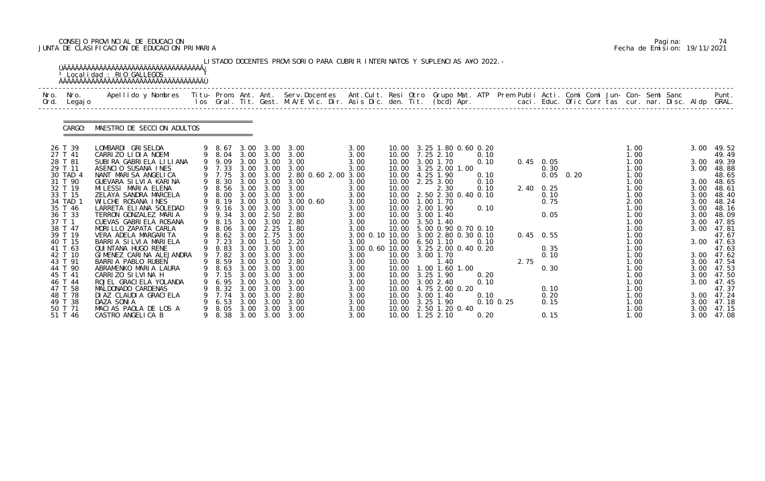# CONSEJO PROVINCIAL DE EDUCACION Pagina: 74 JUNTA DE CLASIFICACION DE EDUCACION PRIMARIA Fecha de Emision: 19/11/2021

|              |                                | <sup>3</sup> Localidad : RIO GALLEGOS                                                                                                                                                                                             |         |                            |                      |                           | LISTADO DOCENTES PROVISORIO PARA CUBRIR INTERINATOS Y SUPLENCIAS A¥O 2022. - |                      |                |                                                                |              |                |                           |             |  |                      |  |                      |                              |
|--------------|--------------------------------|-----------------------------------------------------------------------------------------------------------------------------------------------------------------------------------------------------------------------------------|---------|----------------------------|----------------------|---------------------------|------------------------------------------------------------------------------|----------------------|----------------|----------------------------------------------------------------|--------------|----------------|---------------------------|-------------|--|----------------------|--|----------------------|------------------------------|
| Nro.<br>Ord. | Nro.<br>Legaj o                | .Apellido y Nombres  Titu- Prom. Ant. Ant.  Serv.Docentes  Ant.Cult. Resi Otro  Grupo Mat. ATP  Prem Publi Acti. Comi Comi Jun- Con- Semi Sanc              Punt<br>Ios Gral. Tit. Gest. M.A/E Vic. Dir. Asis Dic. den. Tit. (bcd |         |                            |                      |                           |                                                                              |                      |                |                                                                |              |                |                           |             |  |                      |  |                      |                              |
|              | CARGO:                         | MAESTRO DE SECCION ADULTOS                                                                                                                                                                                                        |         |                            |                      |                           |                                                                              |                      |                |                                                                |              |                |                           |             |  |                      |  |                      |                              |
|              | 26 T 39<br>27 T 41             | LOMBARDI GRISELDA<br>CARRIZO LIDIA NOEMI                                                                                                                                                                                          |         | 9 8.67                     | 3.00                 |                           | 3.00 3.00<br>9 8.04 3.00 3.00 3.00                                           | 3.00<br>3.00         |                | 10.00 3.25 1.80 0.60 0.20<br>10.00 7.25 2.10                   | 0.10         |                |                           |             |  | 1.00<br>1.00         |  | 3.00                 | 49.52<br>49.49               |
|              | 28 T 81<br>29 T 11<br>30 TAD 4 | SUBIRA GABRIELA LILIANA<br>ASENCIO SUSANA INES<br>NANT MARISA ANGELICA                                                                                                                                                            |         | 9 9.09<br>9 7.33<br>9 7.75 | 3.00<br>3.00         | 3.00<br>3.00<br>3.00 3.00 | 3.00<br>3.00<br>2.80 0.60 2.00 3.00                                          | 3.00<br>3.00         |                | 10.00 3.00 1.70<br>10.00 3.25 2.00 1.00<br>10.00 4.25 1.90     | 0.10<br>0.10 |                | $0.45$ 0.05<br>0.30       | $0.05$ 0.20 |  | 1.00<br>1.00<br>1.00 |  | 3.00<br>3.00         | 49.39<br>48.88<br>48.65      |
|              | 31 T 90<br>32 T 19<br>33 T 15  | GUEVARA SILVIA KARINA<br>MILESSI MARIA ELENA<br>ZELAYA SANDRA MARCELA                                                                                                                                                             | 9       | 9 8.30<br>9 8.56<br>8.00   | 3.00<br>3.00         | 3.00<br>3.00              | 3.00<br>3.00<br>3.00 3.00 3.00                                               | 3.00<br>3.00<br>3.00 | 10.00<br>10.00 | 2.25 3.00<br>2.30<br>10.00 2.50 2.30 0.40 0.10                 | 0.10<br>0.10 |                | $2.40 \quad 0.25$<br>0.10 |             |  | 1.00<br>1.00<br>1.00 |  | 3.00<br>3.00<br>3.00 | 48.65<br>48.61<br>48.40      |
|              | 34 TAD<br>35 T 46              | WILCHE ROSANA INES<br>LARRETA ELIANA SOLEDAD                                                                                                                                                                                      |         | 8.19<br>9 9.16             | 3.00<br>3.00         | 3.00<br>3.00              | $3.00 \, 0.60$<br>3.00                                                       | 3.00<br>3.00         | 10.00          | 1.00 1.70<br>10.00 2.00 1.90                                   | 0.10         |                | 0.75                      |             |  | 2.00<br>1.00         |  | 3.00<br>3.00         | 48.24<br>48.16               |
|              | 36 T 33<br>37 T 1<br>38 T 47   | TERRON GONZALEZ MARIA<br>CUEVAS GABRIELA ROSANA<br>MORILLO ZAPATA CARLA                                                                                                                                                           |         | 9 9.34<br>9 8.15<br>9 8.06 | 3.00<br>3.00         | 3.00<br>2.25              | 3.00 2.50 2.80<br>2.80<br>1.80                                               | 3.00<br>3.00<br>3.00 | 10.00          | 10.00 3.00 1.40<br>3.50 1.40<br>10.00 5.00 0.90 0.70 0.10      |              |                | 0.05                      |             |  | 1.00<br>1.00<br>1.00 |  | 3.00<br>3.00<br>3.00 | 48.09<br>47.85<br>47.81      |
|              | 39 T 19<br>40 T 15<br>41 T 63  | VERA ADELA MARGARITA<br>BARRIA SILVIA MARIELA<br>QUINTANA HUGO RENE                                                                                                                                                               | 9       | 8.62<br>7.23               | 3.00<br>3.00<br>3.00 | 2.75<br>1.50              | 3.00<br>2.20<br>3.00                                                         | 3.00                 | 10.00          | 3.00 0.10 10.00 3.00 2.80 0.30 0.10<br>$6.50$ 1.10             | 0.10         |                | $0.45$ 0.55               |             |  | 1.00<br>1.00         |  | 3.00                 | 47.67<br>47.63               |
|              | 42 T 10<br>43 T 91             | GIMENEZ CARINA ALEJANDRA<br>BARRIA PABLO RUBEN                                                                                                                                                                                    |         | 9 8.83<br>9 7.82<br>9 8.59 | 3.00                 | 3.00<br>3.00              | 3.00 3.00 3.00<br>2.80                                                       | 3.00<br>3.00         | 10.00          | 3.00 0.60 10.00 3.25 2.00 0.40 0.20<br>10.00 3.00 1.70<br>1.40 |              | 2.75           | 0.35<br>0.10              |             |  | 1.00<br>1.00<br>1.00 |  | 3.00<br>3.00         | 47.63<br>47.62<br>47.54      |
|              | 44 T 90<br>45 T 41<br>46 T 44  | ABRAMENKO MARIA LAURA<br>CARRIZO SILVINA H<br>ROJEL GRACI ELA YOLANDA                                                                                                                                                             |         | 9 8.63<br>7.15<br>6.95     | 3.00<br>3.00         | 3.00 3.00<br>3.00<br>3.00 | 3.00<br>3.00<br>3.00                                                         | 3.00<br>3.00<br>3.00 |                | 10.00  1.00  1.60  1.00<br>10.00 3.25 1.90<br>10.00 3.00 2.40  | 0.20<br>0.10 |                | 0.30                      |             |  | 1.00<br>1.00<br>1.00 |  | 3.00<br>3.00         | 3.00 47.53<br>47.50<br>47.45 |
|              | 47 T 58<br>48 T 78             | MALDONADO CARDENAS<br>DI AZ CLAUDI A GRACI ELA                                                                                                                                                                                    |         | 8.32<br>7.74               | 3.00<br>3.00         | 3.00<br>3.00              | 3.00<br>2.80                                                                 | 3.00<br>3.00         |                | 10.00 4.75 2.00 0.20<br>10.00 3.00 1.40                        | 0.10         |                | 0.10<br>0.20              |             |  | 1.00<br>1.00         |  | 3.00                 | 47.37<br>47.24               |
|              | 49 T 38<br>50 T 71<br>51 T 46  | DAZA SONIA<br>MACIAS PAOLA DE LOS A<br>CASTRO ANGELICA B                                                                                                                                                                          | 9.<br>9 | 6.53<br>8.05<br>8.38       | 3.00<br>3.00         | 3.00<br>3.00              | 3.00<br>3.00<br>3.00 3.00 3.00                                               | 3.00<br>3.00<br>3.00 | 10.00<br>10.00 | 3.25 1.90<br>2.50 1.20 0.40<br>10.00  1.25  2.10               | 0.20         | $0.10 \, 0.25$ | 0.15<br>0.15              |             |  | 1.00<br>1.00<br>1.00 |  | 3.00<br>3.00<br>3.00 | 47.18<br>47.15<br>47.08      |

|  | Pagi na: | 74                           |
|--|----------|------------------------------|
|  |          | Fecha de Emision: 19/11/2021 |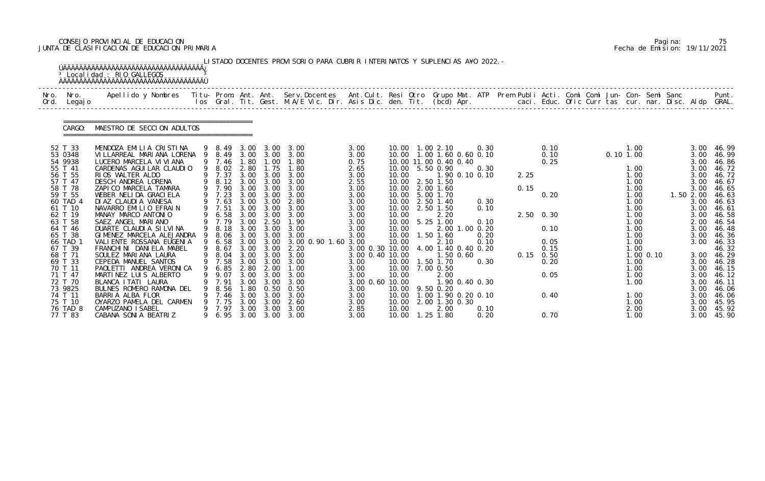# CONSEJO PROVINCIAL DE EDUCACION Pagina: 75 JUNTA DE CLASIFICACION DE EDUCACION PRIMARIA Fecha de Emision: 19/11/2021

|                                                                                                                                                                                                                                                                                    | <sup>3</sup> Localidad : RIO GALLEGOS<br><u>ŇÄÄÄÄÄÄÄÄÄÄÄÄÄÄÄÄÄÄÄÄÄÄÄÄÄÄÄÄÄÄÄÄÄÄ</u>                                                                                                                                                                                                                                                                                                                                                                                                                                                                                                                                                                        |             |                                                                                                                                                                                                                                        |                                                                                                                                                                                               |                                                                                                                                                                                                           | LISTADO DOCENTES PROVISORIO PARA CUBRIR INTERINATOS Y SUPLENCIAS A¥O 2022. -                                                                                                                                        |                                                                                                                                                                                                                               |                                                                                                                                                                                                                                                                                      |                                                                                                                                                                          |                                                                                                                                                                          |                                                      |              |                                                                                                          |  |          |                                                                                                                                                                                       |  |                                                                                                                                                                                                   |                                                                                                                                                                                                                                |
|------------------------------------------------------------------------------------------------------------------------------------------------------------------------------------------------------------------------------------------------------------------------------------|------------------------------------------------------------------------------------------------------------------------------------------------------------------------------------------------------------------------------------------------------------------------------------------------------------------------------------------------------------------------------------------------------------------------------------------------------------------------------------------------------------------------------------------------------------------------------------------------------------------------------------------------------------|-------------|----------------------------------------------------------------------------------------------------------------------------------------------------------------------------------------------------------------------------------------|-----------------------------------------------------------------------------------------------------------------------------------------------------------------------------------------------|-----------------------------------------------------------------------------------------------------------------------------------------------------------------------------------------------------------|---------------------------------------------------------------------------------------------------------------------------------------------------------------------------------------------------------------------|-------------------------------------------------------------------------------------------------------------------------------------------------------------------------------------------------------------------------------|--------------------------------------------------------------------------------------------------------------------------------------------------------------------------------------------------------------------------------------------------------------------------------------|--------------------------------------------------------------------------------------------------------------------------------------------------------------------------|--------------------------------------------------------------------------------------------------------------------------------------------------------------------------|------------------------------------------------------|--------------|----------------------------------------------------------------------------------------------------------|--|----------|---------------------------------------------------------------------------------------------------------------------------------------------------------------------------------------|--|---------------------------------------------------------------------------------------------------------------------------------------------------------------------------------------------------|--------------------------------------------------------------------------------------------------------------------------------------------------------------------------------------------------------------------------------|
| Nro.<br>Nro.<br>Ord.<br>Legaj o                                                                                                                                                                                                                                                    | Apellido y Nombres - Titu- Prom. Ant. Ant. Serv.Docentes - Ant.Cult. Resi Otro Grupo Mat. ATP - Prem Publi Acti. Comi Comi Jun- Con- Semi Sanc                                                                                                                                                                                                                                                                                                                                                                                                                                                                                                             |             |                                                                                                                                                                                                                                        |                                                                                                                                                                                               |                                                                                                                                                                                                           | los Gral. Tit. Gest. M.A/E Vic. Dir. Asis Dic. den. Tit. (bcd) Apr.                                                                                                                                                 |                                                                                                                                                                                                                               |                                                                                                                                                                                                                                                                                      |                                                                                                                                                                          |                                                                                                                                                                          | caci. Educ. Ofic Curr tas cur. nar. Disc. Aldp GRAL. |              |                                                                                                          |  |          |                                                                                                                                                                                       |  |                                                                                                                                                                                                   | Punt.                                                                                                                                                                                                                          |
| CARGO:                                                                                                                                                                                                                                                                             | MAESTRO DE SECCION ADULTOS                                                                                                                                                                                                                                                                                                                                                                                                                                                                                                                                                                                                                                 |             |                                                                                                                                                                                                                                        |                                                                                                                                                                                               |                                                                                                                                                                                                           |                                                                                                                                                                                                                     |                                                                                                                                                                                                                               |                                                                                                                                                                                                                                                                                      |                                                                                                                                                                          |                                                                                                                                                                          |                                                      |              |                                                                                                          |  |          |                                                                                                                                                                                       |  |                                                                                                                                                                                                   |                                                                                                                                                                                                                                |
| 52 T 33<br>53 0348<br>54 9938<br>55 T 41<br>56 T 55<br>57 T 47<br>58 T 78<br>59 T 55<br>60 TAD 4<br>61 T 10<br>62 T 19<br>63 T 58<br>64 T 46<br>65 T 38<br>66 TAD 1<br>67 T 39<br>68 T 71<br>69 T 33<br>70 T 11<br>71 T 47<br>72 T 70<br>73 9825<br>74 T 11<br>75 T 10<br>76 TAD 8 | MENDOZA EMILIA CRISTINA<br>VI LLARREAL MARI ANA LORENA<br>LUCERO MARCELA VI VI ANA<br>CARDENAS AGUI LAR CLAUDIO<br>RIOS WALTER ALDO<br>DESCH ANDREA LORENA<br>ZAPICO MARCELA TAMARA<br>WEBER NELIDA GRACIELA<br>DI AZ CLAUDI A VANESA<br>NAVARRO EMILIO EFRAIN<br>MANAY MARCO ANTONIO<br>SAEZ ANGEL MARIANO<br>DUARTE CLAUDI A SI LVI NA<br>GIMENEZ MARCELA ALEJANDRA<br>VALI ENTE ROSSANA EUGENIA<br>FRANCHINI DANIELA MABEL<br>SOULEZ MARIANA LAURA<br>CEPEDA MANUEL SANTOS<br>PAOLETTI ANDREA VERONICA<br>MARTINEZ LUIS ALBERTO<br>BLANCA I TATI LAURA<br>BULNES ROMERO RAMONA DEL<br>BARRIA ALBA FLOR<br>OYARZO PAMELA DEL CARMEN<br>CAMPUZANO I SABEL | 9<br>9<br>9 | 9 8.49<br>8.49<br>9 7.46<br>9 8.02<br>9 7.37<br>9 8.12<br>9 7.90<br>7.23<br>9 7.63<br>9 7.51<br>6.58<br>9 7.79<br>8.18<br>8.06<br>9 6.58<br>9 8.67<br>9 8.04<br>9 7.58<br>9 6.85<br>9.07<br>9 7.91<br>8.56<br>7.46<br>9 7.75<br>9 7.97 | 3.00<br>3.00<br>1.80<br>2.80<br>3.00<br>3.00<br>3.00<br>3.00<br>3.00<br>3.00<br>3.00<br>3.00<br>3.00<br>3.00<br>3.00<br>3.00<br>3.00<br>2.80<br>3.00<br>3.00<br>1. 80<br>3.00<br>3.00<br>3.00 | 3.00<br>3.00<br>1.00<br>1.75<br>3.00<br>3.00<br>3.00<br>3.00<br>3.00<br>3.00<br>3.00<br>2.50<br>3.00<br>3.00<br>3.00<br>3.00 3.00<br>3.00<br>3.00<br>2.00<br>3.00<br>3.00<br>0.50<br>3.00<br>3.00<br>3.00 | 3.00<br>3.00<br>1.80<br>1.80<br>3.00<br>3.00<br>3.00<br>3.00<br>2.80<br>3.00<br>3.00<br>1.90<br>3.00<br>3.00<br>3.00 0.90 1.60 3.00<br>2.20<br>3.00<br>3.00<br>1.00<br>3.00<br>3.00<br>0.50<br>3.00<br>2.60<br>3.00 | 3.00<br>3.00<br>0.75<br>2.65<br>3.00<br>2.55<br>3.00<br>3.00<br>3.00<br>3.00<br>3.00<br>3.00<br>3.00<br>3.00<br>3.00 0.30 10.00<br>3.00 0.40 10.00<br>3.00<br>3.00<br>3.00<br>3.00 0.60 10.00<br>3.00<br>3.00<br>3.00<br>2.85 | 10.00  1.00  2.10<br>10.00  1.00  1.60  0.60  0.10<br>10.00 11.00 0.40 0.40<br>10.00 5.50 0.90<br>10.00<br>10.00<br>10.00<br>10.00<br>10.00<br>10.00<br>10.00<br>10.00<br>10.00<br>10.00<br>10.00<br>10.00<br>10.00 7.00 0.50<br>10.00<br>10.00 9.50 0.20<br>10.00<br>10.00<br>10.00 | 2.50 1.50<br>2.00 1.60<br>5.00 1.70<br>2.50 1.40<br>2.50 1.50<br>2.20<br>5.25 1.00<br>1.50 1.60<br>2.10<br>$1.50 \, 0.60$<br>1.50 1.70<br>2.00<br>2.00 1.30 0.30<br>2.00 | 0.30<br>0.30<br>1.90 0.10 0.10<br>0.30<br>0.10<br>0.10<br>2.00 1.00 0.20<br>0.20<br>0.10<br>4.00 1.40 0.40 0.20<br>0.30<br>1.90 0.40 0.30<br>1.00 1.90 0.20 0.10<br>0.10 |                                                      | 2.25<br>0.15 | 0.10<br>0.10<br>0.25<br>0.20<br>2.50 0.30<br>0.10<br>0.05<br>0.15<br>$0.15$ 0.50<br>0.20<br>0.05<br>0.40 |  | 0.101.00 | 1.00<br>1.00<br>1.00<br>1.00<br>1.00<br>1.00<br>1.00<br>1.00<br>1.00<br>1.00<br>1.00<br>1.00<br>1.00<br>1.00<br>$1.00$ $0.10$<br>1.00<br>1.00<br>1.00<br>1.00<br>1.00<br>1.00<br>2.00 |  | 3.00<br>3.00<br>3.00<br>3.00<br>3.00<br>3.00<br>3.00<br>1.50 2.00<br>3.00<br>3.00<br>3.00<br>2.00<br>3.00<br>3.00<br>3.00<br>3.00<br>3.00<br>3.00<br>3.00<br>3.00<br>3.00<br>3.00<br>3.00<br>3.00 | 46.99<br>46.99<br>46.86<br>46.72<br>46.72<br>46.67<br>46.65<br>46.63<br>46.63<br>46.61<br>46.58<br>46.54<br>46.48<br>46.36<br>46.33<br>46.32<br>46.29<br>46.28<br>46.15<br>46.12<br>46. 11<br>46.06<br>46.06<br>45.95<br>45.92 |

|  | Pagi na: |                              |
|--|----------|------------------------------|
|  |          | Fecha de Emision: 19/11/2021 |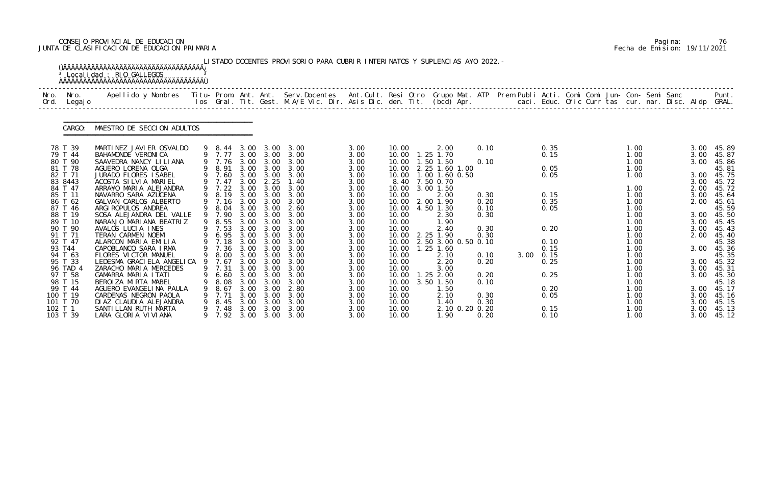# CONSEJO PROVINCIAL DE EDUCACION Pagina: 76 JUNTA DE CLASIFICACION DE EDUCACION PRIMARIA Fecha de Emision: 19/11/2021

|              |                                | <sup>3</sup> Localidad : RIO GALLEGOS                                                                                                                                                                                             |        |                            |                      |                                   | LISTADO DOCENTES PROVISORIO PARA CUBRIR INTERINATOS Y SUPLENCIAS A¥O 2022. - |                      |                         |                                               |                |                      |                           |  |                      |  |                      |                         |
|--------------|--------------------------------|-----------------------------------------------------------------------------------------------------------------------------------------------------------------------------------------------------------------------------------|--------|----------------------------|----------------------|-----------------------------------|------------------------------------------------------------------------------|----------------------|-------------------------|-----------------------------------------------|----------------|----------------------|---------------------------|--|----------------------|--|----------------------|-------------------------|
| Nro.<br>Ord. | Nro.<br>Legaj o                | .Apellido y Nombres  Titu- Prom. Ant. Ant.  Serv.Docentes  Ant.Cult. Resi Otro  Grupo Mat. ATP  Prem Publi Acti. Comi Comi Jun- Con- Semi Sanc              Punt<br>Ios Gral. Tit. Gest. M.A/E Vic. Dir. Asis Dic. den. Tit. (bcd |        |                            |                      |                                   |                                                                              |                      |                         |                                               |                |                      |                           |  |                      |  |                      |                         |
|              | CARGO:                         | MAESTRO DE SECCION ADULTOS                                                                                                                                                                                                        |        |                            |                      |                                   |                                                                              |                      |                         |                                               |                |                      |                           |  |                      |  |                      |                         |
|              | 78 T 39<br>79 T 44             | MARTINEZ JAVIER OSVALDO<br>BAHAMONDE VERONICA                                                                                                                                                                                     |        | 9 8.44 3.00 3.00<br>9 7.77 |                      | 3.00 3.00                         | 3.00<br>3.00                                                                 | 3.00<br>3.00         | 10.00<br>10.00          | 2.00<br>1.25 1.70                             |                | 0.10                 | 0.35<br>0.15              |  | 1.00<br>1.00         |  | 3.00<br>3.00         | 45.89<br>45.87          |
|              | 80 T 90<br>81 T 78<br>82 T 71  | SAAVEDRA NANCY LILIANA<br>AGUERO LORENA OLGA<br>JURADO FLORES ISABEL                                                                                                                                                              |        | 9 7.76<br>9 8.91<br>9 7.60 | 3.00<br>3.00         | 3.00<br>3.00<br>3.00 3.00         | 3.00<br>3.00<br>3.00                                                         | 3.00<br>3.00<br>3.00 | 10.00<br>10.00<br>10.00 | 1.50 1.50<br>2.25 1.60 1.00<br>1.00 1.60 0.50 |                | 0.10                 | 0.05<br>0.05              |  | 1.00<br>1.00<br>1.00 |  | 3.00<br>3.00         | 45.86<br>45.81<br>45.75 |
|              | 83 8443<br>84 T 47             | ACOSTA SILVIA MARIEL<br>ARRA¥O MARIA ALEJANDRA                                                                                                                                                                                    |        | 7.47<br>9 7.22             | 3.00<br>3.00         | 2.25<br>3.00                      | 1.40<br>3.00                                                                 | 3.00<br>3.00         | 8.40<br>10.00           | 7.50 0.70<br>3.00 1.50                        |                |                      |                           |  | 1.00                 |  | 3.00<br>2.00         | 45.72<br>45.72          |
|              | 85 T 11<br>86 T 62<br>87 T 46  | NAVARRO SARA AZUCENA<br>GALVAN CARLOS ALBERTO<br>ARGI ROPULOS ANDREA                                                                                                                                                              | 9<br>9 | 8.19<br>9 7.16<br>8.04     | 3.00<br>3.00<br>3.00 | 3.00<br>3.00<br>3.00              | 3.00<br>3.00<br>2.60                                                         | 3.00<br>3.00<br>3.00 | 10.00<br>10.00<br>10.00 | 2.00<br>2.00 1.90<br>4.50 1.30                |                | 0.30<br>0.20<br>0.10 | 0.15<br>0.35<br>0.05      |  | 1.00<br>1.00<br>1.00 |  | 3.00<br>2.00         | 45.64<br>45.61<br>45.59 |
|              | 88 T 19<br>89 T 10             | SOSA ALEJANDRA DEL VALLE<br>NARANJO MARIANA BEATRIZ                                                                                                                                                                               | 9      | 9 7.90<br>8.55             | 3.00                 | 3.00 3.00<br>3.00                 | 3.00<br>3.00                                                                 | 3.00<br>3.00         | 10.00<br>10.00          | 2.30<br>1.90                                  |                | 0.30                 |                           |  | 1.00<br>1.00         |  | 3.00<br>3.00         | 45.50<br>45.45          |
|              | 90 T 90<br>91 T 71<br>92 T 47  | AVALOS LUCIA INES<br>TERAN CARMEN NOEMI<br>ALARCON MARIA EMILIA                                                                                                                                                                   |        | 9 7.53<br>6.95<br>7.18     | 3.00<br>3.00         | 3.00<br>3.00 3.00<br>3.00         | 3.00<br>3.00<br>3.00                                                         | 3.00<br>3.00<br>3.00 | 10.00<br>10.00<br>10.00 | 2.40<br>2.25 1.90<br>2.50 3.00 0.50 0.10      |                | 0.30<br>0.30         | 0.20<br>0.10              |  | 1.00<br>1.00<br>1.00 |  | 3.00<br>2.00         | 45.43<br>45.40<br>45.38 |
|              | 93 T44<br>94 T 63              | CAPOBLANCO SARA IRMA<br>FLORES VICTOR MANUEL                                                                                                                                                                                      | 9      | 7.36<br>8.00               | 3.00                 | 3.00<br>3.00 3.00                 | 3.00<br>3.00                                                                 | 3.00<br>3.00         | 10.00<br>10.00          | $1.25$ 1.60<br>2.10                           |                | 0.10                 | 0.15<br>$3.00 \quad 0.15$ |  | 1.00<br>1.00         |  | 3.00                 | 45.36<br>45.35          |
|              | 95 T 33<br>96 TAD 4<br>97 T 58 | LEDESMA GRACIELA ANGELICA 9<br>ZARACHO MARIA MERCEDES<br>GAMARRA MARIA ITATI                                                                                                                                                      |        | 7.67<br>9 7.31<br>6.60     | 3.00<br>3.00         | 3.00<br>$3.00 \quad 3.00$<br>3.00 | 3.00<br>3.00<br>3.00                                                         | 3.00<br>3.00<br>3.00 | 10.00<br>10.00<br>10.00 | 2.20<br>3.00<br>1.25 2.00                     |                | 0.20<br>0.20         | 0.25<br>0.25              |  | 1.00<br>1.00<br>1.00 |  | 3.00<br>3.00<br>3.00 | 45.32<br>45.31<br>45.30 |
|              | 98 T 15<br>99 T 44             | BEROIZA MIRTA MABEL<br>AGUERO EVANGELINA PAULA                                                                                                                                                                                    |        | 8.08<br>8.67               | 3.00<br>3.00         | 3.00<br>3.00                      | 3.00<br>2.80                                                                 | 3.00<br>3.00         | 10.00<br>10.00          | 3.50 1.50<br>1.50                             |                | 0.10                 | 0.20                      |  | 1.00<br>1.00         |  | 3.00                 | 45.18<br>45.17          |
| 102 T 1      | 100 T 19<br>101 T 70           | CARDENAS NEGRON PAOLA<br>DI AZ CLAUDI A ALEJANDRA<br>SANTILLAN RUTH MARTA                                                                                                                                                         |        | 7.71<br>8.45<br>7.48       | 3.00<br>3.00<br>3.00 | 3.00<br>3.00<br>3.00              | 3.00<br>3.00<br>3.00                                                         | 3.00<br>3.00<br>3.00 | 10.00<br>10.00<br>10.00 | 2.10<br>1.40                                  | 2.10 0.20 0.20 | 0.30<br>0.30         | 0.05<br>0.15              |  | 1.00<br>1.00<br>1.00 |  | 3.00<br>3.00<br>3.00 | 45.16<br>45.15<br>45.13 |
|              | 103 T 39                       | LARA GLORIA VIVIANA                                                                                                                                                                                                               |        | 7.92                       |                      |                                   | 3.00 3.00 3.00                                                               | 3.00                 | 10.00                   | 1.90                                          |                | 0.20                 | 0.10                      |  | 1.00                 |  | 3.00                 | 45.12                   |

|  | Pagi na: | 76                           |
|--|----------|------------------------------|
|  |          | Fecha de Emision: 19/11/2021 |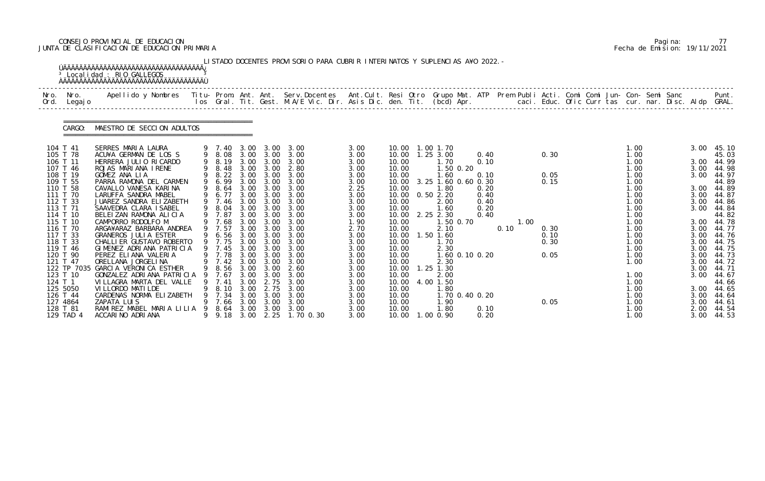# CONSEJO PROVINCIAL DE EDUCACION Pagina: 77 JUNTA DE CLASIFICACION DE EDUCACION PRIMARIA Fecha de Emision: 19/11/2021

|              |                      | <sup>3</sup> Localidad : RIO GALLEGOS<br><b>AAAAAAAAAAAAAAAAAAAAAAAAAAAAAAAAAAAA</b>                                                            |                  |      |                   | LISTADO DOCENTES PROVISORIO PARA CUBRIR INTERINATOS Y SUPLENCIAS A¥O 2022. -                                                    |              |                |                           |                |              |      |      |      |  |              |  |              |                     |
|--------------|----------------------|-------------------------------------------------------------------------------------------------------------------------------------------------|------------------|------|-------------------|---------------------------------------------------------------------------------------------------------------------------------|--------------|----------------|---------------------------|----------------|--------------|------|------|------|--|--------------|--|--------------|---------------------|
| Nro.<br>Ord. | Nro.<br>Legaj o      | Apellido y Nombres - Titu- Prom. Ant. Ant. Serv.Docentes - Ant.Cult. Resi Otro -Grupo Mat. ATP - Prem Publi Acti. Comi Comi Jun- Con- Semi Sanc |                  |      |                   | los Gral. Tit. Gest. M.A/E Vic. Dir. Asis Dic. den. Tit. (bcd) Apr.        caci. Educ. Ofic Curr tas cur. nar. Disc. Aldp GRAL. |              |                |                           |                |              |      |      |      |  |              |  |              | Punt.               |
|              | CARGO:               | MAESTRO DE SECCION ADULTOS                                                                                                                      |                  |      |                   |                                                                                                                                 |              |                |                           |                |              |      |      |      |  |              |  |              |                     |
|              | 104 T 41             | SERRES MARIA LAURA<br>ACU¥A GERMAN DE LOS S                                                                                                     | 9 7.40           |      | 3.00 3.00         | 3.00 3.00 3.00                                                                                                                  | 3.00         |                | 10.00  1.00  1.70         |                |              |      |      |      |  | 1.00         |  |              | 3.00 45.10          |
|              | 105 T 78<br>106 T 11 | HERRERA JULIO RICARDO                                                                                                                           | 9 8.08           |      |                   | 3.00<br>9 8.19 3.00 3.00 3.00                                                                                                   | 3.00<br>3.00 | 10.00          | 10.00  1.25  3.00<br>1.70 |                | 0.40<br>0.10 |      |      | 0.30 |  | 1.00<br>1.00 |  |              | 45.03<br>3.00 44.99 |
|              | 107 T 46             | ROJAS MARIANA IRENE                                                                                                                             | 9 8.48           |      |                   | 3.00 3.00 2.80                                                                                                                  | 3.00         | 10.00          | 1.50 0.20                 |                |              |      |      |      |  | 1.00         |  |              | 3.00 44.98          |
|              | 108 T 19             | GOMEZ ANA LIA                                                                                                                                   | 9 8.22 3.00 3.00 |      |                   | 3.00                                                                                                                            | 3.00         | 10.00          | 1.60                      |                | 0.10         |      |      | 0.05 |  | 1.00         |  | 3.00         | 44.97               |
|              | 109 T 55             | PARRA RAMONA DEL CARMEN                                                                                                                         | 9 6.99           |      |                   | 3.00 3.00 3.00                                                                                                                  | 3.00         |                | 10.00 3.25 1.60 0.60 0.30 |                |              |      |      | 0.15 |  | 1.00         |  |              | 44.89               |
|              | 110 T 58             | CAVALLO VANESA KARINA                                                                                                                           | 9 8.64           |      | $3.00 \quad 3.00$ | 3.00                                                                                                                            | 2.25         | 10.00          | 1.80                      |                | 0.20         |      |      |      |  | 1.00         |  |              | 3.00 44.89          |
|              | 111 T 70             | LARUFFA SANDRA MABEL                                                                                                                            | 9 6.77           | 3.00 | 3.00              | 3.00                                                                                                                            | 3.00         |                | 10.00  0.50  2.20         |                | 0.40         |      |      |      |  | 1.00         |  |              | 3.00 44.87          |
|              | 112 T 33<br>113 T 71 | JUAREZ SANDRA ELIZABETH<br>SAAVEDRA CLARA ISABEL                                                                                                | 9 7.46<br>9 8.04 |      | 3.00 3.00         | 3.00 3.00 3.00<br>3.00                                                                                                          | 3.00<br>3.00 | 10.00<br>10.00 | 2.00<br>1.60              |                | 0.40<br>0.20 |      |      |      |  | 1.00<br>1.00 |  | 3.00<br>3.00 | 44.86<br>44.84      |
|              | 114 T 10             | BELEIZAN RAMONA ALICIA                                                                                                                          | 9 7.87           | 3.00 | 3.00              | 3.00                                                                                                                            | 3.00         | 10.00          | 2.25 2.30                 |                | 0.40         |      |      |      |  | 1.00         |  |              | 44.82               |
|              | 115 T 10             | CAMPORRO RODOLFO M                                                                                                                              | 9 7.68           |      | $3.00 \quad 3.00$ | 3.00                                                                                                                            | 1.90         | 10.00          |                           | 1.50 0.70      |              |      | 1.00 |      |  | 1.00         |  |              | 3.00 44.78          |
|              | 116 T 70             | ARGA¥ARAZ BARBARA ANDREA                                                                                                                        | 9 7.57           | 3.00 | 3.00              | 3.00                                                                                                                            | 2.70         | 10.00          | 2.10                      |                |              | 0.10 |      | 0.30 |  | 1.00         |  |              | 3.00 44.77          |
|              | 117 T 33             | <b>GRANEROS JULIA ESTER</b>                                                                                                                     | 6.56             | 3.00 | 3.00              | 3.00                                                                                                                            | 3.00         | 10.00          | 1.50 1.60                 |                |              |      |      | 0.10 |  | 1.00         |  | 3.00         | 44.76               |
|              | 118 T 33             | CHALLI ER GUSTAVO ROBERTO                                                                                                                       | 9 7.75           |      |                   | 3.00 3.00 3.00                                                                                                                  | 3.00         | 10.00          | 1.70                      |                |              |      |      | 0.30 |  | 1.00         |  | 3.00         | 44.75               |
|              | 119 T 46             | GIMENEZ ADRIANA PATRICIA                                                                                                                        | 9 7.45           |      | 3.00 3.00         | 3.00                                                                                                                            | 3.00         | 10.00          | 2.30                      |                |              |      |      |      |  | 1.00         |  | 3.00         | 44.75               |
|              | 120 T 90             | PEREZ ELIANA VALERIA                                                                                                                            | 9 7.78 3.00 3.00 |      |                   | 3.00                                                                                                                            | 3.00         | 10.00          |                           | 1.60 0.10 0.20 |              |      |      | 0.05 |  | 1.00         |  | 3.00         | 44.73               |
|              | 121 T 47             | ORELLANA JORGELINA<br>122 TP 7035 GARCIA VERONICA ESTHER                                                                                        |                  |      |                   | 9 7.42 3.00 3.00 3.00<br>9 8.56 3.00 3.00 2.60                                                                                  | 3.00<br>3.00 | 10.00<br>10.00 | 2.30                      |                |              |      |      |      |  | 1.00         |  | 3.00         | 44.72<br>3.00 44.71 |
|              | 123 T 10             | GONZALEZ ADRIANA PATRICIA 9                                                                                                                     | 7.67             | 3.00 | 3.00              | 3.00                                                                                                                            | 3.00         | 10.00          | 1.25 1.30<br>2.00         |                |              |      |      |      |  | 1.00         |  |              | 3.00 44.67          |
| 124 T 1      |                      | VILLAGRA MARTA DEL VALLE                                                                                                                        | 7.41             | 3.00 | 2.75              | 3.00                                                                                                                            | 3.00         | 10.00          | 4.00 1.50                 |                |              |      |      |      |  | 1.00         |  |              | 44.66               |
|              | 125 5050             | VI LLORDO MATI LDE                                                                                                                              | 8.10             | 3.00 | 2.75              | 3.00                                                                                                                            | 3.00         | 10.00          | 1. 80                     |                |              |      |      |      |  | 1.00         |  | 3.00         | 44.65               |
|              | 126 T 44             | CARDENAS NORMA ELIZABETH                                                                                                                        | 7.34             | 3.00 | 3.00              | 3.00                                                                                                                            | 3.00         | 10.00          |                           | 1.70 0.40 0.20 |              |      |      |      |  | 1.00         |  |              | 3.00 44.64          |
|              | 127 4864             | ZAPATA LUIS                                                                                                                                     | 7.66             | 3.00 | 3.00              | 3.00                                                                                                                            | 3.00         | 10.00          | 1. 90                     |                |              |      |      | 0.05 |  | 1.00         |  | 3.00         | 44.61               |
|              | 128 T 81             | RAMIREZ MABEL MARIA LILIA                                                                                                                       | 8.64             | 3.00 | 3.00              | 3.00                                                                                                                            | 3.00         | 10.00          | 1. 80                     |                | 0.10         |      |      |      |  | 1.00         |  | 2.00         | 44.54               |
|              | 129 TAD 4            | ACCARINO ADRIANA                                                                                                                                | 9 9.18           | 3.00 | 2.25              | 1.70 0.30                                                                                                                       | 3.00         |                | 10.00  1.00  0.90         |                | 0.20         |      |      |      |  | 1.00         |  |              | 3.00 44.53          |

|  | Pagi na: |                              |
|--|----------|------------------------------|
|  |          | Fecha de Emision: 19/11/2021 |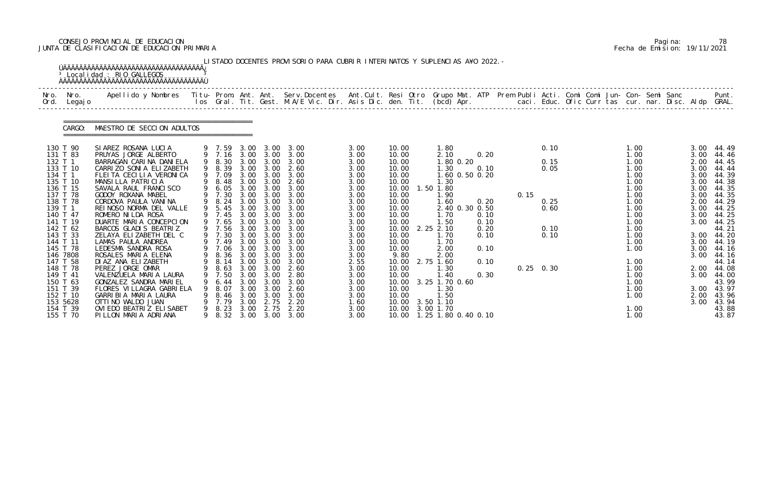# CONSEJO PROVINCIAL DE EDUCACION Pagina: 78 JUNTA DE CLASIFICACION DE EDUCACION PRIMARIA Fecha de Emision: 19/11/2021

|              |                      | <sup>3</sup> Localidad : RIO GALLEGOS                                                                                                    |   |                  |              |                   | LISTADO DOCENTES PROVISORIO PARA CUBRIR INTERINATOS Y SUPLENCIAS A¥O 2022. -                                             |              |                 |                               |              |      |             |  |              |  |              |                     |
|--------------|----------------------|------------------------------------------------------------------------------------------------------------------------------------------|---|------------------|--------------|-------------------|--------------------------------------------------------------------------------------------------------------------------|--------------|-----------------|-------------------------------|--------------|------|-------------|--|--------------|--|--------------|---------------------|
| Nro.<br>Ord. | Nro.<br>Legaj o      | Apellido y Nombres Titu- Prom. Ant. Ant. Serv.Docentes Ant.Cult. Resi Otro Grupo Mat. ATP Prem Publi Acti. Comi Comi Jun- Con- Semi Sanc |   |                  |              |                   | los Gral. Tit. Gest. M.A/E Vic. Dir. Asis Dic. den. Tit. (bcd) Apr. caci. Educ. Ofic Curr tas cur. nar. Disc. Aldp GRAL. |              |                 |                               |              |      |             |  |              |  |              | Punt.               |
|              | CARGO:               | MAESTRO DE SECCION ADULTOS                                                                                                               |   |                  |              |                   |                                                                                                                          |              |                 |                               |              |      |             |  |              |  |              |                     |
|              | 130 T 90             | SIAREZ ROSANA LUCIA                                                                                                                      |   | 9 7.59           | 3.00         | 3.00              | 3.00                                                                                                                     | 3.00         | 10.00           | 1.80                          |              |      | 0.10        |  | 1.00         |  | 3.00         | 44.49               |
| 132 T 1      | 131 T 83             | PRUYAS JORGE ALBERTO<br>BARRAGAN CARINA DANIELA                                                                                          |   | 9 7.16<br>9 8.30 | 3.00         | 3.00 3.00<br>3.00 | 3.00<br>3.00                                                                                                             | 3.00<br>3.00 | 10.00<br>10.00  | 2.10<br>1.80 0.20             | 0.20         |      | 0.15        |  | 1.00<br>1.00 |  | 3.00<br>2.00 | 44.46<br>44.45      |
|              | 133 T 10             | CARRIZO SONIA ELIZABETH                                                                                                                  |   | 9 8.39           | 3.00         | 3.00              | 2.60                                                                                                                     | 3.00         | 10.00           | 1.30                          | 0.10         |      | 0.05        |  | 1.00         |  | 3.00         | 44.44               |
| 134 T 1      |                      | FLEITA CECILIA VERONICA                                                                                                                  |   | 9 7.09           | 3.00         | 3.00              | 3.00                                                                                                                     | 3.00         | 10.00           | 1.60 0.50 0.20                |              |      |             |  | 1.00         |  | 3.00         | 44.39               |
|              | 135 T 10<br>136 T 15 | MANSILLA PATRICIA                                                                                                                        | 9 | 8.48             | 3.00<br>3.00 | 3.00<br>3.00      | 2.60<br>3.00                                                                                                             | 3.00         | 10.00<br>10.00  | 1.30                          |              |      |             |  | 1.00         |  | 3.00<br>3.00 | 44.38               |
|              | 137 T 78             | SAVALA RAUL FRANCISCO<br>GODOY ROXANA MABEL                                                                                              |   | 6. 05<br>7.30    | 3.00         | 3.00              | 3.00                                                                                                                     | 3.00<br>3.00 | 10.00           | 1.50 1.80<br>1. 90            |              | 0.15 |             |  | 1.00<br>1.00 |  | 3.00         | 44.35<br>44.35      |
|              | 138 T 78             | CORDOVA PAULA VANINA                                                                                                                     |   | 8.24             | 3.00         | 3.00              | 3.00                                                                                                                     | 3.00         | 10.00           | 1.60                          | 0.20         |      | 0.25        |  | 1.00         |  | 2.00         | 44.29               |
| 139 T 1      |                      | REINOSO NORMA DEL VALLE                                                                                                                  |   | 5.45             | 3.00         | 3.00              | 3.00                                                                                                                     | 3.00         | 10.00           | 2.40 0.30 0.50                |              |      | 0.60        |  | 1.00         |  | 3.00         | 44.25               |
|              | 140 T 47<br>141 T 19 | ROMERO NI LDA ROSA<br>DUARTE MARIA CONCEPCION                                                                                            |   | 9 7.45<br>7.65   | 3.00<br>3.00 | 3.00<br>3.00      | 3.00<br>3.00                                                                                                             | 3.00<br>3.00 | 10.00<br>10.00  | 1.70<br>1.50                  | 0.10<br>0.10 |      |             |  | 1.00<br>1.00 |  | 3.00<br>3.00 | 44.25<br>44.25      |
|              | 142 T 62             | BARCOS GLADIS BEATRIZ                                                                                                                    |   | 9 7.56           | 3.00         | 3.00              | 3.00                                                                                                                     | 3.00         | 10.00           | 2.25 2.10                     | 0.20         |      | 0.10        |  | 1.00         |  |              | 44.21               |
|              | 143 T 33             | ZELAYA ELIZABETH DEL C                                                                                                                   |   | 9 7.30           | 3.00         | 3.00              | 3.00                                                                                                                     | 3.00         | 10.00           | 1.70                          | 0.10         |      | 0.10        |  | 1.00         |  | 3.00         | 44.20               |
|              | 144 T 11             | LAMAS PAULA ANDREA                                                                                                                       |   | 7.49             | 3.00         | 3.00              | 3.00                                                                                                                     | 3.00         | 10.00           | 1.70                          |              |      |             |  | 1.00         |  | 3.00         | 44.19               |
|              | 145 T 78<br>146 7808 | LEDESMA SANDRA ROSA<br>ROSALES MARIA ELENA                                                                                               | 9 | 7.06<br>8.36     | 3.00         | 3.00<br>3.00 3.00 | 3.00<br>3.00                                                                                                             | 3.00<br>3.00 | 10.00<br>9.80   | 2.00<br>2.00                  | 0.10         |      |             |  | 1.00         |  | 3.00<br>3.00 | 44.16<br>44.16      |
|              | 147 T 58             | DI AZ ANA ELIZABETH                                                                                                                      |   | 9 8.14           | 3.00         | 3.00              | 3.00                                                                                                                     | 2.55         | 10.00           | 2.75 1.60                     | 0.10         |      |             |  | 1.00         |  |              | 44.14               |
|              | 148 T 78             | PEREZ JORGE OMAR                                                                                                                         |   | 9 8.63 3.00 3.00 |              |                   | 2.60                                                                                                                     | 3.00         | 10.00           | 1.30                          |              |      | $0.25$ 0.30 |  | 1.00         |  |              | 2.00 44.08          |
|              | 149 T 41             | VALENZUELA MARIA LAURA                                                                                                                   |   | 7.50             | 3.00         | 3.00              | 2.80                                                                                                                     | 3.00         | 10.00           | 1.40                          | 0.30         |      |             |  | 1.00         |  |              | 3.00 44.00          |
|              | 150 T 63             | GONZALEZ SANDRA MARIEL                                                                                                                   |   | 6.44             | 3.00         | 3.00              | 3.00                                                                                                                     | 3.00         |                 | 10.00 3.25 1.70 0.60          |              |      |             |  | 1.00         |  |              | 43.99               |
|              | 151 T 39<br>152 T 10 | FLORES VILLAGRA GABRIELA<br>GARRIBIA MARIA LAURA                                                                                         |   | 8.07<br>8.46     | 3.00<br>3.00 | 3.00<br>3.00      | 2.60<br>3.00                                                                                                             | 3.00<br>3.00 | 10.00<br>10.00  | 1.30<br>1.50                  |              |      |             |  | 1.00<br>1.00 |  | 2.00         | 3.00 43.97<br>43.96 |
|              | 153 5628             | OTTI NO WALDO JUAN                                                                                                                       |   | 7.79             | 3.00         | 2.75              | 2.20                                                                                                                     | 1. 60        | 10.00 3.50 1.10 |                               |              |      |             |  |              |  | 3.00         | 43.94               |
|              | 154 T 39             | OVI EDO BEATRI Z ELI SABET                                                                                                               | 9 | 8.23             | 3.00         | 2.75              | 2.20                                                                                                                     | 3.00         | 10.00 3.00 1.70 |                               |              |      |             |  | 1.00         |  |              | 43.88               |
|              | 155 T 70             | PILLON MARIA ADRIANA                                                                                                                     | 9 | 8.32             |              |                   | 3.00 3.00 3.00                                                                                                           | 3.00         |                 | 10.00  1.25  1.80  0.40  0.10 |              |      |             |  | 1.00         |  |              | 43.87               |

|  | Pagi na: | 78                           |
|--|----------|------------------------------|
|  |          | Fecha de Emision: 19/11/2021 |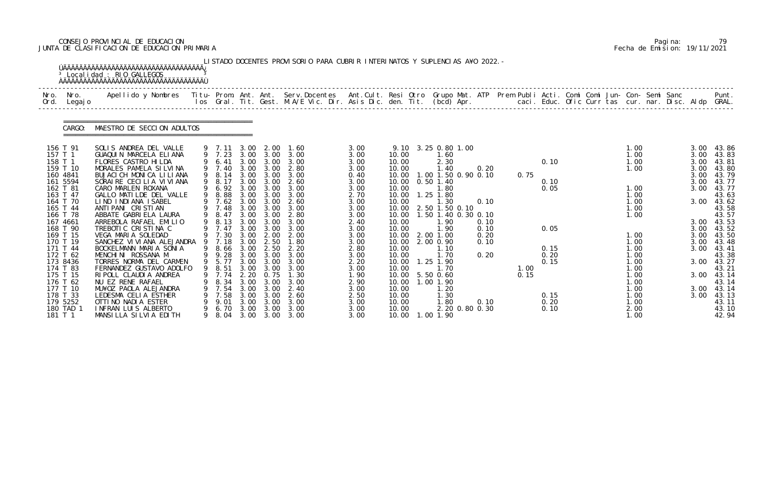# CONSEJO PROVINCIAL DE EDUCACION Pagina: 79 JUNTA DE CLASIFICACION DE EDUCACION PRIMARIA Fecha de Emision: 19/11/2021

| Nro.<br>Ord. | Nro.<br>Legaj o      | Apellido y Nombres Titu- Prom. Ant. Ant. Serv.Docentes Ant.Cult. Resi Otro Grupo Mat. ATP Prem Publi Acti. Comi Comi Jun- Con- Semi Sanc |        |                |              |              | los Gral. Tit. Gest. M.A/E Vic. Dir. Asis Dic. den. Tit. (bcd) Apr. caci. Educ. Ofic Curr tas cur. nar. Disc. Aldp GRAL. |              |                |                     |                |      |              |  |              |  |              | Punt.          |
|--------------|----------------------|------------------------------------------------------------------------------------------------------------------------------------------|--------|----------------|--------------|--------------|--------------------------------------------------------------------------------------------------------------------------|--------------|----------------|---------------------|----------------|------|--------------|--|--------------|--|--------------|----------------|
|              | CARGO:               | MAESTRO DE SECCION ADULTOS                                                                                                               |        |                |              |              |                                                                                                                          |              |                |                     |                |      |              |  |              |  |              |                |
|              | 156 T 91             | SOLIS ANDREA DEL VALLE                                                                                                                   |        | 9 7.11 3.00    |              | 2.00         | 1.60                                                                                                                     | 3.00         |                | 9.10 3.25 0.80 1.00 |                |      |              |  | 1.00         |  | 3.00         | 43.86          |
| 157 T 1      |                      | GUAQUIN MARCELA ELIANA                                                                                                                   |        | 9 7.23         |              | 3.00 3.00    | 3.00                                                                                                                     | 3.00         | 10.00          | 1.60                |                |      |              |  | 1.00         |  | 3.00         | 43.83          |
|              | 158 T 1<br>159 T 10  | FLORES CASTRO HILDA<br>MORALES PAMELA SILVINA                                                                                            |        | 6.41<br>9 7.40 | 3.00<br>3.00 | 3.00<br>3.00 | 3.00<br>2.80                                                                                                             | 3.00<br>3.00 | 10.00<br>10.00 | 2.30<br>1.40        | 0.20           |      | 0.10         |  | 1.00<br>1.00 |  | 3.00<br>3.00 | 43.81<br>43.80 |
|              | 160 4841             | BUJACI CH MONICA LILIANA                                                                                                                 |        | 9 8.14         | 3.00         | 3.00         | 3.00                                                                                                                     | 0.40         | 10.00          | 1.00 1.50 0.90 0.10 |                | 0.75 |              |  |              |  | 3.00         | 43.79          |
|              | 161 5594             | SORAIRE CECILIA VIVIANA                                                                                                                  |        | 8.17           | 3.00         | 3.00         | 2.60                                                                                                                     | 3.00         | 10.00          | $0.50$ 1.40         |                |      | 0.10         |  |              |  | 3.00         | 43.77          |
|              | 162 T 81             | CARO MARLEN ROXANA                                                                                                                       |        | 9 6.92         | 3.00         | 3.00         | 3.00                                                                                                                     | 3.00         | 10.00          | 1.80                |                |      | 0.05         |  | 1.00         |  | 3.00         | 43.77          |
|              | 163 T 47             | GALLO MATILDE DEL VALLE                                                                                                                  |        | 8.88           | 3.00         | 3.00         | 3.00                                                                                                                     | 2.70         | 10.00          | 1.25 1.80           |                |      |              |  | 1.00         |  |              | 43.63          |
|              | 164 T 70             | LIND INDIANA ISABEL                                                                                                                      |        | 7.62           | 3.00         | 3.00         | 2.60                                                                                                                     | 3.00         | 10.00          | 1.30                | 0.10           |      |              |  | 1.00         |  | 3.00         | 43.62          |
|              | 165 T 44             | ANTI PANI CRISTIAN                                                                                                                       |        | 7.48           | 3.00         | 3.00         | 3.00                                                                                                                     | 3.00         | 10.00          | 2.50 1.50 0.10      |                |      |              |  | 1.00         |  |              | 43.58          |
|              | 166 T 78             | ABBATE GABRIELA LAURA                                                                                                                    | 9<br>9 | 8.47           | 3.00         | 3.00         | 2.80                                                                                                                     | 3.00         | 10.00          | 1.50 1.40 0.30 0.10 |                |      |              |  | 1.00         |  |              | 43.57          |
|              | 167 4661<br>168 T 90 | ARREBOLA RAFAEL EMILIO                                                                                                                   |        | 8.13<br>7.47   | 3.00<br>3.00 | 3.00<br>3.00 | 3.00<br>3.00                                                                                                             | 2.40         | 10.00          | 1. 90<br>1.90       | 0.10           |      |              |  |              |  | 3.00         | 3.00 43.53     |
|              | 169 T 15             | TREBOTIC CRISTINA C<br>VEGA MARIA SOLEDAD                                                                                                |        | 9 7.30         | 3.00         | 2.00         | 2.00                                                                                                                     | 3.00<br>3.00 | 10.00<br>10.00 | 2.00 1.00           | 0.10<br>0.20   |      | 0.05         |  | 1.00         |  | 3.00         | 43.52<br>43.50 |
|              | 170 T 19             | SANCHEZ VI VI ANA ALEJANDRA                                                                                                              | 9      | 7.18           | 3.00         | 2.50         | 1.80                                                                                                                     | 3.00         | 10.00          | 2.00 0.90           | 0.10           |      |              |  | 1.00         |  | 3.00         | 43.48          |
|              | 171 T 44             | BOCKELMANN MARIA SONIA                                                                                                                   | 9      | 8. 66          | 3.00         | 2.50         | 2.20                                                                                                                     | 2.80         | 10.00          | 1.10                |                |      | 0.15         |  | 1.00         |  | 3.00         | 43.41          |
|              | 172 T 62             | MENCHINI ROSSANA M                                                                                                                       |        | 9 9.28         |              | 3.00 3.00    | 3.00                                                                                                                     | 3.00         | 10.00          | 1.70                | 0.20           |      | 0.20         |  | 1.00         |  |              | 43.38          |
|              | 173 8436             | TORRES NORMA DEL CARMEN                                                                                                                  |        | 9 5.77         | 3.00         | 3.00         | 3.00                                                                                                                     | 2.20         | 10.00          | 1.25 1.90           |                |      | 0.15         |  | 1.00         |  | 3.00         | 43.27          |
|              | 174 T 83             | FERNANDEZ GUSTAVO ADOLFO                                                                                                                 |        | 9 8.51         | 3.00         | 3.00         | 3.00                                                                                                                     | 3.00         | 10.00          | 1.70                |                | 1.00 |              |  | 1.00         |  |              | 43.21          |
|              | 175 T 15             | RI POLL CLAUDI A ANDREA                                                                                                                  |        | 7.74           | 2.20         | 0.75         | 1.30                                                                                                                     | 1. 90        |                | 10.00   5.50   0.60 |                | 0.15 |              |  | 1.00         |  |              | 3.00 43.14     |
|              | 176 T 62             | NU EZ RENE RAFAEL                                                                                                                        |        | 8.34           | 3.00         | 3.00         | 3.00                                                                                                                     | 2.90         | 10.00          | 1.00 1.90           |                |      |              |  | 1.00         |  |              | 43.14          |
|              | 177 T 10             | MU¥OZ PAOLA ALEJANDRA                                                                                                                    |        | 7.54           | 3.00         | 3.00         | 2.40                                                                                                                     | 3.00         | 10.00          | 1. 20               |                |      |              |  | 1.00         |  |              | 3.00 43.14     |
|              | 178 T 33<br>179 5252 | LEDESMA CELIA ESTHER<br>OTTINO NADIA ESTER                                                                                               |        | 7.58<br>9.01   | 3.00<br>3.00 | 3.00<br>3.00 | 2.60<br>3.00                                                                                                             | 2.50<br>3.00 | 10.00<br>10.00 | 1.30<br>1.80        | 0.10           |      | 0.15<br>0.20 |  | 1.00<br>1.00 |  | 3.00         | 43.13<br>43.11 |
|              | 180 TAD 1            | INFRAN LUIS ALBERTO                                                                                                                      |        | 6.70           | 3.00         | 3.00         | 3.00                                                                                                                     | 3.00         | 10.00          |                     | 2.20 0.80 0.30 |      | 0.10         |  | 2.00         |  |              | 43.10          |
|              | 181 T 1              | MANSILLA SILVIA EDITH                                                                                                                    | 9      | 8. 04          |              |              | 3.00 3.00 3.00                                                                                                           | 3.00         |                | 10.00  1.00  1.90   |                |      |              |  | 1.00         |  |              | 42.94          |

|  | Pagi na: |                              |
|--|----------|------------------------------|
|  |          | Fecha de Emision: 19/11/2021 |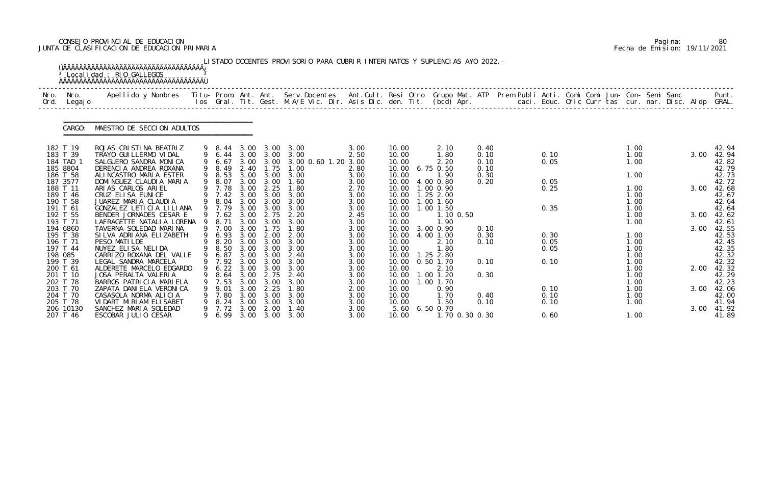# CONSEJO PROVINCIAL DE EDUCACION Pagina: 80 JUNTA DE CLASIFICACION DE EDUCACION PRIMARIA Fecha de Emision: 19/11/2021

| Nro.     | Nro.<br>Ord. Legajo   | .Apellido y Nombres  Titu- Prom. Ant. Ant.  Serv.Docentes  Ant.Cult. Resi Otro  Grupo Mat. ATP  Prem Publi Acti. Comi Comi Jun- Con- Semi Sanc              Punt<br>Ios Gral. Tit. Gest. M.A/E Vic. Dir. Asis Dic. den. Tit. (bcd |     |                  |              |                   |                                       |              |                |                          |              |  |              |  |              |  |      |                |
|----------|-----------------------|-----------------------------------------------------------------------------------------------------------------------------------------------------------------------------------------------------------------------------------|-----|------------------|--------------|-------------------|---------------------------------------|--------------|----------------|--------------------------|--------------|--|--------------|--|--------------|--|------|----------------|
|          | CARGO:                | MAESTRO DE SECCION ADULTOS                                                                                                                                                                                                        |     |                  |              |                   |                                       |              |                |                          |              |  |              |  |              |  |      |                |
|          | 182 T 19              | ROJAS CRISTINA BEATRIZ                                                                                                                                                                                                            |     | 9 8.44           |              |                   | 3.00 3.00 3.00                        | 3.00         | 10.00          | 2.10                     | 0.40         |  |              |  | 1.00         |  |      | 42.94          |
|          | 183 T 39<br>184 TAD 1 | TRAYO GUI LLERMO VI DAL<br>SALGUERO SANDRA MONICA                                                                                                                                                                                 |     | 9 6.44<br>9 6.67 |              | 3.00 3.00         | 3.00 3.00 3.00<br>3.00 0.60 1.20 3.00 | 2.50         | 10.00<br>10.00 | 1.80<br>2.20             | 0.10<br>0.10 |  | 0.10<br>0.05 |  | 1.00<br>1.00 |  | 3.00 | 42.94<br>42.82 |
| 185 8804 |                       | DERENCIA ANDREA ROXANA                                                                                                                                                                                                            |     | 9 8.49           | 2.40         | 1.75              | 1.00                                  | 2.80         | 10.00          | 6.75 0.50                | 0.10         |  |              |  |              |  |      | 42.79          |
| 186 T 58 |                       | ALINCASTRO MARIA ESTER                                                                                                                                                                                                            |     | 9 8.53           |              | 3.00 3.00         | 3.00                                  | 3.00         | 10.00          | 1.90                     | 0.30         |  |              |  | 1.00         |  |      | 42.73          |
| 187 3577 |                       | DOMINGUEZ CLAUDIA MARIA                                                                                                                                                                                                           | 9   | 8. 07            | 3.00         | 3.00              | 1.60                                  | 3.00         | 10.00          | 4.00 0.80                | 0.20         |  | 0.05         |  |              |  |      | 42.72          |
| 188 T 11 | 189 T 46              | ARIAS CARLOS ARIEL<br>CRUZ ELISA EUNICE                                                                                                                                                                                           |     | 9 7.78<br>9 7.42 | 3.00<br>3.00 | 2.25<br>3.00      | 1.80<br>3.00                          | 2.70<br>3.00 | 10.00<br>10.00 | 1.00 0.90<br>1.252.00    |              |  | 0.25         |  | 1.00<br>1.00 |  | 3.00 | 42.68<br>42.67 |
|          | 190 T 58              | JUAREZ MARIA CLAUDIA                                                                                                                                                                                                              |     | 8.04             | 3.00         | 3.00              | 3.00                                  | 3.00         | 10.00          | $1.00$ $1.60$            |              |  |              |  | 1.00         |  |      | 42.64          |
|          | 191 T 61              | GONZALEZ LETICIA LILIANA                                                                                                                                                                                                          |     | 9 7.79           | 3.00         | 3.00              | 3.00                                  | 3.00         | 10.00          | $1.00$ $1.50$            |              |  | 0.35         |  | 1.00         |  |      | 42.64          |
|          | 192 T 55<br>193 T 71  | BENDER JORNADES CESAR E<br>LAFRAGETTE NATALIA LORENA                                                                                                                                                                              | - 9 | 9 7.62           | 3.00<br>3.00 | 2.75<br>3.00      | 2.20<br>3.00                          | 2.45         | 10.00<br>10.00 | 1.10 0.50<br>1.90        |              |  |              |  | 1.00<br>1.00 |  | 3.00 | 42.62<br>42.61 |
|          | 194 6860              | TAVERNA SOLEDAD MARINA                                                                                                                                                                                                            |     | 8.71<br>9 7.00   | 3.00         | 1.75              | 1.80                                  | 3.00<br>3.00 | 10.00          | 3.00 0.90                | 0.10         |  |              |  |              |  | 3.00 | 42.55          |
|          | 195 T 38              | SILVA ADRIANA ELIZABETH                                                                                                                                                                                                           | 9   | 6.93             | 3.00         | 2.00              | 2.00                                  | 3.00         | 10.00          | 4.00 1.00                | 0.30         |  | 0.30         |  | 1.00         |  |      | 42.53          |
|          | 196 T 71              | PESO MATILDE                                                                                                                                                                                                                      |     | 8.20             | 3.00         | 3.00              | 3.00                                  | 3.00         | 10.00          | 2.10                     | 0.10         |  | 0.05         |  | 1.00         |  |      | 42.45          |
|          | 197 T 44              | NU¥EZ ELISA NELIDA<br>CARRIZO ROXANA DEL VALLE                                                                                                                                                                                    |     | 9 8.50           | 3.00         | 3.00<br>3.00 3.00 | 3.00<br>2.40                          | 3.00         | 10.00          | 1.80                     |              |  | 0.05         |  | 1.00<br>1.00 |  |      | 42.35          |
| 198 085  | 199 T 39              | LEGAL SANDRA MARCELA                                                                                                                                                                                                              |     | 9 6.87<br>9 7.92 | 3.00         | 3.00              | 3.00                                  | 3.00<br>3.00 | 10.00<br>10.00 | $1.25$ 2.80<br>0.50 1.70 | 0.10         |  | 0.10         |  | 1.00         |  |      | 42.32<br>42.32 |
|          | 200 T 61              | ALDERETE MARCELO EDGARDO                                                                                                                                                                                                          |     | 9 6.22 3.00 3.00 |              |                   | 3.00                                  | 3.00         | 10.00          | 2.10                     |              |  |              |  | 1.00         |  | 2.00 | 42.32          |
|          | 201 T 10              | JOSA PERALTA VALERIA                                                                                                                                                                                                              |     | 8.64             | 3.00         | 2.75              | 2.40                                  | 3.00         | 10.00          | 1.00 1.20                | 0.30         |  |              |  | 1.00         |  |      | 42.29          |
| 202 T 78 |                       | BARROS PATRICIA MARIELA                                                                                                                                                                                                           |     | 7.53             | 3.00         | 3.00              | 3.00                                  | 3.00         | 10.00          | 1.00 1.70                |              |  |              |  | 1.00         |  |      | 42.23          |
|          | 203 T 70<br>204 T 70  | ZAPATA DANI ELA VERONI CA<br>CASASOLA NORMA ALICIA                                                                                                                                                                                |     | 9.01<br>7.80     | 3.00<br>3.00 | 2.25<br>3.00      | 1.80<br>3.00                          | 2.00<br>3.00 | 10.00<br>10.00 | 0.90<br>1.70             | 0.40         |  | 0.10<br>0.10 |  | 1.00<br>1.00 |  | 3.00 | 42.06<br>42.00 |
|          | 205 T 78              | VIDART MIRIAM ELISABET                                                                                                                                                                                                            |     | 8.24             | 3.00         | 3.00              | 3.00                                  | 3.00         | 10.00          | 1.50                     | 0.10         |  | 0.10         |  | 1.00         |  |      | 41.94          |
|          | 206 10130             | SANCHEZ MARIA SOLEDAD                                                                                                                                                                                                             |     | 7.72             | 3.00         | 2.00              | 1.40                                  | 3.00         | 5.60           | $6.50$ 0.70              |              |  |              |  |              |  | 3.00 | 41.92          |
|          | 207 T 46              | ESCOBAR JULIO CESAR                                                                                                                                                                                                               |     | 6.99             |              |                   | 3.00 3.00 3.00                        | 3.00         | 10.00          | 1.70 0.30 0.30           |              |  | 0.60         |  | 1.00         |  |      | 41.89          |

|  | Pagi na: | 80                           |
|--|----------|------------------------------|
|  |          | Fecha de Emision: 19/11/2021 |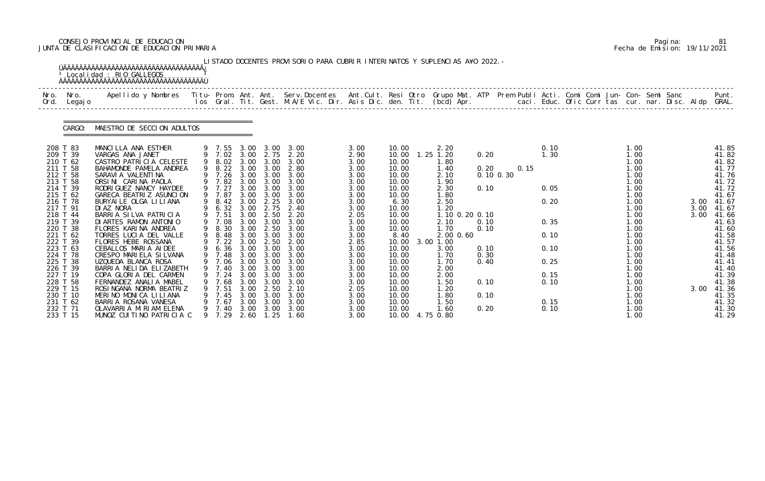# CONSEJO PROVINCIAL DE EDUCACION Pagina: 81 JUNTA DE CLASIFICACION DE EDUCACION PRIMARIA Fecha de Emision: 19/11/2021

| Nro.<br>Nro.<br>Ord.<br>Legaj o                                                                                                                                                                                                                                                  | Apellido y Nombres Titu- Prom. Ant. Ant. Serv.Docentes Ant.Cult. Resi Otro Grupo Mat. ATP Prem Publi Acti. Comi Comi Jun- Con- Semi Sanc                                                                                                                                                                                                                                                                                                                                                                                                                                         |        |                                                                                                                                                                                                                                             |                                                                                                                                              |                                                                                                                                                                                   | los Gral. Tit. Gest. M.A/E Vic. Dir. Asis Dic. den. Tit. (bcd) Apr.                                                                                                                       |                                                                                                                                                                                      |                                                                                                                                                                                                           |                                                                                                                                                                                                                   |                                                                              |                       |                                                                              | caci. Educ. Ofic Curr tas cur. nar. Disc. Aldp GRAL. |                                                                                                                                                                                      |                              | Punt.                                                                                                                                                                                                       |
|----------------------------------------------------------------------------------------------------------------------------------------------------------------------------------------------------------------------------------------------------------------------------------|----------------------------------------------------------------------------------------------------------------------------------------------------------------------------------------------------------------------------------------------------------------------------------------------------------------------------------------------------------------------------------------------------------------------------------------------------------------------------------------------------------------------------------------------------------------------------------|--------|---------------------------------------------------------------------------------------------------------------------------------------------------------------------------------------------------------------------------------------------|----------------------------------------------------------------------------------------------------------------------------------------------|-----------------------------------------------------------------------------------------------------------------------------------------------------------------------------------|-------------------------------------------------------------------------------------------------------------------------------------------------------------------------------------------|--------------------------------------------------------------------------------------------------------------------------------------------------------------------------------------|-----------------------------------------------------------------------------------------------------------------------------------------------------------------------------------------------------------|-------------------------------------------------------------------------------------------------------------------------------------------------------------------------------------------------------------------|------------------------------------------------------------------------------|-----------------------|------------------------------------------------------------------------------|------------------------------------------------------|--------------------------------------------------------------------------------------------------------------------------------------------------------------------------------------|------------------------------|-------------------------------------------------------------------------------------------------------------------------------------------------------------------------------------------------------------|
| CARGO:                                                                                                                                                                                                                                                                           | MAESTRO DE SECCION ADULTOS                                                                                                                                                                                                                                                                                                                                                                                                                                                                                                                                                       |        |                                                                                                                                                                                                                                             |                                                                                                                                              |                                                                                                                                                                                   |                                                                                                                                                                                           |                                                                                                                                                                                      |                                                                                                                                                                                                           |                                                                                                                                                                                                                   |                                                                              |                       |                                                                              |                                                      |                                                                                                                                                                                      |                              |                                                                                                                                                                                                             |
| 208 T 83<br>209 T 39<br>210 T 62<br>211 T 58<br>212 T 58<br>213 T 58<br>214 T 39<br>215 T 62<br>216 T 78<br>217 T 91<br>218 T 44<br>219 T 39<br>220 T 38<br>221 T 62<br>222 T 39<br>223 T 63<br>224 T 78<br>225 T 38<br>226 T 39<br>227 T 19<br>228 T 58<br>229 T 15<br>230 T 10 | MANCILLA ANA ESTHER<br>VARGAS ANA JANET<br>CASTRO PATRICIA CELESTE<br>BAHAMONDE PAMELA ANDREA<br>SARAVI A VALENTI NA<br>ORSINI CARINA PAOLA<br>RODRI GUEZ NANCY HAYDEE<br>GARECA BEATRIZ ASUNCION<br>BURYAILE OLGA LILIANA<br>DI AZ NORA<br>BARRIA SILVA PATRICIA<br>DI ARTES RAMON ANTONIO<br>FLORES KARINA ANDREA<br>TORRES LUCIA DEL VALLE<br>FLORES HEBE ROSSANA<br>CEBALLOS MARIA AIDEE<br>CRESPO MARIELA SILVANA<br>UZQUEDA BLANCA ROSA<br>BARRIA NELIDA ELIZABETH<br>COPA GLORIA DEL CARMEN<br>FERNANDEZ ANALIA MABEL<br>ROSINGANA NORMA BEATRIZ<br>MERINO MONICA LILIANA | 9<br>9 | 9 7.55<br>9 7.02 3.00<br>9 8.02 3.00<br>9 8.22<br>9 7.26<br>9 7.82<br>9 7.27<br>9 7.87<br>9 8.42<br>9 6.32<br>9 7.51<br>9 7.08<br>9 8.30<br>8.48<br>9 7.22<br>6.36 3.00<br>9 7.48<br>9 7.06 3.00<br>9 7.40<br>7. 24<br>7.68<br>7.51<br>7.45 | 3.00<br>3.00<br>3.00<br>3.00<br>3.00<br>3.00<br>3.00<br>3.00<br>3.00<br>3.00<br>3.00<br>3.00<br>3.00<br>3.00<br>3.00<br>3.00<br>3.00<br>3.00 | 3.00<br>2.75<br>3.00<br>3.00<br>3.00<br>3.00<br>3.00<br>2.25<br>2.75<br>2.50<br>3.00<br>2.50<br>3.00<br>2.50<br>3.00<br>3.00<br>3.00<br>3.00 3.00<br>3.00<br>3.00<br>2.50<br>3.00 | 3.00<br>2.20<br>3.00<br>2.80<br>3.00 3.00<br>3.00<br>3.00<br>3.00<br>3.00<br>2.40<br>2.20<br>3.00<br>3.00<br>3.00<br>2.00<br>3.00<br>3.00<br>3.00<br>3.00<br>3.00<br>3.00<br>2.10<br>3.00 | 3.00<br>2.90<br>3.00<br>3.00<br>3.00<br>3.00<br>3.00<br>3.00<br>3.00<br>3.00<br>2.05<br>3.00<br>3.00<br>3.00<br>2.85<br>3.00<br>3.00<br>3.00<br>3.00<br>3.00<br>3.00<br>2.05<br>3.00 | 10.00<br>10.00<br>10.00<br>10.00<br>10.00<br>10.00<br>10.00<br>10.00<br>6.30<br>10.00<br>10.00<br>10.00<br>10.00<br>8.40<br>10.00<br>10.00<br>10.00<br>10.00<br>10.00<br>10.00<br>10.00<br>10.00<br>10.00 | 2.20<br>$1.25$ $1.20$<br>1.80<br>1.40<br>2.10<br>1.90<br>2.30<br>1.80<br>2.50<br>1.20<br>1.10 0.20 0.10<br>2.10<br>1.70<br>2.00 0.60<br>3.00 1.00<br>3.00<br>1.70<br>1.70<br>2.00<br>2.00<br>1.50<br>1.20<br>1.80 | 0.20<br>0.20<br>0.10<br>0.10<br>0.10<br>0.10<br>0.30<br>0.40<br>0.10<br>0.10 | 0.15<br>$0.10$ $0.30$ | 0.10<br>1.30<br>0.05<br>0.20<br>0.35<br>0.10<br>0.10<br>0.25<br>0.15<br>0.10 |                                                      | 1.00<br>1.00<br>1.00<br>1.00<br>1.00<br>1.00<br>1.00<br>1.00<br>1.00<br>1.00<br>1.00<br>1.00<br>1.00<br>1.00<br>1.00<br>1.00<br>1.00<br>1.00<br>1.00<br>1.00<br>1.00<br>1.00<br>1.00 | 3.00<br>3.00<br>3.00<br>3.00 | 41.85<br>41.82<br>41.82<br>41.77<br>41.76<br>41.72<br>41.72<br>41.67<br>41.67<br>41.67<br>41.66<br>41.63<br>41.60<br>41.58<br>41.57<br>41.56<br>41.48<br>41.41<br>41.40<br>41.39<br>41.38<br>41.36<br>41.35 |

|  | Pagi na: | 81                           |
|--|----------|------------------------------|
|  |          | Fecha de Emision: 19/11/2021 |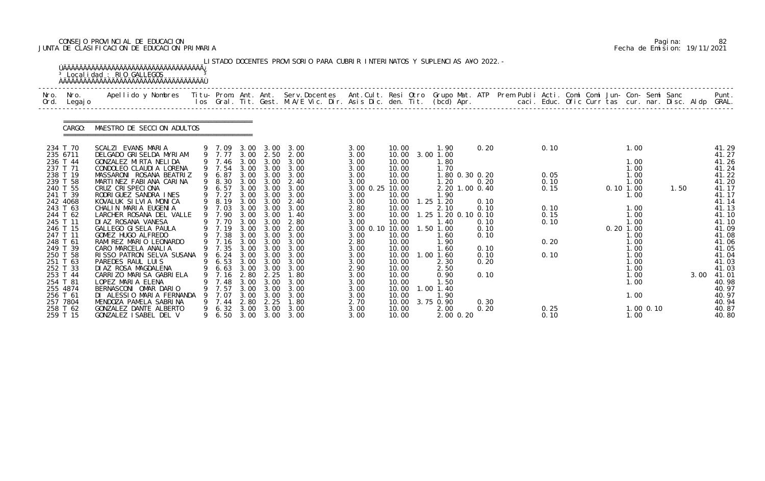# CONSEJO PROVINCIAL DE EDUCACION Pagina: 82 JUNTA DE CLASIFICACION DE EDUCACION PRIMARIA Fecha de Emision: 19/11/2021

|              |                                                                                                                                                                                                                                                                                              | <sup>3</sup> Localidad : RIO GALLEGOS<br><b>AAAAAAAAAAAAAAAAAAAAAAAAAAAAAAAAAAAA</b>                                                                                                                                                                                                                                                                                                                                                                                                                                                                                                                                       |        |                                                                                                                                             |                                                                      |                                                                                                                                                                          | LISTADO DOCENTES PROVISORIO PARA CUBRIR INTERINATOS Y SUPLENCIAS A¥O 2022. -                                                                                                                                                                                                                                                     |                                                                                                                                                                                                                    |                                                                                                                                                                                           |                                                                                                                                                                                                                                                                          |                                                                                              |                                                                      |  |                                                                                                                                                                            |               |      |                                                                                                                                                                                                                           |
|--------------|----------------------------------------------------------------------------------------------------------------------------------------------------------------------------------------------------------------------------------------------------------------------------------------------|----------------------------------------------------------------------------------------------------------------------------------------------------------------------------------------------------------------------------------------------------------------------------------------------------------------------------------------------------------------------------------------------------------------------------------------------------------------------------------------------------------------------------------------------------------------------------------------------------------------------------|--------|---------------------------------------------------------------------------------------------------------------------------------------------|----------------------------------------------------------------------|--------------------------------------------------------------------------------------------------------------------------------------------------------------------------|----------------------------------------------------------------------------------------------------------------------------------------------------------------------------------------------------------------------------------------------------------------------------------------------------------------------------------|--------------------------------------------------------------------------------------------------------------------------------------------------------------------------------------------------------------------|-------------------------------------------------------------------------------------------------------------------------------------------------------------------------------------------|--------------------------------------------------------------------------------------------------------------------------------------------------------------------------------------------------------------------------------------------------------------------------|----------------------------------------------------------------------------------------------|----------------------------------------------------------------------|--|----------------------------------------------------------------------------------------------------------------------------------------------------------------------------|---------------|------|---------------------------------------------------------------------------------------------------------------------------------------------------------------------------------------------------------------------------|
| Nro.<br>Ord. | Nro.<br>Legaj o                                                                                                                                                                                                                                                                              | Apellido y Nombres - Titu- Prom. Ant. Ant. Serv.Docentes - Ant.Cult. Resi Otro Grupo Mat. ATP - Prem Publi Acti. Comi Comi Jun- Con- Semi Sanc                                                                                                                                                                                                                                                                                                                                                                                                                                                                             |        |                                                                                                                                             |                                                                      |                                                                                                                                                                          | los Gral. Tit. Gest. M.A/E Vic. Dir. Asis Dic. den. Tit. (bcd) Apr.        caci. Educ. Ofic Curr tas cur. nar. Disc. Aldp GRAL.                                                                                                                                                                                                  |                                                                                                                                                                                                                    |                                                                                                                                                                                           |                                                                                                                                                                                                                                                                          |                                                                                              |                                                                      |  |                                                                                                                                                                            |               |      | Punt.                                                                                                                                                                                                                     |
|              | CARGO:                                                                                                                                                                                                                                                                                       | MAESTRO DE SECCION ADULTOS                                                                                                                                                                                                                                                                                                                                                                                                                                                                                                                                                                                                 |        |                                                                                                                                             |                                                                      |                                                                                                                                                                          |                                                                                                                                                                                                                                                                                                                                  |                                                                                                                                                                                                                    |                                                                                                                                                                                           |                                                                                                                                                                                                                                                                          |                                                                                              |                                                                      |  |                                                                                                                                                                            |               |      |                                                                                                                                                                                                                           |
|              | 234 T 70<br>235 6711<br>236 T 44<br>237 T 71<br>238 T 19<br>239 T 58<br>240 T 55<br>241 T 39<br>242 4068<br>243 T 63<br>244 T 62<br>245 T 11<br>246 T 15<br>247 T 11<br>248 T 61<br>249 T 39<br>250 T 58<br>251 T 63<br>252 T 33<br>253 T 44<br>254 T 81<br>255 4874<br>256 T 61<br>257 7804 | SCALZI EVANS MARIA<br>DELGADO GRISELDA MYRIAM<br>GONZALEZ MIRTA NELIDA<br>CONDOLEO CLAUDIA LORENA<br>MASSARONI ROSANA BEATRIZ<br>MARTINEZ FABIANA CARINA<br>CRUZ CRISPECIONA<br>RODRIGUEZ SANDRA INES<br>KOVALUK SILVIA MONICA<br>CHALIN MARIA EUGENIA<br>LARCHER ROSANA DEL VALLE<br>DI AZ ROSANA VANESA<br>GALLEGO GI SELA PAULA<br>GOMEZ HUGO ALFREDO<br>RAMIREZ MARIO LEONARDO<br>CARO MARCELA ANALIA<br>RISSO PATRON SELVA SUSANA 9 6.24<br>PAREDES RAUL LUIS<br>DI AZ ROSA MAGDALENA<br>CARRIZO MARISA GABRIELA<br>LOPEZ MARIA ELENA<br>BERNASCONI OMAR DARIO<br>DI ALESSIO MARIA FERNANDA<br>MENDOZA PAMELA SABRINA |        | 9 7.54<br>9 6.87<br>9 6.57<br>9 7.27<br>9 8.19<br>9 7.03<br>9 7.90<br>9 7.19<br>9 7.38<br>9 7.35<br>7. 16<br>7.48<br>7.57<br>7.07<br>9 7.44 | 3.00<br>3.00<br>3.00<br>3.00<br>2.80<br>3.00<br>3.00<br>3.00<br>2.80 | 9 7.77 3.00 2.50<br>3.00 3.00<br>3.00<br>$3.00 \quad 3.00$<br>3.00<br>9 7.70 3.00 3.00<br>3.00<br>3.00<br>3.00 3.00<br>3.00 3.00<br>2.25<br>3.00<br>3.00<br>3.00<br>2.25 | 9 7.09 3.00 3.00 3.00<br>2.00<br>9 7.46 3.00 3.00 3.00<br>3.00 3.00 3.00<br>3.00 3.00 3.00<br>9 8.30 3.00 3.00 2.40<br>3.00<br>3.00<br>3.00 3.00 2.40<br>3.00<br>1.40<br>2.80<br>2.00<br>3.00<br>9 7.16 3.00 3.00 3.00<br>3.00<br>3.00<br>9 6.53 3.00 3.00 3.00<br>9 6.63 3.00 3.00 3.00<br>1.80<br>3.00<br>3.00<br>3.00<br>1.80 | 3.00<br>3.00<br>3.00<br>3.00<br>3.00<br>3.00<br>3.00 0.25 10.00<br>3.00<br>3.00<br>2.80<br>3.00<br>3.00<br>3.00 0.10 10.00<br>3.00<br>2.80<br>3.00<br>3.00<br>3.00<br>2.90<br>3.00<br>3.00<br>3.00<br>3.00<br>2.70 | 10.00<br>10.00<br>10.00<br>10.00<br>10.00<br>10.00<br>10.00<br>10.00<br>10.00<br>10.00<br>10.00<br>10.00<br>10.00<br>10.00<br>10.00<br>10.00<br>10.00<br>10.00<br>10.00<br>10.00<br>10.00 | 1.90<br>10.00 3.00 1.00<br>1.80<br>1.70<br>1.80 0.30 0.20<br>1.20<br>2.20 1.00 0.40<br>1.90<br>$1.25$ $1.20$<br>2.10<br>1.25 1.20 0.10 0.10<br>1.40<br>1.50 1.00<br>1.60<br>1.90<br>1.60<br>1.00 1.60<br>2.30<br>2.50<br>0.90<br>1. 50<br>1.00 1.40<br>1.90<br>3.75 0.90 | 0.20<br>0.20<br>0.10<br>0.10<br>0.10<br>0.10<br>0.10<br>0.10<br>0.10<br>0.20<br>0.10<br>0.30 | 0.10<br>0.05<br>0.10<br>0.15<br>0.10<br>0.15<br>0.10<br>0.20<br>0.10 |  | 1.00<br>1.00<br>1.00<br>1.00<br>1.00<br>$0.10$ 1.00<br>1.00<br>1.00<br>1.00<br>1.00<br>$0.20$ 1.00<br>1.00<br>1.00<br>1.00<br>1.00<br>1.00<br>1.00<br>1.00<br>1.00<br>1.00 |               | 1.50 | 41.29<br>41.27<br>41.26<br>41.24<br>41.22<br>41.20<br>41.17<br>41.17<br>41.14<br>41.13<br>41.10<br>41.10<br>41.09<br>41.08<br>41.06<br>41.05<br>41.04<br>41.03<br>41.03<br>3.00 41.01<br>40.98<br>40.97<br>40.97<br>40.94 |
|              | 258 T 62<br>259 T 15                                                                                                                                                                                                                                                                         | GONZALEZ DANTE ALBERTO<br>GONZALEZ ISABEL DEL V                                                                                                                                                                                                                                                                                                                                                                                                                                                                                                                                                                            | 9<br>9 | 6.32<br>6.50                                                                                                                                | 3.00<br>3.00                                                         | 3.00<br>3.00                                                                                                                                                             | 3.00<br>3.00                                                                                                                                                                                                                                                                                                                     | 3.00<br>3.00                                                                                                                                                                                                       | 10.00<br>10.00                                                                                                                                                                            | 2.00<br>2.00 0.20                                                                                                                                                                                                                                                        | 0.20                                                                                         | 0.25<br>0.10                                                         |  | 1.00                                                                                                                                                                       | $1.00$ $0.10$ |      | 40.87<br>40.80                                                                                                                                                                                                            |

|  | Pagi na: | 82                           |
|--|----------|------------------------------|
|  |          | Fecha de Emision: 19/11/2021 |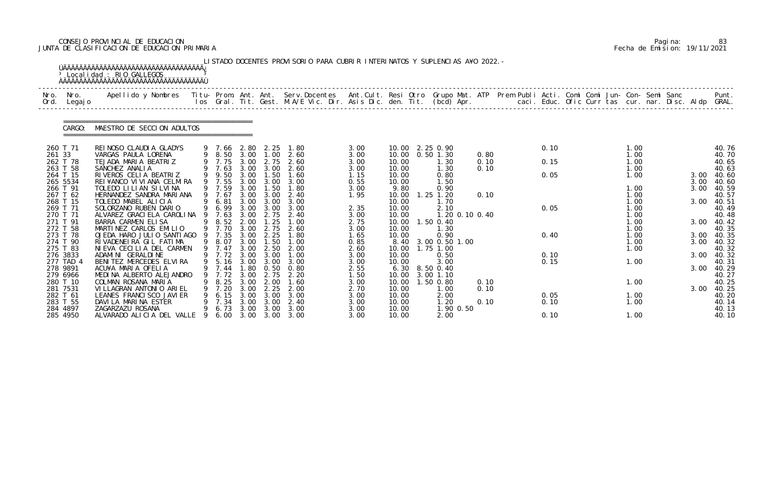# CONSEJO PROVINCIAL DE EDUCACION Pagina: 83 JUNTA DE CLASIFICACION DE EDUCACION PRIMARIA Fecha de Emision: 19/11/2021

|      |                      | <sup>3</sup> Localidad : RIO GALLEGOS                                                                                                                                                                                             |    |                          |              |                               | LISTADO DOCENTES PROVISORIO PARA CUBRIR INTERINATOS Y SUPLENCIAS A¥O 2022. - |              |                |                           |              |  |      |  |              |  |      |                     |
|------|----------------------|-----------------------------------------------------------------------------------------------------------------------------------------------------------------------------------------------------------------------------------|----|--------------------------|--------------|-------------------------------|------------------------------------------------------------------------------|--------------|----------------|---------------------------|--------------|--|------|--|--------------|--|------|---------------------|
| Nro. | Nro.<br>Ord. Legajo  | .Apellido y Nombres  Titu- Prom. Ant. Ant.  Serv.Docentes  Ant.Cult. Resi Otro  Grupo Mat. ATP  Prem Publi Acti. Comi Comi Jun- Con- Semi Sanc              Punt.<br>Ios Gral. Tit. Gest. M.A/E Vic. Dir. Asis Dic. den. Tit. (bc |    |                          |              |                               |                                                                              |              |                |                           |              |  |      |  |              |  |      |                     |
|      | CARGO:               | MAESTRO DE SECCION ADULTOS                                                                                                                                                                                                        |    |                          |              |                               |                                                                              |              |                |                           |              |  |      |  |              |  |      |                     |
|      | 260 T 71             | REINOSO CLAUDIA GLADYS                                                                                                                                                                                                            |    | 9 7.66 2.80 2.25         |              |                               | 1.80                                                                         | 3.00         |                | 10.00 2.25 0.90           |              |  | 0.10 |  | 1.00         |  |      | 40.76               |
|      | 261 33<br>262 T 78   | VARGAS PAULA LORENA<br>TEJADA MARIA BEATRIZ                                                                                                                                                                                       |    | 9 8.50<br>9 7.75         | 3.00         | 3.00 1.00<br>2.75             | 2.60<br>2.60                                                                 | 3.00<br>3.00 | 10.00          | 10.00  0.50  1.30<br>1.30 | 0.80<br>0.10 |  | 0.15 |  | 1.00<br>1.00 |  |      | 40.70<br>40.65      |
|      | 263 T 58             | SANCHEZ ANALIA                                                                                                                                                                                                                    |    | 9 7.63                   |              |                               | 3.00 3.00 2.60                                                               | 3.00         | 10.00          | 1.30                      | 0.10         |  |      |  | 1.00         |  |      | 40.63               |
|      | 264 T 15             | RIVEROS CELIA BEATRIZ                                                                                                                                                                                                             |    | 9 9.50                   | 3.00         | 1.50                          | 1.60                                                                         | 1.15         | 10.00          | 0.80                      |              |  | 0.05 |  | 1.00         |  | 3.00 | 40.60               |
|      | 265 5534             | REI ¥ANCO VI VI ANA CELMI RA                                                                                                                                                                                                      |    | 9 7.55                   | 3.00         | 3.00                          | 3.00                                                                         | 0.55         | 10.00          | 1.50                      |              |  |      |  |              |  | 3.00 | 40.60               |
|      | 266 T 91<br>267 T 62 | TOLEDO LILIAN SILVINA<br>HERNANDEZ SANDRA MARIANA                                                                                                                                                                                 |    | 9 7.59<br>9 7.67         | 3.00<br>3.00 | 1.50<br>3.00                  | 1.80<br>2.40                                                                 | 3.00<br>1.95 | 9.80<br>10.00  | 0.90<br>$1.25$ $1.20$     | 0.10         |  |      |  | 1.00<br>1.00 |  | 3.00 | 40.59<br>40.57      |
|      | 268 T 15             | TOLEDO MABEL ALICIA                                                                                                                                                                                                               |    | 6.81                     | 3.00         | 3.00                          | 3.00                                                                         |              | 10.00          | 1.70                      |              |  |      |  | 1.00         |  | 3.00 | 40.51               |
|      | 269 T 71             | SOLORZANO RUBEN DARIO                                                                                                                                                                                                             |    | 9 6.99                   | 3.00         | 3.00                          | 3.00                                                                         | 2.35         | 10.00          | 2.10                      |              |  | 0.05 |  | 1.00         |  |      | 40.49               |
|      | 270 T 71             | ALVAREZ GRACI ELA CAROLINA                                                                                                                                                                                                        |    | 7.63                     | 3.00         | 2.75                          | 2.40                                                                         | 3.00         | 10.00          | 1.20 0.10 0.40            |              |  |      |  | 1.00         |  |      | 40.48               |
|      | 271 T 91             | BARRA CARMEN ELISA                                                                                                                                                                                                                |    | 8.52                     | 2.00         | $\overline{\phantom{0}}$ . 25 | 1.00                                                                         | 2.75         | 10.00          | 1.50 0.40                 |              |  |      |  | 1.00         |  |      | 3.00 40.42          |
|      | 272 T 58<br>273 T 78 | MARTINEZ CARLOS EMILIO<br>OJEDA HARO JULIO SANTIAGO 9 7.35                                                                                                                                                                        |    | 9 7.70                   | 3.00<br>3.00 | 2.75<br>2.25                  | 2.60<br>1.80                                                                 | 3.00<br>1.65 | 10.00<br>10.00 | 1.30<br>0.90              |              |  | 0.40 |  | 1.00<br>1.00 |  | 3.00 | 40.35<br>40.35      |
|      | 274 T 90             | RIVADENEIRA GIL FATIMA                                                                                                                                                                                                            | 9  | 8.07                     | 3.00         | 1.50                          | 1.00                                                                         | 0.85         | 8.40           | 3.00 0.50 1.00            |              |  |      |  | 1.00         |  | 3.00 | 40.32               |
|      | 275 T 83             | NI EVA CECILIA DEL CARMEN                                                                                                                                                                                                         |    | 9 7.47                   | 3.00         | 2.50                          | 2.00                                                                         | 2.60         | 10.00          | 1.75 1.00                 |              |  |      |  | 1.00         |  |      | 40.32               |
|      | 276 3833             | ADAMINI GERALDINE                                                                                                                                                                                                                 |    | 9 7.72 3.00 3.00         |              |                               | 1.00                                                                         | 3.00         | 10.00          | 0.50                      |              |  | 0.10 |  |              |  |      | 3.00 40.32          |
|      | 277 TAD 4            | BENITEZ MERCEDES ELVIRA                                                                                                                                                                                                           |    | 9 5.16 3.00              |              | 3.00                          | 3.00                                                                         | 3.00         | 10.00          | 3.00                      |              |  | 0.15 |  | 1.00         |  |      | 40.31               |
|      | 278 9891             | ACU¥A MARIA OFELIA<br>MEDINA ALBERTO ALEJANDRO                                                                                                                                                                                    | 9  | 9 7.44 1.80 0.50<br>7.72 | 3.00         | 2.75                          | 0.80<br>2.20                                                                 | 2.55         | 10.00          | $6.30$ $8.50$ $0.40$      |              |  |      |  |              |  |      | 3.00 40.29<br>40.27 |
|      | 279 6966<br>280 T 10 | COLMAN ROSANA MARIA                                                                                                                                                                                                               |    | 8.25                     | 3.00         | 2.00                          | 1.60                                                                         | 1.50<br>3.00 | 10.00          | 3.00 1.10<br>1.50 0.80    | 0.10         |  |      |  | 1.00         |  |      | 40.25               |
|      | 281 7531             | VILLAGRAN ANTONIO ARIEL                                                                                                                                                                                                           |    | 7.20                     | 3.00         | 2.25                          | 2.00                                                                         | 2.70         | 10.00          | 1.00                      | 0.10         |  |      |  |              |  | 3.00 | 40.25               |
|      | 282 T 61             | LEANES FRANCI SCO JAVI ER                                                                                                                                                                                                         |    | 6.15                     | 3.00         | 3.00                          | 3.00                                                                         | 3.00         | 10.00          | 2.00                      |              |  | 0.05 |  | 1.00         |  |      | 40.20               |
|      | 283 T 55             | DAVILA MARINA ESTER                                                                                                                                                                                                               |    | 7.34                     | 3.00         | 3.00                          | 2.40                                                                         | 3.00         | 10.00          | 1.20                      | 0.10         |  | 0.10 |  | 1.00         |  |      | 40.14               |
|      | 284 4897             | ZAGARZAZU ROSANA                                                                                                                                                                                                                  |    | 6.73                     | 3.00         | 3.00                          | 3.00                                                                         | 3.00         | 10.00          | 1.90 0.50                 |              |  |      |  |              |  |      | 40.13               |
|      | 285 4950             | ALVARADO ALICIA DEL VALLE                                                                                                                                                                                                         | -9 | 6.00                     | 3.00         |                               | 3.00 3.00                                                                    | 3.00         | 10.00          | 2.00                      |              |  | 0.10 |  | 1.00         |  |      | 40.10               |

|  | Pagi na: | 83                           |
|--|----------|------------------------------|
|  |          | Fecha de Emision: 19/11/2021 |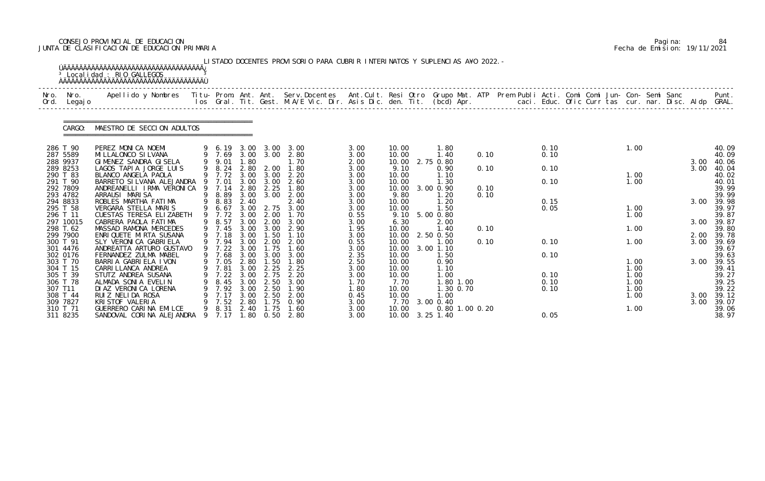# CONSEJO PROVINCIAL DE EDUCACION Pagina: 84 JUNTA DE CLASIFICACION DE EDUCACION PRIMARIA Fecha de Emision: 19/11/2021

|              |                      | <sup>3</sup> Localidad : RIO GALLEGOS                                                                                                    |    |                  |              |                           | LISTADO DOCENTES PROVISORIO PARA CUBRIR INTERINATOS Y SUPLENCIAS A¥O 2022. -                                                    |              |                |                            |      |      |  |      |  |      |                |
|--------------|----------------------|------------------------------------------------------------------------------------------------------------------------------------------|----|------------------|--------------|---------------------------|---------------------------------------------------------------------------------------------------------------------------------|--------------|----------------|----------------------------|------|------|--|------|--|------|----------------|
| Nro.<br>Ord. | Nro.<br>Legaj o      | Apellido y Nombres Titu- Prom. Ant. Ant. Serv.Docentes Ant.Cult. Resi Otro Grupo Mat. ATP Prem Publi Acti. Comi Comi Jun- Con- Semi Sanc |    |                  |              |                           | los Gral. Tit. Gest. M.A/E Vic. Dir. Asis Dic. den. Tit. (bcd) Apr.        caci. Educ. Ofic Curr tas cur. nar. Disc. Aldp GRAL. |              |                |                            |      |      |  |      |  |      | Punt.          |
|              | CARGO:               | MAESTRO DE SECCION ADULTOS                                                                                                               |    |                  |              |                           |                                                                                                                                 |              |                |                            |      |      |  |      |  |      |                |
|              | 286 T 90             | PEREZ MONICA NOEMI                                                                                                                       |    | 9 6.19 3.00      |              | 3.00                      | 3.00                                                                                                                            | 3.00         | 10.00          | 1.80                       |      | 0.10 |  | 1.00 |  |      | 40.09          |
|              | 287 5589             | MI LLALONCO SI LVANA                                                                                                                     |    | 9 7.69           |              | 3.00 3.00                 | 2.80                                                                                                                            | 3.00         | 10.00          | 1.40                       | 0.10 | 0.10 |  |      |  |      | 40.09          |
|              | 288 9937             | GIMENEZ SANDRA GISELA                                                                                                                    |    | 9.01             | 1.80         |                           | 1.70                                                                                                                            | 2.00         | 10.00          | 2.75 0.80                  |      |      |  |      |  | 3.00 | 40.06          |
|              | 289 8253<br>290 T 83 | LAGOS TAPIA JORGE LUIS<br>BLANCO ANGELA PAOLA                                                                                            |    | 9 8.24<br>9 7.72 | 2.80         | 2.00<br>$3.00 \quad 3.00$ | 1.80<br>2.20                                                                                                                    | 3.00<br>3.00 | 9.10<br>10.00  | 0.90<br>1.10               | 0.10 | 0.10 |  | 1.00 |  | 3.00 | 40.04<br>40.02 |
|              | 291 T 90             | BARRETO SI LVANA ALEJANDRA                                                                                                               |    | 7.01             | 3.00         | 3.00                      | 2.60                                                                                                                            | 3.00         | 10.00          | 1.30                       |      | 0.10 |  | 1.00 |  |      | 40.01          |
|              | 292 7809             | ANDREANELLI IRMA VERONICA                                                                                                                | -9 | 7.14             | 2.80         | 2.25                      | 1.80                                                                                                                            | 3.00         | 10.00          | 3.00 0.90                  | 0.10 |      |  |      |  |      | 39.99          |
|              | 293 4782             | ARRAUSI MARISA                                                                                                                           |    | 8.89             |              | 3.00 3.00                 | 2.00                                                                                                                            | 3.00         | 9.80           | .20                        | 0.10 |      |  |      |  |      | 39.99          |
|              | 294 8833             | ROBLES MARTHA FATIMA                                                                                                                     |    | 8.83             | 2.40         |                           | 2.40                                                                                                                            | 3.00         | 10.00          | 1.20                       |      | 0.15 |  |      |  | 3.00 | 39.98          |
|              | 295 T 58             | VERGARA STELLA MARIS                                                                                                                     | 9  | 6.67             | 3.00         | 2.75                      | 3.00                                                                                                                            | 3.00         | 10.00          | 1.50                       |      | 0.05 |  | 1.00 |  |      | 39.97          |
|              | 296 T 11             | CUESTAS TERESA ELIZABETH                                                                                                                 |    | 9 7.72           | 3.00         | 2.00                      | 1.70                                                                                                                            | 0.55         | 9.10           | 5.00 0.80                  |      |      |  | 1.00 |  |      | 39.87          |
|              | 297 10015            | CABRERA PAOLA FATIMA                                                                                                                     |    | 8.57             | 3.00         | 2.00                      | 3.00                                                                                                                            | 3.00         | 6.30           | 2.00                       |      |      |  |      |  | 3.00 | 39.87          |
|              | 298 T.62             | MASSAD RAMONA MERCEDES                                                                                                                   |    | 9 7.45           | 3.00         | 3.00                      | 2.90                                                                                                                            | 1.95         | 10.00          | 1.40                       | 0.10 |      |  | 1.00 |  |      | 39.80          |
|              | 299 7900             | ENRIQUETE MIRTA SUSANA                                                                                                                   |    | 9 7.18           | 3.00<br>3.00 | 1.50                      | 1.10                                                                                                                            | 3.00         | 10.00          | 2.50 0.50                  |      |      |  |      |  | 2.00 | 39.78          |
|              | 300 T 91<br>301 4476 | SLY VERONICA GABRIELA<br>ANDREATTA ARTURO GUSTAVO                                                                                        |    | 7.94<br>7.22     | 3.00         | 2.00<br>1.75              | 2.00<br>1.60                                                                                                                    | 0.55<br>3.00 | 10.00<br>10.00 | 1.00<br>3.00 1.10          | 0.10 | 0.10 |  | 1.00 |  | 3.00 | 39.69<br>39.67 |
|              | 302 0176             | FERNANDEZ ZULMA MABEL                                                                                                                    |    | 9 7.68           |              | 3.00 3.00                 | 3.00                                                                                                                            | 2.35         | 10.00          | 1.50                       |      | 0.10 |  |      |  |      | 39.63          |
|              | 303 T 70             | BARRIA GABRIELA IVON                                                                                                                     |    | 9 7.05           | 2.80         | 1.50                      | 1.80                                                                                                                            | 2.50         | 10.00          | 0.90                       |      |      |  | 1.00 |  | 3.00 | 39.55          |
|              | 304 T 15             | CARRI LLANCA ANDREA                                                                                                                      |    | 9 7.81           | 3.00         | 2.25                      | 2.25                                                                                                                            | 3.00         | 10.00          | 1.10                       |      |      |  | 1.00 |  |      | 39.41          |
|              | 305 T 39             | STUTZ ANDREA SUSANA                                                                                                                      |    | 7.22             | 3.00         | 2.75                      | 2.20                                                                                                                            | 3.00         | 10.00          | $\overline{\phantom{0}}$ . |      | 0.10 |  | 1.00 |  |      | 39.27          |
|              | 306 T 78             | ALMADA SONIA EVELIN                                                                                                                      |    | 8.45             | 3.00         | 2.50                      | 3.00                                                                                                                            | 1. 70        | 7.70           | 1.80 1.00                  |      | 0.10 |  | 1.00 |  |      | 39.25          |
|              | 307 T11              | DI AZ VERONI CA LORENA                                                                                                                   |    | 7.92             | 3.00         | 2.50                      | 1.90                                                                                                                            | 1.80         | 10.00          | 1.30 0.70                  |      | 0.10 |  | 1.00 |  |      | 39.22          |
|              | 308 T 44             | RUIZ NELIDA ROSA                                                                                                                         |    | 7.17             | 3.00         | 2.50                      | 2.00                                                                                                                            | 0.45         | 10.00          | 1. 00                      |      |      |  | 1.00 |  | 3.00 | 39.12          |
|              | 309 7827             | KRI STOF VALERIA                                                                                                                         |    | 7.52             | 2.80         | $\overline{.75}$          | 0.90                                                                                                                            | 3.00         |                | 7.70 3.00 0.40             |      |      |  |      |  | 3.00 | 39.07          |
|              | 310 T 71             | GUERRERO CARINA EMILCE                                                                                                                   |    | 8.31             | 2.40         | 1.75                      | 1.60                                                                                                                            | 3.00         | 10.00          | 0.80 1.00 0.20             |      |      |  | 1.00 |  |      | 39.06          |
|              | 311 8235             | SANDOVAL CORINA ALEJANDRA 9 7.17                                                                                                         |    |                  |              |                           | 1.80 0.50 2.80                                                                                                                  | 3.00         |                | 10.00 3.25 1.40            |      | 0.05 |  |      |  |      | 38.97          |

|  | Pagi na: | 84                           |
|--|----------|------------------------------|
|  |          | Fecha de Emision: 19/11/2021 |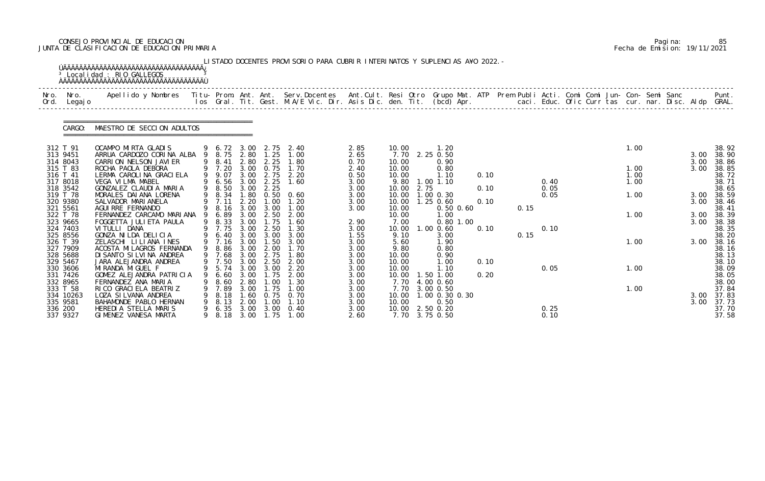# CONSEJO PROVINCIAL DE EDUCACION Pagina: 85 JUNTA DE CLASIFICACION DE EDUCACION PRIMARIA Fecha de Emision: 19/11/2021

| Nro.<br>Ord. | Nro.<br>Legaj o                                          | Apellido y Nombres Titu- Prom. Ant. Ant. Serv.Docentes Ant.Cult. Resi Otro Grupo Mat. ATP Prem Publi Acti. Comi Comi Jun- Con- Semi Sanc |   |                                              |                                      |                                      | los Gral. Tit. Gest. M.A/E Vic. Dir. Asis Dic. den. Tit. (bcd) Apr.       caci. Educ. Ofic Curr tas cur. nar. Disc. Aldp GRAL. |                                      |                                                             |                                               |              |      |              |  |                      |  |              | Punt.                                     |
|--------------|----------------------------------------------------------|------------------------------------------------------------------------------------------------------------------------------------------|---|----------------------------------------------|--------------------------------------|--------------------------------------|--------------------------------------------------------------------------------------------------------------------------------|--------------------------------------|-------------------------------------------------------------|-----------------------------------------------|--------------|------|--------------|--|----------------------|--|--------------|-------------------------------------------|
|              | CARGO:                                                   | MAESTRO DE SECCION ADULTOS                                                                                                               |   |                                              |                                      |                                      |                                                                                                                                |                                      |                                                             |                                               |              |      |              |  |                      |  |              |                                           |
|              | 312 T 91<br>313 9451<br>314 8043                         | OCAMPO MIRTA GLADIS<br>ARRUA CARDOZO CORINA ALBA<br>CARRION NELSON JAVIER                                                                |   | 9 6.72 3.00<br>9 8.75<br>9 8.41              | 2.80<br>2.80                         | 2.75<br>1.25<br>2.25                 | 2.40<br>1.00<br>1.80                                                                                                           | 2.85<br>2.65<br>0.70                 | 10.00<br>7.70<br>10.00                                      | 1.20<br>2.25 0.50<br>0.90                     |              |      |              |  | 1.00                 |  | 3.00<br>3.00 | 38.92<br>38.90<br>38.86                   |
|              | 315 T 83<br>316 T 41<br>317 8018                         | ROCHA PAOLA DEBORA<br>LERMA CAROLINA GRACIELA<br>VEGA VILMA MABEL                                                                        |   | 9 7.20<br>9 9.07<br>9 6.56                   | 3.00<br>3.00<br>3.00                 | 0.75<br>2.75<br>2.25                 | 1.70<br>2.20<br>1.60                                                                                                           | 2.40<br>0.50<br>3.00                 | 10.00<br>10.00<br>9.80                                      | 0.80<br>1.10<br>1.00 1.10                     | 0.10         |      | 0.40         |  | 1.00<br>1.00<br>1.00 |  | 3.00         | 38.85<br>38.72<br>38.71                   |
|              | 318 3542<br>319 T 78<br>320 9380<br>321 5561             | GONZALEZ CLAUDIA MARIA<br>MORALES DAIANA LORENA<br>SALVADOR MARI ANELA<br>AGUI RRE FERNANDO                                              |   | 9 8.50<br>9 8.34<br>7.11<br>9 8.16           | 3.00<br>1.80<br>2.20<br>3.00         | 2.25<br>0.50<br>1.00<br>3.00         | 0.60<br>1.20<br>1.00                                                                                                           | 3.00<br>3.00<br>3.00<br>3.00         | 2.75<br>10.00<br>10.00<br>10.00<br>10.00                    | $1.00$ $0.30$<br>$1.25$ 0.60<br>$0.50$ $0.60$ | 0.10<br>0.10 | 0.15 | 0.05<br>0.05 |  | 1.00                 |  | 3.00<br>3.00 | 38.65<br>38.59<br>38.46<br>38.41          |
|              | 322 T 78<br>323 9665<br>324 7403                         | FERNANDEZ CARCAMO MARIANA<br>FOGGETTA JULI ETA PAULA<br>VITULLI DANA                                                                     | 9 | 6.89<br>9 8.33<br>9 7.75                     | 3.00<br>3.00<br>3.00                 | 2.50<br>1.75<br>2.50                 | 2.00<br>1.60<br>1.30                                                                                                           | 2.90<br>3.00                         | 10.00<br>7.00<br>10.00                                      | 1.00<br>$0.80$ 1.00<br>1.00 0.60              | 0.10         |      | 0.10         |  | 1.00                 |  | 3.00<br>3.00 | 38.39<br>38.38<br>38.35                   |
|              | 325 8556<br>326 T 39<br>327 7909<br>328 5688<br>329 5467 | GONZA NI LDA DELICIA<br>ZELASCHI LILIANA INES<br>ACOSTA MI LAGROS FERNANDA<br>DI SANTO SI LVI NA ANDREA<br>JARA ALEJANDRA ANDREA         |   | 6.40<br>9 7.16<br>9 8.86<br>9 7.68<br>9 7.50 | 3.00<br>3.00<br>3.00<br>3.00<br>3.00 | 3.00<br>1.50<br>2.00<br>2.75<br>2.50 | 3.00<br>3.00<br>1.70<br>1.80<br>2.00                                                                                           | 1.55<br>3.00<br>3.00<br>3.00<br>3.00 | 9.10<br>5.60<br>9.80<br>10.00<br>10.00                      | 3.00<br>1.90<br>0.80<br>0.90<br>1.00          | 0.10         | 0.15 |              |  | 1.00                 |  | 3.00         | 38.20<br>38.16<br>38.16<br>38.13<br>38.10 |
|              | 330 3606<br>331 7426<br>332 8965                         | MI RANDA MI GUEL F<br>GOMEZ ALEJANDRA PATRICIA<br>FERNANDEZ ANA MARIA                                                                    | 9 | 9 5.74 3.00<br>6. 60<br>8.60                 | 3.00<br>2.80                         | 3.00<br>1.75<br>.00                  | 2.20<br>2.00<br>1.30                                                                                                           | 3.00<br>3.00<br>3.00                 | 10.00<br>10.00<br>7.70                                      | 1.10<br>1.50 1.00<br>4.00 0.60                | 0.20         |      | 0.05         |  | 1.00                 |  |              | 38.09<br>38.05<br>38.00                   |
| 336 200      | 333 T 58<br>334 10263<br>335 9581<br>337 9327            | RI CO GRACI ELA BEATRIZ<br>LOZA SI LVANA ANDREA<br>BAHAMONDE PABLO HERNAN<br>HEREDIA STELLA MARIS<br>GIMENEZ VANESA MARTA                | 9 | 7.89<br>8.18<br>8.13<br>6.35<br>9 8.18       | 3.00<br>.60<br>2.00<br>3.00<br>3.00  | 1.75<br>0.75<br>1.00<br>3.00<br>1.75 | 1.00<br>0.70<br>1.10<br>0.40<br>1.00                                                                                           | 3.00<br>3.00<br>3.00<br>3.00<br>2.60 | 7.70<br>10.00<br>10.00<br>10.00 2.50 0.20<br>7.70 3.75 0.50 | 3.00 0.50<br>1.00 0.30 0.30<br>0.50           |              |      | 0.25<br>0.10 |  | 1.00                 |  | 3.00<br>3.00 | 37.84<br>37.83<br>37.73<br>37.70<br>37.58 |

|  | Pagi na: | 85                           |
|--|----------|------------------------------|
|  |          | Fecha de Emision: 19/11/2021 |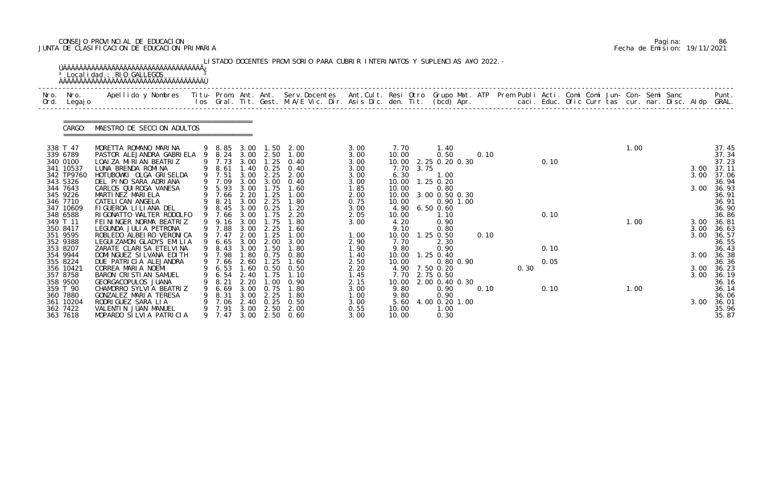# CONSEJO PROVINCIAL DE EDUCACION Pagina: 86 JUNTA DE CLASIFICACION DE EDUCACION PRIMARIA Fecha de Emision: 19/11/2021

| Nro.<br>Ord. | Nro.<br>Legaj o                                                                                 | Apellido y Nombres  Titu- Prom. Ant. Ant. Serv.Docentes  Ant.Cult. Resi Otro Grupo Mat. ATP Prem Publi Acti. Comi Comi Jun- Con- Semi Sanc         Punt.<br>Ios Gral. Tit. Gest. M.A/E Vic. Dir. Asis Dic. den. Tit. (bcd) Apr. |        |                                                                          |                                                              |                                                                   |                                                                       |                                                              |                                                                   |      |                                                                                      |      |      |              |  |      |  |                      |                                                                      |
|--------------|-------------------------------------------------------------------------------------------------|---------------------------------------------------------------------------------------------------------------------------------------------------------------------------------------------------------------------------------|--------|--------------------------------------------------------------------------|--------------------------------------------------------------|-------------------------------------------------------------------|-----------------------------------------------------------------------|--------------------------------------------------------------|-------------------------------------------------------------------|------|--------------------------------------------------------------------------------------|------|------|--------------|--|------|--|----------------------|----------------------------------------------------------------------|
|              | CARGO:                                                                                          | MAESTRO DE SECCION ADULTOS                                                                                                                                                                                                      |        |                                                                          |                                                              |                                                                   |                                                                       |                                                              |                                                                   |      |                                                                                      |      |      |              |  |      |  |                      |                                                                      |
|              | 338 T 47<br>339 6789<br>340 0100<br>341 10537<br>342 TP9760<br>343 5326<br>344 7643<br>345 9226 | MORETTA ROMANO MARINA<br>PASTOR ALEJANDRA GABRIELA<br>LOAI ZA MIRIAN BEATRIZ<br>LUNA BRENDA ROMINA<br>HOTUBOWKI OLGA GRISELDA<br>DEL PINO SARA ADRIANA<br>CARLOS QUI ROGA VANESA<br>MARTINEZ MARIELA                            | 9      | 9 8.85<br>8.24<br>9 7.73<br>9 8.61<br>9 7.51<br>9 7.09<br>9 5.93<br>7.66 | 3.00<br>3.00<br>1.40<br>3.00<br>3.00<br>3.00<br>2.20         | $3.00 \quad 2.50$<br>1.25<br>0.25<br>2.25<br>3.00<br>1.75<br>1.25 | $1.50$ $2.00$<br>1.00<br>0.40<br>0.40<br>2.00<br>0.40<br>1.60<br>1.00 | 3.00<br>3.00<br>3.00<br>3.00<br>3.00<br>3.00<br>1.85<br>2.00 | 7.70<br>10.00<br>10.00<br>7.70<br>6.30<br>10.00<br>10.00<br>10.00 | 3.75 | 1.40<br>0.50<br>2.25 0.20 0.30<br>1.00<br>1.25 0.20<br>0.80<br>3.00 0.50 0.30        | 0.10 |      | 0.10         |  | 1.00 |  | 3.00<br>3.00<br>3.00 | 37.45<br>37.34<br>37.23<br>37.11<br>37.06<br>36.94<br>36.93<br>36.91 |
|              | 346 7710<br>347 10609<br>348 6588<br>349 T 11<br>350 8417<br>351 9595<br>352 9388<br>353 8207   | CATELI CAN ANGELA<br>FIGUEROA LILIANA DEL<br>RIGONATTO WALTER RODOLFO<br>FEININGER NORMA BEATRIZ<br>LEGUNDA JULIA PETRONA<br>ROBLEDO ALBEIRO VERONICA<br>LEGUI ZAMON GLADYS EMILIA<br>ZARATE CLARISA ETELVINA                   | 9<br>9 | 8.21<br>8.45<br>9 7.66<br>9.16<br>9 7.88<br>9 7.47<br>6.65<br>8.43       | 3.00<br>3.00<br>3.00<br>3.00<br>3.00<br>2.00<br>3.00<br>3.00 | 2.25<br>0.25<br>1.75<br>l. 75<br>2.25<br>1.25<br>2.00<br>1.50     | 1.80<br>1.20<br>2.20<br>1.80<br>1.60<br>1.00<br>3.00<br>1.80          | 0.75<br>3.00<br>2.05<br>3.00<br>1.00<br>2.90<br>1.90         | 10.00<br>4.90<br>10.00<br>4.20<br>9.10<br>10.00<br>7.70<br>9.80   |      | $0.90$ 1.00<br>$6.50 \, 0.60$<br>1.10<br>0.90<br>0.80<br>$1.25$ 0.50<br>2.30<br>0.90 | 0.10 |      | 0.10<br>0.10 |  | 1.00 |  | 3.00<br>3.00<br>3.00 | 36.91<br>36.90<br>36.86<br>36.81<br>36.63<br>36.57<br>36.55<br>36.43 |
|              | 354 9944<br>355 8224<br>356 10421<br>357 8758<br>358 9500                                       | DOMI NGUEZ SI LVANA EDI TH<br>DUE PATRICIA ALEJANDRA<br>CORREA MARIA NOEMI<br>BARON CRISTIAN SAMUEL<br>GEORGACOPULOS JUANA                                                                                                      | 9      | 9 7.98<br>7.66<br>9 6.53<br>6.54<br>8.21                                 | 2.60<br>2.40<br>2.20                                         | 1.80 0.75<br>1.25<br>$1.60 \quad 0.50$<br>1.75<br>.00             | 0.80<br>1.60<br>0.50<br>0.90                                          | 1.40<br>2.50<br>2.20<br>1. 45<br>2.15                        | 10.00<br>10.00<br>10.00                                           |      | $1.25$ 0.40<br>0.80 0.90<br>4.90 7.50 0.20<br>7.70 2.75 0.50<br>2.00 0.40 0.30       |      | 0.30 | 0.05         |  |      |  | 3.00<br>3.00         | 36.38<br>36.36<br>3.00 36.23<br>36.19<br>36.16                       |
|              | 359 T 90<br>360 7880<br>361 10204<br>362 7422<br>363 7618                                       | CHAMORRO SYLVIA BEATRIZ<br>GONZALEZ MARIA TERESA<br>RODRI GUEZ SARA LIA<br>VALENTIN JUAN MANUEL<br>MOPARDO SILVIA PATRICIA                                                                                                      |        | 6.69<br>8.31<br>7.06<br>9 7.91<br>9 7.47                                 | 3.00<br>3.00<br>2.40<br>3.00<br>3.00                         | 0.75<br>2.25<br>0.25<br>2.50                                      | 1.80<br>1.80<br>0. 50<br>2.00<br>2.50 0.60                            | 3.00<br>1.00<br>3.00<br>0.55<br>3.00                         | 9.80<br>9.80<br>5.60<br>10.00<br>10.00                            |      | 0.90<br>0.90<br>4.00 0.20 1.00<br>1.00<br>0.30                                       | 0.10 |      | 0.10         |  | 1.00 |  | 3.00                 | 36.14<br>36.06<br>36.01<br>35.96<br>35.87                            |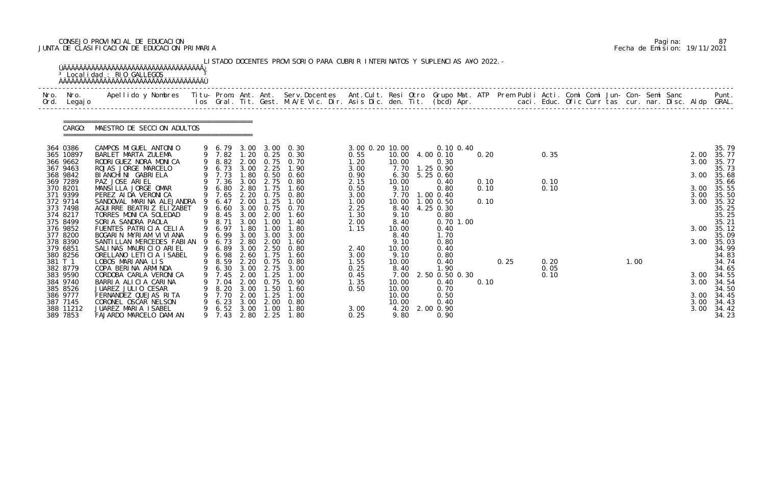# CONSEJO PROVINCIAL DE EDUCACION Pagina: 87 JUNTA DE CLASIFICACION DE EDUCACION PRIMARIA Fecha de Emision: 19/11/2021

|              |                                                          | <sup>3</sup> Localidad : RIO GALLEGOS                                                                                                                                                                                             |         |                                                |                                      |                                     | LISTADO DOCENTES PROVISORIO PARA CUBRIR INTERINATOS Y SUPLENCIAS A¥O 2022. - |                                      |                                       |                                                              |              |      |              |  |      |  |                      |                                           |
|--------------|----------------------------------------------------------|-----------------------------------------------------------------------------------------------------------------------------------------------------------------------------------------------------------------------------------|---------|------------------------------------------------|--------------------------------------|-------------------------------------|------------------------------------------------------------------------------|--------------------------------------|---------------------------------------|--------------------------------------------------------------|--------------|------|--------------|--|------|--|----------------------|-------------------------------------------|
| Nro.<br>Ord. | Nro.<br>Legaj o                                          | Apellido y Nombres  Titu- Prom. Ant. Ant. Serv.Docentes  Ant.Cult. Resi Otro Grupo Mat. ATP Prem Publi Acti. Comi Comi Jun- Con- Semi Sanc           Punt.<br>Ios Gral. Tit. Gest. M.A/E Vic. Dir. Asis Dic. den. Tit. (bcd) Apr. |         |                                                |                                      |                                     |                                                                              |                                      |                                       |                                                              |              |      |              |  |      |  |                      |                                           |
|              | CARGO:                                                   | MAESTRO DE SECCION ADULTOS                                                                                                                                                                                                        |         |                                                |                                      |                                     |                                                                              |                                      |                                       |                                                              |              |      |              |  |      |  |                      |                                           |
|              | 364 0386<br>365 10897<br>366 9662                        | CAMPOS MIGUEL ANTONIO<br>BARLET MARTA ZULEMA<br>RODRIGUEZ NORA MONICA                                                                                                                                                             |         | 9 6.79<br>9 7.82<br>9 8.82                     | 2.00                                 | 0.75                                | 3.00 3.00 0.30<br>1.20 0.25 0.30<br>0.70                                     | 3.00 0.20 10.00<br>0.55<br>1.20      | 10.00                                 | 0.10 0.40<br>10.00 4.00 0.10<br>0.30                         | 0.20         |      | 0.35         |  |      |  | 2.00<br>3.00         | 35.79<br>35.77<br>35.77                   |
|              | 367 9463<br>368 9842<br>369 7289<br>370 8201             | ROJAS JORGE MARCELO<br>BI ANCHI NI GABRI ELA<br>PAZ JOSE ARIEL<br>MANSILLA JORGE OMAR                                                                                                                                             |         | 9 6.73<br>9 7.73<br>9 7.36<br>9 6.80           | 3.00<br>1.80<br>3.00<br>2.80         | 2.25<br>0.50<br>2.75<br>1.75        | 1.90<br>0.60<br>0.80<br>1.60                                                 | 3.00<br>0.90<br>2.15<br>0.50         | 7.70<br>6.30<br>10.00<br>9.10         | 1.25 0.90<br>5.25 0.60<br>0.40<br>0.80                       | 0.10<br>0.10 |      | 0.10<br>0.10 |  |      |  | 3.00<br>3.00         | 35.73<br>35.68<br>35.66<br>35.55          |
|              | 371 9399<br>372 9714<br>373 7498<br>374 8217<br>375 8499 | PEREZ AI DA VERONI CA<br>SANDOVAL MARINA ALEJANDRA<br>AGUI RRE BEATRIZ ELIZABET<br>TORRES MONICA SOLEDAD<br>SORIA SANDRA PAOLA                                                                                                    | -9<br>9 | 9 7.65<br>6.47<br>6.60<br>9 8.45<br>8.71       | 2.20<br>2.00<br>3.00<br>3.00<br>3.00 | 0.75<br>.25<br>0.75<br>2.00<br>1.00 | 0.80<br>1.00<br>0.70<br>1.60<br>1.40                                         | 3.00<br>1.00<br>2.25<br>1.30<br>2.00 | 7.70<br>10.00<br>8.40<br>9.10<br>8.40 | 1.00 0.40<br>$1.00$ $0.50$<br>4.25 0.30<br>0.80<br>0.70 1.00 | 0.10         |      |              |  |      |  | 3.00<br>3.00         | 35.50<br>35.32<br>35.25<br>35.25<br>35.21 |
|              | 376 9852<br>377 8200<br>378 8390                         | FUENTES PATRICIA CELIA<br>BOGARIN MYRIAM VIVIANA<br>SANTI LLAN MERCEDES FABI AN                                                                                                                                                   | 9       | 9 6.97<br>9 6.99<br>6.73                       | .80<br>3.00<br>2.80                  | 1.00<br>3.00<br>2.00                | 1.80<br>3.00<br>1.60                                                         | 1.15                                 | 10.00<br>8.40<br>9.10                 | 0.40<br>1.70<br>0.80                                         |              |      |              |  |      |  | 3.00<br>3.00         | 35.12<br>35.09<br>35.03                   |
|              | 379 6851<br>380 8256<br>381 T 1<br>382 8779              | SALINAS MAURICIO ARIEL<br>ORELLANO LETICIA ISABEL<br>LOBOS MARIANA LIS<br>COPA BERINA ARMINDA                                                                                                                                     |         | 9 6.89<br>9 6.98<br>9 8.59<br>9 6.30 3.00 2.75 | 2.60<br>2.20                         | $3.00$ $2.50$<br>1.75<br>0.75       | 0.80<br>1.60<br>0.80<br>3.00                                                 | 2.40<br>3.00<br>1.55<br>0.25         | 10.00<br>9.10<br>10.00<br>8.40        | 0.40<br>0.80<br>0.40<br>1.90                                 |              | 0.25 | 0.20<br>0.05 |  | 1.00 |  |                      | 34.99<br>34.83<br>34.74<br>34.65          |
|              | 383 9590<br>384 9740<br>385 8526                         | CORDOBA CARLA VERONICA<br>BARRIA ALICIA CARINA<br>JUAREZ JULIO CESAR                                                                                                                                                              | 9       | 7.45<br>7.04<br>8.20                           | 2.00<br>2.00<br>3.00                 | 1.25<br>0.75<br>. 50                | 1.00<br>0.90<br>1.60                                                         | 0.45<br>1.35<br>0.50                 | 7.00<br>10.00<br>10.00                | 2.50 0.50 0.30<br>0.40<br>0.70                               | 0.10         |      | 0.10         |  |      |  | 3.00<br>3.00         | 34.55<br>34.54<br>34.50                   |
|              | 386 9777<br>387 7145<br>388 11212<br>389 7853            | FERNANDEZ QUEJAS RITA<br>CORONEL OSCAR NELSON<br>JUAREZ MARIA ISABEL<br>FAJARDO MARCELO DAMIAN                                                                                                                                    | 9       | 7.70<br>6.23<br>6.52<br>7.43                   | 2.00<br>3.00<br>3.00<br>2.80         | l. 25<br>2.00<br>1.00<br>2.25       | 1.00<br>0.80<br>1.80<br>1.80                                                 | 3.00<br>0.25                         | 10.00<br>10.00<br>4.20<br>9.80        | 0.50<br>0.40<br>2.00 0.90<br>0.90                            |              |      |              |  |      |  | 3.00<br>3.00<br>3.00 | 34.45<br>34.43<br>34.42<br>34.23          |

|  | Pagi na: | 87                           |
|--|----------|------------------------------|
|  |          | Fecha de Emision: 19/11/2021 |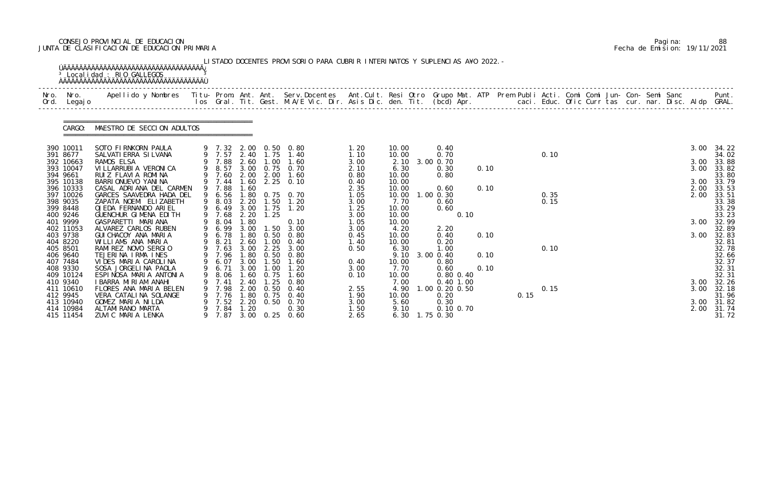# CONSEJO PROVINCIAL DE EDUCACION Pagina: 88 JUNTA DE CLASIFICACION DE EDUCACION PRIMARIA Fecha de Emision: 19/11/2021

|      |                        | <sup>3</sup> Localidad : RIO GALLEGOS<br><b>OAAAAAAAAAAAAAAAAAAAAAAAAAAAAAAAAAA</b>                                                                                                                                               |                  |              |               | LISTADO DOCENTES PROVISORIO PARA CUBRIR INTERINATOS Y SUPLENCIAS A¥O 2022. - |              |                |                   |      |      |      |  |  |      |                     |
|------|------------------------|-----------------------------------------------------------------------------------------------------------------------------------------------------------------------------------------------------------------------------------|------------------|--------------|---------------|------------------------------------------------------------------------------|--------------|----------------|-------------------|------|------|------|--|--|------|---------------------|
| Ord. | Nro. Nro.<br>Legaj o   | Apellido y Nombres  Titu- Prom. Ant. Ant.  Serv.Docentes  Ant.Cult. Resi Otro  Grupo Mat. ATP  Prem Publi Acti. Comi Comi Jun- Con- Semi Sanc              Punt.<br>Ios Gral. Tit. Gest. M.A/E Vic. Dir. Asis Dic. den. Tit. (bcd |                  |              |               |                                                                              |              |                |                   |      |      |      |  |  |      |                     |
|      | CARGO:                 | MAESTRO DE SECCION ADULTOS                                                                                                                                                                                                        |                  |              |               |                                                                              |              |                |                   |      |      |      |  |  |      |                     |
|      | 390 10011              | SOTO FIRNKORN PAULA                                                                                                                                                                                                               |                  |              |               | 9 7.32 2.00 0.50 0.80                                                        | 1. 20        | 10.00          | 0.40              |      |      |      |  |  |      | 3.00 34.22          |
|      | 391 8677               | SALVATI ERRA SI LVANA                                                                                                                                                                                                             | 9 7.57 2.40 1.75 |              |               | 1.40                                                                         | 1.10         | 10.00          | 0.70              |      |      | 0.10 |  |  |      | 34.02               |
|      | 392 10663<br>393 10047 | RAMOS ELSA<br>VI LLARRUBI A VERONI CA                                                                                                                                                                                             | 9 8.57           |              |               | 9 7.88 2.60 1.00 1.60<br>3.00 0.75 0.70                                      | 3.00<br>2.10 | 2.10<br>6.30   | 3.00 0.70<br>0.30 | 0.10 |      |      |  |  | 3.00 | 3.00 33.88<br>33.82 |
|      | 394 9661               | RUIZ FLAVIA ROMINA                                                                                                                                                                                                                | 9 7.60           |              |               | 2.00 2.00 1.60                                                               | 0.80         | 10.00          | 0.80              |      |      |      |  |  |      | 33.80               |
|      | 395 10138              | BARRI ONUEVO YANI NA                                                                                                                                                                                                              | 9 7.44           | 1.60         |               | $2.25 \quad 0.10$                                                            | 0.40         | 10.00          |                   |      |      |      |  |  |      | 3.00 33.79          |
|      | 396 10333              | CASAL ADRIANA DEL CARMEN                                                                                                                                                                                                          | 9 7.88           | 1.60         |               |                                                                              | 2.35         | 10.00          | 0.60              | 0.10 |      |      |  |  | 2.00 | 33.53               |
|      | 397 10026              | GARCES SAAVEDRA HADA DEL                                                                                                                                                                                                          | 9 6.56           |              |               | 1.80 0.75 0.70                                                               | 1.05         | 10.00          | $1.00$ $0.30$     |      |      | 0.35 |  |  | 2.00 | 33.51               |
|      | 398 9035               | ZAPATA NOEMI ELIZABETH                                                                                                                                                                                                            | 9 8.03           | 2.20         |               | $1.50$ $1.20$                                                                | 3.00         | 7.70           | 0.60              |      |      | 0.15 |  |  |      | 33.38               |
|      | 399 8448               | OJEDA FERNANDO ARIEL                                                                                                                                                                                                              | 9 6.49           | 3.00         |               | $1.75$ $1.20$                                                                | 1.25         | 10.00          | 0.60              |      |      |      |  |  |      | 33.29               |
|      | 400 9246<br>401 9999   | GUENCHUR GIMENA EDITH<br>GASPARETTI MARIANA                                                                                                                                                                                       | 9 7.68<br>9 8.04 | 2.20<br>1.80 | 1.25          | 0.10                                                                         | 3.00<br>1.05 | 10.00<br>10.00 | 0.10              |      |      |      |  |  |      | 33.23<br>3.00 32.99 |
|      | 402 11053              | ALVAREZ CARLOS RUBEN                                                                                                                                                                                                              | 9 6.99           | 3.00         | 1.50          | 3.00                                                                         | 3.00         | 4.20           | 2.20              |      |      |      |  |  |      | 32.89               |
|      | 403 9738               | GUI CHACOY ANA MARIA                                                                                                                                                                                                              | 6.78             | 1.80         | 0.50          | 0.80                                                                         | 0.45         | 10.00          | 0.40              | 0.10 |      |      |  |  | 3.00 | 32.83               |
|      | 404 8220               | WILLIAMS ANA MARIA                                                                                                                                                                                                                | 9 8.21 2.60      |              |               | $1.00 \t 0.40$                                                               | 1.40         | 10.00          | 0.20              |      |      |      |  |  |      | 32.81               |
|      | 405 8501               | RAMIREZ NOVO SERGIO                                                                                                                                                                                                               | 9 7.63           | 3.00         | 2.25          | 3.00                                                                         | 0.50         | 6.30           | 1.00              |      |      | 0.10 |  |  |      | 32.78               |
|      | 406 9640               | TEJERINA IRMA INES                                                                                                                                                                                                                | 9 7.96           | 1.80         | 0.50          | 0.80                                                                         |              |                | 9.10 3.00 0.40    | 0.10 |      |      |  |  |      | 32.66               |
|      | 407 7484               | VIDES MARIA CAROLINA                                                                                                                                                                                                              | 9 6.07 3.00 1.50 |              |               | 1.60                                                                         | 0.40         | 10.00          | 0.80              |      |      |      |  |  |      | 32.37               |
|      | 408 9330               | SOSA JORGELINA PAOLA                                                                                                                                                                                                              | 9 6.71 3.00      |              | 1.00          | 1.20                                                                         | 3.00         | 7.70           | 0.60              | 0.10 |      |      |  |  |      | 32.31               |
|      | 409 10124              | ESPINOSA MARIA ANTONIA                                                                                                                                                                                                            | 8.06             | 1. 60        | 0.75          | 1.60                                                                         | 0.10         | 10.00          | 0.80 0.40         |      |      |      |  |  |      | 32.31               |
|      | 410 9340               | I BARRA MIRIAM ANAHI                                                                                                                                                                                                              | 7.41             | 2.40         | . 25          | 0.80                                                                         |              | 7.00           | $0.40$ 1.00       |      |      |      |  |  | 3.00 | 32.26               |
|      | 411 10610              | FLORES ANA MARIA BELEN                                                                                                                                                                                                            | 7.98             | 2.00         | 0.50          | 0.40                                                                         | 2.55         | 4.90           | $.00$ 0.20 0.50   |      |      | 0.15 |  |  | 3.00 | 32.18               |
|      | 412 9945<br>413 10940  | VERA CATALINA SOLANGE<br>GOMEZ MARIA NILDA                                                                                                                                                                                        | 7.76<br>7.52     | 1.80<br>2.20 | 0.75<br>0. 50 | 0.40<br>0.70                                                                 | 1.90<br>3.00 | 10.00<br>5.60  | 0.20<br>0.30      |      | 0.15 |      |  |  |      | 31.96<br>3.00 31.82 |
|      | 414 10984              | ALTAMI RANO MARTA                                                                                                                                                                                                                 | 7.84             | 1.20         |               | 0.30                                                                         | 1.50         | 9.10           | 0.10 0.70         |      |      |      |  |  | 2.00 | 31.74               |
|      | 415 11454              | ZUVIC MARIA LENKA                                                                                                                                                                                                                 | 7.87             |              | 3.00 0.25     | 0.60                                                                         | 2.65         |                | 6.30 1.75 0.30    |      |      |      |  |  |      | 31.72               |

|  | Pagi na: | 88                           |
|--|----------|------------------------------|
|  |          | Fecha de Emision: 19/11/2021 |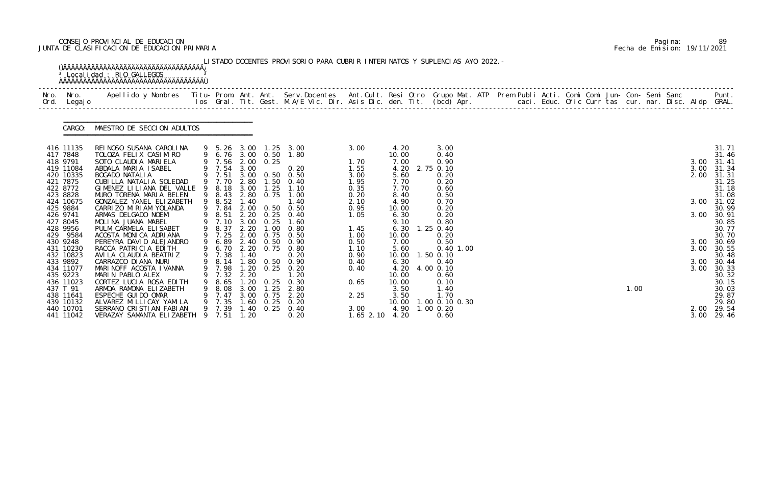# CONSEJO PROVINCIAL DE EDUCACION Pagina: 89 JUNTA DE CLASIFICACION DE EDUCACION PRIMARIA Fecha de Emision: 19/11/2021

| Ord.                 | Nro. Nro.<br>Legaj o   | Apellido y Nombres  Titu- Prom. Ant. Ant. Serv.Docentes  Ant.Cult. Resi Otro Grupo Mat. ATP Prem Publi Acti. Comi Comi Jun- Con- Semi Sanc           Punt.<br>Ios Gral. Tit. Gest. M.A/E Vic. Dir. Asis Dic. den. Tit. (bcd) Apr. |   |                  |      |                   |                                                |               |               |                                  |  |  |  |      |  |      |                |
|----------------------|------------------------|-----------------------------------------------------------------------------------------------------------------------------------------------------------------------------------------------------------------------------------|---|------------------|------|-------------------|------------------------------------------------|---------------|---------------|----------------------------------|--|--|--|------|--|------|----------------|
|                      | CARGO:                 | MAESTRO DE SECCION ADULTOS                                                                                                                                                                                                        |   |                  |      |                   |                                                |               |               |                                  |  |  |  |      |  |      |                |
| 417 7848             | 416 11135              | REINOSO SUSANA CAROLINA<br>TOLOZA FELIX CASIMIRO                                                                                                                                                                                  |   | 9 6.76 3.00 0.50 |      |                   | 9 5.26 3.00 1.25 3.00<br>1.80                  | 3.00          | 4.20<br>10.00 | 3.00<br>0.40                     |  |  |  |      |  |      | 31.71<br>31.46 |
| 418 9791             |                        | SOTO CLAUDIA MARIELA                                                                                                                                                                                                              |   | 9 7.56 2.00 0.25 |      |                   |                                                | 1.70          | 7.00          | 0.90                             |  |  |  |      |  | 3.00 | 31.41          |
|                      | 419 11084              | ABDALA MARIA ISABEL                                                                                                                                                                                                               |   | 9 7.54 3.00      |      |                   | 0.20                                           | 1.55          | 4.20          | 2.75 0.10                        |  |  |  |      |  | 3.00 | 31.34          |
| 421 7875             | 420 10335              | BOGADO NATALIA                                                                                                                                                                                                                    |   |                  |      |                   | 9 7.51 3.00 0.50 0.50<br>9 7.70 2.80 1.50 0.40 | 3.00          | 5.60          | 0.20                             |  |  |  |      |  | 2.00 | 31.31          |
| 422 8772             |                        | CUBILLA NATALIA SOLEDAD<br>GIMENEZ LILIANA DEL VALLE 9 8.18                                                                                                                                                                       |   |                  | 3.00 | 1.25              | 1.10                                           | 1.95<br>0.35  | 7.70<br>7.70  | 0.20<br>0.60                     |  |  |  |      |  |      | 31.25<br>31.18 |
| 423 8828             |                        | MURO TORENA MARIA BELEN                                                                                                                                                                                                           |   | 9 8.43           |      | 2.80 0.75         | 1.00                                           | 0.20          | 8.40          | 0.50                             |  |  |  |      |  |      | 31.08          |
|                      | 424 10675              | GONZALEZ YANEL ELIZABETH                                                                                                                                                                                                          |   | 9 8.52           | 1.40 |                   | 1.40                                           | 2.10          | 4.90          | 0.70                             |  |  |  |      |  |      | 3.00 31.02     |
| 425 9884             |                        | CARRIZO MIRIAM YOLANDA                                                                                                                                                                                                            |   | 9 7.84           |      |                   | 2.00 0.50 0.50                                 | 0.95          | 10.00         | 0.20                             |  |  |  |      |  |      | 30.99          |
| 426 9741<br>427 8045 |                        | ARMAS DELGADO NOEMI<br>MOLINA JUANA MABEL                                                                                                                                                                                         |   | 9 8.51<br>9 7.10 | 3.00 | 0.25              | 2.20 0.25 0.40<br>1.60                         | 1.05          | 6.30<br>9.10  | 0.20<br>0.80                     |  |  |  |      |  | 3.00 | 30.91<br>30.85 |
| 428 9956             |                        | PULM CARMELA ELISABET                                                                                                                                                                                                             |   | 9 8.37           | 2.20 | 1.00              | 0.80                                           | 1.45          | 6.30          | $1.25$ 0.40                      |  |  |  |      |  |      | 30.77          |
|                      | 429 9584               | ACOSTA MONICA ADRIANA                                                                                                                                                                                                             |   | 9 7.25           |      |                   | 2.00 0.75 0.50                                 | 1.00          | 10.00         | 0.20                             |  |  |  |      |  |      | 30.70          |
| 430 9248             |                        | PEREYRA DAVID ALEJANDRO                                                                                                                                                                                                           | 9 | 6.89             |      |                   | 2.40 0.50 0.90                                 | 0.50          | 7.00          | 0.50                             |  |  |  |      |  | 3.00 | 30.69          |
|                      | 431 10230<br>432 10823 | RACCA PATRICIA EDITH<br>AVILA CLAUDIA BEATRIZ                                                                                                                                                                                     |   |                  |      |                   | 9 6.70 2.20 0.75 0.80                          | 1.10<br>0.90  | 5.60          | $0.40$ 1.00<br>10.00  1.50  0.10 |  |  |  |      |  | 3.00 | 30.55<br>30.48 |
|                      | 433 9892               | CARRAZCO DI ANA NURI                                                                                                                                                                                                              |   |                  |      |                   | 9 7.38 1.40 0.20<br>9 8.14 1.80 0.50 0.90      | 0.40          | 6.30          | 0.40                             |  |  |  |      |  |      | 3.00 30.44     |
|                      | 434 11077              | MARINOFF ACOSTA IVANNA                                                                                                                                                                                                            |   | 9 7.98           |      |                   | 1.20 0.25 0.20                                 | 0.40          |               | 4.20 4.00 0.10                   |  |  |  |      |  |      | 3.00 30.33     |
| 435 9223             |                        | MARIN PABLO ALEX                                                                                                                                                                                                                  |   | 7.32             | 2.20 |                   | 1. 20                                          |               | 10.00         | 0.60                             |  |  |  |      |  |      | 30.32          |
|                      | 436 11023              | CORTEZ LUCIA ROSA EDITH                                                                                                                                                                                                           |   | 8.65             | 1.20 | 0.25              | 0.30                                           | 0.65          | 10.00         | 0.10                             |  |  |  |      |  |      | 30.15          |
| 437 T 91             | 438 11641              | ARMOA RAMONA ELIZABETH<br>ESPECHE GUI DO OMAR                                                                                                                                                                                     |   | 8.08<br>7.47     | 3.00 | 1.25<br>3.00 0.75 | 2.80<br>2.20                                   | 2.25          | 3.50<br>3.50  | 1.40<br>1.70                     |  |  |  | 1.00 |  |      | 30.03<br>29.87 |
|                      | 439 10132              | ALVAREZ MI LLI CAY YAMI LA                                                                                                                                                                                                        |   | 7.35             | 60   | 0.25              | 0.20                                           |               | 10.00         | 00 0.10 0.30                     |  |  |  |      |  |      | 29.80          |
|                      | 440 10701              | SERRANO CRISTIAN FABIAN                                                                                                                                                                                                           |   | 9 7.39           | 1.40 | 0.25              | 0.40                                           | 3.00          | 4.90          | $1.00$ 0.20                      |  |  |  |      |  | 2.00 | 29.54          |
|                      | 441 11042              | VERAZAY SAMANTA ELIZABETH                                                                                                                                                                                                         |   | 9 7.51           | 1.20 |                   | 0.20                                           | $1.65$ $2.10$ | 4.20          | 0.60                             |  |  |  |      |  | 3.00 | 29.46          |

|  | Pagi na: | 89                           |
|--|----------|------------------------------|
|  |          | Fecha de Emision: 19/11/2021 |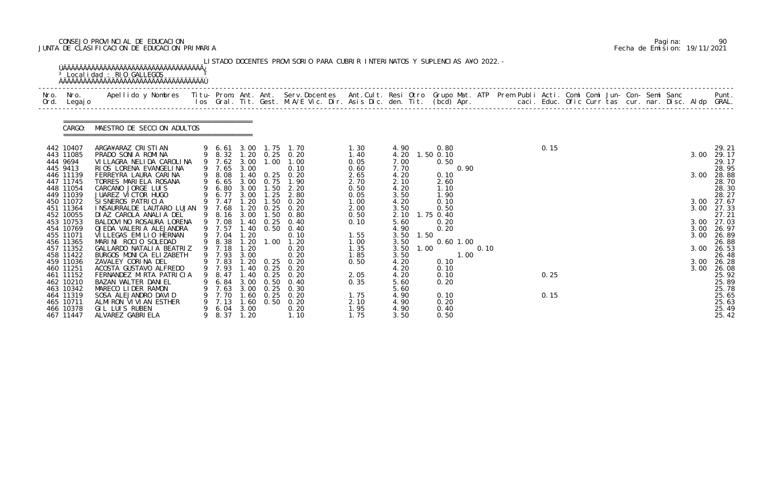# CONSEJO PROVINCIAL DE EDUCACION Pagina: 90 JUNTA DE CLASIFICACION DE EDUCACION PRIMARIA Fecha de Emision: 19/11/2021

|                        | <sup>3</sup> Localidad : RIO GALLEGOS                |    |                       |              |               | LISTADO DOCENTES PROVISORIO PARA CUBRIR INTERINATOS Y SUPLENCIAS A¥O 2022. - |              |                      |                   |              |      |  |  |      |                     |
|------------------------|------------------------------------------------------|----|-----------------------|--------------|---------------|------------------------------------------------------------------------------|--------------|----------------------|-------------------|--------------|------|--|--|------|---------------------|
|                        |                                                      |    |                       |              |               |                                                                              |              |                      |                   |              |      |  |  |      |                     |
|                        | CARGO: MAESTRO DE SECCION ADULTOS                    |    |                       |              |               |                                                                              |              |                      |                   |              |      |  |  |      |                     |
| 442 10407              | ARGA¥ARAZ CRISTIAN                                   |    |                       |              |               | 9 6.61 3.00 1.75 1.70                                                        | 1.30         | 4.90                 | 0.80              |              | 0.15 |  |  |      | 29.21               |
| 443 11085              | PRADO SONIA ROMINA                                   |    |                       |              |               | 9 8.32 1.20 0.25 0.20                                                        | 1.40         | 4.20 1.50 0.10       |                   |              |      |  |  | 3.00 | 29.17               |
| 444 9694               | VI LLAGRA NELI DA CAROLI NA                          |    |                       |              |               | 9 7.62 3.00 1.00 1.00                                                        | 0.05         | 7.00                 | 0.50              |              |      |  |  |      | 29.17               |
| 445 9413<br>446 11139  | RIOS LORENA EVANGELINA<br>FERREYRA LAURA CARINA      |    | 9 7.65 3.00           |              |               | 0.10<br>9 8.08 1.40 0.25 0.20                                                | 0.60<br>2.65 | 7.70<br>4.20         | 0.90<br>0.10      |              |      |  |  | 3.00 | 28.95<br>28.88      |
| 447 11745              | TORRES MARIELA ROSANA                                |    |                       |              |               | 9 6.65 3.00 0.75 1.90                                                        | 2.70         | 2.10                 | 2.60              |              |      |  |  |      | 28.70               |
| 448 11054              | CARCANO JORGE LUIS                                   |    | 9 6.80 3.00 1.50      |              |               | 2.20                                                                         | 0.50         | 4.20                 | 1.10              |              |      |  |  |      | 28.30               |
| 449 11039              | JUAREZ VICTOR HUGO                                   |    | 9 6.77                | 3.00         | 1.25          | 2.80                                                                         | 0.05         | 3.50                 | 1.90              |              |      |  |  |      | 28.27               |
| 450 11072<br>451 11364 | SI SNEROS PATRICIA<br>I NSAURRALDE LAUTARO LUJAN     |    | 9 7.47<br>9 7.68      | 1.20<br>1.20 |               | $1.50 \t 0.20$<br>0. 20                                                      | 1.00         | 4.20                 | 0.10              |              |      |  |  |      | 3.00 27.67          |
| 452 10055              | DI AZ CAROLA ANALIA DEL                              |    | 9 8.16 3.00           |              | 0. 25<br>1.50 | 0.80                                                                         | 2.00<br>0.50 | 3.50<br>2.10         | 0.50<br>1.75 0.40 |              |      |  |  |      | 3.00 27.33<br>27.21 |
| 453 10753              | BALDOVI NO ROSAURA LORENA                            |    | 9 7.08                | 1.40         | 0.25          | 0.40                                                                         | 0.10         | 5.60                 | 0.20              |              |      |  |  |      | 3.00 27.03          |
| 454 10769              | OJEDA VALERIA ALEJANDRA                              |    | 9 7.57                |              |               | 1.40 0.50 0.40                                                               |              | 4.90                 | 0.20              |              |      |  |  |      | 3.00 26.97          |
| 455 11071              | VILLEGAS EMILIO HERNAN                               |    | 9 7.04                | 1.20         |               | 0.10                                                                         | 1.55         | 1.50<br>3.50         |                   |              |      |  |  | 3.00 | 26.89               |
| 456 11365              | MARINI ROCIO SOLEDAD                                 |    | 9 8.38                | 1. 20        |               | $1.00$ $1.20$                                                                | 1.00         | 3.50                 | $0.60$ 1.00       |              |      |  |  |      | 26.88               |
| 457 11352<br>458 11422 | GALLARDO NATALI A BEATRIZ<br>BURGOS MONICA ELIZABETH |    | 9 7.18<br>9 7.93 3.00 | 1.20         |               | 0.20<br>0.20                                                                 | 1.35<br>1.85 | 3.50<br>1.00<br>3.50 |                   | 0.10<br>1.00 |      |  |  | 3.00 | 26.53<br>26.48      |
| 459 11036              | ZAVALEY CORINA DEL                                   |    |                       |              |               | 9 7.83 1.20 0.25 0.20                                                        | 0.50         | 4.20                 | 0.10              |              |      |  |  |      | 3.00 26.28          |
| 460 11251              | ACOSTA GUSTAVO ALFREDO                               |    |                       |              |               | 9 7.93 1.40 0.25 0.20                                                        |              | 4.20                 | 0.10              |              |      |  |  |      | 3.00 26.08          |
| 461 11152              | FERNANDEZ MIRTA PATRICIA                             | 9  | 8.47                  | 1.40         | 0.25          | 0.20                                                                         | 2.05         | 4.20                 | 0.10              |              | 0.25 |  |  |      | 25.92               |
| 462 10210              | BAZAN WALTER DANIEL                                  |    | 6. 84                 | 3.00         | 0.50          | 0.40                                                                         | 0.35         | 5.60                 | 0.20              |              |      |  |  |      | 25.89               |
| 463 10342              | MARECO LIDER RAMON                                   |    | 7.63                  | 3.00         | 0.25          | 0.30                                                                         |              | 5.60                 |                   |              |      |  |  |      | 25.78               |
| 464 11319<br>465 10711 | SOSA ALEJANDRO DAVID<br>ALMIRON VIVIAN ESTHER        |    | 7.70<br>7.13          | 1.60<br>1.60 | 0.25<br>0. 50 | 0.20<br>0.20                                                                 | 1.75<br>2.10 | 4.90<br>4.90         | 0.10<br>0.20      |              | 0.15 |  |  |      | 25.65<br>25.63      |
| 466 10378              | GIL LUIS RUBEN                                       | 9. | 6. 04                 | 3.00         |               | 0.20                                                                         | 1.95         | 4.90                 | 0.40              |              |      |  |  |      | 25.49               |
| 467 11447              | ALVAREZ GABRI ELA                                    |    | 8.37 1.20             |              |               | 1.10                                                                         | 1.75         | 3.50                 | 0.50              |              |      |  |  |      | 25.42               |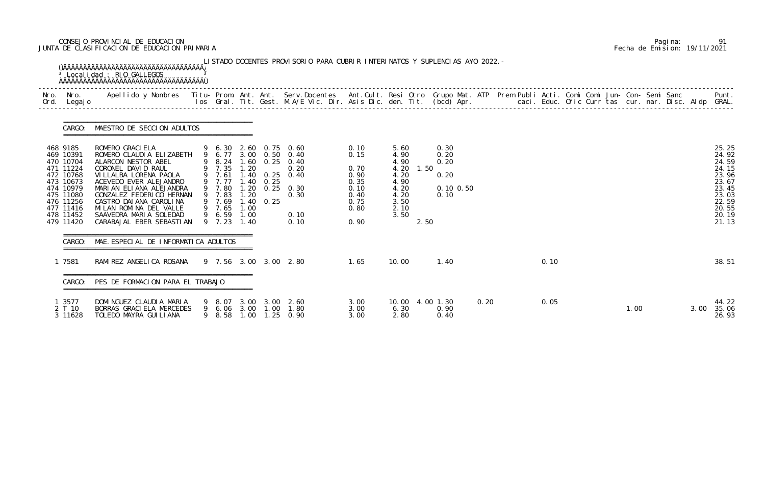# CONSEJO PROVINCIAL DE EDUCACION Pagina: 91 JUNTA DE CLASIFICACION DE EDUCACION PRIMARIA Fecha de Emision: 19/11/2021

| Nro.     | Nro. In the Nro.<br>Ord. Legajo                                                                                                             | Apellido y Nombres - Titu- Prom. Ant. Ant. Serv.Docentes - Ant.Cult. Resi Otro Grupo Mat. ATP Prem Publi Acti. Comi Comi Jun- Con- Semi Sanc - - - Punt.<br>Ios Gral. Tit. Gest. M.A/E Vic. Dir. Asis Dic. den. Tit. (bcd) Apr. -                                                                               |                                                                                                       |                              |      |                                                                                                                                                                    |                                                                              |                                                                                                      |                                                       |      |  |      |  |      |  |      |                                                                                                          |
|----------|---------------------------------------------------------------------------------------------------------------------------------------------|-----------------------------------------------------------------------------------------------------------------------------------------------------------------------------------------------------------------------------------------------------------------------------------------------------------------|-------------------------------------------------------------------------------------------------------|------------------------------|------|--------------------------------------------------------------------------------------------------------------------------------------------------------------------|------------------------------------------------------------------------------|------------------------------------------------------------------------------------------------------|-------------------------------------------------------|------|--|------|--|------|--|------|----------------------------------------------------------------------------------------------------------|
|          | CARGO:                                                                                                                                      | MAESTRO DE SECCION ADULTOS                                                                                                                                                                                                                                                                                      |                                                                                                       |                              |      |                                                                                                                                                                    |                                                                              |                                                                                                      |                                                       |      |  |      |  |      |  |      |                                                                                                          |
| 468 9185 | 469 10391<br>470 10704<br>471 11224<br>472 10768<br>473 10673<br>474 10979<br>475 11080<br>476 11256<br>477 11416<br>478 11452<br>479 11420 | ROMERO GRACIELA<br>ROMERO CLAUDI A ELIZABETH<br>ALARCON NESTOR ABEL<br>CORONEL DAVID RAUL<br>VI LLALBA LORENA PAOLA<br>ACEVEDO EVER ALEJANDRO<br>MARIAN ELIANA ALEJANDRA<br>GONZALEZ FEDERICO HERNAN<br>CASTRO DAI ANA CAROLINA<br>MILAN ROMINA DEL VALLE<br>SAAVEDRA MARIA SOLEDAD<br>CARABAJAL EBER SEBASTIAN | 9 7.35<br>9 7.77 1.40 0.25<br>9 7.80<br>9 7.83<br>9 7.69 1.40 0.25<br>9 7.65<br>9 6.59<br>9 7.23 1.40 | 1.20<br>1.20<br>1.00<br>1.00 |      | 9   6.30   2.60   0.75   0.60<br>9   6.77   3.00   0.50   0.40<br>9 8.24 1.60 0.25 0.40<br>0.20<br>9 7.61 1.40 0.25 0.40<br>1.20 0.25 0.30<br>0.30<br>0.10<br>0.10 | 0.10<br>0.15<br>0.70<br>0.90<br>0.35<br>0.10<br>0.40<br>0.75<br>0.80<br>0.90 | 5.60<br>4.90<br>4.90<br>4.20<br>1.50<br>4.20<br>4.90<br>4.20<br>4.20<br>3.50<br>2.10<br>3.50<br>2.50 | 0.30<br>0.20<br>0.20<br>0.20<br>$0.10$ $0.50$<br>0.10 |      |  |      |  |      |  |      | 25.25<br>24.92<br>24.59<br>24.15<br>23.96<br>23.67<br>23.45<br>23.03<br>22.59<br>20.55<br>20.19<br>21.13 |
|          | CARGO:                                                                                                                                      | MAE. ESPECIAL DE INFORMATICA ADULTOS                                                                                                                                                                                                                                                                            |                                                                                                       |                              |      |                                                                                                                                                                    |                                                                              |                                                                                                      |                                                       |      |  |      |  |      |  |      |                                                                                                          |
|          | 1 7581                                                                                                                                      | RAMIREZ ANGELICA ROSANA                                                                                                                                                                                                                                                                                         |                                                                                                       |                              |      | 9 7.56 3.00 3.00 2.80                                                                                                                                              | 1.65                                                                         | 10.00                                                                                                | 1.40                                                  |      |  | 0.10 |  |      |  |      | 38.51                                                                                                    |
|          | CARGO:                                                                                                                                      | PES DE FORMACION PARA EL TRABAJO                                                                                                                                                                                                                                                                                |                                                                                                       |                              |      |                                                                                                                                                                    |                                                                              |                                                                                                      |                                                       |      |  |      |  |      |  |      |                                                                                                          |
|          | 3577<br>2 T 10<br>3 11628                                                                                                                   | DOMINGUEZ CLAUDIA MARIA<br>BORRAS GRACI ELA MERCEDES<br>TOLEDO MAYRA GUI LI ANA                                                                                                                                                                                                                                 | 9 8.07 3.00 3.00 2.60<br>9 6.06 3.00<br>9 8.58                                                        | 1.00                         | 1.00 | 1.80<br>$1.25 \quad 0.90$                                                                                                                                          | 3.00<br>3.00<br>3.00                                                         | 10.00 4.00 1.30<br>6.30<br>2.80                                                                      | 0.90<br>0.40                                          | 0.20 |  | 0.05 |  | 1.00 |  | 3.00 | 44.22<br>35.06<br>26.93                                                                                  |

|  | Pagi na: | 91                           |
|--|----------|------------------------------|
|  |          | Fecha de Emision: 19/11/2021 |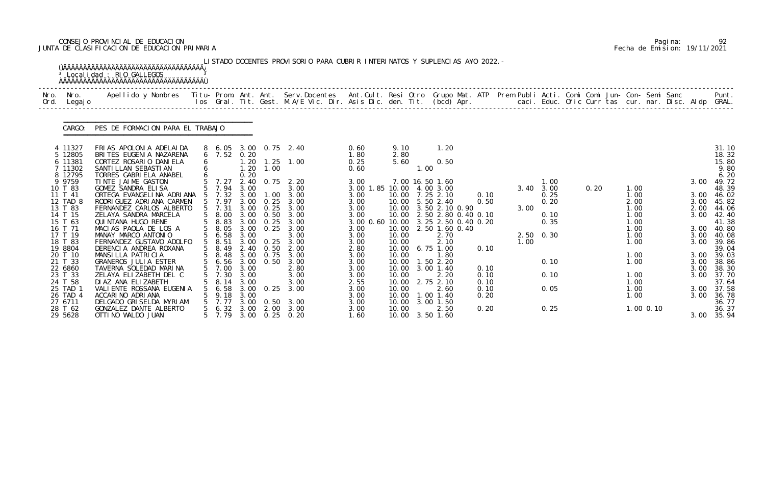# CONSEJO PROVINCIAL DE EDUCACION Pagina: 92 JUNTA DE CLASIFICACION DE EDUCACION PRIMARIA Fecha de Emision: 19/11/2021

|              |                                           | <sup>3</sup> Localidad : RIO GALLEGOS                                                                                                                                                                                             |                 |                               |                              |                                   | LISTADO DOCENTES PROVISORIO PARA CUBRIR INTERINATOS Y SUPLENCIAS A¥O 2022. - |                                           |                                  |      |                                                                                       |                              |      |                           |      |                              |                      |                                            |
|--------------|-------------------------------------------|-----------------------------------------------------------------------------------------------------------------------------------------------------------------------------------------------------------------------------------|-----------------|-------------------------------|------------------------------|-----------------------------------|------------------------------------------------------------------------------|-------------------------------------------|----------------------------------|------|---------------------------------------------------------------------------------------|------------------------------|------|---------------------------|------|------------------------------|----------------------|--------------------------------------------|
| Nro.<br>Ord. | Nro.<br>Legaj o                           | Apellido y Nombres - Titu- Prom. Ant. Ant. Serv.Docentes - Ant.Cult. Resi Otro Grupo Mat. ATP Prem Publi Acti. Comi Comi Jun- Con- Semi Sanc - - - Punt.<br>Ios Gral. Tit. Gest. M.A/E Vic. Dir. Asis Dic. den. Tit. (bcd) Apr. - |                 |                               |                              |                                   |                                                                              |                                           |                                  |      |                                                                                       |                              |      |                           |      |                              |                      |                                            |
|              | CARGO:                                    | PES DE FORMACION PARA EL TRABAJO                                                                                                                                                                                                  |                 |                               |                              |                                   |                                                                              |                                           |                                  |      |                                                                                       |                              |      |                           |      |                              |                      |                                            |
|              | 4 11327<br>5 12805<br>6 11381<br>7 11302  | FRIAS APOLONIA ADELAIDA<br>BRITES EUGENIA NAZARENA<br>CORTEZ ROSARIO DANIELA<br>SANTI LLAN SEBASTI AN                                                                                                                             |                 | $6$ 7.52                      | 0.20<br>1.20<br>1.20         | 1.00                              | 8 6.05 3.00 0.75 2.40<br>$1.25$ $1.00$                                       | 0.60<br>1.80<br>0.25<br>0.60              | 9.10<br>2.80<br>5.60             | 1.00 | 1.20<br>0.50                                                                          |                              |      |                           |      |                              |                      | 31.10<br>18.32<br>15.80<br>9.80            |
|              | 8 12795<br>9 9759<br>10 T 83<br>11 T 41   | TORRES GABRIELA ANABEL<br>TINTE JAIME GASTON<br>GOMEZ SANDRA ELISA<br>ORTEGA EVANGELINA ADRIANA                                                                                                                                   |                 | 7.27<br>7.94<br>$5$ 7.32      | 0.20<br>2.40<br>3.00<br>3.00 | 0.75<br>1.00                      | 2.20<br>3.00<br>3.00                                                         | 3.00<br>3.00 1.85 10.00 4.00 3.00<br>3.00 |                                  |      | 7.00 16.50 1.60<br>10.00 7.25 2.10                                                    | 0.10                         |      | 1.00<br>3.40 3.00<br>0.25 | 0.20 | 1.00<br>1.00                 | 3.00<br>3.00         | 6.20<br>49.72<br>48.39<br>46.02            |
|              | 12 TAD 8<br>13 T 83<br>14 T 15<br>15 T 63 | RODRI GUEZ ADRI ANA CARMEN<br>FERNANDEZ CARLOS ALBERTO<br>ZELAYA SANDRA MARCELA<br>QUI NTANA HUGO RENE                                                                                                                            | $5\overline{)}$ | 7.97<br>7.31<br>8.00<br>8.83  | 3.00<br>3.00<br>3.00         | 0.25<br>0.25<br>3.00 0.50<br>0.25 | 3.00<br>3.00<br>3.00<br>3.00                                                 | 3.00<br>3.00<br>3.00<br>3.00 0.60 10.00   | 10.00                            |      | 10.00 5.50 2.40<br>3.50 2.10 0.90<br>10.00 2.50 2.80 0.40 0.10<br>3.25 2.50 0.40 0.20 | 0.50                         | 3.00 | 0.20<br>0.10<br>0.35      |      | 2.00<br>1.00<br>1.00<br>1.00 | 3.00<br>2.00<br>3.00 | 45.82<br>44.06<br>42.40<br>41.38           |
|              | 16 T 71<br>17 T 19<br>18 T 83             | MACIAS PAOLA DE LOS A<br>MANAY MARCO ANTONIO<br>FERNANDEZ GUSTAVO ADOLFO<br>DERENCIA ANDREA ROXANA                                                                                                                                |                 | 8.05<br>56.58<br>8.51<br>8.49 | 3.00<br>3.00<br>3.00         | 0.25<br>0.25                      | 3.00<br>3.00<br>3.00                                                         | 3.00<br>3.00<br>3.00                      | 10.00<br>10.00<br>10.00          |      | 2.50 1.60 0.40<br>2.70<br>2.10<br>6.75 1.00                                           |                              | 1.00 | 2.50 0.30                 |      | 1.00<br>1.00<br>1.00         | 3.00<br>3.00<br>3.00 | 40.80<br>40.08<br>39.86                    |
|              | 19 8804<br>20 T 10<br>21 T 33<br>22 6860  | MANSILLA PATRICIA<br><b>GRANEROS JULIA ESTER</b><br>TAVERNA SOLEDAD MARINA                                                                                                                                                        |                 | 5 8.48<br>5 6.56<br>5 7.00    | 3.00<br>3.00                 | 2.40 0.50<br>3.00 0.75<br>0.50    | 2.00<br>3.00<br>3.00<br>2.80                                                 | 2.80<br>3.00<br>3.00<br>3.00              | 10.00<br>10.00<br>10.00          |      | 1.80<br>1.50 2.20<br>10.00 3.00 1.40                                                  | 0.10<br>0.10                 |      | 0.10                      |      | 1.00<br>1.00                 | 3.00<br>3.00<br>3.00 | 39.04<br>39.03<br>38.86<br>38.30           |
| 23           | T 33<br>24 T 58<br>25 TAD 1<br>26 TAD 4   | ZELAYA ELIZABETH DEL C<br>DI AZ ANA ELIZABETH<br>VALI ENTE ROSSANA EUGENIA<br>ACCARINO ADRIANA                                                                                                                                    |                 | 7.30<br>8.14<br>6. 58<br>9.18 | 3.00<br>3.00<br>3.00         | $3.00 \quad 0.25$                 | 3.00<br>3.00<br>3.00                                                         | 3.00<br>2.55<br>3.00<br>3.00              | 10.00<br>10.00<br>10.00<br>10.00 |      | 2.20<br>2.75 2.10<br>2.60<br>$1.00$ $1.40$                                            | 0.10<br>0.10<br>0.10<br>0.20 |      | 0.10<br>0.05              |      | 1.00<br>1.00<br>1.00<br>1.00 | 3.00                 | 3.00 37.70<br>37.64<br>3.00 37.58<br>36.78 |
|              | 27 6711<br>28 T 62<br>29 5628             | DELGADO GRISELDA MYRIAM<br>GONZALEZ DANTE ALBERTO<br>OTTI NO WALDO JUAN                                                                                                                                                           |                 | 7.77<br>5 7.79                |                              | $3,00$ 0.50                       | 3.00<br>5 6.32 3.00 2.00 3.00<br>3.00 0.25 0.20                              | 3.00<br>3.00<br>1.60                      | 10.00<br>10.00                   |      | 3.00 1.50<br>2.50<br>10.00 3.50 1.60                                                  | 0.20                         |      | 0.25                      |      | $1.00$ 0.10                  |                      | 36.77<br>36.37<br>3.00 35.94               |

|  | Pagi na: | 92                           |
|--|----------|------------------------------|
|  |          | Fecha de Emision: 19/11/2021 |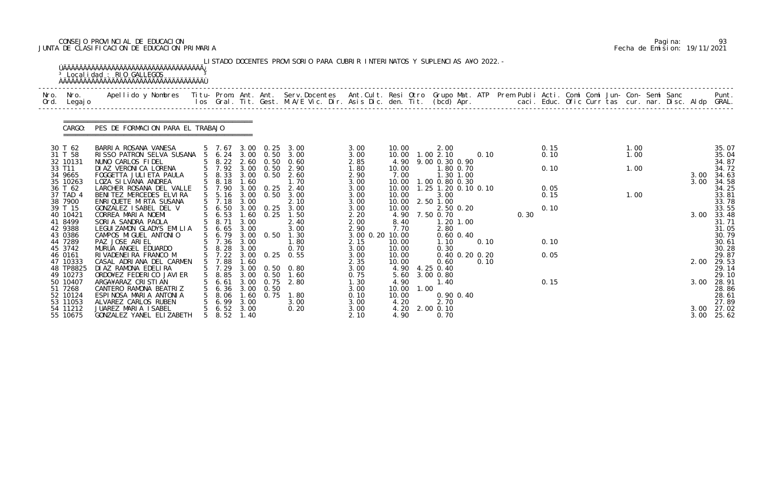# CONSEJO PROVINCIAL DE EDUCACION Pagina: 93 JUNTA DE CLASIFICACION DE EDUCACION PRIMARIA Fecha de Emision: 19/11/2021

| Nro. | Nro.<br>Ord. Legajo  | Apellido y Nombres - Titu- Prom. Ant. Ant. Serv.Docentes - Ant.Cult. Resi Otro Grupo Mat. ATP Prem Publi Acti. Comi Comi Jun- Con- Semi Sanc - - - Punt.<br>Ios Gral. Tit. Gest. M.A/E Vic. Dir. Asis Dic. den. Tit. (bcd) Apr. - |                                                      |              |                   |                                           |                         |               |      |                             |                |      |      |  |      |  |              |                |
|------|----------------------|-----------------------------------------------------------------------------------------------------------------------------------------------------------------------------------------------------------------------------------|------------------------------------------------------|--------------|-------------------|-------------------------------------------|-------------------------|---------------|------|-----------------------------|----------------|------|------|--|------|--|--------------|----------------|
|      | CARGO:               | PES DE FORMACION PARA EL TRABAJO                                                                                                                                                                                                  |                                                      |              |                   |                                           |                         |               |      |                             |                |      |      |  |      |  |              |                |
|      | 30 T 62              | BARRIA ROSANA VANESA                                                                                                                                                                                                              | 5 7.67                                               |              |                   | 3.00 0.25 3.00                            | 3.00                    | 10.00         |      | 2.00                        |                |      | 0.15 |  | 1.00 |  |              | 35.07          |
|      | 31 T 58              | RISSO PATRON SELVA SUSANA 5 6.24 3.00 0.50                                                                                                                                                                                        |                                                      |              |                   | 3.00                                      | 3.00                    |               |      | 10.00  1.00  2.10           | 0.10           |      | 0.10 |  | 1.00 |  |              | 35.04          |
|      | 32 10131<br>33 T11   | NUNO CARLOS FIDEL<br>DI AZ VERONI CA LORENA                                                                                                                                                                                       | 5 7.92 3.00 0.50                                     |              |                   | 5 8.22 2.60 0.50 0.60<br>2.90             | 2.85<br>1.80            | 4.90<br>10.00 |      | 9.00 0.30 0.90<br>1.80 0.70 |                |      | 0.10 |  | 1.00 |  |              | 34.87<br>34.72 |
|      | 34 9665              | FOGGETTA JULI ETA PAULA                                                                                                                                                                                                           | 5 8.33                                               |              |                   | 3.00 0.50 2.60                            | 2.90                    | 7.00          |      | 1.30 1.00                   |                |      |      |  |      |  | 3.00         | 34.63          |
|      | 35 10263             | LOZA SI LVANA ANDREA                                                                                                                                                                                                              | 5 8.18                                               | 1.60         |                   | 1.70                                      | 3.00                    | 10.00         |      | 1.00 0.80 0.30              |                |      |      |  |      |  | 3.00         | 34.58          |
|      | 36 T 62              | LARCHER ROSANA DEL VALLE                                                                                                                                                                                                          | 5 7.90                                               |              | $3.00 \quad 0.25$ | 2.40                                      | 3.00                    | 10.00         |      | 1.25 1.20 0.10 0.10         |                |      | 0.05 |  |      |  |              | 34.25          |
|      | 37 TAD 4             | BENITEZ MERCEDES ELVIRA                                                                                                                                                                                                           | 5 5.16                                               |              | $3.00 \quad 0.50$ | 3.00                                      | 3.00                    | 10.00         |      | 3.00                        |                |      | 0.15 |  | 1.00 |  |              | 33.81          |
|      | 38 7900              | ENRIQUETE MIRTA SUSANA                                                                                                                                                                                                            | $5$ 7.18                                             | 3.00         |                   | 2.10                                      | 3.00                    | 10.00         |      | 2.50 1.00                   |                |      |      |  |      |  |              | 33.78          |
|      | 39 T 15              | GONZALEZ ISABEL DEL V                                                                                                                                                                                                             | $5\quad 6.50$                                        |              | 3.00 0.25         | 3.00                                      | 3.00                    | 10.00         |      | 2.50 0.20                   |                |      | 0.10 |  |      |  |              | 33.55          |
|      | 40 10421             | CORREA MARIA NOEMI                                                                                                                                                                                                                | $\begin{array}{cc} 5 & 6.53 \\ 5 & 8.71 \end{array}$ |              |                   | 1.60 0.25 1.50                            | 2.20                    |               |      | 4.90 7.50 0.70              |                | 0.30 |      |  |      |  | 3.00         | 33.48          |
|      | 41 8499              | SORIA SANDRA PAOLA                                                                                                                                                                                                                |                                                      | 3.00         |                   | 2.40                                      | 2.00                    | 8.40          |      | $1.20$ $1.00$               |                |      |      |  |      |  |              | 31.71          |
|      | 42 9388<br>43 0386   | LEGUIZAMON GLADYS EMILIA<br>CAMPOS MIGUEL ANTONIO                                                                                                                                                                                 | $5\quad 6.65$<br>5 6.79                              | 3.00         |                   | 3.00<br>3.00 0.50 1.30                    | 2.90<br>3.00 0.20 10.00 | 7.70          |      | 2.80<br>$0.60$ $0.40$       |                |      |      |  |      |  |              | 31.05<br>30.79 |
|      | 44 7289              | PAZ JOSE ARIEL                                                                                                                                                                                                                    | 5 7.36                                               | 3.00         |                   | 1.80                                      | 2.15                    | 10.00         |      | 1.10                        | 0.10           |      | 0.10 |  |      |  |              | 30.61          |
|      | 45 3742              | MURUA ANGEL EDUARDO                                                                                                                                                                                                               |                                                      |              |                   |                                           | 3.00                    | 10.00         |      | 0.30                        |                |      |      |  |      |  |              | 30.28          |
|      | 46 0161              | RIVADENEIRA FRANCO M                                                                                                                                                                                                              |                                                      |              |                   | 5 8.28 3.00 0.70<br>5 7.22 3.00 0.25 0.55 | 3.00                    | 10.00         |      |                             | 0.40 0.20 0.20 |      | 0.05 |  |      |  |              | 29.87          |
|      | 47 10333             | CASAL ADRIANA DEL CARMEN                                                                                                                                                                                                          | 5 7.88                                               | 1.60         |                   |                                           | 2.35                    | 10.00         |      | 0.60                        | 0.10           |      |      |  |      |  | 2.00         | 29.53          |
|      | 48 TP8825            | DI AZ RAMONA EDELIRA                                                                                                                                                                                                              | 5 7.29                                               |              |                   | 3.00 0.50 0.80                            | 3.00                    |               |      | 4.90 4.25 0.40              |                |      |      |  |      |  |              | 29.14          |
|      | 49 10273             | ORDO¥EZ FEDERICO JAVIER                                                                                                                                                                                                           | 8.85                                                 |              | 3.00 0.50         | 1.60                                      | 0.75                    | 5.60          |      | 3.00 0.80                   |                |      |      |  |      |  |              | 29.10          |
|      | 50 10407             | ARGA¥ARAZ CRISTIAN                                                                                                                                                                                                                | 6.61                                                 | 3.00         | 0.75              | 2.80                                      | 1. 30                   | 4.90          |      | 1.40                        |                |      | 0.15 |  |      |  | 3.00         | 28.91          |
|      | 51 7268              | CANTERO RAMONA BEATRIZ                                                                                                                                                                                                            | 6.36                                                 |              | $3.00 \quad 0.50$ |                                           | 3.00                    | 10.00         | 1.00 |                             |                |      |      |  |      |  |              | 28.86          |
|      | 52 10124             | ESPINOSA MARIA ANTONIA                                                                                                                                                                                                            | 8.06                                                 | 1.60         | 0.75              | 1.80                                      | 0.10                    | 10.00         |      | 0.90 0.40                   |                |      |      |  |      |  |              | 28.61          |
|      | 53 11053             | ALVAREZ CARLOS RUBEN                                                                                                                                                                                                              | 6.99                                                 | 3.00         |                   | 3.00                                      | 3.00                    | 4.20          |      | 2.70                        |                |      |      |  |      |  |              | 27.89          |
|      | 54 11212<br>55 10675 | JUAREZ MARIA ISABEL<br>GONZALEZ YANEL ELIZABETH                                                                                                                                                                                   | $5\quad 6.52$<br>$5\quad 8.52$                       | 3.00<br>1.40 |                   | 0.20                                      | 3.00<br>2.10            | 4.20<br>4.90  |      | 2.00 0.10<br>0.70           |                |      |      |  |      |  | 3.00<br>3.00 | 27.02<br>25.62 |

|  | Pagi na: | 93                           |
|--|----------|------------------------------|
|  |          | Fecha de Emision: 19/11/2021 |